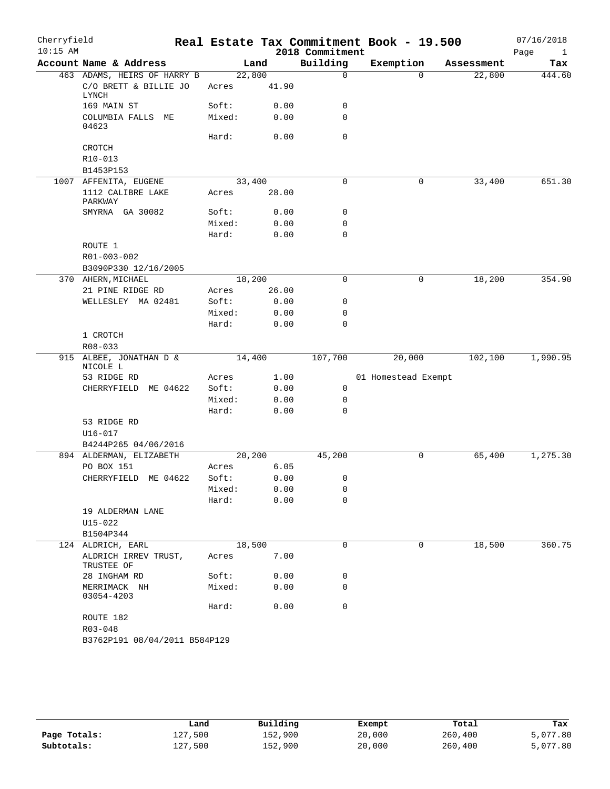| Cherryfield<br>$10:15$ AM |                                                               |                 |       | 2018 Commitment | Real Estate Tax Commitment Book - 19.500 |             |            | 07/16/2018<br>Page<br>$\mathbf{1}$ |
|---------------------------|---------------------------------------------------------------|-----------------|-------|-----------------|------------------------------------------|-------------|------------|------------------------------------|
|                           | Account Name & Address                                        |                 | Land  | Building        | Exemption                                |             | Assessment | Tax                                |
|                           | 463 ADAMS, HEIRS OF HARRY B<br>C/O BRETT & BILLIE JO<br>LYNCH | 22,800<br>Acres | 41.90 | $\mathbf 0$     |                                          | $\Omega$    | 22,800     | 444.60                             |
|                           | 169 MAIN ST                                                   | Soft:           | 0.00  | 0               |                                          |             |            |                                    |
|                           | COLUMBIA FALLS ME<br>04623                                    | Mixed:          | 0.00  | $\mathbf 0$     |                                          |             |            |                                    |
|                           | CROTCH                                                        | Hard:           | 0.00  | $\mathbf 0$     |                                          |             |            |                                    |
|                           | R10-013                                                       |                 |       |                 |                                          |             |            |                                    |
|                           | B1453P153                                                     |                 |       |                 |                                          |             |            |                                    |
| 1007                      | AFFENITA, EUGENE                                              | 33,400          |       | 0               |                                          | 0           | 33,400     | 651.30                             |
|                           | 1112 CALIBRE LAKE<br>PARKWAY                                  | Acres           | 28.00 |                 |                                          |             |            |                                    |
|                           | SMYRNA GA 30082                                               | Soft:           | 0.00  | 0               |                                          |             |            |                                    |
|                           |                                                               | Mixed:          | 0.00  | 0               |                                          |             |            |                                    |
|                           |                                                               | Hard:           | 0.00  | $\mathbf 0$     |                                          |             |            |                                    |
|                           | ROUTE 1                                                       |                 |       |                 |                                          |             |            |                                    |
|                           | R01-003-002                                                   |                 |       |                 |                                          |             |            |                                    |
|                           | B3090P330 12/16/2005                                          |                 |       |                 |                                          |             |            |                                    |
|                           | 370 AHERN, MICHAEL                                            | 18,200          |       | $\mathbf 0$     |                                          | 0           | 18,200     | 354.90                             |
|                           | 21 PINE RIDGE RD                                              | Acres           | 26.00 |                 |                                          |             |            |                                    |
|                           | WELLESLEY MA 02481                                            | Soft:           | 0.00  | 0               |                                          |             |            |                                    |
|                           |                                                               | Mixed:          | 0.00  | 0               |                                          |             |            |                                    |
|                           |                                                               | Hard:           | 0.00  | 0               |                                          |             |            |                                    |
|                           | 1 CROTCH                                                      |                 |       |                 |                                          |             |            |                                    |
|                           | $R08 - 033$                                                   |                 |       |                 |                                          |             |            |                                    |
|                           | 915 ALBEE, JONATHAN D &<br>NICOLE L                           | 14,400          |       | 107,700         | 20,000                                   |             | 102,100    | 1,990.95                           |
|                           | 53 RIDGE RD                                                   | Acres           | 1.00  |                 | 01 Homestead Exempt                      |             |            |                                    |
|                           | CHERRYFIELD ME 04622                                          | Soft:           | 0.00  | $\mathsf{O}$    |                                          |             |            |                                    |
|                           |                                                               | Mixed:          | 0.00  | $\mathsf{O}$    |                                          |             |            |                                    |
|                           |                                                               | Hard:           | 0.00  | $\Omega$        |                                          |             |            |                                    |
|                           | 53 RIDGE RD                                                   |                 |       |                 |                                          |             |            |                                    |
|                           | U16-017                                                       |                 |       |                 |                                          |             |            |                                    |
|                           | B4244P265 04/06/2016                                          |                 |       |                 |                                          |             |            |                                    |
|                           | 894 ALDERMAN, ELIZABETH                                       | 20,200          |       | 45,200          |                                          | 0           | 65,400     | 1,275.30                           |
|                           | PO BOX 151                                                    | Acres           | 6.05  |                 |                                          |             |            |                                    |
|                           | CHERRYFIELD ME 04622                                          | Soft:           | 0.00  | 0               |                                          |             |            |                                    |
|                           |                                                               | Mixed:          | 0.00  | 0               |                                          |             |            |                                    |
|                           |                                                               | Hard:           | 0.00  | 0               |                                          |             |            |                                    |
|                           | 19 ALDERMAN LANE                                              |                 |       |                 |                                          |             |            |                                    |
|                           | U15-022<br>B1504P344                                          |                 |       |                 |                                          |             |            |                                    |
|                           | 124 ALDRICH, EARL                                             | 18,500          |       | 0               |                                          | $\mathbf 0$ | 18,500     | 360.75                             |
|                           | ALDRICH IRREV TRUST,<br>TRUSTEE OF                            | Acres           | 7.00  |                 |                                          |             |            |                                    |
|                           | 28 INGHAM RD                                                  | Soft:           | 0.00  | 0               |                                          |             |            |                                    |
|                           | MERRIMACK NH<br>03054-4203                                    | Mixed:          | 0.00  | 0               |                                          |             |            |                                    |
|                           |                                                               | Hard:           | 0.00  | $\mathbf 0$     |                                          |             |            |                                    |
|                           | ROUTE 182                                                     |                 |       |                 |                                          |             |            |                                    |
|                           | R03-048                                                       |                 |       |                 |                                          |             |            |                                    |
|                           | B3762P191 08/04/2011 B584P129                                 |                 |       |                 |                                          |             |            |                                    |

|              | Land    | Building | Exempt | Total   | Tax      |
|--------------|---------|----------|--------|---------|----------|
| Page Totals: | 127,500 | 152,900  | 20,000 | 260,400 | 5,077.80 |
| Subtotals:   | 127,500 | 152,900  | 20,000 | 260,400 | 5,077.80 |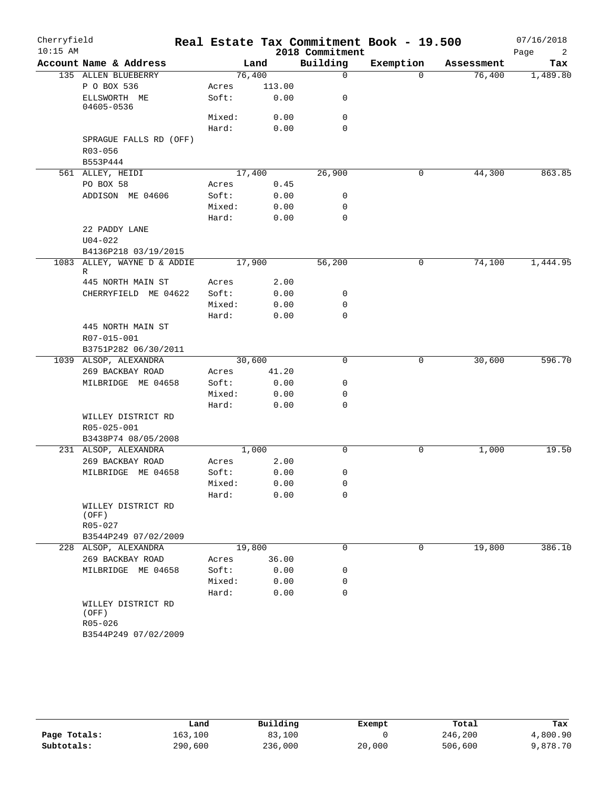| $10:15$ AM<br>2018 Commitment<br>Building<br>Account Name & Address<br>Exemption<br>Land<br>Assessment<br>135 ALLEN BLUEBERRY<br>76,400<br>$\mathbf 0$<br>76,400<br>$\Omega$<br>P O BOX 536<br>113.00<br>Acres<br>ELLSWORTH ME<br>Soft:<br>0.00<br>0<br>04605-0536<br>Mixed:<br>0.00<br>0<br>$\mathbf 0$<br>Hard:<br>0.00<br>SPRAGUE FALLS RD (OFF) | Page<br>2<br>Tax<br>1,489.80<br>863.85 |  |  |             |  |
|-----------------------------------------------------------------------------------------------------------------------------------------------------------------------------------------------------------------------------------------------------------------------------------------------------------------------------------------------------|----------------------------------------|--|--|-------------|--|
|                                                                                                                                                                                                                                                                                                                                                     |                                        |  |  |             |  |
|                                                                                                                                                                                                                                                                                                                                                     |                                        |  |  |             |  |
|                                                                                                                                                                                                                                                                                                                                                     |                                        |  |  |             |  |
|                                                                                                                                                                                                                                                                                                                                                     |                                        |  |  |             |  |
|                                                                                                                                                                                                                                                                                                                                                     |                                        |  |  |             |  |
|                                                                                                                                                                                                                                                                                                                                                     |                                        |  |  |             |  |
|                                                                                                                                                                                                                                                                                                                                                     |                                        |  |  |             |  |
|                                                                                                                                                                                                                                                                                                                                                     |                                        |  |  | $R03 - 056$ |  |
| B553P444                                                                                                                                                                                                                                                                                                                                            |                                        |  |  |             |  |
| 561 ALLEY, HEIDI<br>17,400<br>26,900<br>0<br>44,300                                                                                                                                                                                                                                                                                                 |                                        |  |  |             |  |
| PO BOX 58<br>0.45<br>Acres                                                                                                                                                                                                                                                                                                                          |                                        |  |  |             |  |
| ADDISON ME 04606<br>Soft:<br>0.00<br>0                                                                                                                                                                                                                                                                                                              |                                        |  |  |             |  |
| Mixed:<br>0.00<br>0                                                                                                                                                                                                                                                                                                                                 |                                        |  |  |             |  |
| $\mathbf 0$<br>Hard:<br>0.00                                                                                                                                                                                                                                                                                                                        |                                        |  |  |             |  |
| 22 PADDY LANE                                                                                                                                                                                                                                                                                                                                       |                                        |  |  |             |  |
| $U04 - 022$                                                                                                                                                                                                                                                                                                                                         |                                        |  |  |             |  |
| B4136P218 03/19/2015                                                                                                                                                                                                                                                                                                                                |                                        |  |  |             |  |
| 17,900<br>0<br>1083 ALLEY, WAYNE D & ADDIE<br>56,200<br>74,100<br>R                                                                                                                                                                                                                                                                                 | 1,444.95                               |  |  |             |  |
| 2.00<br>445 NORTH MAIN ST<br>Acres                                                                                                                                                                                                                                                                                                                  |                                        |  |  |             |  |
| Soft:<br>0.00<br>0<br>CHERRYFIELD ME 04622                                                                                                                                                                                                                                                                                                          |                                        |  |  |             |  |
| Mixed:<br>0.00<br>0                                                                                                                                                                                                                                                                                                                                 |                                        |  |  |             |  |
| $\mathbf 0$<br>Hard:<br>0.00                                                                                                                                                                                                                                                                                                                        |                                        |  |  |             |  |
| 445 NORTH MAIN ST<br>R07-015-001                                                                                                                                                                                                                                                                                                                    |                                        |  |  |             |  |
| B3751P282 06/30/2011                                                                                                                                                                                                                                                                                                                                |                                        |  |  |             |  |
| 30,600<br>30,600<br>1039 ALSOP, ALEXANDRA<br>0<br>0                                                                                                                                                                                                                                                                                                 | 596.70                                 |  |  |             |  |
| 269 BACKBAY ROAD<br>41.20<br>Acres                                                                                                                                                                                                                                                                                                                  |                                        |  |  |             |  |
| MILBRIDGE ME 04658<br>Soft:<br>0.00<br>0                                                                                                                                                                                                                                                                                                            |                                        |  |  |             |  |
| Mixed:<br>0.00<br>0                                                                                                                                                                                                                                                                                                                                 |                                        |  |  |             |  |
| Hard:<br>0.00<br>0                                                                                                                                                                                                                                                                                                                                  |                                        |  |  |             |  |
| WILLEY DISTRICT RD<br>R05-025-001                                                                                                                                                                                                                                                                                                                   |                                        |  |  |             |  |
| B3438P74 08/05/2008                                                                                                                                                                                                                                                                                                                                 |                                        |  |  |             |  |
| 1,000<br>1,000<br>231 ALSOP, ALEXANDRA<br>0<br>0                                                                                                                                                                                                                                                                                                    | 19.50                                  |  |  |             |  |
| 269 BACKBAY ROAD<br>Acres<br>2.00                                                                                                                                                                                                                                                                                                                   |                                        |  |  |             |  |
| MILBRIDGE ME 04658<br>Soft:<br>0.00<br>0                                                                                                                                                                                                                                                                                                            |                                        |  |  |             |  |
| 0.00<br>Mixed:<br>0                                                                                                                                                                                                                                                                                                                                 |                                        |  |  |             |  |
| Hard:<br>0.00<br>0                                                                                                                                                                                                                                                                                                                                  |                                        |  |  |             |  |
| WILLEY DISTRICT RD<br>(OFF)                                                                                                                                                                                                                                                                                                                         |                                        |  |  |             |  |
| R05-027                                                                                                                                                                                                                                                                                                                                             |                                        |  |  |             |  |
| B3544P249 07/02/2009                                                                                                                                                                                                                                                                                                                                |                                        |  |  |             |  |
| 19,800<br>$\mathbf 0$<br>$\mathbf 0$<br>19,800<br>228 ALSOP, ALEXANDRA                                                                                                                                                                                                                                                                              | 386.10                                 |  |  |             |  |
| 269 BACKBAY ROAD<br>36.00<br>Acres                                                                                                                                                                                                                                                                                                                  |                                        |  |  |             |  |
| Soft:<br>MILBRIDGE ME 04658<br>0.00<br>0                                                                                                                                                                                                                                                                                                            |                                        |  |  |             |  |
| Mixed:<br>0.00<br>0                                                                                                                                                                                                                                                                                                                                 |                                        |  |  |             |  |
| 0<br>Hard:<br>0.00                                                                                                                                                                                                                                                                                                                                  |                                        |  |  |             |  |
| WILLEY DISTRICT RD<br>(OFF)                                                                                                                                                                                                                                                                                                                         |                                        |  |  |             |  |
| R05-026                                                                                                                                                                                                                                                                                                                                             |                                        |  |  |             |  |
| B3544P249 07/02/2009                                                                                                                                                                                                                                                                                                                                |                                        |  |  |             |  |

|              | Land    | Building | Exempt | Total   | Tax      |
|--------------|---------|----------|--------|---------|----------|
| Page Totals: | 163,100 | 83,100   |        | 246,200 | 4,800.90 |
| Subtotals:   | 290,600 | 236,000  | 20,000 | 506,600 | 9,878.70 |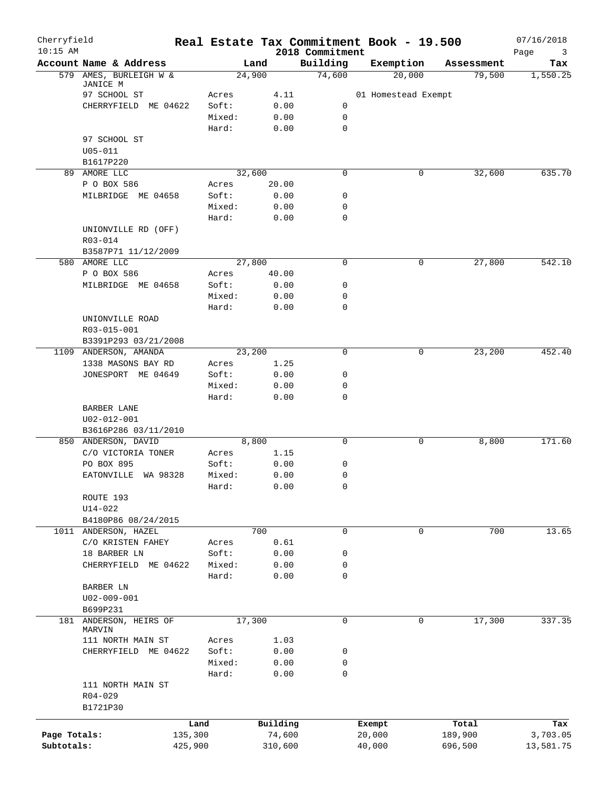| Cherryfield<br>$10:15$ AM |                          |         |          | Real Estate Tax Commitment Book - 19.500<br>2018 Commitment |        |                     |            | 07/16/2018<br>Page<br>3 |
|---------------------------|--------------------------|---------|----------|-------------------------------------------------------------|--------|---------------------|------------|-------------------------|
|                           | Account Name & Address   |         | Land     | Building                                                    |        | Exemption           | Assessment | Tax                     |
|                           | 579 AMES, BURLEIGH W &   |         | 24,900   | 74,600                                                      |        | 20,000              | 79,500     | 1,550.25                |
|                           | JANICE M<br>97 SCHOOL ST | Acres   | 4.11     |                                                             |        | 01 Homestead Exempt |            |                         |
|                           | CHERRYFIELD ME 04622     | Soft:   | 0.00     | 0                                                           |        |                     |            |                         |
|                           |                          | Mixed:  | 0.00     | 0                                                           |        |                     |            |                         |
|                           |                          | Hard:   | 0.00     | 0                                                           |        |                     |            |                         |
|                           | 97 SCHOOL ST             |         |          |                                                             |        |                     |            |                         |
|                           | $U05 - 011$              |         |          |                                                             |        |                     |            |                         |
|                           | B1617P220                |         |          |                                                             |        |                     |            |                         |
|                           | 89 AMORE LLC             |         | 32,600   | 0                                                           |        | 0                   | 32,600     | 635.70                  |
|                           | P O BOX 586              | Acres   | 20.00    |                                                             |        |                     |            |                         |
|                           | MILBRIDGE ME 04658       | Soft:   | 0.00     | 0                                                           |        |                     |            |                         |
|                           |                          | Mixed:  | 0.00     | 0                                                           |        |                     |            |                         |
|                           |                          | Hard:   | 0.00     | $\mathbf 0$                                                 |        |                     |            |                         |
|                           | UNIONVILLE RD (OFF)      |         |          |                                                             |        |                     |            |                         |
|                           | R03-014                  |         |          |                                                             |        |                     |            |                         |
|                           | B3587P71 11/12/2009      |         |          |                                                             |        |                     |            |                         |
|                           | 580 AMORE LLC            |         | 27,800   | 0                                                           |        | 0                   | 27,800     | 542.10                  |
|                           | P O BOX 586              | Acres   | 40.00    |                                                             |        |                     |            |                         |
|                           | MILBRIDGE ME 04658       | Soft:   | 0.00     | 0                                                           |        |                     |            |                         |
|                           |                          | Mixed:  | 0.00     | 0                                                           |        |                     |            |                         |
|                           |                          | Hard:   | 0.00     | 0                                                           |        |                     |            |                         |
|                           | UNIONVILLE ROAD          |         |          |                                                             |        |                     |            |                         |
|                           | R03-015-001              |         |          |                                                             |        |                     |            |                         |
|                           | B3391P293 03/21/2008     |         |          |                                                             |        |                     |            |                         |
|                           | 1109 ANDERSON, AMANDA    |         | 23,200   | $\mathbf 0$                                                 |        | $\mathbf 0$         | 23,200     | 452.40                  |
|                           | 1338 MASONS BAY RD       | Acres   | 1.25     |                                                             |        |                     |            |                         |
|                           | JONESPORT ME 04649       | Soft:   | 0.00     | 0                                                           |        |                     |            |                         |
|                           |                          | Mixed:  | 0.00     | 0                                                           |        |                     |            |                         |
|                           |                          | Hard:   | 0.00     | $\mathbf 0$                                                 |        |                     |            |                         |
|                           | BARBER LANE              |         |          |                                                             |        |                     |            |                         |
|                           | U02-012-001              |         |          |                                                             |        |                     |            |                         |
|                           | B3616P286 03/11/2010     |         |          |                                                             |        |                     |            |                         |
|                           | 850 ANDERSON, DAVID      |         | 8,800    | 0                                                           |        | 0                   | 8,800      | 171.60                  |
|                           | C/O VICTORIA TONER       | Acres   | 1.15     |                                                             |        |                     |            |                         |
|                           | PO BOX 895               | Soft:   | 0.00     | 0                                                           |        |                     |            |                         |
|                           | EATONVILLE WA 98328      | Mixed:  | 0.00     | 0                                                           |        |                     |            |                         |
|                           |                          | Hard:   | 0.00     | 0                                                           |        |                     |            |                         |
|                           | ROUTE 193                |         |          |                                                             |        |                     |            |                         |
|                           | $U14 - 022$              |         |          |                                                             |        |                     |            |                         |
|                           | B4180P86 08/24/2015      |         |          |                                                             |        |                     |            |                         |
|                           | 1011 ANDERSON, HAZEL     |         | 700      | $\mathbf 0$                                                 |        | 0                   | 700        | 13.65                   |
|                           | C/O KRISTEN FAHEY        | Acres   | 0.61     |                                                             |        |                     |            |                         |
|                           | 18 BARBER LN             | Soft:   | 0.00     | 0                                                           |        |                     |            |                         |
|                           | CHERRYFIELD ME 04622     | Mixed:  | 0.00     | 0                                                           |        |                     |            |                         |
|                           |                          | Hard:   | 0.00     | $\mathbf 0$                                                 |        |                     |            |                         |
|                           | BARBER LN                |         |          |                                                             |        |                     |            |                         |
|                           | $U02 - 009 - 001$        |         |          |                                                             |        |                     |            |                         |
|                           | B699P231                 |         |          |                                                             |        |                     |            |                         |
|                           | 181 ANDERSON, HEIRS OF   |         | 17,300   | $\mathbf 0$                                                 |        | 0                   | 17,300     | 337.35                  |
|                           | MARVIN                   |         |          |                                                             |        |                     |            |                         |
|                           | 111 NORTH MAIN ST        | Acres   | 1.03     |                                                             |        |                     |            |                         |
|                           | CHERRYFIELD ME 04622     | Soft:   | 0.00     | 0                                                           |        |                     |            |                         |
|                           |                          | Mixed:  | 0.00     | 0                                                           |        |                     |            |                         |
|                           |                          | Hard:   | 0.00     | 0                                                           |        |                     |            |                         |
|                           | 111 NORTH MAIN ST        |         |          |                                                             |        |                     |            |                         |
|                           | R04-029                  |         |          |                                                             |        |                     |            |                         |
|                           | B1721P30                 |         |          |                                                             |        |                     |            |                         |
|                           |                          | Land    | Building |                                                             | Exempt |                     | Total      | Tax                     |
| Page Totals:              |                          | 135,300 | 74,600   |                                                             | 20,000 |                     | 189,900    | 3,703.05                |
| Subtotals:                |                          | 425,900 | 310,600  |                                                             | 40,000 |                     | 696,500    | 13,581.75               |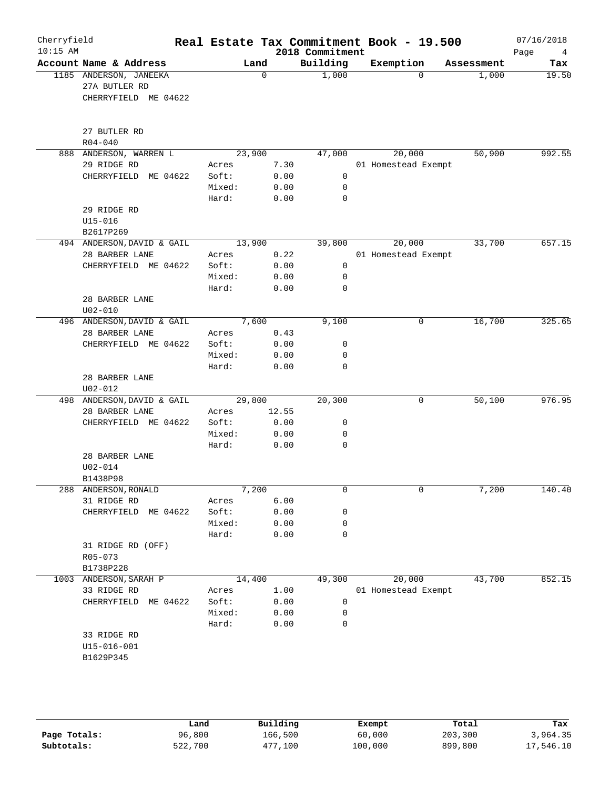| Cherryfield<br>$10:15$ AM |                                                                 |                          |                      | 2018 Commitment                  | Real Estate Tax Commitment Book - 19.500 |            | 07/16/2018<br>Page<br>4 |
|---------------------------|-----------------------------------------------------------------|--------------------------|----------------------|----------------------------------|------------------------------------------|------------|-------------------------|
|                           | Account Name & Address                                          |                          | Land                 | Building                         | Exemption                                | Assessment | Tax                     |
|                           | 1185 ANDERSON, JANEEKA<br>27A BUTLER RD<br>CHERRYFIELD ME 04622 |                          | $\mathbf 0$          | 1,000                            | $\Omega$                                 | 1,000      | 19.50                   |
|                           | 27 BUTLER RD<br>$R04 - 040$                                     |                          |                      |                                  |                                          |            |                         |
|                           | 888 ANDERSON, WARREN L                                          |                          | 23,900               | 47,000                           | 20,000                                   | 50,900     | 992.55                  |
|                           | 29 RIDGE RD                                                     | Acres                    | 7.30                 |                                  | 01 Homestead Exempt                      |            |                         |
|                           | CHERRYFIELD ME 04622                                            | Soft:<br>Mixed:<br>Hard: | 0.00<br>0.00<br>0.00 | $\mathsf{O}$<br>$\mathbf 0$<br>0 |                                          |            |                         |
|                           | 29 RIDGE RD                                                     |                          |                      |                                  |                                          |            |                         |
|                           | $U15 - 016$                                                     |                          |                      |                                  |                                          |            |                         |
|                           | B2617P269                                                       |                          |                      |                                  |                                          |            |                         |
|                           | 494 ANDERSON, DAVID & GAIL                                      |                          | 13,900<br>0.22       | 39,800                           | 20,000                                   | 33,700     | 657.15                  |
|                           | 28 BARBER LANE<br>CHERRYFIELD ME 04622                          | Acres<br>Soft:           | 0.00                 | $\mathsf{O}$                     | 01 Homestead Exempt                      |            |                         |
|                           |                                                                 | Mixed:                   | 0.00                 | $\mathbf 0$                      |                                          |            |                         |
|                           |                                                                 | Hard:                    | 0.00                 | 0                                |                                          |            |                         |
|                           | 28 BARBER LANE                                                  |                          |                      |                                  |                                          |            |                         |
|                           | $U02 - 010$                                                     |                          |                      |                                  |                                          |            |                         |
|                           | 496 ANDERSON, DAVID & GAIL                                      |                          | 7,600                | 9,100                            | 0                                        | 16,700     | 325.65                  |
|                           | 28 BARBER LANE                                                  | Acres                    | 0.43                 |                                  |                                          |            |                         |
|                           | CHERRYFIELD ME 04622                                            | Soft:                    | 0.00                 | 0                                |                                          |            |                         |
|                           |                                                                 | Mixed:                   | 0.00                 | 0                                |                                          |            |                         |
|                           | 28 BARBER LANE<br>$U02 - 012$                                   | Hard:                    | 0.00                 | $\mathbf 0$                      |                                          |            |                         |
|                           | 498 ANDERSON, DAVID & GAIL                                      |                          | 29,800               | 20,300                           | 0                                        | 50,100     | 976.95                  |
|                           | 28 BARBER LANE                                                  | Acres                    | 12.55                |                                  |                                          |            |                         |
|                           | CHERRYFIELD ME 04622                                            | Soft:                    | 0.00                 | 0                                |                                          |            |                         |
|                           |                                                                 | Mixed:                   | 0.00                 | 0                                |                                          |            |                         |
|                           |                                                                 | Hard:                    | 0.00                 | $\mathbf 0$                      |                                          |            |                         |
|                           | 28 BARBER LANE<br>$U02 - 014$<br>B1438P98                       |                          |                      |                                  |                                          |            |                         |
|                           | 288 ANDERSON, RONALD                                            |                          | 7,200                | 0                                | 0                                        | 7,200      | 140.40                  |
|                           | 31 RIDGE RD                                                     | Acres                    | 6.00                 |                                  |                                          |            |                         |
|                           | CHERRYFIELD ME 04622                                            | Soft:                    | 0.00                 | 0                                |                                          |            |                         |
|                           |                                                                 | Mixed:                   | 0.00                 | 0                                |                                          |            |                         |
|                           | 31 RIDGE RD (OFF)<br>R05-073                                    | Hard:                    | 0.00                 | 0                                |                                          |            |                         |
| 1003                      | B1738P228<br>ANDERSON, SARAH P                                  |                          | 14,400               | 49,300                           | 20,000                                   | 43,700     | 852.15                  |
|                           | 33 RIDGE RD                                                     | Acres                    | 1.00                 |                                  | 01 Homestead Exempt                      |            |                         |
|                           | CHERRYFIELD ME 04622                                            | Soft:                    | 0.00                 | 0                                |                                          |            |                         |
|                           |                                                                 | Mixed:                   | 0.00                 | 0                                |                                          |            |                         |
|                           |                                                                 | Hard:                    | 0.00                 | 0                                |                                          |            |                         |
|                           | 33 RIDGE RD                                                     |                          |                      |                                  |                                          |            |                         |
|                           | $U15 - 016 - 001$                                               |                          |                      |                                  |                                          |            |                         |
|                           | B1629P345                                                       |                          |                      |                                  |                                          |            |                         |
|                           |                                                                 |                          |                      |                                  |                                          |            |                         |

|              | Land    | Building | Exempt  | Total   | Tax       |
|--------------|---------|----------|---------|---------|-----------|
| Page Totals: | 96,800  | 166,500  | 60,000  | 203,300 | 3,964.35  |
| Subtotals:   | 522,700 | 477,100  | 100,000 | 899,800 | 17,546.10 |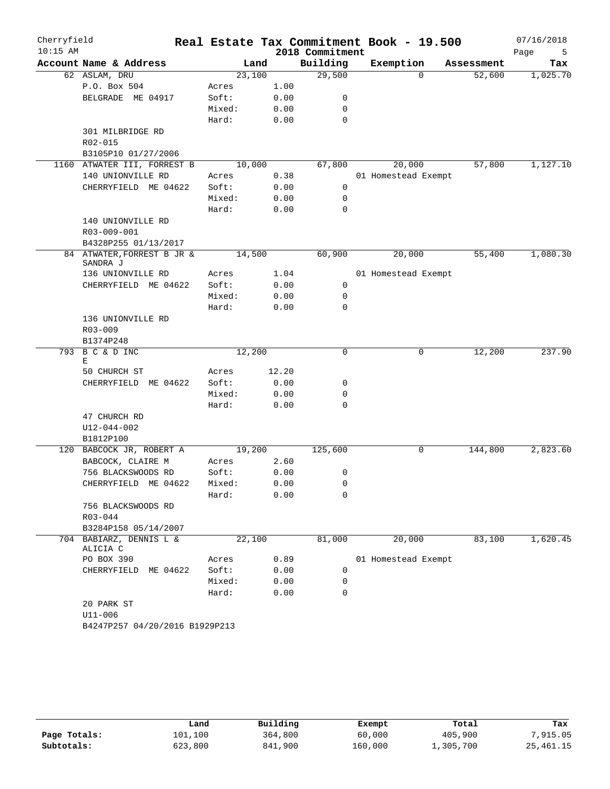| Cherryfield<br>$10:15$ AM |                                        |        |       | 2018 Commitment | Real Estate Tax Commitment Book - 19.500 |            | 07/16/2018<br>Page<br>5 |
|---------------------------|----------------------------------------|--------|-------|-----------------|------------------------------------------|------------|-------------------------|
|                           | Account Name & Address                 |        | Land  | Building        | Exemption                                | Assessment | Tax                     |
|                           | 62 ASLAM, DRU                          | 23,100 |       | 29,500          | $\Omega$                                 | 52,600     | 1,025.70                |
|                           | P.O. Box 504                           | Acres  | 1.00  |                 |                                          |            |                         |
|                           | BELGRADE ME 04917                      | Soft:  | 0.00  | 0               |                                          |            |                         |
|                           |                                        | Mixed: | 0.00  | 0               |                                          |            |                         |
|                           |                                        | Hard:  | 0.00  | $\mathbf 0$     |                                          |            |                         |
|                           | 301 MILBRIDGE RD                       |        |       |                 |                                          |            |                         |
|                           | R02-015                                |        |       |                 |                                          |            |                         |
|                           | B3105P10 01/27/2006                    |        |       |                 |                                          |            |                         |
|                           | 1160 ATWATER III, FORREST B            | 10,000 |       | 67,800          | 20,000                                   | 57,800     | 1,127.10                |
|                           | 140 UNIONVILLE RD                      | Acres  | 0.38  |                 | 01 Homestead Exempt                      |            |                         |
|                           | CHERRYFIELD ME 04622                   | Soft:  | 0.00  | 0               |                                          |            |                         |
|                           |                                        | Mixed: | 0.00  | 0               |                                          |            |                         |
|                           |                                        | Hard:  | 0.00  | 0               |                                          |            |                         |
|                           | 140 UNIONVILLE RD                      |        |       |                 |                                          |            |                         |
|                           | R03-009-001                            |        |       |                 |                                          |            |                         |
|                           | B4328P255 01/13/2017                   |        |       |                 |                                          |            |                         |
|                           | 84 ATWATER, FORREST B JR &<br>SANDRA J | 14,500 |       | 60,900          | 20,000                                   | 55,400     | 1,080.30                |
|                           | 136 UNIONVILLE RD                      | Acres  | 1.04  |                 | 01 Homestead Exempt                      |            |                         |
|                           | CHERRYFIELD ME 04622                   | Soft:  | 0.00  | 0               |                                          |            |                         |
|                           |                                        | Mixed: | 0.00  | 0               |                                          |            |                         |
|                           |                                        | Hard:  | 0.00  | $\Omega$        |                                          |            |                         |
|                           | 136 UNIONVILLE RD                      |        |       |                 |                                          |            |                         |
|                           | $R03 - 009$                            |        |       |                 |                                          |            |                         |
|                           | B1374P248                              |        |       |                 |                                          |            |                         |
| 793                       | B C & D INC<br>E                       | 12,200 |       | $\Omega$        | 0                                        | 12,200     | 237.90                  |
|                           | 50 CHURCH ST                           | Acres  | 12.20 |                 |                                          |            |                         |
|                           | CHERRYFIELD ME 04622                   | Soft:  | 0.00  | 0               |                                          |            |                         |
|                           |                                        | Mixed: | 0.00  | 0               |                                          |            |                         |
|                           |                                        | Hard:  | 0.00  | 0               |                                          |            |                         |
|                           | 47 CHURCH RD                           |        |       |                 |                                          |            |                         |
|                           | $U12 - 044 - 002$                      |        |       |                 |                                          |            |                         |
|                           | B1812P100                              |        |       |                 |                                          |            |                         |
|                           | 120 BABCOCK JR, ROBERT A               | 19,200 |       | 125,600         | 0                                        | 144,800    | 2,823.60                |
|                           | BABCOCK, CLAIRE M                      | Acres  | 2.60  |                 |                                          |            |                         |
|                           | 756 BLACKSWOODS RD                     | Soft:  | 0.00  | 0               |                                          |            |                         |
|                           | CHERRYFIELD ME 04622                   | Mixed: | 0.00  | 0               |                                          |            |                         |
|                           |                                        | Hard:  | 0.00  | 0               |                                          |            |                         |
|                           | 756 BLACKSWOODS RD                     |        |       |                 |                                          |            |                         |
|                           | $R03 - 044$                            |        |       |                 |                                          |            |                         |
|                           | B3284P158 05/14/2007                   |        |       |                 |                                          |            |                         |
|                           | 704 BABIARZ, DENNIS L &<br>ALICIA C    | 22,100 |       | 81,000          | 20,000                                   | 83,100     | 1,620.45                |
|                           | PO BOX 390                             | Acres  | 0.89  |                 | 01 Homestead Exempt                      |            |                         |
|                           | CHERRYFIELD ME 04622                   | Soft:  | 0.00  | 0               |                                          |            |                         |
|                           |                                        | Mixed: | 0.00  | 0               |                                          |            |                         |
|                           |                                        | Hard:  | 0.00  | $\mathbf 0$     |                                          |            |                         |
|                           | 20 PARK ST                             |        |       |                 |                                          |            |                         |
|                           | $U11 - 006$                            |        |       |                 |                                          |            |                         |
|                           | B4247P257 04/20/2016 B1929P213         |        |       |                 |                                          |            |                         |

|              | Land    | Building | Exempt  | Total     | Tax         |
|--------------|---------|----------|---------|-----------|-------------|
| Page Totals: | 101,100 | 364,800  | 60,000  | 405,900   | 7,915.05    |
| Subtotals:   | 523,800 | 841,900  | 160,000 | 1,305,700 | 25, 461. 15 |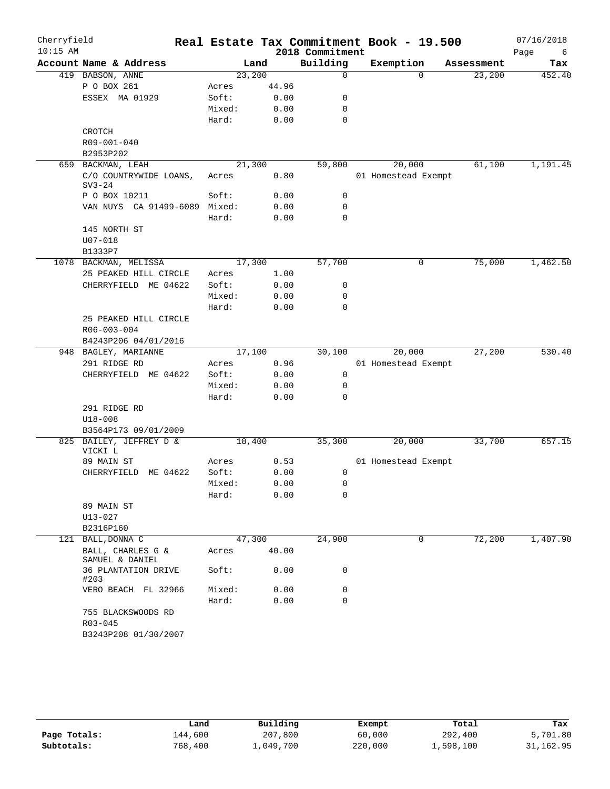| Cherryfield |                                      |                 |        |                  | Real Estate Tax Commitment Book - 19.500 |            | 07/16/2018 |
|-------------|--------------------------------------|-----------------|--------|------------------|------------------------------------------|------------|------------|
| $10:15$ AM  |                                      |                 |        | 2018 Commitment  |                                          |            | Page<br>6  |
|             | Account Name & Address               |                 | Land   | Building         | Exemption                                | Assessment | Tax        |
|             | 419 BABSON, ANNE                     |                 | 23,200 | $\mathbf 0$      | $\Omega$                                 | 23,200     | 452.40     |
|             | P O BOX 261                          | Acres           | 44.96  |                  |                                          |            |            |
|             | ESSEX MA 01929                       | Soft:           | 0.00   | 0                |                                          |            |            |
|             |                                      | Mixed:<br>Hard: | 0.00   | 0<br>$\mathbf 0$ |                                          |            |            |
|             | CROTCH                               |                 | 0.00   |                  |                                          |            |            |
|             | R09-001-040                          |                 |        |                  |                                          |            |            |
|             | B2953P202                            |                 |        |                  |                                          |            |            |
| 659         | BACKMAN, LEAH                        |                 | 21,300 | 59,800           | 20,000                                   | 61,100     | 1,191.45   |
|             | C/O COUNTRYWIDE LOANS,               | Acres           | 0.80   |                  | 01 Homestead Exempt                      |            |            |
|             | $SV3-24$                             |                 |        |                  |                                          |            |            |
|             | P O BOX 10211                        | Soft:           | 0.00   | 0                |                                          |            |            |
|             | VAN NUYS CA 91499-6089 Mixed:        |                 | 0.00   | 0                |                                          |            |            |
|             |                                      | Hard:           | 0.00   | $\mathbf 0$      |                                          |            |            |
|             | 145 NORTH ST                         |                 |        |                  |                                          |            |            |
|             | $U07 - 018$                          |                 |        |                  |                                          |            |            |
|             | B1333P7                              |                 |        |                  |                                          |            |            |
|             | 1078 BACKMAN, MELISSA                |                 | 17,300 | 57,700           | $\mathsf{O}$                             | 75,000     | 1,462.50   |
|             | 25 PEAKED HILL CIRCLE                | Acres           | 1.00   |                  |                                          |            |            |
|             | CHERRYFIELD ME 04622                 | Soft:           | 0.00   | 0                |                                          |            |            |
|             |                                      | Mixed:          | 0.00   | 0                |                                          |            |            |
|             |                                      | Hard:           | 0.00   | 0                |                                          |            |            |
|             | 25 PEAKED HILL CIRCLE                |                 |        |                  |                                          |            |            |
|             | R06-003-004                          |                 |        |                  |                                          |            |            |
|             | B4243P206 04/01/2016                 |                 |        |                  |                                          |            |            |
|             | 948 BAGLEY, MARIANNE                 |                 | 17,100 | 30,100           | 20,000                                   | 27,200     | 530.40     |
|             | 291 RIDGE RD                         | Acres           | 0.96   |                  | 01 Homestead Exempt                      |            |            |
|             | CHERRYFIELD ME 04622                 | Soft:           | 0.00   | 0                |                                          |            |            |
|             |                                      | Mixed:          | 0.00   | 0                |                                          |            |            |
|             |                                      | Hard:           | 0.00   | 0                |                                          |            |            |
|             | 291 RIDGE RD                         |                 |        |                  |                                          |            |            |
|             | $U18 - 008$                          |                 |        |                  |                                          |            |            |
|             | B3564P173 09/01/2009                 |                 |        |                  |                                          |            |            |
|             | 825 BAILEY, JEFFREY D &<br>VICKI L   |                 | 18,400 | 35,300           | 20,000                                   | 33,700     | 657.15     |
|             | 89 MAIN ST                           | Acres           | 0.53   |                  | 01 Homestead Exempt                      |            |            |
|             | CHERRYFIELD ME 04622                 | Soft:           | 0.00   | 0                |                                          |            |            |
|             |                                      | Mixed:          | 0.00   | 0                |                                          |            |            |
|             |                                      | Hard:           | 0.00   | 0                |                                          |            |            |
|             | 89 MAIN ST                           |                 |        |                  |                                          |            |            |
|             | $U13 - 027$                          |                 |        |                  |                                          |            |            |
|             | B2316P160                            |                 |        |                  |                                          |            |            |
|             | 121 BALL, DONNA C                    |                 | 47,300 | 24,900           | 0                                        | 72,200     | 1,407.90   |
|             | BALL, CHARLES G &<br>SAMUEL & DANIEL | Acres           | 40.00  |                  |                                          |            |            |
|             | 36 PLANTATION DRIVE<br>#203          | Soft:           | 0.00   | 0                |                                          |            |            |
|             | VERO BEACH FL 32966                  | Mixed:          | 0.00   | 0                |                                          |            |            |
|             |                                      | Hard:           | 0.00   | $\Omega$         |                                          |            |            |
|             | 755 BLACKSWOODS RD                   |                 |        |                  |                                          |            |            |
|             | R03-045                              |                 |        |                  |                                          |            |            |
|             | B3243P208 01/30/2007                 |                 |        |                  |                                          |            |            |

|              | Land    | Building  | Exempt  | Total     | Tax       |
|--------------|---------|-----------|---------|-----------|-----------|
| Page Totals: | 144,600 | 207,800   | 60,000  | 292,400   | 5,701.80  |
| Subtotals:   | 768,400 | 1,049,700 | 220,000 | 1,598,100 | 31,162.95 |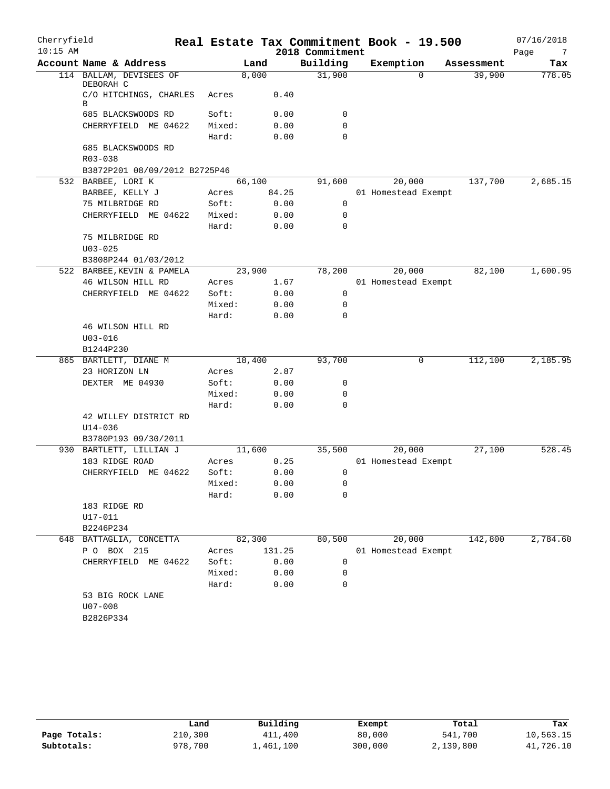| Cherryfield<br>$10:15$ AM |                                      |        |        | 2018 Commitment | Real Estate Tax Commitment Book - 19.500 |            | 07/16/2018<br>Page<br>7 |
|---------------------------|--------------------------------------|--------|--------|-----------------|------------------------------------------|------------|-------------------------|
|                           | Account Name & Address               |        | Land   | Building        | Exemption                                | Assessment | Tax                     |
|                           | 114 BALLAM, DEVISEES OF<br>DEBORAH C |        | 8,000  | 31,900          | $\Omega$                                 | 39,900     | 778.05                  |
|                           | C/O HITCHINGS, CHARLES<br>В          | Acres  | 0.40   |                 |                                          |            |                         |
|                           | 685 BLACKSWOODS RD                   | Soft:  | 0.00   | 0               |                                          |            |                         |
|                           | CHERRYFIELD ME 04622                 | Mixed: | 0.00   | 0               |                                          |            |                         |
|                           |                                      | Hard:  | 0.00   | $\Omega$        |                                          |            |                         |
|                           | 685 BLACKSWOODS RD                   |        |        |                 |                                          |            |                         |
|                           | $R03 - 038$                          |        |        |                 |                                          |            |                         |
|                           | B3872P201 08/09/2012 B2725P46        |        |        |                 |                                          |            |                         |
|                           | 532 BARBEE, LORI K                   |        | 66,100 | 91,600          | 20,000                                   | 137,700    | 2,685.15                |
|                           | BARBEE, KELLY J                      | Acres  | 84.25  |                 | 01 Homestead Exempt                      |            |                         |
|                           | 75 MILBRIDGE RD                      | Soft:  | 0.00   | 0               |                                          |            |                         |
|                           | CHERRYFIELD ME 04622                 | Mixed: | 0.00   | 0               |                                          |            |                         |
|                           |                                      | Hard:  | 0.00   | 0               |                                          |            |                         |
|                           | 75 MILBRIDGE RD                      |        |        |                 |                                          |            |                         |
|                           | $U03 - 025$                          |        |        |                 |                                          |            |                         |
|                           | B3808P244 01/03/2012                 |        |        |                 |                                          |            |                         |
|                           | 522 BARBEE, KEVIN & PAMELA           |        | 23,900 | 78,200          | 20,000                                   | 82,100     | 1,600.95                |
|                           | 46 WILSON HILL RD                    | Acres  | 1.67   |                 | 01 Homestead Exempt                      |            |                         |
|                           | CHERRYFIELD ME 04622                 | Soft:  | 0.00   | 0               |                                          |            |                         |
|                           |                                      | Mixed: | 0.00   | 0               |                                          |            |                         |
|                           |                                      | Hard:  | 0.00   | $\Omega$        |                                          |            |                         |
|                           | 46 WILSON HILL RD                    |        |        |                 |                                          |            |                         |
|                           | $U03 - 016$                          |        |        |                 |                                          |            |                         |
|                           | B1244P230                            |        |        |                 |                                          |            |                         |
|                           | 865 BARTLETT, DIANE M                |        | 18,400 | 93,700          | 0                                        | 112,100    | 2,185.95                |
|                           | 23 HORIZON LN                        | Acres  | 2.87   |                 |                                          |            |                         |
|                           | DEXTER ME 04930                      | Soft:  | 0.00   | 0               |                                          |            |                         |
|                           |                                      | Mixed: | 0.00   | 0               |                                          |            |                         |
|                           |                                      | Hard:  | 0.00   | $\mathbf 0$     |                                          |            |                         |
|                           | 42 WILLEY DISTRICT RD<br>$U14 - 036$ |        |        |                 |                                          |            |                         |
|                           | B3780P193 09/30/2011                 |        |        |                 |                                          |            |                         |
|                           | 930 BARTLETT, LILLIAN J              |        | 11,600 | 35,500          | 20,000                                   | 27,100     | 528.45                  |
|                           | 183 RIDGE ROAD                       | Acres  | 0.25   |                 | 01 Homestead Exempt                      |            |                         |
|                           | CHERRYFIELD ME 04622                 | Soft:  | 0.00   | 0               |                                          |            |                         |
|                           |                                      | Mixed: | 0.00   | 0               |                                          |            |                         |
|                           |                                      | Hard:  | 0.00   | 0               |                                          |            |                         |
|                           | 183 RIDGE RD                         |        |        |                 |                                          |            |                         |
|                           | U17-011                              |        |        |                 |                                          |            |                         |
|                           | B2246P234                            |        |        |                 |                                          |            |                         |
|                           | 648 BATTAGLIA, CONCETTA              |        | 82,300 | 80,500          | 20,000                                   | 142,800    | 2,784.60                |
|                           | P O BOX 215                          | Acres  | 131.25 |                 | 01 Homestead Exempt                      |            |                         |
|                           | CHERRYFIELD ME 04622                 | Soft:  | 0.00   | 0               |                                          |            |                         |
|                           |                                      | Mixed: | 0.00   | 0               |                                          |            |                         |
|                           |                                      | Hard:  | 0.00   | 0               |                                          |            |                         |
|                           | 53 BIG ROCK LANE                     |        |        |                 |                                          |            |                         |
|                           | $U07 - 008$                          |        |        |                 |                                          |            |                         |
|                           | B2826P334                            |        |        |                 |                                          |            |                         |
|                           |                                      |        |        |                 |                                          |            |                         |

|              | Land    | Building  | Exempt  | Total     | Tax       |
|--------------|---------|-----------|---------|-----------|-----------|
| Page Totals: | 210,300 | 411,400   | 80,000  | 541,700   | 10,563.15 |
| Subtotals:   | 978,700 | 1,461,100 | 300,000 | 2,139,800 | 41,726.10 |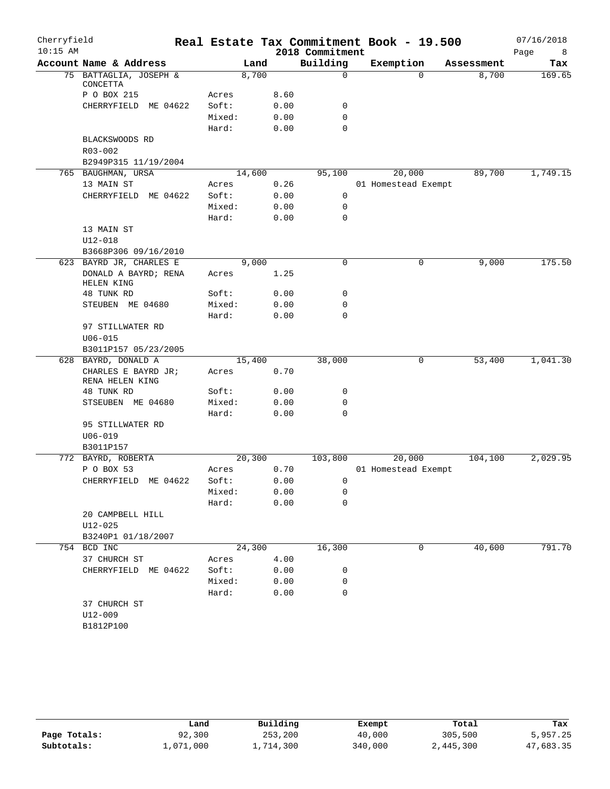| Cherryfield |                                        |                 |        |              |                 | Real Estate Tax Commitment Book - 19.500 |            | 07/16/2018 |
|-------------|----------------------------------------|-----------------|--------|--------------|-----------------|------------------------------------------|------------|------------|
| $10:15$ AM  |                                        |                 |        |              | 2018 Commitment |                                          |            | Page<br>8  |
|             | Account Name & Address                 |                 | Land   |              | Building        | Exemption                                | Assessment | Tax        |
|             | 75 BATTAGLIA, JOSEPH &<br>CONCETTA     |                 | 8,700  |              | $\mathbf 0$     | $\Omega$                                 | 8,700      | 169.65     |
|             | P O BOX 215                            | Acres           |        | 8.60         |                 |                                          |            |            |
|             | CHERRYFIELD<br>ME 04622                | Soft:           |        | 0.00         | 0               |                                          |            |            |
|             |                                        | Mixed:          |        | 0.00         | $\mathbf 0$     |                                          |            |            |
|             |                                        | Hard:           |        | 0.00         | $\mathbf 0$     |                                          |            |            |
|             | BLACKSWOODS RD                         |                 |        |              |                 |                                          |            |            |
|             | R03-002                                |                 |        |              |                 |                                          |            |            |
|             | B2949P315 11/19/2004                   |                 |        |              |                 |                                          |            |            |
|             | 765 BAUGHMAN, URSA                     |                 | 14,600 |              | 95,100          | 20,000                                   | 89,700     | 1,749.15   |
|             | 13 MAIN ST                             | Acres           |        | 0.26         |                 | 01 Homestead Exempt                      |            |            |
|             | CHERRYFIELD ME 04622                   | Soft:           |        | 0.00         | 0               |                                          |            |            |
|             |                                        | Mixed:          |        | 0.00         | $\mathbf 0$     |                                          |            |            |
|             |                                        | Hard:           |        | 0.00         | $\mathbf 0$     |                                          |            |            |
|             | 13 MAIN ST                             |                 |        |              |                 |                                          |            |            |
|             | $U12 - 018$                            |                 |        |              |                 |                                          |            |            |
|             | B3668P306 09/16/2010                   |                 |        |              |                 |                                          |            |            |
|             | 623 BAYRD JR, CHARLES E                |                 | 9,000  |              | $\mathsf{O}$    | 0                                        | 9,000      | 175.50     |
|             | DONALD A BAYRD; RENA<br>HELEN KING     | Acres           |        | 1.25         |                 |                                          |            |            |
|             | 48 TUNK RD                             | Soft:           |        | 0.00         | 0               |                                          |            |            |
|             | STEUBEN ME 04680                       | Mixed:          |        | 0.00         | 0               |                                          |            |            |
|             |                                        | Hard:           |        | 0.00         | $\Omega$        |                                          |            |            |
|             | 97 STILLWATER RD                       |                 |        |              |                 |                                          |            |            |
|             | $U06 - 015$                            |                 |        |              |                 |                                          |            |            |
|             | B3011P157 05/23/2005                   |                 |        |              |                 |                                          |            |            |
| 628         | BAYRD, DONALD A                        |                 | 15,400 |              | 38,000          | 0                                        | 53,400     | 1,041.30   |
|             | CHARLES E BAYRD JR;<br>RENA HELEN KING | Acres           |        | 0.70         |                 |                                          |            |            |
|             | 48 TUNK RD                             | Soft:           |        | 0.00         | 0               |                                          |            |            |
|             | STSEUBEN ME 04680                      | Mixed:          |        | 0.00         | 0               |                                          |            |            |
|             |                                        | Hard:           |        | 0.00         | $\mathbf 0$     |                                          |            |            |
|             | 95 STILLWATER RD                       |                 |        |              |                 |                                          |            |            |
|             | $U06 - 019$                            |                 |        |              |                 |                                          |            |            |
|             | B3011P157                              |                 |        |              |                 |                                          |            |            |
|             | 772 BAYRD, ROBERTA                     |                 | 20,300 |              | 103,800         | 20,000                                   | 104,100    | 2,029.95   |
|             | P O BOX 53                             | Acres           |        | 0.70         |                 | 01 Homestead Exempt                      |            |            |
|             | CHERRYFIELD ME 04622                   | Soft:           |        | 0.00         | 0               |                                          |            |            |
|             |                                        | Mixed:<br>Hard: |        | 0.00<br>0.00 | 0<br>0          |                                          |            |            |
|             | 20 CAMPBELL HILL                       |                 |        |              |                 |                                          |            |            |
|             | $U12 - 025$                            |                 |        |              |                 |                                          |            |            |
|             | B3240P1 01/18/2007                     |                 |        |              |                 |                                          |            |            |
|             | 754 BCD INC                            |                 | 24,300 |              | 16,300          | 0                                        | 40,600     | 791.70     |
|             | 37 CHURCH ST                           | Acres           |        | 4.00         |                 |                                          |            |            |
|             | CHERRYFIELD ME 04622                   | Soft:           |        | 0.00         | 0               |                                          |            |            |
|             |                                        | Mixed:          |        | 0.00         | 0               |                                          |            |            |
|             |                                        | Hard:           |        | 0.00         | 0               |                                          |            |            |
|             | 37 CHURCH ST                           |                 |        |              |                 |                                          |            |            |
|             | $U12 - 009$                            |                 |        |              |                 |                                          |            |            |
|             | B1812P100                              |                 |        |              |                 |                                          |            |            |
|             |                                        |                 |        |              |                 |                                          |            |            |

|              | Land      | Building  | Exempt  | Total     | Tax       |
|--------------|-----------|-----------|---------|-----------|-----------|
| Page Totals: | 92,300    | 253,200   | 40,000  | 305,500   | 5,957.25  |
| Subtotals:   | 1,071,000 | 1,714,300 | 340,000 | 2,445,300 | 47,683.35 |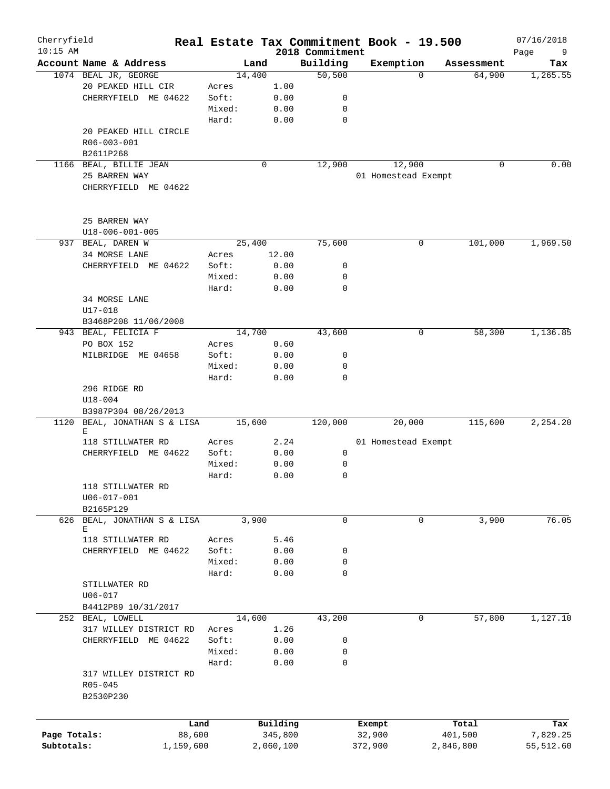| Cherryfield<br>$10:15$ AM |                                       |        |           |      | 2018 Commitment | Real Estate Tax Commitment Book - 19.500 |             | 07/16/2018<br>Page<br>9 |
|---------------------------|---------------------------------------|--------|-----------|------|-----------------|------------------------------------------|-------------|-------------------------|
|                           | Account Name & Address                |        | Land      |      | Building        | Exemption                                | Assessment  | Tax                     |
|                           | 1074 BEAL JR, GEORGE                  |        | 14,400    |      | 50,500          | $\Omega$                                 | 64,900      | 1,265.55                |
|                           | 20 PEAKED HILL CIR                    | Acres  | 1.00      |      |                 |                                          |             |                         |
|                           | CHERRYFIELD ME 04622                  | Soft:  | 0.00      |      | 0               |                                          |             |                         |
|                           |                                       | Mixed: | 0.00      |      | 0               |                                          |             |                         |
|                           |                                       | Hard:  | 0.00      |      | 0               |                                          |             |                         |
|                           | 20 PEAKED HILL CIRCLE                 |        |           |      |                 |                                          |             |                         |
|                           | R06-003-001                           |        |           |      |                 |                                          |             |                         |
|                           | B2611P268                             |        |           |      |                 |                                          |             |                         |
|                           | 1166 BEAL, BILLIE JEAN                |        | 0         |      | 12,900          | 12,900                                   | $\mathbf 0$ | 0.00                    |
|                           |                                       |        |           |      |                 |                                          |             |                         |
|                           | 25 BARREN WAY<br>CHERRYFIELD ME 04622 |        |           |      |                 | 01 Homestead Exempt                      |             |                         |
|                           |                                       |        |           |      |                 |                                          |             |                         |
|                           | 25 BARREN WAY                         |        |           |      |                 |                                          |             |                         |
|                           | $U18 - 006 - 001 - 005$               |        |           |      |                 |                                          |             |                         |
|                           | 937 BEAL, DAREN W                     |        | 25,400    |      | 75,600          | 0                                        | 101,000     | 1,969.50                |
|                           | 34 MORSE LANE                         | Acres  | 12.00     |      |                 |                                          |             |                         |
|                           | CHERRYFIELD ME 04622                  | Soft:  | 0.00      |      | 0               |                                          |             |                         |
|                           |                                       | Mixed: | 0.00      |      | 0               |                                          |             |                         |
|                           |                                       | Hard:  | 0.00      |      | 0               |                                          |             |                         |
|                           | 34 MORSE LANE                         |        |           |      |                 |                                          |             |                         |
|                           | U17-018                               |        |           |      |                 |                                          |             |                         |
|                           | B3468P208 11/06/2008                  |        |           |      |                 |                                          |             |                         |
|                           | 943 BEAL, FELICIA F                   |        | 14,700    |      | 43,600          | 0                                        | 58,300      | 1,136.85                |
|                           | PO BOX 152                            | Acres  | 0.60      |      |                 |                                          |             |                         |
|                           | MILBRIDGE ME 04658                    | Soft:  | 0.00      |      | 0               |                                          |             |                         |
|                           |                                       | Mixed: | 0.00      |      | 0               |                                          |             |                         |
|                           |                                       | Hard:  | 0.00      |      | 0               |                                          |             |                         |
|                           | 296 RIDGE RD                          |        |           |      |                 |                                          |             |                         |
|                           | $U18 - 004$                           |        |           |      |                 |                                          |             |                         |
|                           | B3987P304 08/26/2013                  |        |           |      |                 |                                          |             |                         |
| 1120                      | BEAL, JONATHAN S & LISA               |        | 15,600    |      | 120,000         | 20,000                                   | 115,600     | 2,254.20                |
|                           | Е                                     |        |           |      |                 |                                          |             |                         |
|                           | 118 STILLWATER RD                     | Acres  |           | 2.24 |                 | 01 Homestead Exempt                      |             |                         |
|                           | CHERRYFIELD ME 04622                  | Soft:  | 0.00      |      | 0               |                                          |             |                         |
|                           |                                       | Mixed: | 0.00      |      | 0               |                                          |             |                         |
|                           |                                       | Hard:  | 0.00      |      | 0               |                                          |             |                         |
|                           | 118 STILLWATER RD                     |        |           |      |                 |                                          |             |                         |
|                           | U06-017-001                           |        |           |      |                 |                                          |             |                         |
|                           | B2165P129                             |        |           |      |                 |                                          |             |                         |
|                           | 626 BEAL, JONATHAN S & LISA           |        | 3,900     |      | 0               | 0                                        | 3,900       | 76.05                   |
|                           | Е                                     |        |           |      |                 |                                          |             |                         |
|                           | 118 STILLWATER RD                     | Acres  | 5.46      |      |                 |                                          |             |                         |
|                           | CHERRYFIELD ME 04622                  | Soft:  | 0.00      |      | 0               |                                          |             |                         |
|                           |                                       | Mixed: | 0.00      |      | 0               |                                          |             |                         |
|                           |                                       | Hard:  | 0.00      |      | 0               |                                          |             |                         |
|                           | STILLWATER RD                         |        |           |      |                 |                                          |             |                         |
|                           | $U06 - 017$                           |        |           |      |                 |                                          |             |                         |
|                           | B4412P89 10/31/2017                   |        |           |      |                 |                                          |             |                         |
|                           | 252 BEAL, LOWELL                      |        | 14,600    |      | 43,200          | 0                                        | 57,800      | 1,127.10                |
|                           | 317 WILLEY DISTRICT RD                | Acres  | 1.26      |      |                 |                                          |             |                         |
|                           | CHERRYFIELD ME 04622                  | Soft:  | 0.00      |      | 0               |                                          |             |                         |
|                           |                                       | Mixed: | 0.00      |      | 0               |                                          |             |                         |
|                           |                                       | Hard:  | 0.00      |      | 0               |                                          |             |                         |
|                           | 317 WILLEY DISTRICT RD                |        |           |      |                 |                                          |             |                         |
|                           | R05-045                               |        |           |      |                 |                                          |             |                         |
|                           | B2530P230                             |        |           |      |                 |                                          |             |                         |
|                           | Land                                  |        | Building  |      |                 | Exempt                                   | Total       | Tax                     |
| Page Totals:              | 88,600                                |        | 345,800   |      |                 | 32,900                                   | 401,500     | 7,829.25                |
| Subtotals:                | 1,159,600                             |        | 2,060,100 |      |                 | 372,900                                  | 2,846,800   | 55,512.60               |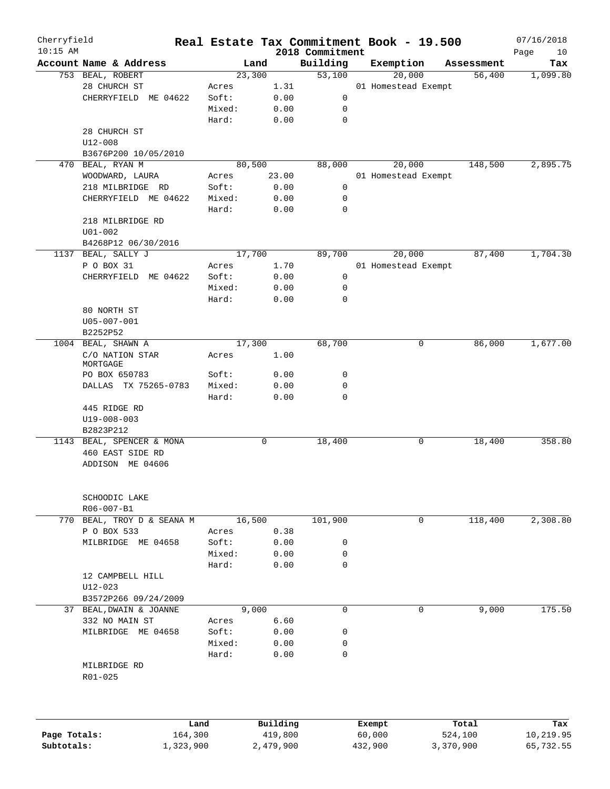| Cherryfield  |                            |        | Real Estate Tax Commitment Book - 19.500 |                             |           |                     |            | 07/16/2018        |
|--------------|----------------------------|--------|------------------------------------------|-----------------------------|-----------|---------------------|------------|-------------------|
| $10:15$ AM   | Account Name & Address     |        | Land                                     | 2018 Commitment<br>Building | Exemption |                     | Assessment | Page<br>10<br>Tax |
|              | 753 BEAL, ROBERT           |        | 23,300                                   | 53,100                      |           | 20,000              | 56,400     | 1,099.80          |
|              | 28 CHURCH ST               | Acres  | 1.31                                     |                             |           | 01 Homestead Exempt |            |                   |
|              | CHERRYFIELD ME 04622       | Soft:  | 0.00                                     | 0                           |           |                     |            |                   |
|              |                            | Mixed: | 0.00                                     | 0                           |           |                     |            |                   |
|              |                            | Hard:  | 0.00                                     | $\mathbf 0$                 |           |                     |            |                   |
|              | 28 CHURCH ST               |        |                                          |                             |           |                     |            |                   |
|              | $U12 - 008$                |        |                                          |                             |           |                     |            |                   |
|              | B3676P200 10/05/2010       |        |                                          |                             |           |                     |            |                   |
| 470          | BEAL, RYAN M               |        | 80,500                                   | 88,000                      |           | 20,000              | 148,500    | 2,895.75          |
|              | WOODWARD, LAURA            | Acres  | 23.00                                    |                             |           | 01 Homestead Exempt |            |                   |
|              | 218 MILBRIDGE RD           | Soft:  | 0.00                                     | 0                           |           |                     |            |                   |
|              | CHERRYFIELD ME 04622       | Mixed: | 0.00                                     | 0                           |           |                     |            |                   |
|              |                            | Hard:  | 0.00                                     | 0                           |           |                     |            |                   |
|              | 218 MILBRIDGE RD           |        |                                          |                             |           |                     |            |                   |
|              | $U01 - 002$                |        |                                          |                             |           |                     |            |                   |
|              | B4268P12 06/30/2016        |        |                                          |                             |           |                     |            |                   |
|              | 1137 BEAL, SALLY J         |        | 17,700                                   | 89,700                      |           | 20,000              | 87,400     | 1,704.30          |
|              | P O BOX 31                 | Acres  | 1.70                                     |                             |           | 01 Homestead Exempt |            |                   |
|              | CHERRYFIELD ME 04622       | Soft:  | 0.00                                     | 0                           |           |                     |            |                   |
|              |                            | Mixed: | 0.00                                     | 0                           |           |                     |            |                   |
|              |                            | Hard:  | 0.00                                     | $\mathbf 0$                 |           |                     |            |                   |
|              | 80 NORTH ST                |        |                                          |                             |           |                     |            |                   |
|              | U05-007-001                |        |                                          |                             |           |                     |            |                   |
|              | B2252P52                   |        |                                          |                             |           |                     |            |                   |
|              | 1004 BEAL, SHAWN A         |        | 17,300                                   | 68,700                      |           | 0                   | 86,000     | 1,677.00          |
|              | C/O NATION STAR            | Acres  | 1.00                                     |                             |           |                     |            |                   |
|              | MORTGAGE                   |        |                                          |                             |           |                     |            |                   |
|              | PO BOX 650783              | Soft:  | 0.00                                     | 0                           |           |                     |            |                   |
|              | DALLAS TX 75265-0783       | Mixed: | 0.00                                     | 0                           |           |                     |            |                   |
|              |                            | Hard:  | 0.00                                     | 0                           |           |                     |            |                   |
|              | 445 RIDGE RD               |        |                                          |                             |           |                     |            |                   |
|              | U19-008-003                |        |                                          |                             |           |                     |            |                   |
|              | B2823P212                  |        |                                          |                             |           |                     |            |                   |
|              | 1143 BEAL, SPENCER & MONA  |        | 0                                        | 18,400                      |           | 0                   | 18,400     | 358.80            |
|              | 460 EAST SIDE RD           |        |                                          |                             |           |                     |            |                   |
|              | ADDISON ME 04606           |        |                                          |                             |           |                     |            |                   |
|              |                            |        |                                          |                             |           |                     |            |                   |
|              | SCHOODIC LAKE              |        |                                          |                             |           |                     |            |                   |
|              | R06-007-B1                 |        |                                          |                             |           |                     |            |                   |
|              | 770 BEAL, TROY D & SEANA M |        | 16,500                                   | 101,900                     |           | 0                   | 118,400    | 2,308.80          |
|              | P O BOX 533                | Acres  | 0.38                                     |                             |           |                     |            |                   |
|              | MILBRIDGE ME 04658         | Soft:  | 0.00                                     | 0                           |           |                     |            |                   |
|              |                            | Mixed: | 0.00                                     | 0                           |           |                     |            |                   |
|              |                            | Hard:  | 0.00                                     | 0                           |           |                     |            |                   |
|              | 12 CAMPBELL HILL           |        |                                          |                             |           |                     |            |                   |
|              | $U12 - 023$                |        |                                          |                             |           |                     |            |                   |
|              | B3572P266 09/24/2009       |        |                                          |                             |           |                     |            |                   |
|              | 37 BEAL, DWAIN & JOANNE    |        | 9,000                                    | $\mathbf 0$                 |           | 0                   | 9,000      | 175.50            |
|              | 332 NO MAIN ST             | Acres  | 6.60                                     |                             |           |                     |            |                   |
|              | MILBRIDGE ME 04658         | Soft:  | 0.00                                     | 0                           |           |                     |            |                   |
|              |                            | Mixed: | 0.00                                     | 0                           |           |                     |            |                   |
|              |                            | Hard:  | 0.00                                     | 0                           |           |                     |            |                   |
|              | MILBRIDGE RD<br>R01-025    |        |                                          |                             |           |                     |            |                   |
|              |                            |        |                                          |                             |           |                     |            |                   |
|              |                            | Land   | Building                                 |                             | Exempt    |                     | Total      | Tax               |
| Page Totals: | 164,300                    |        | 419,800                                  |                             | 60,000    |                     | 524,100    | 10,219.95         |
| Subtotals:   | 1,323,900                  |        | 2,479,900                                |                             | 432,900   |                     | 3,370,900  | 65,732.55         |
|              |                            |        |                                          |                             |           |                     |            |                   |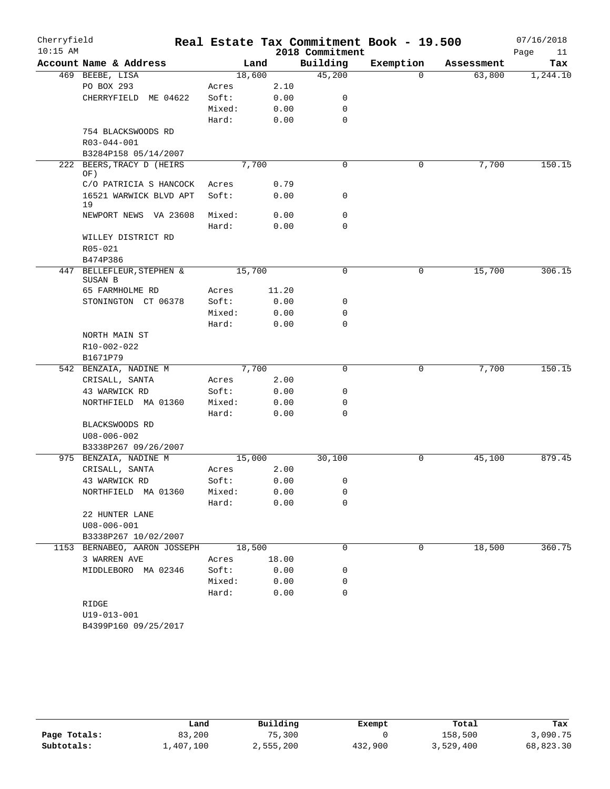| Cherryfield<br>$10:15$ AM |                              |        |       | 2018 Commitment | Real Estate Tax Commitment Book - 19.500 |            | 07/16/2018<br>Page<br>11 |
|---------------------------|------------------------------|--------|-------|-----------------|------------------------------------------|------------|--------------------------|
|                           | Account Name & Address       |        | Land  | Building        | Exemption                                | Assessment | Tax                      |
|                           | 469 BEEBE, LISA              | 18,600 |       | 45,200          | $\Omega$                                 | 63,800     | 1,244.10                 |
|                           | PO BOX 293                   | Acres  | 2.10  |                 |                                          |            |                          |
|                           | CHERRYFIELD ME 04622         | Soft:  | 0.00  | 0               |                                          |            |                          |
|                           |                              | Mixed: | 0.00  | 0               |                                          |            |                          |
|                           |                              | Hard:  | 0.00  | $\mathbf 0$     |                                          |            |                          |
|                           | 754 BLACKSWOODS RD           |        |       |                 |                                          |            |                          |
|                           | R03-044-001                  |        |       |                 |                                          |            |                          |
|                           | B3284P158 05/14/2007         |        |       |                 |                                          |            |                          |
| 222                       | BEERS, TRACY D (HEIRS        |        | 7,700 | $\mathbf 0$     | 0                                        | 7,700      | 150.15                   |
|                           | OF)                          |        |       |                 |                                          |            |                          |
|                           | C/O PATRICIA S HANCOCK       | Acres  | 0.79  |                 |                                          |            |                          |
|                           | 16521 WARWICK BLVD APT       | Soft:  | 0.00  | 0               |                                          |            |                          |
|                           | 19                           |        |       |                 |                                          |            |                          |
|                           | NEWPORT NEWS VA 23608        | Mixed: | 0.00  | $\mathbf 0$     |                                          |            |                          |
|                           |                              | Hard:  | 0.00  | $\mathbf 0$     |                                          |            |                          |
|                           | WILLEY DISTRICT RD           |        |       |                 |                                          |            |                          |
|                           | R05-021                      |        |       |                 |                                          |            |                          |
|                           | B474P386                     |        |       |                 |                                          |            |                          |
|                           | 447 BELLEFLEUR, STEPHEN &    | 15,700 |       | 0               | 0                                        | 15,700     | 306.15                   |
|                           | SUSAN B                      |        |       |                 |                                          |            |                          |
|                           | 65 FARMHOLME RD              | Acres  | 11.20 |                 |                                          |            |                          |
|                           | STONINGTON CT 06378          | Soft:  | 0.00  | 0               |                                          |            |                          |
|                           |                              | Mixed: | 0.00  | 0               |                                          |            |                          |
|                           |                              | Hard:  | 0.00  | $\mathbf 0$     |                                          |            |                          |
|                           | NORTH MAIN ST                |        |       |                 |                                          |            |                          |
|                           | R10-002-022                  |        |       |                 |                                          |            |                          |
|                           | B1671P79                     |        |       |                 |                                          |            |                          |
|                           | 542 BENZAIA, NADINE M        |        | 7,700 | $\mathbf 0$     | 0                                        | 7,700      | 150.15                   |
|                           | CRISALL, SANTA               | Acres  | 2.00  |                 |                                          |            |                          |
|                           | 43 WARWICK RD                | Soft:  | 0.00  | 0               |                                          |            |                          |
|                           | NORTHFIELD MA 01360          | Mixed: | 0.00  | 0               |                                          |            |                          |
|                           |                              | Hard:  | 0.00  | 0               |                                          |            |                          |
|                           | BLACKSWOODS RD               |        |       |                 |                                          |            |                          |
|                           | U08-006-002                  |        |       |                 |                                          |            |                          |
|                           | B3338P267 09/26/2007         |        |       |                 |                                          |            |                          |
| 975                       | BENZAIA, NADINE M            | 15,000 |       | 30,100          | 0                                        | 45,100     | 879.45                   |
|                           | CRISALL, SANTA               | Acres  | 2.00  |                 |                                          |            |                          |
|                           | 43 WARWICK RD                | Soft:  | 0.00  | 0               |                                          |            |                          |
|                           | NORTHFIELD MA 01360          | Mixed: | 0.00  | 0               |                                          |            |                          |
|                           |                              | Hard:  | 0.00  | 0               |                                          |            |                          |
|                           | 22 HUNTER LANE               |        |       |                 |                                          |            |                          |
|                           | $U08 - 006 - 001$            |        |       |                 |                                          |            |                          |
|                           | B3338P267 10/02/2007         |        |       |                 |                                          |            |                          |
|                           | 1153 BERNABEO, AARON JOSSEPH | 18,500 |       | 0               | 0                                        | 18,500     | 360.75                   |
|                           | 3 WARREN AVE                 | Acres  | 18.00 |                 |                                          |            |                          |
|                           | MIDDLEBORO MA 02346          | Soft:  | 0.00  | 0               |                                          |            |                          |
|                           |                              | Mixed: | 0.00  | 0               |                                          |            |                          |
|                           |                              | Hard:  | 0.00  | 0               |                                          |            |                          |
|                           | RIDGE                        |        |       |                 |                                          |            |                          |
|                           | U19-013-001                  |        |       |                 |                                          |            |                          |
|                           | B4399P160 09/25/2017         |        |       |                 |                                          |            |                          |
|                           |                              |        |       |                 |                                          |            |                          |

|              | Land      | Building  | Exempt  | Total     | Tax       |
|--------------|-----------|-----------|---------|-----------|-----------|
| Page Totals: | 83,200    | 75,300    |         | 158,500   | 3,090.75  |
| Subtotals:   | 1,407,100 | 2,555,200 | 432,900 | 3,529,400 | 68,823.30 |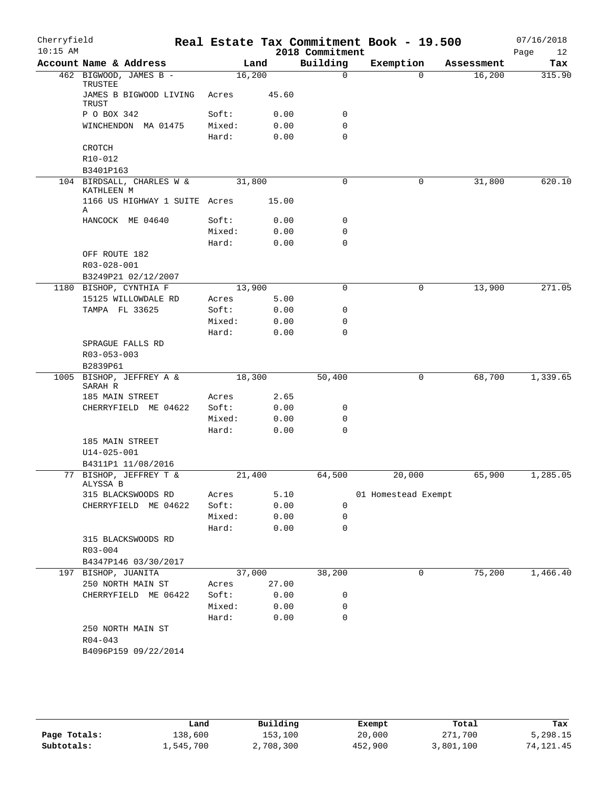| Cherryfield<br>$10:15$ AM |                                          |                 |                 | 2018 Commitment | Real Estate Tax Commitment Book - 19.500 |            | 07/16/2018<br>Page<br>12 |
|---------------------------|------------------------------------------|-----------------|-----------------|-----------------|------------------------------------------|------------|--------------------------|
|                           | Account Name & Address                   |                 | Land            | Building        | Exemption                                | Assessment | Tax                      |
|                           | 462 BIGWOOD, JAMES B -<br>TRUSTEE        | 16,200          |                 | $\mathbf 0$     | $\Omega$                                 | 16,200     | 315.90                   |
|                           | JAMES B BIGWOOD LIVING<br>TRUST          | Acres           | 45.60           |                 |                                          |            |                          |
|                           | P O BOX 342                              | Soft:           | 0.00            | 0               |                                          |            |                          |
|                           | WINCHENDON MA 01475                      | Mixed:          | 0.00            | $\mathbf 0$     |                                          |            |                          |
|                           |                                          | Hard:           | 0.00            | $\mathbf 0$     |                                          |            |                          |
|                           | CROTCH                                   |                 |                 |                 |                                          |            |                          |
|                           | R10-012                                  |                 |                 |                 |                                          |            |                          |
|                           | B3401P163                                |                 |                 |                 |                                          |            |                          |
|                           | 104 BIRDSALL, CHARLES W &<br>KATHLEEN M  | 31,800          |                 | $\mathbf 0$     | 0                                        | 31,800     | 620.10                   |
|                           | 1166 US HIGHWAY 1 SUITE Acres<br>Α       |                 | 15.00           |                 |                                          |            |                          |
|                           | HANCOCK ME 04640                         | Soft:           | 0.00            | 0               |                                          |            |                          |
|                           |                                          | Mixed:          | 0.00            | $\mathbf 0$     |                                          |            |                          |
|                           |                                          | Hard:           | 0.00            | $\mathbf 0$     |                                          |            |                          |
|                           | OFF ROUTE 182                            |                 |                 |                 |                                          |            |                          |
|                           | R03-028-001                              |                 |                 |                 |                                          |            |                          |
|                           | B3249P21 02/12/2007                      |                 |                 |                 |                                          |            |                          |
|                           | 1180 BISHOP, CYNTHIA F                   | 13,900          |                 | $\mathbf 0$     | 0                                        | 13,900     | 271.05                   |
|                           | 15125 WILLOWDALE RD<br>TAMPA FL 33625    | Acres           | 5.00            | 0               |                                          |            |                          |
|                           |                                          | Soft:<br>Mixed: | 0.00<br>0.00    | 0               |                                          |            |                          |
|                           |                                          | Hard:           | 0.00            | $\mathbf 0$     |                                          |            |                          |
|                           | SPRAGUE FALLS RD                         |                 |                 |                 |                                          |            |                          |
|                           | R03-053-003                              |                 |                 |                 |                                          |            |                          |
|                           | B2839P61                                 |                 |                 |                 |                                          |            |                          |
|                           | 1005 BISHOP, JEFFREY A &                 | 18,300          |                 | 50,400          | 0                                        | 68,700     | 1,339.65                 |
|                           | SARAH R                                  |                 |                 |                 |                                          |            |                          |
|                           | 185 MAIN STREET                          | Acres           | 2.65            |                 |                                          |            |                          |
|                           | CHERRYFIELD ME 04622                     | Soft:           | 0.00            | 0               |                                          |            |                          |
|                           |                                          | Mixed:          | 0.00            | 0               |                                          |            |                          |
|                           |                                          | Hard:           | 0.00            | $\mathbf 0$     |                                          |            |                          |
|                           | 185 MAIN STREET                          |                 |                 |                 |                                          |            |                          |
|                           | $U14 - 025 - 001$<br>B4311P1 11/08/2016  |                 |                 |                 |                                          |            |                          |
|                           | 77 BISHOP, JEFFREY T &                   | 21,400          |                 | 64,500          | 20,000                                   | 65,900     | 1,285.05                 |
|                           | ALYSSA B                                 |                 |                 |                 |                                          |            |                          |
|                           | 315 BLACKSWOODS RD                       | Acres           | 5.10            |                 | 01 Homestead Exempt                      |            |                          |
|                           | CHERRYFIELD ME 04622                     | Soft:           | 0.00            | $\mathbf 0$     |                                          |            |                          |
|                           |                                          | Mixed:          | 0.00            | 0               |                                          |            |                          |
|                           |                                          | Hard:           | 0.00            | 0               |                                          |            |                          |
|                           | 315 BLACKSWOODS RD                       |                 |                 |                 |                                          |            |                          |
|                           | $R03 - 004$                              |                 |                 |                 |                                          |            |                          |
|                           | B4347P146 03/30/2017                     |                 |                 |                 |                                          |            |                          |
|                           | 197 BISHOP, JUANITA<br>250 NORTH MAIN ST |                 | 37,000<br>27.00 | 38,200          | 0                                        | 75,200     | 1,466.40                 |
|                           | CHERRYFIELD ME 06422                     | Acres<br>Soft:  | 0.00            | 0               |                                          |            |                          |
|                           |                                          | Mixed:          | 0.00            | 0               |                                          |            |                          |
|                           |                                          | Hard:           | 0.00            | 0               |                                          |            |                          |
|                           | 250 NORTH MAIN ST                        |                 |                 |                 |                                          |            |                          |
|                           | $R04 - 043$                              |                 |                 |                 |                                          |            |                          |
|                           | B4096P159 09/22/2014                     |                 |                 |                 |                                          |            |                          |
|                           |                                          |                 |                 |                 |                                          |            |                          |
|                           |                                          |                 |                 |                 |                                          |            |                          |

|              | Land      | Building  | Exempt  | Total     | Tax         |
|--------------|-----------|-----------|---------|-----------|-------------|
| Page Totals: | 138,600   | 153,100   | 20,000  | 271,700   | 5,298.15    |
| Subtotals:   | 1,545,700 | 2,708,300 | 452,900 | 3,801,100 | 74, 121. 45 |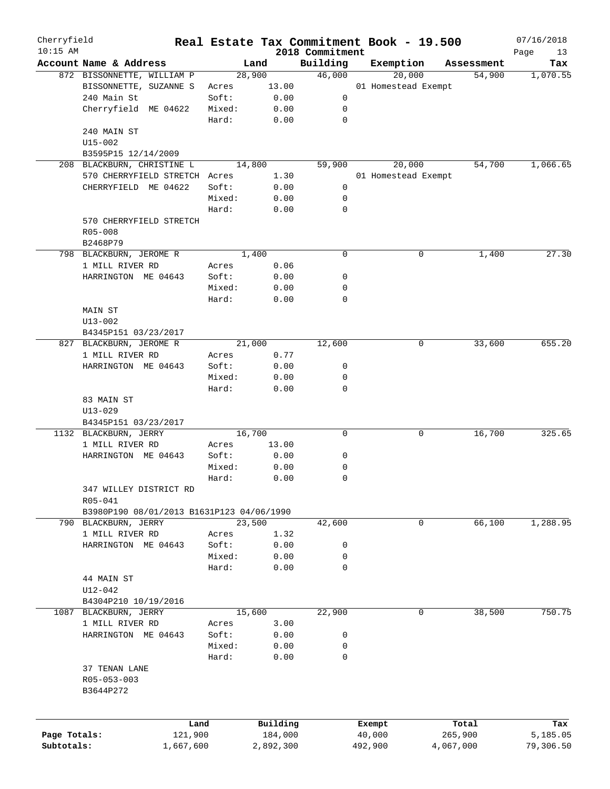| Cherryfield<br>$10:15$ AM |                                           |        |           |                             | Real Estate Tax Commitment Book - 19.500 |        |            | 07/16/2018        |
|---------------------------|-------------------------------------------|--------|-----------|-----------------------------|------------------------------------------|--------|------------|-------------------|
|                           | Account Name & Address                    | Land   |           | 2018 Commitment<br>Building | Exemption                                |        | Assessment | Page<br>13<br>Tax |
|                           | 872 BISSONNETTE, WILLIAM P                | 28,900 |           | 46,000                      |                                          | 20,000 | 54,900     | 1,070.55          |
|                           | BISSONNETTE, SUZANNE S                    | Acres  | 13.00     |                             | 01 Homestead Exempt                      |        |            |                   |
|                           | 240 Main St                               | Soft:  | 0.00      | 0                           |                                          |        |            |                   |
|                           | Cherryfield ME 04622                      | Mixed: | 0.00      | 0                           |                                          |        |            |                   |
|                           |                                           | Hard:  | 0.00      | $\mathbf 0$                 |                                          |        |            |                   |
|                           |                                           |        |           |                             |                                          |        |            |                   |
|                           | 240 MAIN ST                               |        |           |                             |                                          |        |            |                   |
|                           | $U15 - 002$                               |        |           |                             |                                          |        |            |                   |
|                           | B3595P15 12/14/2009                       |        |           |                             |                                          |        |            |                   |
|                           | 208 BLACKBURN, CHRISTINE L                | 14,800 |           | 59,900                      |                                          | 20,000 | 54,700     | 1,066.65          |
|                           | 570 CHERRYFIELD STRETCH Acres             |        | 1.30      |                             | 01 Homestead Exempt                      |        |            |                   |
|                           | CHERRYFIELD ME 04622                      | Soft:  | 0.00      | 0                           |                                          |        |            |                   |
|                           |                                           | Mixed: | 0.00      | 0                           |                                          |        |            |                   |
|                           |                                           | Hard:  | 0.00      | $\mathbf 0$                 |                                          |        |            |                   |
|                           | 570 CHERRYFIELD STRETCH                   |        |           |                             |                                          |        |            |                   |
|                           | $R05 - 008$                               |        |           |                             |                                          |        |            |                   |
|                           | B2468P79                                  |        |           |                             |                                          |        |            |                   |
|                           | 798 BLACKBURN, JEROME R                   | 1,400  |           | 0                           |                                          | 0      | 1,400      | 27.30             |
|                           | 1 MILL RIVER RD                           | Acres  | 0.06      |                             |                                          |        |            |                   |
|                           | HARRINGTON ME 04643                       | Soft:  | 0.00      | 0                           |                                          |        |            |                   |
|                           |                                           | Mixed: | 0.00      | 0                           |                                          |        |            |                   |
|                           |                                           | Hard:  | 0.00      | $\mathbf 0$                 |                                          |        |            |                   |
|                           | MAIN ST                                   |        |           |                             |                                          |        |            |                   |
|                           | $U13 - 002$                               |        |           |                             |                                          |        |            |                   |
|                           | B4345P151 03/23/2017                      |        |           |                             |                                          |        |            |                   |
|                           | 827 BLACKBURN, JEROME R                   | 21,000 |           | 12,600                      |                                          | 0      | 33,600     | 655.20            |
|                           | 1 MILL RIVER RD                           | Acres  | 0.77      |                             |                                          |        |            |                   |
|                           | HARRINGTON ME 04643                       | Soft:  | 0.00      | 0                           |                                          |        |            |                   |
|                           |                                           | Mixed: | 0.00      | 0                           |                                          |        |            |                   |
|                           |                                           | Hard:  | 0.00      | $\mathbf 0$                 |                                          |        |            |                   |
|                           | 83 MAIN ST                                |        |           |                             |                                          |        |            |                   |
|                           | $U13 - 029$                               |        |           |                             |                                          |        |            |                   |
|                           | B4345P151 03/23/2017                      |        |           |                             |                                          |        |            |                   |
|                           | 1132 BLACKBURN, JERRY                     | 16,700 |           | 0                           |                                          | 0      | 16,700     | 325.65            |
|                           | 1 MILL RIVER RD                           | Acres  | 13.00     |                             |                                          |        |            |                   |
|                           | HARRINGTON ME 04643                       | Soft:  | 0.00      | 0                           |                                          |        |            |                   |
|                           |                                           | Mixed: | 0.00      | 0                           |                                          |        |            |                   |
|                           |                                           | Hard:  | 0.00      | 0                           |                                          |        |            |                   |
|                           | 347 WILLEY DISTRICT RD                    |        |           |                             |                                          |        |            |                   |
|                           | R05-041                                   |        |           |                             |                                          |        |            |                   |
|                           | B3980P190 08/01/2013 B1631P123 04/06/1990 |        |           |                             |                                          |        |            |                   |
|                           | 790 BLACKBURN, JERRY                      | 23,500 |           | 42,600                      |                                          | 0      | 66,100     | 1,288.95          |
|                           | 1 MILL RIVER RD                           | Acres  | 1.32      |                             |                                          |        |            |                   |
|                           | HARRINGTON ME 04643                       | Soft:  | 0.00      | 0                           |                                          |        |            |                   |
|                           |                                           |        |           |                             |                                          |        |            |                   |
|                           |                                           | Mixed: | 0.00      | 0                           |                                          |        |            |                   |
|                           |                                           | Hard:  | 0.00      | 0                           |                                          |        |            |                   |
|                           | 44 MAIN ST                                |        |           |                             |                                          |        |            |                   |
|                           | $U12 - 042$                               |        |           |                             |                                          |        |            |                   |
|                           | B4304P210 10/19/2016                      |        |           |                             |                                          |        |            |                   |
| 1087                      | BLACKBURN, JERRY                          | 15,600 |           | 22,900                      |                                          | 0      | 38,500     | 750.75            |
|                           | 1 MILL RIVER RD                           | Acres  | 3.00      |                             |                                          |        |            |                   |
|                           | HARRINGTON ME 04643                       | Soft:  | 0.00      | 0                           |                                          |        |            |                   |
|                           |                                           | Mixed: | 0.00      | 0                           |                                          |        |            |                   |
|                           |                                           | Hard:  | 0.00      | 0                           |                                          |        |            |                   |
|                           | 37 TENAN LANE                             |        |           |                             |                                          |        |            |                   |
|                           | R05-053-003                               |        |           |                             |                                          |        |            |                   |
|                           | B3644P272                                 |        |           |                             |                                          |        |            |                   |
|                           |                                           |        |           |                             |                                          |        |            |                   |
|                           |                                           |        |           |                             |                                          |        |            |                   |
|                           | Land                                      |        | Building  |                             | Exempt                                   |        | Total      | Tax               |
| Page Totals:              | 121,900                                   |        | 184,000   |                             | 40,000                                   |        | 265,900    | 5,185.05          |
| Subtotals:                | 1,667,600                                 |        | 2,892,300 |                             | 492,900                                  |        | 4,067,000  | 79,306.50         |
|                           |                                           |        |           |                             |                                          |        |            |                   |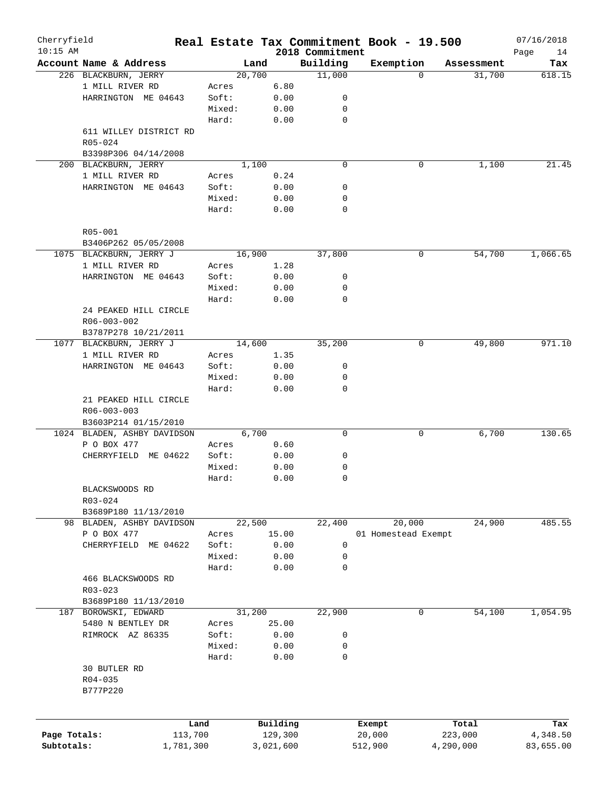| Cherryfield<br>$10:15$ AM |                             |        |           |                             | Real Estate Tax Commitment Book - 19.500 |            | 07/16/2018        |
|---------------------------|-----------------------------|--------|-----------|-----------------------------|------------------------------------------|------------|-------------------|
|                           | Account Name & Address      | Land   |           | 2018 Commitment<br>Building | Exemption                                | Assessment | Page<br>14<br>Tax |
|                           | 226 BLACKBURN, JERRY        | 20,700 |           | 11,000                      | $\Omega$                                 | 31,700     | 618.15            |
|                           | 1 MILL RIVER RD             | Acres  | 6.80      |                             |                                          |            |                   |
|                           | HARRINGTON ME 04643         | Soft:  | 0.00      | 0                           |                                          |            |                   |
|                           |                             | Mixed: | 0.00      | 0                           |                                          |            |                   |
|                           |                             | Hard:  | 0.00      | $\mathbf 0$                 |                                          |            |                   |
|                           |                             |        |           |                             |                                          |            |                   |
|                           | 611 WILLEY DISTRICT RD      |        |           |                             |                                          |            |                   |
|                           | R05-024                     |        |           |                             |                                          |            |                   |
|                           | B3398P306 04/14/2008        |        |           |                             |                                          |            |                   |
|                           | 200 BLACKBURN, JERRY        | 1,100  |           | $\mathbf 0$                 | 0                                        | 1,100      | 21.45             |
|                           | 1 MILL RIVER RD             | Acres  | 0.24      |                             |                                          |            |                   |
|                           | HARRINGTON ME 04643         | Soft:  | 0.00      | 0                           |                                          |            |                   |
|                           |                             | Mixed: | 0.00      | 0                           |                                          |            |                   |
|                           |                             | Hard:  | 0.00      | $\mathbf 0$                 |                                          |            |                   |
|                           |                             |        |           |                             |                                          |            |                   |
|                           | $R05 - 001$                 |        |           |                             |                                          |            |                   |
|                           | B3406P262 05/05/2008        |        |           |                             |                                          |            |                   |
|                           | 1075 BLACKBURN, JERRY J     | 16,900 |           | 37,800                      | 0                                        | 54,700     | 1,066.65          |
|                           | 1 MILL RIVER RD             | Acres  | 1.28      |                             |                                          |            |                   |
|                           | HARRINGTON ME 04643         | Soft:  | 0.00      | 0                           |                                          |            |                   |
|                           |                             | Mixed: | 0.00      | 0                           |                                          |            |                   |
|                           |                             | Hard:  | 0.00      | $\mathbf 0$                 |                                          |            |                   |
|                           | 24 PEAKED HILL CIRCLE       |        |           |                             |                                          |            |                   |
|                           | R06-003-002                 |        |           |                             |                                          |            |                   |
|                           | B3787P278 10/21/2011        |        |           |                             |                                          |            |                   |
|                           | 1077 BLACKBURN, JERRY J     | 14,600 |           | 35,200                      | 0                                        | 49,800     | 971.10            |
|                           | 1 MILL RIVER RD             | Acres  | 1.35      |                             |                                          |            |                   |
|                           | HARRINGTON ME 04643         | Soft:  | 0.00      | 0                           |                                          |            |                   |
|                           |                             | Mixed: | 0.00      | 0                           |                                          |            |                   |
|                           |                             | Hard:  | 0.00      | $\mathbf 0$                 |                                          |            |                   |
|                           | 21 PEAKED HILL CIRCLE       |        |           |                             |                                          |            |                   |
|                           | R06-003-003                 |        |           |                             |                                          |            |                   |
|                           | B3603P214 01/15/2010        |        |           |                             |                                          |            |                   |
|                           | 1024 BLADEN, ASHBY DAVIDSON | 6,700  |           | 0                           | 0                                        | 6,700      | 130.65            |
|                           | P O BOX 477                 | Acres  | 0.60      |                             |                                          |            |                   |
|                           | ME 04622<br>CHERRYFIELD     | Soft:  | 0.00      | 0                           |                                          |            |                   |
|                           |                             | Mixed: | 0.00      | 0                           |                                          |            |                   |
|                           |                             | Hard:  | 0.00      | 0                           |                                          |            |                   |
|                           | BLACKSWOODS RD              |        |           |                             |                                          |            |                   |
|                           | R03-024                     |        |           |                             |                                          |            |                   |
|                           | B3689P180 11/13/2010        |        |           |                             |                                          |            |                   |
| 98                        | BLADEN, ASHBY DAVIDSON      | 22,500 |           | 22,400                      | 20,000                                   | 24,900     | 485.55            |
|                           | P O BOX 477                 | Acres  | 15.00     |                             | 01 Homestead Exempt                      |            |                   |
|                           | CHERRYFIELD<br>ME 04622     | Soft:  | 0.00      | 0                           |                                          |            |                   |
|                           |                             | Mixed: | 0.00      | 0                           |                                          |            |                   |
|                           |                             | Hard:  | 0.00      | 0                           |                                          |            |                   |
|                           | 466 BLACKSWOODS RD          |        |           |                             |                                          |            |                   |
|                           | R03-023                     |        |           |                             |                                          |            |                   |
|                           | B3689P180 11/13/2010        |        |           |                             |                                          |            |                   |
|                           | 187 BOROWSKI, EDWARD        | 31,200 |           | 22,900                      | 0                                        | 54,100     | 1,054.95          |
|                           | 5480 N BENTLEY DR           | Acres  | 25.00     |                             |                                          |            |                   |
|                           | RIMROCK AZ 86335            | Soft:  | 0.00      | 0                           |                                          |            |                   |
|                           |                             | Mixed: | 0.00      | 0                           |                                          |            |                   |
|                           |                             | Hard:  | 0.00      | 0                           |                                          |            |                   |
|                           | 30 BUTLER RD                |        |           |                             |                                          |            |                   |
|                           | R04-035                     |        |           |                             |                                          |            |                   |
|                           | B777P220                    |        |           |                             |                                          |            |                   |
|                           |                             |        |           |                             |                                          |            |                   |
|                           |                             |        |           |                             |                                          |            |                   |
|                           |                             | Land   | Building  |                             | Exempt                                   | Total      | Tax               |
| Page Totals:              | 113,700                     |        | 129,300   |                             | 20,000                                   | 223,000    | 4,348.50          |
| Subtotals:                | 1,781,300                   |        | 3,021,600 |                             | 512,900                                  | 4,290,000  | 83,655.00         |
|                           |                             |        |           |                             |                                          |            |                   |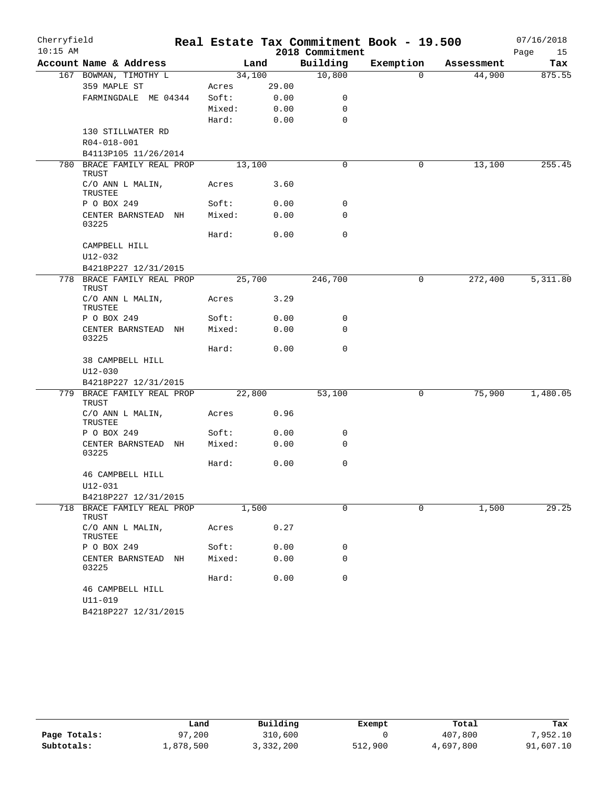| Cherryfield |                                     |        |       |                 | Real Estate Tax Commitment Book - 19.500 |            | 07/16/2018 |
|-------------|-------------------------------------|--------|-------|-----------------|------------------------------------------|------------|------------|
| $10:15$ AM  |                                     |        |       | 2018 Commitment |                                          |            | Page<br>15 |
|             | Account Name & Address              |        | Land  | Building        | Exemption                                | Assessment | Tax        |
|             | 167 BOWMAN, TIMOTHY L               | 34,100 |       | 10,800          | $\Omega$                                 | 44,900     | 875.55     |
|             | 359 MAPLE ST                        | Acres  | 29.00 |                 |                                          |            |            |
|             | FARMINGDALE ME 04344                | Soft:  | 0.00  | 0               |                                          |            |            |
|             |                                     | Mixed: | 0.00  | 0               |                                          |            |            |
|             |                                     | Hard:  | 0.00  | $\mathbf 0$     |                                          |            |            |
|             | 130 STILLWATER RD<br>R04-018-001    |        |       |                 |                                          |            |            |
|             | B4113P105 11/26/2014                |        |       |                 |                                          |            |            |
|             | 780 BRACE FAMILY REAL PROP          | 13,100 |       | 0               | 0                                        | 13,100     | 255.45     |
|             | TRUST                               |        |       |                 |                                          |            |            |
|             | C/O ANN L MALIN,<br>TRUSTEE         | Acres  | 3.60  |                 |                                          |            |            |
|             | P O BOX 249                         | Soft:  | 0.00  | 0               |                                          |            |            |
|             | CENTER BARNSTEAD NH<br>03225        | Mixed: | 0.00  | $\mathbf 0$     |                                          |            |            |
|             |                                     | Hard:  | 0.00  | 0               |                                          |            |            |
|             | CAMPBELL HILL                       |        |       |                 |                                          |            |            |
|             | U12-032                             |        |       |                 |                                          |            |            |
|             | B4218P227 12/31/2015                |        |       |                 |                                          |            |            |
| 778         | BRACE FAMILY REAL PROP<br>TRUST     | 25,700 |       | 246,700         | 0                                        | 272,400    | 5,311.80   |
|             | C/O ANN L MALIN,<br>TRUSTEE         | Acres  | 3.29  |                 |                                          |            |            |
|             | P O BOX 249                         | Soft:  | 0.00  | 0               |                                          |            |            |
|             | CENTER BARNSTEAD NH<br>03225        | Mixed: | 0.00  | 0               |                                          |            |            |
|             |                                     | Hard:  | 0.00  | $\mathbf 0$     |                                          |            |            |
|             | 38 CAMPBELL HILL                    |        |       |                 |                                          |            |            |
|             | $U12 - 030$                         |        |       |                 |                                          |            |            |
|             | B4218P227 12/31/2015                |        |       |                 |                                          |            |            |
|             | 779 BRACE FAMILY REAL PROP<br>TRUST | 22,800 |       | 53,100          | $\mathsf{O}$                             | 75,900     | 1,480.05   |
|             | C/O ANN L MALIN,<br>TRUSTEE         | Acres  | 0.96  |                 |                                          |            |            |
|             | P O BOX 249                         | Soft:  | 0.00  | 0               |                                          |            |            |
|             | CENTER BARNSTEAD NH<br>03225        | Mixed: | 0.00  | 0               |                                          |            |            |
|             |                                     | Hard:  | 0.00  | 0               |                                          |            |            |
|             | 46 CAMPBELL HILL                    |        |       |                 |                                          |            |            |
|             | $U12 - 031$                         |        |       |                 |                                          |            |            |
|             | B4218P227 12/31/2015                |        |       |                 |                                          |            |            |
|             | 718 BRACE FAMILY REAL PROP<br>TRUST | 1,500  |       | $\mathbf 0$     | 0                                        | 1,500      | 29.25      |
|             | C/O ANN L MALIN,<br>TRUSTEE         | Acres  | 0.27  |                 |                                          |            |            |
|             | P O BOX 249                         | Soft:  | 0.00  | 0               |                                          |            |            |
|             | CENTER BARNSTEAD NH<br>03225        | Mixed: | 0.00  | 0               |                                          |            |            |
|             |                                     | Hard:  | 0.00  | 0               |                                          |            |            |
|             | 46 CAMPBELL HILL                    |        |       |                 |                                          |            |            |
|             | $U11 - 019$                         |        |       |                 |                                          |            |            |
|             | B4218P227 12/31/2015                |        |       |                 |                                          |            |            |

|              | Land       | Building  | Exempt  | Total     | Tax       |
|--------------|------------|-----------|---------|-----------|-----------|
| Page Totals: | .200<br>97 | 310,600   |         | 407,800   | 7,952.10  |
| Subtotals:   | 1,878,500  | 3,332,200 | 512,900 | 4,697,800 | 91,607.10 |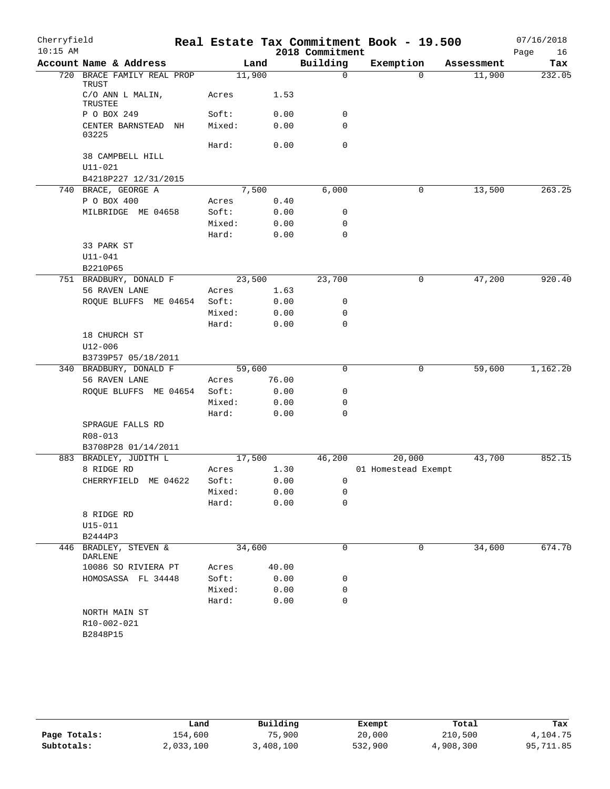| Cherryfield |                                              |        |       |                        | Real Estate Tax Commitment Book - 19.500 |            | 07/16/2018 |
|-------------|----------------------------------------------|--------|-------|------------------------|------------------------------------------|------------|------------|
| $10:15$ AM  |                                              |        |       | 2018 Commitment        |                                          |            | Page<br>16 |
|             | Account Name & Address                       |        | Land  | Building               | Exemption                                | Assessment | Tax        |
|             | 720 BRACE FAMILY REAL PROP<br>TRUST          | 11,900 |       | $\Omega$               | $\Omega$                                 | 11,900     | 232.05     |
|             | C/O ANN L MALIN,<br>TRUSTEE                  | Acres  | 1.53  |                        |                                          |            |            |
|             | P O BOX 249                                  | Soft:  | 0.00  | 0                      |                                          |            |            |
|             | CENTER BARNSTEAD NH<br>03225                 | Mixed: | 0.00  | $\mathbf 0$            |                                          |            |            |
|             |                                              | Hard:  | 0.00  | $\mathbf 0$            |                                          |            |            |
|             | 38 CAMPBELL HILL                             |        |       |                        |                                          |            |            |
|             | $U11 - 021$                                  |        |       |                        |                                          |            |            |
|             | B4218P227 12/31/2015<br>740 BRACE, GEORGE A  |        | 7,500 | 6,000                  | 0                                        | 13,500     | 263.25     |
|             | P O BOX 400                                  | Acres  | 0.40  |                        |                                          |            |            |
|             | MILBRIDGE ME 04658                           | Soft:  | 0.00  | 0                      |                                          |            |            |
|             |                                              | Mixed: | 0.00  | $\mathbf 0$            |                                          |            |            |
|             |                                              | Hard:  | 0.00  | $\mathbf 0$            |                                          |            |            |
|             | 33 PARK ST                                   |        |       |                        |                                          |            |            |
|             | $U11 - 041$                                  |        |       |                        |                                          |            |            |
|             | B2210P65                                     |        |       |                        |                                          |            |            |
|             | 751 BRADBURY, DONALD F                       | 23,500 |       | 23,700                 | 0                                        | 47,200     | 920.40     |
|             | 56 RAVEN LANE                                | Acres  | 1.63  |                        |                                          |            |            |
|             | ROQUE BLUFFS ME 04654                        | Soft:  | 0.00  | 0                      |                                          |            |            |
|             |                                              | Mixed: | 0.00  | $\mathbf 0$            |                                          |            |            |
|             |                                              | Hard:  | 0.00  | $\mathbf 0$            |                                          |            |            |
|             | 18 CHURCH ST                                 |        |       |                        |                                          |            |            |
|             | U12-006                                      |        |       |                        |                                          |            |            |
|             | B3739P57 05/18/2011                          |        |       |                        |                                          |            |            |
|             | 340 BRADBURY, DONALD F                       | 59,600 |       | $\mathbf 0$            | 0                                        | 59,600     | 1,162.20   |
|             | 56 RAVEN LANE                                | Acres  | 76.00 |                        |                                          |            |            |
|             | ROQUE BLUFFS ME 04654                        | Soft:  | 0.00  | 0                      |                                          |            |            |
|             |                                              | Mixed: | 0.00  | 0                      |                                          |            |            |
|             |                                              | Hard:  | 0.00  | $\mathbf 0$            |                                          |            |            |
|             | SPRAGUE FALLS RD                             |        |       |                        |                                          |            |            |
|             | R08-013                                      |        |       |                        |                                          |            |            |
|             | B3708P28 01/14/2011<br>883 BRADLEY, JUDITH L | 17,500 |       | 46,200                 | 20,000                                   | 43,700     | 852.15     |
|             | 8 RIDGE RD                                   | Acres  | 1.30  |                        | 01 Homestead Exempt                      |            |            |
|             | CHERRYFIELD ME 04622                         | Soft:  |       | 0.00<br>$\overline{0}$ |                                          |            |            |
|             |                                              | Mixed: | 0.00  | 0                      |                                          |            |            |
|             |                                              | Hard:  | 0.00  | 0                      |                                          |            |            |
|             | 8 RIDGE RD                                   |        |       |                        |                                          |            |            |
|             | $U15 - 011$                                  |        |       |                        |                                          |            |            |
|             | B2444P3                                      |        |       |                        |                                          |            |            |
|             | 446 BRADLEY, STEVEN &<br>DARLENE             | 34,600 |       | 0                      | 0                                        | 34,600     | 674.70     |
|             | 10086 SO RIVIERA PT                          | Acres  | 40.00 |                        |                                          |            |            |
|             | HOMOSASSA FL 34448                           | Soft:  | 0.00  | 0                      |                                          |            |            |
|             |                                              | Mixed: | 0.00  | $\mathbf 0$            |                                          |            |            |
|             |                                              | Hard:  | 0.00  | 0                      |                                          |            |            |
|             | NORTH MAIN ST                                |        |       |                        |                                          |            |            |
|             | R10-002-021                                  |        |       |                        |                                          |            |            |
|             | B2848P15                                     |        |       |                        |                                          |            |            |
|             |                                              |        |       |                        |                                          |            |            |

|              | Land      | Building  | Exempt  | Total     | Tax       |
|--------------|-----------|-----------|---------|-----------|-----------|
| Page Totals: | 154,600   | 75,900    | 20,000  | 210,500   | 4,104.75  |
| Subtotals:   | 2,033,100 | 3,408,100 | 532,900 | 4,908,300 | 95,711.85 |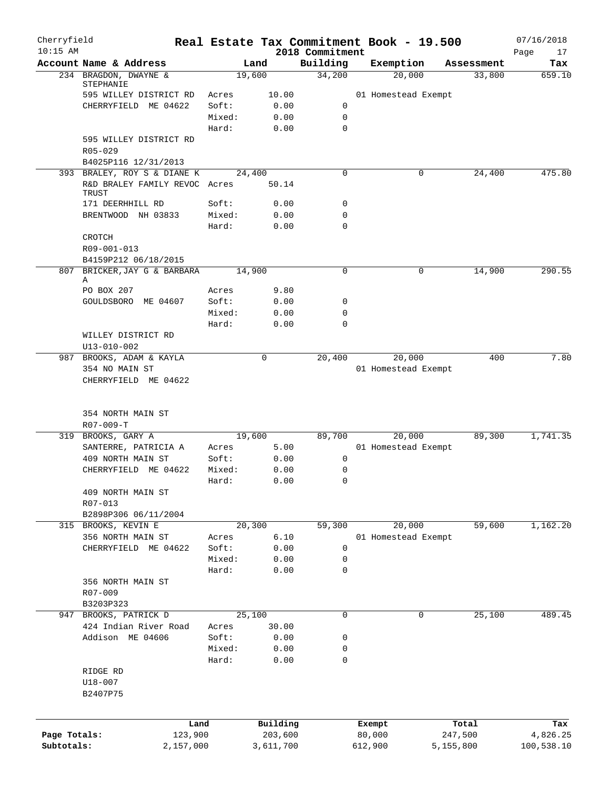| Cherryfield  |                                        |        | Real Estate Tax Commitment Book - 19.500 |                             |         |                     |           |            | 07/16/2018        |
|--------------|----------------------------------------|--------|------------------------------------------|-----------------------------|---------|---------------------|-----------|------------|-------------------|
| $10:15$ AM   | Account Name & Address                 |        | Land                                     | 2018 Commitment<br>Building |         | Exemption           |           | Assessment | Page<br>17<br>Tax |
|              | 234 BRAGDON, DWAYNE &                  |        | 19,600                                   | 34,200                      |         | 20,000              |           | 33,800     | 659.10            |
|              | STEPHANIE                              |        |                                          |                             |         |                     |           |            |                   |
|              | 595 WILLEY DISTRICT RD                 | Acres  | 10.00                                    |                             |         | 01 Homestead Exempt |           |            |                   |
|              | CHERRYFIELD ME 04622                   | Soft:  | 0.00                                     | 0                           |         |                     |           |            |                   |
|              |                                        | Mixed: | 0.00                                     | $\mathbf 0$                 |         |                     |           |            |                   |
|              |                                        | Hard:  | 0.00                                     | $\mathbf 0$                 |         |                     |           |            |                   |
|              | 595 WILLEY DISTRICT RD<br>$R05 - 029$  |        |                                          |                             |         |                     |           |            |                   |
|              | B4025P116 12/31/2013                   |        |                                          |                             |         |                     |           |            |                   |
|              | 393 BRALEY, ROY S & DIANE K            |        | 24,400                                   | 0                           |         | 0                   |           | 24,400     | 475.80            |
|              | R&D BRALEY FAMILY REVOC Acres<br>TRUST |        | 50.14                                    |                             |         |                     |           |            |                   |
|              | 171 DEERHHILL RD                       | Soft:  | 0.00                                     | $\mathbf 0$                 |         |                     |           |            |                   |
|              | BRENTWOOD NH 03833                     | Mixed: | 0.00                                     | $\mathbf 0$                 |         |                     |           |            |                   |
|              |                                        | Hard:  | 0.00                                     | $\mathbf 0$                 |         |                     |           |            |                   |
|              | CROTCH                                 |        |                                          |                             |         |                     |           |            |                   |
|              | R09-001-013                            |        |                                          |                             |         |                     |           |            |                   |
|              | B4159P212 06/18/2015                   |        |                                          |                             |         |                     |           |            |                   |
| 807          | BRICKER, JAY G & BARBARA<br>Α          |        | 14,900                                   | 0                           |         | 0                   |           | 14,900     | 290.55            |
|              | PO BOX 207                             | Acres  | 9.80                                     |                             |         |                     |           |            |                   |
|              | GOULDSBORO ME 04607                    | Soft:  | 0.00                                     | 0                           |         |                     |           |            |                   |
|              |                                        | Mixed: | 0.00                                     | $\mathbf 0$                 |         |                     |           |            |                   |
|              |                                        | Hard:  | 0.00                                     | $\mathbf 0$                 |         |                     |           |            |                   |
|              | WILLEY DISTRICT RD                     |        |                                          |                             |         |                     |           |            |                   |
|              | U13-010-002                            |        |                                          |                             |         |                     |           |            |                   |
| 987          | BROOKS, ADAM & KAYLA                   |        | 0                                        | 20,400                      |         | 20,000              |           | 400        | 7.80              |
|              | 354 NO MAIN ST                         |        |                                          |                             |         | 01 Homestead Exempt |           |            |                   |
|              |                                        |        |                                          |                             |         |                     |           |            |                   |
|              | 354 NORTH MAIN ST<br>$R07 - 009 - T$   |        |                                          |                             |         |                     |           |            |                   |
|              | 319 BROOKS, GARY A                     |        | 19,600                                   | 89,700                      |         | 20,000              |           | 89,300     | 1,741.35          |
|              | SANTERRE, PATRICIA A                   | Acres  | 5.00                                     |                             |         | 01 Homestead Exempt |           |            |                   |
|              | 409 NORTH MAIN ST                      | Soft:  | 0.00                                     | 0                           |         |                     |           |            |                   |
|              | CHERRYFIELD ME 04622                   | Mixed: | 0.00                                     | $\mathbf 0$                 |         |                     |           |            |                   |
|              |                                        | Hard:  | 0.00                                     | $\mathbf 0$                 |         |                     |           |            |                   |
|              | 409 NORTH MAIN ST                      |        |                                          |                             |         |                     |           |            |                   |
|              | R07-013                                |        |                                          |                             |         |                     |           |            |                   |
|              | B2898P306 06/11/2004                   |        |                                          |                             |         |                     |           |            |                   |
|              | 315 BROOKS, KEVIN E                    |        | 20,300                                   | 59,300                      |         | 20,000              |           | 59,600     | 1,162.20          |
|              | 356 NORTH MAIN ST                      | Acres  | 6.10                                     |                             |         | 01 Homestead Exempt |           |            |                   |
|              | CHERRYFIELD ME 04622                   | Soft:  | 0.00                                     | $\mathbf 0$                 |         |                     |           |            |                   |
|              |                                        | Mixed: | 0.00                                     | $\mathbf 0$                 |         |                     |           |            |                   |
|              |                                        | Hard:  | 0.00                                     | 0                           |         |                     |           |            |                   |
|              | 356 NORTH MAIN ST                      |        |                                          |                             |         |                     |           |            |                   |
|              | R07-009                                |        |                                          |                             |         |                     |           |            |                   |
|              | B3203P323                              |        |                                          |                             |         |                     |           |            |                   |
| 947          | BROOKS, PATRICK D                      |        | 25,100                                   | $\mathbf 0$                 |         | 0                   |           | 25,100     | 489.45            |
|              | 424 Indian River Road                  | Acres  | 30.00                                    |                             |         |                     |           |            |                   |
|              | Addison ME 04606                       | Soft:  | 0.00                                     | 0                           |         |                     |           |            |                   |
|              |                                        | Mixed: | 0.00                                     | 0                           |         |                     |           |            |                   |
|              |                                        | Hard:  | 0.00                                     | $\mathbf 0$                 |         |                     |           |            |                   |
|              | RIDGE RD<br>U18-007                    |        |                                          |                             |         |                     |           |            |                   |
|              | B2407P75                               |        |                                          |                             |         |                     |           |            |                   |
|              |                                        | Land   | Building                                 |                             | Exempt  |                     | Total     |            | Tax               |
| Page Totals: | 123,900                                |        | 203,600                                  |                             | 80,000  |                     | 247,500   |            | 4,826.25          |
| Subtotals:   | 2,157,000                              |        | 3,611,700                                |                             | 612,900 |                     | 5,155,800 |            | 100,538.10        |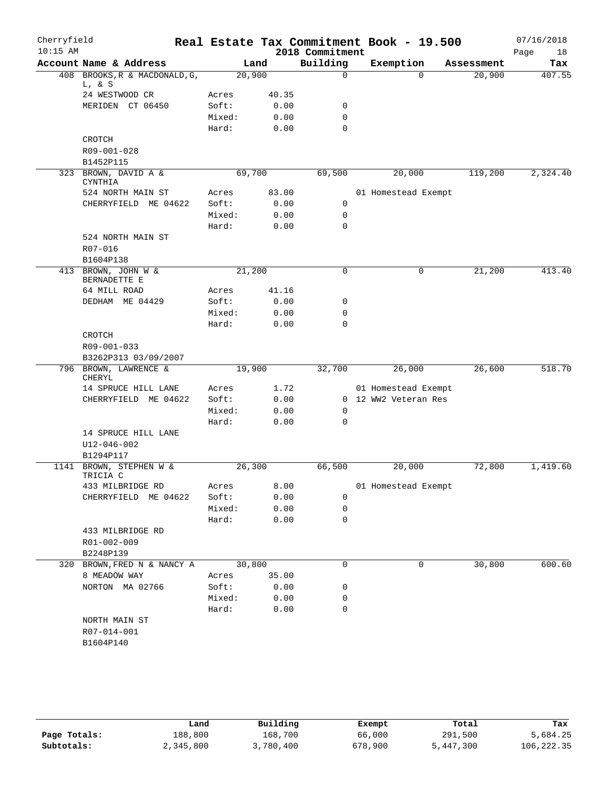| Cherryfield<br>$10:15$ AM |                                     |        |       | 2018 Commitment | Real Estate Tax Commitment Book - 19.500 |            | 07/16/2018        |
|---------------------------|-------------------------------------|--------|-------|-----------------|------------------------------------------|------------|-------------------|
|                           | Account Name & Address              |        | Land  | Building        | Exemption                                | Assessment | Page<br>18<br>Tax |
|                           | 408 BROOKS, R & MACDONALD, G,       | 20,900 |       | 0               | $\Omega$                                 | 20,900     | 407.55            |
|                           | L, & S                              |        |       |                 |                                          |            |                   |
|                           | 24 WESTWOOD CR                      | Acres  | 40.35 |                 |                                          |            |                   |
|                           | MERIDEN CT 06450                    | Soft:  | 0.00  | 0               |                                          |            |                   |
|                           |                                     | Mixed: | 0.00  | $\mathbf 0$     |                                          |            |                   |
|                           |                                     | Hard:  | 0.00  | $\Omega$        |                                          |            |                   |
|                           | CROTCH                              |        |       |                 |                                          |            |                   |
|                           | R09-001-028                         |        |       |                 |                                          |            |                   |
|                           | B1452P115                           |        |       |                 |                                          |            |                   |
|                           | 323 BROWN, DAVID A &<br>CYNTHIA     | 69,700 |       | 69,500          | 20,000                                   | 119,200    | 2,324.40          |
|                           | 524 NORTH MAIN ST                   | Acres  | 83.00 |                 | 01 Homestead Exempt                      |            |                   |
|                           | CHERRYFIELD ME 04622                | Soft:  | 0.00  | 0               |                                          |            |                   |
|                           |                                     | Mixed: | 0.00  | 0               |                                          |            |                   |
|                           |                                     | Hard:  | 0.00  | $\mathbf 0$     |                                          |            |                   |
|                           | 524 NORTH MAIN ST                   |        |       |                 |                                          |            |                   |
|                           | R07-016                             |        |       |                 |                                          |            |                   |
|                           | B1604P138                           |        |       |                 |                                          |            |                   |
|                           | 413 BROWN, JOHN W &<br>BERNADETTE E | 21,200 |       | $\mathbf 0$     | 0                                        | 21,200     | 413.40            |
|                           | 64 MILL ROAD                        | Acres  | 41.16 |                 |                                          |            |                   |
|                           | DEDHAM ME 04429                     | Soft:  | 0.00  | 0               |                                          |            |                   |
|                           |                                     | Mixed: | 0.00  | $\mathbf 0$     |                                          |            |                   |
|                           |                                     | Hard:  | 0.00  | $\mathbf 0$     |                                          |            |                   |
|                           | CROTCH                              |        |       |                 |                                          |            |                   |
|                           | R09-001-033                         |        |       |                 |                                          |            |                   |
|                           | B3262P313 03/09/2007                |        |       |                 |                                          |            |                   |
|                           | 796 BROWN, LAWRENCE &<br>CHERYL     | 19,900 |       | 32,700          | 26,000                                   | 26,600     | 518.70            |
|                           | 14 SPRUCE HILL LANE                 | Acres  | 1.72  |                 | 01 Homestead Exempt                      |            |                   |
|                           | CHERRYFIELD ME 04622                | Soft:  | 0.00  |                 | 0 12 WW2 Veteran Res                     |            |                   |
|                           |                                     | Mixed: | 0.00  | 0               |                                          |            |                   |
|                           |                                     | Hard:  | 0.00  | $\mathbf 0$     |                                          |            |                   |
|                           | 14 SPRUCE HILL LANE<br>U12-046-002  |        |       |                 |                                          |            |                   |
|                           | B1294P117                           |        |       |                 |                                          |            |                   |
|                           | 1141 BROWN, STEPHEN W &<br>TRICIA C | 26,300 |       | 66,500          | 20,000                                   | 72,800     | 1,419.60          |
|                           | 433 MILBRIDGE RD                    | Acres  | 8.00  |                 | 01 Homestead Exempt                      |            |                   |
|                           | CHERRYFIELD ME 04622                | Soft:  | 0.00  | $\mathbf 0$     |                                          |            |                   |
|                           |                                     | Mixed: | 0.00  | $\mathbf 0$     |                                          |            |                   |
|                           |                                     | Hard:  | 0.00  | $\mathbf 0$     |                                          |            |                   |
|                           | 433 MILBRIDGE RD                    |        |       |                 |                                          |            |                   |
|                           | R01-002-009                         |        |       |                 |                                          |            |                   |
|                           | B2248P139                           |        |       |                 |                                          |            |                   |
| 320                       | BROWN, FRED N & NANCY A             | 30,800 |       | $\mathbf 0$     | 0                                        | 30,800     | 600.60            |
|                           | 8 MEADOW WAY                        | Acres  | 35.00 |                 |                                          |            |                   |
|                           | NORTON MA 02766                     | Soft:  | 0.00  | 0               |                                          |            |                   |
|                           |                                     | Mixed: | 0.00  | 0               |                                          |            |                   |
|                           |                                     | Hard:  | 0.00  | $\mathbf 0$     |                                          |            |                   |
|                           | NORTH MAIN ST<br>R07-014-001        |        |       |                 |                                          |            |                   |
|                           | B1604P140                           |        |       |                 |                                          |            |                   |
|                           |                                     |        |       |                 |                                          |            |                   |
|                           |                                     |        |       |                 |                                          |            |                   |

|              | Land      | Building  | Exempt  | Total     | Tax        |
|--------------|-----------|-----------|---------|-----------|------------|
| Page Totals: | 188,800   | 168,700   | 66,000  | 291,500   | 5,684.25   |
| Subtotals:   | 2,345,800 | 3,780,400 | 678,900 | 5,447,300 | 106,222.35 |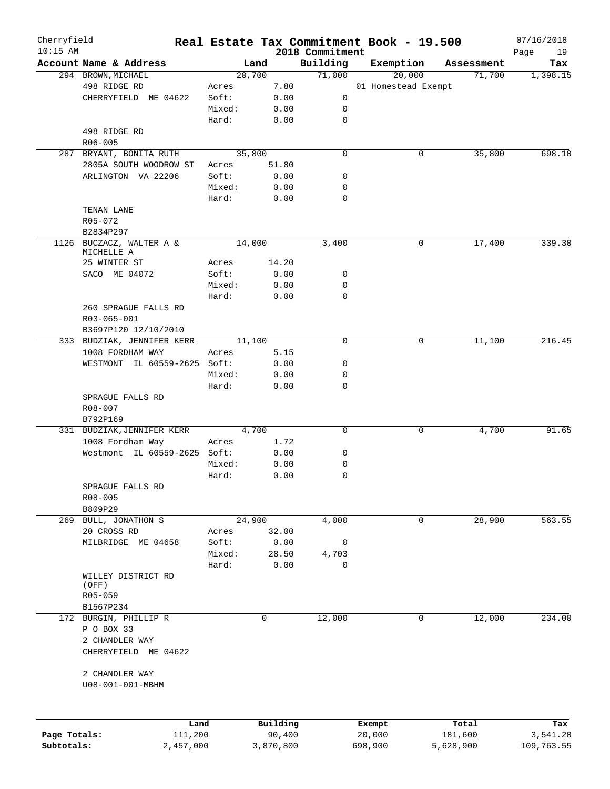| Cherryfield<br>$10:15$ AM |                              |        |          |                             | Real Estate Tax Commitment Book - 19.500 |            | 07/16/2018        |
|---------------------------|------------------------------|--------|----------|-----------------------------|------------------------------------------|------------|-------------------|
|                           | Account Name & Address       |        | Land     | 2018 Commitment<br>Building | Exemption                                | Assessment | Page<br>19<br>Tax |
|                           | 294 BROWN, MICHAEL           |        | 20,700   | 71,000                      | 20,000                                   | 71,700     | 1,398.15          |
|                           | 498 RIDGE RD                 | Acres  | 7.80     |                             | 01 Homestead Exempt                      |            |                   |
|                           | CHERRYFIELD ME 04622         | Soft:  | 0.00     | 0                           |                                          |            |                   |
|                           |                              | Mixed: | 0.00     | 0                           |                                          |            |                   |
|                           |                              | Hard:  | 0.00     | 0                           |                                          |            |                   |
|                           | 498 RIDGE RD                 |        |          |                             |                                          |            |                   |
|                           | $R06 - 005$                  |        |          |                             |                                          |            |                   |
| 287                       | BRYANT, BONITA RUTH          |        | 35,800   | $\mathbf 0$                 | 0                                        | 35,800     | 698.10            |
|                           | 2805A SOUTH WOODROW ST       | Acres  | 51.80    |                             |                                          |            |                   |
|                           | ARLINGTON VA 22206           | Soft:  | 0.00     | 0                           |                                          |            |                   |
|                           |                              | Mixed: | 0.00     | 0                           |                                          |            |                   |
|                           |                              | Hard:  | 0.00     | 0                           |                                          |            |                   |
|                           | TENAN LANE                   |        |          |                             |                                          |            |                   |
|                           | R05-072                      |        |          |                             |                                          |            |                   |
|                           | B2834P297                    |        |          |                             |                                          |            |                   |
| 1126                      | BUCZACZ, WALTER A &          |        | 14,000   | 3,400                       | 0                                        | 17,400     | 339.30            |
|                           | MICHELLE A                   |        |          |                             |                                          |            |                   |
|                           | 25 WINTER ST                 | Acres  | 14.20    |                             |                                          |            |                   |
|                           | SACO ME 04072                | Soft:  | 0.00     | 0                           |                                          |            |                   |
|                           |                              | Mixed: | 0.00     | 0                           |                                          |            |                   |
|                           |                              | Hard:  | 0.00     | $\mathbf 0$                 |                                          |            |                   |
|                           | 260 SPRAGUE FALLS RD         |        |          |                             |                                          |            |                   |
|                           | R03-065-001                  |        |          |                             |                                          |            |                   |
|                           | B3697P120 12/10/2010         |        |          |                             |                                          |            |                   |
|                           | 333 BUDZIAK, JENNIFER KERR   |        | 11,100   | $\mathbf 0$                 | 0                                        | 11,100     | 216.45            |
|                           | 1008 FORDHAM WAY             | Acres  | 5.15     |                             |                                          |            |                   |
|                           | WESTMONT IL 60559-2625 Soft: |        | 0.00     | 0                           |                                          |            |                   |
|                           |                              | Mixed: | 0.00     | 0                           |                                          |            |                   |
|                           |                              | Hard:  | 0.00     | 0                           |                                          |            |                   |
|                           | SPRAGUE FALLS RD             |        |          |                             |                                          |            |                   |
|                           | R08-007                      |        |          |                             |                                          |            |                   |
|                           | B792P169                     |        |          |                             |                                          |            |                   |
|                           | 331 BUDZIAK, JENNIFER KERR   |        | 4,700    | $\mathbf 0$                 | 0                                        | 4,700      | 91.65             |
|                           | 1008 Fordham Way             | Acres  | 1.72     |                             |                                          |            |                   |
|                           | Westmont IL 60559-2625 Soft: |        | 0.00     | 0                           |                                          |            |                   |
|                           |                              | Mixed: | 0.00     | 0                           |                                          |            |                   |
|                           |                              | Hard:  | 0.00     | $\mathbf 0$                 |                                          |            |                   |
|                           | SPRAGUE FALLS RD             |        |          |                             |                                          |            |                   |
|                           | R08-005                      |        |          |                             |                                          |            |                   |
|                           | B809P29                      |        |          |                             |                                          |            |                   |
|                           | 269 BULL, JONATHON S         |        | 24,900   | 4,000                       | 0                                        | 28,900     | 563.55            |
|                           | 20 CROSS RD                  | Acres  | 32.00    |                             |                                          |            |                   |
|                           | MILBRIDGE ME 04658           | Soft:  | 0.00     | 0                           |                                          |            |                   |
|                           |                              | Mixed: | 28.50    | 4,703                       |                                          |            |                   |
|                           |                              | Hard:  | 0.00     | 0                           |                                          |            |                   |
|                           | WILLEY DISTRICT RD           |        |          |                             |                                          |            |                   |
|                           | (OFF)                        |        |          |                             |                                          |            |                   |
|                           | R05-059                      |        |          |                             |                                          |            |                   |
|                           | B1567P234                    |        |          |                             |                                          |            |                   |
|                           | 172 BURGIN, PHILLIP R        |        | 0        | 12,000                      | 0                                        | 12,000     | 234.00            |
|                           | P O BOX 33                   |        |          |                             |                                          |            |                   |
|                           | 2 CHANDLER WAY               |        |          |                             |                                          |            |                   |
|                           | CHERRYFIELD ME 04622         |        |          |                             |                                          |            |                   |
|                           |                              |        |          |                             |                                          |            |                   |
|                           | 2 CHANDLER WAY               |        |          |                             |                                          |            |                   |
|                           | U08-001-001-MBHM             |        |          |                             |                                          |            |                   |
|                           |                              |        |          |                             |                                          |            |                   |
|                           |                              |        |          |                             |                                          |            |                   |
|                           |                              |        |          |                             |                                          |            |                   |
|                           |                              | Land   | Building |                             | Exempt                                   | Total      | Tax               |
| Page Totals:              | 111,200                      |        | 90,400   |                             | 20,000                                   | 181,600    | 3,541.20          |

**Subtotals:** 2,457,000 3,870,800 698,900 5,628,900 109,763.55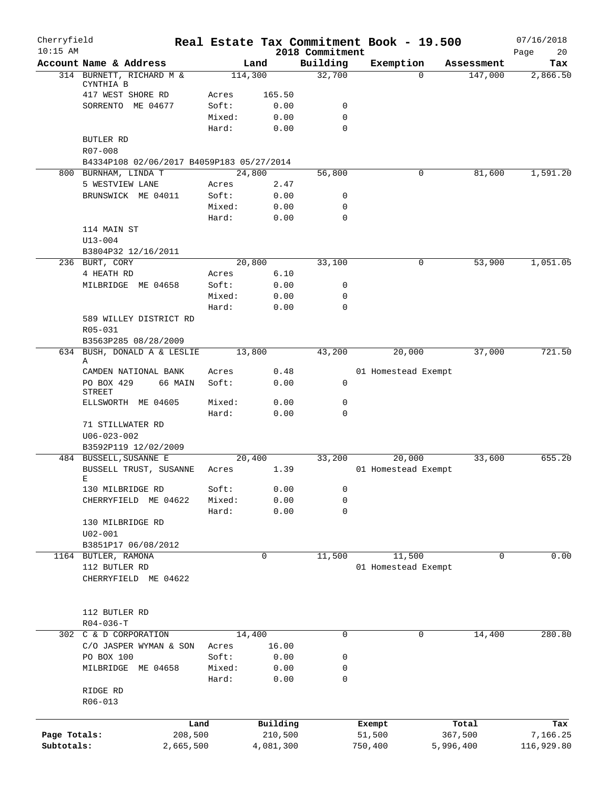| Cherryfield<br>$10:15$ AM |                                           |                |           | 2018 Commitment | Real Estate Tax Commitment Book - 19.500 |            | 07/16/2018<br>20<br>Page |
|---------------------------|-------------------------------------------|----------------|-----------|-----------------|------------------------------------------|------------|--------------------------|
|                           | Account Name & Address                    | Land           |           | Building        | Exemption                                | Assessment | Tax                      |
|                           | 314 BURNETT, RICHARD M &                  | 114,300        |           | 32,700          | $\Omega$                                 | 147,000    | 2,866.50                 |
|                           | CYNTHIA B<br>417 WEST SHORE RD            | Acres          | 165.50    |                 |                                          |            |                          |
|                           | SORRENTO ME 04677                         | Soft:          | 0.00      | 0               |                                          |            |                          |
|                           |                                           | Mixed:         | 0.00      | $\mathbf 0$     |                                          |            |                          |
|                           |                                           | Hard:          | 0.00      | $\Omega$        |                                          |            |                          |
|                           | <b>BUTLER RD</b>                          |                |           |                 |                                          |            |                          |
|                           | R07-008                                   |                |           |                 |                                          |            |                          |
|                           | B4334P108 02/06/2017 B4059P183 05/27/2014 |                |           |                 |                                          |            |                          |
|                           | 800 BURNHAM, LINDA T                      | 24,800         |           | 56,800          | 0                                        | 81,600     | 1,591.20                 |
|                           | 5 WESTVIEW LANE                           | Acres          | 2.47      |                 |                                          |            |                          |
|                           | BRUNSWICK ME 04011                        | Soft:          | 0.00      | 0               |                                          |            |                          |
|                           |                                           | Mixed:         | 0.00      | 0               |                                          |            |                          |
|                           |                                           | Hard:          | 0.00      | $\mathbf 0$     |                                          |            |                          |
|                           | 114 MAIN ST                               |                |           |                 |                                          |            |                          |
|                           | $U13 - 004$                               |                |           |                 |                                          |            |                          |
|                           | B3804P32 12/16/2011                       |                |           |                 |                                          |            |                          |
|                           | 236 BURT, CORY                            | 20,800         |           | 33,100          | 0                                        | 53,900     | 1,051.05                 |
|                           | 4 HEATH RD                                | Acres          | 6.10      |                 |                                          |            |                          |
|                           | MILBRIDGE ME 04658                        | Soft:          | 0.00      | $\mathsf{O}$    |                                          |            |                          |
|                           |                                           | Mixed:         | 0.00      | 0               |                                          |            |                          |
|                           |                                           | Hard:          | 0.00      | $\mathbf 0$     |                                          |            |                          |
|                           | 589 WILLEY DISTRICT RD                    |                |           |                 |                                          |            |                          |
|                           | R05-031                                   |                |           |                 |                                          |            |                          |
|                           | B3563P285 08/28/2009                      |                |           |                 |                                          |            |                          |
|                           | 634 BUSH, DONALD A & LESLIE               | 13,800         |           | 43,200          | 20,000                                   | 37,000     | 721.50                   |
|                           | Α                                         |                |           |                 |                                          |            |                          |
|                           | CAMDEN NATIONAL BANK                      | Acres          | 0.48      |                 | 01 Homestead Exempt                      |            |                          |
|                           | PO BOX 429<br>66 MAIN<br><b>STREET</b>    | Soft:          | 0.00      | 0               |                                          |            |                          |
|                           | ELLSWORTH ME 04605                        | Mixed:         | 0.00      | 0               |                                          |            |                          |
|                           |                                           | Hard:          | 0.00      | 0               |                                          |            |                          |
|                           | 71 STILLWATER RD                          |                |           |                 |                                          |            |                          |
|                           | $U06 - 023 - 002$                         |                |           |                 |                                          |            |                          |
|                           | B3592P119 12/02/2009                      |                |           |                 |                                          |            |                          |
|                           | 484 BUSSELL, SUSANNE E                    | 20,400         |           | 33,200          | 20,000                                   | 33,600     | 655.20                   |
|                           | BUSSELL TRUST, SUSANNE                    | Acres          | 1.39      |                 | 01 Homestead Exempt                      |            |                          |
|                           | Е                                         |                |           |                 |                                          |            |                          |
|                           | 130 MILBRIDGE RD                          | Soft:          | 0.00      | 0               |                                          |            |                          |
|                           | CHERRYFIELD<br>ME 04622                   | Mixed:         | 0.00      | 0               |                                          |            |                          |
|                           |                                           | Hard:          | 0.00      | 0               |                                          |            |                          |
|                           | 130 MILBRIDGE RD                          |                |           |                 |                                          |            |                          |
|                           | $U02 - 001$                               |                |           |                 |                                          |            |                          |
|                           | B3851P17 06/08/2012                       |                |           |                 |                                          |            |                          |
|                           | 1164 BUTLER, RAMONA                       |                | 0         | 11,500          | 11,500                                   | 0          | 0.00                     |
|                           | 112 BUTLER RD                             |                |           |                 | 01 Homestead Exempt                      |            |                          |
|                           | CHERRYFIELD ME 04622                      |                |           |                 |                                          |            |                          |
|                           |                                           |                |           |                 |                                          |            |                          |
|                           |                                           |                |           |                 |                                          |            |                          |
|                           | 112 BUTLER RD                             |                |           |                 |                                          |            |                          |
|                           | $R04 - 036 - T$                           |                |           |                 |                                          |            |                          |
|                           | 302 C & D CORPORATION                     | 14,400         |           | 0               | 0                                        | 14,400     | 280.80                   |
|                           | C/O JASPER WYMAN & SON<br>PO BOX 100      | Acres<br>Soft: | 16.00     |                 |                                          |            |                          |
|                           |                                           |                | 0.00      | 0<br>0          |                                          |            |                          |
|                           | MILBRIDGE ME 04658                        | Mixed:         | 0.00      |                 |                                          |            |                          |
|                           | RIDGE RD                                  | Hard:          | 0.00      | 0               |                                          |            |                          |
|                           | R06-013                                   |                |           |                 |                                          |            |                          |
|                           |                                           |                |           |                 |                                          |            |                          |
|                           |                                           | Land           | Building  |                 | Exempt                                   | Total      | Tax                      |
| Page Totals:              | 208,500                                   |                | 210,500   |                 | 51,500                                   | 367,500    | 7,166.25                 |
| Subtotals:                | 2,665,500                                 |                | 4,081,300 |                 | 750,400                                  | 5,996,400  | 116,929.80               |
|                           |                                           |                |           |                 |                                          |            |                          |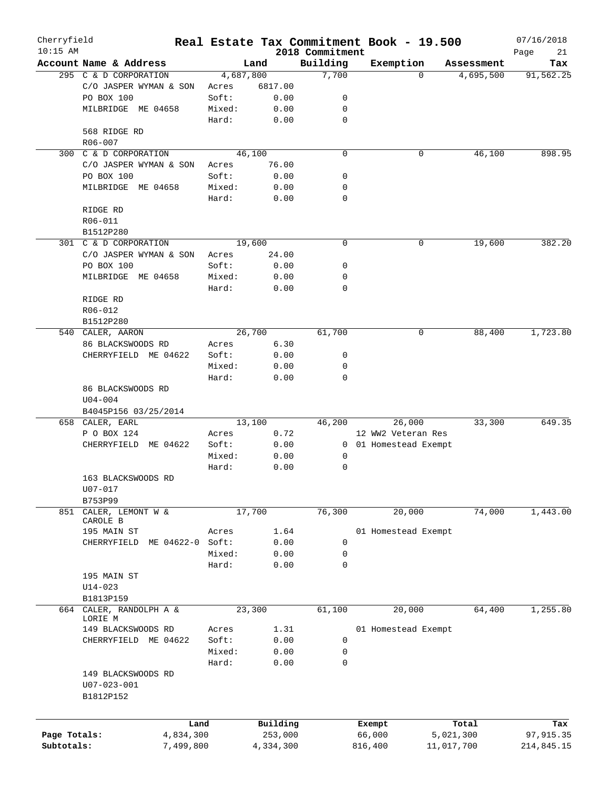| Cherryfield<br>$10:15$ AM |                         |                  |        |           | 2018 Commitment | Real Estate Tax Commitment Book - 19.500 |            |            | 07/16/2018<br>Page<br>21 |
|---------------------------|-------------------------|------------------|--------|-----------|-----------------|------------------------------------------|------------|------------|--------------------------|
|                           | Account Name & Address  |                  |        | Land      | Building        | Exemption                                |            | Assessment | Tax                      |
|                           | 295 C & D CORPORATION   |                  |        | 4,687,800 | 7,700           |                                          | $\Omega$   | 4,695,500  | 91,562.25                |
|                           | C/O JASPER WYMAN & SON  |                  | Acres  | 6817.00   |                 |                                          |            |            |                          |
|                           | PO BOX 100              |                  | Soft:  | 0.00      | 0               |                                          |            |            |                          |
|                           | MILBRIDGE ME 04658      |                  | Mixed: | 0.00      | 0               |                                          |            |            |                          |
|                           |                         |                  | Hard:  | 0.00      | 0               |                                          |            |            |                          |
|                           | 568 RIDGE RD            |                  |        |           |                 |                                          |            |            |                          |
|                           | R06-007                 |                  |        |           |                 |                                          |            |            |                          |
| 300                       | C & D CORPORATION       |                  |        | 46,100    | $\mathbf 0$     |                                          | 0          | 46,100     | 898.95                   |
|                           |                         |                  |        |           |                 |                                          |            |            |                          |
|                           | C/O JASPER WYMAN & SON  |                  | Acres  | 76.00     |                 |                                          |            |            |                          |
|                           | PO BOX 100              |                  | Soft:  | 0.00      | 0               |                                          |            |            |                          |
|                           | MILBRIDGE ME 04658      |                  | Mixed: | 0.00      | 0               |                                          |            |            |                          |
|                           |                         |                  | Hard:  | 0.00      | 0               |                                          |            |            |                          |
|                           | RIDGE RD                |                  |        |           |                 |                                          |            |            |                          |
|                           | R06-011                 |                  |        |           |                 |                                          |            |            |                          |
|                           | B1512P280               |                  |        |           |                 |                                          |            |            |                          |
|                           | 301 C & D CORPORATION   |                  |        | 19,600    | $\mathbf 0$     |                                          | 0          | 19,600     | 382.20                   |
|                           | C/O JASPER WYMAN & SON  |                  | Acres  | 24.00     |                 |                                          |            |            |                          |
|                           | PO BOX 100              |                  | Soft:  | 0.00      | 0               |                                          |            |            |                          |
|                           | MILBRIDGE ME 04658      |                  | Mixed: | 0.00      | 0               |                                          |            |            |                          |
|                           |                         |                  | Hard:  | 0.00      | 0               |                                          |            |            |                          |
|                           | RIDGE RD                |                  |        |           |                 |                                          |            |            |                          |
|                           | R06-012                 |                  |        |           |                 |                                          |            |            |                          |
|                           | B1512P280               |                  |        |           |                 |                                          |            |            |                          |
|                           | 540 CALER, AARON        |                  |        | 26,700    | 61,700          |                                          | 0          | 88,400     | 1,723.80                 |
|                           | 86 BLACKSWOODS RD       |                  | Acres  | 6.30      |                 |                                          |            |            |                          |
|                           | CHERRYFIELD ME 04622    |                  | Soft:  | 0.00      | 0               |                                          |            |            |                          |
|                           |                         |                  | Mixed: | 0.00      | 0               |                                          |            |            |                          |
|                           |                         |                  | Hard:  | 0.00      | 0               |                                          |            |            |                          |
|                           | 86 BLACKSWOODS RD       |                  |        |           |                 |                                          |            |            |                          |
|                           | $U04 - 004$             |                  |        |           |                 |                                          |            |            |                          |
|                           |                         |                  |        |           |                 |                                          |            |            |                          |
|                           | B4045P156 03/25/2014    |                  |        |           |                 |                                          |            | 33,300     | 649.35                   |
|                           | 658 CALER, EARL         |                  |        | 13,100    | 46,200          | 26,000                                   |            |            |                          |
|                           | P O BOX 124             |                  | Acres  | 0.72      |                 | 12 WW2 Veteran Res                       |            |            |                          |
|                           | CHERRYFIELD             | ME 04622         | Soft:  | 0.00      |                 | 0 01 Homestead Exempt                    |            |            |                          |
|                           |                         |                  | Mixed: | 0.00      | 0               |                                          |            |            |                          |
|                           |                         |                  | Hard:  | 0.00      | 0               |                                          |            |            |                          |
|                           | 163 BLACKSWOODS RD      |                  |        |           |                 |                                          |            |            |                          |
|                           | U07-017                 |                  |        |           |                 |                                          |            |            |                          |
|                           | B753P99                 |                  |        |           |                 |                                          |            |            |                          |
| 851                       | CALER, LEMONT W &       |                  |        | 17,700    | 76,300          | 20,000                                   |            | 74,000     | 1,443.00                 |
|                           | CAROLE B                |                  |        |           |                 |                                          |            |            |                          |
|                           | 195 MAIN ST             |                  | Acres  | 1.64      |                 | 01 Homestead Exempt                      |            |            |                          |
|                           | CHERRYFIELD             | ME 04622-0 Soft: |        | 0.00      | 0               |                                          |            |            |                          |
|                           |                         |                  | Mixed: | 0.00      | 0               |                                          |            |            |                          |
|                           |                         |                  | Hard:  | 0.00      | $\mathbf 0$     |                                          |            |            |                          |
|                           | 195 MAIN ST             |                  |        |           |                 |                                          |            |            |                          |
|                           | $U14 - 023$             |                  |        |           |                 |                                          |            |            |                          |
|                           | B1813P159               |                  |        |           |                 |                                          |            |            |                          |
|                           | 664 CALER, RANDOLPH A & |                  |        | 23,300    | 61,100          | 20,000                                   |            | 64,400     | 1,255.80                 |
|                           | LORIE M                 |                  |        |           |                 |                                          |            |            |                          |
|                           | 149 BLACKSWOODS RD      |                  | Acres  | 1.31      |                 | 01 Homestead Exempt                      |            |            |                          |
|                           | CHERRYFIELD ME 04622    |                  | Soft:  | 0.00      | 0               |                                          |            |            |                          |
|                           |                         |                  | Mixed: | 0.00      | 0               |                                          |            |            |                          |
|                           |                         |                  | Hard:  | 0.00      | 0               |                                          |            |            |                          |
|                           | 149 BLACKSWOODS RD      |                  |        |           |                 |                                          |            |            |                          |
|                           | $U07 - 023 - 001$       |                  |        |           |                 |                                          |            |            |                          |
|                           | B1812P152               |                  |        |           |                 |                                          |            |            |                          |
|                           |                         |                  |        |           |                 |                                          |            |            |                          |
|                           |                         |                  |        |           |                 |                                          |            |            |                          |
|                           |                         | Land             |        | Building  |                 | Exempt                                   |            | Total      | Tax                      |
| Page Totals:              |                         | 4,834,300        |        | 253,000   |                 | 66,000                                   |            | 5,021,300  | 97, 915.35               |
| Subtotals:                |                         | 7,499,800        |        | 4,334,300 |                 | 816,400                                  | 11,017,700 |            | 214,845.15               |
|                           |                         |                  |        |           |                 |                                          |            |            |                          |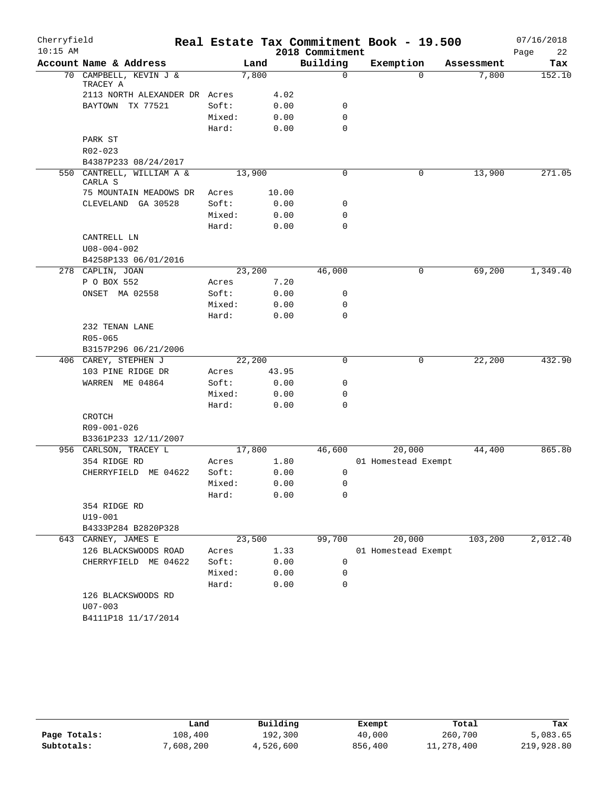| Cherryfield |                                           |        |        |                 | Real Estate Tax Commitment Book - 19.500 |            | 07/16/2018 |
|-------------|-------------------------------------------|--------|--------|-----------------|------------------------------------------|------------|------------|
| $10:15$ AM  |                                           |        |        | 2018 Commitment |                                          |            | 22<br>Page |
|             | Account Name & Address                    |        | Land   | Building        | Exemption                                | Assessment | Tax        |
|             | 70 CAMPBELL, KEVIN J &<br>TRACEY A        |        | 7,800  | $\mathbf 0$     | $\Omega$                                 | 7,800      | 152.10     |
|             | 2113 NORTH ALEXANDER DR Acres             |        | 4.02   |                 |                                          |            |            |
|             | BAYTOWN TX 77521                          | Soft:  | 0.00   | 0               |                                          |            |            |
|             |                                           | Mixed: | 0.00   | 0               |                                          |            |            |
|             |                                           | Hard:  | 0.00   | $\mathbf 0$     |                                          |            |            |
|             | PARK ST                                   |        |        |                 |                                          |            |            |
|             | R02-023                                   |        |        |                 |                                          |            |            |
|             | B4387P233 08/24/2017                      |        |        |                 |                                          |            |            |
|             | 550 CANTRELL, WILLIAM A &<br>CARLA S      |        | 13,900 | $\Omega$        | 0                                        | 13,900     | 271.05     |
|             | 75 MOUNTAIN MEADOWS DR                    | Acres  | 10.00  |                 |                                          |            |            |
|             | CLEVELAND GA 30528                        | Soft:  | 0.00   | 0               |                                          |            |            |
|             |                                           | Mixed: | 0.00   | 0               |                                          |            |            |
|             |                                           | Hard:  | 0.00   | 0               |                                          |            |            |
|             | CANTRELL LN                               |        |        |                 |                                          |            |            |
|             | $U08 - 004 - 002$                         |        |        |                 |                                          |            |            |
|             | B4258P133 06/01/2016                      |        |        |                 |                                          |            |            |
|             | 278 CAPLIN, JOAN                          |        | 23,200 | 46,000          | 0                                        | 69,200     | 1,349.40   |
|             | P O BOX 552                               | Acres  | 7.20   |                 |                                          |            |            |
|             | ONSET MA 02558                            | Soft:  | 0.00   | 0               |                                          |            |            |
|             |                                           | Mixed: | 0.00   | 0               |                                          |            |            |
|             |                                           | Hard:  | 0.00   | 0               |                                          |            |            |
|             | 232 TENAN LANE                            |        |        |                 |                                          |            |            |
|             | $R05 - 065$                               |        |        |                 |                                          |            |            |
|             | B3157P296 06/21/2006                      |        | 22,200 | 0               |                                          | 22,200     | 432.90     |
|             | 406 CAREY, STEPHEN J<br>103 PINE RIDGE DR | Acres  | 43.95  |                 | 0                                        |            |            |
|             | WARREN ME 04864                           | Soft:  | 0.00   | 0               |                                          |            |            |
|             |                                           | Mixed: | 0.00   | 0               |                                          |            |            |
|             |                                           | Hard:  | 0.00   | 0               |                                          |            |            |
|             | CROTCH                                    |        |        |                 |                                          |            |            |
|             | R09-001-026                               |        |        |                 |                                          |            |            |
|             | B3361P233 12/11/2007                      |        |        |                 |                                          |            |            |
|             | 956 CARLSON, TRACEY L                     |        | 17,800 | 46,600          | 20,000                                   | 44,400     | 865.80     |
|             | 354 RIDGE RD                              | Acres  | 1.80   |                 | 01 Homestead Exempt                      |            |            |
|             | CHERRYFIELD ME 04622                      | Soft:  | 0.00   | 0               |                                          |            |            |
|             |                                           | Mixed: | 0.00   | $\mathsf 0$     |                                          |            |            |
|             |                                           | Hard:  | 0.00   | 0               |                                          |            |            |
|             | 354 RIDGE RD                              |        |        |                 |                                          |            |            |
|             | $U19 - 001$                               |        |        |                 |                                          |            |            |
|             | B4333P284 B2820P328                       |        |        |                 |                                          |            |            |
|             | 643 CARNEY, JAMES E                       |        | 23,500 | 99,700          | 20,000                                   | 103,200    | 2,012.40   |
|             | 126 BLACKSWOODS ROAD                      | Acres  | 1.33   |                 | 01 Homestead Exempt                      |            |            |
|             | CHERRYFIELD ME 04622                      | Soft:  | 0.00   | 0               |                                          |            |            |
|             |                                           | Mixed: | 0.00   | 0               |                                          |            |            |
|             |                                           | Hard:  | 0.00   | 0               |                                          |            |            |
|             | 126 BLACKSWOODS RD                        |        |        |                 |                                          |            |            |
|             | $U07 - 003$                               |        |        |                 |                                          |            |            |
|             | B4111P18 11/17/2014                       |        |        |                 |                                          |            |            |

|              | Land      | Building  | Exempt  | Total      | Tax        |
|--------------|-----------|-----------|---------|------------|------------|
| Page Totals: | 108,400   | 192,300   | 40,000  | 260,700    | 5,083.65   |
| Subtotals:   | 7,608,200 | 4,526,600 | 856,400 | 11,278,400 | 219,928.80 |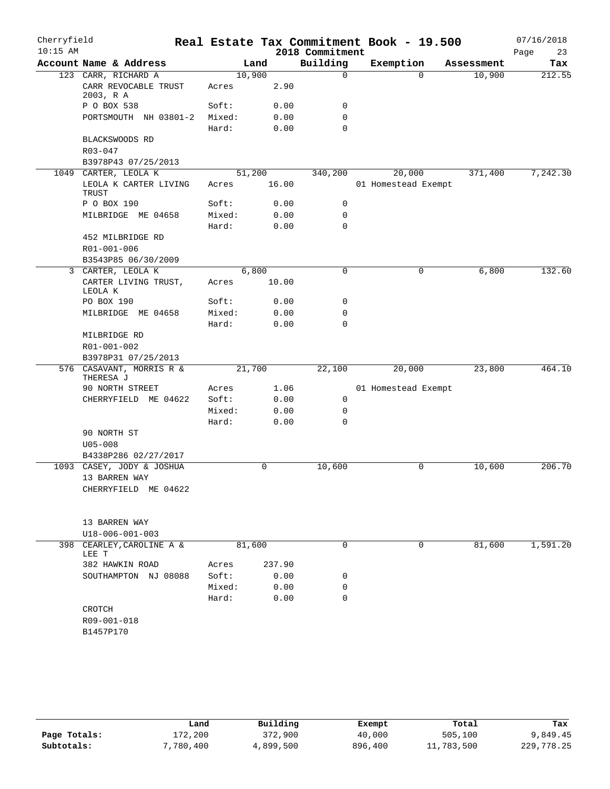| Cherryfield |                                                          |                 |        |                 | Real Estate Tax Commitment Book - 19.500 |            | 07/16/2018 |
|-------------|----------------------------------------------------------|-----------------|--------|-----------------|------------------------------------------|------------|------------|
| $10:15$ AM  |                                                          |                 |        | 2018 Commitment |                                          |            | Page<br>23 |
|             | Account Name & Address                                   |                 | Land   | Building        | Exemption                                | Assessment | Tax        |
|             | 123 CARR, RICHARD A<br>CARR REVOCABLE TRUST<br>2003, R A | 10,900<br>Acres | 2.90   | 0               | $\Omega$                                 | 10,900     | 212.55     |
|             | P O BOX 538                                              | Soft:           | 0.00   | 0               |                                          |            |            |
|             | PORTSMOUTH NH 03801-2                                    | Mixed:          | 0.00   | 0               |                                          |            |            |
|             |                                                          | Hard:           | 0.00   | 0               |                                          |            |            |
|             | BLACKSWOODS RD<br>R03-047                                |                 |        |                 |                                          |            |            |
|             | B3978P43 07/25/2013                                      |                 |        |                 |                                          |            |            |
|             | 1049 CARTER, LEOLA K                                     | 51,200          |        | 340,200         | 20,000                                   | 371,400    | 7,242.30   |
|             | LEOLA K CARTER LIVING<br>TRUST                           | Acres           | 16.00  |                 | 01 Homestead Exempt                      |            |            |
|             | P O BOX 190                                              | Soft:           | 0.00   | 0               |                                          |            |            |
|             | MILBRIDGE ME 04658                                       | Mixed:          | 0.00   | 0               |                                          |            |            |
|             |                                                          | Hard:           | 0.00   | 0               |                                          |            |            |
|             | 452 MILBRIDGE RD                                         |                 |        |                 |                                          |            |            |
|             | R01-001-006<br>B3543P85 06/30/2009                       |                 |        |                 |                                          |            |            |
| 3           | CARTER, LEOLA K                                          |                 | 6,800  | 0               | 0                                        | 6,800      | 132.60     |
|             | CARTER LIVING TRUST,<br>LEOLA K                          | Acres           | 10.00  |                 |                                          |            |            |
|             | PO BOX 190                                               | Soft:           | 0.00   | 0               |                                          |            |            |
|             | MILBRIDGE ME 04658                                       | Mixed:          | 0.00   | 0               |                                          |            |            |
|             |                                                          | Hard:           | 0.00   | 0               |                                          |            |            |
|             | MILBRIDGE RD                                             |                 |        |                 |                                          |            |            |
|             | R01-001-002                                              |                 |        |                 |                                          |            |            |
|             | B3978P31 07/25/2013                                      |                 |        |                 |                                          |            |            |
|             | 576 CASAVANT, MORRIS R &<br>THERESA J                    | 21,700          |        | 22,100          | 20,000                                   | 23,800     | 464.10     |
|             | 90 NORTH STREET                                          | Acres           | 1.06   |                 | 01 Homestead Exempt                      |            |            |
|             | CHERRYFIELD ME 04622                                     | Soft:           | 0.00   | 0               |                                          |            |            |
|             |                                                          | Mixed:          | 0.00   | 0               |                                          |            |            |
|             | 90 NORTH ST                                              | Hard:           | 0.00   | 0               |                                          |            |            |
|             | $U05 - 008$                                              |                 |        |                 |                                          |            |            |
|             | B4338P286 02/27/2017                                     |                 |        |                 |                                          |            |            |
|             | 1093 CASEY, JODY & JOSHUA                                |                 | 0      | 10,600          | 0                                        | 10,600     | 206.70     |
|             | 13 BARREN WAY                                            |                 |        |                 |                                          |            |            |
|             | CHERRYFIELD ME 04622                                     |                 |        |                 |                                          |            |            |
|             |                                                          |                 |        |                 |                                          |            |            |
|             |                                                          |                 |        |                 |                                          |            |            |
|             | 13 BARREN WAY                                            |                 |        |                 |                                          |            |            |
|             | U18-006-001-003                                          |                 |        |                 |                                          |            |            |
|             | 398 CEARLEY, CAROLINE A &<br>LEE T                       | 81,600          |        | 0               | 0                                        | 81,600     | 1,591.20   |
|             | 382 HAWKIN ROAD                                          | Acres           | 237.90 |                 |                                          |            |            |
|             | SOUTHAMPTON NJ 08088                                     | Soft:           | 0.00   | 0               |                                          |            |            |
|             |                                                          | Mixed:          | 0.00   | 0               |                                          |            |            |
|             |                                                          | Hard:           | 0.00   | 0               |                                          |            |            |
|             | CROTCH<br>R09-001-018                                    |                 |        |                 |                                          |            |            |
|             | B1457P170                                                |                 |        |                 |                                          |            |            |
|             |                                                          |                 |        |                 |                                          |            |            |
|             |                                                          |                 |        |                 |                                          |            |            |

|              | Land      | Building  | Exempt  | Total      | Tax        |
|--------------|-----------|-----------|---------|------------|------------|
| Page Totals: | 172,200   | 372,900   | 40,000  | 505,100    | 9,849.45   |
| Subtotals:   | 7,780,400 | 4,899,500 | 896,400 | 11,783,500 | 229,778.25 |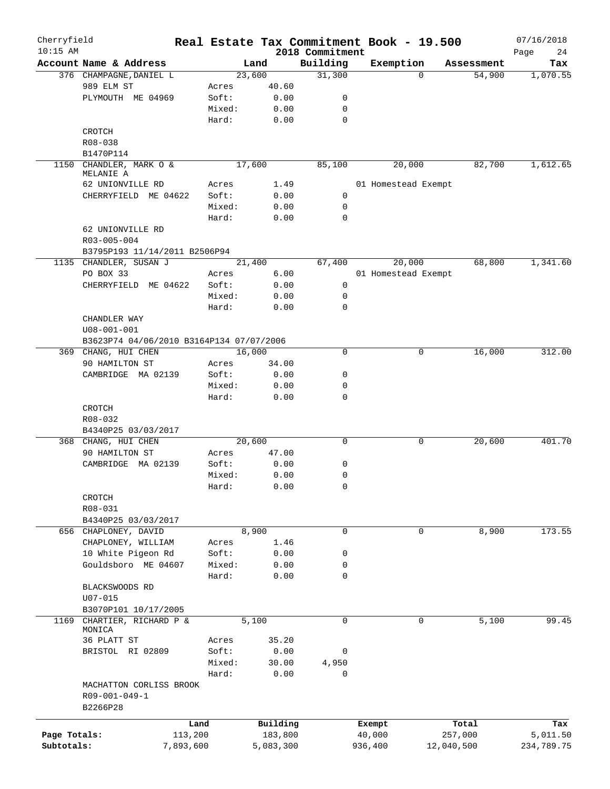| Cherryfield<br>$10:15$ AM |                                          |        | Real Estate Tax Commitment Book - 19.500 |                             |         |                     |            | 07/16/2018        |
|---------------------------|------------------------------------------|--------|------------------------------------------|-----------------------------|---------|---------------------|------------|-------------------|
|                           | Account Name & Address                   |        | Land                                     | 2018 Commitment<br>Building |         | Exemption           | Assessment | Page<br>24<br>Tax |
|                           | 376 CHAMPAGNE, DANIEL L                  |        | 23,600                                   | 31,300                      |         | $\Omega$            | 54,900     | 1,070.55          |
|                           | 989 ELM ST                               | Acres  | 40.60                                    |                             |         |                     |            |                   |
|                           | PLYMOUTH ME 04969                        | Soft:  | 0.00                                     | 0                           |         |                     |            |                   |
|                           |                                          | Mixed: | 0.00                                     | 0                           |         |                     |            |                   |
|                           |                                          | Hard:  | 0.00                                     | $\mathbf 0$                 |         |                     |            |                   |
|                           | CROTCH                                   |        |                                          |                             |         |                     |            |                   |
|                           | R08-038                                  |        |                                          |                             |         |                     |            |                   |
|                           | B1470P114                                |        |                                          |                             |         |                     |            |                   |
| 1150                      | CHANDLER, MARK O &                       |        | 17,600                                   | 85,100                      |         | 20,000              | 82,700     | 1,612.65          |
|                           | MELANIE A                                |        |                                          |                             |         |                     |            |                   |
|                           | 62 UNIONVILLE RD                         | Acres  | 1.49                                     |                             |         | 01 Homestead Exempt |            |                   |
|                           | CHERRYFIELD ME 04622                     | Soft:  | 0.00                                     | $\mathbf 0$                 |         |                     |            |                   |
|                           |                                          | Mixed: | 0.00                                     | 0                           |         |                     |            |                   |
|                           |                                          | Hard:  | 0.00                                     | 0                           |         |                     |            |                   |
|                           | 62 UNIONVILLE RD                         |        |                                          |                             |         |                     |            |                   |
|                           | R03-005-004                              |        |                                          |                             |         |                     |            |                   |
|                           | B3795P193 11/14/2011 B2506P94            |        |                                          |                             |         |                     |            |                   |
|                           | 1135 CHANDLER, SUSAN J                   |        | 21,400                                   | 67,400                      |         | 20,000              | 68,800     | 1,341.60          |
|                           | PO BOX 33                                | Acres  | 6.00                                     |                             |         | 01 Homestead Exempt |            |                   |
|                           | CHERRYFIELD ME 04622                     | Soft:  | 0.00                                     | $\mathbf 0$                 |         |                     |            |                   |
|                           |                                          | Mixed: | 0.00                                     | 0                           |         |                     |            |                   |
|                           |                                          | Hard:  | 0.00                                     | 0                           |         |                     |            |                   |
|                           | CHANDLER WAY                             |        |                                          |                             |         |                     |            |                   |
|                           | $U08 - 001 - 001$                        |        |                                          |                             |         |                     |            |                   |
|                           | B3623P74 04/06/2010 B3164P134 07/07/2006 |        |                                          |                             |         |                     |            |                   |
|                           | 369 CHANG, HUI CHEN                      |        | 16,000                                   | 0                           |         | 0                   | 16,000     | 312.00            |
|                           | 90 HAMILTON ST                           | Acres  | 34.00                                    |                             |         |                     |            |                   |
|                           | MA 02139<br>CAMBRIDGE                    | Soft:  | 0.00                                     | 0                           |         |                     |            |                   |
|                           |                                          | Mixed: | 0.00                                     | 0                           |         |                     |            |                   |
|                           |                                          |        |                                          | 0                           |         |                     |            |                   |
|                           |                                          | Hard:  | 0.00                                     |                             |         |                     |            |                   |
|                           | CROTCH                                   |        |                                          |                             |         |                     |            |                   |
|                           | R08-032                                  |        |                                          |                             |         |                     |            |                   |
|                           | B4340P25 03/03/2017                      |        |                                          |                             |         |                     |            |                   |
|                           | 368 CHANG, HUI CHEN                      |        | 20,600                                   | 0                           |         | 0                   | 20,600     | 401.70            |
|                           | 90 HAMILTON ST                           | Acres  | 47.00                                    |                             |         |                     |            |                   |
|                           | CAMBRIDGE MA 02139                       | Soft:  | 0.00                                     | 0                           |         |                     |            |                   |
|                           |                                          | Mixed: | 0.00                                     | 0                           |         |                     |            |                   |
|                           |                                          | Hard:  | 0.00                                     | 0                           |         |                     |            |                   |
|                           | CROTCH                                   |        |                                          |                             |         |                     |            |                   |
|                           | R08-031                                  |        |                                          |                             |         |                     |            |                   |
|                           | B4340P25 03/03/2017                      |        |                                          |                             |         |                     |            |                   |
|                           | 656 CHAPLONEY, DAVID                     |        | 8,900                                    | 0                           |         | $\mathbf 0$         | 8,900      | 173.55            |
|                           | CHAPLONEY, WILLIAM                       | Acres  | 1.46                                     |                             |         |                     |            |                   |
|                           | 10 White Pigeon Rd                       | Soft:  | 0.00                                     | 0                           |         |                     |            |                   |
|                           | Gouldsboro ME 04607                      | Mixed: | 0.00                                     | 0                           |         |                     |            |                   |
|                           |                                          | Hard:  | 0.00                                     | 0                           |         |                     |            |                   |
|                           | BLACKSWOODS RD                           |        |                                          |                             |         |                     |            |                   |
|                           | $U07 - 015$                              |        |                                          |                             |         |                     |            |                   |
|                           | B3070P101 10/17/2005                     |        |                                          |                             |         |                     |            |                   |
| 1169                      | CHARTIER, RICHARD P &                    |        | 5,100                                    | $\mathbf 0$                 |         | $\mathbf 0$         | 5,100      | 99.45             |
|                           | MONICA                                   |        |                                          |                             |         |                     |            |                   |
|                           | 36 PLATT ST                              | Acres  | 35.20                                    |                             |         |                     |            |                   |
|                           | BRISTOL RI 02809                         | Soft:  | 0.00                                     | 0                           |         |                     |            |                   |
|                           |                                          | Mixed: | 30.00                                    | 4,950                       |         |                     |            |                   |
|                           |                                          | Hard:  | 0.00                                     | 0                           |         |                     |            |                   |
|                           | MACHATTON CORLISS BROOK                  |        |                                          |                             |         |                     |            |                   |
|                           | R09-001-049-1                            |        |                                          |                             |         |                     |            |                   |
|                           | B2266P28                                 |        |                                          |                             |         |                     |            |                   |
|                           |                                          | Land   | Building                                 |                             | Exempt  |                     | Total      | Tax               |
| Page Totals:              | 113,200                                  |        | 183,800                                  |                             | 40,000  |                     | 257,000    | 5,011.50          |
| Subtotals:                | 7,893,600                                |        | 5,083,300                                |                             | 936,400 |                     | 12,040,500 | 234,789.75        |
|                           |                                          |        |                                          |                             |         |                     |            |                   |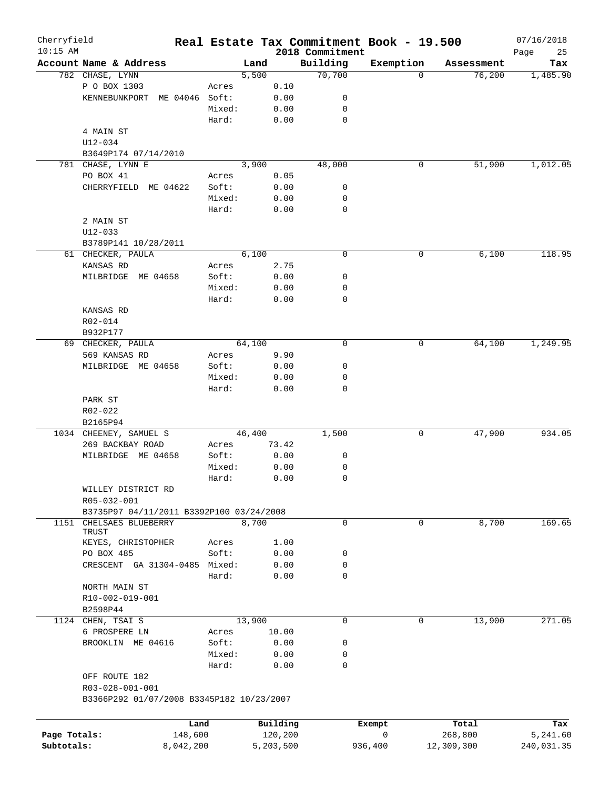| Cherryfield  |                                           |        |        |           |                             | Real Estate Tax Commitment Book - 19.500 |            | 07/16/2018        |
|--------------|-------------------------------------------|--------|--------|-----------|-----------------------------|------------------------------------------|------------|-------------------|
| $10:15$ AM   | Account Name & Address                    |        | Land   |           | 2018 Commitment<br>Building | Exemption                                | Assessment | Page<br>25<br>Tax |
|              | 782 CHASE, LYNN                           |        | 5,500  |           | 70,700                      | 0                                        | 76,200     | 1,485.90          |
|              | P O BOX 1303                              | Acres  |        | 0.10      |                             |                                          |            |                   |
|              | ME 04046 Soft:<br>KENNEBUNKPORT           |        |        | 0.00      | 0                           |                                          |            |                   |
|              |                                           | Mixed: |        | 0.00      | 0                           |                                          |            |                   |
|              |                                           | Hard:  |        | 0.00      | 0                           |                                          |            |                   |
|              | 4 MAIN ST                                 |        |        |           |                             |                                          |            |                   |
|              | $U12 - 034$                               |        |        |           |                             |                                          |            |                   |
|              | B3649P174 07/14/2010                      |        |        |           |                             |                                          |            |                   |
|              |                                           |        | 3,900  |           | 48,000                      | 0                                        | 51,900     |                   |
|              | 781 CHASE, LYNN E                         |        |        |           |                             |                                          |            | 1,012.05          |
|              | PO BOX 41                                 | Acres  |        | 0.05      |                             |                                          |            |                   |
|              | CHERRYFIELD ME 04622                      | Soft:  |        | 0.00      | 0                           |                                          |            |                   |
|              |                                           | Mixed: |        | 0.00      | 0                           |                                          |            |                   |
|              |                                           | Hard:  |        | 0.00      | 0                           |                                          |            |                   |
|              | 2 MAIN ST                                 |        |        |           |                             |                                          |            |                   |
|              | U12-033                                   |        |        |           |                             |                                          |            |                   |
|              | B3789P141 10/28/2011                      |        |        |           |                             |                                          |            |                   |
|              | 61 CHECKER, PAULA                         |        | 6,100  |           | $\mathbf 0$                 | 0                                        | 6,100      | 118.95            |
|              | KANSAS RD                                 | Acres  |        | 2.75      |                             |                                          |            |                   |
|              | ME 04658<br>MILBRIDGE                     | Soft:  |        | 0.00      | 0                           |                                          |            |                   |
|              |                                           | Mixed: |        | 0.00      | 0                           |                                          |            |                   |
|              |                                           | Hard:  |        | 0.00      | 0                           |                                          |            |                   |
|              | KANSAS RD                                 |        |        |           |                             |                                          |            |                   |
|              | R02-014                                   |        |        |           |                             |                                          |            |                   |
|              | B932P177                                  |        |        |           |                             |                                          |            |                   |
|              | 69 CHECKER, PAULA                         |        | 64,100 |           | $\mathbf 0$                 | 0                                        | 64,100     | 1,249.95          |
|              | 569 KANSAS RD                             | Acres  |        | 9.90      |                             |                                          |            |                   |
|              | MILBRIDGE ME 04658                        | Soft:  |        | 0.00      | 0                           |                                          |            |                   |
|              |                                           | Mixed: |        | 0.00      | 0                           |                                          |            |                   |
|              |                                           | Hard:  |        | 0.00      | 0                           |                                          |            |                   |
|              | PARK ST                                   |        |        |           |                             |                                          |            |                   |
|              |                                           |        |        |           |                             |                                          |            |                   |
|              | R02-022                                   |        |        |           |                             |                                          |            |                   |
|              | B2165P94                                  |        |        |           |                             |                                          |            |                   |
|              | 1034 CHEENEY, SAMUEL S                    |        | 46,400 |           | 1,500                       | 0                                        | 47,900     | 934.05            |
|              | 269 BACKBAY ROAD                          | Acres  |        | 73.42     |                             |                                          |            |                   |
|              | MILBRIDGE ME 04658                        | Soft:  |        | 0.00      | 0                           |                                          |            |                   |
|              |                                           | Mixed: |        | 0.00      | 0                           |                                          |            |                   |
|              |                                           | Hard:  |        | 0.00      | 0                           |                                          |            |                   |
|              | WILLEY DISTRICT RD                        |        |        |           |                             |                                          |            |                   |
|              | R05-032-001                               |        |        |           |                             |                                          |            |                   |
|              | B3735P97 04/11/2011 B3392P100 03/24/2008  |        |        |           |                             |                                          |            |                   |
| 1151         | CHELSAES BLUEBERRY                        |        | 8,700  |           | 0                           | 0                                        | 8,700      | 169.65            |
|              | TRUST                                     |        |        |           |                             |                                          |            |                   |
|              | KEYES, CHRISTOPHER                        | Acres  |        | 1.00      |                             |                                          |            |                   |
|              | PO BOX 485                                | Soft:  |        | 0.00      | 0                           |                                          |            |                   |
|              | CRESCENT GA 31304-0485 Mixed:             |        |        | 0.00      | 0                           |                                          |            |                   |
|              |                                           | Hard:  |        | 0.00      | 0                           |                                          |            |                   |
|              | NORTH MAIN ST                             |        |        |           |                             |                                          |            |                   |
|              | R10-002-019-001                           |        |        |           |                             |                                          |            |                   |
|              | B2598P44                                  |        |        |           |                             |                                          |            |                   |
|              | 1124 CHEN, TSAI S                         |        | 13,900 |           | 0                           | 0                                        | 13,900     | 271.05            |
|              | 6 PROSPERE LN                             | Acres  |        | 10.00     |                             |                                          |            |                   |
|              | BROOKLIN ME 04616                         | Soft:  |        | 0.00      | 0                           |                                          |            |                   |
|              |                                           | Mixed: |        | 0.00      | 0                           |                                          |            |                   |
|              |                                           | Hard:  |        | 0.00      | 0                           |                                          |            |                   |
|              | OFF ROUTE 182                             |        |        |           |                             |                                          |            |                   |
|              | R03-028-001-001                           |        |        |           |                             |                                          |            |                   |
|              | B3366P292 01/07/2008 B3345P182 10/23/2007 |        |        |           |                             |                                          |            |                   |
|              |                                           |        |        |           |                             |                                          |            |                   |
|              |                                           |        |        |           |                             |                                          |            |                   |
|              | Land                                      |        |        | Building  |                             | Exempt                                   | Total      | Tax               |
| Page Totals: | 148,600                                   |        |        | 120,200   |                             | 0                                        | 268,800    | 5,241.60          |
| Subtotals:   | 8,042,200                                 |        |        | 5,203,500 |                             | 936,400                                  | 12,309,300 | 240,031.35        |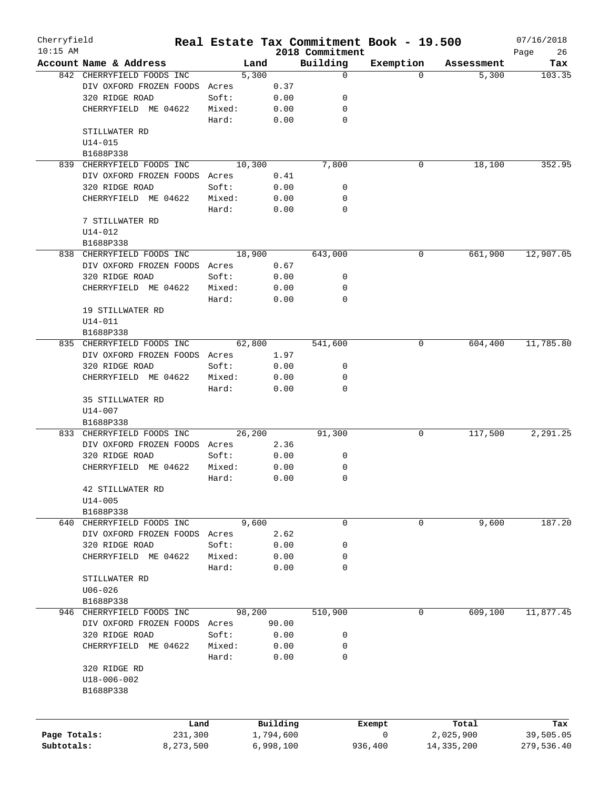| Cherryfield<br>$10:15$ AM |                                           |           |                 |           |              | Real Estate Tax Commitment Book - 19.500<br>2018 Commitment |           |              | 07/16/2018<br>Page<br>26 |
|---------------------------|-------------------------------------------|-----------|-----------------|-----------|--------------|-------------------------------------------------------------|-----------|--------------|--------------------------|
|                           | Account Name & Address                    |           |                 | Land      |              | Building                                                    | Exemption | Assessment   | Tax                      |
|                           | 842 CHERRYFIELD FOODS INC                 |           |                 | 5,300     |              | 0                                                           | $\Omega$  | 5,300        | 103.35                   |
|                           | DIV OXFORD FROZEN FOODS                   |           | Acres           |           | 0.37         |                                                             |           |              |                          |
|                           | 320 RIDGE ROAD                            |           | Soft:           |           | 0.00         | 0                                                           |           |              |                          |
|                           | CHERRYFIELD ME 04622                      |           | Mixed:          |           | 0.00         | 0                                                           |           |              |                          |
|                           |                                           |           | Hard:           |           | 0.00         | $\mathbf 0$                                                 |           |              |                          |
|                           | STILLWATER RD                             |           |                 |           |              |                                                             |           |              |                          |
|                           | $U14 - 015$                               |           |                 |           |              |                                                             |           |              |                          |
|                           | B1688P338                                 |           |                 |           |              |                                                             |           |              |                          |
| 839                       | CHERRYFIELD FOODS INC                     |           |                 | 10,300    |              | 7,800                                                       | 0         | 18,100       | 352.95                   |
|                           | DIV OXFORD FROZEN FOODS Acres             |           |                 |           | 0.41         |                                                             |           |              |                          |
|                           | 320 RIDGE ROAD                            |           | Soft:           |           | 0.00         | 0                                                           |           |              |                          |
|                           | CHERRYFIELD ME 04622                      |           | Mixed:          |           | 0.00         | 0                                                           |           |              |                          |
|                           |                                           |           | Hard:           |           | 0.00         | $\mathbf 0$                                                 |           |              |                          |
|                           | 7 STILLWATER RD                           |           |                 |           |              |                                                             |           |              |                          |
|                           | U14-012                                   |           |                 |           |              |                                                             |           |              |                          |
|                           | B1688P338                                 |           |                 |           |              |                                                             |           |              |                          |
| 838                       | CHERRYFIELD FOODS INC                     |           |                 | 18,900    |              | 643,000                                                     | 0         | 661,900      | 12,907.05                |
|                           | DIV OXFORD FROZEN FOODS                   |           | Acres           |           | 0.67         |                                                             |           |              |                          |
|                           | 320 RIDGE ROAD                            |           | Soft:           |           | 0.00         | 0                                                           |           |              |                          |
|                           | CHERRYFIELD ME 04622                      |           | Mixed:          |           | 0.00         | 0                                                           |           |              |                          |
|                           |                                           |           | Hard:           |           | 0.00         | 0                                                           |           |              |                          |
|                           | 19 STILLWATER RD                          |           |                 |           |              |                                                             |           |              |                          |
|                           | U14-011                                   |           |                 |           |              |                                                             |           |              |                          |
|                           | B1688P338                                 |           |                 |           |              |                                                             |           |              |                          |
| 835                       | CHERRYFIELD FOODS INC                     |           |                 | 62,800    |              | 541,600                                                     | 0         | 604,400      | 11,785.80                |
|                           | DIV OXFORD FROZEN FOODS Acres             |           |                 |           | 1.97         |                                                             |           |              |                          |
|                           | 320 RIDGE ROAD                            |           | Soft:           |           | 0.00         | 0                                                           |           |              |                          |
|                           | CHERRYFIELD ME 04622                      |           | Mixed:          |           | 0.00         | 0                                                           |           |              |                          |
|                           |                                           |           | Hard:           |           | 0.00         | $\Omega$                                                    |           |              |                          |
|                           | 35 STILLWATER RD                          |           |                 |           |              |                                                             |           |              |                          |
|                           | $U14 - 007$                               |           |                 |           |              |                                                             |           |              |                          |
|                           | B1688P338                                 |           |                 |           |              |                                                             |           |              |                          |
| 833                       | CHERRYFIELD FOODS INC                     |           |                 | 26,200    |              | 91,300                                                      | 0         | 117,500      | 2, 291, 25               |
|                           | DIV OXFORD FROZEN FOODS Acres             |           |                 |           | 2.36         | 0                                                           |           |              |                          |
|                           | 320 RIDGE ROAD<br>ME 04622<br>CHERRYFIELD |           | Soft:<br>Mixed: |           | 0.00<br>0.00 | 0                                                           |           |              |                          |
|                           |                                           |           | Hard:           |           | 0.00         | 0                                                           |           |              |                          |
|                           | 42 STILLWATER RD                          |           |                 |           |              |                                                             |           |              |                          |
|                           | $U14 - 005$                               |           |                 |           |              |                                                             |           |              |                          |
|                           | B1688P338                                 |           |                 |           |              |                                                             |           |              |                          |
|                           | 640 CHERRYFIELD FOODS INC                 |           |                 | 9,600     |              | 0                                                           | 0         | 9,600        | 187.20                   |
|                           | DIV OXFORD FROZEN FOODS Acres             |           |                 |           | 2.62         |                                                             |           |              |                          |
|                           | 320 RIDGE ROAD                            |           | Soft:           |           | 0.00         | 0                                                           |           |              |                          |
|                           | CHERRYFIELD ME 04622                      |           | Mixed:          |           | 0.00         | 0                                                           |           |              |                          |
|                           |                                           |           | Hard:           |           | 0.00         | 0                                                           |           |              |                          |
|                           | STILLWATER RD                             |           |                 |           |              |                                                             |           |              |                          |
|                           | $U06 - 026$                               |           |                 |           |              |                                                             |           |              |                          |
|                           | B1688P338                                 |           |                 |           |              |                                                             |           |              |                          |
|                           | 946 CHERRYFIELD FOODS INC                 |           |                 | 98,200    |              | 510,900                                                     | 0         | 609,100      | 11,877.45                |
|                           | DIV OXFORD FROZEN FOODS Acres             |           |                 |           | 90.00        |                                                             |           |              |                          |
|                           | 320 RIDGE ROAD                            |           | Soft:           |           | 0.00         | 0                                                           |           |              |                          |
|                           | CHERRYFIELD ME 04622                      |           | Mixed:          |           | 0.00         | 0                                                           |           |              |                          |
|                           |                                           |           | Hard:           |           | 0.00         | 0                                                           |           |              |                          |
|                           | 320 RIDGE RD                              |           |                 |           |              |                                                             |           |              |                          |
|                           | $U18 - 006 - 002$                         |           |                 |           |              |                                                             |           |              |                          |
|                           | B1688P338                                 |           |                 |           |              |                                                             |           |              |                          |
|                           |                                           |           |                 |           |              |                                                             |           |              |                          |
|                           |                                           |           |                 |           |              |                                                             |           |              |                          |
|                           |                                           | Land      |                 | Building  |              |                                                             | Exempt    | Total        | Tax                      |
| Page Totals:              |                                           | 231,300   |                 | 1,794,600 |              |                                                             | 0         | 2,025,900    | 39,505.05                |
| Subtotals:                |                                           | 8,273,500 |                 | 6,998,100 |              |                                                             | 936,400   | 14, 335, 200 | 279,536.40               |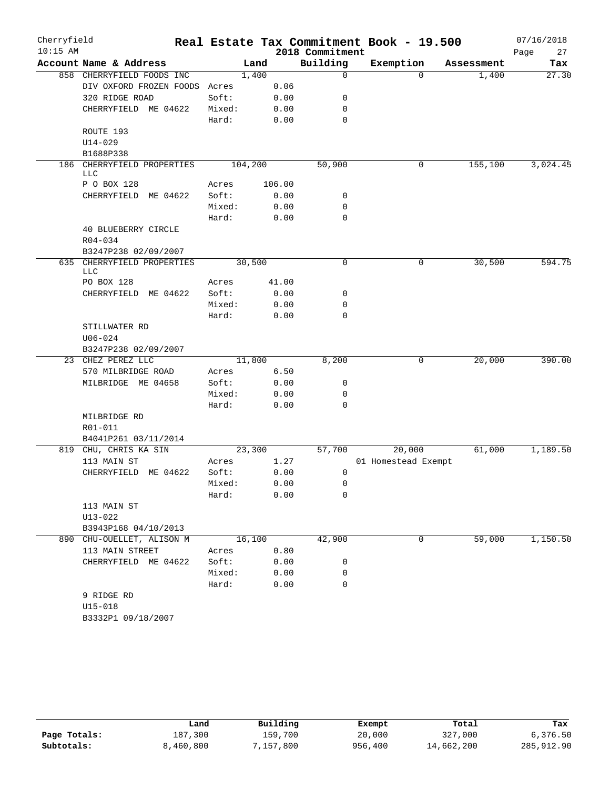| Cherryfield |                               |                 |         |        |                 | Real Estate Tax Commitment Book - 19.500 |            | 07/16/2018 |
|-------------|-------------------------------|-----------------|---------|--------|-----------------|------------------------------------------|------------|------------|
| $10:15$ AM  |                               |                 |         |        | 2018 Commitment |                                          |            | Page<br>27 |
|             | Account Name & Address        |                 | Land    |        | Building        | Exemption                                | Assessment | Tax        |
|             | 858 CHERRYFIELD FOODS INC     |                 | 1,400   |        | $\mathbf 0$     | $\Omega$                                 | 1,400      | 27.30      |
|             | DIV OXFORD FROZEN FOODS       | Acres           |         | 0.06   |                 |                                          |            |            |
|             | 320 RIDGE ROAD                | Soft:           |         | 0.00   | 0               |                                          |            |            |
|             | CHERRYFIELD ME 04622          | Mixed:          |         | 0.00   | 0               |                                          |            |            |
|             |                               | Hard:           |         | 0.00   | 0               |                                          |            |            |
|             | ROUTE 193                     |                 |         |        |                 |                                          |            |            |
|             | $U14 - 029$                   |                 |         |        |                 |                                          |            |            |
|             | B1688P338                     |                 |         |        |                 |                                          |            |            |
| 186         | CHERRYFIELD PROPERTIES<br>LLC |                 | 104,200 |        | 50,900          | 0                                        | 155,100    | 3,024.45   |
|             | P O BOX 128                   | Acres           |         | 106.00 |                 |                                          |            |            |
|             | ME 04622<br>CHERRYFIELD       | Soft:           |         | 0.00   | 0               |                                          |            |            |
|             |                               | Mixed:          |         | 0.00   | 0               |                                          |            |            |
|             |                               | Hard:           |         | 0.00   | $\mathbf 0$     |                                          |            |            |
|             | 40 BLUEBERRY CIRCLE           |                 |         |        |                 |                                          |            |            |
|             | R04-034                       |                 |         |        |                 |                                          |            |            |
|             | B3247P238 02/09/2007          |                 |         |        |                 |                                          |            |            |
|             | 635 CHERRYFIELD PROPERTIES    |                 | 30,500  |        | 0               | 0                                        | 30,500     | 594.75     |
|             | LLC                           |                 |         |        |                 |                                          |            |            |
|             | PO BOX 128                    | Acres           |         | 41.00  |                 |                                          |            |            |
|             | CHERRYFIELD ME 04622          | Soft:           |         | 0.00   | 0               |                                          |            |            |
|             |                               | Mixed:          |         | 0.00   | 0               |                                          |            |            |
|             |                               | Hard:           |         | 0.00   | $\Omega$        |                                          |            |            |
|             | STILLWATER RD                 |                 |         |        |                 |                                          |            |            |
|             | $U06 - 024$                   |                 |         |        |                 |                                          |            |            |
|             | B3247P238 02/09/2007          |                 |         |        |                 |                                          |            |            |
|             | 23 CHEZ PEREZ LLC             |                 | 11,800  |        | 8,200           | 0                                        | 20,000     | 390.00     |
|             | 570 MILBRIDGE ROAD            | Acres           |         | 6.50   |                 |                                          |            |            |
|             | MILBRIDGE ME 04658            | Soft:<br>Mixed: |         | 0.00   | 0<br>0          |                                          |            |            |
|             |                               | Hard:           |         | 0.00   | 0               |                                          |            |            |
|             | MILBRIDGE RD                  |                 |         | 0.00   |                 |                                          |            |            |
|             | R01-011                       |                 |         |        |                 |                                          |            |            |
|             | B4041P261 03/11/2014          |                 |         |        |                 |                                          |            |            |
|             | 819 CHU, CHRIS KA SIN         |                 | 23,300  |        | 57,700          | 20,000                                   | 61,000     | 1,189.50   |
|             | 113 MAIN ST                   | Acres           |         | 1.27   |                 | 01 Homestead Exempt                      |            |            |
|             | CHERRYFIELD ME 04622          | Soft:           |         | 0.00   | 0               |                                          |            |            |
|             |                               | Mixed:          |         | 0.00   | 0               |                                          |            |            |
|             |                               | Hard:           |         | 0.00   | 0               |                                          |            |            |
|             | 113 MAIN ST                   |                 |         |        |                 |                                          |            |            |
|             | $U13 - 022$                   |                 |         |        |                 |                                          |            |            |
|             | B3943P168 04/10/2013          |                 |         |        |                 |                                          |            |            |
|             | 890 CHU-OUELLET, ALISON M     |                 | 16,100  |        | 42,900          | $\mathbf{0}$                             | 59,000     | 1,150.50   |
|             | 113 MAIN STREET               | Acres           |         | 0.80   |                 |                                          |            |            |
|             | CHERRYFIELD ME 04622          | Soft:           |         | 0.00   | 0               |                                          |            |            |
|             |                               | Mixed:          |         | 0.00   | 0               |                                          |            |            |
|             |                               | Hard:           |         | 0.00   | 0               |                                          |            |            |
|             | 9 RIDGE RD                    |                 |         |        |                 |                                          |            |            |
|             | $U15 - 018$                   |                 |         |        |                 |                                          |            |            |
|             | B3332P1 09/18/2007            |                 |         |        |                 |                                          |            |            |

|              | Land      | Building | Exempt  | Total      | Tax        |
|--------------|-----------|----------|---------|------------|------------|
| Page Totals: | 187,300   | 159,700  | 20,000  | 327,000    | 6,376.50   |
| Subtotals:   | 8,460,800 | ,157,800 | 956,400 | 14,662,200 | 285,912.90 |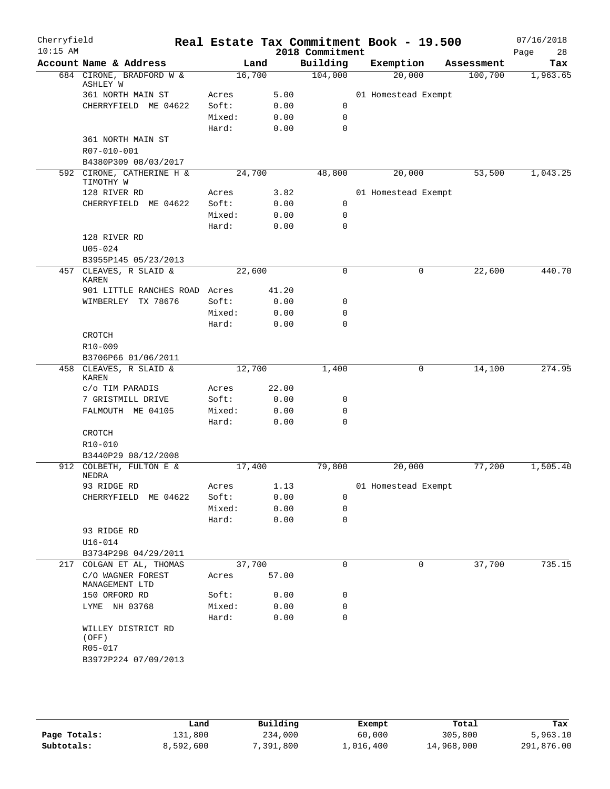| Cherryfield<br>$10:15$ AM |                                           |        |        |       | Real Estate Tax Commitment Book - 19.500<br>2018 Commitment |                     |            | 07/16/2018<br>28<br>Page |
|---------------------------|-------------------------------------------|--------|--------|-------|-------------------------------------------------------------|---------------------|------------|--------------------------|
|                           | Account Name & Address                    |        | Land   |       | Building                                                    | Exemption           | Assessment | Tax                      |
|                           | 684 CIRONE, BRADFORD W &<br>ASHLEY W      |        | 16,700 |       | 104,000                                                     | 20,000              | 100,700    | 1,963.65                 |
|                           | 361 NORTH MAIN ST                         | Acres  |        | 5.00  |                                                             | 01 Homestead Exempt |            |                          |
|                           | CHERRYFIELD ME 04622                      | Soft:  |        | 0.00  | 0                                                           |                     |            |                          |
|                           |                                           | Mixed: |        | 0.00  | $\mathbf 0$                                                 |                     |            |                          |
|                           |                                           | Hard:  |        | 0.00  | $\mathbf 0$                                                 |                     |            |                          |
|                           | 361 NORTH MAIN ST<br>R07-010-001          |        |        |       |                                                             |                     |            |                          |
|                           | B4380P309 08/03/2017                      |        |        |       |                                                             |                     |            |                          |
|                           | 592 CIRONE, CATHERINE H &<br>TIMOTHY W    |        | 24,700 |       | 48,800                                                      | 20,000              | 53,500     | 1,043.25                 |
|                           | 128 RIVER RD                              | Acres  |        | 3.82  |                                                             | 01 Homestead Exempt |            |                          |
|                           | CHERRYFIELD ME 04622                      | Soft:  |        | 0.00  | 0                                                           |                     |            |                          |
|                           |                                           | Mixed: |        | 0.00  | 0                                                           |                     |            |                          |
|                           |                                           | Hard:  |        | 0.00  | $\mathbf 0$                                                 |                     |            |                          |
|                           | 128 RIVER RD                              |        |        |       |                                                             |                     |            |                          |
|                           | $U05 - 024$                               |        |        |       |                                                             |                     |            |                          |
|                           | B3955P145 05/23/2013                      |        |        |       |                                                             |                     |            |                          |
|                           | 457 CLEAVES, R SLAID &<br>KAREN           |        | 22,600 |       | $\mathbf 0$                                                 | 0                   | 22,600     | 440.70                   |
|                           | 901 LITTLE RANCHES ROAD                   | Acres  |        | 41.20 |                                                             |                     |            |                          |
|                           | WIMBERLEY TX 78676                        | Soft:  |        | 0.00  | 0                                                           |                     |            |                          |
|                           |                                           | Mixed: |        | 0.00  | $\mathbf 0$                                                 |                     |            |                          |
|                           |                                           | Hard:  |        | 0.00  | $\mathbf 0$                                                 |                     |            |                          |
|                           | CROTCH                                    |        |        |       |                                                             |                     |            |                          |
|                           | R10-009                                   |        |        |       |                                                             |                     |            |                          |
|                           | B3706P66 01/06/2011                       |        |        |       |                                                             |                     |            |                          |
|                           | 458 CLEAVES, R SLAID &<br><b>KAREN</b>    |        | 12,700 |       | 1,400                                                       | 0                   | 14,100     | 274.95                   |
|                           | c/o TIM PARADIS                           | Acres  |        | 22.00 |                                                             |                     |            |                          |
|                           | 7 GRISTMILL DRIVE                         | Soft:  |        | 0.00  | 0                                                           |                     |            |                          |
|                           | FALMOUTH ME 04105                         | Mixed: |        | 0.00  | 0                                                           |                     |            |                          |
|                           |                                           | Hard:  |        | 0.00  | $\mathbf 0$                                                 |                     |            |                          |
|                           | CROTCH                                    |        |        |       |                                                             |                     |            |                          |
|                           | R10-010                                   |        |        |       |                                                             |                     |            |                          |
|                           | B3440P29 08/12/2008                       |        |        |       |                                                             |                     |            |                          |
|                           | 912 COLBETH, FULTON E &<br>NEDRA          |        | 17,400 |       | 79,800                                                      | 20,000              | 77,200     | 1,505.40                 |
|                           | 93 RIDGE RD                               | Acres  |        | 1.13  |                                                             | 01 Homestead Exempt |            |                          |
|                           | CHERRYFIELD<br>ME 04622                   | Soft:  |        | 0.00  | 0                                                           |                     |            |                          |
|                           |                                           | Mixed: |        | 0.00  | 0                                                           |                     |            |                          |
|                           |                                           | Hard:  |        | 0.00  | $\mathbf 0$                                                 |                     |            |                          |
|                           | 93 RIDGE RD                               |        |        |       |                                                             |                     |            |                          |
|                           | $U16 - 014$                               |        |        |       |                                                             |                     |            |                          |
|                           | B3734P298 04/29/2011                      |        |        |       |                                                             |                     |            |                          |
| 217                       | COLGAN ET AL, THOMAS<br>C/O WAGNER FOREST |        | 37,700 |       | $\mathbf 0$                                                 | 0                   | 37,700     | 735.15                   |
|                           | MANAGEMENT LTD                            | Acres  |        | 57.00 |                                                             |                     |            |                          |
|                           | 150 ORFORD RD                             | Soft:  |        | 0.00  | 0                                                           |                     |            |                          |
|                           | LYME NH 03768                             | Mixed: |        | 0.00  | $\mathbf 0$                                                 |                     |            |                          |
|                           |                                           | Hard:  |        | 0.00  | $\mathbf 0$                                                 |                     |            |                          |
|                           | WILLEY DISTRICT RD<br>(OFF)<br>R05-017    |        |        |       |                                                             |                     |            |                          |
|                           | B3972P224 07/09/2013                      |        |        |       |                                                             |                     |            |                          |
|                           |                                           |        |        |       |                                                             |                     |            |                          |
|                           |                                           |        |        |       |                                                             |                     |            |                          |

|              | Land      | Building | Exempt    | Total      | Tax        |
|--------------|-----------|----------|-----------|------------|------------|
| Page Totals: | 131,800   | 234,000  | 60,000    | 305,800    | 5,963.10   |
| Subtotals:   | 8,592,600 | ,391,800 | 1,016,400 | 14,968,000 | 291,876.00 |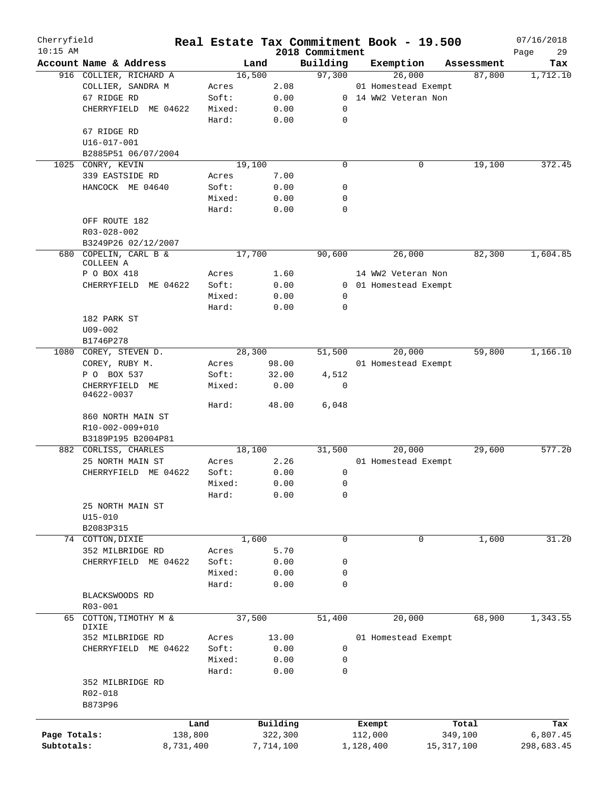| Cherryfield<br>$10:15$ AM |                                    |           |        |           | 2018 Commitment | Real Estate Tax Commitment Book - 19.500 |              | 07/16/2018<br>29<br>Page |
|---------------------------|------------------------------------|-----------|--------|-----------|-----------------|------------------------------------------|--------------|--------------------------|
|                           | Account Name & Address             |           | Land   |           | Building        | Exemption                                | Assessment   | Tax                      |
|                           | 916 COLLIER, RICHARD A             |           | 16,500 |           | 97,300          | 26,000                                   | 87,800       | 1,712.10                 |
|                           | COLLIER, SANDRA M                  |           | Acres  | 2.08      |                 | 01 Homestead Exempt                      |              |                          |
|                           | 67 RIDGE RD                        |           | Soft:  | 0.00      |                 | 0 14 WW2 Veteran Non                     |              |                          |
|                           | CHERRYFIELD<br>ME 04622            |           | Mixed: | 0.00      | 0               |                                          |              |                          |
|                           |                                    |           | Hard:  | 0.00      | 0               |                                          |              |                          |
|                           |                                    |           |        |           |                 |                                          |              |                          |
|                           | 67 RIDGE RD                        |           |        |           |                 |                                          |              |                          |
|                           | U16-017-001                        |           |        |           |                 |                                          |              |                          |
|                           | B2885P51 06/07/2004                |           |        |           |                 |                                          |              |                          |
| 1025                      | CONRY, KEVIN                       |           | 19,100 |           | $\mathbf 0$     | 0                                        | 19,100       | 372.45                   |
|                           | 339 EASTSIDE RD                    |           | Acres  | 7.00      |                 |                                          |              |                          |
|                           | HANCOCK ME 04640                   |           | Soft:  | 0.00      | 0               |                                          |              |                          |
|                           |                                    |           | Mixed: | 0.00      | 0               |                                          |              |                          |
|                           |                                    |           | Hard:  | 0.00      | 0               |                                          |              |                          |
|                           | OFF ROUTE 182                      |           |        |           |                 |                                          |              |                          |
|                           | R03-028-002                        |           |        |           |                 |                                          |              |                          |
|                           | B3249P26 02/12/2007                |           |        |           |                 |                                          |              |                          |
|                           |                                    |           |        |           |                 |                                          |              |                          |
|                           | 680 COPELIN, CARL B &<br>COLLEEN A |           | 17,700 |           | 90,600          | 26,000                                   | 82,300       | 1,604.85                 |
|                           |                                    |           |        |           |                 | 14 WW2 Veteran Non                       |              |                          |
|                           | P O BOX 418                        |           | Acres  | 1.60      |                 |                                          |              |                          |
|                           | CHERRYFIELD ME 04622               |           | Soft:  | 0.00      |                 | 0 01 Homestead Exempt                    |              |                          |
|                           |                                    |           | Mixed: | 0.00      | 0               |                                          |              |                          |
|                           |                                    |           | Hard:  | 0.00      | 0               |                                          |              |                          |
|                           | 182 PARK ST                        |           |        |           |                 |                                          |              |                          |
|                           | $U09 - 002$                        |           |        |           |                 |                                          |              |                          |
|                           | B1746P278                          |           |        |           |                 |                                          |              |                          |
|                           | 1080 COREY, STEVEN D.              |           | 28,300 |           | 51,500          | 20,000                                   | 59,800       | 1,166.10                 |
|                           | COREY, RUBY M.                     |           | Acres  | 98.00     |                 | 01 Homestead Exempt                      |              |                          |
|                           |                                    |           |        |           |                 |                                          |              |                          |
|                           | P O BOX 537                        |           | Soft:  | 32.00     | 4,512           |                                          |              |                          |
|                           | CHERRYFIELD ME                     |           | Mixed: | 0.00      | 0               |                                          |              |                          |
|                           | 04622-0037                         |           |        |           |                 |                                          |              |                          |
|                           |                                    |           | Hard:  | 48.00     | 6,048           |                                          |              |                          |
|                           | 860 NORTH MAIN ST                  |           |        |           |                 |                                          |              |                          |
|                           | R10-002-009+010                    |           |        |           |                 |                                          |              |                          |
|                           | B3189P195 B2004P81                 |           |        |           |                 |                                          |              |                          |
|                           | 882 CORLISS, CHARLES               |           | 18,100 |           | 31,500          | 20,000                                   | 29,600       | 577.20                   |
|                           | 25 NORTH MAIN ST                   |           | Acres  | 2.26      |                 | 01 Homestead Exempt                      |              |                          |
|                           | CHERRYFIELD ME 04622               |           | Soft:  | 0.00      | 0               |                                          |              |                          |
|                           |                                    |           | Mixed: | 0.00      | 0               |                                          |              |                          |
|                           |                                    |           | Hard:  | 0.00      | 0               |                                          |              |                          |
|                           | 25 NORTH MAIN ST                   |           |        |           |                 |                                          |              |                          |
|                           | U15-010                            |           |        |           |                 |                                          |              |                          |
|                           |                                    |           |        |           |                 |                                          |              |                          |
|                           | B2083P315                          |           |        |           |                 |                                          |              |                          |
|                           | 74 COTTON, DIXIE                   |           | 1,600  |           | 0               | 0                                        | 1,600        | 31.20                    |
|                           | 352 MILBRIDGE RD                   |           | Acres  | 5.70      |                 |                                          |              |                          |
|                           | CHERRYFIELD ME 04622               |           | Soft:  | 0.00      | 0               |                                          |              |                          |
|                           |                                    |           | Mixed: | 0.00      | 0               |                                          |              |                          |
|                           |                                    |           | Hard:  | 0.00      | 0               |                                          |              |                          |
|                           | BLACKSWOODS RD                     |           |        |           |                 |                                          |              |                          |
|                           | R03-001                            |           |        |           |                 |                                          |              |                          |
| 65                        | COTTON, TIMOTHY M &                |           | 37,500 |           | 51,400          | 20,000                                   | 68,900       | 1,343.55                 |
|                           | DIXIE                              |           |        |           |                 |                                          |              |                          |
|                           | 352 MILBRIDGE RD                   |           | Acres  | 13.00     |                 | 01 Homestead Exempt                      |              |                          |
|                           | CHERRYFIELD ME 04622               |           | Soft:  | 0.00      | 0               |                                          |              |                          |
|                           |                                    |           | Mixed: | 0.00      | 0               |                                          |              |                          |
|                           |                                    |           |        |           |                 |                                          |              |                          |
|                           |                                    |           | Hard:  | 0.00      | 0               |                                          |              |                          |
|                           | 352 MILBRIDGE RD                   |           |        |           |                 |                                          |              |                          |
|                           | R02-018                            |           |        |           |                 |                                          |              |                          |
|                           | B873P96                            |           |        |           |                 |                                          |              |                          |
|                           |                                    |           |        |           |                 |                                          |              |                          |
|                           |                                    | Land      |        | Building  |                 | Exempt                                   | Total        | Tax                      |
| Page Totals:              |                                    | 138,800   |        | 322,300   |                 | 112,000                                  | 349,100      | 6,807.45                 |
| Subtotals:                |                                    | 8,731,400 |        | 7,714,100 |                 | 1,128,400                                | 15, 317, 100 | 298,683.45               |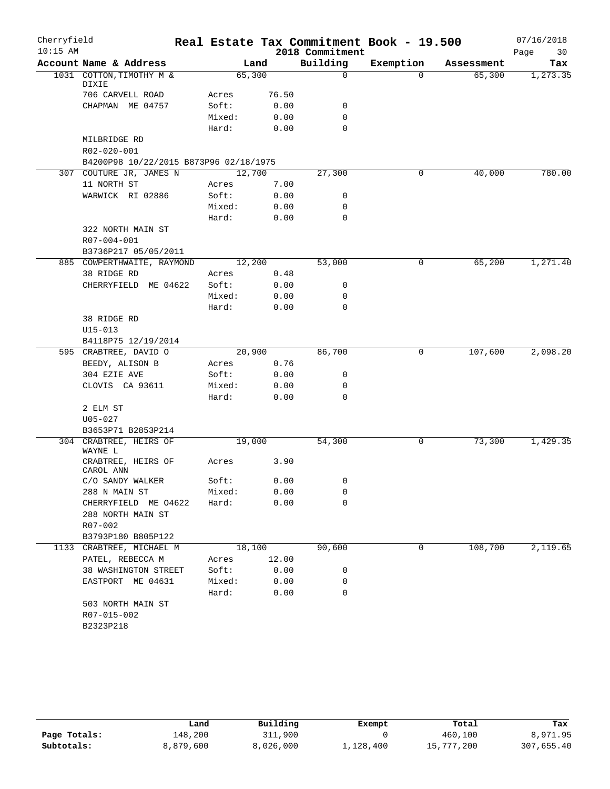| Cherryfield |                                        |        |        |                 | Real Estate Tax Commitment Book - 19.500 |            | 07/16/2018 |
|-------------|----------------------------------------|--------|--------|-----------------|------------------------------------------|------------|------------|
| $10:15$ AM  |                                        |        |        | 2018 Commitment |                                          |            | 30<br>Page |
|             | Account Name & Address                 |        | Land   | Building        | Exemption                                | Assessment | Tax        |
|             | 1031 COTTON, TIMOTHY M &<br>DIXIE      |        | 65,300 | $\mathbf 0$     | $\Omega$                                 | 65,300     | 1,273.35   |
|             | 706 CARVELL ROAD                       | Acres  | 76.50  |                 |                                          |            |            |
|             | CHAPMAN ME 04757                       | Soft:  | 0.00   | 0               |                                          |            |            |
|             |                                        | Mixed: | 0.00   | 0               |                                          |            |            |
|             |                                        | Hard:  | 0.00   | $\mathbf 0$     |                                          |            |            |
|             | MILBRIDGE RD                           |        |        |                 |                                          |            |            |
|             | R02-020-001                            |        |        |                 |                                          |            |            |
|             | B4200P98 10/22/2015 B873P96 02/18/1975 |        |        |                 |                                          |            |            |
|             | 307 COUTURE JR, JAMES N                |        | 12,700 | 27,300          | 0                                        | 40,000     | 780.00     |
|             | 11 NORTH ST                            | Acres  | 7.00   |                 |                                          |            |            |
|             | WARWICK RI 02886                       | Soft:  | 0.00   | 0               |                                          |            |            |
|             |                                        | Mixed: | 0.00   | 0               |                                          |            |            |
|             |                                        | Hard:  | 0.00   | $\mathbf 0$     |                                          |            |            |
|             | 322 NORTH MAIN ST                      |        |        |                 |                                          |            |            |
|             | R07-004-001                            |        |        |                 |                                          |            |            |
|             | B3736P217 05/05/2011                   |        |        |                 |                                          |            |            |
|             | 885 COWPERTHWAITE, RAYMOND             |        | 12,200 | 53,000          | 0                                        | 65,200     | 1,271.40   |
|             | 38 RIDGE RD                            | Acres  | 0.48   |                 |                                          |            |            |
|             | CHERRYFIELD ME 04622                   | Soft:  | 0.00   | 0               |                                          |            |            |
|             |                                        | Mixed: | 0.00   | 0               |                                          |            |            |
|             |                                        | Hard:  | 0.00   | 0               |                                          |            |            |
|             | 38 RIDGE RD                            |        |        |                 |                                          |            |            |
|             | $U15 - 013$                            |        |        |                 |                                          |            |            |
|             | B4118P75 12/19/2014                    |        |        |                 |                                          |            |            |
|             | 595 CRABTREE, DAVID O                  |        | 20,900 | 86,700          | 0                                        | 107,600    | 2,098.20   |
|             | BEEDY, ALISON B                        | Acres  | 0.76   |                 |                                          |            |            |
|             | 304 EZIE AVE                           | Soft:  | 0.00   | 0               |                                          |            |            |
|             | CLOVIS CA 93611                        | Mixed: | 0.00   | 0               |                                          |            |            |
|             |                                        | Hard:  | 0.00   | 0               |                                          |            |            |
|             | 2 ELM ST                               |        |        |                 |                                          |            |            |
|             | $U05 - 027$                            |        |        |                 |                                          |            |            |
|             | B3653P71 B2853P214                     |        |        |                 |                                          |            |            |
|             | 304 CRABTREE, HEIRS OF                 |        | 19,000 | 54,300          | 0                                        | 73,300     | 1,429.35   |
|             | WAYNE L                                |        |        |                 |                                          |            |            |
|             | CRABTREE, HEIRS OF                     | Acres  | 3.90   |                 |                                          |            |            |
|             | CAROL ANN                              |        |        |                 |                                          |            |            |
|             | C/O SANDY WALKER                       | Soft:  | 0.00   | 0               |                                          |            |            |
|             | 288 N MAIN ST                          | Mixed: | 0.00   | 0               |                                          |            |            |
|             | CHERRYFIELD ME 04622                   | Hard:  | 0.00   | 0               |                                          |            |            |
|             | 288 NORTH MAIN ST                      |        |        |                 |                                          |            |            |
|             | R07-002                                |        |        |                 |                                          |            |            |
|             | B3793P180 B805P122                     |        |        |                 |                                          |            |            |
|             | 1133 CRABTREE, MICHAEL M               |        | 18,100 | 90,600          | 0                                        | 108,700    | 2,119.65   |
|             | PATEL, REBECCA M                       | Acres  | 12.00  |                 |                                          |            |            |
|             | 38 WASHINGTON STREET                   | Soft:  | 0.00   | 0               |                                          |            |            |
|             | EASTPORT ME 04631                      | Mixed: | 0.00   | 0               |                                          |            |            |
|             |                                        | Hard:  | 0.00   | 0               |                                          |            |            |
|             | 503 NORTH MAIN ST                      |        |        |                 |                                          |            |            |
|             | R07-015-002                            |        |        |                 |                                          |            |            |
|             | B2323P218                              |        |        |                 |                                          |            |            |

|              | Land      | Building  | Exempt    | Total      | Tax        |
|--------------|-----------|-----------|-----------|------------|------------|
| Page Totals: | 148,200   | 311,900   |           | 460,100    | 8,971.95   |
| Subtotals:   | 8,879,600 | 8,026,000 | ⊥,128,400 | 15,777,200 | 307,655.40 |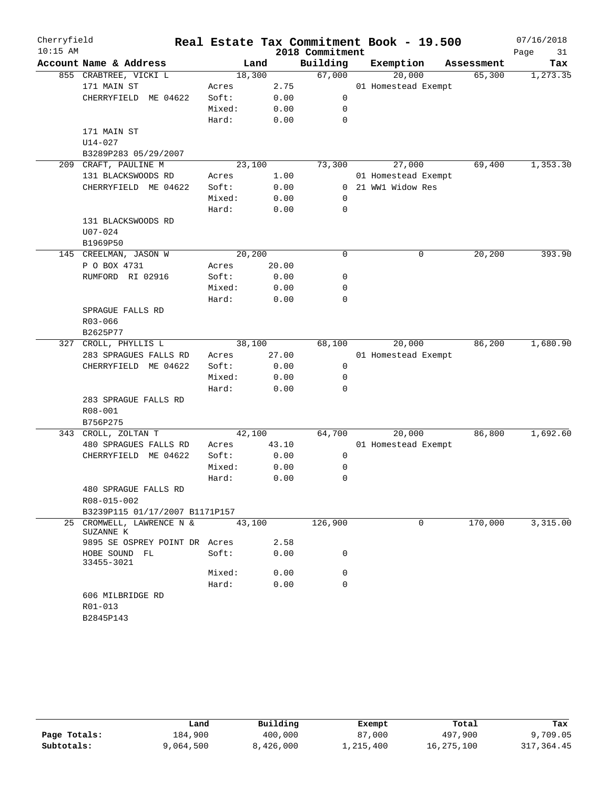| Cherryfield |                                     |        |       |                 | Real Estate Tax Commitment Book - 19.500 |            | 07/16/2018 |
|-------------|-------------------------------------|--------|-------|-----------------|------------------------------------------|------------|------------|
| $10:15$ AM  |                                     |        |       | 2018 Commitment |                                          |            | Page<br>31 |
|             | Account Name & Address              | Land   |       | Building        | Exemption                                | Assessment | Tax        |
|             | 855 CRABTREE, VICKI L               | 18,300 |       | 67,000          | 20,000                                   | 65,300     | 1,273.35   |
|             | 171 MAIN ST                         | Acres  | 2.75  |                 | 01 Homestead Exempt                      |            |            |
|             | CHERRYFIELD ME 04622                | Soft:  | 0.00  | $\mathbf 0$     |                                          |            |            |
|             |                                     | Mixed: | 0.00  | $\mathbf 0$     |                                          |            |            |
|             |                                     | Hard:  | 0.00  | $\mathbf 0$     |                                          |            |            |
|             | 171 MAIN ST                         |        |       |                 |                                          |            |            |
|             | $U14 - 027$                         |        |       |                 |                                          |            |            |
|             | B3289P283 05/29/2007                |        |       |                 |                                          |            |            |
|             | 209 CRAFT, PAULINE M                | 23,100 |       | 73,300          | 27,000                                   | 69,400     | 1,353.30   |
|             | 131 BLACKSWOODS RD                  | Acres  | 1.00  |                 | 01 Homestead Exempt                      |            |            |
|             | CHERRYFIELD ME 04622                | Soft:  | 0.00  |                 | 0 21 WW1 Widow Res                       |            |            |
|             |                                     | Mixed: | 0.00  | $\mathbf 0$     |                                          |            |            |
|             |                                     | Hard:  | 0.00  | $\mathbf 0$     |                                          |            |            |
|             | 131 BLACKSWOODS RD                  |        |       |                 |                                          |            |            |
|             | $U07 - 024$                         |        |       |                 |                                          |            |            |
|             | B1969P50                            |        |       |                 |                                          |            |            |
|             | 145 CREELMAN, JASON W               | 20,200 |       | $\mathbf 0$     | 0                                        | 20, 200    | 393.90     |
|             | P O BOX 4731                        | Acres  | 20.00 |                 |                                          |            |            |
|             | RUMFORD RI 02916                    | Soft:  | 0.00  | 0               |                                          |            |            |
|             |                                     | Mixed: | 0.00  | 0               |                                          |            |            |
|             |                                     | Hard:  | 0.00  | $\mathbf 0$     |                                          |            |            |
|             | SPRAGUE FALLS RD                    |        |       |                 |                                          |            |            |
|             | R03-066                             |        |       |                 |                                          |            |            |
|             | B2625P77                            |        |       |                 |                                          |            |            |
| 327         | CROLL, PHYLLIS L                    | 38,100 |       | 68,100          | 20,000                                   | 86,200     | 1,680.90   |
|             | 283 SPRAGUES FALLS RD               | Acres  | 27.00 |                 | 01 Homestead Exempt                      |            |            |
|             | CHERRYFIELD ME 04622                | Soft:  | 0.00  | $\mathbf 0$     |                                          |            |            |
|             |                                     | Mixed: | 0.00  | 0               |                                          |            |            |
|             |                                     | Hard:  | 0.00  | $\mathbf 0$     |                                          |            |            |
|             | 283 SPRAGUE FALLS RD                |        |       |                 |                                          |            |            |
|             | R08-001                             |        |       |                 |                                          |            |            |
|             | B756P275                            |        |       |                 |                                          |            |            |
|             | 343 CROLL, ZOLTAN T                 | 42,100 |       | 64,700          | 20,000                                   | 86,800     | 1,692.60   |
|             | 480 SPRAGUES FALLS RD               | Acres  | 43.10 |                 | 01 Homestead Exempt                      |            |            |
|             | CHERRYFIELD ME 04622                | Soft:  | 0.00  | $\mathbf 0$     |                                          |            |            |
|             |                                     | Mixed: | 0.00  | 0               |                                          |            |            |
|             |                                     | Hard:  | 0.00  | $\mathbf 0$     |                                          |            |            |
|             | 480 SPRAGUE FALLS RD                |        |       |                 |                                          |            |            |
|             | R08-015-002                         |        |       |                 |                                          |            |            |
|             | B3239P115 01/17/2007 B1171P157      |        |       |                 |                                          |            |            |
| 25          | CROMWELL, LAWRENCE N &<br>SUZANNE K | 43,100 |       | 126,900         | 0                                        | 170,000    | 3,315.00   |
|             | 9895 SE OSPREY POINT DR Acres       |        | 2.58  |                 |                                          |            |            |
|             | HOBE SOUND FL<br>33455-3021         | Soft:  | 0.00  | 0               |                                          |            |            |
|             |                                     | Mixed: | 0.00  | 0               |                                          |            |            |
|             |                                     | Hard:  | 0.00  | $\mathbf 0$     |                                          |            |            |
|             | 606 MILBRIDGE RD                    |        |       |                 |                                          |            |            |
|             | R01-013                             |        |       |                 |                                          |            |            |
|             | B2845P143                           |        |       |                 |                                          |            |            |
|             |                                     |        |       |                 |                                          |            |            |

|              | Land      | Building  | Exempt    | Total      | Tax        |
|--------------|-----------|-----------|-----------|------------|------------|
| Page Totals: | 184,900   | 400,000   | 87,000    | 497,900    | 9,709.05   |
| Subtotals:   | 9,064,500 | 8,426,000 | 1,215,400 | 16,275,100 | 317,364.45 |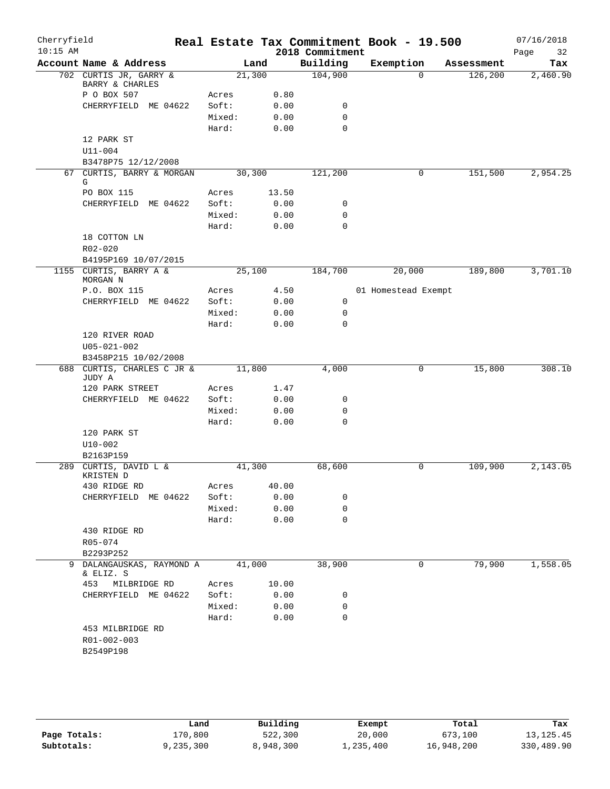| Cherryfield<br>$10:15$ AM |                                                    |        |       | 2018 Commitment            | Real Estate Tax Commitment Book - 19.500 |                      | 07/16/2018        |
|---------------------------|----------------------------------------------------|--------|-------|----------------------------|------------------------------------------|----------------------|-------------------|
|                           | Account Name & Address                             |        | Land  | Building                   | Exemption                                | Assessment           | 32<br>Page<br>Tax |
|                           | 702 CURTIS JR, GARRY &                             | 21,300 |       | 104,900                    | $\Omega$                                 | 126,200              | 2,460.90          |
|                           | BARRY & CHARLES                                    |        |       |                            |                                          |                      |                   |
|                           | P O BOX 507                                        | Acres  | 0.80  |                            |                                          |                      |                   |
|                           | CHERRYFIELD ME 04622                               | Soft:  | 0.00  | 0                          |                                          |                      |                   |
|                           |                                                    | Mixed: | 0.00  | $\mathbf 0$<br>$\mathbf 0$ |                                          |                      |                   |
|                           | 12 PARK ST                                         | Hard:  | 0.00  |                            |                                          |                      |                   |
|                           | $U11 - 004$                                        |        |       |                            |                                          |                      |                   |
|                           | B3478P75 12/12/2008                                |        |       |                            |                                          |                      |                   |
|                           | 67 CURTIS, BARRY & MORGAN                          | 30,300 |       | 121,200                    | 0                                        | $1\overline{51,500}$ | 2,954.25          |
|                           | G                                                  |        |       |                            |                                          |                      |                   |
|                           | PO BOX 115                                         | Acres  | 13.50 |                            |                                          |                      |                   |
|                           | CHERRYFIELD ME 04622                               | Soft:  | 0.00  | 0                          |                                          |                      |                   |
|                           |                                                    | Mixed: | 0.00  | 0                          |                                          |                      |                   |
|                           |                                                    | Hard:  | 0.00  | 0                          |                                          |                      |                   |
|                           | 18 COTTON LN                                       |        |       |                            |                                          |                      |                   |
|                           | R02-020                                            |        |       |                            |                                          |                      |                   |
| 1155                      | B4195P169 10/07/2015<br>CURTIS, BARRY A &          | 25,100 |       | 184,700                    | 20,000                                   | 189,800              | 3,701.10          |
|                           | MORGAN N                                           |        |       |                            |                                          |                      |                   |
|                           | P.O. BOX 115                                       | Acres  | 4.50  |                            | 01 Homestead Exempt                      |                      |                   |
|                           | CHERRYFIELD ME 04622                               | Soft:  | 0.00  | $\mathbf 0$                |                                          |                      |                   |
|                           |                                                    | Mixed: | 0.00  | 0                          |                                          |                      |                   |
|                           |                                                    | Hard:  | 0.00  | $\mathbf 0$                |                                          |                      |                   |
|                           | 120 RIVER ROAD                                     |        |       |                            |                                          |                      |                   |
|                           | $U05 - 021 - 002$                                  |        |       |                            |                                          |                      |                   |
|                           | B3458P215 10/02/2008<br>688 CURTIS, CHARLES C JR & | 11,800 |       | 4,000                      | 0                                        | 15,800               | 308.10            |
|                           | JUDY A                                             |        |       |                            |                                          |                      |                   |
|                           | 120 PARK STREET                                    | Acres  | 1.47  |                            |                                          |                      |                   |
|                           | CHERRYFIELD ME 04622                               | Soft:  | 0.00  | 0                          |                                          |                      |                   |
|                           |                                                    | Mixed: | 0.00  | 0                          |                                          |                      |                   |
|                           |                                                    | Hard:  | 0.00  | $\mathbf 0$                |                                          |                      |                   |
|                           | 120 PARK ST                                        |        |       |                            |                                          |                      |                   |
|                           | $U10 - 002$                                        |        |       |                            |                                          |                      |                   |
|                           | B2163P159<br>289 CURTIS, DAVID L &                 | 41,300 |       | 68,600                     | 0                                        | 109,900              | 2,143.05          |
|                           | KRISTEN D                                          |        |       |                            |                                          |                      |                   |
|                           | 430 RIDGE RD                                       | Acres  | 40.00 |                            |                                          |                      |                   |
|                           | CHERRYFIELD ME 04622                               | Soft:  | 0.00  | 0                          |                                          |                      |                   |
|                           |                                                    | Mixed: | 0.00  | 0                          |                                          |                      |                   |
|                           |                                                    | Hard:  | 0.00  | $\mathbf 0$                |                                          |                      |                   |
|                           | 430 RIDGE RD                                       |        |       |                            |                                          |                      |                   |
|                           | R05-074                                            |        |       |                            |                                          |                      |                   |
|                           | B2293P252                                          |        |       |                            |                                          |                      |                   |
| 9                         | DALANGAUSKAS, RAYMOND A<br>& ELIZ. S               | 41,000 |       | 38,900                     | 0                                        | 79,900               | 1,558.05          |
|                           | 453<br>MILBRIDGE RD                                | Acres  | 10.00 |                            |                                          |                      |                   |
|                           | CHERRYFIELD ME 04622                               | Soft:  | 0.00  | 0                          |                                          |                      |                   |
|                           |                                                    | Mixed: | 0.00  | 0                          |                                          |                      |                   |
|                           |                                                    | Hard:  | 0.00  | 0                          |                                          |                      |                   |
|                           | 453 MILBRIDGE RD                                   |        |       |                            |                                          |                      |                   |
|                           | R01-002-003                                        |        |       |                            |                                          |                      |                   |
|                           | B2549P198                                          |        |       |                            |                                          |                      |                   |
|                           |                                                    |        |       |                            |                                          |                      |                   |
|                           |                                                    |        |       |                            |                                          |                      |                   |

|              | Land      | Building  | Exempt    | Total      | Tax         |
|--------------|-----------|-----------|-----------|------------|-------------|
| Page Totals: | 170,800   | 522,300   | 20,000    | 673,100    | 13, 125. 45 |
| Subtotals:   | 9,235,300 | 8,948,300 | 1,235,400 | 16,948,200 | 330,489.90  |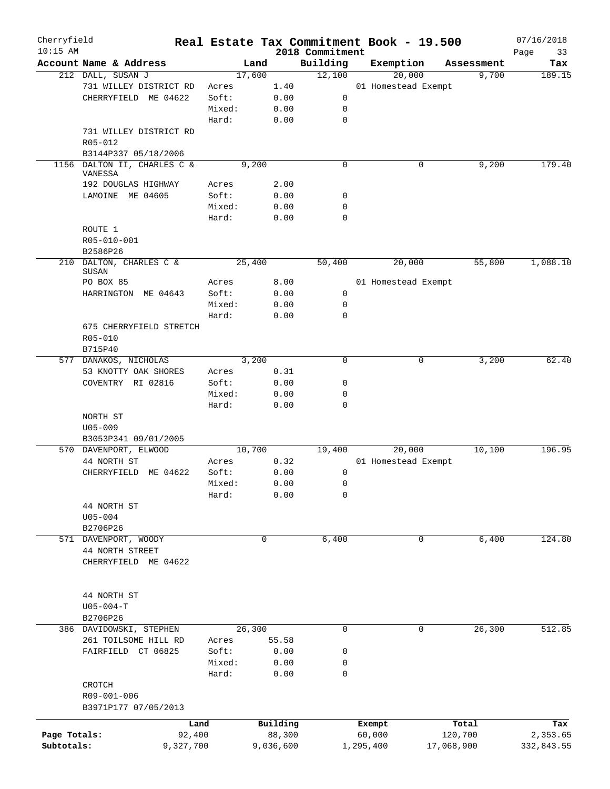| Cherryfield<br>$10:15$ AM |                                                               |           |        |             |           |                             | Real Estate Tax Commitment Book - 19.500 |                     | 07/16/2018    |
|---------------------------|---------------------------------------------------------------|-----------|--------|-------------|-----------|-----------------------------|------------------------------------------|---------------------|---------------|
|                           | Account Name & Address                                        |           |        | Land        |           | 2018 Commitment<br>Building | Exemption                                |                     | Page<br>33    |
|                           | 212 DALL, SUSAN J                                             |           |        | 17,600      |           | 12,100                      | 20,000                                   | Assessment<br>9,700 | Tax<br>189.15 |
|                           | 731 WILLEY DISTRICT RD                                        |           | Acres  |             | 1.40      |                             | 01 Homestead Exempt                      |                     |               |
|                           |                                                               |           | Soft:  |             |           | 0                           |                                          |                     |               |
|                           | CHERRYFIELD ME 04622                                          |           |        |             | 0.00      |                             |                                          |                     |               |
|                           |                                                               |           | Mixed: |             | 0.00      | 0                           |                                          |                     |               |
|                           |                                                               |           | Hard:  |             | 0.00      | $\mathbf 0$                 |                                          |                     |               |
|                           | 731 WILLEY DISTRICT RD                                        |           |        |             |           |                             |                                          |                     |               |
|                           | R05-012                                                       |           |        |             |           |                             |                                          |                     |               |
|                           | B3144P337 05/18/2006                                          |           |        |             |           |                             |                                          |                     |               |
|                           | 1156 DALTON II, CHARLES C &<br>VANESSA<br>192 DOUGLAS HIGHWAY |           | Acres  | 9,200       | 2.00      | $\mathbf 0$                 | 0                                        | 9,200               | 179.40        |
|                           | LAMOINE ME 04605                                              |           | Soft:  |             | 0.00      | 0                           |                                          |                     |               |
|                           |                                                               |           | Mixed: |             | 0.00      | $\mathbf 0$                 |                                          |                     |               |
|                           |                                                               |           | Hard:  |             | 0.00      | $\mathbf 0$                 |                                          |                     |               |
|                           |                                                               |           |        |             |           |                             |                                          |                     |               |
|                           | ROUTE 1                                                       |           |        |             |           |                             |                                          |                     |               |
|                           | R05-010-001                                                   |           |        |             |           |                             |                                          |                     |               |
|                           | B2586P26                                                      |           |        |             |           |                             |                                          |                     |               |
|                           | 210 DALTON, CHARLES C &<br><b>SUSAN</b>                       |           |        | 25,400      |           | 50,400                      | 20,000                                   | 55,800              | 1,088.10      |
|                           | PO BOX 85                                                     |           | Acres  |             | 8.00      |                             | 01 Homestead Exempt                      |                     |               |
|                           | HARRINGTON ME 04643                                           |           | Soft:  |             | 0.00      | 0                           |                                          |                     |               |
|                           |                                                               |           | Mixed: |             | 0.00      | 0                           |                                          |                     |               |
|                           |                                                               |           | Hard:  |             | 0.00      | $\mathbf 0$                 |                                          |                     |               |
|                           | 675 CHERRYFIELD STRETCH                                       |           |        |             |           |                             |                                          |                     |               |
|                           | R05-010                                                       |           |        |             |           |                             |                                          |                     |               |
|                           | B715P40                                                       |           |        |             |           |                             |                                          |                     |               |
|                           | 577 DANAKOS, NICHOLAS                                         |           |        | 3,200       |           | $\mathbf 0$                 | 0                                        | 3,200               | 62.40         |
|                           | 53 KNOTTY OAK SHORES                                          |           | Acres  |             | 0.31      |                             |                                          |                     |               |
|                           | COVENTRY RI 02816                                             |           | Soft:  |             | 0.00      | $\mathbf 0$                 |                                          |                     |               |
|                           |                                                               |           | Mixed: |             | 0.00      | $\mathbf 0$                 |                                          |                     |               |
|                           |                                                               |           | Hard:  |             | 0.00      | $\mathbf 0$                 |                                          |                     |               |
|                           | NORTH ST                                                      |           |        |             |           |                             |                                          |                     |               |
|                           | $U05 - 009$                                                   |           |        |             |           |                             |                                          |                     |               |
|                           | B3053P341 09/01/2005                                          |           |        |             |           |                             |                                          |                     |               |
|                           | 570 DAVENPORT, ELWOOD                                         |           |        | 10,700      |           | 19,400                      | 20,000                                   | 10,100              | 196.95        |
|                           | 44 NORTH ST                                                   |           | Acres  |             | 0.32      |                             | 01 Homestead Exempt                      |                     |               |
|                           | CHERRYFIELD ME 04622                                          |           | Soft:  |             | 0.00      | 0                           |                                          |                     |               |
|                           |                                                               |           | Mixed: |             | 0.00      | $\mathbf 0$                 |                                          |                     |               |
|                           |                                                               |           | Hard:  |             | 0.00      | 0                           |                                          |                     |               |
|                           | 44 NORTH ST                                                   |           |        |             |           |                             |                                          |                     |               |
|                           | $U05 - 004$                                                   |           |        |             |           |                             |                                          |                     |               |
|                           | B2706P26                                                      |           |        |             |           |                             |                                          |                     |               |
|                           | 571 DAVENPORT, WOODY                                          |           |        | $\mathbf 0$ |           | 6,400                       | 0                                        | 6,400               | 124.80        |
|                           | 44 NORTH STREET                                               |           |        |             |           |                             |                                          |                     |               |
|                           | CHERRYFIELD ME 04622                                          |           |        |             |           |                             |                                          |                     |               |
|                           |                                                               |           |        |             |           |                             |                                          |                     |               |
|                           |                                                               |           |        |             |           |                             |                                          |                     |               |
|                           | 44 NORTH ST                                                   |           |        |             |           |                             |                                          |                     |               |
|                           | $U05 - 004 - T$                                               |           |        |             |           |                             |                                          |                     |               |
|                           | B2706P26                                                      |           |        |             |           |                             |                                          |                     |               |
|                           | 386 DAVIDOWSKI, STEPHEN                                       |           |        | 26,300      |           | 0                           | 0                                        | 26,300              | 512.85        |
|                           | 261 TOILSOME HILL RD                                          |           | Acres  |             | 55.58     |                             |                                          |                     |               |
|                           | FAIRFIELD CT 06825                                            |           | Soft:  |             | 0.00      | 0                           |                                          |                     |               |
|                           |                                                               |           | Mixed: |             | 0.00      | 0                           |                                          |                     |               |
|                           |                                                               |           | Hard:  |             | 0.00      | 0                           |                                          |                     |               |
|                           | CROTCH                                                        |           |        |             |           |                             |                                          |                     |               |
|                           | R09-001-006                                                   |           |        |             |           |                             |                                          |                     |               |
|                           | B3971P177 07/05/2013                                          |           |        |             |           |                             |                                          |                     |               |
|                           |                                                               |           |        |             |           |                             |                                          |                     |               |
|                           |                                                               | Land      |        |             | Building  |                             | Exempt                                   | Total               | Tax           |
| Page Totals:              |                                                               | 92,400    |        |             | 88,300    |                             | 60,000                                   | 120,700             | 2,353.65      |
| Subtotals:                |                                                               | 9,327,700 |        |             | 9,036,600 |                             | 1,295,400                                | 17,068,900          | 332,843.55    |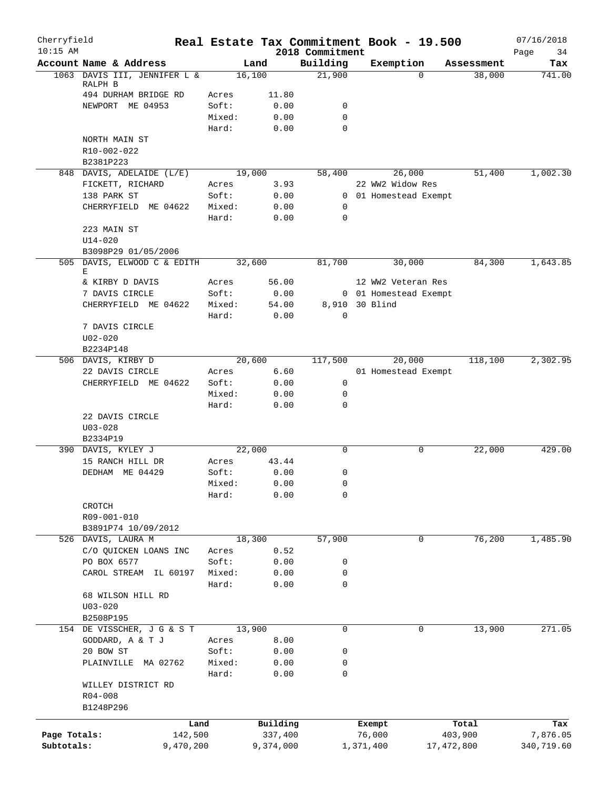| Cherryfield<br>$10:15$ AM |                                          |                |              | 2018 Commitment | Real Estate Tax Commitment Book - 19.500 |            | 07/16/2018<br>Page<br>34 |
|---------------------------|------------------------------------------|----------------|--------------|-----------------|------------------------------------------|------------|--------------------------|
|                           | Account Name & Address                   |                | Land         | Building        | Exemption                                | Assessment | Tax                      |
|                           | 1063 DAVIS III, JENNIFER L &             |                | 16,100       | 21,900          | $\Omega$                                 | 38,000     | 741.00                   |
|                           | RALPH B                                  |                |              |                 |                                          |            |                          |
|                           | 494 DURHAM BRIDGE RD<br>NEWPORT ME 04953 | Acres<br>Soft: | 11.80        | 0               |                                          |            |                          |
|                           |                                          | Mixed:         | 0.00<br>0.00 | 0               |                                          |            |                          |
|                           |                                          | Hard:          | 0.00         | $\Omega$        |                                          |            |                          |
|                           | NORTH MAIN ST                            |                |              |                 |                                          |            |                          |
|                           | R10-002-022                              |                |              |                 |                                          |            |                          |
|                           | B2381P223                                |                |              |                 |                                          |            |                          |
|                           | 848 DAVIS, ADELAIDE (L/E)                |                | 19,000       | 58,400          | 26,000                                   | 51,400     | 1,002.30                 |
|                           | FICKETT, RICHARD                         | Acres          | 3.93         |                 | 22 WW2 Widow Res                         |            |                          |
|                           | 138 PARK ST                              | Soft:          | 0.00         |                 | 0 01 Homestead Exempt                    |            |                          |
|                           | CHERRYFIELD ME 04622                     | Mixed:         | 0.00         | 0               |                                          |            |                          |
|                           |                                          | Hard:          | 0.00         | 0               |                                          |            |                          |
|                           | 223 MAIN ST                              |                |              |                 |                                          |            |                          |
|                           | $U14 - 020$                              |                |              |                 |                                          |            |                          |
|                           | B3098P29 01/05/2006                      |                |              |                 |                                          |            |                          |
|                           | 505 DAVIS, ELWOOD C & EDITH<br>Е         |                | 32,600       | 81,700          | 30,000                                   | 84,300     | 1,643.85                 |
|                           | & KIRBY D DAVIS                          | Acres          | 56.00        |                 | 12 WW2 Veteran Res                       |            |                          |
|                           | 7 DAVIS CIRCLE                           | Soft:          | 0.00         |                 | 0 01 Homestead Exempt                    |            |                          |
|                           | CHERRYFIELD ME 04622                     | Mixed:         | 54.00        | 8,910 30 Blind  |                                          |            |                          |
|                           |                                          | Hard:          | 0.00         | $\mathbf 0$     |                                          |            |                          |
|                           | 7 DAVIS CIRCLE                           |                |              |                 |                                          |            |                          |
|                           | $U02 - 020$                              |                |              |                 |                                          |            |                          |
|                           | B2234P148                                |                |              |                 |                                          |            |                          |
|                           | 506 DAVIS, KIRBY D                       |                | 20,600       | 117,500         | 20,000                                   | 118,100    | 2,302.95                 |
|                           | 22 DAVIS CIRCLE                          | Acres          | 6.60         |                 | 01 Homestead Exempt                      |            |                          |
|                           | CHERRYFIELD ME 04622                     | Soft:          | 0.00         | 0               |                                          |            |                          |
|                           |                                          | Mixed:         | 0.00         | 0               |                                          |            |                          |
|                           |                                          | Hard:          | 0.00         | 0               |                                          |            |                          |
|                           | 22 DAVIS CIRCLE                          |                |              |                 |                                          |            |                          |
|                           | $U03 - 028$<br>B2334P19                  |                |              |                 |                                          |            |                          |
|                           | 390 DAVIS, KYLEY J                       |                | 22,000       | 0               | 0                                        | 22,000     | 429.00                   |
|                           | 15 RANCH HILL DR                         | Acres          | 43.44        |                 |                                          |            |                          |
|                           | DEDHAM ME 04429                          | Soft:          | 0.00         | 0               |                                          |            |                          |
|                           |                                          | Mixed:         | 0.00         | 0               |                                          |            |                          |
|                           |                                          | Hard:          | 0.00         | 0               |                                          |            |                          |
|                           | CROTCH                                   |                |              |                 |                                          |            |                          |
|                           | R09-001-010                              |                |              |                 |                                          |            |                          |
|                           | B3891P74 10/09/2012                      |                |              |                 |                                          |            |                          |
|                           | 526 DAVIS, LAURA M                       |                | 18,300       | 57,900          | 0                                        | 76,200     | 1,485.90                 |
|                           | C/O QUICKEN LOANS INC                    | Acres          | 0.52         |                 |                                          |            |                          |
|                           | PO BOX 6577                              | Soft:          | 0.00         | 0               |                                          |            |                          |
|                           | CAROL STREAM<br>IL 60197                 | Mixed:         | 0.00         | 0               |                                          |            |                          |
|                           |                                          | Hard:          | 0.00         | 0               |                                          |            |                          |
|                           | 68 WILSON HILL RD                        |                |              |                 |                                          |            |                          |
|                           | $U03 - 020$                              |                |              |                 |                                          |            |                          |
|                           | B2508P195<br>154 DE VISSCHER, J G & S T  |                | 13,900       | 0               | 0                                        | 13,900     | 271.05                   |
|                           | GODDARD, A & T J                         | Acres          | 8.00         |                 |                                          |            |                          |
|                           | 20 BOW ST                                | Soft:          | 0.00         | 0               |                                          |            |                          |
|                           | PLAINVILLE MA 02762                      | Mixed:         | 0.00         | 0               |                                          |            |                          |
|                           |                                          | Hard:          | 0.00         | 0               |                                          |            |                          |
|                           | WILLEY DISTRICT RD                       |                |              |                 |                                          |            |                          |
|                           | $R04 - 008$                              |                |              |                 |                                          |            |                          |
|                           | B1248P296                                |                |              |                 |                                          |            |                          |
|                           |                                          | Land           | Building     |                 | Exempt                                   | Total      | Tax                      |
| Page Totals:              |                                          | 142,500        | 337,400      |                 | 76,000                                   | 403,900    | 7,876.05                 |
| Subtotals:                |                                          | 9,470,200      | 9,374,000    |                 | 1,371,400<br>17,472,800                  |            | 340,719.60               |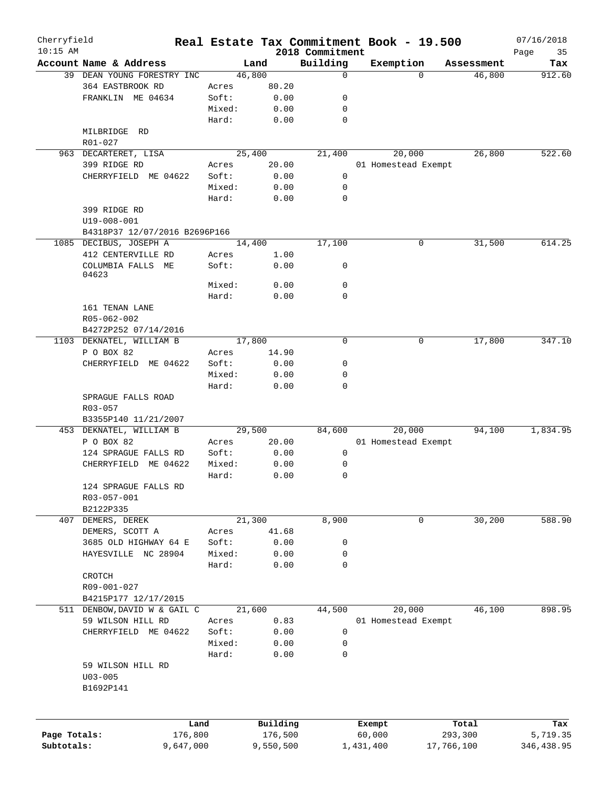| Cherryfield<br>$10:15$ AM |                               |        | Real Estate Tax Commitment Book - 19.500 | 2018 Commitment |                     |            |            | 07/16/2018<br>35<br>Page |
|---------------------------|-------------------------------|--------|------------------------------------------|-----------------|---------------------|------------|------------|--------------------------|
|                           | Account Name & Address        |        | Land                                     | Building        | Exemption           |            | Assessment | Tax                      |
|                           | 39 DEAN YOUNG FORESTRY INC    |        | 46,800                                   | $\mathbf 0$     |                     | $\Omega$   | 46,800     | 912.60                   |
|                           | 364 EASTBROOK RD              | Acres  | 80.20                                    |                 |                     |            |            |                          |
|                           | FRANKLIN ME 04634             | Soft:  | 0.00                                     | 0               |                     |            |            |                          |
|                           |                               | Mixed: | 0.00                                     | 0               |                     |            |            |                          |
|                           |                               | Hard:  | 0.00                                     | 0               |                     |            |            |                          |
|                           | MILBRIDGE RD                  |        |                                          |                 |                     |            |            |                          |
|                           | R01-027                       |        |                                          |                 |                     |            |            |                          |
|                           | 963 DECARTERET, LISA          |        | 25,400                                   | 21,400          | 20,000              |            | 26,800     | 522.60                   |
|                           | 399 RIDGE RD                  | Acres  | 20.00                                    |                 | 01 Homestead Exempt |            |            |                          |
|                           | CHERRYFIELD ME 04622          | Soft:  | 0.00                                     | $\mathsf{O}$    |                     |            |            |                          |
|                           |                               |        |                                          |                 |                     |            |            |                          |
|                           |                               | Mixed: | 0.00                                     | 0               |                     |            |            |                          |
|                           |                               | Hard:  | 0.00                                     | 0               |                     |            |            |                          |
|                           | 399 RIDGE RD                  |        |                                          |                 |                     |            |            |                          |
|                           | $U19 - 008 - 001$             |        |                                          |                 |                     |            |            |                          |
|                           | B4318P37 12/07/2016 B2696P166 |        |                                          |                 |                     |            |            |                          |
|                           | 1085 DECIBUS, JOSEPH A        |        | 14,400                                   | 17,100          |                     | 0          | 31,500     | 614.25                   |
|                           | 412 CENTERVILLE RD            | Acres  | 1.00                                     |                 |                     |            |            |                          |
|                           | COLUMBIA FALLS ME             | Soft:  | 0.00                                     | 0               |                     |            |            |                          |
|                           | 04623                         |        |                                          |                 |                     |            |            |                          |
|                           |                               | Mixed: | 0.00                                     | 0               |                     |            |            |                          |
|                           |                               | Hard:  | 0.00                                     | $\mathbf 0$     |                     |            |            |                          |
|                           | 161 TENAN LANE                |        |                                          |                 |                     |            |            |                          |
|                           | R05-062-002                   |        |                                          |                 |                     |            |            |                          |
|                           | B4272P252 07/14/2016          |        |                                          |                 |                     |            |            |                          |
|                           | 1103 DEKNATEL, WILLIAM B      |        | 17,800                                   | 0               |                     | 0          | 17,800     | 347.10                   |
|                           | P O BOX 82                    | Acres  | 14.90                                    |                 |                     |            |            |                          |
| CHERRYFIELD ME 04622      |                               | Soft:  | 0.00                                     | 0               |                     |            |            |                          |
|                           |                               | Mixed: | 0.00                                     | 0               |                     |            |            |                          |
|                           |                               | Hard:  | 0.00                                     | 0               |                     |            |            |                          |
|                           | SPRAGUE FALLS ROAD            |        |                                          |                 |                     |            |            |                          |
|                           | R03-057                       |        |                                          |                 |                     |            |            |                          |
|                           | B3355P140 11/21/2007          |        |                                          |                 |                     |            |            |                          |
|                           | 453 DEKNATEL, WILLIAM B       |        | 29,500                                   | 84,600          | 20,000              |            | 94,100     | 1,834.95                 |
|                           | P O BOX 82                    | Acres  | 20.00                                    |                 | 01 Homestead Exempt |            |            |                          |
|                           | 124 SPRAGUE FALLS RD          | Soft:  | 0.00                                     | 0               |                     |            |            |                          |
|                           | ME 04622                      | Mixed: |                                          | 0               |                     |            |            |                          |
|                           | CHERRYFIELD                   |        | 0.00                                     |                 |                     |            |            |                          |
|                           |                               | Hard:  | 0.00                                     | 0               |                     |            |            |                          |
|                           | 124 SPRAGUE FALLS RD          |        |                                          |                 |                     |            |            |                          |
|                           | R03-057-001                   |        |                                          |                 |                     |            |            |                          |
|                           | B2122P335                     |        |                                          |                 |                     |            |            |                          |
|                           | 407 DEMERS, DEREK             |        | 21,300                                   | 8,900           |                     | 0          | 30,200     | 588.90                   |
|                           | DEMERS, SCOTT A               | Acres  | 41.68                                    |                 |                     |            |            |                          |
|                           | 3685 OLD HIGHWAY 64 E         | Soft:  | 0.00                                     | 0               |                     |            |            |                          |
|                           | HAYESVILLE NC 28904           | Mixed: | 0.00                                     | 0               |                     |            |            |                          |
|                           |                               | Hard:  | 0.00                                     | $\mathbf 0$     |                     |            |            |                          |
|                           | CROTCH                        |        |                                          |                 |                     |            |            |                          |
|                           | R09-001-027                   |        |                                          |                 |                     |            |            |                          |
|                           | B4215P177 12/17/2015          |        |                                          |                 |                     |            |            |                          |
|                           | 511 DENBOW, DAVID W & GAIL C  |        | 21,600                                   | 44,500          | 20,000              |            | 46,100     | 898.95                   |
|                           | 59 WILSON HILL RD             | Acres  | 0.83                                     |                 | 01 Homestead Exempt |            |            |                          |
|                           | CHERRYFIELD ME 04622          | Soft:  | 0.00                                     | $\mathsf{O}$    |                     |            |            |                          |
|                           |                               | Mixed: | 0.00                                     | 0               |                     |            |            |                          |
|                           |                               | Hard:  | 0.00                                     | 0               |                     |            |            |                          |
|                           | 59 WILSON HILL RD             |        |                                          |                 |                     |            |            |                          |
|                           |                               |        |                                          |                 |                     |            |            |                          |
|                           | $U03 - 005$                   |        |                                          |                 |                     |            |            |                          |
|                           | B1692P141                     |        |                                          |                 |                     |            |            |                          |
|                           |                               |        |                                          |                 |                     |            |            |                          |
|                           |                               |        |                                          |                 |                     |            |            |                          |
|                           | Land                          |        | Building                                 |                 | Exempt              |            | Total      | Tax                      |
| Page Totals:              | 176,800                       |        | 176,500                                  |                 | 60,000              |            | 293,300    | 5,719.35                 |
| Subtotals:                | 9,647,000                     |        | 9,550,500                                |                 | 1,431,400           | 17,766,100 |            | 346,438.95               |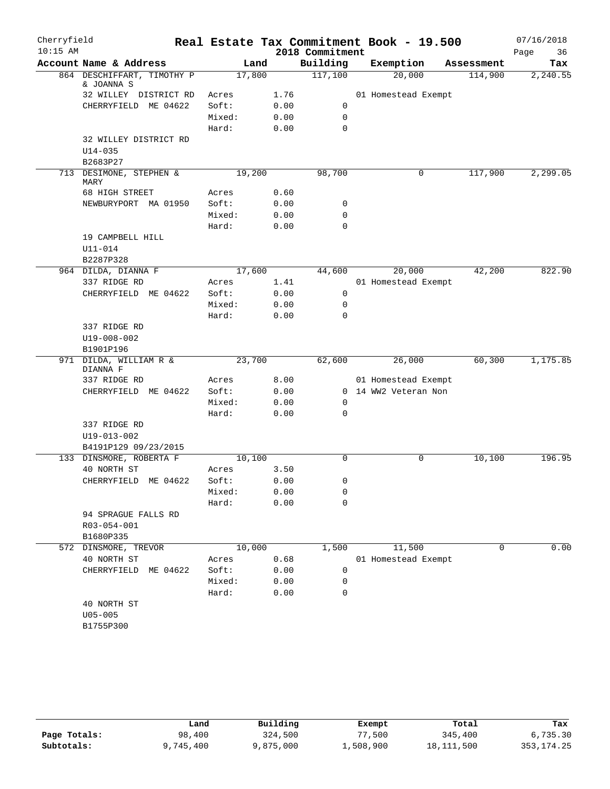| Cherryfield |                                          |                 |              |                 | Real Estate Tax Commitment Book - 19.500 |            | 07/16/2018 |
|-------------|------------------------------------------|-----------------|--------------|-----------------|------------------------------------------|------------|------------|
| $10:15$ AM  |                                          |                 |              | 2018 Commitment |                                          |            | 36<br>Page |
|             | Account Name & Address                   |                 | Land         | Building        | Exemption                                | Assessment | Tax        |
|             | 864 DESCHIFFART, TIMOTHY P<br>& JOANNA S | 17,800          |              | 117,100         | 20,000                                   | 114,900    | 2,240.55   |
|             | 32 WILLEY DISTRICT RD                    | Acres           | 1.76         |                 | 01 Homestead Exempt                      |            |            |
|             | CHERRYFIELD ME 04622                     | Soft:           | 0.00         | 0               |                                          |            |            |
|             |                                          | Mixed:          | 0.00         | 0               |                                          |            |            |
|             |                                          | Hard:           | 0.00         | $\Omega$        |                                          |            |            |
|             | 32 WILLEY DISTRICT RD                    |                 |              |                 |                                          |            |            |
|             | $U14 - 035$                              |                 |              |                 |                                          |            |            |
|             | B2683P27                                 |                 |              |                 |                                          |            |            |
|             | 713 DESIMONE, STEPHEN &<br>MARY          | 19,200          |              | 98,700          | 0                                        | 117,900    | 2,299.05   |
|             | 68 HIGH STREET                           | Acres           | 0.60         |                 |                                          |            |            |
|             | NEWBURYPORT MA 01950                     | Soft:           | 0.00         | 0               |                                          |            |            |
|             |                                          | Mixed:          | 0.00         | 0               |                                          |            |            |
|             |                                          | Hard:           | 0.00         | 0               |                                          |            |            |
|             | 19 CAMPBELL HILL                         |                 |              |                 |                                          |            |            |
|             | $U11 - 014$                              |                 |              |                 |                                          |            |            |
|             | B2287P328                                |                 |              |                 |                                          |            |            |
|             | 964 DILDA, DIANNA F                      | 17,600          |              | 44,600          | 20,000                                   | 42,200     | 822.90     |
|             | 337 RIDGE RD                             | Acres           | 1.41         |                 | 01 Homestead Exempt                      |            |            |
|             | CHERRYFIELD ME 04622                     | Soft:           | 0.00         | 0               |                                          |            |            |
|             |                                          | Mixed:          | 0.00         | 0               |                                          |            |            |
|             |                                          | Hard:           | 0.00         | 0               |                                          |            |            |
|             | 337 RIDGE RD                             |                 |              |                 |                                          |            |            |
|             | $U19 - 008 - 002$                        |                 |              |                 |                                          |            |            |
|             | B1901P196<br>971 DILDA, WILLIAM R &      | 23,700          |              | 62,600          | 26,000                                   | 60,300     | 1,175.85   |
|             | DIANNA F                                 |                 |              |                 |                                          |            |            |
|             | 337 RIDGE RD                             | Acres           | 8.00         |                 | 01 Homestead Exempt                      |            |            |
|             | CHERRYFIELD ME 04622                     | Soft:           | 0.00         |                 | 0 14 WW2 Veteran Non                     |            |            |
|             |                                          | Mixed:          | 0.00         | 0               |                                          |            |            |
|             |                                          | Hard:           | 0.00         | 0               |                                          |            |            |
|             | 337 RIDGE RD                             |                 |              |                 |                                          |            |            |
|             | U19-013-002                              |                 |              |                 |                                          |            |            |
|             | B4191P129 09/23/2015                     |                 |              |                 |                                          |            |            |
|             | 133 DINSMORE, ROBERTA F                  | 10,100          |              | $\mathbf 0$     | 0                                        | 10,100     | 196.95     |
|             | 40 NORTH ST                              | Acres           | 3.50         |                 |                                          |            |            |
|             | CHERRYFIELD ME 04622                     | Soft:<br>Mixed: | 0.00<br>0.00 | 0               |                                          |            |            |
|             |                                          | Hard:           | 0.00         | 0<br>0          |                                          |            |            |
|             | 94 SPRAGUE FALLS RD                      |                 |              |                 |                                          |            |            |
|             | R03-054-001                              |                 |              |                 |                                          |            |            |
|             | B1680P335                                |                 |              |                 |                                          |            |            |
| 572         | DINSMORE, TREVOR                         | 10,000          |              | 1,500           | 11,500                                   | 0          | 0.00       |
|             | 40 NORTH ST                              | Acres           | 0.68         |                 | 01 Homestead Exempt                      |            |            |
|             | CHERRYFIELD<br>ME 04622                  | Soft:           | 0.00         | 0               |                                          |            |            |
|             |                                          | Mixed:          | 0.00         | 0               |                                          |            |            |
|             |                                          | Hard:           | 0.00         | $\mathbf 0$     |                                          |            |            |
|             | 40 NORTH ST                              |                 |              |                 |                                          |            |            |
|             | $U05 - 005$                              |                 |              |                 |                                          |            |            |
|             | B1755P300                                |                 |              |                 |                                          |            |            |
|             |                                          |                 |              |                 |                                          |            |            |

|              | Land      | Building  | Exempt    | Total        | Tax          |
|--------------|-----------|-----------|-----------|--------------|--------------|
| Page Totals: | 98,400    | 324,500   | 77,500    | 345,400      | 6,735.30     |
| Subtotals:   | 9,745,400 | 9,875,000 | 1,508,900 | 18, 111, 500 | 353, 174. 25 |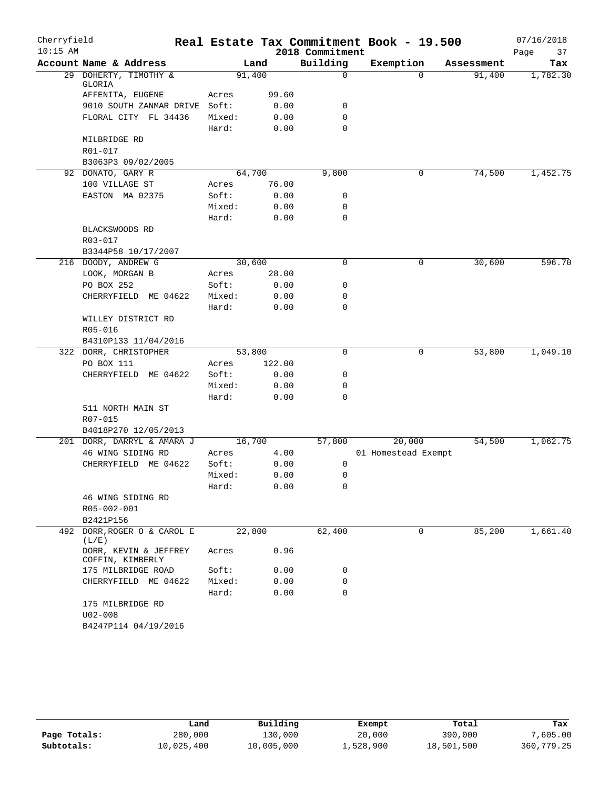| Cherryfield |                                           |        |        |                 | Real Estate Tax Commitment Book - 19.500 |            | 07/16/2018 |
|-------------|-------------------------------------------|--------|--------|-----------------|------------------------------------------|------------|------------|
| $10:15$ AM  |                                           |        |        | 2018 Commitment |                                          |            | Page<br>37 |
|             | Account Name & Address                    |        | Land   | Building        | Exemption                                | Assessment | Tax        |
|             | 29 DOHERTY, TIMOTHY &<br>GLORIA           | 91,400 |        | $\mathbf 0$     | $\Omega$                                 | 91,400     | 1,782.30   |
|             | AFFENITA, EUGENE                          | Acres  | 99.60  |                 |                                          |            |            |
|             | 9010 SOUTH ZANMAR DRIVE Soft:             |        | 0.00   | 0               |                                          |            |            |
|             | FLORAL CITY FL 34436                      | Mixed: | 0.00   | $\mathbf 0$     |                                          |            |            |
|             |                                           | Hard:  | 0.00   | $\mathbf 0$     |                                          |            |            |
|             | MILBRIDGE RD                              |        |        |                 |                                          |            |            |
|             | R01-017                                   |        |        |                 |                                          |            |            |
|             | B3063P3 09/02/2005                        |        |        |                 |                                          |            |            |
|             | 92 DONATO, GARY R                         | 64,700 |        | 9,800           | 0                                        | 74,500     | 1,452.75   |
|             | 100 VILLAGE ST                            | Acres  | 76.00  |                 |                                          |            |            |
|             | EASTON MA 02375                           | Soft:  | 0.00   | 0               |                                          |            |            |
|             |                                           | Mixed: | 0.00   | $\mathbf 0$     |                                          |            |            |
|             |                                           | Hard:  | 0.00   | $\mathbf 0$     |                                          |            |            |
|             | BLACKSWOODS RD                            |        |        |                 |                                          |            |            |
|             | R03-017                                   |        |        |                 |                                          |            |            |
|             | B3344P58 10/17/2007                       |        |        |                 |                                          |            |            |
|             | 216 DOODY, ANDREW G                       | 30,600 |        | 0               | 0                                        | 30,600     | 596.70     |
|             | LOOK, MORGAN B                            | Acres  | 28.00  |                 |                                          |            |            |
|             | PO BOX 252                                | Soft:  | 0.00   | 0               |                                          |            |            |
|             | CHERRYFIELD ME 04622                      | Mixed: | 0.00   | 0               |                                          |            |            |
|             |                                           | Hard:  | 0.00   | 0               |                                          |            |            |
|             | WILLEY DISTRICT RD                        |        |        |                 |                                          |            |            |
|             | R05-016                                   |        |        |                 |                                          |            |            |
|             | B4310P133 11/04/2016                      |        |        |                 |                                          |            |            |
|             | 322 DORR, CHRISTOPHER                     | 53,800 |        | $\mathbf 0$     | 0                                        | 53,800     | 1,049.10   |
|             | PO BOX 111                                | Acres  | 122.00 |                 |                                          |            |            |
|             | CHERRYFIELD ME 04622                      | Soft:  | 0.00   | 0               |                                          |            |            |
|             |                                           | Mixed: | 0.00   | 0               |                                          |            |            |
|             |                                           | Hard:  | 0.00   | 0               |                                          |            |            |
|             | 511 NORTH MAIN ST                         |        |        |                 |                                          |            |            |
|             | R07-015                                   |        |        |                 |                                          |            |            |
|             | B4018P270 12/05/2013                      |        |        |                 |                                          |            |            |
|             | 201 DORR, DARRYL & AMARA J                | 16,700 |        | 57,800          | 20,000                                   | 54,500     | 1,062.75   |
|             | 46 WING SIDING RD                         | Acres  | 4.00   |                 | 01 Homestead Exempt                      |            |            |
|             | CHERRYFIELD ME 04622                      | Soft:  | 0.00   | 0               |                                          |            |            |
|             |                                           | Mixed: | 0.00   | 0               |                                          |            |            |
|             |                                           | Hard:  | 0.00   | 0               |                                          |            |            |
|             | 46 WING SIDING RD                         |        |        |                 |                                          |            |            |
|             | R05-002-001                               |        |        |                 |                                          |            |            |
|             | B2421P156                                 |        |        |                 |                                          |            |            |
|             | 492 DORR, ROGER O & CAROL E<br>(L/E)      | 22,800 |        | 62,400          | 0                                        | 85,200     | 1,661.40   |
|             | DORR, KEVIN & JEFFREY<br>COFFIN, KIMBERLY | Acres  | 0.96   |                 |                                          |            |            |
|             | 175 MILBRIDGE ROAD                        | Soft:  | 0.00   | 0               |                                          |            |            |
|             | CHERRYFIELD ME 04622                      | Mixed: | 0.00   | 0               |                                          |            |            |
|             |                                           | Hard:  | 0.00   | $\mathbf 0$     |                                          |            |            |
|             | 175 MILBRIDGE RD<br>$U02 - 008$           |        |        |                 |                                          |            |            |
|             | B4247P114 04/19/2016                      |        |        |                 |                                          |            |            |

|              | Land       | Building   | Exempt    | Total      | Tax        |
|--------------|------------|------------|-----------|------------|------------|
| Page Totals: | 280,000    | 130,000    | 20,000    | 390,000    | 7,605.00   |
| Subtotals:   | 10,025,400 | 10,005,000 | 1,528,900 | 18,501,500 | 360,779.25 |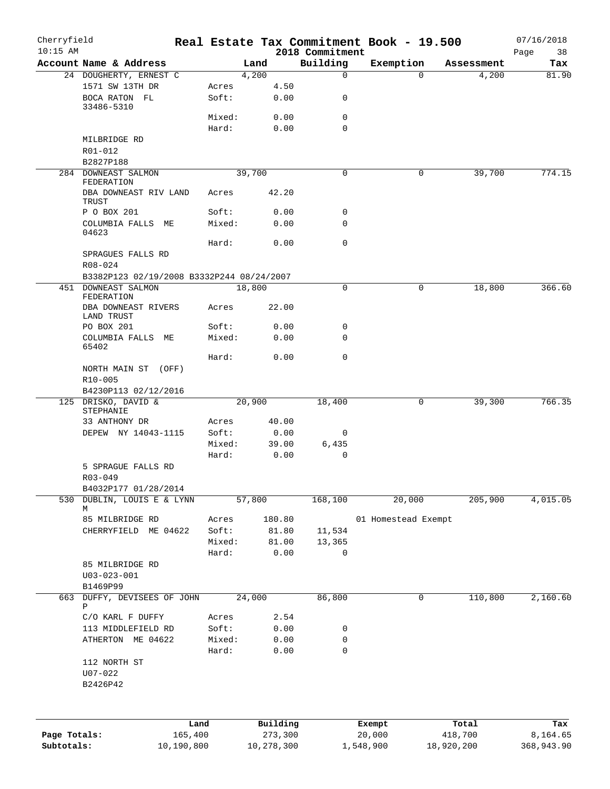| Cherryfield<br>$10:15$ AM  |                                           |                 |                       |                             | Real Estate Tax Commitment Book - 19.500 |                       | 07/16/2018             |
|----------------------------|-------------------------------------------|-----------------|-----------------------|-----------------------------|------------------------------------------|-----------------------|------------------------|
|                            | Account Name & Address                    |                 | Land                  | 2018 Commitment<br>Building | Exemption                                | Assessment            | Page<br>38<br>Tax      |
|                            | 24 DOUGHERTY, ERNEST C                    |                 | 4,200                 | 0                           | $\Omega$                                 | 4,200                 | 81.90                  |
|                            | 1571 SW 13TH DR                           | Acres           | 4.50                  |                             |                                          |                       |                        |
|                            | BOCA RATON FL<br>33486-5310               | Soft:           | 0.00                  | 0                           |                                          |                       |                        |
|                            |                                           | Mixed:          | 0.00                  | 0                           |                                          |                       |                        |
|                            |                                           | Hard:           | 0.00                  | 0                           |                                          |                       |                        |
|                            | MILBRIDGE RD                              |                 |                       |                             |                                          |                       |                        |
|                            | R01-012<br>B2827P188                      |                 |                       |                             |                                          |                       |                        |
|                            | 284 DOWNEAST SALMON<br>FEDERATION         |                 | 39,700                | 0                           | 0                                        | 39,700                | 774.15                 |
|                            | DBA DOWNEAST RIV LAND<br>TRUST            | Acres           | 42.20                 |                             |                                          |                       |                        |
|                            | P O BOX 201                               | Soft:           | 0.00                  | 0                           |                                          |                       |                        |
|                            | COLUMBIA FALLS ME<br>04623                | Mixed:          | 0.00                  | 0                           |                                          |                       |                        |
|                            |                                           | Hard:           | 0.00                  | 0                           |                                          |                       |                        |
|                            | SPRAGUES FALLS RD<br>$R08 - 024$          |                 |                       |                             |                                          |                       |                        |
|                            | B3382P123 02/19/2008 B3332P244 08/24/2007 |                 |                       |                             |                                          |                       |                        |
|                            | 451 DOWNEAST SALMON<br>FEDERATION         |                 | 18,800                | 0                           | 0                                        | 18,800                | 366.60                 |
|                            | DBA DOWNEAST RIVERS<br>LAND TRUST         | Acres           | 22.00                 |                             |                                          |                       |                        |
|                            | PO BOX 201                                | Soft:           | 0.00                  | 0                           |                                          |                       |                        |
|                            | COLUMBIA FALLS ME<br>65402                | Mixed:          | 0.00                  | 0                           |                                          |                       |                        |
|                            |                                           | Hard:           | 0.00                  | $\mathbf 0$                 |                                          |                       |                        |
|                            | NORTH MAIN ST (OFF)<br>R10-005            |                 |                       |                             |                                          |                       |                        |
|                            | B4230P113 02/12/2016                      |                 |                       |                             |                                          |                       |                        |
|                            | 125 DRISKO, DAVID &                       |                 | 20,900                | 18,400                      | 0                                        | 39,300                | 766.35                 |
|                            | STEPHANIE                                 |                 |                       |                             |                                          |                       |                        |
|                            | 33 ANTHONY DR<br>DEPEW NY 14043-1115      | Acres<br>Soft:  | 40.00<br>0.00         | 0                           |                                          |                       |                        |
|                            |                                           | Mixed:          | 39.00                 | 6,435                       |                                          |                       |                        |
|                            |                                           | Hard:           | 0.00                  | $\mathbf 0$                 |                                          |                       |                        |
|                            | 5 SPRAGUE FALLS RD                        |                 |                       |                             |                                          |                       |                        |
|                            | R03-049                                   |                 |                       |                             |                                          |                       |                        |
|                            | B4032P177 01/28/2014                      |                 |                       |                             |                                          |                       |                        |
| 530                        | DUBLIN, LOUIS E & LYNN                    |                 | 57,800                | 168,100                     | 20,000                                   | 205,900               | 4,015.05               |
|                            | М<br>85 MILBRIDGE RD                      | Acres           | 180.80                |                             | 01 Homestead Exempt                      |                       |                        |
|                            | CHERRYFIELD ME 04622                      | Soft:           | 81.80                 | 11,534                      |                                          |                       |                        |
|                            |                                           | Mixed:          | 81.00                 | 13,365                      |                                          |                       |                        |
|                            |                                           | Hard:           | 0.00                  | 0                           |                                          |                       |                        |
|                            | 85 MILBRIDGE RD                           |                 |                       |                             |                                          |                       |                        |
|                            | $U03 - 023 - 001$                         |                 |                       |                             |                                          |                       |                        |
|                            | B1469P99                                  |                 |                       |                             |                                          |                       |                        |
|                            | 663 DUFFY, DEVISEES OF JOHN               |                 | 24,000                | 86,800                      | 0                                        | 110,800               | 2,160.60               |
|                            | Ρ                                         |                 |                       |                             |                                          |                       |                        |
|                            | C/O KARL F DUFFY                          | Acres           | 2.54                  |                             |                                          |                       |                        |
|                            | 113 MIDDLEFIELD RD                        | Soft:           | 0.00                  | 0                           |                                          |                       |                        |
|                            | ATHERTON ME 04622                         | Mixed:<br>Hard: | 0.00<br>0.00          | 0<br>$\mathsf{O}$           |                                          |                       |                        |
|                            | 112 NORTH ST<br>$U07 - 022$               |                 |                       |                             |                                          |                       |                        |
|                            | B2426P42                                  |                 |                       |                             |                                          |                       |                        |
|                            |                                           |                 |                       |                             |                                          |                       |                        |
|                            |                                           | Land            | Building              |                             | Exempt                                   | Total                 | Tax                    |
| Page Totals:<br>Subtotals: | 165,400<br>10,190,800                     |                 | 273,300<br>10,278,300 |                             | 20,000<br>1,548,900                      | 418,700<br>18,920,200 | 8,164.65<br>368,943.90 |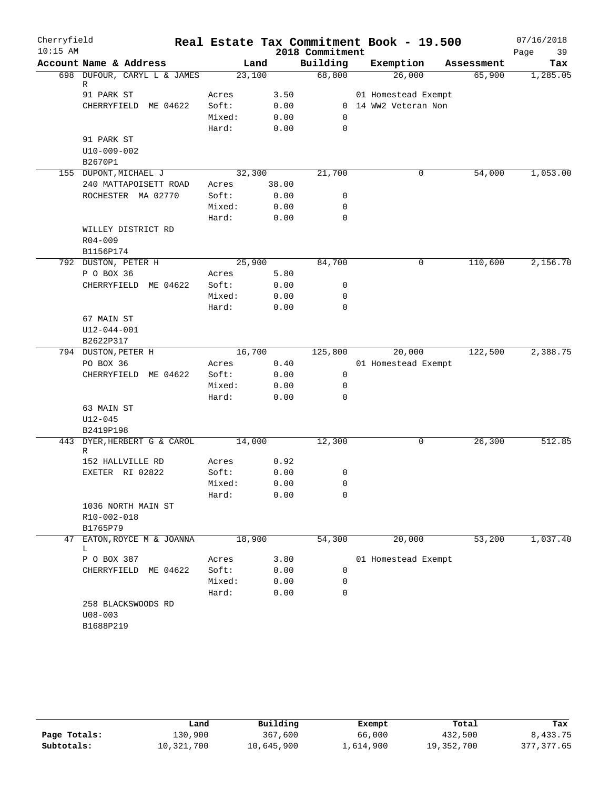| Cherryfield |                                     |                 |              | Real Estate Tax Commitment Book - 19.500 |                      |            | 07/16/2018 |
|-------------|-------------------------------------|-----------------|--------------|------------------------------------------|----------------------|------------|------------|
| $10:15$ AM  |                                     |                 |              | 2018 Commitment                          |                      |            | 39<br>Page |
|             | Account Name & Address              | Land            |              | Building                                 | Exemption            | Assessment | Tax        |
|             | 698 DUFOUR, CARYL L & JAMES<br>R    | 23,100          |              | 68,800                                   | 26,000               | 65,900     | 1,285.05   |
|             | 91 PARK ST                          | Acres           | 3.50         |                                          | 01 Homestead Exempt  |            |            |
|             | CHERRYFIELD ME 04622                | Soft:           | 0.00         |                                          | 0 14 WW2 Veteran Non |            |            |
|             |                                     | Mixed:          | 0.00         | 0                                        |                      |            |            |
|             |                                     | Hard:           | 0.00         | 0                                        |                      |            |            |
|             | 91 PARK ST                          |                 |              |                                          |                      |            |            |
|             | U10-009-002                         |                 |              |                                          |                      |            |            |
|             | B2670P1                             |                 |              |                                          |                      |            |            |
|             | 155 DUPONT, MICHAEL J               | 32,300          |              | 21,700                                   | 0                    | 54,000     | 1,053.00   |
|             | 240 MATTAPOISETT ROAD               | Acres           | 38.00        |                                          |                      |            |            |
|             | ROCHESTER MA 02770                  | Soft:           | 0.00         | 0                                        |                      |            |            |
|             |                                     | Mixed:          | 0.00         | 0                                        |                      |            |            |
|             |                                     | Hard:           | 0.00         | $\mathbf 0$                              |                      |            |            |
|             | WILLEY DISTRICT RD                  |                 |              |                                          |                      |            |            |
|             | $R04 - 009$                         |                 |              |                                          |                      |            |            |
|             | B1156P174                           |                 |              |                                          |                      |            |            |
|             | 792 DUSTON, PETER H                 | 25,900          |              | 84,700                                   | 0                    | 110,600    | 2,156.70   |
|             | P O BOX 36                          | Acres           | 5.80         |                                          |                      |            |            |
|             | CHERRYFIELD ME 04622                | Soft:<br>Mixed: | 0.00         | 0<br>0                                   |                      |            |            |
|             |                                     | Hard:           | 0.00<br>0.00 | $\mathbf 0$                              |                      |            |            |
|             | 67 MAIN ST                          |                 |              |                                          |                      |            |            |
|             | U12-044-001                         |                 |              |                                          |                      |            |            |
|             | B2622P317                           |                 |              |                                          |                      |            |            |
|             | 794 DUSTON, PETER H                 | 16,700          |              | 125,800                                  | 20,000               | 122,500    | 2,388.75   |
|             | PO BOX 36                           | Acres           | 0.40         |                                          | 01 Homestead Exempt  |            |            |
|             | CHERRYFIELD ME 04622                | Soft:           | 0.00         | $\mathsf{O}$                             |                      |            |            |
|             |                                     | Mixed:          | 0.00         | 0                                        |                      |            |            |
|             |                                     | Hard:           | 0.00         | 0                                        |                      |            |            |
|             | 63 MAIN ST                          |                 |              |                                          |                      |            |            |
|             | $U12 - 045$                         |                 |              |                                          |                      |            |            |
|             | B2419P198                           |                 |              |                                          |                      |            |            |
|             | 443 DYER, HERBERT G & CAROL         | 14,000          |              | 12,300                                   | 0                    | 26,300     | 512.85     |
|             | R                                   |                 | 0.92         |                                          |                      |            |            |
|             | 152 HALLVILLE RD<br>EXETER RI 02822 | Acres<br>Soft:  | 0.00         | 0                                        |                      |            |            |
|             |                                     | Mixed:          | 0.00         | 0                                        |                      |            |            |
|             |                                     | Hard:           | 0.00         | 0                                        |                      |            |            |
|             | 1036 NORTH MAIN ST                  |                 |              |                                          |                      |            |            |
|             | R10-002-018                         |                 |              |                                          |                      |            |            |
|             | B1765P79                            |                 |              |                                          |                      |            |            |
| 47          | EATON, ROYCE M & JOANNA             | 18,900          |              | 54,300                                   | 20,000               | 53,200     | 1,037.40   |
|             | L.                                  |                 |              |                                          |                      |            |            |
|             | P O BOX 387                         | Acres           | 3.80         |                                          | 01 Homestead Exempt  |            |            |
|             | CHERRYFIELD<br>ME 04622             | Soft:           | 0.00         | 0                                        |                      |            |            |
|             |                                     | Mixed:          | 0.00         | 0                                        |                      |            |            |
|             |                                     | Hard:           | 0.00         | 0                                        |                      |            |            |
|             | 258 BLACKSWOODS RD                  |                 |              |                                          |                      |            |            |
|             | $U08 - 003$                         |                 |              |                                          |                      |            |            |
|             | B1688P219                           |                 |              |                                          |                      |            |            |

|              | Land       | Building   | Exempt    | Total      | Tax         |
|--------------|------------|------------|-----------|------------|-------------|
| Page Totals: | 130,900    | 367,600    | 66,000    | 432,500    | 8,433.75    |
| Subtotals:   | 10,321,700 | 10,645,900 | 1,614,900 | 19,352,700 | 377, 377.65 |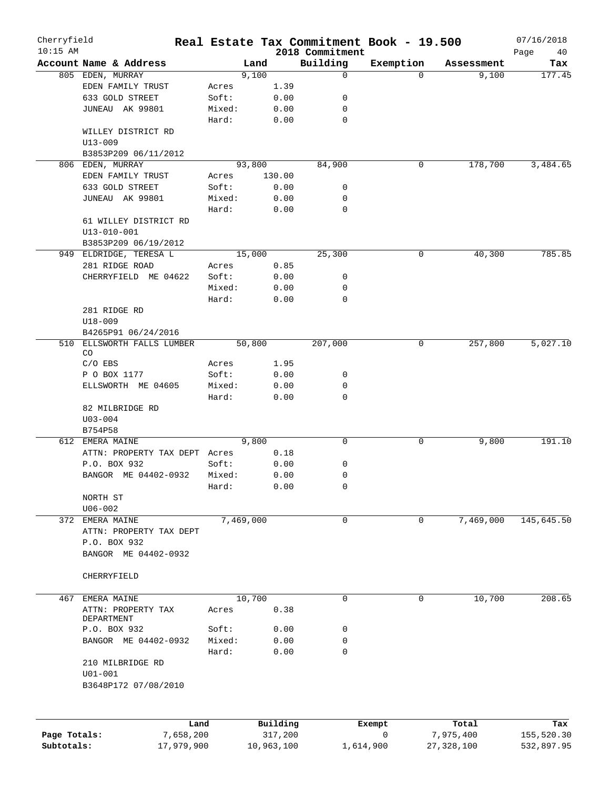| Cherryfield<br>$10:15$ AM |                         |        |            |                     |                             | Real Estate Tax Commitment Book - 19.500 |                    | 07/16/2018        |
|---------------------------|-------------------------|--------|------------|---------------------|-----------------------------|------------------------------------------|--------------------|-------------------|
|                           | Account Name & Address  |        | Land       |                     | 2018 Commitment<br>Building | Exemption                                | Assessment         | Page<br>40<br>Tax |
|                           | 805 EDEN, MURRAY        |        | 9,100      |                     | 0                           | $\Omega$                                 | 9,100              | 177.45            |
|                           | EDEN FAMILY TRUST       | Acres  |            | 1.39                |                             |                                          |                    |                   |
|                           | 633 GOLD STREET         | Soft:  |            | 0.00                | 0                           |                                          |                    |                   |
|                           | JUNEAU AK 99801         | Mixed: |            |                     | 0                           |                                          |                    |                   |
|                           |                         |        |            | 0.00                | $\mathbf 0$                 |                                          |                    |                   |
|                           |                         | Hard:  |            | 0.00                |                             |                                          |                    |                   |
|                           | WILLEY DISTRICT RD      |        |            |                     |                             |                                          |                    |                   |
|                           | $U13 - 009$             |        |            |                     |                             |                                          |                    |                   |
|                           | B3853P209 06/11/2012    |        |            |                     |                             |                                          |                    |                   |
|                           | 806 EDEN, MURRAY        |        | 93,800     |                     | 84,900                      | 0                                        | 178,700            | 3,484.65          |
|                           | EDEN FAMILY TRUST       | Acres  |            | 130.00              |                             |                                          |                    |                   |
|                           | 633 GOLD STREET         | Soft:  |            | 0.00                | 0                           |                                          |                    |                   |
|                           | JUNEAU AK 99801         | Mixed: |            | 0.00                | 0                           |                                          |                    |                   |
|                           |                         | Hard:  |            | 0.00                | $\mathbf 0$                 |                                          |                    |                   |
|                           | 61 WILLEY DISTRICT RD   |        |            |                     |                             |                                          |                    |                   |
|                           | $U13 - 010 - 001$       |        |            |                     |                             |                                          |                    |                   |
|                           | B3853P209 06/19/2012    |        |            |                     |                             |                                          |                    |                   |
|                           | 949 ELDRIDGE, TERESA L  |        | 15,000     |                     | 25,300                      | 0                                        | 40,300             | 785.85            |
|                           | 281 RIDGE ROAD          | Acres  |            | 0.85                |                             |                                          |                    |                   |
|                           | CHERRYFIELD ME 04622    | Soft:  |            | 0.00                | 0                           |                                          |                    |                   |
|                           |                         | Mixed: |            | 0.00                | 0                           |                                          |                    |                   |
|                           |                         | Hard:  |            | 0.00                | $\mathbf 0$                 |                                          |                    |                   |
|                           | 281 RIDGE RD            |        |            |                     |                             |                                          |                    |                   |
|                           | $U18 - 009$             |        |            |                     |                             |                                          |                    |                   |
|                           | B4265P91 06/24/2016     |        |            |                     |                             |                                          |                    |                   |
| 510                       | ELLSWORTH FALLS LUMBER  |        | 50,800     |                     | 207,000                     | 0                                        | 257,800            | 5,027.10          |
|                           | CO.                     |        |            |                     |                             |                                          |                    |                   |
|                           | $C/O$ EBS               | Acres  |            | 1.95                |                             |                                          |                    |                   |
|                           | P O BOX 1177            | Soft:  |            | 0.00                | 0                           |                                          |                    |                   |
|                           | ELLSWORTH ME 04605      | Mixed: |            | 0.00                | 0                           |                                          |                    |                   |
|                           |                         | Hard:  |            | 0.00                | 0                           |                                          |                    |                   |
|                           | 82 MILBRIDGE RD         |        |            |                     |                             |                                          |                    |                   |
|                           | $U03 - 004$             |        |            |                     |                             |                                          |                    |                   |
|                           | B754P58                 |        |            |                     |                             |                                          |                    |                   |
|                           | 612 EMERA MAINE         |        | 9,800      |                     | 0                           | 0                                        | 9,800              | 191.10            |
|                           | ATTN: PROPERTY TAX DEPT | Acres  |            | 0.18                |                             |                                          |                    |                   |
|                           | P.O. BOX 932            | Soft:  |            | 0.00                | 0                           |                                          |                    |                   |
|                           | BANGOR ME 04402-0932    | Mixed: |            |                     | 0                           |                                          |                    |                   |
|                           |                         |        |            | 0.00                |                             |                                          |                    |                   |
|                           |                         | Hard:  |            | 0.00                | 0                           |                                          |                    |                   |
|                           | NORTH ST                |        |            |                     |                             |                                          |                    |                   |
|                           | $U06 - 002$             |        |            |                     |                             |                                          |                    |                   |
|                           | 372 EMERA MAINE         |        | 7,469,000  |                     | 0                           | 0                                        | 7,469,000          | 145,645.50        |
|                           | ATTN: PROPERTY TAX DEPT |        |            |                     |                             |                                          |                    |                   |
|                           | P.O. BOX 932            |        |            |                     |                             |                                          |                    |                   |
|                           | BANGOR ME 04402-0932    |        |            |                     |                             |                                          |                    |                   |
|                           |                         |        |            |                     |                             |                                          |                    |                   |
|                           | CHERRYFIELD             |        |            |                     |                             |                                          |                    |                   |
|                           |                         |        |            |                     |                             |                                          |                    |                   |
| 467                       | EMERA MAINE             |        | 10,700     |                     | $\mathbf 0$                 | $\mathbf 0$                              | 10,700             | 208.65            |
|                           | ATTN: PROPERTY TAX      | Acres  |            | 0.38                |                             |                                          |                    |                   |
|                           | DEPARTMENT              |        |            |                     |                             |                                          |                    |                   |
|                           | P.O. BOX 932            | Soft:  |            | 0.00                | 0                           |                                          |                    |                   |
|                           | BANGOR ME 04402-0932    | Mixed: |            | 0.00                | 0                           |                                          |                    |                   |
|                           |                         | Hard:  |            | 0.00                | $\mathbf 0$                 |                                          |                    |                   |
|                           | 210 MILBRIDGE RD        |        |            |                     |                             |                                          |                    |                   |
|                           | $U01 - 001$             |        |            |                     |                             |                                          |                    |                   |
|                           | B3648P172 07/08/2010    |        |            |                     |                             |                                          |                    |                   |
|                           |                         |        |            |                     |                             |                                          |                    |                   |
|                           |                         |        |            |                     |                             |                                          |                    |                   |
| Page Totals:              | 7,658,200               | Land   |            | Building<br>317,200 |                             | Exempt<br>0                              | Total<br>7,975,400 | Tax<br>155,520.30 |
| Subtotals:                | 17,979,900              |        | 10,963,100 |                     | 1,614,900                   |                                          | 27, 328, 100       | 532,897.95        |
|                           |                         |        |            |                     |                             |                                          |                    |                   |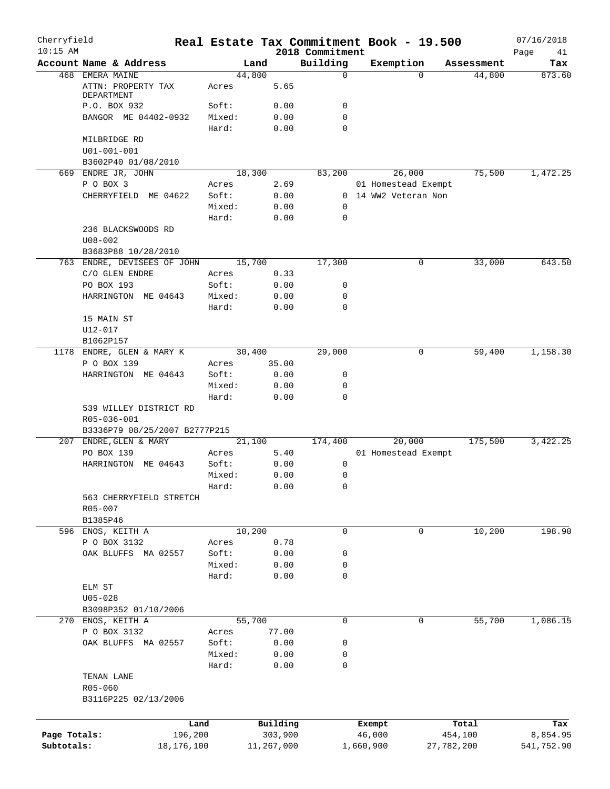| Cherryfield<br>$10:15$ AM  |                                    |                |                     |                             | Real Estate Tax Commitment Book - 19.500 |            | 07/16/2018        |
|----------------------------|------------------------------------|----------------|---------------------|-----------------------------|------------------------------------------|------------|-------------------|
|                            | Account Name & Address             | Land           |                     | 2018 Commitment<br>Building | Exemption                                | Assessment | Page<br>41<br>Tax |
|                            | 468 EMERA MAINE                    | 44,800         |                     | $\mathbf 0$                 | $\Omega$                                 | 44,800     | 873.60            |
|                            | ATTN: PROPERTY TAX<br>DEPARTMENT   | Acres          | 5.65                |                             |                                          |            |                   |
|                            | P.O. BOX 932                       | Soft:          | 0.00                | 0                           |                                          |            |                   |
|                            | BANGOR ME 04402-0932               | Mixed:         | 0.00                | $\mathbf 0$                 |                                          |            |                   |
|                            |                                    | Hard:          | 0.00                | $\mathbf 0$                 |                                          |            |                   |
|                            | MILBRIDGE RD                       |                |                     |                             |                                          |            |                   |
|                            | $U01 - 001 - 001$                  |                |                     |                             |                                          |            |                   |
|                            | B3602P40 01/08/2010                |                |                     |                             |                                          |            |                   |
|                            | 669 ENDRE JR, JOHN                 | 18,300         |                     | 83,200                      | 26,000                                   | 75,500     | 1,472.25          |
|                            | P O BOX 3                          | Acres          | 2.69                |                             | 01 Homestead Exempt                      |            |                   |
|                            | CHERRYFIELD ME 04622               | Soft:          | 0.00                |                             | 0 14 WW2 Veteran Non                     |            |                   |
|                            |                                    | Mixed:         | 0.00                | 0                           |                                          |            |                   |
|                            |                                    | Hard:          | 0.00                | 0                           |                                          |            |                   |
|                            | 236 BLACKSWOODS RD<br>$U08 - 002$  |                |                     |                             |                                          |            |                   |
|                            | B3683P88 10/28/2010                |                |                     |                             |                                          |            |                   |
|                            | 763 ENDRE, DEVISEES OF JOHN        | 15,700         |                     | 17,300                      | 0                                        | 33,000     | 643.50            |
|                            | C/O GLEN ENDRE                     | Acres          | 0.33                |                             |                                          |            |                   |
|                            | PO BOX 193                         | Soft:          | 0.00                | 0                           |                                          |            |                   |
|                            | HARRINGTON ME 04643                | Mixed:         | 0.00                | 0                           |                                          |            |                   |
|                            |                                    | Hard:          | 0.00                | 0                           |                                          |            |                   |
|                            | 15 MAIN ST                         |                |                     |                             |                                          |            |                   |
|                            | U12-017                            |                |                     |                             |                                          |            |                   |
|                            | B1062P157                          |                |                     | 29,000                      | 0                                        |            | 1,158.30          |
|                            | 1178 ENDRE, GLEN & MARY K          | 30,400         |                     |                             |                                          | 59,400     |                   |
|                            | P O BOX 139<br>HARRINGTON ME 04643 | Acres<br>Soft: | 35.00<br>0.00       | 0                           |                                          |            |                   |
|                            |                                    | Mixed:         | 0.00                | 0                           |                                          |            |                   |
|                            |                                    | Hard:          | 0.00                | 0                           |                                          |            |                   |
|                            | 539 WILLEY DISTRICT RD             |                |                     |                             |                                          |            |                   |
|                            | R05-036-001                        |                |                     |                             |                                          |            |                   |
|                            | B3336P79 08/25/2007 B2777P215      |                |                     |                             |                                          |            |                   |
|                            | 207 ENDRE, GLEN & MARY             | 21,100         |                     | 174,400                     | 20,000                                   | 175,500    | 3,422.25          |
|                            | PO BOX 139                         | Acres          | 5.40                |                             | 01 Homestead Exempt                      |            |                   |
|                            | HARRINGTON ME 04643                | Soft:          | 0.00                | 0                           |                                          |            |                   |
|                            |                                    | Mixed:         | 0.00                | 0                           |                                          |            |                   |
|                            |                                    | Hard:          | 0.00                | 0                           |                                          |            |                   |
|                            | 563 CHERRYFIELD STRETCH            |                |                     |                             |                                          |            |                   |
|                            | R05-007                            |                |                     |                             |                                          |            |                   |
|                            | B1385P46                           |                |                     |                             |                                          |            |                   |
|                            | 596 ENOS, KEITH A                  | 10,200         |                     | 0                           | 0                                        | 10,200     | 198.90            |
|                            | P O BOX 3132                       | Acres          | 0.78                |                             |                                          |            |                   |
|                            | OAK BLUFFS MA 02557                | Soft:          | 0.00                | 0                           |                                          |            |                   |
|                            |                                    | Mixed:         | 0.00                | 0                           |                                          |            |                   |
|                            |                                    | Hard:          | 0.00                | 0                           |                                          |            |                   |
|                            | ELM ST                             |                |                     |                             |                                          |            |                   |
|                            | $U05 - 028$                        |                |                     |                             |                                          |            |                   |
|                            | B3098P352 01/10/2006               |                |                     |                             |                                          |            |                   |
|                            | 270 ENOS, KEITH A                  | 55,700         |                     | $\mathbf 0$                 | 0                                        | 55,700     | 1,086.15          |
|                            | P O BOX 3132                       | Acres          | 77.00               |                             |                                          |            |                   |
|                            | OAK BLUFFS MA 02557                | Soft:          | 0.00                | 0                           |                                          |            |                   |
|                            |                                    | Mixed:         | 0.00                | 0                           |                                          |            |                   |
|                            |                                    | Hard:          | 0.00                | 0                           |                                          |            |                   |
|                            | TENAN LANE                         |                |                     |                             |                                          |            |                   |
|                            | R05-060                            |                |                     |                             |                                          |            |                   |
|                            | B3116P225 02/13/2006               |                |                     |                             |                                          |            |                   |
|                            |                                    |                |                     |                             |                                          |            |                   |
|                            |                                    | Land           | Building<br>303,900 |                             | Exempt                                   | Total      | Tax               |
| Page Totals:<br>Subtotals: | 196,200                            |                |                     |                             | 46,000                                   | 454,100    | 8,854.95          |
|                            | 18,176,100                         |                | 11,267,000          |                             | 1,660,900                                | 27,782,200 | 541,752.90        |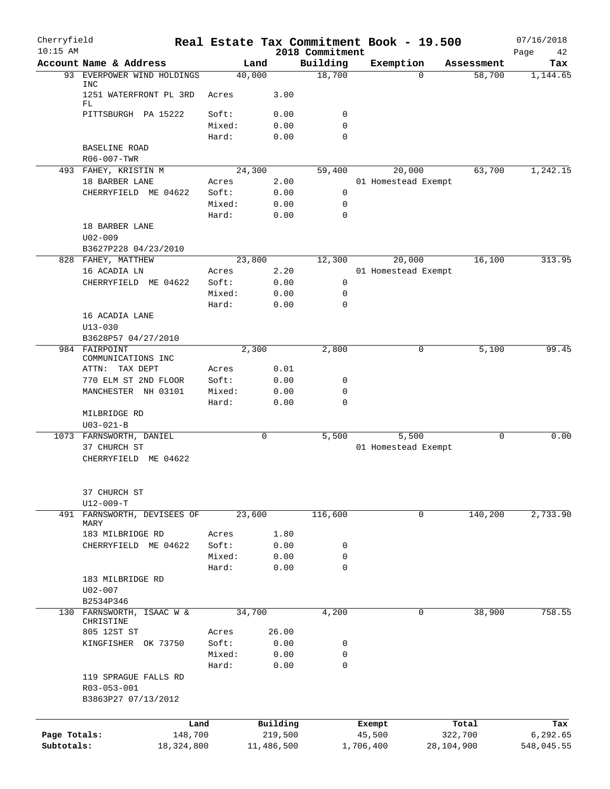| Cherryfield<br>$10:15$ AM |                                            | Real Estate Tax Commitment Book - 19.500 |            | 2018 Commitment |           |                     |            | 07/16/2018<br>Page<br>42 |
|---------------------------|--------------------------------------------|------------------------------------------|------------|-----------------|-----------|---------------------|------------|--------------------------|
|                           | Account Name & Address                     | Land                                     |            | Building        |           | Exemption           | Assessment | Tax                      |
| 93                        | EVERPOWER WIND HOLDINGS                    | 40,000                                   |            | 18,700          |           | $\Omega$            | 58,700     | 1,144.65                 |
|                           | <b>INC</b><br>1251 WATERFRONT PL 3RD<br>FL | Acres                                    | 3.00       |                 |           |                     |            |                          |
|                           | PITTSBURGH PA 15222                        | Soft:                                    | 0.00       | 0               |           |                     |            |                          |
|                           |                                            | Mixed:                                   | 0.00       | $\mathbf 0$     |           |                     |            |                          |
|                           |                                            | Hard:                                    | 0.00       | $\Omega$        |           |                     |            |                          |
|                           | BASELINE ROAD                              |                                          |            |                 |           |                     |            |                          |
|                           | R06-007-TWR                                |                                          |            |                 |           |                     |            |                          |
|                           | 493 FAHEY, KRISTIN M                       | 24,300                                   |            | 59,400          |           | 20,000              | 63,700     | 1,242.15                 |
|                           | 18 BARBER LANE                             | Acres                                    | 2.00       |                 |           | 01 Homestead Exempt |            |                          |
|                           | CHERRYFIELD ME 04622                       | Soft:                                    | 0.00       | 0               |           |                     |            |                          |
|                           |                                            | Mixed:                                   | 0.00       | 0               |           |                     |            |                          |
|                           |                                            | Hard:                                    | 0.00       | $\mathbf 0$     |           |                     |            |                          |
|                           | 18 BARBER LANE                             |                                          |            |                 |           |                     |            |                          |
|                           | $U02 - 009$                                |                                          |            |                 |           |                     |            |                          |
|                           | B3627P228 04/23/2010                       |                                          |            |                 |           |                     |            |                          |
|                           | 828 FAHEY, MATTHEW                         | 23,800                                   |            | 12,300          |           | 20,000              | 16,100     | 313.95                   |
|                           | 16 ACADIA LN                               | Acres                                    | 2.20       |                 |           | 01 Homestead Exempt |            |                          |
|                           | CHERRYFIELD ME 04622                       | Soft:                                    | 0.00       | 0               |           |                     |            |                          |
|                           |                                            | Mixed:                                   | 0.00       | 0               |           |                     |            |                          |
|                           |                                            | Hard:                                    | 0.00       | $\mathbf 0$     |           |                     |            |                          |
|                           | 16 ACADIA LANE                             |                                          |            |                 |           |                     |            |                          |
|                           | $U13 - 030$                                |                                          |            |                 |           |                     |            |                          |
|                           | B3628P57 04/27/2010                        |                                          |            |                 |           |                     |            |                          |
|                           | 984 FAIRPOINT                              | 2,300                                    |            | 2,800           |           | 0                   | 5,100      | 99.45                    |
|                           | COMMUNICATIONS INC                         |                                          |            |                 |           |                     |            |                          |
|                           | TAX DEPT<br>ATTN:                          | Acres                                    | 0.01       |                 |           |                     |            |                          |
|                           | 770 ELM ST 2ND FLOOR                       | Soft:                                    | 0.00       | 0               |           |                     |            |                          |
|                           | MANCHESTER NH 03101                        | Mixed:                                   | 0.00       | $\mathbf 0$     |           |                     |            |                          |
|                           |                                            | Hard:                                    | 0.00       | $\mathbf 0$     |           |                     |            |                          |
|                           | MILBRIDGE RD                               |                                          |            |                 |           |                     |            |                          |
|                           | $U03 - 021 - B$                            |                                          |            |                 |           |                     |            |                          |
|                           | 1073 FARNSWORTH, DANIEL                    | 0                                        |            | 5,500           |           | 5,500               | 0          | 0.00                     |
|                           | 37 CHURCH ST                               |                                          |            |                 |           | 01 Homestead Exempt |            |                          |
|                           | CHERRYFIELD ME 04622                       |                                          |            |                 |           |                     |            |                          |
|                           | 37 CHURCH ST                               |                                          |            |                 |           |                     |            |                          |
|                           | $U12 - 009 - T$                            |                                          |            |                 |           |                     |            |                          |
|                           | 491 FARNSWORTH, DEVISEES OF                | 23,600                                   |            | 116,600         |           | 0                   | 140,200    | 2,733.90                 |
|                           | MARY                                       |                                          |            |                 |           |                     |            |                          |
|                           | 183 MILBRIDGE RD                           | Acres                                    | 1.80       |                 |           |                     |            |                          |
|                           | CHERRYFIELD ME 04622                       | Soft:                                    | 0.00       | 0               |           |                     |            |                          |
|                           |                                            | Mixed:                                   | 0.00       | 0               |           |                     |            |                          |
|                           |                                            | Hard:                                    | 0.00       | $\mathbf 0$     |           |                     |            |                          |
|                           | 183 MILBRIDGE RD                           |                                          |            |                 |           |                     |            |                          |
|                           | $U02 - 007$                                |                                          |            |                 |           |                     |            |                          |
|                           | B2534P346                                  |                                          |            |                 |           |                     |            |                          |
|                           | 130 FARNSWORTH, ISAAC W &                  | 34,700                                   |            | 4,200           |           | 0                   | 38,900     | 758.55                   |
|                           | CHRISTINE<br>805 12ST ST                   | Acres                                    | 26.00      |                 |           |                     |            |                          |
|                           | OK 73750<br>KINGFISHER                     | Soft:                                    | 0.00       | 0               |           |                     |            |                          |
|                           |                                            | Mixed:                                   | 0.00       | 0               |           |                     |            |                          |
|                           |                                            | Hard:                                    | 0.00       | 0               |           |                     |            |                          |
|                           | 119 SPRAGUE FALLS RD                       |                                          |            |                 |           |                     |            |                          |
|                           | R03-053-001                                |                                          |            |                 |           |                     |            |                          |
|                           | B3863P27 07/13/2012                        |                                          |            |                 |           |                     |            |                          |
|                           |                                            |                                          |            |                 |           |                     |            |                          |
|                           | Land                                       |                                          | Building   |                 | Exempt    |                     | Total      | Tax                      |
| Page Totals:              | 148,700                                    |                                          | 219,500    |                 | 45,500    |                     | 322,700    | 6,292.65                 |
| Subtotals:                | 18, 324, 800                               |                                          | 11,486,500 |                 | 1,706,400 |                     | 28,104,900 | 548,045.55               |
|                           |                                            |                                          |            |                 |           |                     |            |                          |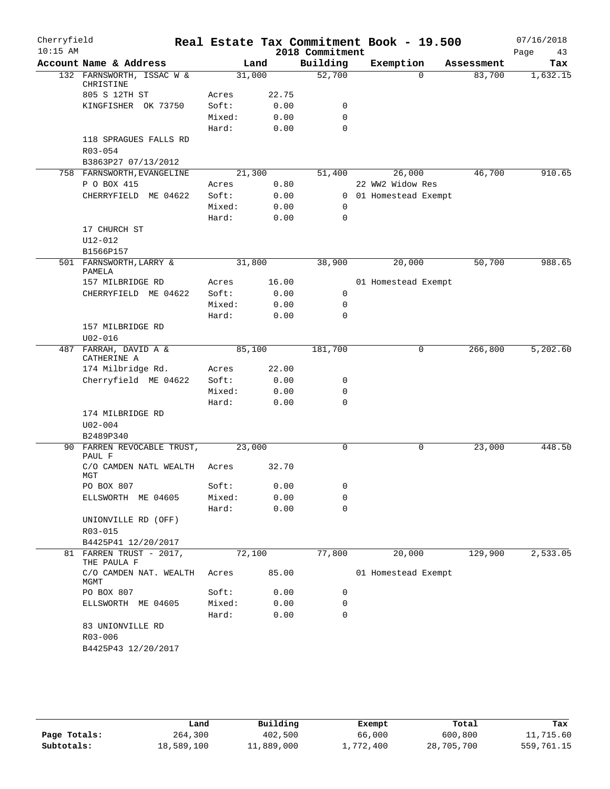| Cherryfield<br>$10:15$ AM |                                        |        |       | Real Estate Tax Commitment Book - 19.500<br>2018 Commitment |                       |            | 07/16/2018        |
|---------------------------|----------------------------------------|--------|-------|-------------------------------------------------------------|-----------------------|------------|-------------------|
|                           | Account Name & Address                 |        | Land  | Building                                                    | Exemption             | Assessment | Page<br>43<br>Tax |
|                           | 132 FARNSWORTH, ISSAC W &              | 31,000 |       | 52,700                                                      | $\Omega$              | 83,700     | 1,632.15          |
|                           | CHRISTINE                              |        |       |                                                             |                       |            |                   |
|                           | 805 S 12TH ST                          | Acres  | 22.75 |                                                             |                       |            |                   |
|                           | KINGFISHER OK 73750                    | Soft:  | 0.00  | 0                                                           |                       |            |                   |
|                           |                                        | Mixed: | 0.00  | $\mathbf 0$                                                 |                       |            |                   |
|                           |                                        | Hard:  | 0.00  | $\mathbf 0$                                                 |                       |            |                   |
|                           | 118 SPRAGUES FALLS RD                  |        |       |                                                             |                       |            |                   |
|                           | $R03 - 054$                            |        |       |                                                             |                       |            |                   |
|                           | B3863P27 07/13/2012                    |        |       |                                                             |                       |            |                   |
|                           | 758 FARNSWORTH, EVANGELINE             | 21,300 |       | 51,400                                                      | 26,000                | 46,700     | 910.65            |
|                           | P O BOX 415                            | Acres  | 0.80  |                                                             | 22 WW2 Widow Res      |            |                   |
|                           | CHERRYFIELD ME 04622                   | Soft:  | 0.00  |                                                             | 0 01 Homestead Exempt |            |                   |
|                           |                                        | Mixed: | 0.00  | 0<br>$\mathbf 0$                                            |                       |            |                   |
|                           | 17 CHURCH ST                           | Hard:  | 0.00  |                                                             |                       |            |                   |
|                           | U12-012                                |        |       |                                                             |                       |            |                   |
|                           | B1566P157                              |        |       |                                                             |                       |            |                   |
|                           | 501 FARNSWORTH, LARRY &                | 31,800 |       | 38,900                                                      | 20,000                | 50,700     | 988.65            |
|                           | PAMELA                                 |        |       |                                                             |                       |            |                   |
|                           | 157 MILBRIDGE RD                       | Acres  | 16.00 |                                                             | 01 Homestead Exempt   |            |                   |
|                           | CHERRYFIELD ME 04622                   | Soft:  | 0.00  | 0                                                           |                       |            |                   |
|                           |                                        | Mixed: | 0.00  | 0                                                           |                       |            |                   |
|                           |                                        | Hard:  | 0.00  | $\mathbf 0$                                                 |                       |            |                   |
|                           | 157 MILBRIDGE RD                       |        |       |                                                             |                       |            |                   |
|                           | $U02 - 016$                            |        |       |                                                             |                       |            |                   |
| 487                       | FARRAH, DAVID A &<br>CATHERINE A       | 85,100 |       | 181,700                                                     | 0                     | 266,800    | 5,202.60          |
|                           | 174 Milbridge Rd.                      | Acres  | 22.00 |                                                             |                       |            |                   |
|                           | Cherryfield ME 04622                   | Soft:  | 0.00  | 0                                                           |                       |            |                   |
|                           |                                        | Mixed: | 0.00  | $\mathbf 0$                                                 |                       |            |                   |
|                           |                                        | Hard:  | 0.00  | $\mathbf 0$                                                 |                       |            |                   |
|                           | 174 MILBRIDGE RD                       |        |       |                                                             |                       |            |                   |
|                           | $U02 - 004$                            |        |       |                                                             |                       |            |                   |
|                           | B2489P340                              |        |       |                                                             |                       |            |                   |
|                           | 90 FARREN REVOCABLE TRUST,<br>PAUL F   | 23,000 |       | 0                                                           | 0                     | 23,000     | 448.50            |
|                           | C/O CAMDEN NATL WEALTH<br>MGT          | Acres  | 32.70 |                                                             |                       |            |                   |
|                           | PO BOX 807                             | Soft:  | 0.00  | 0                                                           |                       |            |                   |
|                           | ELLSWORTH ME 04605                     | Mixed: | 0.00  | $\mathbf 0$                                                 |                       |            |                   |
|                           |                                        | Hard:  | 0.00  | 0                                                           |                       |            |                   |
|                           | UNIONVILLE RD (OFF)                    |        |       |                                                             |                       |            |                   |
|                           | R03-015                                |        |       |                                                             |                       |            |                   |
|                           | B4425P41 12/20/2017                    |        |       |                                                             |                       |            |                   |
|                           | 81 FARREN TRUST - 2017,<br>THE PAULA F | 72,100 |       | 77,800                                                      | 20,000                | 129,900    | 2,533.05          |
|                           | C/O CAMDEN NAT. WEALTH<br>MGMT         | Acres  | 85.00 |                                                             | 01 Homestead Exempt   |            |                   |
|                           | PO BOX 807                             | Soft:  | 0.00  | 0                                                           |                       |            |                   |
|                           | ELLSWORTH ME 04605                     | Mixed: | 0.00  | 0                                                           |                       |            |                   |
|                           |                                        | Hard:  | 0.00  | $\mathbf 0$                                                 |                       |            |                   |
|                           | 83 UNIONVILLE RD<br>R03-006            |        |       |                                                             |                       |            |                   |
|                           | B4425P43 12/20/2017                    |        |       |                                                             |                       |            |                   |

|              | Land       | Building   | Exempt    | Total      | Tax        |
|--------------|------------|------------|-----------|------------|------------|
| Page Totals: | 264,300    | 402,500    | 66,000    | 600,800    | 11,715.60  |
| Subtotals:   | 18,589,100 | 11,889,000 | 1,772,400 | 28,705,700 | 559,761.15 |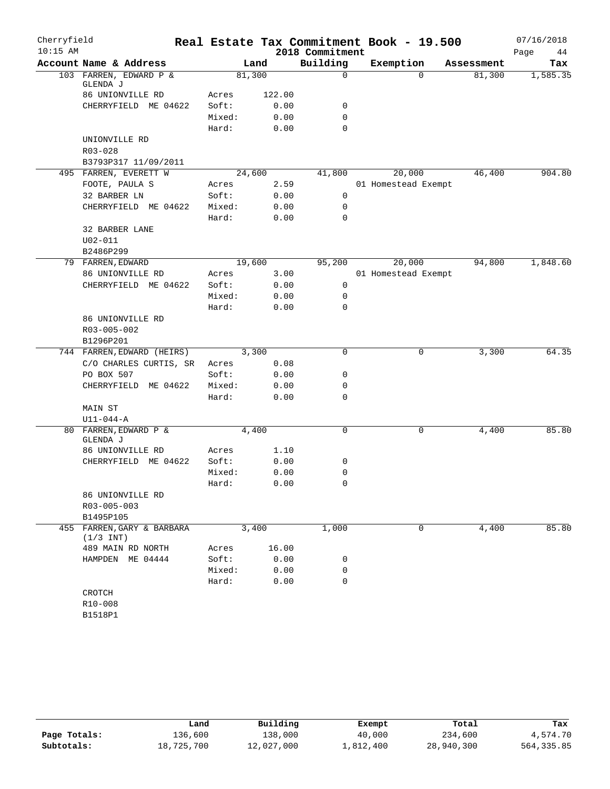| Cherryfield |                                           |        |        |                 | Real Estate Tax Commitment Book - 19.500 |            | 07/16/2018 |
|-------------|-------------------------------------------|--------|--------|-----------------|------------------------------------------|------------|------------|
| $10:15$ AM  |                                           |        |        | 2018 Commitment |                                          |            | Page<br>44 |
|             | Account Name & Address                    |        | Land   | Building        | Exemption                                | Assessment | Tax        |
|             | 103 FARREN, EDWARD P &<br>GLENDA J        |        | 81,300 | $\mathsf{O}$    | $\Omega$                                 | 81,300     | 1,585.35   |
|             | 86 UNIONVILLE RD                          | Acres  | 122.00 |                 |                                          |            |            |
|             | CHERRYFIELD ME 04622                      | Soft:  | 0.00   | 0               |                                          |            |            |
|             |                                           | Mixed: | 0.00   | 0               |                                          |            |            |
|             |                                           | Hard:  | 0.00   | $\Omega$        |                                          |            |            |
|             | UNIONVILLE RD                             |        |        |                 |                                          |            |            |
|             | R03-028                                   |        |        |                 |                                          |            |            |
|             | B3793P317 11/09/2011                      |        |        |                 |                                          |            |            |
|             | 495 FARREN, EVERETT W                     |        | 24,600 | 41,800          | 20,000                                   | 46,400     | 904.80     |
|             | FOOTE, PAULA S                            | Acres  | 2.59   |                 | 01 Homestead Exempt                      |            |            |
|             | 32 BARBER LN                              | Soft:  | 0.00   | $\mathbf 0$     |                                          |            |            |
|             | CHERRYFIELD ME 04622                      | Mixed: | 0.00   | 0               |                                          |            |            |
|             |                                           | Hard:  | 0.00   | $\mathbf 0$     |                                          |            |            |
|             | 32 BARBER LANE                            |        |        |                 |                                          |            |            |
|             | $U02 - 011$                               |        |        |                 |                                          |            |            |
|             | B2486P299                                 |        |        |                 |                                          |            |            |
|             | 79 FARREN, EDWARD                         |        | 19,600 | 95,200          | 20,000                                   | 94,800     | 1,848.60   |
|             | 86 UNIONVILLE RD                          | Acres  | 3.00   |                 | 01 Homestead Exempt                      |            |            |
|             | CHERRYFIELD ME 04622                      | Soft:  | 0.00   | 0               |                                          |            |            |
|             |                                           | Mixed: | 0.00   | 0               |                                          |            |            |
|             |                                           | Hard:  | 0.00   | $\Omega$        |                                          |            |            |
|             | 86 UNIONVILLE RD                          |        |        |                 |                                          |            |            |
|             | R03-005-002                               |        |        |                 |                                          |            |            |
|             | B1296P201                                 |        |        |                 |                                          |            |            |
|             | 744 FARREN, EDWARD (HEIRS)                |        | 3,300  | $\Omega$        | 0                                        | 3,300      | 64.35      |
|             | C/O CHARLES CURTIS, SR                    | Acres  | 0.08   |                 |                                          |            |            |
|             | PO BOX 507                                | Soft:  | 0.00   | 0               |                                          |            |            |
|             | CHERRYFIELD ME 04622                      | Mixed: | 0.00   | 0               |                                          |            |            |
|             |                                           | Hard:  | 0.00   | 0               |                                          |            |            |
|             | MAIN ST                                   |        |        |                 |                                          |            |            |
|             | $U11 - 044 - A$                           |        |        |                 |                                          |            |            |
|             | 80 FARREN, EDWARD P &                     |        | 4,400  | 0               | 0                                        | 4,400      | 85.80      |
|             | GLENDA J                                  |        |        |                 |                                          |            |            |
|             | 86 UNIONVILLE RD                          | Acres  | 1.10   |                 |                                          |            |            |
|             | CHERRYFIELD ME 04622                      | Soft:  | 0.00   | 0               |                                          |            |            |
|             |                                           | Mixed: | 0.00   | 0               |                                          |            |            |
|             |                                           | Hard:  | 0.00   | $\Omega$        |                                          |            |            |
|             | 86 UNIONVILLE RD                          |        |        |                 |                                          |            |            |
|             | R03-005-003                               |        |        |                 |                                          |            |            |
|             | B1495P105                                 |        |        |                 |                                          |            |            |
|             | 455 FARREN, GARY & BARBARA<br>$(1/3$ INT) |        | 3,400  | 1,000           | 0                                        | 4,400      | 85.80      |
|             | 489 MAIN RD NORTH                         | Acres  | 16.00  |                 |                                          |            |            |
|             | HAMPDEN ME 04444                          | Soft:  | 0.00   | 0               |                                          |            |            |
|             |                                           | Mixed: | 0.00   | 0               |                                          |            |            |
|             |                                           | Hard:  | 0.00   | 0               |                                          |            |            |
|             | CROTCH                                    |        |        |                 |                                          |            |            |
|             | R10-008                                   |        |        |                 |                                          |            |            |
|             | B1518P1                                   |        |        |                 |                                          |            |            |

|              | Land       | Building   | Exempt    | Total      | Tax        |
|--------------|------------|------------|-----------|------------|------------|
| Page Totals: | 136,600    | 138,000    | 40,000    | 234,600    | 4,574.70   |
| Subtotals:   | 18,725,700 | 12,027,000 | 1,812,400 | 28,940,300 | 564,335.85 |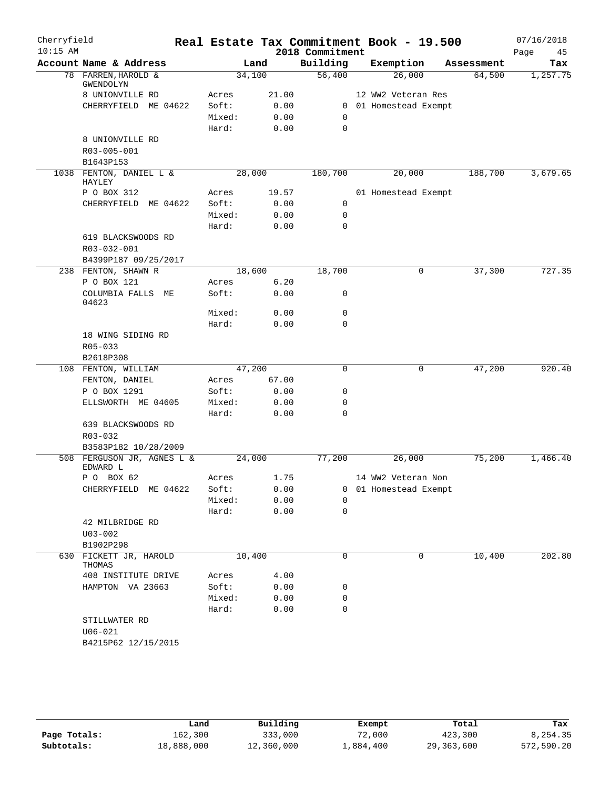| Cherryfield |                                    |                |              |                 | Real Estate Tax Commitment Book - 19.500 |            | 07/16/2018 |
|-------------|------------------------------------|----------------|--------------|-----------------|------------------------------------------|------------|------------|
| $10:15$ AM  |                                    |                |              | 2018 Commitment |                                          |            | Page<br>45 |
|             | Account Name & Address             |                | Land         | Building        | Exemption                                | Assessment | Tax        |
|             | 78 FARREN, HAROLD &<br>GWENDOLYN   | 34,100         |              | 56,400          | 26,000                                   | 64,500     | 1,257.75   |
|             | 8 UNIONVILLE RD                    | Acres          | 21.00        |                 | 12 WW2 Veteran Res                       |            |            |
|             | CHERRYFIELD ME 04622               | Soft:          | 0.00         |                 | 0 01 Homestead Exempt                    |            |            |
|             |                                    | Mixed:         | 0.00         | 0               |                                          |            |            |
|             |                                    | Hard:          | 0.00         | $\mathbf 0$     |                                          |            |            |
|             | 8 UNIONVILLE RD                    |                |              |                 |                                          |            |            |
|             | R03-005-001                        |                |              |                 |                                          |            |            |
|             | B1643P153                          |                |              |                 |                                          |            |            |
|             | 1038 FENTON, DANIEL L &<br>HAYLEY  | 28,000         |              | 180,700         | 20,000                                   | 188,700    | 3,679.65   |
|             | P O BOX 312                        | Acres          | 19.57        |                 | 01 Homestead Exempt                      |            |            |
|             | CHERRYFIELD<br>ME 04622            | Soft:          | 0.00         | 0               |                                          |            |            |
|             |                                    | Mixed:         | 0.00         | 0               |                                          |            |            |
|             |                                    | Hard:          | 0.00         | $\mathbf 0$     |                                          |            |            |
|             | 619 BLACKSWOODS RD                 |                |              |                 |                                          |            |            |
|             | R03-032-001                        |                |              |                 |                                          |            |            |
|             | B4399P187 09/25/2017               |                |              |                 |                                          |            |            |
|             | 238 FENTON, SHAWN R                | 18,600         |              | 18,700          | 0                                        | 37,300     | 727.35     |
|             | P O BOX 121<br>COLUMBIA FALLS ME   | Acres<br>Soft: | 6.20<br>0.00 | 0               |                                          |            |            |
|             | 04623                              | Mixed:         |              | $\mathbf 0$     |                                          |            |            |
|             |                                    | Hard:          | 0.00<br>0.00 | $\mathbf 0$     |                                          |            |            |
|             | 18 WING SIDING RD                  |                |              |                 |                                          |            |            |
|             | R05-033                            |                |              |                 |                                          |            |            |
|             | B2618P308                          |                |              |                 |                                          |            |            |
|             | 108 FENTON, WILLIAM                | 47,200         |              | $\mathbf 0$     | 0                                        | 47,200     | 920.40     |
|             | FENTON, DANIEL                     | Acres          | 67.00        |                 |                                          |            |            |
|             | P O BOX 1291                       | Soft:          | 0.00         | 0               |                                          |            |            |
|             | ELLSWORTH ME 04605                 | Mixed:         | 0.00         | $\mathbf 0$     |                                          |            |            |
|             |                                    | Hard:          | 0.00         | $\mathbf 0$     |                                          |            |            |
|             | 639 BLACKSWOODS RD                 |                |              |                 |                                          |            |            |
|             | $R03 - 032$                        |                |              |                 |                                          |            |            |
|             | B3583P182 10/28/2009               |                |              |                 |                                          |            |            |
| 508         | FERGUSON JR, AGNES L &<br>EDWARD L | 24,000         |              | 77,200          | 26,000                                   | 75,200     | 1,466.40   |
|             | P O BOX 62                         | Acres          | 1.75         |                 | 14 WW2 Veteran Non                       |            |            |
|             | CHERRYFIELD ME 04622               | Soft:          | 0.00         |                 | 0 01 Homestead Exempt                    |            |            |
|             |                                    | Mixed:         | 0.00         | 0               |                                          |            |            |
|             |                                    | Hard:          | 0.00         | $\mathbf 0$     |                                          |            |            |
|             | 42 MILBRIDGE RD                    |                |              |                 |                                          |            |            |
|             | $U03 - 002$                        |                |              |                 |                                          |            |            |
|             | B1902P298                          |                |              |                 |                                          |            |            |
|             | 630 FICKETT JR, HAROLD<br>THOMAS   | 10,400         |              | 0               | 0                                        | 10,400     | 202.80     |
|             | 408 INSTITUTE DRIVE                | Acres          | 4.00         |                 |                                          |            |            |
|             | HAMPTON VA 23663                   | Soft:          | 0.00         | 0               |                                          |            |            |
|             |                                    | Mixed:         | 0.00         | 0               |                                          |            |            |
|             |                                    | Hard:          | 0.00         | $\mathbf 0$     |                                          |            |            |
|             | STILLWATER RD                      |                |              |                 |                                          |            |            |
|             | $U06 - 021$                        |                |              |                 |                                          |            |            |
|             | B4215P62 12/15/2015                |                |              |                 |                                          |            |            |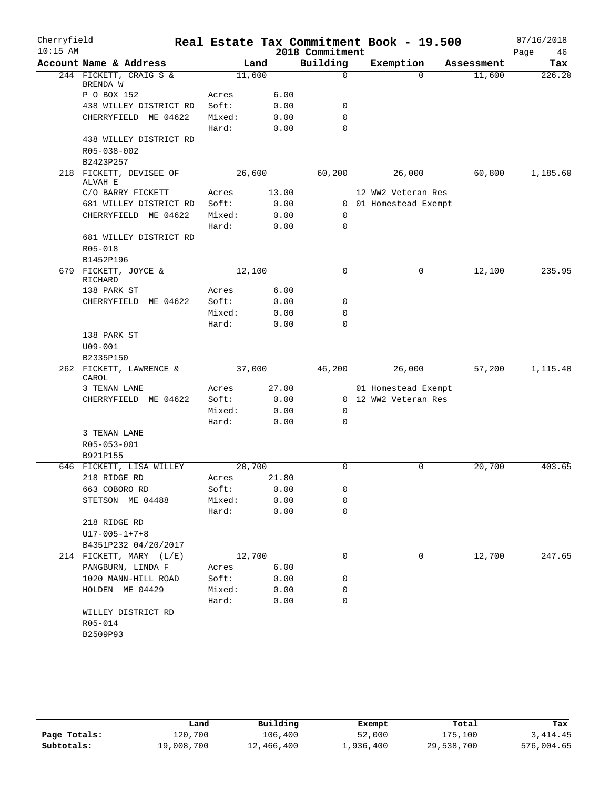| Cherryfield |                                              |                 |        |              |                 | Real Estate Tax Commitment Book - 19.500 |            | 07/16/2018 |
|-------------|----------------------------------------------|-----------------|--------|--------------|-----------------|------------------------------------------|------------|------------|
| $10:15$ AM  |                                              |                 |        |              | 2018 Commitment |                                          |            | Page<br>46 |
|             | Account Name & Address                       |                 | Land   |              | Building        | Exemption                                | Assessment | Tax        |
|             | 244 FICKETT, CRAIG S &<br>BRENDA W           |                 | 11,600 |              | $\mathbf 0$     | $\Omega$                                 | 11,600     | 226.20     |
|             | P O BOX 152                                  | Acres           |        | 6.00         |                 |                                          |            |            |
|             | 438 WILLEY DISTRICT RD                       | Soft:           |        | 0.00         | 0               |                                          |            |            |
|             | CHERRYFIELD ME 04622                         | Mixed:          |        | 0.00         | $\mathbf 0$     |                                          |            |            |
|             |                                              | Hard:           |        | 0.00         | $\Omega$        |                                          |            |            |
|             | 438 WILLEY DISTRICT RD                       |                 |        |              |                 |                                          |            |            |
|             | R05-038-002                                  |                 |        |              |                 |                                          |            |            |
|             | B2423P257                                    |                 |        |              |                 |                                          |            |            |
|             | 218 FICKETT, DEVISEE OF<br>ALVAH E           |                 | 26,600 |              | 60,200          | 26,000                                   | 60,800     | 1,185.60   |
|             | C/O BARRY FICKETT                            | Acres           |        | 13.00        |                 | 12 WW2 Veteran Res                       |            |            |
|             | 681 WILLEY DISTRICT RD                       | Soft:           |        | 0.00         |                 | 0 01 Homestead Exempt                    |            |            |
|             | CHERRYFIELD ME 04622                         | Mixed:          |        | 0.00         | 0               |                                          |            |            |
|             |                                              | Hard:           |        | 0.00         | $\mathbf 0$     |                                          |            |            |
|             | 681 WILLEY DISTRICT RD                       |                 |        |              |                 |                                          |            |            |
|             | R05-018                                      |                 |        |              |                 |                                          |            |            |
|             | B1452P196                                    |                 |        |              |                 |                                          |            |            |
|             | 679 FICKETT, JOYCE &                         |                 | 12,100 |              | $\mathbf 0$     | 0                                        | 12,100     | 235.95     |
|             | RICHARD                                      |                 |        |              |                 |                                          |            |            |
|             | 138 PARK ST                                  | Acres           |        | 6.00         |                 |                                          |            |            |
|             | CHERRYFIELD<br>ME 04622                      | Soft:           |        | 0.00         | 0               |                                          |            |            |
|             |                                              | Mixed:          |        | 0.00         | 0               |                                          |            |            |
|             |                                              | Hard:           |        | 0.00         | 0               |                                          |            |            |
|             | 138 PARK ST                                  |                 |        |              |                 |                                          |            |            |
|             | $U09 - 001$                                  |                 |        |              |                 |                                          |            |            |
|             | B2335P150                                    |                 |        |              |                 |                                          |            |            |
|             | 262 FICKETT, LAWRENCE &<br>CAROL             |                 | 37,000 |              | 46,200          | 26,000                                   | 57,200     | 1,115.40   |
|             | 3 TENAN LANE                                 | Acres           |        | 27.00        |                 | 01 Homestead Exempt                      |            |            |
|             | CHERRYFIELD ME 04622                         | Soft:           |        | 0.00         |                 | 0 12 WW2 Veteran Res                     |            |            |
|             |                                              | Mixed:          |        | 0.00         | 0               |                                          |            |            |
|             |                                              | Hard:           |        | 0.00         | 0               |                                          |            |            |
|             | 3 TENAN LANE                                 |                 |        |              |                 |                                          |            |            |
|             | R05-053-001                                  |                 |        |              |                 |                                          |            |            |
|             | B921P155                                     |                 |        |              |                 |                                          |            |            |
|             | 646 FICKETT, LISA WILLEY                     |                 | 20,700 |              | $\mathbf 0$     | 0                                        | 20,700     | 403.65     |
|             | 218 RIDGE RD                                 | Acres           |        | 21.80        |                 |                                          |            |            |
|             | 663 COBORO RD                                | Soft:           |        | 0.00         | 0               |                                          |            |            |
|             | STETSON ME 04488                             | Mixed:          |        | 0.00         | 0               |                                          |            |            |
|             |                                              | Hard:           |        | 0.00         | 0               |                                          |            |            |
|             | 218 RIDGE RD                                 |                 |        |              |                 |                                          |            |            |
|             | $U17 - 005 - 1 + 7 + 8$                      |                 |        |              |                 |                                          |            |            |
|             | B4351P232 04/20/2017                         |                 |        |              | 0               | 0                                        |            |            |
|             | 214 FICKETT, MARY (L/E)<br>PANGBURN, LINDA F |                 | 12,700 | 6.00         |                 |                                          | 12,700     | 247.65     |
|             | 1020 MANN-HILL ROAD                          | Acres<br>Soft:  |        | 0.00         | 0               |                                          |            |            |
|             |                                              |                 |        |              |                 |                                          |            |            |
|             | HOLDEN ME 04429                              | Mixed:<br>Hard: |        | 0.00<br>0.00 | 0<br>0          |                                          |            |            |
|             |                                              |                 |        |              |                 |                                          |            |            |
|             | WILLEY DISTRICT RD<br>R05-014                |                 |        |              |                 |                                          |            |            |
|             | B2509P93                                     |                 |        |              |                 |                                          |            |            |
|             |                                              |                 |        |              |                 |                                          |            |            |
|             |                                              |                 |        |              |                 |                                          |            |            |

|              | Land       | Building   | Exempt    | Total      | Tax        |
|--------------|------------|------------|-----------|------------|------------|
| Page Totals: | 120,700    | 106,400    | 52,000    | 175,100    | 3,414.45   |
| Subtotals:   | 19,008,700 | 12,466,400 | 1,936,400 | 29,538,700 | 576,004.65 |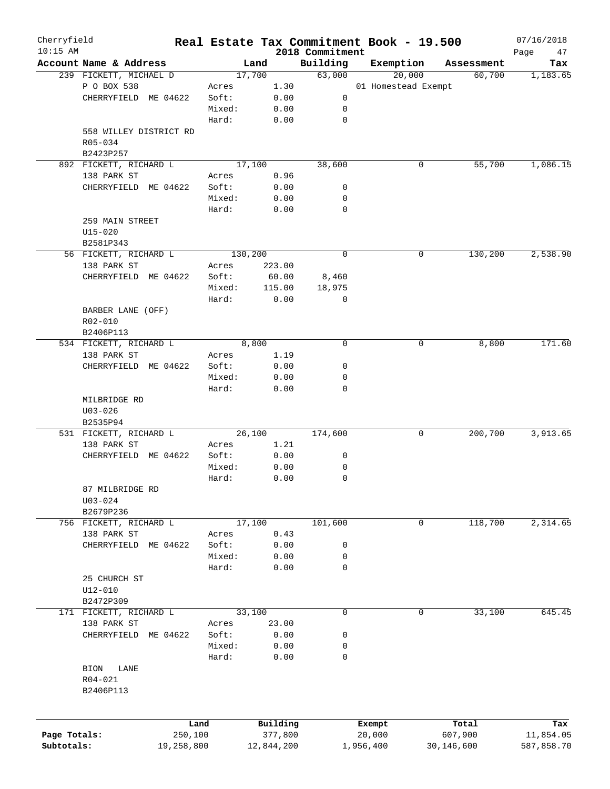| Cherryfield<br>$10:15$ AM |                        |        |            |                             | Real Estate Tax Commitment Book - 19.500 |            | 07/16/2018        |
|---------------------------|------------------------|--------|------------|-----------------------------|------------------------------------------|------------|-------------------|
|                           | Account Name & Address |        | Land       | 2018 Commitment<br>Building | Exemption                                | Assessment | Page<br>47<br>Tax |
|                           | 239 FICKETT, MICHAEL D |        | 17,700     | 63,000                      | 20,000                                   | 60,700     |                   |
|                           |                        |        |            |                             |                                          |            | 1,183.65          |
|                           | P O BOX 538            | Acres  | 1.30       |                             | 01 Homestead Exempt                      |            |                   |
|                           | CHERRYFIELD ME 04622   | Soft:  | 0.00       | 0                           |                                          |            |                   |
|                           |                        | Mixed: | 0.00       | 0                           |                                          |            |                   |
|                           |                        | Hard:  | 0.00       | 0                           |                                          |            |                   |
|                           | 558 WILLEY DISTRICT RD |        |            |                             |                                          |            |                   |
|                           | R05-034                |        |            |                             |                                          |            |                   |
|                           | B2423P257              |        |            |                             |                                          |            |                   |
|                           | 892 FICKETT, RICHARD L |        | 17,100     | 38,600                      | 0                                        | 55,700     | 1,086.15          |
|                           | 138 PARK ST            | Acres  | 0.96       |                             |                                          |            |                   |
|                           | CHERRYFIELD ME 04622   | Soft:  | 0.00       | 0                           |                                          |            |                   |
|                           |                        | Mixed: | 0.00       | 0                           |                                          |            |                   |
|                           |                        | Hard:  | 0.00       | 0                           |                                          |            |                   |
|                           | 259 MAIN STREET        |        |            |                             |                                          |            |                   |
|                           | $U15 - 020$            |        |            |                             |                                          |            |                   |
|                           | B2581P343              |        |            |                             |                                          |            |                   |
|                           | 56 FICKETT, RICHARD L  |        | 130,200    | 0                           | 0                                        | 130,200    | 2,538.90          |
|                           | 138 PARK ST            | Acres  | 223.00     |                             |                                          |            |                   |
|                           | CHERRYFIELD ME 04622   | Soft:  | 60.00      | 8,460                       |                                          |            |                   |
|                           |                        | Mixed: | 115.00     | 18,975                      |                                          |            |                   |
|                           |                        | Hard:  |            |                             |                                          |            |                   |
|                           |                        |        | 0.00       | 0                           |                                          |            |                   |
|                           | BARBER LANE (OFF)      |        |            |                             |                                          |            |                   |
|                           | R02-010                |        |            |                             |                                          |            |                   |
|                           | B2406P113              |        |            |                             |                                          |            |                   |
|                           | 534 FICKETT, RICHARD L |        | 8,800      | $\mathbf 0$                 | 0                                        | 8,800      | 171.60            |
|                           | 138 PARK ST            | Acres  | 1.19       |                             |                                          |            |                   |
|                           | CHERRYFIELD ME 04622   | Soft:  | 0.00       | 0                           |                                          |            |                   |
|                           |                        | Mixed: | 0.00       | 0                           |                                          |            |                   |
|                           |                        | Hard:  | 0.00       | $\mathbf 0$                 |                                          |            |                   |
|                           | MILBRIDGE RD           |        |            |                             |                                          |            |                   |
|                           | $U03 - 026$            |        |            |                             |                                          |            |                   |
|                           | B2535P94               |        |            |                             |                                          |            |                   |
|                           | 531 FICKETT, RICHARD L |        | 26,100     | 174,600                     | 0                                        | 200,700    | 3,913.65          |
|                           | 138 PARK ST            | Acres  | 1.21       |                             |                                          |            |                   |
|                           | CHERRYFIELD ME 04622   | Soft:  | 0.00       | 0                           |                                          |            |                   |
|                           |                        | Mixed: | 0.00       | 0                           |                                          |            |                   |
|                           |                        | Hard:  | 0.00       | 0                           |                                          |            |                   |
|                           | 87 MILBRIDGE RD        |        |            |                             |                                          |            |                   |
|                           | $U03 - 024$            |        |            |                             |                                          |            |                   |
|                           | B2679P236              |        |            |                             |                                          |            |                   |
|                           | 756 FICKETT, RICHARD L |        | 17,100     | 101,600                     | 0                                        | 118,700    | 2,314.65          |
|                           |                        |        |            |                             |                                          |            |                   |
|                           | 138 PARK ST            | Acres  | 0.43       |                             |                                          |            |                   |
|                           | CHERRYFIELD ME 04622   | Soft:  | 0.00       | 0                           |                                          |            |                   |
|                           |                        | Mixed: | 0.00       | 0                           |                                          |            |                   |
|                           |                        | Hard:  | 0.00       | 0                           |                                          |            |                   |
|                           | 25 CHURCH ST           |        |            |                             |                                          |            |                   |
|                           | $U12 - 010$            |        |            |                             |                                          |            |                   |
|                           | B2472P309              |        |            |                             |                                          |            |                   |
|                           | 171 FICKETT, RICHARD L |        | 33,100     | 0                           | 0                                        | 33,100     | 645.45            |
|                           | 138 PARK ST            | Acres  | 23.00      |                             |                                          |            |                   |
|                           | CHERRYFIELD ME 04622   | Soft:  | 0.00       | 0                           |                                          |            |                   |
|                           |                        | Mixed: | 0.00       | 0                           |                                          |            |                   |
|                           |                        | Hard:  | 0.00       | 0                           |                                          |            |                   |
|                           | BION<br>LANE           |        |            |                             |                                          |            |                   |
|                           | R04-021                |        |            |                             |                                          |            |                   |
|                           | B2406P113              |        |            |                             |                                          |            |                   |
|                           |                        |        |            |                             |                                          |            |                   |
|                           |                        |        |            |                             |                                          |            |                   |
|                           |                        | Land   | Building   |                             | Exempt                                   | Total      | Tax               |
| Page Totals:              | 250,100                |        | 377,800    |                             | 20,000                                   | 607,900    | 11,854.05         |
| Subtotals:                | 19,258,800             |        | 12,844,200 |                             | 1,956,400                                | 30,146,600 | 587,858.70        |
|                           |                        |        |            |                             |                                          |            |                   |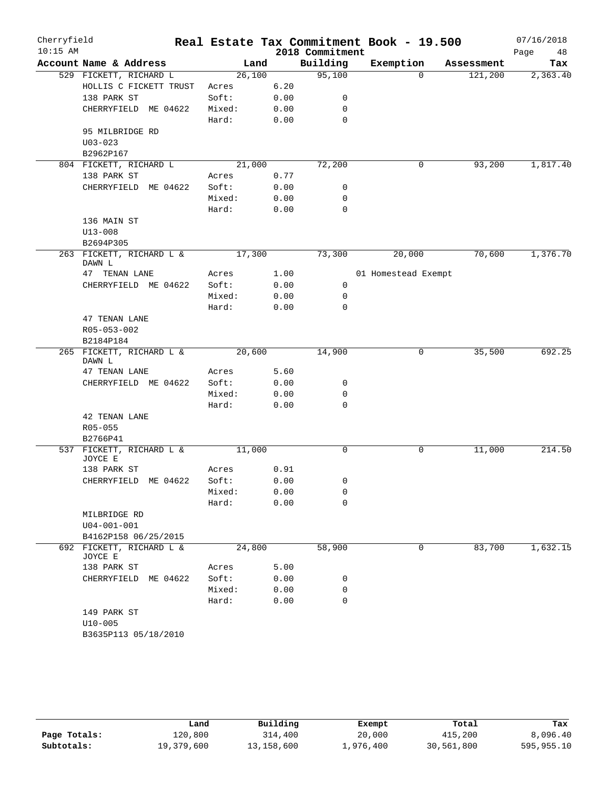| Cherryfield |                                          |        |        |                 | Real Estate Tax Commitment Book - 19.500 |            | 07/16/2018 |
|-------------|------------------------------------------|--------|--------|-----------------|------------------------------------------|------------|------------|
| $10:15$ AM  |                                          |        |        | 2018 Commitment |                                          |            | Page<br>48 |
|             | Account Name & Address                   |        | Land   | Building        | Exemption                                | Assessment | Tax        |
|             | 529 FICKETT, RICHARD L                   | 26,100 |        | 95,100          | $\Omega$                                 | 121,200    | 2,363.40   |
|             | HOLLIS C FICKETT TRUST                   | Acres  | 6.20   |                 |                                          |            |            |
|             | 138 PARK ST                              | Soft:  | 0.00   | 0               |                                          |            |            |
|             | CHERRYFIELD ME 04622                     | Mixed: | 0.00   | $\mathbf 0$     |                                          |            |            |
|             |                                          | Hard:  | 0.00   | $\mathbf 0$     |                                          |            |            |
|             | 95 MILBRIDGE RD                          |        |        |                 |                                          |            |            |
|             | $U03 - 023$                              |        |        |                 |                                          |            |            |
|             | B2962P167                                |        |        |                 |                                          |            |            |
|             | 804 FICKETT, RICHARD L                   | 21,000 |        | 72,200          | 0                                        | 93,200     | 1,817.40   |
|             | 138 PARK ST                              | Acres  | 0.77   |                 |                                          |            |            |
|             | CHERRYFIELD ME 04622                     | Soft:  | 0.00   | 0               |                                          |            |            |
|             |                                          | Mixed: | 0.00   | 0               |                                          |            |            |
|             |                                          | Hard:  | 0.00   | 0               |                                          |            |            |
|             | 136 MAIN ST                              |        |        |                 |                                          |            |            |
|             | $U13 - 008$                              |        |        |                 |                                          |            |            |
|             | B2694P305                                |        |        |                 |                                          |            |            |
|             | 263 FICKETT, RICHARD L &<br>DAWN L       | 17,300 |        | 73,300          | 20,000                                   | 70,600     | 1,376.70   |
|             | 47 TENAN LANE                            | Acres  | 1.00   |                 | 01 Homestead Exempt                      |            |            |
|             | CHERRYFIELD ME 04622                     | Soft:  | 0.00   | 0               |                                          |            |            |
|             |                                          | Mixed: | 0.00   | 0               |                                          |            |            |
|             |                                          | Hard:  | 0.00   | 0               |                                          |            |            |
|             | 47 TENAN LANE                            |        |        |                 |                                          |            |            |
|             | R05-053-002                              |        |        |                 |                                          |            |            |
|             | B2184P184                                |        |        |                 |                                          |            |            |
|             | 265 FICKETT, RICHARD L &<br>DAWN L       | 20,600 |        | 14,900          | 0                                        | 35,500     | 692.25     |
|             | 47 TENAN LANE                            | Acres  | 5.60   |                 |                                          |            |            |
|             | CHERRYFIELD ME 04622                     | Soft:  | 0.00   | 0               |                                          |            |            |
|             |                                          | Mixed: | 0.00   | 0               |                                          |            |            |
|             |                                          | Hard:  | 0.00   | 0               |                                          |            |            |
|             | 42 TENAN LANE<br>$R05 - 055$<br>B2766P41 |        |        |                 |                                          |            |            |
|             | 537 FICKETT, RICHARD L &                 | 11,000 |        | 0               | 0                                        | 11,000     | 214.50     |
|             | JOYCE E                                  |        |        |                 |                                          |            |            |
|             | 138 PARK ST                              | Acres  | 0.91   |                 |                                          |            |            |
|             | CHERRYFIELD ME 04622                     | Soft:  | 0.00   | 0               |                                          |            |            |
|             |                                          | Mixed: | 0.00   | 0               |                                          |            |            |
|             |                                          | Hard:  | 0.00   | 0               |                                          |            |            |
|             | MILBRIDGE RD                             |        |        |                 |                                          |            |            |
|             | $U04 - 001 - 001$                        |        |        |                 |                                          |            |            |
|             | B4162P158 06/25/2015                     |        |        |                 |                                          |            |            |
| 692         | FICKETT, RICHARD L &<br>JOYCE E          |        | 24,800 | 58,900          | 0                                        | 83,700     | 1,632.15   |
|             | 138 PARK ST                              | Acres  | 5.00   |                 |                                          |            |            |
|             | CHERRYFIELD ME 04622                     | Soft:  | 0.00   | 0               |                                          |            |            |
|             |                                          | Mixed: | 0.00   | 0               |                                          |            |            |
|             |                                          | Hard:  | 0.00   | 0               |                                          |            |            |
|             | 149 PARK ST                              |        |        |                 |                                          |            |            |
|             | $U10 - 005$                              |        |        |                 |                                          |            |            |
|             |                                          |        |        |                 |                                          |            |            |

|              | Land       | Building   | Exempt    | Total      | Tax        |
|--------------|------------|------------|-----------|------------|------------|
| Page Totals: | 120,800    | 314,400    | 20,000    | 415,200    | 8,096.40   |
| Subtotals:   | 19,379,600 | 13,158,600 | 1,976,400 | 30,561,800 | 595,955.10 |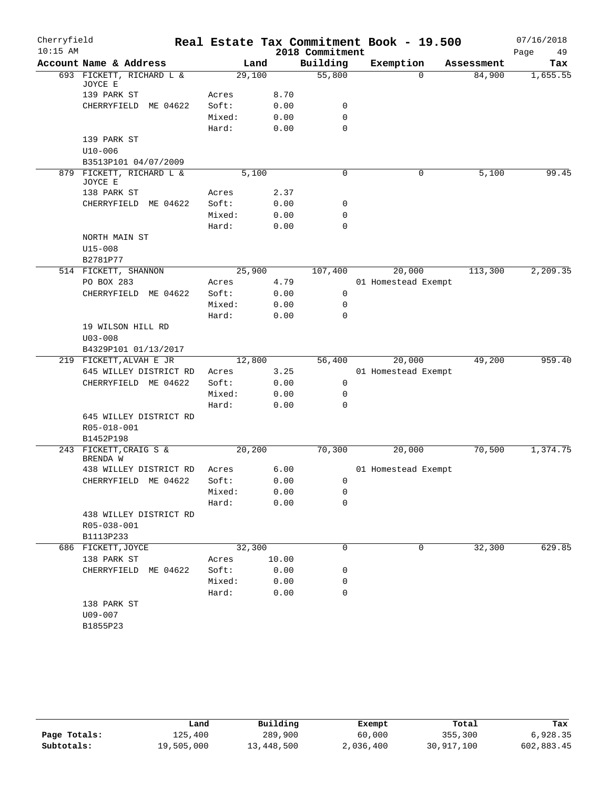| Cherryfield |                                     |        |         |       |                 | Real Estate Tax Commitment Book - 19.500 |            | 07/16/2018 |
|-------------|-------------------------------------|--------|---------|-------|-----------------|------------------------------------------|------------|------------|
| $10:15$ AM  |                                     |        |         |       | 2018 Commitment |                                          |            | 49<br>Page |
|             | Account Name & Address              |        | Land    |       | Building        | Exemption                                | Assessment | Tax        |
|             | 693 FICKETT, RICHARD L &<br>JOYCE E |        | 29,100  |       | 55,800          | $\Omega$                                 | 84,900     | 1,655.55   |
|             | 139 PARK ST                         | Acres  |         | 8.70  |                 |                                          |            |            |
|             | CHERRYFIELD<br>ME 04622             | Soft:  |         | 0.00  | 0               |                                          |            |            |
|             |                                     | Mixed: |         | 0.00  | $\mathbf 0$     |                                          |            |            |
|             |                                     | Hard:  |         | 0.00  | $\mathbf 0$     |                                          |            |            |
|             | 139 PARK ST                         |        |         |       |                 |                                          |            |            |
|             | $U10 - 006$                         |        |         |       |                 |                                          |            |            |
|             | B3513P101 04/07/2009                |        |         |       |                 |                                          |            |            |
|             | 879 FICKETT, RICHARD L &<br>JOYCE E |        | 5,100   |       | 0               | 0                                        | 5,100      | 99.45      |
|             | 138 PARK ST                         | Acres  |         | 2.37  |                 |                                          |            |            |
|             | CHERRYFIELD<br>ME 04622             | Soft:  |         | 0.00  | 0               |                                          |            |            |
|             |                                     | Mixed: |         | 0.00  | $\mathbf 0$     |                                          |            |            |
|             |                                     | Hard:  |         | 0.00  | $\mathbf 0$     |                                          |            |            |
|             | NORTH MAIN ST                       |        |         |       |                 |                                          |            |            |
|             | $U15 - 008$                         |        |         |       |                 |                                          |            |            |
|             | B2781P77                            |        |         |       |                 |                                          |            |            |
|             | 514 FICKETT, SHANNON                |        | 25,900  |       | 107,400         | 20,000                                   | 113,300    | 2,209.35   |
|             | PO BOX 283                          | Acres  |         | 4.79  |                 | 01 Homestead Exempt                      |            |            |
|             | CHERRYFIELD ME 04622                | Soft:  |         | 0.00  | 0               |                                          |            |            |
|             |                                     | Mixed: |         | 0.00  | 0               |                                          |            |            |
|             |                                     | Hard:  |         | 0.00  | $\mathbf 0$     |                                          |            |            |
|             | 19 WILSON HILL RD                   |        |         |       |                 |                                          |            |            |
|             | $U03 - 008$                         |        |         |       |                 |                                          |            |            |
|             | B4329P101 01/13/2017                |        |         |       |                 |                                          |            |            |
|             | 219 FICKETT, ALVAH E JR             |        | 12,800  |       | 56,400          | 20,000                                   | 49,200     | 959.40     |
|             | 645 WILLEY DISTRICT RD              | Acres  |         | 3.25  |                 | 01 Homestead Exempt                      |            |            |
|             | CHERRYFIELD ME 04622                | Soft:  |         | 0.00  | 0               |                                          |            |            |
|             |                                     | Mixed: |         | 0.00  | 0               |                                          |            |            |
|             |                                     | Hard:  |         | 0.00  | $\mathbf 0$     |                                          |            |            |
|             | 645 WILLEY DISTRICT RD              |        |         |       |                 |                                          |            |            |
|             | R05-018-001                         |        |         |       |                 |                                          |            |            |
|             | B1452P198                           |        |         |       |                 |                                          |            |            |
|             | 243 FICKETT, CRAIG S &<br>BRENDA W  |        | 20, 200 |       | 70,300          | 20,000                                   | 70,500     | 1,374.75   |
|             | 438 WILLEY DISTRICT RD              | Acres  |         | 6.00  |                 | 01 Homestead Exempt                      |            |            |
|             | CHERRYFIELD ME 04622                | Soft:  |         | 0.00  | 0               |                                          |            |            |
|             |                                     | Mixed: |         | 0.00  | 0               |                                          |            |            |
|             |                                     | Hard:  |         | 0.00  | 0               |                                          |            |            |
|             | 438 WILLEY DISTRICT RD              |        |         |       |                 |                                          |            |            |
|             | R05-038-001                         |        |         |       |                 |                                          |            |            |
|             | B1113P233                           |        |         |       |                 |                                          |            |            |
|             | 686 FICKETT, JOYCE                  |        | 32,300  |       | $\mathbf 0$     | 0                                        | 32,300     | 629.85     |
|             | 138 PARK ST                         | Acres  |         | 10.00 |                 |                                          |            |            |
|             | CHERRYFIELD<br>ME 04622             | Soft:  |         | 0.00  | 0               |                                          |            |            |
|             |                                     | Mixed: |         | 0.00  | 0               |                                          |            |            |
|             |                                     | Hard:  |         | 0.00  | 0               |                                          |            |            |
|             | 138 PARK ST                         |        |         |       |                 |                                          |            |            |
|             | U09-007                             |        |         |       |                 |                                          |            |            |
|             | B1855P23                            |        |         |       |                 |                                          |            |            |

|              | Land       | Building   | Exempt    | Total      | Tax        |
|--------------|------------|------------|-----------|------------|------------|
| Page Totals: | 125,400    | 289,900    | 60,000    | 355,300    | 6,928.35   |
| Subtotals:   | 19,505,000 | 13,448,500 | 2,036,400 | 30,917,100 | 602,883.45 |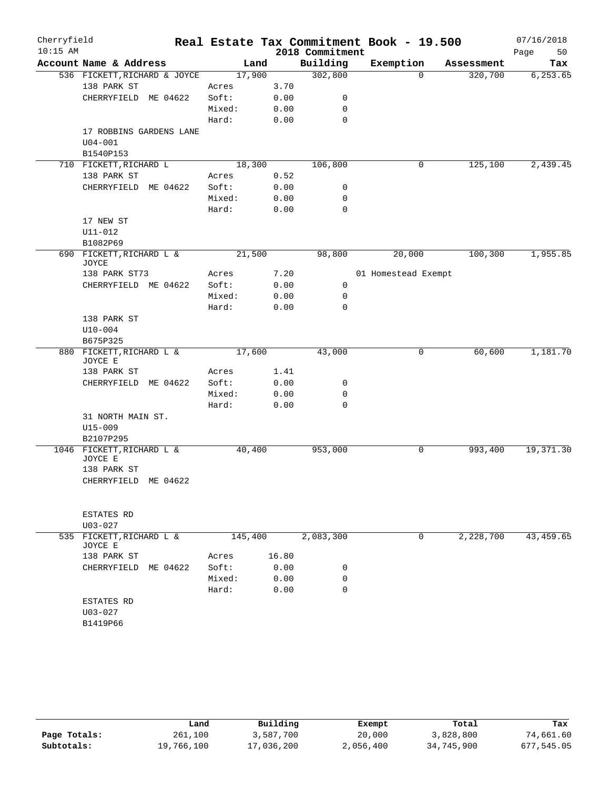| Cherryfield |                                        |        |         |                 | Real Estate Tax Commitment Book - 19.500 |            | 07/16/2018 |
|-------------|----------------------------------------|--------|---------|-----------------|------------------------------------------|------------|------------|
| $10:15$ AM  |                                        |        |         | 2018 Commitment |                                          |            | Page<br>50 |
|             | Account Name & Address                 |        | Land    | Building        | Exemption                                | Assessment | Tax        |
|             | 536 FICKETT, RICHARD & JOYCE           |        | 17,900  | 302,800         | $\Omega$                                 | 320,700    | 6, 253.65  |
|             | 138 PARK ST                            | Acres  | 3.70    |                 |                                          |            |            |
|             | CHERRYFIELD ME 04622                   | Soft:  | 0.00    | 0               |                                          |            |            |
|             |                                        | Mixed: | 0.00    | 0               |                                          |            |            |
|             |                                        | Hard:  | 0.00    | $\mathbf 0$     |                                          |            |            |
|             | 17 ROBBINS GARDENS LANE<br>$U04 - 001$ |        |         |                 |                                          |            |            |
|             | B1540P153                              |        |         |                 |                                          |            |            |
|             | 710 FICKETT, RICHARD L                 |        | 18,300  | 106,800         | 0                                        | 125,100    | 2,439.45   |
|             | 138 PARK ST                            | Acres  | 0.52    |                 |                                          |            |            |
|             | CHERRYFIELD<br>ME 04622                | Soft:  | 0.00    | 0               |                                          |            |            |
|             |                                        | Mixed: | 0.00    | 0               |                                          |            |            |
|             |                                        | Hard:  | 0.00    | 0               |                                          |            |            |
|             | 17 NEW ST                              |        |         |                 |                                          |            |            |
|             | $U11 - 012$                            |        |         |                 |                                          |            |            |
|             | B1082P69                               |        |         |                 |                                          |            |            |
|             | 690 FICKETT, RICHARD L &               |        | 21,500  | 98,800          | 20,000                                   | 100, 300   | 1,955.85   |
|             | JOYCE                                  |        |         |                 |                                          |            |            |
|             | 138 PARK ST73                          | Acres  | 7.20    |                 | 01 Homestead Exempt                      |            |            |
|             | CHERRYFIELD ME 04622                   | Soft:  | 0.00    | 0               |                                          |            |            |
|             |                                        | Mixed: | 0.00    | $\mathbf 0$     |                                          |            |            |
|             |                                        | Hard:  | 0.00    | 0               |                                          |            |            |
|             | 138 PARK ST                            |        |         |                 |                                          |            |            |
|             | $U10-004$                              |        |         |                 |                                          |            |            |
|             | B675P325<br>880 FICKETT, RICHARD L &   |        | 17,600  | 43,000          | 0                                        | 60,600     | 1,181.70   |
|             | JOYCE E                                |        |         |                 |                                          |            |            |
|             | 138 PARK ST                            | Acres  | 1.41    |                 |                                          |            |            |
|             | CHERRYFIELD ME 04622                   | Soft:  | 0.00    | 0               |                                          |            |            |
|             |                                        | Mixed: | 0.00    | 0               |                                          |            |            |
|             |                                        | Hard:  | 0.00    | $\mathbf 0$     |                                          |            |            |
|             | 31 NORTH MAIN ST.                      |        |         |                 |                                          |            |            |
|             | $U15 - 009$                            |        |         |                 |                                          |            |            |
|             | B2107P295                              |        |         |                 |                                          |            |            |
|             | 1046 FICKETT, RICHARD L &<br>JOYCE E   |        | 40,400  | 953,000         | 0                                        | 993,400    | 19, 371.30 |
|             | 138 PARK ST                            |        |         |                 |                                          |            |            |
|             | CHERRYFIELD ME 04622                   |        |         |                 |                                          |            |            |
|             |                                        |        |         |                 |                                          |            |            |
|             |                                        |        |         |                 |                                          |            |            |
|             | ESTATES RD                             |        |         |                 |                                          |            |            |
|             | $U03 - 027$                            |        |         |                 |                                          |            |            |
| 535         | FICKETT, RICHARD L &<br>JOYCE E        |        | 145,400 | 2,083,300       | 0                                        | 2,228,700  | 43, 459.65 |
|             | 138 PARK ST                            | Acres  | 16.80   |                 |                                          |            |            |
|             | CHERRYFIELD ME 04622                   | Soft:  | 0.00    | 0               |                                          |            |            |
|             |                                        | Mixed: | 0.00    | 0               |                                          |            |            |
|             |                                        | Hard:  | 0.00    | $\Omega$        |                                          |            |            |
|             | <b>ESTATES RD</b>                      |        |         |                 |                                          |            |            |
|             | $U03 - 027$                            |        |         |                 |                                          |            |            |
|             | B1419P66                               |        |         |                 |                                          |            |            |
|             |                                        |        |         |                 |                                          |            |            |

|              | Land       | Building   | Exempt    | Total      | Tax        |
|--------------|------------|------------|-----------|------------|------------|
| Page Totals: | 261,100    | 3,587,700  | 20,000    | 3,828,800  | 74,661.60  |
| Subtotals:   | 19,766,100 | 17,036,200 | 2,056,400 | 34,745,900 | 677,545.05 |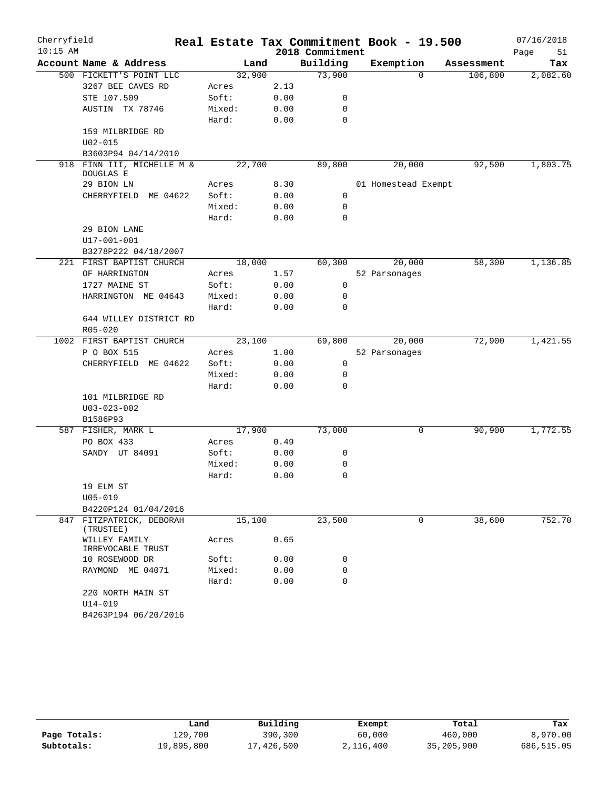| Cherryfield |                                         |                |              |                 | Real Estate Tax Commitment Book - 19.500 |            | 07/16/2018 |
|-------------|-----------------------------------------|----------------|--------------|-----------------|------------------------------------------|------------|------------|
| $10:15$ AM  |                                         |                |              | 2018 Commitment |                                          |            | Page<br>51 |
|             | Account Name & Address                  | Land           |              | Building        | Exemption                                | Assessment | Tax        |
|             | 500 FICKETT'S POINT LLC                 | 32,900         |              | 73,900          | $\Omega$                                 | 106,800    | 2,082.60   |
|             | 3267 BEE CAVES RD                       | Acres          | 2.13         |                 |                                          |            |            |
|             | STE 107.509                             | Soft:          | 0.00         | 0               |                                          |            |            |
|             | AUSTIN TX 78746                         | Mixed:         | 0.00         | 0               |                                          |            |            |
|             |                                         | Hard:          | 0.00         | 0               |                                          |            |            |
|             | 159 MILBRIDGE RD                        |                |              |                 |                                          |            |            |
|             | $U02 - 015$                             |                |              |                 |                                          |            |            |
|             | B3603P94 04/14/2010                     |                |              |                 |                                          |            |            |
|             | 918 FINN III, MICHELLE M &<br>DOUGLAS E | 22,700         |              | 89,800          | 20,000                                   | 92,500     | 1,803.75   |
|             | 29 BION LN                              | Acres          | 8.30         |                 | 01 Homestead Exempt                      |            |            |
|             | ME 04622<br>CHERRYFIELD                 | Soft:          | 0.00         | $\mathbf 0$     |                                          |            |            |
|             |                                         | Mixed:         | 0.00         | 0               |                                          |            |            |
|             |                                         | Hard:          | 0.00         | $\mathbf 0$     |                                          |            |            |
|             | 29 BION LANE                            |                |              |                 |                                          |            |            |
|             | $U17 - 001 - 001$                       |                |              |                 |                                          |            |            |
|             | B3278P222 04/18/2007                    |                |              |                 |                                          |            |            |
|             | 221 FIRST BAPTIST CHURCH                | 18,000         |              | 60,300          | 20,000                                   | 58,300     | 1,136.85   |
|             | OF HARRINGTON                           | Acres          | 1.57         |                 | 52 Parsonages                            |            |            |
|             | 1727 MAINE ST                           | Soft:          | 0.00         | 0               |                                          |            |            |
|             | HARRINGTON ME 04643                     | Mixed:         | 0.00         | 0               |                                          |            |            |
|             |                                         | Hard:          | 0.00         | 0               |                                          |            |            |
|             | 644 WILLEY DISTRICT RD                  |                |              |                 |                                          |            |            |
|             | $R05 - 020$                             |                |              |                 |                                          |            |            |
|             | 1002 FIRST BAPTIST CHURCH               | 23,100         |              | 69,800          | 20,000                                   | 72,900     | 1,421.55   |
|             | P O BOX 515<br>CHERRYFIELD ME 04622     | Acres<br>Soft: | 1.00         | 0               | 52 Parsonages                            |            |            |
|             |                                         | Mixed:         | 0.00<br>0.00 | $\mathbf 0$     |                                          |            |            |
|             |                                         | Hard:          | 0.00         | $\mathbf 0$     |                                          |            |            |
|             | 101 MILBRIDGE RD                        |                |              |                 |                                          |            |            |
|             | $U03 - 023 - 002$                       |                |              |                 |                                          |            |            |
|             | B1586P93                                |                |              |                 |                                          |            |            |
|             | 587 FISHER, MARK L                      | 17,900         |              | 73,000          | 0                                        | 90,900     | 1,772.55   |
|             | PO BOX 433                              | Acres          | 0.49         |                 |                                          |            |            |
|             | SANDY UT 84091                          | Soft:          | 0.00         | 0               |                                          |            |            |
|             |                                         | Mixed:         | 0.00         | 0               |                                          |            |            |
|             |                                         | Hard:          | 0.00         | 0               |                                          |            |            |
|             | 19 ELM ST                               |                |              |                 |                                          |            |            |
|             | $U05 - 019$                             |                |              |                 |                                          |            |            |
|             | B4220P124 01/04/2016                    |                |              |                 |                                          |            |            |
|             | 847 FITZPATRICK, DEBORAH<br>(TRUSTEE)   | 15,100         |              | 23,500          | 0                                        | 38,600     | 752.70     |
|             | WILLEY FAMILY<br>IRREVOCABLE TRUST      | Acres          | 0.65         |                 |                                          |            |            |
|             | 10 ROSEWOOD DR                          | Soft:          | 0.00         | 0               |                                          |            |            |
|             | RAYMOND ME 04071                        | Mixed:         | 0.00         | 0               |                                          |            |            |
|             |                                         | Hard:          | 0.00         | 0               |                                          |            |            |
|             | 220 NORTH MAIN ST<br>U14-019            |                |              |                 |                                          |            |            |
|             | B4263P194 06/20/2016                    |                |              |                 |                                          |            |            |

|              | Land       | Building   | Exempt    | Total      | Tax        |
|--------------|------------|------------|-----------|------------|------------|
| Page Totals: | 129,700    | 390,300    | 60,000    | 460,000    | 8,970.00   |
| Subtotals:   | 19,895,800 | 17,426,500 | 2,116,400 | 35,205,900 | 686,515.05 |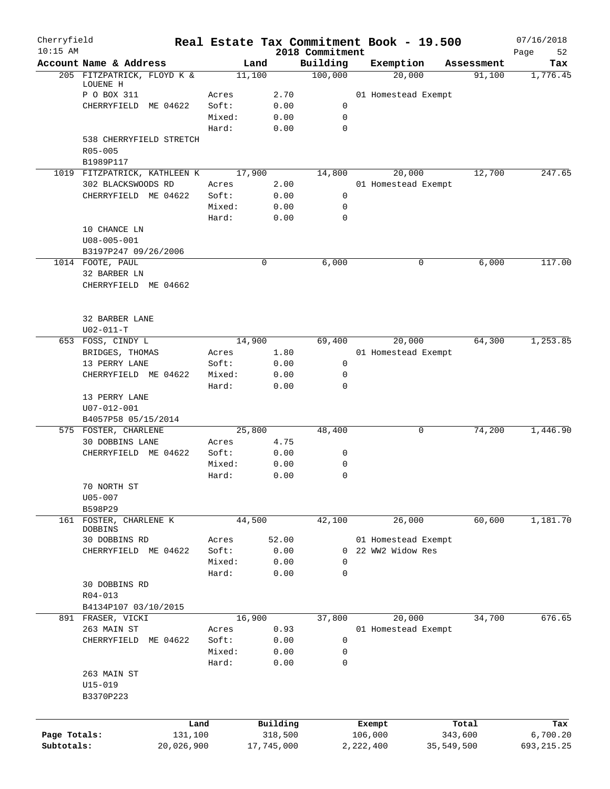| Cherryfield<br>$10:15$ AM |                                     |        |            | 2018 Commitment | Real Estate Tax Commitment Book - 19.500 |            | 07/16/2018<br>Page<br>52 |
|---------------------------|-------------------------------------|--------|------------|-----------------|------------------------------------------|------------|--------------------------|
|                           | Account Name & Address              | Land   |            | Building        | Exemption                                | Assessment | Tax                      |
|                           | 205 FITZPATRICK, FLOYD K &          | 11,100 |            | 100,000         | 20,000                                   | 91,100     | 1,776.45                 |
|                           | LOUENE H                            |        |            |                 |                                          |            |                          |
|                           | P O BOX 311                         | Acres  | 2.70       |                 | 01 Homestead Exempt                      |            |                          |
|                           | CHERRYFIELD ME 04622                | Soft:  | 0.00       | 0               |                                          |            |                          |
|                           |                                     | Mixed: | 0.00       | $\mathbf 0$     |                                          |            |                          |
|                           |                                     | Hard:  | 0.00       | 0               |                                          |            |                          |
|                           | 538 CHERRYFIELD STRETCH<br>R05-005  |        |            |                 |                                          |            |                          |
|                           | B1989P117                           |        |            |                 |                                          |            |                          |
|                           | 1019 FITZPATRICK, KATHLEEN K        | 17,900 |            | 14,800          | 20,000                                   | 12,700     | 247.65                   |
|                           | 302 BLACKSWOODS RD                  | Acres  | 2.00       |                 | 01 Homestead Exempt                      |            |                          |
|                           | CHERRYFIELD ME 04622                | Soft:  | 0.00       | 0               |                                          |            |                          |
|                           |                                     | Mixed: | 0.00       | 0               |                                          |            |                          |
|                           |                                     | Hard:  | 0.00       | 0               |                                          |            |                          |
|                           | 10 CHANCE LN                        |        |            |                 |                                          |            |                          |
|                           | $U08 - 005 - 001$                   |        |            |                 |                                          |            |                          |
|                           | B3197P247 09/26/2006                |        |            |                 |                                          |            |                          |
|                           | 1014 FOOTE, PAUL                    | 0      |            | 6,000           | 0                                        | 6,000      | 117.00                   |
|                           | 32 BARBER LN                        |        |            |                 |                                          |            |                          |
|                           | CHERRYFIELD ME 04662                |        |            |                 |                                          |            |                          |
|                           |                                     |        |            |                 |                                          |            |                          |
|                           |                                     |        |            |                 |                                          |            |                          |
|                           | 32 BARBER LANE                      |        |            |                 |                                          |            |                          |
|                           | $U02 - 011 - T$                     |        |            |                 |                                          |            |                          |
|                           | 653 FOSS, CINDY L                   | 14,900 |            | 69,400          | 20,000                                   | 64,300     | 1,253.85                 |
|                           | BRIDGES, THOMAS                     | Acres  | 1.80       |                 | 01 Homestead Exempt                      |            |                          |
|                           | 13 PERRY LANE                       | Soft:  | 0.00       | 0               |                                          |            |                          |
|                           | CHERRYFIELD ME 04622                | Mixed: | 0.00       | 0               |                                          |            |                          |
|                           |                                     | Hard:  | 0.00       | 0               |                                          |            |                          |
|                           | 13 PERRY LANE                       |        |            |                 |                                          |            |                          |
|                           | U07-012-001<br>B4057P58 05/15/2014  |        |            |                 |                                          |            |                          |
|                           | 575 FOSTER, CHARLENE                | 25,800 |            | 48,400          | 0                                        | 74,200     | 1,446.90                 |
|                           | 30 DOBBINS LANE                     | Acres  | 4.75       |                 |                                          |            |                          |
|                           | CHERRYFIELD ME 04622                | Soft:  | 0.00       | 0               |                                          |            |                          |
|                           |                                     | Mixed: | 0.00       | 0               |                                          |            |                          |
|                           |                                     | Hard:  | 0.00       | $\mathbf 0$     |                                          |            |                          |
|                           | 70 NORTH ST                         |        |            |                 |                                          |            |                          |
|                           | $U05 - 007$                         |        |            |                 |                                          |            |                          |
|                           | B598P29                             |        |            |                 |                                          |            |                          |
|                           | 161 FOSTER, CHARLENE K              | 44,500 |            | 42,100          | 26,000                                   | 60,600     | 1,181.70                 |
|                           | <b>DOBBINS</b>                      |        |            |                 |                                          |            |                          |
|                           | 30 DOBBINS RD                       | Acres  | 52.00      |                 | 01 Homestead Exempt                      |            |                          |
|                           | CHERRYFIELD ME 04622                | Soft:  | 0.00       | 0               | 22 WW2 Widow Res                         |            |                          |
|                           |                                     | Mixed: | 0.00       | 0               |                                          |            |                          |
|                           |                                     | Hard:  | 0.00       | 0               |                                          |            |                          |
|                           | 30 DOBBINS RD                       |        |            |                 |                                          |            |                          |
|                           | $R04 - 013$<br>B4134P107 03/10/2015 |        |            |                 |                                          |            |                          |
|                           | 891 FRASER, VICKI                   | 16,900 |            | 37,800          | 20,000                                   | 34,700     | 676.65                   |
|                           | 263 MAIN ST                         | Acres  | 0.93       |                 | 01 Homestead Exempt                      |            |                          |
|                           | CHERRYFIELD<br>ME 04622             | Soft:  | 0.00       | 0               |                                          |            |                          |
|                           |                                     | Mixed: | 0.00       | 0               |                                          |            |                          |
|                           |                                     | Hard:  | 0.00       | 0               |                                          |            |                          |
|                           | 263 MAIN ST                         |        |            |                 |                                          |            |                          |
|                           | U15-019                             |        |            |                 |                                          |            |                          |
|                           | B3370P223                           |        |            |                 |                                          |            |                          |
|                           |                                     |        |            |                 |                                          |            |                          |
|                           | Land                                |        | Building   |                 | Exempt                                   | Total      | Tax                      |
| Page Totals:              | 131,100                             |        | 318,500    |                 | 106,000                                  | 343,600    | 6,700.20                 |
| Subtotals:                | 20,026,900                          |        | 17,745,000 |                 | 2,222,400                                | 35,549,500 | 693, 215.25              |
|                           |                                     |        |            |                 |                                          |            |                          |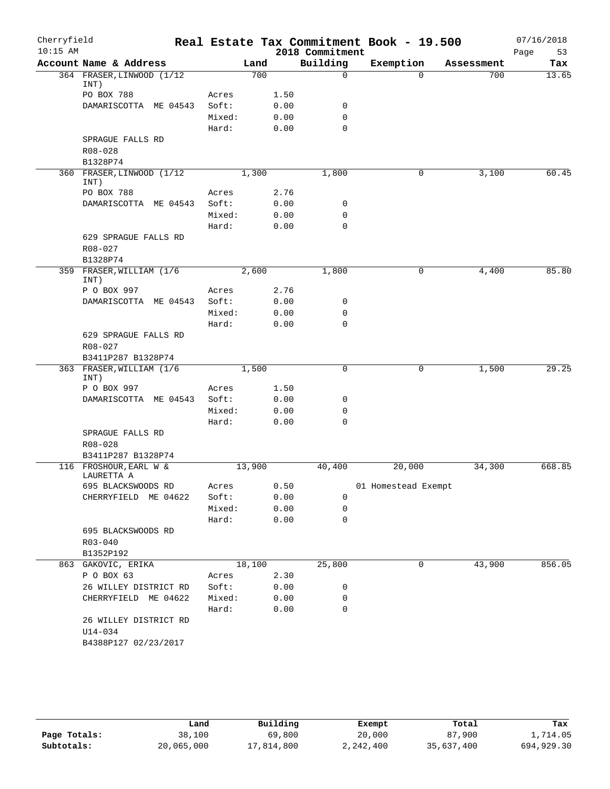| Cherryfield |                                      |                 |        |              |                  | Real Estate Tax Commitment Book - 19.500 |            | 07/16/2018 |
|-------------|--------------------------------------|-----------------|--------|--------------|------------------|------------------------------------------|------------|------------|
| $10:15$ AM  |                                      |                 |        |              | 2018 Commitment  |                                          |            | 53<br>Page |
|             | Account Name & Address               |                 | Land   |              | Building         | Exemption                                | Assessment | Tax        |
|             | 364 FRASER, LINWOOD (1/12<br>INT)    |                 | 700    |              | $\Omega$         | $\Omega$                                 | 700        | 13.65      |
|             | PO BOX 788                           | Acres           |        | 1.50         |                  |                                          |            |            |
|             | DAMARISCOTTA ME 04543                | Soft:           |        | 0.00         | $\mathsf{O}$     |                                          |            |            |
|             |                                      | Mixed:          |        | 0.00         | $\mathbf 0$      |                                          |            |            |
|             |                                      | Hard:           |        | 0.00         | $\Omega$         |                                          |            |            |
|             | SPRAGUE FALLS RD                     |                 |        |              |                  |                                          |            |            |
|             | $R08 - 028$                          |                 |        |              |                  |                                          |            |            |
|             | B1328P74                             |                 |        |              |                  |                                          |            |            |
|             | 360 FRASER, LINWOOD (1/12<br>INT)    |                 | 1,300  |              | 1,800            | 0                                        | 3,100      | 60.45      |
|             | PO BOX 788                           | Acres           |        | 2.76         |                  |                                          |            |            |
|             | DAMARISCOTTA ME 04543                | Soft:           |        | 0.00         | 0                |                                          |            |            |
|             |                                      | Mixed:          |        | 0.00         | 0                |                                          |            |            |
|             |                                      | Hard:           |        | 0.00         | $\mathbf 0$      |                                          |            |            |
|             | 629 SPRAGUE FALLS RD                 |                 |        |              |                  |                                          |            |            |
|             | R08-027                              |                 |        |              |                  |                                          |            |            |
|             | B1328P74                             |                 |        |              |                  |                                          |            |            |
|             | 359 FRASER, WILLIAM (1/6             |                 | 2,600  |              | 1,800            | 0                                        | 4,400      | 85.80      |
|             | INT)<br>P O BOX 997                  | Acres           |        | 2.76         |                  |                                          |            |            |
|             | DAMARISCOTTA ME 04543                | Soft:           |        | 0.00         | 0                |                                          |            |            |
|             |                                      | Mixed:          |        | 0.00         | $\mathbf 0$      |                                          |            |            |
|             |                                      | Hard:           |        | 0.00         | $\mathbf 0$      |                                          |            |            |
|             | 629 SPRAGUE FALLS RD                 |                 |        |              |                  |                                          |            |            |
|             | R08-027                              |                 |        |              |                  |                                          |            |            |
|             | B3411P287 B1328P74                   |                 |        |              |                  |                                          |            |            |
|             | 363 FRASER, WILLIAM (1/6             |                 | 1,500  |              | $\mathbf 0$      | 0                                        | 1,500      | 29.25      |
|             | INT)<br>P O BOX 997                  | Acres           |        | 1.50         |                  |                                          |            |            |
|             | DAMARISCOTTA ME 04543                | Soft:           |        | 0.00         | 0                |                                          |            |            |
|             |                                      | Mixed:          |        | 0.00         | $\mathsf{O}$     |                                          |            |            |
|             |                                      | Hard:           |        | 0.00         | $\Omega$         |                                          |            |            |
|             | SPRAGUE FALLS RD                     |                 |        |              |                  |                                          |            |            |
|             | R08-028                              |                 |        |              |                  |                                          |            |            |
|             | B3411P287 B1328P74                   |                 |        |              |                  |                                          |            |            |
|             | 116 FROSHOUR, EARL W &<br>LAURETTA A |                 | 13,900 |              | 40,400           | 20,000                                   | 34,300     | 668.85     |
|             | 695 BLACKSWOODS RD                   | Acres           |        | 0.50         |                  | 01 Homestead Exempt                      |            |            |
|             | CHERRYFIELD ME 04622                 | Soft:           |        | 0.00         | $\mathbf 0$      |                                          |            |            |
|             |                                      | Mixed:          |        | 0.00         | 0                |                                          |            |            |
|             |                                      | Hard:           |        | 0.00         | $\mathbf 0$      |                                          |            |            |
|             | 695 BLACKSWOODS RD                   |                 |        |              |                  |                                          |            |            |
|             | $R03 - 040$                          |                 |        |              |                  |                                          |            |            |
|             | B1352P192                            |                 |        |              |                  |                                          |            |            |
| 863         | GAKOVIC, ERIKA                       |                 | 18,100 |              | 25,800           | 0                                        | 43,900     | 856.05     |
|             | P O BOX 63                           | Acres           |        | 2.30         |                  |                                          |            |            |
|             | 26 WILLEY DISTRICT RD                | Soft:           |        | 0.00         | 0                |                                          |            |            |
|             | CHERRYFIELD ME 04622                 | Mixed:<br>Hard: |        | 0.00<br>0.00 | 0<br>$\mathbf 0$ |                                          |            |            |
|             | 26 WILLEY DISTRICT RD                |                 |        |              |                  |                                          |            |            |
|             | $U14 - 034$                          |                 |        |              |                  |                                          |            |            |
|             | B4388P127 02/23/2017                 |                 |        |              |                  |                                          |            |            |
|             |                                      |                 |        |              |                  |                                          |            |            |

|              | Land       | Building   | Exempt    | Total      | Tax        |
|--------------|------------|------------|-----------|------------|------------|
| Page Totals: | 38,100     | 69,800     | 20,000    | 87,900     | 1,714.05   |
| Subtotals:   | 20,065,000 | 17,814,800 | 2,242,400 | 35,637,400 | 694,929.30 |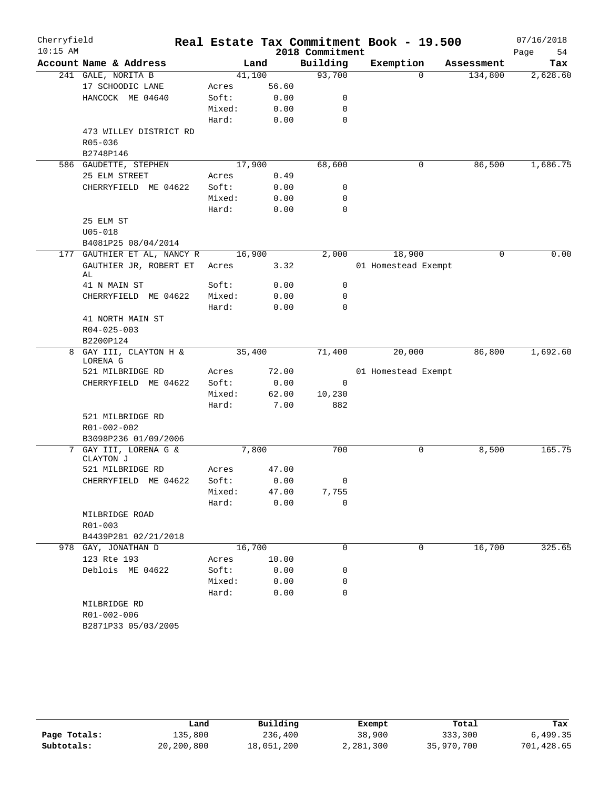| Cherryfield<br>$10:15$ AM |                                    |                 |        | 2018 Commitment | Real Estate Tax Commitment Book - 19.500 |            | 07/16/2018<br>Page<br>54 |
|---------------------------|------------------------------------|-----------------|--------|-----------------|------------------------------------------|------------|--------------------------|
|                           | Account Name & Address             |                 | Land   | Building        | Exemption                                | Assessment | Tax                      |
|                           | 241 GALE, NORITA B                 |                 | 41,100 | 93,700          | 0                                        | 134,800    | 2,628.60                 |
|                           | 17 SCHOODIC LANE                   | Acres           | 56.60  |                 |                                          |            |                          |
|                           | HANCOCK ME 04640                   | Soft:           | 0.00   | 0               |                                          |            |                          |
|                           |                                    | Mixed:          | 0.00   | 0               |                                          |            |                          |
|                           |                                    | Hard:           | 0.00   | 0               |                                          |            |                          |
|                           | 473 WILLEY DISTRICT RD             |                 |        |                 |                                          |            |                          |
|                           | R05-036                            |                 |        |                 |                                          |            |                          |
|                           | B2748P146                          |                 |        |                 |                                          |            |                          |
|                           | 586 GAUDETTE, STEPHEN              |                 | 17,900 | 68,600          | 0                                        | 86,500     | 1,686.75                 |
|                           | 25 ELM STREET                      | Acres           | 0.49   |                 |                                          |            |                          |
|                           | CHERRYFIELD ME 04622               | Soft:           | 0.00   | 0               |                                          |            |                          |
|                           |                                    | Mixed:<br>Hard: | 0.00   | 0<br>0          |                                          |            |                          |
|                           | 25 ELM ST                          |                 | 0.00   |                 |                                          |            |                          |
|                           | $U05 - 018$                        |                 |        |                 |                                          |            |                          |
|                           | B4081P25 08/04/2014                |                 |        |                 |                                          |            |                          |
|                           | 177 GAUTHIER ET AL, NANCY R        |                 | 16,900 | 2,000           | 18,900                                   | 0          | 0.00                     |
|                           | GAUTHIER JR, ROBERT ET             | Acres           | 3.32   |                 | 01 Homestead Exempt                      |            |                          |
|                           | AL                                 |                 |        |                 |                                          |            |                          |
|                           | 41 N MAIN ST                       | Soft:           | 0.00   | 0               |                                          |            |                          |
|                           | CHERRYFIELD ME 04622               | Mixed:          | 0.00   | 0               |                                          |            |                          |
|                           |                                    | Hard:           | 0.00   | 0               |                                          |            |                          |
|                           | 41 NORTH MAIN ST                   |                 |        |                 |                                          |            |                          |
|                           | $R04 - 025 - 003$                  |                 |        |                 |                                          |            |                          |
|                           | B2200P124                          |                 |        |                 |                                          |            |                          |
|                           | 8 GAY III, CLAYTON H &<br>LORENA G |                 | 35,400 | 71,400          | 20,000                                   | 86,800     | 1,692.60                 |
|                           | 521 MILBRIDGE RD                   | Acres           | 72.00  |                 | 01 Homestead Exempt                      |            |                          |
|                           | CHERRYFIELD ME 04622               | Soft:           | 0.00   | 0               |                                          |            |                          |
|                           |                                    | Mixed:          | 62.00  | 10,230          |                                          |            |                          |
|                           |                                    | Hard:           | 7.00   | 882             |                                          |            |                          |
|                           | 521 MILBRIDGE RD                   |                 |        |                 |                                          |            |                          |
|                           | R01-002-002                        |                 |        |                 |                                          |            |                          |
|                           | B3098P236 01/09/2006               |                 |        |                 |                                          |            |                          |
|                           | 7 GAY III, LORENA G &<br>CLAYTON J |                 | 7,800  | 700             | 0                                        | 8,500      | 165.75                   |
|                           | 521 MILBRIDGE RD                   | Acres           | 47.00  |                 |                                          |            |                          |
|                           | CHERRYFIELD ME 04622               | Soft:           | 0.00   | 0               |                                          |            |                          |
|                           |                                    | Mixed:          | 47.00  | 7,755           |                                          |            |                          |
|                           |                                    | Hard:           | 0.00   | 0               |                                          |            |                          |
|                           | MILBRIDGE ROAD                     |                 |        |                 |                                          |            |                          |
|                           | R01-003<br>B4439P281 02/21/2018    |                 |        |                 |                                          |            |                          |
|                           | 978 GAY, JONATHAN D                |                 | 16,700 | 0               | 0                                        | 16,700     | 325.65                   |
|                           | 123 Rte 193                        | Acres           | 10.00  |                 |                                          |            |                          |
|                           | Deblois ME 04622                   | Soft:           | 0.00   | 0               |                                          |            |                          |
|                           |                                    | Mixed:          | 0.00   | 0               |                                          |            |                          |
|                           |                                    | Hard:           | 0.00   | 0               |                                          |            |                          |
|                           | MILBRIDGE RD                       |                 |        |                 |                                          |            |                          |
|                           | R01-002-006                        |                 |        |                 |                                          |            |                          |
|                           | B2871P33 05/03/2005                |                 |        |                 |                                          |            |                          |
|                           |                                    |                 |        |                 |                                          |            |                          |

|              | Land       | Building   | Exempt    | Total      | Tax        |
|--------------|------------|------------|-----------|------------|------------|
| Page Totals: | 135,800    | 236,400    | 38,900    | 333,300    | 6,499.35   |
| Subtotals:   | 20,200,800 | 18,051,200 | 2,281,300 | 35,970,700 | 701,428.65 |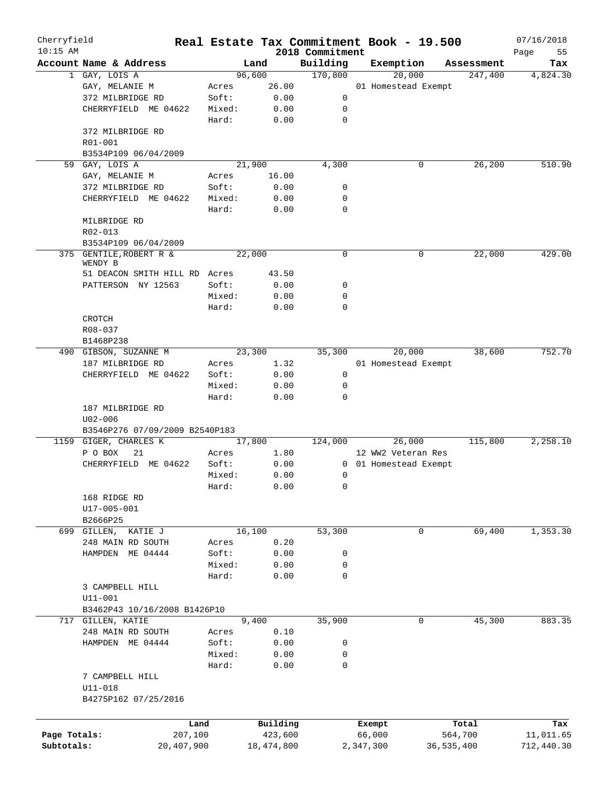| Cherryfield<br>$10:15$ AM |                                          |        |            | 2018 Commitment | Real Estate Tax Commitment Book - 19.500 |              | 07/16/2018        |
|---------------------------|------------------------------------------|--------|------------|-----------------|------------------------------------------|--------------|-------------------|
|                           | Account Name & Address                   |        | Land       | Building        | Exemption                                | Assessment   | Page<br>55<br>Tax |
|                           | 1 GAY, LOIS A                            |        | 96,600     | 170,800         | 20,000                                   | 247,400      | 4,824.30          |
|                           | GAY, MELANIE M                           | Acres  | 26.00      |                 | 01 Homestead Exempt                      |              |                   |
|                           | 372 MILBRIDGE RD                         | Soft:  | 0.00       | 0               |                                          |              |                   |
|                           | CHERRYFIELD ME 04622                     | Mixed: | 0.00       | 0               |                                          |              |                   |
|                           |                                          | Hard:  | 0.00       | $\mathbf 0$     |                                          |              |                   |
|                           | 372 MILBRIDGE RD                         |        |            |                 |                                          |              |                   |
|                           | R01-001                                  |        |            |                 |                                          |              |                   |
|                           | B3534P109 06/04/2009                     |        |            |                 |                                          |              |                   |
|                           | 59 GAY, LOIS A                           |        | 21,900     | 4,300           | 0                                        | 26,200       | 510.90            |
|                           | GAY, MELANIE M                           | Acres  | 16.00      |                 |                                          |              |                   |
|                           |                                          | Soft:  | 0.00       | 0               |                                          |              |                   |
|                           | 372 MILBRIDGE RD<br>CHERRYFIELD ME 04622 | Mixed: | 0.00       | 0               |                                          |              |                   |
|                           |                                          |        |            | 0               |                                          |              |                   |
|                           |                                          | Hard:  | 0.00       |                 |                                          |              |                   |
|                           | MILBRIDGE RD                             |        |            |                 |                                          |              |                   |
|                           | R02-013                                  |        |            |                 |                                          |              |                   |
|                           | B3534P109 06/04/2009                     |        |            |                 |                                          |              |                   |
|                           | 375 GENTILE, ROBERT R &<br>WENDY B       |        | 22,000     | 0               | 0                                        | 22,000       | 429.00            |
|                           |                                          |        |            |                 |                                          |              |                   |
|                           | 51 DEACON SMITH HILL RD Acres            |        | 43.50      |                 |                                          |              |                   |
|                           | PATTERSON NY 12563                       | Soft:  | 0.00       | 0               |                                          |              |                   |
|                           |                                          | Mixed: | 0.00       | 0               |                                          |              |                   |
|                           |                                          | Hard:  | 0.00       | $\mathbf 0$     |                                          |              |                   |
|                           | <b>CROTCH</b>                            |        |            |                 |                                          |              |                   |
|                           | R08-037                                  |        |            |                 |                                          |              |                   |
|                           | B1468P238                                |        |            |                 |                                          |              |                   |
|                           | 490 GIBSON, SUZANNE M                    |        | 23,300     | 35,300          | 20,000                                   | 38,600       | 752.70            |
|                           | 187 MILBRIDGE RD                         | Acres  | 1.32       |                 | 01 Homestead Exempt                      |              |                   |
|                           | CHERRYFIELD ME 04622                     | Soft:  | 0.00       | 0               |                                          |              |                   |
|                           |                                          | Mixed: | 0.00       | 0               |                                          |              |                   |
|                           |                                          | Hard:  | 0.00       | 0               |                                          |              |                   |
|                           | 187 MILBRIDGE RD                         |        |            |                 |                                          |              |                   |
|                           | $U02 - 006$                              |        |            |                 |                                          |              |                   |
|                           | B3546P276 07/09/2009 B2540P183           |        |            |                 |                                          |              |                   |
|                           | 1159 GIGER, CHARLES K                    |        | 17,800     | 124,000         | 26,000                                   | 115,800      | 2,258.10          |
|                           | P O BOX<br>21                            | Acres  | 1.80       |                 | 12 WW2 Veteran Res                       |              |                   |
|                           | CHERRYFIELD ME 04622                     | Soft:  | 0.00       |                 | 0 01 Homestead Exempt                    |              |                   |
|                           |                                          | Mixed: | 0.00       | 0               |                                          |              |                   |
|                           |                                          | Hard:  | 0.00       | 0               |                                          |              |                   |
|                           | 168 RIDGE RD                             |        |            |                 |                                          |              |                   |
|                           | U17-005-001                              |        |            |                 |                                          |              |                   |
|                           | B2666P25                                 |        |            |                 |                                          |              |                   |
|                           | 699 GILLEN,<br>KATIE J                   |        | 16,100     | 53,300          | $\mathbf 0$                              | 69,400       | 1,353.30          |
|                           | 248 MAIN RD SOUTH                        | Acres  | 0.20       |                 |                                          |              |                   |
|                           | HAMPDEN<br>ME 04444                      | Soft:  | 0.00       | 0               |                                          |              |                   |
|                           |                                          | Mixed: | 0.00       | 0               |                                          |              |                   |
|                           |                                          | Hard:  | 0.00       | 0               |                                          |              |                   |
|                           | 3 CAMPBELL HILL                          |        |            |                 |                                          |              |                   |
|                           | $U11 - 001$                              |        |            |                 |                                          |              |                   |
|                           | B3462P43 10/16/2008 B1426P10             |        |            |                 |                                          |              |                   |
|                           | 717 GILLEN, KATIE                        |        | 9,400      | 35,900          | $\mathbf 0$                              | 45,300       | 883.35            |
|                           | 248 MAIN RD SOUTH                        | Acres  | 0.10       |                 |                                          |              |                   |
|                           | HAMPDEN ME 04444                         | Soft:  | 0.00       | 0               |                                          |              |                   |
|                           |                                          | Mixed: | 0.00       | 0               |                                          |              |                   |
|                           |                                          | Hard:  | 0.00       | 0               |                                          |              |                   |
|                           | 7 CAMPBELL HILL                          |        |            |                 |                                          |              |                   |
|                           | $U11 - 018$                              |        |            |                 |                                          |              |                   |
|                           | B4275P162 07/25/2016                     |        |            |                 |                                          |              |                   |
|                           |                                          |        |            |                 |                                          |              |                   |
|                           |                                          |        |            |                 |                                          |              |                   |
|                           |                                          | Land   | Building   |                 | Exempt                                   | Total        | Tax               |
| Page Totals:              | 207,100                                  |        | 423,600    |                 | 66,000                                   | 564,700      | 11,011.65         |
| Subtotals:                | 20,407,900                               |        | 18,474,800 |                 | 2,347,300                                | 36, 535, 400 | 712,440.30        |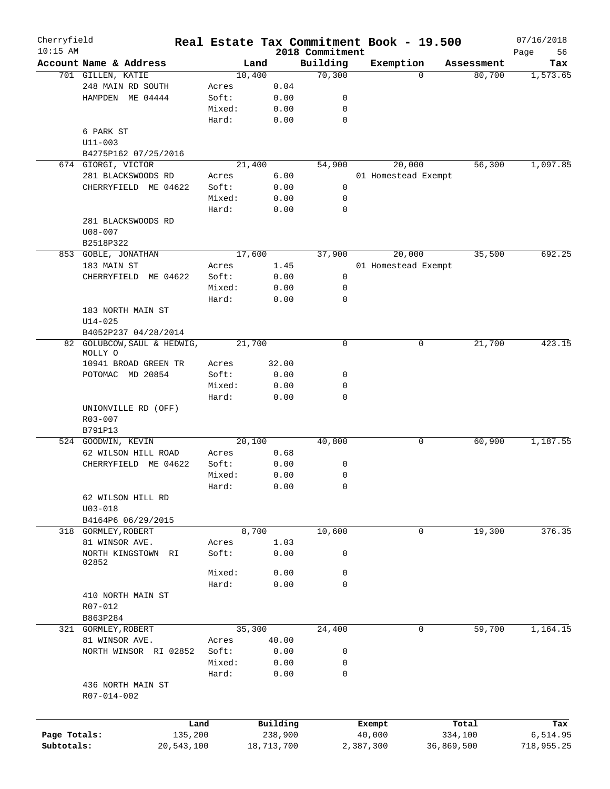| Cherryfield<br>$10:15$ AM |                          |        |            | 2018 Commitment | Real Estate Tax Commitment Book - 19.500 |            |            | 07/16/2018<br>Page<br>56 |
|---------------------------|--------------------------|--------|------------|-----------------|------------------------------------------|------------|------------|--------------------------|
|                           | Account Name & Address   |        | Land       | Building        | Exemption                                |            | Assessment | Tax                      |
|                           | 701 GILLEN, KATIE        |        | 10,400     | 70,300          |                                          | $\Omega$   | 80,700     | 1,573.65                 |
|                           | 248 MAIN RD SOUTH        | Acres  | 0.04       |                 |                                          |            |            |                          |
|                           | HAMPDEN ME 04444         | Soft:  | 0.00       | 0               |                                          |            |            |                          |
|                           |                          | Mixed: | 0.00       | 0               |                                          |            |            |                          |
|                           |                          | Hard:  | 0.00       | $\mathbf 0$     |                                          |            |            |                          |
|                           | 6 PARK ST                |        |            |                 |                                          |            |            |                          |
|                           | $U11 - 003$              |        |            |                 |                                          |            |            |                          |
|                           | B4275P162 07/25/2016     |        |            |                 |                                          |            |            |                          |
|                           | 674 GIORGI, VICTOR       |        | 21,400     | 54,900          | 20,000                                   |            | 56,300     | 1,097.85                 |
|                           | 281 BLACKSWOODS RD       | Acres  | 6.00       |                 | 01 Homestead Exempt                      |            |            |                          |
|                           |                          | Soft:  |            | 0               |                                          |            |            |                          |
|                           | CHERRYFIELD ME 04622     |        | 0.00       |                 |                                          |            |            |                          |
|                           |                          | Mixed: | 0.00       | 0               |                                          |            |            |                          |
|                           |                          | Hard:  | 0.00       | $\mathbf 0$     |                                          |            |            |                          |
|                           | 281 BLACKSWOODS RD       |        |            |                 |                                          |            |            |                          |
|                           | $U08 - 007$              |        |            |                 |                                          |            |            |                          |
|                           | B2518P322                |        |            |                 |                                          |            |            |                          |
|                           | 853 GOBLE, JONATHAN      |        | 17,600     | 37,900          | 20,000                                   |            | 35,500     | 692.25                   |
|                           | 183 MAIN ST              | Acres  | 1.45       |                 | 01 Homestead Exempt                      |            |            |                          |
|                           | ME 04622<br>CHERRYFIELD  | Soft:  | 0.00       | 0               |                                          |            |            |                          |
|                           |                          | Mixed: | 0.00       | 0               |                                          |            |            |                          |
|                           |                          | Hard:  | 0.00       | $\mathbf 0$     |                                          |            |            |                          |
|                           | 183 NORTH MAIN ST        |        |            |                 |                                          |            |            |                          |
|                           | $U14 - 025$              |        |            |                 |                                          |            |            |                          |
|                           | B4052P237 04/28/2014     |        |            |                 |                                          |            |            |                          |
| 82                        | GOLUBCOW, SAUL & HEDWIG, |        | 21,700     | 0               |                                          | 0          | 21,700     | 423.15                   |
|                           | MOLLY O                  |        |            |                 |                                          |            |            |                          |
|                           | 10941 BROAD GREEN TR     | Acres  | 32.00      |                 |                                          |            |            |                          |
|                           | POTOMAC MD 20854         | Soft:  | 0.00       | 0               |                                          |            |            |                          |
|                           |                          | Mixed: | 0.00       | 0               |                                          |            |            |                          |
|                           |                          | Hard:  | 0.00       | 0               |                                          |            |            |                          |
|                           | UNIONVILLE RD (OFF)      |        |            |                 |                                          |            |            |                          |
|                           | R03-007                  |        |            |                 |                                          |            |            |                          |
|                           | B791P13                  |        |            |                 |                                          |            |            |                          |
|                           | 524 GOODWIN, KEVIN       |        | 20,100     | 40,800          |                                          | 0          | 60,900     | 1,187.55                 |
|                           | 62 WILSON HILL ROAD      | Acres  | 0.68       |                 |                                          |            |            |                          |
|                           | CHERRYFIELD<br>ME 04622  | Soft:  | 0.00       | 0               |                                          |            |            |                          |
|                           |                          |        |            |                 |                                          |            |            |                          |
|                           |                          | Mixed: | 0.00       | 0               |                                          |            |            |                          |
|                           |                          | Hard:  | 0.00       | 0               |                                          |            |            |                          |
|                           | 62 WILSON HILL RD        |        |            |                 |                                          |            |            |                          |
|                           | $U03 - 018$              |        |            |                 |                                          |            |            |                          |
|                           | B4164P6 06/29/2015       |        |            |                 |                                          |            |            |                          |
|                           | 318 GORMLEY, ROBERT      |        | 8,700      | 10,600          |                                          | 0          | 19,300     | 376.35                   |
|                           | 81 WINSOR AVE.           | Acres  | 1.03       |                 |                                          |            |            |                          |
|                           | NORTH KINGSTOWN RI       | Soft:  | 0.00       | 0               |                                          |            |            |                          |
|                           | 02852                    |        |            |                 |                                          |            |            |                          |
|                           |                          | Mixed: | 0.00       | 0               |                                          |            |            |                          |
|                           |                          | Hard:  | 0.00       | $\mathbf 0$     |                                          |            |            |                          |
|                           | 410 NORTH MAIN ST        |        |            |                 |                                          |            |            |                          |
|                           | R07-012                  |        |            |                 |                                          |            |            |                          |
|                           | B863P284                 |        |            |                 |                                          |            |            |                          |
|                           | 321 GORMLEY, ROBERT      |        | 35,300     | 24,400          |                                          | 0          | 59,700     | 1,164.15                 |
|                           | 81 WINSOR AVE.           | Acres  | 40.00      |                 |                                          |            |            |                          |
|                           | NORTH WINSOR RI 02852    | Soft:  | 0.00       | 0               |                                          |            |            |                          |
|                           |                          | Mixed: | 0.00       | 0               |                                          |            |            |                          |
|                           |                          | Hard:  | 0.00       | $\mathbf 0$     |                                          |            |            |                          |
|                           | 436 NORTH MAIN ST        |        |            |                 |                                          |            |            |                          |
|                           | R07-014-002              |        |            |                 |                                          |            |            |                          |
|                           |                          |        |            |                 |                                          |            |            |                          |
|                           |                          |        |            |                 |                                          |            |            |                          |
|                           |                          | Land   | Building   |                 | Exempt                                   |            | Total      | Tax                      |
| Page Totals:              | 135,200                  |        | 238,900    |                 | 40,000                                   |            | 334,100    | 6,514.95                 |
| Subtotals:                | 20,543,100               |        | 18,713,700 |                 | 2,387,300                                | 36,869,500 |            | 718,955.25               |
|                           |                          |        |            |                 |                                          |            |            |                          |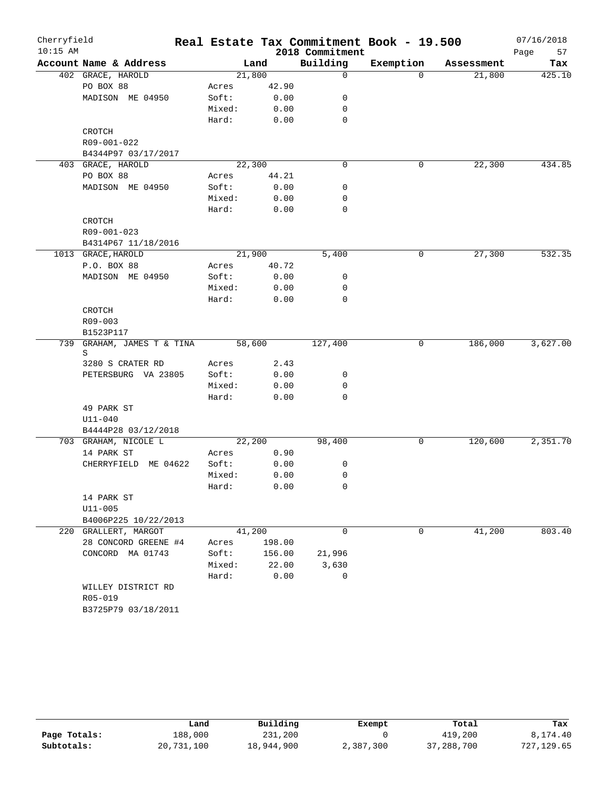| Cherryfield |                         |        |        |                 | Real Estate Tax Commitment Book - 19.500 |            | 07/16/2018 |
|-------------|-------------------------|--------|--------|-----------------|------------------------------------------|------------|------------|
| $10:15$ AM  |                         |        |        | 2018 Commitment |                                          |            | 57<br>Page |
|             | Account Name & Address  |        | Land   | Building        | Exemption                                | Assessment | Tax        |
|             | 402 GRACE, HAROLD       | 21,800 |        | $\mathbf 0$     | $\Omega$                                 | 21,800     | 425.10     |
|             | PO BOX 88               | Acres  | 42.90  |                 |                                          |            |            |
|             | MADISON ME 04950        | Soft:  | 0.00   | 0               |                                          |            |            |
|             |                         | Mixed: | 0.00   | 0               |                                          |            |            |
|             |                         | Hard:  | 0.00   | 0               |                                          |            |            |
|             | CROTCH                  |        |        |                 |                                          |            |            |
|             | R09-001-022             |        |        |                 |                                          |            |            |
|             | B4344P97 03/17/2017     |        |        |                 |                                          |            |            |
|             | 403 GRACE, HAROLD       | 22,300 |        | $\mathbf 0$     | 0                                        | 22,300     | 434.85     |
|             | PO BOX 88               | Acres  | 44.21  |                 |                                          |            |            |
|             | MADISON ME 04950        | Soft:  | 0.00   | 0               |                                          |            |            |
|             |                         | Mixed: | 0.00   | 0               |                                          |            |            |
|             |                         | Hard:  | 0.00   | $\mathbf 0$     |                                          |            |            |
|             | CROTCH                  |        |        |                 |                                          |            |            |
|             | R09-001-023             |        |        |                 |                                          |            |            |
|             | B4314P67 11/18/2016     |        |        |                 |                                          |            |            |
|             | 1013 GRACE, HAROLD      | 21,900 |        | 5,400           | 0                                        | 27,300     | 532.35     |
|             | P.O. BOX 88             | Acres  | 40.72  |                 |                                          |            |            |
|             | MADISON ME 04950        | Soft:  | 0.00   | 0               |                                          |            |            |
|             |                         | Mixed: | 0.00   | 0               |                                          |            |            |
|             |                         | Hard:  | 0.00   | 0               |                                          |            |            |
|             | <b>CROTCH</b>           |        |        |                 |                                          |            |            |
|             | R09-003                 |        |        |                 |                                          |            |            |
|             | B1523P117               |        |        |                 |                                          |            |            |
| 739         | GRAHAM, JAMES T & TINA  | 58,600 |        | 127,400         | 0                                        | 186,000    | 3,627.00   |
|             | S                       |        |        |                 |                                          |            |            |
|             | 3280 S CRATER RD        | Acres  | 2.43   |                 |                                          |            |            |
|             | PETERSBURG VA 23805     | Soft:  | 0.00   | 0               |                                          |            |            |
|             |                         | Mixed: | 0.00   | 0               |                                          |            |            |
|             |                         | Hard:  | 0.00   | 0               |                                          |            |            |
|             | 49 PARK ST              |        |        |                 |                                          |            |            |
|             | $U11 - 040$             |        |        |                 |                                          |            |            |
|             | B4444P28 03/12/2018     |        |        |                 |                                          |            |            |
|             | 703 GRAHAM, NICOLE L    | 22,200 |        | 98,400          | 0                                        | 120,600    | 2,351.70   |
|             | 14 PARK ST              | Acres  | 0.90   |                 |                                          |            |            |
|             | ME 04622<br>CHERRYFIELD | Soft:  | 0.00   | 0               |                                          |            |            |
|             |                         | Mixed: | 0.00   | 0               |                                          |            |            |
|             |                         | Hard:  | 0.00   | 0               |                                          |            |            |
|             | 14 PARK ST              |        |        |                 |                                          |            |            |
|             | $U11 - 005$             |        |        |                 |                                          |            |            |
|             | B4006P225 10/22/2013    |        |        |                 |                                          |            |            |
|             | 220 GRALLERT, MARGOT    | 41,200 |        | 0               | 0                                        | 41,200     | 803.40     |
|             | 28 CONCORD GREENE #4    | Acres  | 198.00 |                 |                                          |            |            |
|             | CONCORD MA 01743        | Soft:  | 156.00 | 21,996          |                                          |            |            |
|             |                         | Mixed: | 22.00  | 3,630           |                                          |            |            |
|             |                         | Hard:  | 0.00   | 0               |                                          |            |            |
|             | WILLEY DISTRICT RD      |        |        |                 |                                          |            |            |
|             | R05-019                 |        |        |                 |                                          |            |            |
|             | B3725P79 03/18/2011     |        |        |                 |                                          |            |            |
|             |                         |        |        |                 |                                          |            |            |

|              | Land       | Building   | Exempt    | Total      | Tax        |
|--------------|------------|------------|-----------|------------|------------|
| Page Totals: | 188,000    | 231,200    |           | 419,200    | 8,174.40   |
| Subtotals:   | 20,731,100 | 18,944,900 | 2,387,300 | 37,288,700 | 727,129.65 |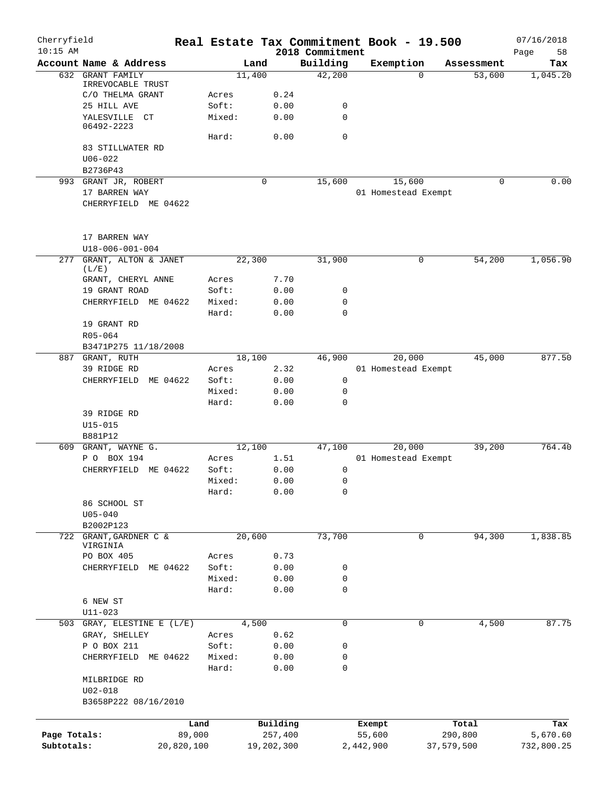| Cherryfield<br>$10:15$ AM |                                           |            |            | 2018 Commitment | Real Estate Tax Commitment Book - 19.500 |            | 07/16/2018<br>Page<br>58 |
|---------------------------|-------------------------------------------|------------|------------|-----------------|------------------------------------------|------------|--------------------------|
|                           | Account Name & Address                    |            | Land       | Building        | Exemption                                | Assessment | Tax                      |
| 632                       | <b>GRANT FAMILY</b>                       |            | 11,400     | 42,200          | $\Omega$                                 | 53,600     | 1,045.20                 |
|                           | IRREVOCABLE TRUST                         |            |            |                 |                                          |            |                          |
|                           | C/O THELMA GRANT                          | Acres      | 0.24       |                 |                                          |            |                          |
|                           | 25 HILL AVE                               | Soft:      | 0.00       | 0               |                                          |            |                          |
|                           | YALESVILLE CT<br>06492-2223               | Mixed:     | 0.00       | $\mathbf 0$     |                                          |            |                          |
|                           |                                           | Hard:      | 0.00       | $\mathbf 0$     |                                          |            |                          |
|                           | 83 STILLWATER RD                          |            |            |                 |                                          |            |                          |
|                           | $U06 - 022$                               |            |            |                 |                                          |            |                          |
|                           | B2736P43                                  |            |            |                 |                                          |            |                          |
|                           | 993 GRANT JR, ROBERT                      |            | 0          | 15,600          | 15,600                                   | 0          | 0.00                     |
|                           | 17 BARREN WAY                             |            |            |                 | 01 Homestead Exempt                      |            |                          |
|                           | CHERRYFIELD ME 04622                      |            |            |                 |                                          |            |                          |
|                           | 17 BARREN WAY                             |            |            |                 |                                          |            |                          |
|                           | U18-006-001-004                           |            |            |                 |                                          |            |                          |
| 277                       | GRANT, ALTON & JANET<br>(L/E)             |            | 22,300     | 31,900          | 0                                        | 54,200     | 1,056.90                 |
|                           | GRANT, CHERYL ANNE                        | Acres      | 7.70       |                 |                                          |            |                          |
|                           | 19 GRANT ROAD                             | Soft:      | 0.00       | 0               |                                          |            |                          |
|                           | CHERRYFIELD ME 04622                      | Mixed:     | 0.00       | 0               |                                          |            |                          |
|                           |                                           | Hard:      | 0.00       | $\mathbf 0$     |                                          |            |                          |
|                           | 19 GRANT RD                               |            |            |                 |                                          |            |                          |
|                           | R05-064                                   |            |            |                 |                                          |            |                          |
|                           | B3471P275 11/18/2008                      |            |            |                 |                                          |            |                          |
|                           | 887 GRANT, RUTH                           |            | 18,100     | 46,900          | 20,000                                   | 45,000     | 877.50                   |
|                           | 39 RIDGE RD                               | Acres      | 2.32       |                 | 01 Homestead Exempt                      |            |                          |
|                           | CHERRYFIELD<br>ME 04622                   | Soft:      | 0.00       | 0               |                                          |            |                          |
|                           |                                           | Mixed:     | 0.00       | 0               |                                          |            |                          |
|                           |                                           | Hard:      | 0.00       | 0               |                                          |            |                          |
|                           | 39 RIDGE RD                               |            |            |                 |                                          |            |                          |
|                           | $U15 - 015$                               |            |            |                 |                                          |            |                          |
|                           | B881P12                                   |            |            |                 |                                          |            |                          |
| 609                       | GRANT, WAYNE G.                           |            | 12,100     | 47,100          | 20,000                                   | 39,200     | 764.40                   |
|                           | P O BOX 194                               | Acres      | 1.51       |                 | 01 Homestead Exempt                      |            |                          |
|                           | CHERRYFIELD<br>ME 04622                   | Soft:      | 0.00       | 0               |                                          |            |                          |
|                           |                                           | Mixed:     | 0.00       | 0               |                                          |            |                          |
|                           |                                           | Hard:      | 0.00       | 0               |                                          |            |                          |
|                           | 86 SCHOOL ST                              |            |            |                 |                                          |            |                          |
|                           | $U05 - 040$<br>B2002P123                  |            |            |                 |                                          |            |                          |
|                           | 722 GRANT, GARDNER C &                    |            | 20,600     | 73,700          | 0                                        | 94,300     | 1,838.85                 |
|                           | VIRGINIA                                  |            |            |                 |                                          |            |                          |
|                           | PO BOX 405                                | Acres      | 0.73       |                 |                                          |            |                          |
|                           | CHERRYFIELD<br>ME 04622                   | Soft:      | 0.00       | 0               |                                          |            |                          |
|                           |                                           | Mixed:     | 0.00       | 0               |                                          |            |                          |
|                           |                                           | Hard:      | 0.00       | 0               |                                          |            |                          |
|                           | 6 NEW ST                                  |            |            |                 |                                          |            |                          |
|                           | $U11 - 023$<br>503 GRAY, ELESTINE E (L/E) |            | 4,500      | 0               | 0                                        | 4,500      | 87.75                    |
|                           | GRAY, SHELLEY                             | Acres      | 0.62       |                 |                                          |            |                          |
|                           | P O BOX 211                               | Soft:      | 0.00       | 0               |                                          |            |                          |
|                           | CHERRYFIELD ME 04622                      | Mixed:     | 0.00       | 0               |                                          |            |                          |
|                           |                                           | Hard:      | 0.00       | 0               |                                          |            |                          |
|                           | MILBRIDGE RD                              |            |            |                 |                                          |            |                          |
|                           | $U02 - 018$                               |            |            |                 |                                          |            |                          |
|                           | B3658P222 08/16/2010                      |            |            |                 |                                          |            |                          |
|                           |                                           |            |            |                 |                                          |            |                          |
|                           |                                           | Land       | Building   |                 | Exempt                                   | Total      | Tax                      |
| Page Totals:              |                                           | 89,000     | 257,400    |                 | 55,600                                   | 290,800    | 5,670.60                 |
| Subtotals:                |                                           | 20,820,100 | 19,202,300 |                 | 2,442,900                                | 37,579,500 | 732,800.25               |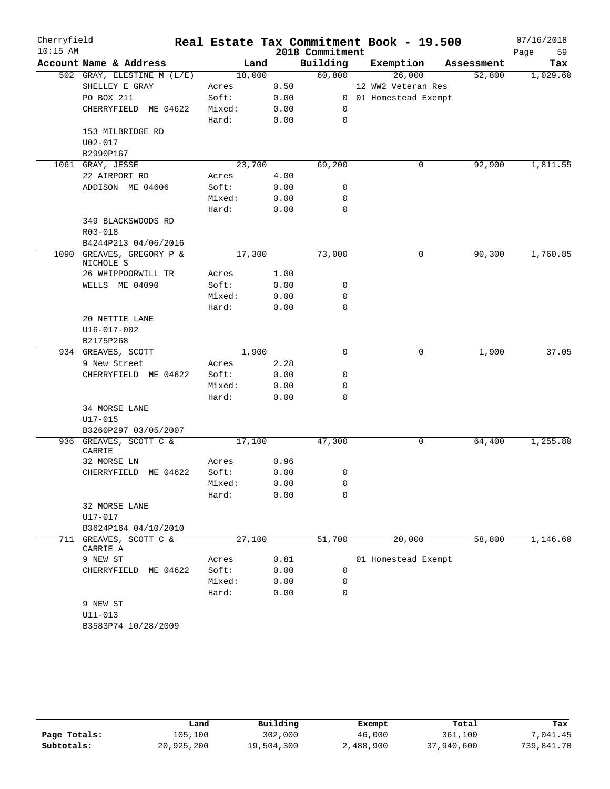| Cherryfield |                                    |        |        |      |                 | Real Estate Tax Commitment Book - 19.500 |            | 07/16/2018 |          |
|-------------|------------------------------------|--------|--------|------|-----------------|------------------------------------------|------------|------------|----------|
| $10:15$ AM  |                                    |        |        |      | 2018 Commitment |                                          |            | Page       | 59       |
|             | Account Name & Address             |        | Land   |      | Building        | Exemption                                | Assessment |            | Tax      |
|             | 502 GRAY, ELESTINE M (L/E)         |        | 18,000 |      | 60,800          | 26,000                                   | 52,800     |            | 1,029.60 |
|             | SHELLEY E GRAY                     | Acres  |        | 0.50 |                 | 12 WW2 Veteran Res                       |            |            |          |
|             | PO BOX 211                         | Soft:  |        | 0.00 |                 | 0 01 Homestead Exempt                    |            |            |          |
|             | CHERRYFIELD ME 04622               | Mixed: |        | 0.00 | 0               |                                          |            |            |          |
|             |                                    | Hard:  |        | 0.00 | $\mathbf 0$     |                                          |            |            |          |
|             | 153 MILBRIDGE RD                   |        |        |      |                 |                                          |            |            |          |
|             | U02-017                            |        |        |      |                 |                                          |            |            |          |
|             | B2990P167<br>1061 GRAY, JESSE      |        | 23,700 |      | 69,200          | 0                                        | 92,900     |            | 1,811.55 |
|             | 22 AIRPORT RD                      | Acres  |        | 4.00 |                 |                                          |            |            |          |
|             | ADDISON ME 04606                   | Soft:  |        | 0.00 | 0               |                                          |            |            |          |
|             |                                    | Mixed: |        | 0.00 | 0               |                                          |            |            |          |
|             |                                    | Hard:  |        | 0.00 | $\mathbf 0$     |                                          |            |            |          |
|             | 349 BLACKSWOODS RD                 |        |        |      |                 |                                          |            |            |          |
|             | R03-018                            |        |        |      |                 |                                          |            |            |          |
|             | B4244P213 04/06/2016               |        |        |      |                 |                                          |            |            |          |
| 1090        | GREAVES, GREGORY P &               |        | 17,300 |      | 73,000          | 0                                        | 90,300     |            | 1,760.85 |
|             | NICHOLE S                          |        |        |      |                 |                                          |            |            |          |
|             | 26 WHIPPOORWILL TR                 | Acres  |        | 1.00 |                 |                                          |            |            |          |
|             | WELLS ME 04090                     | Soft:  |        | 0.00 | 0               |                                          |            |            |          |
|             |                                    | Mixed: |        | 0.00 | 0               |                                          |            |            |          |
|             |                                    | Hard:  |        | 0.00 | 0               |                                          |            |            |          |
|             | 20 NETTIE LANE                     |        |        |      |                 |                                          |            |            |          |
|             | U16-017-002                        |        |        |      |                 |                                          |            |            |          |
|             | B2175P268                          |        | 1,900  |      | $\mathbf 0$     | 0                                        | 1,900      |            | 37.05    |
|             | 934 GREAVES, SCOTT<br>9 New Street | Acres  |        | 2.28 |                 |                                          |            |            |          |
|             | CHERRYFIELD ME 04622               | Soft:  |        | 0.00 | 0               |                                          |            |            |          |
|             |                                    | Mixed: |        | 0.00 | 0               |                                          |            |            |          |
|             |                                    | Hard:  |        | 0.00 | 0               |                                          |            |            |          |
|             | 34 MORSE LANE                      |        |        |      |                 |                                          |            |            |          |
|             | U17-015                            |        |        |      |                 |                                          |            |            |          |
|             | B3260P297 03/05/2007               |        |        |      |                 |                                          |            |            |          |
|             | 936 GREAVES, SCOTT C &             |        | 17,100 |      | 47,300          | 0                                        | 64,400     |            | 1,255.80 |
|             | CARRIE                             |        |        |      |                 |                                          |            |            |          |
|             | 32 MORSE LN                        | Acres  |        | 0.96 |                 |                                          |            |            |          |
|             | CHERRYFIELD ME 04622               | Soft:  |        | 0.00 | 0               |                                          |            |            |          |
|             |                                    | Mixed: |        | 0.00 | 0               |                                          |            |            |          |
|             |                                    | Hard:  |        | 0.00 | 0               |                                          |            |            |          |
|             | 32 MORSE LANE                      |        |        |      |                 |                                          |            |            |          |
|             | U17-017<br>B3624P164 04/10/2010    |        |        |      |                 |                                          |            |            |          |
|             | 711 GREAVES, SCOTT C &             | 27,100 |        |      | 51,700          | 20,000                                   | 58,800     |            | 1,146.60 |
|             | CARRIE A                           |        |        |      |                 |                                          |            |            |          |
|             | 9 NEW ST                           | Acres  |        | 0.81 |                 | 01 Homestead Exempt                      |            |            |          |
|             | CHERRYFIELD ME 04622               | Soft:  |        | 0.00 | 0               |                                          |            |            |          |
|             |                                    | Mixed: |        | 0.00 | 0               |                                          |            |            |          |
|             |                                    | Hard:  |        | 0.00 | 0               |                                          |            |            |          |
|             | 9 NEW ST                           |        |        |      |                 |                                          |            |            |          |
|             | $U11 - 013$                        |        |        |      |                 |                                          |            |            |          |
|             | B3583P74 10/28/2009                |        |        |      |                 |                                          |            |            |          |

|              | Land       | Building   | Exempt    | Total      | Tax        |
|--------------|------------|------------|-----------|------------|------------|
| Page Totals: | 105,100    | 302,000    | 46,000    | 361,100    | .041.45    |
| Subtotals:   | 20,925,200 | 19,504,300 | 2,488,900 | 37,940,600 | 739,841.70 |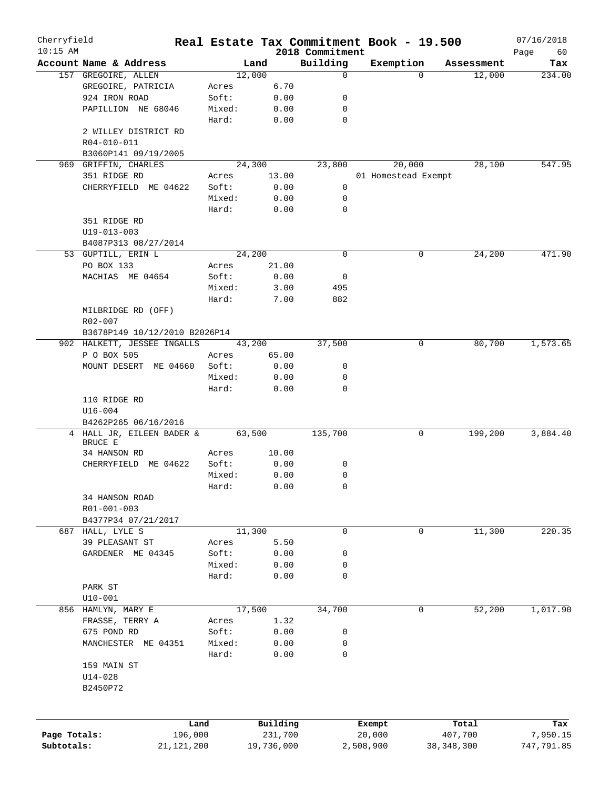| Cherryfield  |                                     |        |            |                             | Real Estate Tax Commitment Book - 19.500 |            |            | 07/16/2018        |
|--------------|-------------------------------------|--------|------------|-----------------------------|------------------------------------------|------------|------------|-------------------|
| $10:15$ AM   | Account Name & Address              |        | Land       | 2018 Commitment<br>Building | Exemption                                |            | Assessment | Page<br>60<br>Tax |
|              | 157 GREGOIRE, ALLEN                 |        | 12,000     | 0                           |                                          | $\Omega$   | 12,000     | 234.00            |
|              | GREGOIRE, PATRICIA                  | Acres  | 6.70       |                             |                                          |            |            |                   |
|              | 924 IRON ROAD                       | Soft:  | 0.00       | 0                           |                                          |            |            |                   |
|              | PAPILLION NE 68046                  | Mixed: | 0.00       | 0                           |                                          |            |            |                   |
|              |                                     | Hard:  | 0.00       | 0                           |                                          |            |            |                   |
|              |                                     |        |            |                             |                                          |            |            |                   |
|              | 2 WILLEY DISTRICT RD<br>R04-010-011 |        |            |                             |                                          |            |            |                   |
|              |                                     |        |            |                             |                                          |            |            |                   |
|              | B3060P141 09/19/2005                |        |            |                             |                                          |            |            |                   |
|              | 969 GRIFFIN, CHARLES                |        | 24,300     | 23,800                      | 20,000                                   |            | 28,100     | 547.95            |
|              | 351 RIDGE RD                        | Acres  | 13.00      |                             | 01 Homestead Exempt                      |            |            |                   |
|              | CHERRYFIELD ME 04622                | Soft:  | 0.00       | 0                           |                                          |            |            |                   |
|              |                                     | Mixed: | 0.00       | 0                           |                                          |            |            |                   |
|              |                                     | Hard:  | 0.00       | 0                           |                                          |            |            |                   |
|              | 351 RIDGE RD                        |        |            |                             |                                          |            |            |                   |
|              | $U19 - 013 - 003$                   |        |            |                             |                                          |            |            |                   |
|              | B4087P313 08/27/2014                |        |            |                             |                                          |            |            |                   |
|              | 53 GUPTILL, ERIN L                  |        | 24,200     | 0                           |                                          | 0          | 24,200     | 471.90            |
|              | PO BOX 133                          | Acres  | 21.00      |                             |                                          |            |            |                   |
|              | MACHIAS ME 04654                    | Soft:  | 0.00       | 0                           |                                          |            |            |                   |
|              |                                     | Mixed: | 3.00       | 495                         |                                          |            |            |                   |
|              |                                     | Hard:  | 7.00       | 882                         |                                          |            |            |                   |
|              | MILBRIDGE RD (OFF)                  |        |            |                             |                                          |            |            |                   |
|              | R02-007                             |        |            |                             |                                          |            |            |                   |
|              | B3678P149 10/12/2010 B2026P14       |        |            |                             |                                          |            |            |                   |
|              | 902 HALKETT, JESSEE INGALLS         |        | 43,200     | 37,500                      |                                          | 0          | 80,700     | 1,573.65          |
|              | P O BOX 505                         | Acres  | 65.00      |                             |                                          |            |            |                   |
|              | MOUNT DESERT ME 04660               | Soft:  | 0.00       | 0                           |                                          |            |            |                   |
|              |                                     | Mixed: | 0.00       | 0                           |                                          |            |            |                   |
|              |                                     | Hard:  | 0.00       | 0                           |                                          |            |            |                   |
|              | 110 RIDGE RD                        |        |            |                             |                                          |            |            |                   |
|              | $U16 - 004$                         |        |            |                             |                                          |            |            |                   |
|              | B4262P265 06/16/2016                |        |            |                             |                                          |            |            |                   |
|              | 4 HALL JR, EILEEN BADER &           |        | 63,500     | 135,700                     |                                          | 0          | 199,200    | 3,884.40          |
|              | BRUCE E                             |        |            |                             |                                          |            |            |                   |
|              | 34 HANSON RD                        | Acres  | 10.00      |                             |                                          |            |            |                   |
|              | CHERRYFIELD ME 04622                | Soft:  | 0.00       | 0                           |                                          |            |            |                   |
|              |                                     | Mixed: | 0.00       | 0                           |                                          |            |            |                   |
|              |                                     | Hard:  | 0.00       | 0                           |                                          |            |            |                   |
|              |                                     |        |            |                             |                                          |            |            |                   |
|              | 34 HANSON ROAD                      |        |            |                             |                                          |            |            |                   |
|              | R01-001-003                         |        |            |                             |                                          |            |            |                   |
|              | B4377P34 07/21/2017                 |        |            |                             |                                          |            |            |                   |
| 687          | HALL, LYLE S                        |        | 11,300     | $\mathbf 0$                 |                                          | 0          | 11,300     | 220.35            |
|              | 39 PLEASANT ST                      | Acres  | 5.50       |                             |                                          |            |            |                   |
|              | GARDENER ME 04345                   | Soft:  | 0.00       | 0                           |                                          |            |            |                   |
|              |                                     | Mixed: | 0.00       | 0                           |                                          |            |            |                   |
|              |                                     | Hard:  | 0.00       | 0                           |                                          |            |            |                   |
|              | PARK ST                             |        |            |                             |                                          |            |            |                   |
|              | $U10 - 001$                         |        |            |                             |                                          |            |            |                   |
|              | 856 HAMLYN, MARY E                  |        | 17,500     | 34,700                      |                                          | 0          | 52,200     | 1,017.90          |
|              | FRASSE, TERRY A                     | Acres  | 1.32       |                             |                                          |            |            |                   |
|              | 675 POND RD                         | Soft:  | 0.00       | 0                           |                                          |            |            |                   |
|              | MANCHESTER ME 04351                 | Mixed: | 0.00       | 0                           |                                          |            |            |                   |
|              |                                     | Hard:  | 0.00       | 0                           |                                          |            |            |                   |
|              | 159 MAIN ST                         |        |            |                             |                                          |            |            |                   |
|              | $U14 - 028$                         |        |            |                             |                                          |            |            |                   |
|              | B2450P72                            |        |            |                             |                                          |            |            |                   |
|              |                                     |        |            |                             |                                          |            |            |                   |
|              |                                     |        |            |                             |                                          |            |            |                   |
|              | Land                                |        | Building   |                             | Exempt                                   |            | Total      | Tax               |
| Page Totals: | 196,000                             |        | 231,700    |                             | 20,000                                   |            | 407,700    | 7,950.15          |
| Subtotals:   | 21,121,200                          |        | 19,736,000 |                             | 2,508,900                                | 38,348,300 |            | 747,791.85        |
|              |                                     |        |            |                             |                                          |            |            |                   |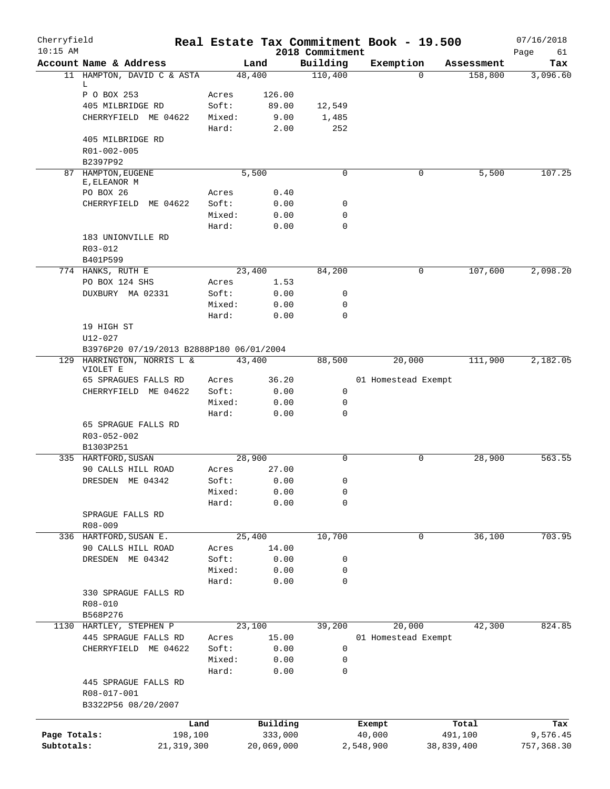| Cherryfield<br>$10:15$ AM |                                          |        |            | 2018 Commitment | Real Estate Tax Commitment Book - 19.500 |            | 07/16/2018<br>Page<br>61 |
|---------------------------|------------------------------------------|--------|------------|-----------------|------------------------------------------|------------|--------------------------|
|                           | Account Name & Address                   |        | Land       | Building        | Exemption                                | Assessment | Tax                      |
|                           | 11 HAMPTON, DAVID C & ASTA               | 48,400 |            | 110,400         | $\Omega$                                 | 158,800    | 3,096.60                 |
|                           | L.                                       |        |            |                 |                                          |            |                          |
|                           | P O BOX 253                              | Acres  | 126.00     |                 |                                          |            |                          |
|                           | 405 MILBRIDGE RD                         | Soft:  | 89.00      | 12,549          |                                          |            |                          |
|                           | CHERRYFIELD ME 04622                     | Mixed: | 9.00       | 1,485           |                                          |            |                          |
|                           |                                          | Hard:  | 2.00       | 252             |                                          |            |                          |
|                           | 405 MILBRIDGE RD                         |        |            |                 |                                          |            |                          |
|                           | R01-002-005                              |        |            |                 |                                          |            |                          |
|                           | B2397P92                                 |        |            |                 |                                          |            |                          |
|                           | 87 HAMPTON, EUGENE<br>E, ELEANOR M       | 5,500  |            | 0               | 0                                        | 5,500      | 107.25                   |
|                           | PO BOX 26                                | Acres  | 0.40       |                 |                                          |            |                          |
|                           | CHERRYFIELD<br>ME 04622                  | Soft:  | 0.00       | 0               |                                          |            |                          |
|                           |                                          | Mixed: | 0.00       | 0               |                                          |            |                          |
|                           |                                          | Hard:  | 0.00       | 0               |                                          |            |                          |
|                           | 183 UNIONVILLE RD                        |        |            |                 |                                          |            |                          |
|                           | R03-012                                  |        |            |                 |                                          |            |                          |
|                           | B401P599                                 |        |            |                 |                                          |            |                          |
|                           | 774 HANKS, RUTH E                        | 23,400 |            | 84,200          | 0                                        | 107,600    | 2,098.20                 |
|                           | PO BOX 124 SHS                           | Acres  | 1.53       |                 |                                          |            |                          |
|                           | DUXBURY MA 02331                         | Soft:  | 0.00       | 0               |                                          |            |                          |
|                           |                                          | Mixed: | 0.00       | 0               |                                          |            |                          |
|                           |                                          | Hard:  | 0.00       | $\Omega$        |                                          |            |                          |
|                           | 19 HIGH ST                               |        |            |                 |                                          |            |                          |
|                           | $U12 - 027$                              |        |            |                 |                                          |            |                          |
|                           | B3976P20 07/19/2013 B2888P180 06/01/2004 |        |            |                 |                                          |            |                          |
|                           | 129 HARRINGTON, NORRIS L &               | 43,400 |            | 88,500          | 20,000                                   | 111,900    | 2,182.05                 |
|                           | VIOLET E                                 |        |            |                 |                                          |            |                          |
|                           | 65 SPRAGUES FALLS RD                     | Acres  | 36.20      |                 | 01 Homestead Exempt                      |            |                          |
|                           | CHERRYFIELD ME 04622                     | Soft:  | 0.00       | 0               |                                          |            |                          |
|                           |                                          | Mixed: | 0.00       | 0               |                                          |            |                          |
|                           |                                          | Hard:  | 0.00       | 0               |                                          |            |                          |
|                           | 65 SPRAGUE FALLS RD                      |        |            |                 |                                          |            |                          |
|                           | R03-052-002                              |        |            |                 |                                          |            |                          |
|                           | B1303P251                                |        |            |                 |                                          |            |                          |
|                           | 335 HARTFORD, SUSAN                      | 28,900 |            | 0               | 0                                        | 28,900     | 563.55                   |
|                           | 90 CALLS HILL ROAD                       | Acres  | 27.00      |                 |                                          |            |                          |
|                           | DRESDEN ME 04342                         | Soft:  | 0.00       | 0               |                                          |            |                          |
|                           |                                          | Mixed: | 0.00       | 0               |                                          |            |                          |
|                           |                                          | Hard:  | 0.00       | 0               |                                          |            |                          |
|                           | SPRAGUE FALLS RD                         |        |            |                 |                                          |            |                          |
|                           | R08-009                                  |        |            |                 |                                          |            |                          |
|                           | 336 HARTFORD, SUSAN E.                   | 25,400 |            | 10,700          | $\mathbf 0$                              | 36,100     | 703.95                   |
|                           | 90 CALLS HILL ROAD                       | Acres  | 14.00      |                 |                                          |            |                          |
|                           | DRESDEN ME 04342                         | Soft:  | 0.00       | 0               |                                          |            |                          |
|                           |                                          | Mixed: | 0.00       | 0               |                                          |            |                          |
|                           |                                          | Hard:  | 0.00       | 0               |                                          |            |                          |
|                           | 330 SPRAGUE FALLS RD                     |        |            |                 |                                          |            |                          |
|                           | R08-010                                  |        |            |                 |                                          |            |                          |
|                           | B568P276                                 |        |            |                 |                                          |            |                          |
| 1130                      | HARTLEY, STEPHEN P                       | 23,100 |            | 39,200          | 20,000                                   | 42,300     | 824.85                   |
|                           | 445 SPRAGUE FALLS RD                     | Acres  | 15.00      |                 | 01 Homestead Exempt                      |            |                          |
|                           | CHERRYFIELD ME 04622                     | Soft:  | 0.00       | 0               |                                          |            |                          |
|                           |                                          | Mixed: | 0.00       | 0               |                                          |            |                          |
|                           |                                          | Hard:  | 0.00       | 0               |                                          |            |                          |
|                           | 445 SPRAGUE FALLS RD                     |        |            |                 |                                          |            |                          |
|                           | R08-017-001                              |        |            |                 |                                          |            |                          |
|                           | B3322P56 08/20/2007                      |        |            |                 |                                          |            |                          |
|                           | Land                                     |        | Building   |                 | Exempt                                   | Total      | Tax                      |
| Page Totals:              | 198,100                                  |        | 333,000    |                 | 40,000                                   | 491,100    | 9,576.45                 |
| Subtotals:                | 21, 319, 300                             |        | 20,069,000 |                 | 2,548,900                                | 38,839,400 | 757,368.30               |
|                           |                                          |        |            |                 |                                          |            |                          |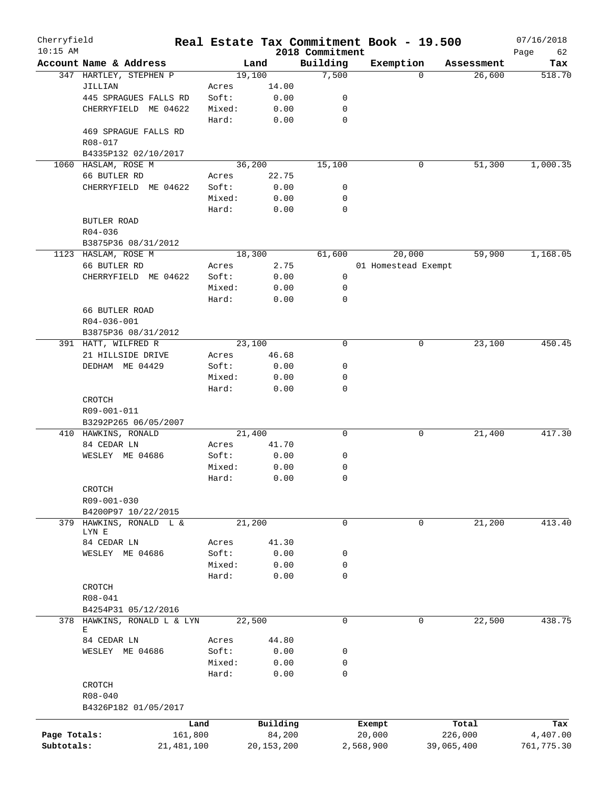| Cherryfield<br>$10:15$ AM |                         |        | Real Estate Tax Commitment Book - 19.500 |                             |                     |             |            | 07/16/2018        |
|---------------------------|-------------------------|--------|------------------------------------------|-----------------------------|---------------------|-------------|------------|-------------------|
|                           | Account Name & Address  |        | Land                                     | 2018 Commitment<br>Building | Exemption           |             | Assessment | Page<br>62<br>Tax |
|                           | 347 HARTLEY, STEPHEN P  |        | 19,100                                   | 7,500                       |                     | $\Omega$    | 26,600     | 518.70            |
|                           | JILLIAN                 | Acres  | 14.00                                    |                             |                     |             |            |                   |
|                           | 445 SPRAGUES FALLS RD   | Soft:  | 0.00                                     | 0                           |                     |             |            |                   |
|                           | CHERRYFIELD ME 04622    | Mixed: | 0.00                                     | 0                           |                     |             |            |                   |
|                           |                         | Hard:  | 0.00                                     | $\mathbf 0$                 |                     |             |            |                   |
|                           | 469 SPRAGUE FALLS RD    |        |                                          |                             |                     |             |            |                   |
|                           | R08-017                 |        |                                          |                             |                     |             |            |                   |
|                           | B4335P132 02/10/2017    |        |                                          |                             |                     |             |            |                   |
|                           | 1060 HASLAM, ROSE M     |        | 36,200                                   | 15,100                      |                     | 0           | 51,300     | 1,000.35          |
|                           | 66 BUTLER RD            | Acres  | 22.75                                    |                             |                     |             |            |                   |
|                           | CHERRYFIELD ME 04622    | Soft:  | 0.00                                     | 0                           |                     |             |            |                   |
|                           |                         | Mixed: | 0.00                                     | 0                           |                     |             |            |                   |
|                           |                         | Hard:  | 0.00                                     | 0                           |                     |             |            |                   |
|                           | BUTLER ROAD             |        |                                          |                             |                     |             |            |                   |
|                           | R04-036                 |        |                                          |                             |                     |             |            |                   |
|                           | B3875P36 08/31/2012     |        |                                          |                             |                     |             |            |                   |
|                           | 1123 HASLAM, ROSE M     |        | 18,300                                   | 61,600                      |                     | 20,000      | 59,900     | 1,168.05          |
|                           | 66 BUTLER RD            | Acres  | 2.75                                     |                             | 01 Homestead Exempt |             |            |                   |
|                           | CHERRYFIELD ME 04622    | Soft:  | 0.00                                     | 0                           |                     |             |            |                   |
|                           |                         | Mixed: | 0.00                                     | 0                           |                     |             |            |                   |
|                           |                         | Hard:  | 0.00                                     | $\mathbf 0$                 |                     |             |            |                   |
|                           | 66 BUTLER ROAD          |        |                                          |                             |                     |             |            |                   |
|                           | $R04 - 036 - 001$       |        |                                          |                             |                     |             |            |                   |
|                           | B3875P36 08/31/2012     |        |                                          |                             |                     |             |            |                   |
|                           | 391 HATT, WILFRED R     |        | 23,100                                   | $\mathbf 0$                 |                     | 0           | 23,100     | 450.45            |
|                           | 21 HILLSIDE DRIVE       | Acres  | 46.68                                    |                             |                     |             |            |                   |
|                           | DEDHAM ME 04429         | Soft:  | 0.00                                     | 0                           |                     |             |            |                   |
|                           |                         | Mixed: | 0.00                                     | 0                           |                     |             |            |                   |
|                           |                         | Hard:  | 0.00                                     | $\mathbf 0$                 |                     |             |            |                   |
|                           | CROTCH                  |        |                                          |                             |                     |             |            |                   |
|                           | R09-001-011             |        |                                          |                             |                     |             |            |                   |
|                           | B3292P265 06/05/2007    |        |                                          |                             |                     |             |            |                   |
|                           | 410 HAWKINS, RONALD     |        | 21,400                                   | 0                           |                     | 0           | 21,400     | 417.30            |
|                           | 84 CEDAR LN             | Acres  | 41.70                                    |                             |                     |             |            |                   |
|                           | WESLEY ME 04686         | Soft:  | 0.00                                     | 0                           |                     |             |            |                   |
|                           |                         | Mixed: | 0.00                                     | 0                           |                     |             |            |                   |
|                           |                         | Hard:  | 0.00                                     | 0                           |                     |             |            |                   |
|                           | CROTCH                  |        |                                          |                             |                     |             |            |                   |
|                           | R09-001-030             |        |                                          |                             |                     |             |            |                   |
|                           | B4200P97 10/22/2015     |        |                                          |                             |                     |             |            |                   |
| 379                       | HAWKINS, RONALD L &     |        | 21,200                                   | 0                           |                     | 0           | 21,200     | 413.40            |
|                           | LYN E                   |        |                                          |                             |                     |             |            |                   |
|                           | 84 CEDAR LN             | Acres  | 41.30                                    |                             |                     |             |            |                   |
|                           | WESLEY ME 04686         | Soft:  | 0.00                                     | 0                           |                     |             |            |                   |
|                           |                         | Mixed: | 0.00                                     | 0                           |                     |             |            |                   |
|                           |                         | Hard:  | 0.00                                     | 0                           |                     |             |            |                   |
|                           | CROTCH                  |        |                                          |                             |                     |             |            |                   |
|                           | R08-041                 |        |                                          |                             |                     |             |            |                   |
|                           | B4254P31 05/12/2016     |        |                                          |                             |                     |             |            |                   |
| 378                       | HAWKINS, RONALD L & LYN |        | 22,500                                   | 0                           |                     | $\mathbf 0$ | 22,500     | 438.75            |
|                           | Е                       |        |                                          |                             |                     |             |            |                   |
|                           | 84 CEDAR LN             | Acres  | 44.80                                    |                             |                     |             |            |                   |
|                           | WESLEY ME 04686         | Soft:  | 0.00                                     | 0                           |                     |             |            |                   |
|                           |                         | Mixed: | 0.00                                     | 0                           |                     |             |            |                   |
|                           |                         | Hard:  | 0.00                                     | 0                           |                     |             |            |                   |
|                           | CROTCH                  |        |                                          |                             |                     |             |            |                   |
|                           | $R08 - 040$             |        |                                          |                             |                     |             |            |                   |
|                           | B4326P182 01/05/2017    |        |                                          |                             |                     |             |            |                   |
|                           |                         | Land   | Building                                 |                             |                     |             | Total      | Tax               |
| Page Totals:              | 161,800                 |        | 84,200                                   |                             | Exempt<br>20,000    |             | 226,000    | 4,407.00          |
| Subtotals:                | 21, 481, 100            |        | 20, 153, 200                             |                             | 2,568,900           |             | 39,065,400 | 761,775.30        |
|                           |                         |        |                                          |                             |                     |             |            |                   |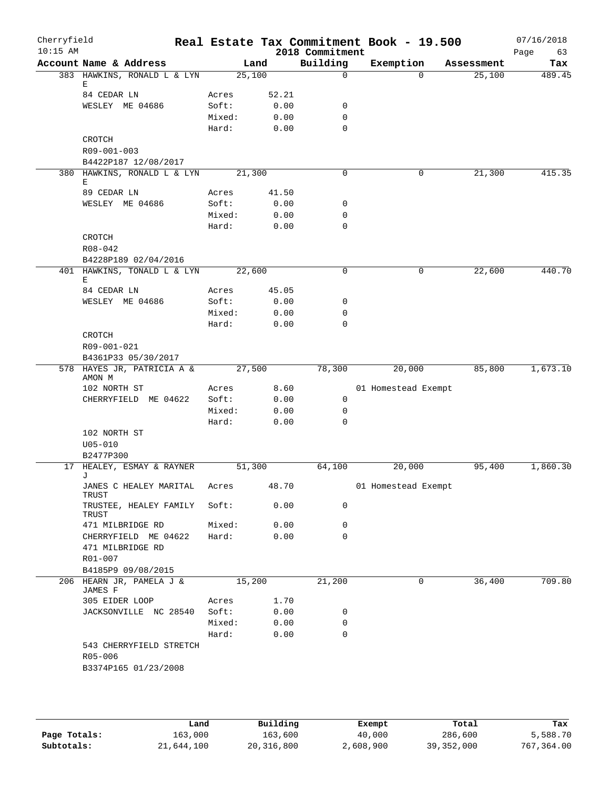| Cherryfield<br>$10:15$ AM |                                                   |                 |        |              | 2018 Commitment  | Real Estate Tax Commitment Book - 19.500 |            | 07/16/2018<br>63<br>Page |
|---------------------------|---------------------------------------------------|-----------------|--------|--------------|------------------|------------------------------------------|------------|--------------------------|
|                           | Account Name & Address                            |                 |        | Land         | Building         | Exemption                                | Assessment | Tax                      |
|                           | 383 HAWKINS, RONALD L & LYN                       |                 | 25,100 |              | $\Omega$         | $\Omega$                                 | 25,100     | 489.45                   |
|                           | Е                                                 |                 |        |              |                  |                                          |            |                          |
|                           | 84 CEDAR LN                                       | Acres           |        | 52.21        |                  |                                          |            |                          |
|                           | WESLEY ME 04686                                   | Soft:           |        | 0.00         | 0<br>$\mathbf 0$ |                                          |            |                          |
|                           |                                                   | Mixed:<br>Hard: |        | 0.00<br>0.00 | $\mathbf 0$      |                                          |            |                          |
|                           | CROTCH                                            |                 |        |              |                  |                                          |            |                          |
|                           | R09-001-003                                       |                 |        |              |                  |                                          |            |                          |
|                           | B4422P187 12/08/2017                              |                 |        |              |                  |                                          |            |                          |
|                           | 380 HAWKINS, RONALD L & LYN                       |                 | 21,300 |              | $\mathbf 0$      | 0                                        | 21,300     | 415.35                   |
|                           | Е                                                 |                 |        |              |                  |                                          |            |                          |
|                           | 89 CEDAR LN                                       | Acres           |        | 41.50        |                  |                                          |            |                          |
|                           | WESLEY ME 04686                                   | Soft:           |        | 0.00         | 0                |                                          |            |                          |
|                           |                                                   | Mixed:          |        | 0.00         | 0                |                                          |            |                          |
|                           |                                                   | Hard:           |        | 0.00         | $\mathbf 0$      |                                          |            |                          |
|                           | CROTCH                                            |                 |        |              |                  |                                          |            |                          |
|                           | R08-042<br>B4228P189 02/04/2016                   |                 |        |              |                  |                                          |            |                          |
|                           | 401 HAWKINS, TONALD L & LYN                       |                 | 22,600 |              | $\mathbf 0$      | 0                                        | 22,600     | 440.70                   |
|                           | Е                                                 |                 |        |              |                  |                                          |            |                          |
|                           | 84 CEDAR LN                                       | Acres           |        | 45.05        |                  |                                          |            |                          |
|                           | WESLEY ME 04686                                   | Soft:           |        | 0.00         | 0                |                                          |            |                          |
|                           |                                                   | Mixed:          |        | 0.00         | 0                |                                          |            |                          |
|                           |                                                   | Hard:           |        | 0.00         | 0                |                                          |            |                          |
|                           | CROTCH                                            |                 |        |              |                  |                                          |            |                          |
|                           | R09-001-021                                       |                 |        |              |                  |                                          |            |                          |
|                           | B4361P33 05/30/2017<br>578 HAYES JR, PATRICIA A & |                 | 27,500 |              |                  |                                          | 85,800     | 1,673.10                 |
|                           | AMON M                                            |                 |        |              | 78,300           | 20,000                                   |            |                          |
|                           | 102 NORTH ST                                      | Acres           |        | 8.60         |                  | 01 Homestead Exempt                      |            |                          |
|                           | CHERRYFIELD ME 04622                              | Soft:           |        | 0.00         | $\mathsf{O}$     |                                          |            |                          |
|                           |                                                   | Mixed:          |        | 0.00         | 0                |                                          |            |                          |
|                           |                                                   | Hard:           |        | 0.00         | $\Omega$         |                                          |            |                          |
|                           | 102 NORTH ST                                      |                 |        |              |                  |                                          |            |                          |
|                           | $U05 - 010$                                       |                 |        |              |                  |                                          |            |                          |
|                           | B2477P300                                         |                 |        |              |                  |                                          |            |                          |
|                           | 17 HEALEY, ESMAY & RAYNER<br>J                    |                 | 51,300 |              | 64,100           | 20,000                                   | 95,400     | 1,860.30                 |
|                           | JANES C HEALEY MARITAL<br>TRUST                   | Acres           |        | 48.70        |                  | 01 Homestead Exempt                      |            |                          |
|                           | TRUSTEE, HEALEY FAMILY<br>TRUST                   | Soft:           |        | 0.00         | 0                |                                          |            |                          |
|                           | 471 MILBRIDGE RD                                  | Mixed:          |        | 0.00         | 0                |                                          |            |                          |
|                           | CHERRYFIELD ME 04622                              | Hard:           |        | 0.00         | $\mathbf 0$      |                                          |            |                          |
|                           | 471 MILBRIDGE RD                                  |                 |        |              |                  |                                          |            |                          |
|                           | R01-007                                           |                 |        |              |                  |                                          |            |                          |
|                           | B4185P9 09/08/2015                                |                 |        |              |                  |                                          |            |                          |
|                           | 206 HEARN JR, PAMELA J &<br>JAMES F               |                 | 15,200 |              | 21,200           | 0                                        | 36,400     | 709.80                   |
|                           | 305 EIDER LOOP                                    | Acres           |        | 1.70         |                  |                                          |            |                          |
|                           | JACKSONVILLE NC 28540                             | Soft:           |        | 0.00         | 0                |                                          |            |                          |
|                           |                                                   | Mixed:          |        | 0.00         | 0                |                                          |            |                          |
|                           | 543 CHERRYFIELD STRETCH                           | Hard:           |        | 0.00         | 0                |                                          |            |                          |
|                           | R05-006                                           |                 |        |              |                  |                                          |            |                          |
|                           | B3374P165 01/23/2008                              |                 |        |              |                  |                                          |            |                          |
|                           |                                                   |                 |        |              |                  |                                          |            |                          |
|                           |                                                   |                 |        |              |                  |                                          |            |                          |
|                           |                                                   |                 |        |              |                  |                                          |            |                          |
|                           |                                                   |                 |        |              |                  |                                          |            |                          |

|              | Land       | Building   | Exempt    | Total      | Tax        |
|--------------|------------|------------|-----------|------------|------------|
| Page Totals: | 163,000    | 163,600    | 40,000    | 286,600    | 5,588.70   |
| Subtotals:   | 21,644,100 | 20,316,800 | 2,608,900 | 39,352,000 | 767,364.00 |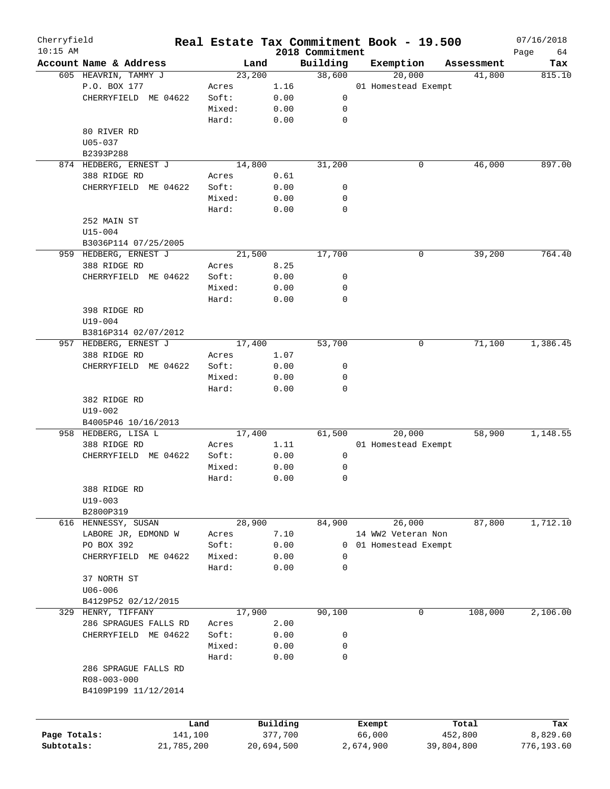| Cherryfield<br>$10:15$ AM |                        |            |        |            | 2018 Commitment | Real Estate Tax Commitment Book - 19.500 |            | 07/16/2018        |
|---------------------------|------------------------|------------|--------|------------|-----------------|------------------------------------------|------------|-------------------|
|                           | Account Name & Address |            | Land   |            | Building        | Exemption                                | Assessment | Page<br>64<br>Tax |
|                           | 605 HEAVRIN, TAMMY J   |            | 23,200 |            | 38,600          | 20,000                                   | 41,800     | 815.10            |
|                           | P.O. BOX 177           |            | Acres  | 1.16       |                 | 01 Homestead Exempt                      |            |                   |
|                           |                        |            |        |            |                 |                                          |            |                   |
|                           | CHERRYFIELD ME 04622   |            | Soft:  | 0.00       | 0               |                                          |            |                   |
|                           |                        |            | Mixed: | 0.00       | 0               |                                          |            |                   |
|                           |                        |            | Hard:  | 0.00       | 0               |                                          |            |                   |
|                           | 80 RIVER RD            |            |        |            |                 |                                          |            |                   |
|                           | $U05 - 037$            |            |        |            |                 |                                          |            |                   |
|                           | B2393P288              |            |        |            |                 |                                          |            |                   |
|                           | 874 HEDBERG, ERNEST J  |            | 14,800 |            | 31,200          | 0                                        | 46,000     | 897.00            |
|                           | 388 RIDGE RD           |            | Acres  | 0.61       |                 |                                          |            |                   |
|                           | CHERRYFIELD ME 04622   |            | Soft:  | 0.00       | 0               |                                          |            |                   |
|                           |                        |            | Mixed: | 0.00       | 0               |                                          |            |                   |
|                           |                        |            | Hard:  | 0.00       | 0               |                                          |            |                   |
|                           | 252 MAIN ST            |            |        |            |                 |                                          |            |                   |
|                           | $U15 - 004$            |            |        |            |                 |                                          |            |                   |
|                           | B3036P114 07/25/2005   |            |        |            |                 |                                          |            |                   |
|                           | 959 HEDBERG, ERNEST J  |            | 21,500 |            | 17,700          | 0                                        | 39,200     | 764.40            |
|                           | 388 RIDGE RD           |            | Acres  | 8.25       |                 |                                          |            |                   |
|                           | CHERRYFIELD ME 04622   |            | Soft:  | 0.00       | 0               |                                          |            |                   |
|                           |                        |            |        |            |                 |                                          |            |                   |
|                           |                        |            | Mixed: | 0.00       | 0               |                                          |            |                   |
|                           |                        |            | Hard:  | 0.00       | $\mathbf 0$     |                                          |            |                   |
|                           | 398 RIDGE RD           |            |        |            |                 |                                          |            |                   |
|                           | $U19 - 004$            |            |        |            |                 |                                          |            |                   |
|                           | B3816P314 02/07/2012   |            |        |            |                 |                                          |            |                   |
|                           | 957 HEDBERG, ERNEST J  |            | 17,400 |            | 53,700          | 0                                        | 71,100     | 1,386.45          |
|                           | 388 RIDGE RD           |            | Acres  | 1.07       |                 |                                          |            |                   |
|                           | CHERRYFIELD ME 04622   |            | Soft:  | 0.00       | 0               |                                          |            |                   |
|                           |                        |            | Mixed: | 0.00       | 0               |                                          |            |                   |
|                           |                        |            | Hard:  | 0.00       | $\mathbf 0$     |                                          |            |                   |
|                           | 382 RIDGE RD           |            |        |            |                 |                                          |            |                   |
|                           | U19-002                |            |        |            |                 |                                          |            |                   |
|                           | B4005P46 10/16/2013    |            |        |            |                 |                                          |            |                   |
|                           | 958 HEDBERG, LISA L    |            | 17,400 |            | 61,500          | 20,000                                   | 58,900     | 1,148.55          |
|                           | 388 RIDGE RD           |            | Acres  | 1.11       |                 | 01 Homestead Exempt                      |            |                   |
|                           | CHERRYFIELD ME 04622   |            | Soft:  | 0.00       | 0               |                                          |            |                   |
|                           |                        |            | Mixed: | 0.00       | 0               |                                          |            |                   |
|                           |                        |            | Hard:  | 0.00       | 0               |                                          |            |                   |
|                           |                        |            |        |            |                 |                                          |            |                   |
|                           | 388 RIDGE RD           |            |        |            |                 |                                          |            |                   |
|                           | $U19 - 003$            |            |        |            |                 |                                          |            |                   |
|                           | B2800P319              |            |        |            |                 |                                          |            |                   |
|                           | 616 HENNESSY, SUSAN    |            | 28,900 |            | 84,900          | 26,000                                   | 87,800     | 1,712.10          |
|                           | LABORE JR, EDMOND W    |            | Acres  | 7.10       |                 | 14 WW2 Veteran Non                       |            |                   |
|                           | PO BOX 392             |            | Soft:  | 0.00       | 0               | 01 Homestead Exempt                      |            |                   |
|                           | CHERRYFIELD ME 04622   |            | Mixed: | 0.00       | 0               |                                          |            |                   |
|                           |                        |            | Hard:  | 0.00       | 0               |                                          |            |                   |
|                           | 37 NORTH ST            |            |        |            |                 |                                          |            |                   |
|                           | $U06 - 006$            |            |        |            |                 |                                          |            |                   |
|                           | B4129P52 02/12/2015    |            |        |            |                 |                                          |            |                   |
| 329                       | HENRY, TIFFANY         |            | 17,900 |            | 90,100          | 0                                        | 108,000    | 2,106.00          |
|                           | 286 SPRAGUES FALLS RD  |            | Acres  | 2.00       |                 |                                          |            |                   |
|                           | CHERRYFIELD ME 04622   |            | Soft:  | 0.00       | 0               |                                          |            |                   |
|                           |                        |            | Mixed: | 0.00       | 0               |                                          |            |                   |
|                           |                        |            | Hard:  | 0.00       | 0               |                                          |            |                   |
|                           |                        |            |        |            |                 |                                          |            |                   |
|                           | 286 SPRAGUE FALLS RD   |            |        |            |                 |                                          |            |                   |
|                           | R08-003-000            |            |        |            |                 |                                          |            |                   |
|                           | B4109P199 11/12/2014   |            |        |            |                 |                                          |            |                   |
|                           |                        |            |        |            |                 |                                          |            |                   |
|                           |                        |            |        |            |                 |                                          |            |                   |
|                           |                        | Land       |        | Building   |                 | Exempt                                   | Total      | Tax               |
| Page Totals:              |                        | 141,100    |        | 377,700    |                 | 66,000                                   | 452,800    | 8,829.60          |
| Subtotals:                |                        | 21,785,200 |        | 20,694,500 |                 | 2,674,900                                | 39,804,800 | 776,193.60        |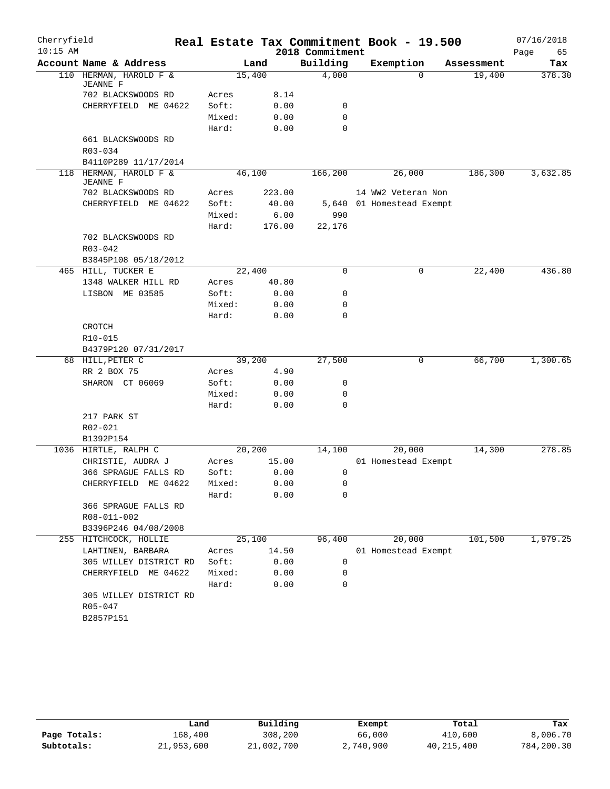| Cherryfield |                                           |        |         |                 | Real Estate Tax Commitment Book - 19.500 |            | 07/16/2018 |
|-------------|-------------------------------------------|--------|---------|-----------------|------------------------------------------|------------|------------|
| $10:15$ AM  |                                           |        |         | 2018 Commitment |                                          |            | Page<br>65 |
|             | Account Name & Address                    |        | Land    | Building        | Exemption                                | Assessment | Tax        |
|             | 110 HERMAN, HAROLD F &<br><b>JEANNE F</b> |        | 15,400  | 4,000           | $\Omega$                                 | 19,400     | 378.30     |
|             | 702 BLACKSWOODS RD                        | Acres  | 8.14    |                 |                                          |            |            |
|             | CHERRYFIELD ME 04622                      | Soft:  | 0.00    | 0               |                                          |            |            |
|             |                                           | Mixed: | 0.00    | 0               |                                          |            |            |
|             |                                           | Hard:  | 0.00    | 0               |                                          |            |            |
|             | 661 BLACKSWOODS RD                        |        |         |                 |                                          |            |            |
|             | R03-034                                   |        |         |                 |                                          |            |            |
|             | B4110P289 11/17/2014                      |        |         |                 |                                          |            |            |
|             | 118 HERMAN, HAROLD F &<br><b>JEANNE F</b> |        | 46,100  | 166,200         | 26,000                                   | 186,300    | 3,632.85   |
|             | 702 BLACKSWOODS RD                        | Acres  | 223.00  |                 | 14 WW2 Veteran Non                       |            |            |
|             | CHERRYFIELD ME 04622                      | Soft:  | 40.00   |                 | 5,640 01 Homestead Exempt                |            |            |
|             |                                           | Mixed: | 6.00    | 990             |                                          |            |            |
|             |                                           | Hard:  | 176.00  | 22,176          |                                          |            |            |
|             | 702 BLACKSWOODS RD                        |        |         |                 |                                          |            |            |
|             | $R03 - 042$                               |        |         |                 |                                          |            |            |
|             | B3845P108 05/18/2012                      |        |         |                 |                                          |            |            |
|             | 465 HILL, TUCKER E                        |        | 22,400  | $\Omega$        | 0                                        | 22,400     | 436.80     |
|             | 1348 WALKER HILL RD                       | Acres  | 40.80   |                 |                                          |            |            |
|             | LISBON ME 03585                           | Soft:  | 0.00    | 0               |                                          |            |            |
|             |                                           | Mixed: | 0.00    | 0               |                                          |            |            |
|             |                                           | Hard:  | 0.00    | $\Omega$        |                                          |            |            |
|             | CROTCH                                    |        |         |                 |                                          |            |            |
|             | R10-015                                   |        |         |                 |                                          |            |            |
|             | B4379P120 07/31/2017                      |        | 39,200  | 27,500          |                                          | 66,700     | 1,300.65   |
|             | 68 HILL, PETER C<br>RR 2 BOX 75           | Acres  | 4.90    |                 | 0                                        |            |            |
|             | SHARON CT 06069                           | Soft:  | 0.00    | 0               |                                          |            |            |
|             |                                           | Mixed: | 0.00    | 0               |                                          |            |            |
|             |                                           | Hard:  | 0.00    | 0               |                                          |            |            |
|             | 217 PARK ST                               |        |         |                 |                                          |            |            |
|             | R02-021                                   |        |         |                 |                                          |            |            |
|             | B1392P154                                 |        |         |                 |                                          |            |            |
|             | 1036 HIRTLE, RALPH C                      |        | 20, 200 | 14,100          | 20,000                                   | 14,300     | 278.85     |
|             | CHRISTIE, AUDRA J                         | Acres  | 15.00   |                 | 01 Homestead Exempt                      |            |            |
|             | 366 SPRAGUE FALLS RD                      | Soft:  | 0.00    | 0               |                                          |            |            |
|             | CHERRYFIELD ME 04622                      | Mixed: | 0.00    | $\mathsf 0$     |                                          |            |            |
|             |                                           | Hard:  | 0.00    | 0               |                                          |            |            |
|             | 366 SPRAGUE FALLS RD                      |        |         |                 |                                          |            |            |
|             | R08-011-002                               |        |         |                 |                                          |            |            |
|             | B3396P246 04/08/2008                      |        |         |                 |                                          |            |            |
|             | 255 HITCHCOCK, HOLLIE                     |        | 25,100  | 96,400          | 20,000                                   | 101,500    | 1,979.25   |
|             | LAHTINEN, BARBARA                         | Acres  | 14.50   |                 | 01 Homestead Exempt                      |            |            |
|             | 305 WILLEY DISTRICT RD                    | Soft:  | 0.00    | 0               |                                          |            |            |
|             | CHERRYFIELD ME 04622                      | Mixed: | 0.00    | 0               |                                          |            |            |
|             |                                           | Hard:  | 0.00    | $\mathbf 0$     |                                          |            |            |
|             | 305 WILLEY DISTRICT RD                    |        |         |                 |                                          |            |            |
|             | R05-047                                   |        |         |                 |                                          |            |            |
|             | B2857P151                                 |        |         |                 |                                          |            |            |
|             |                                           |        |         |                 |                                          |            |            |

|              | Land       | Building   | Exempt    | Total        | Tax        |
|--------------|------------|------------|-----------|--------------|------------|
| Page Totals: | 168,400    | 308,200    | 66,000    | 410,600      | 8,006.70   |
| Subtotals:   | 21,953,600 | 21,002,700 | 2,740,900 | 40, 215, 400 | 784,200.30 |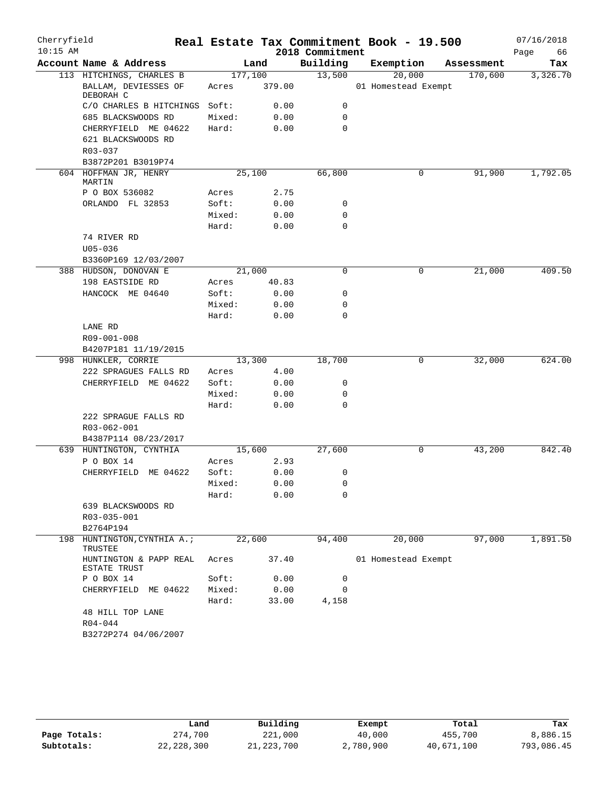| Cherryfield |                                        |         |        |                 | Real Estate Tax Commitment Book - 19.500 |            | 07/16/2018 |
|-------------|----------------------------------------|---------|--------|-----------------|------------------------------------------|------------|------------|
| $10:15$ AM  |                                        |         |        | 2018 Commitment |                                          |            | Page<br>66 |
|             | Account Name & Address                 |         | Land   | Building        | Exemption                                | Assessment | Tax        |
|             | 113 HITCHINGS, CHARLES B               | 177,100 |        | 13,500          | 20,000                                   | 170,600    | 3,326.70   |
|             | BALLAM, DEVIESSES OF<br>DEBORAH C      | Acres   | 379.00 |                 | 01 Homestead Exempt                      |            |            |
|             | C/O CHARLES B HITCHINGS                | Soft:   | 0.00   | 0               |                                          |            |            |
|             | 685 BLACKSWOODS RD                     | Mixed:  | 0.00   | $\mathbf 0$     |                                          |            |            |
|             | CHERRYFIELD ME 04622                   | Hard:   | 0.00   | $\mathbf 0$     |                                          |            |            |
|             | 621 BLACKSWOODS RD                     |         |        |                 |                                          |            |            |
|             | R03-037                                |         |        |                 |                                          |            |            |
|             | B3872P201 B3019P74                     |         |        |                 |                                          |            |            |
|             | 604 HOFFMAN JR, HENRY<br>MARTIN        | 25,100  |        | 66,800          | 0                                        | 91,900     | 1,792.05   |
|             | P O BOX 536082                         | Acres   | 2.75   |                 |                                          |            |            |
|             | ORLANDO FL 32853                       | Soft:   | 0.00   | 0               |                                          |            |            |
|             |                                        | Mixed:  | 0.00   | $\mathbf 0$     |                                          |            |            |
|             |                                        | Hard:   | 0.00   | $\mathbf 0$     |                                          |            |            |
|             | 74 RIVER RD<br>$U05 - 036$             |         |        |                 |                                          |            |            |
|             | B3360P169 12/03/2007                   |         |        |                 |                                          |            |            |
|             | 388 HUDSON, DONOVAN E                  | 21,000  |        | $\mathbf 0$     | 0                                        | 21,000     | 409.50     |
|             | 198 EASTSIDE RD                        | Acres   | 40.83  |                 |                                          |            |            |
|             | HANCOCK ME 04640                       | Soft:   | 0.00   | 0               |                                          |            |            |
|             |                                        | Mixed:  | 0.00   | 0               |                                          |            |            |
|             |                                        | Hard:   | 0.00   | $\Omega$        |                                          |            |            |
|             | LANE RD                                |         |        |                 |                                          |            |            |
|             | R09-001-008                            |         |        |                 |                                          |            |            |
|             | B4207P181 11/19/2015                   |         |        |                 |                                          |            |            |
|             | 998 HUNKLER, CORRIE                    | 13,300  |        | 18,700          | 0                                        | 32,000     | 624.00     |
|             | 222 SPRAGUES FALLS RD                  | Acres   | 4.00   |                 |                                          |            |            |
|             | CHERRYFIELD ME 04622                   | Soft:   | 0.00   | 0               |                                          |            |            |
|             |                                        | Mixed:  | 0.00   | 0               |                                          |            |            |
|             |                                        | Hard:   | 0.00   | $\mathbf 0$     |                                          |            |            |
|             | 222 SPRAGUE FALLS RD<br>R03-062-001    |         |        |                 |                                          |            |            |
|             | B4387P114 08/23/2017                   |         |        |                 |                                          |            |            |
|             | 639 HUNTINGTON, CYNTHIA                | 15,600  |        | 27,600          | 0                                        | 43,200     | 842.40     |
|             | P O BOX 14                             | Acres   | 2.93   |                 |                                          |            |            |
|             | CHERRYFIELD ME 04622                   | Soft:   | 0.00   | 0               |                                          |            |            |
|             |                                        | Mixed:  | 0.00   | $\mathsf 0$     |                                          |            |            |
|             |                                        | Hard:   | 0.00   | 0               |                                          |            |            |
|             | 639 BLACKSWOODS RD                     |         |        |                 |                                          |            |            |
|             | R03-035-001                            |         |        |                 |                                          |            |            |
|             | B2764P194                              |         |        |                 |                                          |            |            |
|             | 198 HUNTINGTON, CYNTHIA A.;<br>TRUSTEE | 22,600  |        | 94,400          | 20,000                                   | 97,000     | 1,891.50   |
|             | HUNTINGTON & PAPP REAL<br>ESTATE TRUST | Acres   | 37.40  |                 | 01 Homestead Exempt                      |            |            |
|             | P O BOX 14                             | Soft:   | 0.00   | 0               |                                          |            |            |
|             | CHERRYFIELD ME 04622                   | Mixed:  | 0.00   | $\mathbf 0$     |                                          |            |            |
|             |                                        | Hard:   | 33.00  | 4,158           |                                          |            |            |
|             | 48 HILL TOP LANE                       |         |        |                 |                                          |            |            |
|             | $R04 - 044$                            |         |        |                 |                                          |            |            |
|             | B3272P274 04/06/2007                   |         |        |                 |                                          |            |            |

|              | Land       | Building     | Exempt    | Total      | Tax        |
|--------------|------------|--------------|-----------|------------|------------|
| Page Totals: | 274,700    | 221,000      | 40,000    | 455,700    | 8,886.15   |
| Subtotals:   | 22,228,300 | 21, 223, 700 | 2,780,900 | 40,671,100 | 793,086.45 |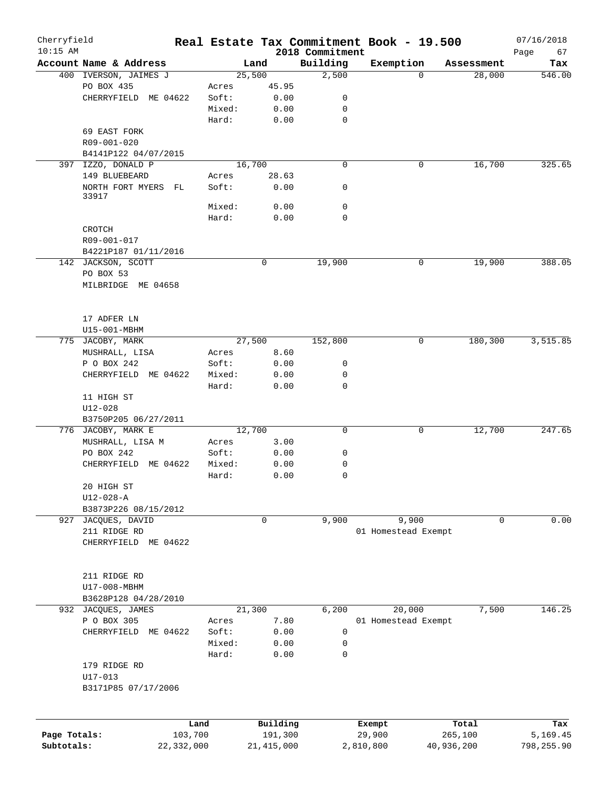| Cherryfield<br>$10:15$ AM |                        |            |        |        |              | 2018 Commitment | Real Estate Tax Commitment Book - 19.500 |             |            | 07/16/2018<br>Page<br>67 |
|---------------------------|------------------------|------------|--------|--------|--------------|-----------------|------------------------------------------|-------------|------------|--------------------------|
|                           | Account Name & Address |            |        | Land   |              | Building        | Exemption                                |             | Assessment | Tax                      |
|                           | 400 IVERSON, JAIMES J  |            |        | 25,500 |              | 2,500           |                                          | $\Omega$    | 28,000     | 546.00                   |
|                           | PO BOX 435             |            | Acres  |        | 45.95        |                 |                                          |             |            |                          |
|                           | CHERRYFIELD ME 04622   |            | Soft:  |        | 0.00         | 0               |                                          |             |            |                          |
|                           |                        |            | Mixed: |        | 0.00         | 0               |                                          |             |            |                          |
|                           |                        |            | Hard:  |        | 0.00         | 0               |                                          |             |            |                          |
|                           | 69 EAST FORK           |            |        |        |              |                 |                                          |             |            |                          |
|                           | R09-001-020            |            |        |        |              |                 |                                          |             |            |                          |
|                           | B4141P122 04/07/2015   |            |        |        |              |                 |                                          |             |            |                          |
|                           | 397 IZZO, DONALD P     |            |        | 16,700 |              | $\mathbf 0$     |                                          | 0           | 16,700     | 325.65                   |
|                           | 149 BLUEBEARD          |            | Acres  |        | 28.63        |                 |                                          |             |            |                          |
|                           | NORTH FORT MYERS FL    |            | Soft:  |        | 0.00         | 0               |                                          |             |            |                          |
|                           | 33917                  |            |        |        |              |                 |                                          |             |            |                          |
|                           |                        |            | Mixed: |        | 0.00         | 0               |                                          |             |            |                          |
|                           |                        |            | Hard:  |        | 0.00         | 0               |                                          |             |            |                          |
|                           | CROTCH                 |            |        |        |              |                 |                                          |             |            |                          |
|                           | R09-001-017            |            |        |        |              |                 |                                          |             |            |                          |
|                           | B4221P187 01/11/2016   |            |        |        |              |                 |                                          |             |            |                          |
|                           | 142 JACKSON, SCOTT     |            |        |        | 0            | 19,900          |                                          | 0           | 19,900     | 388.05                   |
|                           | PO BOX 53              |            |        |        |              |                 |                                          |             |            |                          |
|                           | MILBRIDGE ME 04658     |            |        |        |              |                 |                                          |             |            |                          |
|                           |                        |            |        |        |              |                 |                                          |             |            |                          |
|                           |                        |            |        |        |              |                 |                                          |             |            |                          |
|                           | 17 ADFER LN            |            |        |        |              |                 |                                          |             |            |                          |
|                           | U15-001-MBHM           |            |        |        |              |                 |                                          |             |            |                          |
|                           | 775 JACOBY, MARK       |            |        | 27,500 |              | 152,800         |                                          | $\mathbf 0$ | 180,300    | 3,515.85                 |
|                           |                        |            |        |        |              |                 |                                          |             |            |                          |
|                           | MUSHRALL, LISA         |            | Acres  |        | 8.60         |                 |                                          |             |            |                          |
|                           | P O BOX 242            |            | Soft:  |        | 0.00         | 0               |                                          |             |            |                          |
|                           | CHERRYFIELD            | ME 04622   | Mixed: |        | 0.00         | 0               |                                          |             |            |                          |
|                           |                        |            | Hard:  |        | 0.00         | $\mathbf 0$     |                                          |             |            |                          |
|                           | 11 HIGH ST             |            |        |        |              |                 |                                          |             |            |                          |
|                           | $U12 - 028$            |            |        |        |              |                 |                                          |             |            |                          |
|                           | B3750P205 06/27/2011   |            |        |        |              |                 |                                          |             |            |                          |
|                           | 776 JACOBY, MARK E     |            |        | 12,700 |              | 0               |                                          | 0           | 12,700     | 247.65                   |
|                           | MUSHRALL, LISA M       |            | Acres  |        | 3.00         |                 |                                          |             |            |                          |
|                           | PO BOX 242             |            | Soft:  |        | 0.00         | 0               |                                          |             |            |                          |
|                           | CHERRYFIELD ME 04622   |            | Mixed: |        | 0.00         | 0               |                                          |             |            |                          |
|                           |                        |            | Hard:  |        | 0.00         | 0               |                                          |             |            |                          |
|                           | 20 HIGH ST             |            |        |        |              |                 |                                          |             |            |                          |
|                           | $U12 - 028 - A$        |            |        |        |              |                 |                                          |             |            |                          |
|                           | B3873P226 08/15/2012   |            |        |        |              |                 |                                          |             |            |                          |
| 927                       | JACQUES, DAVID         |            |        |        | 0            | 9,900           | 9,900                                    |             | 0          | 0.00                     |
|                           | 211 RIDGE RD           |            |        |        |              |                 | 01 Homestead Exempt                      |             |            |                          |
|                           | CHERRYFIELD ME 04622   |            |        |        |              |                 |                                          |             |            |                          |
|                           |                        |            |        |        |              |                 |                                          |             |            |                          |
|                           |                        |            |        |        |              |                 |                                          |             |            |                          |
|                           | 211 RIDGE RD           |            |        |        |              |                 |                                          |             |            |                          |
|                           | U17-008-MBHM           |            |        |        |              |                 |                                          |             |            |                          |
|                           | B3628P128 04/28/2010   |            |        |        |              |                 |                                          |             |            |                          |
|                           | 932 JACQUES, JAMES     |            |        | 21,300 |              | 6,200           | 20,000                                   |             | 7,500      | 146.25                   |
|                           | P O BOX 305            |            | Acres  |        | 7.80         |                 | 01 Homestead Exempt                      |             |            |                          |
|                           | CHERRYFIELD            | ME 04622   | Soft:  |        | 0.00         | 0               |                                          |             |            |                          |
|                           |                        |            | Mixed: |        | 0.00         | 0               |                                          |             |            |                          |
|                           |                        |            | Hard:  |        | 0.00         | 0               |                                          |             |            |                          |
|                           | 179 RIDGE RD           |            |        |        |              |                 |                                          |             |            |                          |
|                           | U17-013                |            |        |        |              |                 |                                          |             |            |                          |
|                           | B3171P85 07/17/2006    |            |        |        |              |                 |                                          |             |            |                          |
|                           |                        |            |        |        |              |                 |                                          |             |            |                          |
|                           |                        |            |        |        |              |                 |                                          |             |            |                          |
|                           |                        | Land       |        |        | Building     |                 | Exempt                                   |             | Total      | Tax                      |
| Page Totals:              |                        | 103,700    |        |        | 191,300      |                 | 29,900                                   |             | 265,100    | 5,169.45                 |
| Subtotals:                |                        | 22,332,000 |        |        | 21, 415, 000 |                 | 2,810,800                                | 40,936,200  |            | 798,255.90               |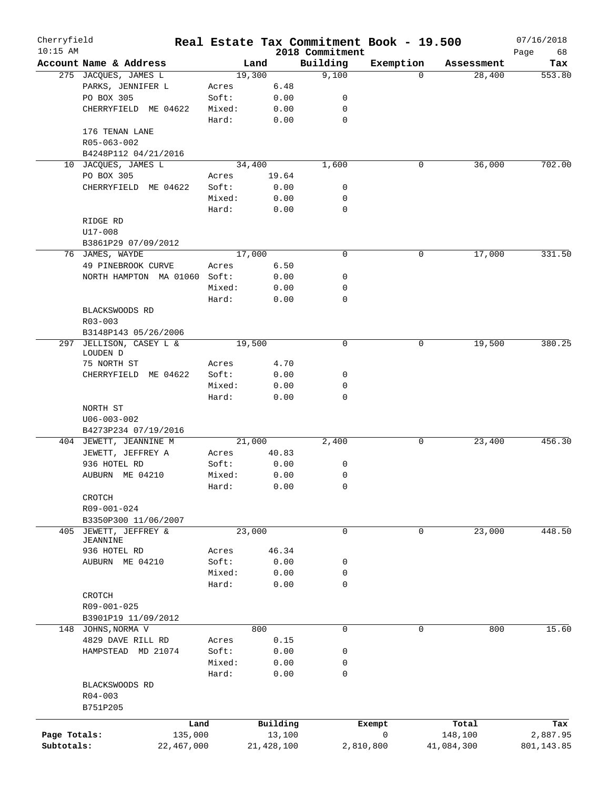| Cherryfield |                                 |        |              |                             | Real Estate Tax Commitment Book - 19.500 |            | 07/16/2018        |
|-------------|---------------------------------|--------|--------------|-----------------------------|------------------------------------------|------------|-------------------|
| $10:15$ AM  | Account Name & Address          |        | Land         | 2018 Commitment<br>Building | Exemption                                | Assessment | Page<br>68<br>Tax |
|             | 275 JACQUES, JAMES L            |        | 19,300       | 9,100                       | $\Omega$                                 | 28,400     | 553.80            |
|             | PARKS, JENNIFER L               | Acres  | 6.48         |                             |                                          |            |                   |
|             | PO BOX 305                      | Soft:  | 0.00         | 0                           |                                          |            |                   |
|             | CHERRYFIELD ME 04622            | Mixed: | 0.00         | 0                           |                                          |            |                   |
|             |                                 | Hard:  | 0.00         | 0                           |                                          |            |                   |
|             | 176 TENAN LANE                  |        |              |                             |                                          |            |                   |
|             | R05-063-002                     |        |              |                             |                                          |            |                   |
|             | B4248P112 04/21/2016            |        |              |                             |                                          |            |                   |
| 10          | JACQUES, JAMES L                |        | 34,400       | 1,600                       | 0                                        | 36,000     | 702.00            |
|             | PO BOX 305                      | Acres  | 19.64        |                             |                                          |            |                   |
|             | CHERRYFIELD ME 04622            | Soft:  | 0.00         | 0                           |                                          |            |                   |
|             |                                 | Mixed: | 0.00         | 0                           |                                          |            |                   |
|             |                                 | Hard:  | 0.00         | $\mathbf 0$                 |                                          |            |                   |
|             | RIDGE RD                        |        |              |                             |                                          |            |                   |
|             |                                 |        |              |                             |                                          |            |                   |
|             | U17-008                         |        |              |                             |                                          |            |                   |
|             | B3861P29 07/09/2012             |        |              |                             |                                          |            |                   |
|             | 76 JAMES, WAYDE                 |        | 17,000       | 0                           | 0                                        | 17,000     | 331.50            |
|             | 49 PINEBROOK CURVE              | Acres  | 6.50         |                             |                                          |            |                   |
|             | NORTH HAMPTON MA 01060          | Soft:  | 0.00         | 0                           |                                          |            |                   |
|             |                                 | Mixed: | 0.00         | 0                           |                                          |            |                   |
|             |                                 | Hard:  | 0.00         | 0                           |                                          |            |                   |
|             | BLACKSWOODS RD                  |        |              |                             |                                          |            |                   |
|             | $R03 - 003$                     |        |              |                             |                                          |            |                   |
|             | B3148P143 05/26/2006            |        |              |                             |                                          |            |                   |
| 297         | JELLISON, CASEY L &             |        | 19,500       | 0                           | 0                                        | 19,500     | 380.25            |
|             | LOUDEN D                        |        |              |                             |                                          |            |                   |
|             | 75 NORTH ST                     | Acres  | 4.70         |                             |                                          |            |                   |
|             | ME 04622<br>CHERRYFIELD         | Soft:  | 0.00         | 0                           |                                          |            |                   |
|             |                                 | Mixed: | 0.00         | 0                           |                                          |            |                   |
|             |                                 | Hard:  | 0.00         | 0                           |                                          |            |                   |
|             | NORTH ST                        |        |              |                             |                                          |            |                   |
|             | $U06 - 003 - 002$               |        |              |                             |                                          |            |                   |
|             | B4273P234 07/19/2016            |        |              |                             |                                          |            |                   |
|             | 404 JEWETT, JEANNINE M          |        | 21,000       | 2,400                       | 0                                        | 23,400     | 456.30            |
|             | JEWETT, JEFFREY A               | Acres  | 40.83        |                             |                                          |            |                   |
|             | 936 HOTEL RD                    | Soft:  | 0.00         | 0                           |                                          |            |                   |
|             | AUBURN ME 04210                 | Mixed: | 0.00         | 0                           |                                          |            |                   |
|             |                                 | Hard:  | 0.00         | 0                           |                                          |            |                   |
|             | CROTCH                          |        |              |                             |                                          |            |                   |
|             | R09-001-024                     |        |              |                             |                                          |            |                   |
|             | B3350P300 11/06/2007            |        |              |                             |                                          |            |                   |
| 405         | JEWETT, JEFFREY &               |        | 23,000       | $\mathbf 0$                 | $\mathbf 0$                              | 23,000     | 448.50            |
|             | JEANNINE                        |        |              |                             |                                          |            |                   |
|             | 936 HOTEL RD                    | Acres  | 46.34        |                             |                                          |            |                   |
|             | AUBURN ME 04210                 | Soft:  | 0.00         | 0                           |                                          |            |                   |
|             |                                 | Mixed: | 0.00         | 0                           |                                          |            |                   |
|             |                                 | Hard:  | 0.00         | $\mathbf 0$                 |                                          |            |                   |
|             | CROTCH                          |        |              |                             |                                          |            |                   |
|             | R09-001-025                     |        |              |                             |                                          |            |                   |
|             | B3901P19 11/09/2012             |        |              |                             |                                          |            |                   |
|             | 148 JOHNS, NORMA V              |        | 800          | $\mathbf 0$                 | 0                                        | 800        | 15.60             |
|             | 4829 DAVE RILL RD               | Acres  | 0.15         |                             |                                          |            |                   |
|             | HAMPSTEAD MD 21074              | Soft:  | 0.00         | 0                           |                                          |            |                   |
|             |                                 | Mixed: | 0.00         | 0                           |                                          |            |                   |
|             |                                 | Hard:  | 0.00         | 0                           |                                          |            |                   |
|             | BLACKSWOODS RD                  |        |              |                             |                                          |            |                   |
|             | $R04 - 003$                     |        |              |                             |                                          |            |                   |
|             | B751P205                        |        |              |                             |                                          |            |                   |
|             |                                 |        | Building     |                             |                                          | Total      |                   |
|             | Land<br>Page Totals:<br>135,000 |        | 13,100       |                             | Exempt<br>0                              | 148,100    | Tax<br>2,887.95   |
|             | 22,467,000                      |        | 21, 428, 100 |                             | 2,810,800                                | 41,084,300 | 801,143.85        |
| Subtotals:  |                                 |        |              |                             |                                          |            |                   |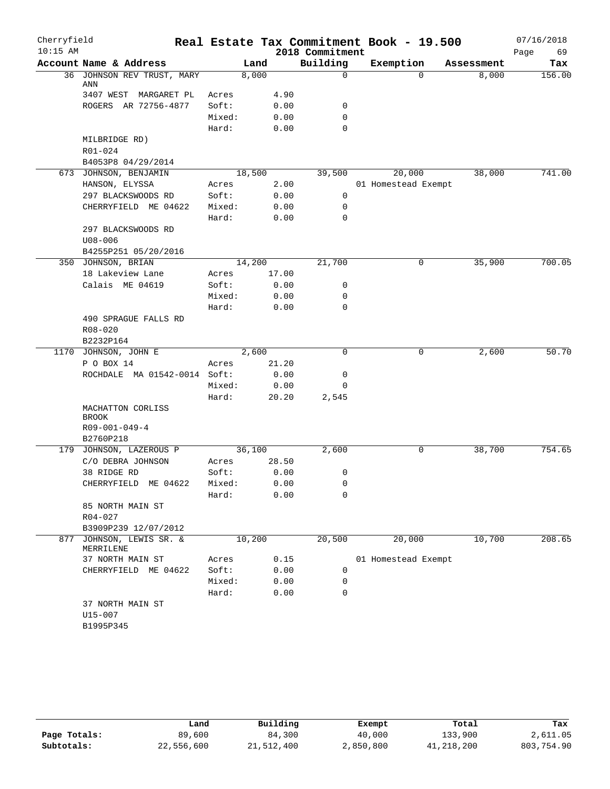| Cherryfield |                                   |        |        |                 | Real Estate Tax Commitment Book - 19.500 |            | 07/16/2018 |
|-------------|-----------------------------------|--------|--------|-----------------|------------------------------------------|------------|------------|
| $10:15$ AM  |                                   |        |        | 2018 Commitment |                                          |            | 69<br>Page |
|             | Account Name & Address            |        | Land   | Building        | Exemption                                | Assessment | Tax        |
|             | 36 JOHNSON REV TRUST, MARY<br>ANN |        | 8,000  | $\mathbf 0$     | $\Omega$                                 | 8,000      | 156.00     |
|             | 3407 WEST MARGARET PL             | Acres  | 4.90   |                 |                                          |            |            |
|             | ROGERS AR 72756-4877              | Soft:  | 0.00   | 0               |                                          |            |            |
|             |                                   | Mixed: | 0.00   | 0               |                                          |            |            |
|             |                                   | Hard:  | 0.00   | 0               |                                          |            |            |
|             | MILBRIDGE RD)                     |        |        |                 |                                          |            |            |
|             | R01-024                           |        |        |                 |                                          |            |            |
|             | B4053P8 04/29/2014                |        |        |                 |                                          |            |            |
|             | 673 JOHNSON, BENJAMIN             |        | 18,500 | 39,500          | 20,000                                   | 38,000     | 741.00     |
|             | HANSON, ELYSSA                    | Acres  | 2.00   |                 | 01 Homestead Exempt                      |            |            |
|             | 297 BLACKSWOODS RD                | Soft:  | 0.00   | 0               |                                          |            |            |
|             | CHERRYFIELD ME 04622              | Mixed: | 0.00   | $\mathbf 0$     |                                          |            |            |
|             |                                   | Hard:  | 0.00   | $\mathbf 0$     |                                          |            |            |
|             | 297 BLACKSWOODS RD                |        |        |                 |                                          |            |            |
|             | $U08 - 006$                       |        |        |                 |                                          |            |            |
|             | B4255P251 05/20/2016              |        |        |                 |                                          |            |            |
|             | 350 JOHNSON, BRIAN                |        | 14,200 | 21,700          | 0                                        | 35,900     | 700.05     |
|             | 18 Lakeview Lane                  | Acres  | 17.00  |                 |                                          |            |            |
|             | Calais ME 04619                   | Soft:  | 0.00   | 0               |                                          |            |            |
|             |                                   | Mixed: | 0.00   | 0               |                                          |            |            |
|             |                                   | Hard:  | 0.00   | 0               |                                          |            |            |
|             | 490 SPRAGUE FALLS RD              |        |        |                 |                                          |            |            |
|             | $R08 - 020$                       |        |        |                 |                                          |            |            |
|             | B2232P164                         |        |        |                 |                                          |            |            |
|             | 1170 JOHNSON, JOHN E              | 2,600  |        | $\Omega$        | 0                                        | 2,600      | 50.70      |
|             | P O BOX 14                        | Acres  | 21.20  |                 |                                          |            |            |
|             | ROCHDALE MA 01542-0014 Soft:      |        | 0.00   | 0               |                                          |            |            |
|             |                                   | Mixed: | 0.00   | 0               |                                          |            |            |
|             |                                   | Hard:  | 20.20  | 2,545           |                                          |            |            |
|             | MACHATTON CORLISS                 |        |        |                 |                                          |            |            |
|             | BROOK                             |        |        |                 |                                          |            |            |
|             | $R09 - 001 - 049 - 4$             |        |        |                 |                                          |            |            |
|             | B2760P218                         |        |        |                 |                                          |            |            |
|             | 179 JOHNSON, LAZEROUS P           | 36,100 |        | 2,600           | 0                                        | 38,700     | 754.65     |
|             | C/O DEBRA JOHNSON                 | Acres  | 28.50  |                 |                                          |            |            |
|             | 38 RIDGE RD                       | Soft:  | 0.00   | 0               |                                          |            |            |
|             | CHERRYFIELD ME 04622              | Mixed: | 0.00   | 0               |                                          |            |            |
|             |                                   | Hard:  | 0.00   | 0               |                                          |            |            |
|             | 85 NORTH MAIN ST                  |        |        |                 |                                          |            |            |
|             | $R04 - 027$                       |        |        |                 |                                          |            |            |
|             | B3909P239 12/07/2012              |        |        |                 |                                          |            |            |
| 877         | JOHNSON, LEWIS SR. &<br>MERRILENE | 10,200 |        | 20,500          | 20,000                                   | 10,700     | 208.65     |
|             | 37 NORTH MAIN ST                  | Acres  | 0.15   |                 | 01 Homestead Exempt                      |            |            |
|             | CHERRYFIELD ME 04622              | Soft:  | 0.00   | 0               |                                          |            |            |
|             |                                   | Mixed: | 0.00   | 0               |                                          |            |            |
|             |                                   | Hard:  | 0.00   | 0               |                                          |            |            |
|             | 37 NORTH MAIN ST                  |        |        |                 |                                          |            |            |
|             | U15-007                           |        |        |                 |                                          |            |            |
|             | B1995P345                         |        |        |                 |                                          |            |            |
|             |                                   |        |        |                 |                                          |            |            |

|              | Land       | Building   | Exempt    | Total      | Tax        |
|--------------|------------|------------|-----------|------------|------------|
| Page Totals: | 89,600     | 84,300     | 40,000    | 133,900    | 2,611.05   |
| Subtotals:   | 22,556,600 | 21,512,400 | 2,850,800 | 41,218,200 | 803,754.90 |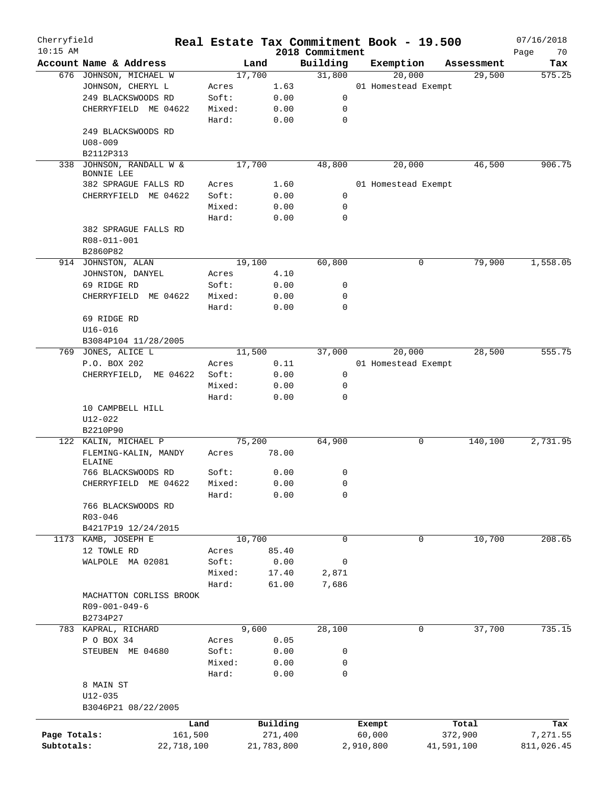| Cherryfield<br>$10:15$ AM |                                       |        |            | 2018 Commitment | Real Estate Tax Commitment Book - 19.500 |            | 07/16/2018<br>Page<br>70 |
|---------------------------|---------------------------------------|--------|------------|-----------------|------------------------------------------|------------|--------------------------|
|                           | Account Name & Address                | Land   |            | Building        | Exemption                                | Assessment | Tax                      |
|                           | 676 JOHNSON, MICHAEL W                | 17,700 |            | 31,800          | 20,000                                   | 29,500     | 575.25                   |
|                           | JOHNSON, CHERYL L                     | Acres  | 1.63       |                 | 01 Homestead Exempt                      |            |                          |
|                           | 249 BLACKSWOODS RD                    | Soft:  | 0.00       | 0               |                                          |            |                          |
|                           | CHERRYFIELD ME 04622                  | Mixed: | 0.00       | 0               |                                          |            |                          |
|                           |                                       | Hard:  | 0.00       | $\mathbf 0$     |                                          |            |                          |
|                           | 249 BLACKSWOODS RD                    |        |            |                 |                                          |            |                          |
|                           | $U08 - 009$                           |        |            |                 |                                          |            |                          |
|                           | B2112P313                             |        |            |                 |                                          |            |                          |
|                           | 338 JOHNSON, RANDALL W &              | 17,700 |            | 48,800          | 20,000                                   | 46,500     | 906.75                   |
|                           | BONNIE LEE                            |        |            |                 |                                          |            |                          |
|                           | 382 SPRAGUE FALLS RD                  | Acres  | 1.60       |                 | 01 Homestead Exempt                      |            |                          |
|                           | ME 04622<br>CHERRYFIELD               | Soft:  | 0.00       | 0               |                                          |            |                          |
|                           |                                       | Mixed: | 0.00       | 0               |                                          |            |                          |
|                           |                                       | Hard:  | 0.00       | $\mathbf 0$     |                                          |            |                          |
|                           | 382 SPRAGUE FALLS RD                  |        |            |                 |                                          |            |                          |
|                           | R08-011-001                           |        |            |                 |                                          |            |                          |
|                           | B2860P82                              |        |            |                 |                                          |            |                          |
|                           | 914 JOHNSTON, ALAN                    | 19,100 |            | 60,800          | 0                                        | 79,900     | 1,558.05                 |
|                           | JOHNSTON, DANYEL                      | Acres  | 4.10       |                 |                                          |            |                          |
|                           | 69 RIDGE RD                           | Soft:  | 0.00       | 0               |                                          |            |                          |
|                           | CHERRYFIELD<br>ME 04622               | Mixed: | 0.00       | 0               |                                          |            |                          |
|                           |                                       | Hard:  |            | $\mathbf 0$     |                                          |            |                          |
|                           |                                       |        | 0.00       |                 |                                          |            |                          |
|                           | 69 RIDGE RD                           |        |            |                 |                                          |            |                          |
|                           | $U16 - 016$                           |        |            |                 |                                          |            |                          |
|                           | B3084P104 11/28/2005                  |        |            |                 |                                          |            |                          |
|                           | 769 JONES, ALICE L                    | 11,500 |            | 37,000          | 20,000                                   | 28,500     | 555.75                   |
|                           | P.O. BOX 202                          | Acres  | 0.11       |                 | 01 Homestead Exempt                      |            |                          |
|                           | CHERRYFIELD, ME 04622                 | Soft:  | 0.00       | 0               |                                          |            |                          |
|                           |                                       | Mixed: | 0.00       | 0               |                                          |            |                          |
|                           |                                       | Hard:  | 0.00       | 0               |                                          |            |                          |
|                           | 10 CAMPBELL HILL                      |        |            |                 |                                          |            |                          |
|                           | U12-022                               |        |            |                 |                                          |            |                          |
|                           | B2210P90                              |        |            |                 |                                          |            |                          |
|                           | 122 KALIN, MICHAEL P                  | 75,200 |            | 64,900          | 0                                        | 140,100    | 2,731.95                 |
|                           | FLEMING-KALIN, MANDY<br><b>ELAINE</b> | Acres  | 78.00      |                 |                                          |            |                          |
|                           | 766 BLACKSWOODS RD                    | Soft:  | 0.00       | 0               |                                          |            |                          |
|                           | CHERRYFIELD ME 04622                  | Mixed: | 0.00       | $\mathbf 0$     |                                          |            |                          |
|                           |                                       |        |            | 0               |                                          |            |                          |
|                           |                                       | Hard:  | 0.00       |                 |                                          |            |                          |
|                           | 766 BLACKSWOODS RD                    |        |            |                 |                                          |            |                          |
|                           | R03-046                               |        |            |                 |                                          |            |                          |
|                           | B4217P19 12/24/2015                   |        |            |                 |                                          |            |                          |
|                           | 1173 KAMB, JOSEPH E                   | 10,700 |            | $\mathbf 0$     | 0                                        | 10,700     | 208.65                   |
|                           | 12 TOWLE RD                           | Acres  | 85.40      |                 |                                          |            |                          |
|                           | WALPOLE MA 02081                      | Soft:  | 0.00       | $\mathbf 0$     |                                          |            |                          |
|                           |                                       | Mixed: | 17.40      | 2,871           |                                          |            |                          |
|                           |                                       | Hard:  | 61.00      | 7,686           |                                          |            |                          |
|                           | MACHATTON CORLISS BROOK               |        |            |                 |                                          |            |                          |
|                           | R09-001-049-6                         |        |            |                 |                                          |            |                          |
|                           | B2734P27                              |        |            |                 |                                          |            |                          |
|                           | 783 KAPRAL, RICHARD                   | 9,600  |            | 28,100          | 0                                        | 37,700     | 735.15                   |
|                           | P O BOX 34                            | Acres  | 0.05       |                 |                                          |            |                          |
|                           | STEUBEN ME 04680                      | Soft:  | 0.00       | 0               |                                          |            |                          |
|                           |                                       | Mixed: | 0.00       | 0               |                                          |            |                          |
|                           |                                       | Hard:  | 0.00       | 0               |                                          |            |                          |
|                           | 8 MAIN ST                             |        |            |                 |                                          |            |                          |
|                           | $U12 - 035$                           |        |            |                 |                                          |            |                          |
|                           | B3046P21 08/22/2005                   |        |            |                 |                                          |            |                          |
|                           | Land                                  |        | Building   |                 | Exempt                                   | Total      | Tax                      |
| Page Totals:              | 161,500                               |        | 271,400    |                 | 60,000                                   | 372,900    | 7,271.55                 |
| Subtotals:                | 22,718,100                            |        | 21,783,800 |                 | 2,910,800                                | 41,591,100 | 811,026.45               |
|                           |                                       |        |            |                 |                                          |            |                          |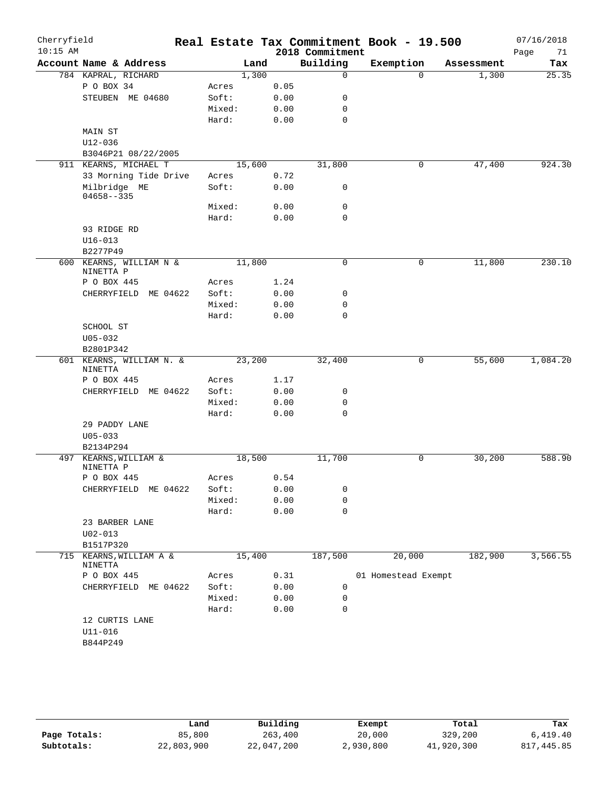| Cherryfield |                                       |                |              |                 | Real Estate Tax Commitment Book - 19.500 |            | 07/16/2018 |
|-------------|---------------------------------------|----------------|--------------|-----------------|------------------------------------------|------------|------------|
| $10:15$ AM  |                                       |                |              | 2018 Commitment |                                          |            | 71<br>Page |
|             | Account Name & Address                |                | Land         | Building        | Exemption                                | Assessment | Tax        |
|             | 784 KAPRAL, RICHARD                   |                | 1,300        | $\mathbf 0$     | $\Omega$                                 | 1,300      | 25.35      |
|             | P O BOX 34<br>STEUBEN ME 04680        | Acres<br>Soft: | 0.05<br>0.00 | 0               |                                          |            |            |
|             |                                       | Mixed:         | 0.00         | 0               |                                          |            |            |
|             |                                       | Hard:          | 0.00         | $\mathbf 0$     |                                          |            |            |
|             | MAIN ST                               |                |              |                 |                                          |            |            |
|             | U12-036                               |                |              |                 |                                          |            |            |
|             | B3046P21 08/22/2005                   |                |              |                 |                                          |            |            |
|             | 911 KEARNS, MICHAEL T                 | 15,600         |              | 31,800          | 0                                        | 47,400     | 924.30     |
|             | 33 Morning Tide Drive                 | Acres          | 0.72         |                 |                                          |            |            |
|             | Milbridge ME<br>$04658 - -335$        | Soft:          | 0.00         | $\mathbf 0$     |                                          |            |            |
|             |                                       | Mixed:         | 0.00         | $\mathbf 0$     |                                          |            |            |
|             |                                       | Hard:          | 0.00         | $\mathbf 0$     |                                          |            |            |
|             | 93 RIDGE RD                           |                |              |                 |                                          |            |            |
|             | $U16 - 013$                           |                |              |                 |                                          |            |            |
|             | B2277P49                              |                |              |                 |                                          |            |            |
|             | 600 KEARNS, WILLIAM N &<br>NINETTA P  | 11,800         |              | 0               | 0                                        | 11,800     | 230.10     |
|             | P O BOX 445                           | Acres          | 1.24         |                 |                                          |            |            |
|             | CHERRYFIELD<br>ME 04622               | Soft:          | 0.00         | 0               |                                          |            |            |
|             |                                       | Mixed:         | 0.00         | 0               |                                          |            |            |
|             |                                       | Hard:          | 0.00         | $\mathbf 0$     |                                          |            |            |
|             | SCHOOL ST                             |                |              |                 |                                          |            |            |
|             | $U05 - 032$                           |                |              |                 |                                          |            |            |
|             | B2801P342<br>601 KEARNS, WILLIAM N. & | 23,200         |              | 32,400          | 0                                        | 55,600     | 1,084.20   |
|             | NINETTA                               |                |              |                 |                                          |            |            |
|             | P O BOX 445                           | Acres          | 1.17         |                 |                                          |            |            |
|             | CHERRYFIELD<br>ME 04622               | Soft:          | 0.00         | 0               |                                          |            |            |
|             |                                       | Mixed:         | 0.00         | 0               |                                          |            |            |
|             |                                       | Hard:          | 0.00         | 0               |                                          |            |            |
|             | 29 PADDY LANE                         |                |              |                 |                                          |            |            |
|             | $U05 - 033$                           |                |              |                 |                                          |            |            |
|             | B2134P294                             |                |              |                 |                                          |            |            |
| 497         | KEARNS, WILLIAM &<br>NINETTA P        | 18,500         |              | 11,700          | 0                                        | 30,200     | 588.90     |
|             | P O BOX 445                           | Acres          | 0.54         |                 |                                          |            |            |
|             | CHERRYFIELD ME 04622                  | Soft:          | 0.00         | 0               |                                          |            |            |
|             |                                       | Mixed:         | 0.00         | 0               |                                          |            |            |
|             |                                       | Hard:          | 0.00         | $\mathbf 0$     |                                          |            |            |
|             | 23 BARBER LANE                        |                |              |                 |                                          |            |            |
|             | $U02 - 013$                           |                |              |                 |                                          |            |            |
|             | B1517P320                             |                |              |                 |                                          |            |            |
|             | 715 KEARNS, WILLIAM A &<br>NINETTA    | 15,400         |              | 187,500         | 20,000                                   | 182,900    | 3,566.55   |
|             | P O BOX 445                           | Acres          | 0.31         |                 | 01 Homestead Exempt                      |            |            |
|             | CHERRYFIELD ME 04622                  | Soft:          | 0.00         | 0               |                                          |            |            |
|             |                                       | Mixed:         | 0.00         | 0               |                                          |            |            |
|             |                                       | Hard:          | 0.00         | $\mathbf 0$     |                                          |            |            |
|             | 12 CURTIS LANE                        |                |              |                 |                                          |            |            |
|             | $U11 - 016$                           |                |              |                 |                                          |            |            |
|             | B844P249                              |                |              |                 |                                          |            |            |

|              | Land       | Building   | Exempt    | Total      | Tax        |
|--------------|------------|------------|-----------|------------|------------|
| Page Totals: | 85,800     | 263,400    | 20,000    | 329,200    | 6.419.40   |
| Subtotals:   | 22,803,900 | 22,047,200 | 2,930,800 | 41,920,300 | 817,445.85 |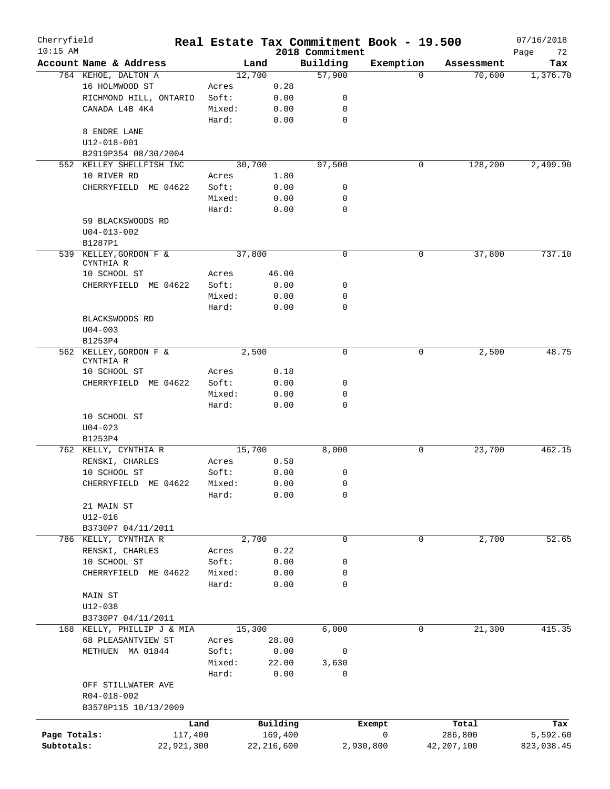| Cherryfield<br>$10:15$ AM |                            |        |            | 2018 Commitment | Real Estate Tax Commitment Book - 19.500 |            | 07/16/2018<br>Page<br>72 |
|---------------------------|----------------------------|--------|------------|-----------------|------------------------------------------|------------|--------------------------|
|                           | Account Name & Address     | Land   |            | Building        | Exemption                                | Assessment | Tax                      |
|                           | 764 KEHOE, DALTON A        | 12,700 |            | 57,900          | $\Omega$                                 | 70,600     | 1,376.70                 |
|                           | 16 HOLMWOOD ST             | Acres  | 0.28       |                 |                                          |            |                          |
|                           | RICHMOND HILL, ONTARIO     | Soft:  | 0.00       | 0               |                                          |            |                          |
|                           | CANADA L4B 4K4             | Mixed: | 0.00       | 0               |                                          |            |                          |
|                           |                            | Hard:  | 0.00       | 0               |                                          |            |                          |
|                           | 8 ENDRE LANE               |        |            |                 |                                          |            |                          |
|                           | $U12 - 018 - 001$          |        |            |                 |                                          |            |                          |
|                           | B2919P354 08/30/2004       |        |            |                 |                                          |            |                          |
|                           | 552 KELLEY SHELLFISH INC   | 30,700 |            | 97,500          | 0                                        | 128,200    | 2,499.90                 |
|                           | 10 RIVER RD                |        | 1.80       |                 |                                          |            |                          |
|                           |                            | Acres  |            |                 |                                          |            |                          |
|                           | CHERRYFIELD ME 04622       | Soft:  | 0.00       | 0               |                                          |            |                          |
|                           |                            | Mixed: | 0.00       | 0               |                                          |            |                          |
|                           |                            | Hard:  | 0.00       | 0               |                                          |            |                          |
|                           | 59 BLACKSWOODS RD          |        |            |                 |                                          |            |                          |
|                           | $U04 - 013 - 002$          |        |            |                 |                                          |            |                          |
|                           | B1287P1                    |        |            |                 |                                          |            |                          |
|                           | 539 KELLEY, GORDON F &     | 37,800 |            | 0               | 0                                        | 37,800     | 737.10                   |
|                           | CYNTHIA R                  |        |            |                 |                                          |            |                          |
|                           | 10 SCHOOL ST               | Acres  | 46.00      |                 |                                          |            |                          |
|                           | CHERRYFIELD ME 04622       | Soft:  | 0.00       | 0               |                                          |            |                          |
|                           |                            | Mixed: | 0.00       | 0               |                                          |            |                          |
|                           |                            | Hard:  | 0.00       | 0               |                                          |            |                          |
|                           | BLACKSWOODS RD             |        |            |                 |                                          |            |                          |
|                           | $U04 - 003$                |        |            |                 |                                          |            |                          |
|                           | B1253P4                    |        |            |                 |                                          |            |                          |
|                           | 562 KELLEY, GORDON F &     | 2,500  |            | 0               | 0                                        | 2,500      | 48.75                    |
|                           | CYNTHIA R<br>10 SCHOOL ST  | Acres  | 0.18       |                 |                                          |            |                          |
|                           | CHERRYFIELD ME 04622       | Soft:  | 0.00       | 0               |                                          |            |                          |
|                           |                            | Mixed: |            | 0               |                                          |            |                          |
|                           |                            |        | 0.00       | 0               |                                          |            |                          |
|                           |                            | Hard:  | 0.00       |                 |                                          |            |                          |
|                           | 10 SCHOOL ST               |        |            |                 |                                          |            |                          |
|                           | $U04 - 023$                |        |            |                 |                                          |            |                          |
|                           | B1253P4                    |        |            |                 |                                          |            |                          |
|                           | 762 KELLY, CYNTHIA R       | 15,700 |            | 8,000           | 0                                        | 23,700     | 462.15                   |
|                           | RENSKI, CHARLES            | Acres  | 0.58       |                 |                                          |            |                          |
|                           | 10 SCHOOL ST               | Soft:  | 0.00       | 0               |                                          |            |                          |
|                           | CHERRYFIELD ME 04622       | Mixed: | 0.00       | 0               |                                          |            |                          |
|                           |                            | Hard:  | 0.00       | 0               |                                          |            |                          |
|                           | 21 MAIN ST                 |        |            |                 |                                          |            |                          |
|                           | $U12 - 016$                |        |            |                 |                                          |            |                          |
|                           | B3730P7 04/11/2011         |        |            |                 |                                          |            |                          |
|                           | 786 KELLY, CYNTHIA R       | 2,700  |            | 0               | 0                                        | 2,700      | 52.65                    |
|                           | RENSKI, CHARLES            | Acres  | 0.22       |                 |                                          |            |                          |
|                           | 10 SCHOOL ST               | Soft:  | 0.00       | 0               |                                          |            |                          |
|                           | CHERRYFIELD ME 04622       | Mixed: | 0.00       | 0               |                                          |            |                          |
|                           |                            | Hard:  | 0.00       | 0               |                                          |            |                          |
|                           | <b>MAIN ST</b>             |        |            |                 |                                          |            |                          |
|                           | $U12 - 038$                |        |            |                 |                                          |            |                          |
|                           | B3730P7 04/11/2011         |        |            |                 |                                          |            |                          |
|                           | 168 KELLY, PHILLIP J & MIA | 15,300 |            | 6,000           | 0                                        | 21,300     | 415.35                   |
|                           | 68 PLEASANTVIEW ST         | Acres  | 28.00      |                 |                                          |            |                          |
|                           | METHUEN MA 01844           | Soft:  | 0.00       | 0               |                                          |            |                          |
|                           |                            | Mixed: | 22.00      | 3,630           |                                          |            |                          |
|                           |                            | Hard:  | 0.00       | 0               |                                          |            |                          |
|                           | OFF STILLWATER AVE         |        |            |                 |                                          |            |                          |
|                           | R04-018-002                |        |            |                 |                                          |            |                          |
|                           | B3578P115 10/13/2009       |        |            |                 |                                          |            |                          |
|                           |                            |        |            |                 |                                          |            |                          |
|                           | Land                       |        | Building   |                 | Exempt                                   | Total      | Tax                      |
| Page Totals:              | 117,400                    |        | 169,400    |                 | 0                                        | 286,800    | 5,592.60                 |
| Subtotals:                | 22,921,300                 |        | 22,216,600 |                 | 2,930,800                                | 42,207,100 | 823,038.45               |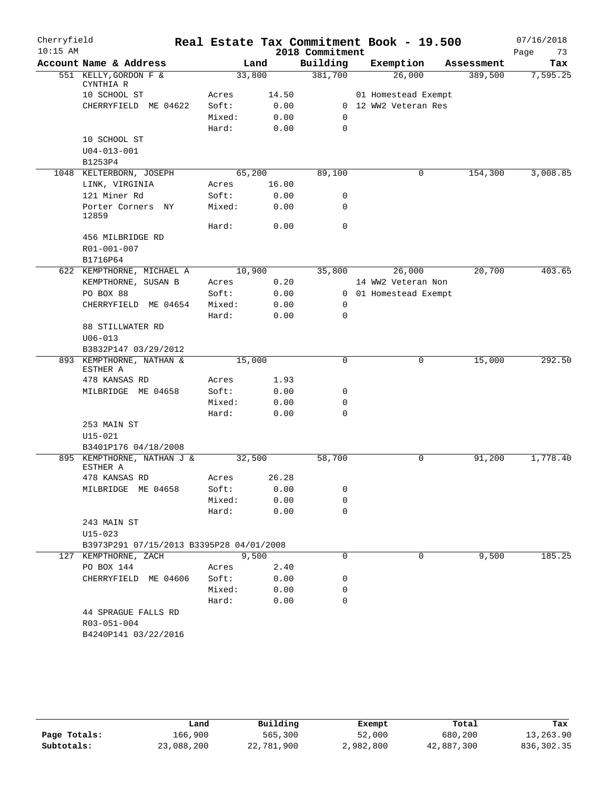| Cherryfield |                                          |        |       |                 | Real Estate Tax Commitment Book - 19.500 |            | 07/16/2018 |
|-------------|------------------------------------------|--------|-------|-----------------|------------------------------------------|------------|------------|
| $10:15$ AM  |                                          |        |       | 2018 Commitment |                                          |            | Page<br>73 |
|             | Account Name & Address                   | Land   |       | Building        | Exemption                                | Assessment | Tax        |
|             | 551 KELLY, GORDON F &                    | 33,800 |       | 381,700         | 26,000                                   | 389,500    | 7,595.25   |
|             | CYNTHIA R<br>10 SCHOOL ST                | Acres  | 14.50 |                 | 01 Homestead Exempt                      |            |            |
|             | CHERRYFIELD ME 04622                     | Soft:  | 0.00  |                 | 0 12 WW2 Veteran Res                     |            |            |
|             |                                          | Mixed: | 0.00  | $\mathbf 0$     |                                          |            |            |
|             |                                          | Hard:  | 0.00  | $\mathbf 0$     |                                          |            |            |
|             | 10 SCHOOL ST                             |        |       |                 |                                          |            |            |
|             | $U04 - 013 - 001$                        |        |       |                 |                                          |            |            |
|             | B1253P4                                  |        |       |                 |                                          |            |            |
|             | 1048 KELTERBORN, JOSEPH                  | 65,200 |       | 89,100          | 0                                        | 154,300    | 3,008.85   |
|             | LINK, VIRGINIA                           | Acres  | 16.00 |                 |                                          |            |            |
|             | 121 Miner Rd                             | Soft:  | 0.00  | 0               |                                          |            |            |
|             | Porter Corners NY                        | Mixed: | 0.00  | $\mathbf 0$     |                                          |            |            |
|             | 12859                                    |        |       |                 |                                          |            |            |
|             |                                          | Hard:  | 0.00  | $\mathbf 0$     |                                          |            |            |
|             | 456 MILBRIDGE RD                         |        |       |                 |                                          |            |            |
|             | R01-001-007                              |        |       |                 |                                          |            |            |
|             | B1716P64                                 |        |       |                 |                                          |            |            |
|             | 622 KEMPTHORNE, MICHAEL A                | 10,900 |       | 35,800          | 26,000                                   | 20,700     | 403.65     |
|             | KEMPTHORNE, SUSAN B                      | Acres  | 0.20  |                 | 14 WW2 Veteran Non                       |            |            |
|             | PO BOX 88                                | Soft:  | 0.00  |                 | 0 01 Homestead Exempt                    |            |            |
|             | CHERRYFIELD ME 04654                     | Mixed: | 0.00  | 0               |                                          |            |            |
|             |                                          | Hard:  | 0.00  | $\mathbf 0$     |                                          |            |            |
|             | 88 STILLWATER RD                         |        |       |                 |                                          |            |            |
|             | $U06 - 013$                              |        |       |                 |                                          |            |            |
|             | B3832P147 03/29/2012                     |        |       |                 |                                          |            |            |
|             | 893 KEMPTHORNE, NATHAN &                 | 15,000 |       | $\mathbf 0$     | 0                                        | 15,000     | 292.50     |
|             | ESTHER A<br>478 KANSAS RD                | Acres  | 1.93  |                 |                                          |            |            |
|             | MILBRIDGE ME 04658                       | Soft:  | 0.00  | 0               |                                          |            |            |
|             |                                          | Mixed: | 0.00  | $\mathbf 0$     |                                          |            |            |
|             |                                          | Hard:  | 0.00  | $\mathbf 0$     |                                          |            |            |
|             | 253 MAIN ST                              |        |       |                 |                                          |            |            |
|             | $U15 - 021$                              |        |       |                 |                                          |            |            |
|             | B3401P176 04/18/2008                     |        |       |                 |                                          |            |            |
|             | 895 KEMPTHORNE, NATHAN J &               | 32,500 |       | 58,700          | 0                                        | 91,200     | 1,778.40   |
|             | ESTHER A                                 |        |       |                 |                                          |            |            |
|             | 478 KANSAS RD                            | Acres  | 26.28 |                 |                                          |            |            |
|             | MILBRIDGE ME 04658                       | Soft:  | 0.00  | 0               |                                          |            |            |
|             |                                          | Mixed: | 0.00  | 0               |                                          |            |            |
|             |                                          | Hard:  | 0.00  | $\mathbf 0$     |                                          |            |            |
|             | 243 MAIN ST                              |        |       |                 |                                          |            |            |
|             | $U15 - 023$                              |        |       |                 |                                          |            |            |
|             | B3973P291 07/15/2013 B3395P28 04/01/2008 |        |       |                 |                                          |            |            |
|             | 127 KEMPTHORNE, ZACH                     | 9,500  |       | 0               | 0                                        | 9,500      | 185.25     |
|             | PO BOX 144                               | Acres  | 2.40  |                 |                                          |            |            |
|             | CHERRYFIELD ME 04606                     | Soft:  | 0.00  | 0               |                                          |            |            |
|             |                                          | Mixed: | 0.00  | 0               |                                          |            |            |
|             |                                          | Hard:  | 0.00  | $\mathbf 0$     |                                          |            |            |
|             | 44 SPRAGUE FALLS RD                      |        |       |                 |                                          |            |            |
|             | R03-051-004                              |        |       |                 |                                          |            |            |
|             | B4240P141 03/22/2016                     |        |       |                 |                                          |            |            |
|             |                                          |        |       |                 |                                          |            |            |

|              | Land       | Building   | Exempt    | Total      | Tax         |
|--------------|------------|------------|-----------|------------|-------------|
| Page Totals: | 166.900    | 565,300    | 52,000    | 680,200    | 13,263.90   |
| Subtotals:   | 23,088,200 | 22,781,900 | 2,982,800 | 42,887,300 | 836, 302.35 |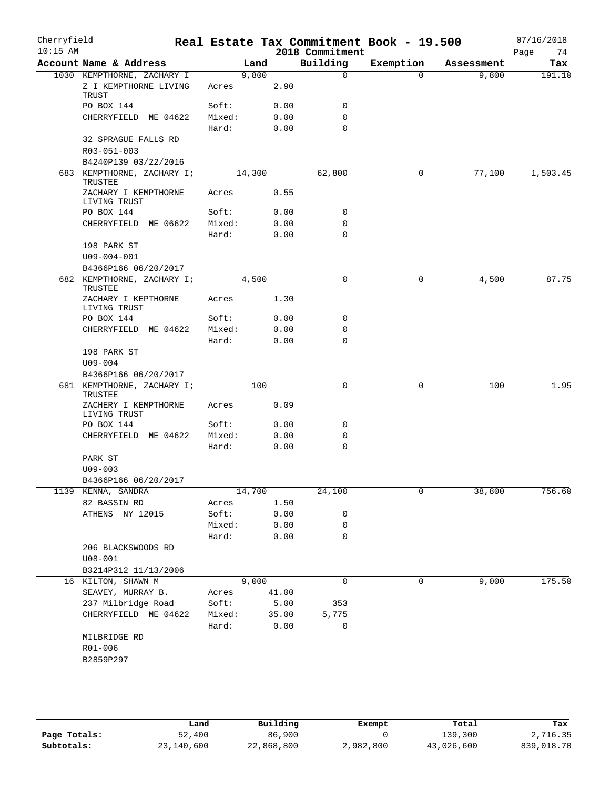| Cherryfield<br>$10:15$ AM |                                                    |                 |        |               | 2018 Commitment | Real Estate Tax Commitment Book - 19.500 |            | 07/16/2018<br>74<br>Page |
|---------------------------|----------------------------------------------------|-----------------|--------|---------------|-----------------|------------------------------------------|------------|--------------------------|
|                           | Account Name & Address                             |                 | Land   |               | Building        | Exemption                                | Assessment | Tax                      |
|                           | 1030 KEMPTHORNE, ZACHARY I                         |                 | 9,800  |               | $\mathsf{O}$    | $\Omega$                                 | 9,800      | 191.10                   |
|                           | Z I KEMPTHORNE LIVING<br>TRUST                     | Acres           |        | 2.90          |                 |                                          |            |                          |
|                           | PO BOX 144                                         | Soft:           |        | 0.00          | 0               |                                          |            |                          |
|                           | CHERRYFIELD ME 04622                               | Mixed:          |        | 0.00          | 0               |                                          |            |                          |
|                           | 32 SPRAGUE FALLS RD                                | Hard:           |        | 0.00          | $\Omega$        |                                          |            |                          |
|                           | R03-051-003                                        |                 |        |               |                 |                                          |            |                          |
|                           | B4240P139 03/22/2016                               |                 |        |               |                 |                                          |            |                          |
|                           | 683 KEMPTHORNE, ZACHARY I;                         |                 | 14,300 |               | 62,800          | 0                                        | 77,100     | 1,503.45                 |
|                           | TRUSTEE<br>ZACHARY I KEMPTHORNE                    | Acres           |        | 0.55          |                 |                                          |            |                          |
|                           | LIVING TRUST                                       |                 |        |               |                 |                                          |            |                          |
|                           | PO BOX 144                                         | Soft:           |        | 0.00          | 0               |                                          |            |                          |
|                           | CHERRYFIELD ME 06622                               | Mixed:          |        | 0.00          | 0               |                                          |            |                          |
|                           |                                                    | Hard:           |        | 0.00          | $\Omega$        |                                          |            |                          |
|                           | 198 PARK ST                                        |                 |        |               |                 |                                          |            |                          |
|                           | $U09 - 004 - 001$                                  |                 |        |               |                 |                                          |            |                          |
|                           | B4366P166 06/20/2017<br>682 KEMPTHORNE, ZACHARY I; |                 |        |               | $\mathbf 0$     | 0                                        |            | 87.75                    |
|                           | TRUSTEE<br>ZACHARY I KEPTHORNE                     | Acres           | 4,500  | 1.30          |                 |                                          | 4,500      |                          |
|                           | LIVING TRUST                                       |                 |        |               |                 |                                          |            |                          |
|                           | PO BOX 144                                         | Soft:           |        | 0.00          | 0               |                                          |            |                          |
|                           | CHERRYFIELD ME 04622                               | Mixed:          |        | 0.00          | 0               |                                          |            |                          |
|                           |                                                    | Hard:           |        | 0.00          | 0               |                                          |            |                          |
|                           | 198 PARK ST                                        |                 |        |               |                 |                                          |            |                          |
|                           | $U09 - 004$                                        |                 |        |               |                 |                                          |            |                          |
|                           | B4366P166 06/20/2017                               |                 |        |               |                 |                                          |            |                          |
|                           | 681 KEMPTHORNE, ZACHARY I;<br>TRUSTEE              |                 | 100    |               | 0               | 0                                        | 100        | 1.95                     |
|                           | ZACHERY I KEMPTHORNE<br>LIVING TRUST               | Acres           |        | 0.09          |                 |                                          |            |                          |
|                           | PO BOX 144                                         | Soft:           |        | 0.00          | 0               |                                          |            |                          |
|                           | CHERRYFIELD ME 04622                               | Mixed:          |        | 0.00          | 0               |                                          |            |                          |
|                           |                                                    | Hard:           |        | 0.00          | 0               |                                          |            |                          |
|                           | PARK ST                                            |                 |        |               |                 |                                          |            |                          |
|                           | $U09 - 003$                                        |                 |        |               |                 |                                          |            |                          |
|                           | B4366P166 06/20/2017                               |                 |        |               |                 |                                          |            |                          |
|                           | 1139 KENNA, SANDRA                                 |                 | 14,700 |               | 24,100          | 0                                        | 38,800     | 756.60                   |
|                           | 82 BASSIN RD                                       | Acres           |        | 1.50          |                 |                                          |            |                          |
|                           | ATHENS NY 12015                                    | Soft:           |        | 0.00          | 0               |                                          |            |                          |
|                           |                                                    | Mixed:          |        | 0.00          | 0               |                                          |            |                          |
|                           |                                                    | Hard:           |        | 0.00          | 0               |                                          |            |                          |
|                           | 206 BLACKSWOODS RD                                 |                 |        |               |                 |                                          |            |                          |
|                           | $U08 - 001$                                        |                 |        |               |                 |                                          |            |                          |
|                           | B3214P312 11/13/2006                               |                 |        |               |                 |                                          |            |                          |
|                           | 16 KILTON, SHAWN M                                 |                 | 9,000  |               | 0               | 0                                        | 9,000      | 175.50                   |
|                           | SEAVEY, MURRAY B.                                  | Acres           |        | 41.00         |                 |                                          |            |                          |
|                           | 237 Milbridge Road                                 | Soft:           |        | 5.00          | 353             |                                          |            |                          |
|                           | CHERRYFIELD ME 04622                               | Mixed:<br>Hard: |        | 35.00<br>0.00 | 5,775<br>0      |                                          |            |                          |
|                           | MILBRIDGE RD                                       |                 |        |               |                 |                                          |            |                          |
|                           | R01-006                                            |                 |        |               |                 |                                          |            |                          |
|                           | B2859P297                                          |                 |        |               |                 |                                          |            |                          |

|              | Land       | Building   | Exempt    | Total      | Tax        |
|--------------|------------|------------|-----------|------------|------------|
| Page Totals: | 52,400     | 86,900     |           | 139,300    | 2,716.35   |
| Subtotals:   | 23,140,600 | 22,868,800 | 2,982,800 | 43,026,600 | 839,018.70 |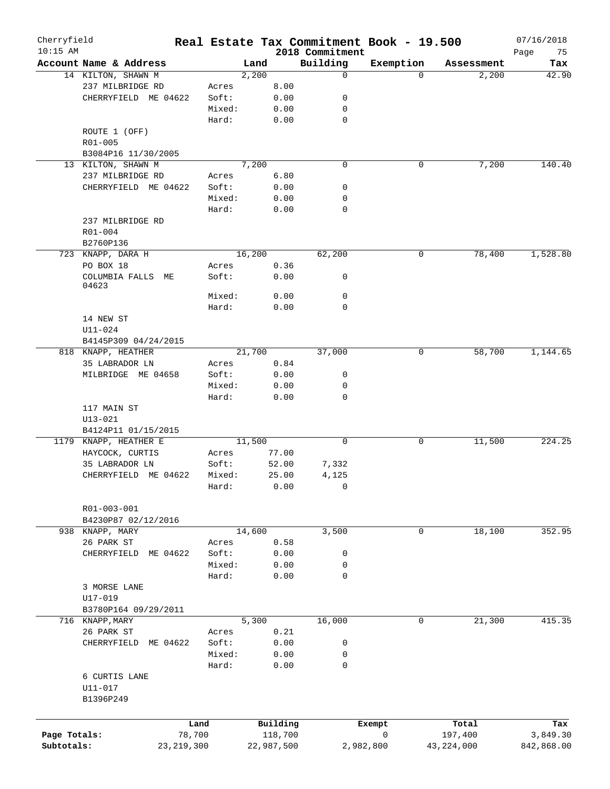| Cherryfield<br>$10:15$ AM |                              |        |        |            | 2018 Commitment | Real Estate Tax Commitment Book - 19.500 |              | 07/16/2018<br>Page<br>75 |
|---------------------------|------------------------------|--------|--------|------------|-----------------|------------------------------------------|--------------|--------------------------|
|                           | Account Name & Address       |        | Land   |            | Building        | Exemption                                | Assessment   | Tax                      |
|                           | 14 KILTON, SHAWN M           |        | 2,200  |            | 0               | $\Omega$                                 | 2,200        | 42.90                    |
|                           | 237 MILBRIDGE RD             | Acres  |        | 8.00       |                 |                                          |              |                          |
|                           | CHERRYFIELD ME 04622         | Soft:  |        | 0.00       | 0               |                                          |              |                          |
|                           |                              | Mixed: |        | 0.00       | 0               |                                          |              |                          |
|                           |                              | Hard:  |        | 0.00       | 0               |                                          |              |                          |
|                           | ROUTE 1 (OFF)                |        |        |            |                 |                                          |              |                          |
|                           |                              |        |        |            |                 |                                          |              |                          |
|                           | R01-005                      |        |        |            |                 |                                          |              |                          |
|                           | B3084P16 11/30/2005          |        |        |            |                 |                                          |              |                          |
|                           | 13 KILTON, SHAWN M           |        | 7,200  |            | $\mathbf 0$     | 0                                        | 7,200        | 140.40                   |
|                           | 237 MILBRIDGE RD             | Acres  |        | 6.80       |                 |                                          |              |                          |
|                           | CHERRYFIELD ME 04622         | Soft:  |        | 0.00       | 0               |                                          |              |                          |
|                           |                              | Mixed: |        | 0.00       | 0               |                                          |              |                          |
|                           |                              | Hard:  |        | 0.00       | 0               |                                          |              |                          |
|                           | 237 MILBRIDGE RD             |        |        |            |                 |                                          |              |                          |
|                           | R01-004                      |        |        |            |                 |                                          |              |                          |
|                           | B2760P136                    |        |        |            |                 |                                          |              |                          |
|                           | 723 KNAPP, DARA H            |        | 16,200 |            | 62,200          | 0                                        | 78,400       | 1,528.80                 |
|                           | PO BOX 18                    | Acres  |        | 0.36       |                 |                                          |              |                          |
|                           | COLUMBIA FALLS ME            | Soft:  |        | 0.00       | 0               |                                          |              |                          |
|                           | 04623                        |        |        |            |                 |                                          |              |                          |
|                           |                              | Mixed: |        | 0.00       | 0               |                                          |              |                          |
|                           |                              | Hard:  |        | 0.00       | 0               |                                          |              |                          |
|                           | 14 NEW ST                    |        |        |            |                 |                                          |              |                          |
|                           | U11-024                      |        |        |            |                 |                                          |              |                          |
|                           | B4145P309 04/24/2015         |        |        |            |                 |                                          |              |                          |
|                           | 818 KNAPP, HEATHER           |        | 21,700 |            | 37,000          | 0                                        | 58,700       | 1,144.65                 |
|                           | 35 LABRADOR LN               | Acres  |        | 0.84       |                 |                                          |              |                          |
|                           | MILBRIDGE ME 04658           | Soft:  |        | 0.00       | 0               |                                          |              |                          |
|                           |                              |        |        | 0.00       |                 |                                          |              |                          |
|                           |                              | Mixed: |        |            | 0               |                                          |              |                          |
|                           |                              | Hard:  |        | 0.00       | 0               |                                          |              |                          |
|                           | 117 MAIN ST                  |        |        |            |                 |                                          |              |                          |
|                           | $U13 - 021$                  |        |        |            |                 |                                          |              |                          |
|                           | B4124P11 01/15/2015          |        |        |            |                 |                                          |              |                          |
|                           | 1179 KNAPP, HEATHER E        |        | 11,500 |            | 0               | 0                                        | 11,500       | 224.25                   |
|                           | HAYCOCK, CURTIS              | Acres  |        | 77.00      |                 |                                          |              |                          |
|                           | 35 LABRADOR LN               | Soft:  |        | 52.00      | 7,332           |                                          |              |                          |
|                           | CHERRYFIELD ME 04622         | Mixed: |        | 25.00      | 4,125           |                                          |              |                          |
|                           |                              | Hard:  |        | 0.00       | 0               |                                          |              |                          |
|                           |                              |        |        |            |                 |                                          |              |                          |
|                           | R01-003-001                  |        |        |            |                 |                                          |              |                          |
|                           | B4230P87 02/12/2016          |        |        |            |                 |                                          |              |                          |
|                           | 938 KNAPP, MARY              |        | 14,600 |            | 3,500           | 0                                        | 18,100       | 352.95                   |
|                           | 26 PARK ST                   | Acres  |        | 0.58       |                 |                                          |              |                          |
|                           | CHERRYFIELD ME 04622         | Soft:  |        | 0.00       | 0               |                                          |              |                          |
|                           |                              | Mixed: |        | 0.00       | 0               |                                          |              |                          |
|                           |                              | Hard:  |        | 0.00       | $\mathbf 0$     |                                          |              |                          |
|                           |                              |        |        |            |                 |                                          |              |                          |
|                           | 3 MORSE LANE                 |        |        |            |                 |                                          |              |                          |
|                           | $U17 - 019$                  |        |        |            |                 |                                          |              |                          |
|                           | B3780P164 09/29/2011         |        |        |            |                 |                                          |              |                          |
|                           | 716 KNAPP, MARY              |        | 5,300  |            | 16,000          | $\mathbf 0$                              | 21,300       | 415.35                   |
|                           | 26 PARK ST                   | Acres  |        | 0.21       |                 |                                          |              |                          |
|                           | CHERRYFIELD<br>ME 04622      | Soft:  |        | 0.00       | 0               |                                          |              |                          |
|                           |                              | Mixed: |        | 0.00       | 0               |                                          |              |                          |
|                           |                              | Hard:  |        | 0.00       | 0               |                                          |              |                          |
|                           | 6 CURTIS LANE<br>$U11 - 017$ |        |        |            |                 |                                          |              |                          |
|                           | B1396P249                    |        |        |            |                 |                                          |              |                          |
|                           |                              |        |        |            |                 |                                          |              |                          |
|                           |                              |        |        |            |                 |                                          |              |                          |
|                           |                              | Land   |        | Building   |                 | Exempt                                   | Total        | Tax                      |
| Page Totals:              |                              | 78,700 |        | 118,700    |                 | $\mathsf{O}$                             | 197,400      | 3,849.30                 |
| Subtotals:                | 23, 219, 300                 |        |        | 22,987,500 |                 | 2,982,800                                | 43, 224, 000 | 842,868.00               |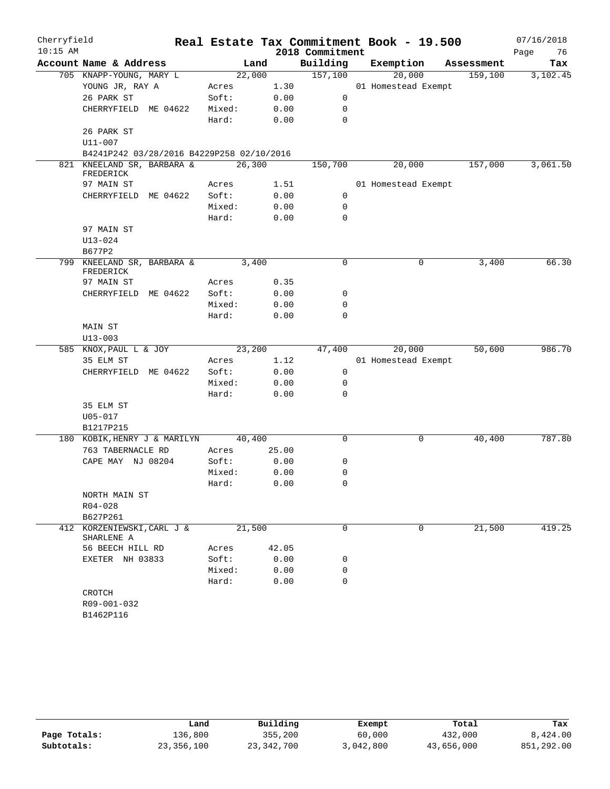| Cherryfield |                                           |        |       |                 | Real Estate Tax Commitment Book - 19.500 |            | 07/16/2018 |
|-------------|-------------------------------------------|--------|-------|-----------------|------------------------------------------|------------|------------|
| $10:15$ AM  |                                           |        |       | 2018 Commitment |                                          |            | Page<br>76 |
|             | Account Name & Address                    |        | Land  | Building        | Exemption                                | Assessment | Tax        |
|             | 705 KNAPP-YOUNG, MARY L                   | 22,000 |       | 157,100         | 20,000                                   | 159,100    | 3,102.45   |
|             | YOUNG JR, RAY A                           | Acres  | 1.30  |                 | 01 Homestead Exempt                      |            |            |
|             | 26 PARK ST                                | Soft:  | 0.00  | 0               |                                          |            |            |
|             | CHERRYFIELD ME 04622                      | Mixed: | 0.00  | 0               |                                          |            |            |
|             |                                           | Hard:  | 0.00  | $\mathbf 0$     |                                          |            |            |
|             | 26 PARK ST                                |        |       |                 |                                          |            |            |
|             | U11-007                                   |        |       |                 |                                          |            |            |
|             | B4241P242 03/28/2016 B4229P258 02/10/2016 |        |       |                 |                                          |            |            |
|             | 821 KNEELAND SR, BARBARA &<br>FREDERICK   | 26,300 |       | 150,700         | 20,000                                   | 157,000    | 3,061.50   |
|             | 97 MAIN ST                                | Acres  | 1.51  |                 | 01 Homestead Exempt                      |            |            |
|             | CHERRYFIELD ME 04622                      | Soft:  | 0.00  | 0               |                                          |            |            |
|             |                                           | Mixed: | 0.00  | 0               |                                          |            |            |
|             |                                           | Hard:  | 0.00  | 0               |                                          |            |            |
|             | 97 MAIN ST                                |        |       |                 |                                          |            |            |
|             | $U13 - 024$                               |        |       |                 |                                          |            |            |
|             | B677P2                                    |        |       |                 |                                          |            |            |
|             | 799 KNEELAND SR, BARBARA &                | 3,400  |       | $\mathbf 0$     | 0                                        | 3,400      | 66.30      |
|             | FREDERICK                                 |        |       |                 |                                          |            |            |
|             | 97 MAIN ST                                | Acres  | 0.35  |                 |                                          |            |            |
|             | CHERRYFIELD ME 04622                      | Soft:  | 0.00  | 0               |                                          |            |            |
|             |                                           | Mixed: | 0.00  | 0               |                                          |            |            |
|             |                                           | Hard:  | 0.00  | $\Omega$        |                                          |            |            |
|             | MAIN ST                                   |        |       |                 |                                          |            |            |
|             | $U13 - 003$                               |        |       |                 |                                          |            |            |
|             | 585 KNOX, PAUL L & JOY                    | 23,200 |       | 47,400          | 20,000                                   | 50,600     | 986.70     |
|             | 35 ELM ST                                 | Acres  | 1.12  |                 | 01 Homestead Exempt                      |            |            |
|             | CHERRYFIELD ME 04622                      | Soft:  | 0.00  | 0               |                                          |            |            |
|             |                                           | Mixed: | 0.00  | 0               |                                          |            |            |
|             |                                           | Hard:  | 0.00  | $\mathbf 0$     |                                          |            |            |
|             | 35 ELM ST                                 |        |       |                 |                                          |            |            |
|             | $U05 - 017$                               |        |       |                 |                                          |            |            |
|             | B1217P215                                 |        |       |                 |                                          |            |            |
|             | 180 KOBIK, HENRY J & MARILYN              | 40,400 |       | $\mathbf 0$     | 0                                        | 40,400     | 787.80     |
|             | 763 TABERNACLE RD                         | Acres  | 25.00 |                 |                                          |            |            |
|             | CAPE MAY NJ 08204                         | Soft:  | 0.00  | 0               |                                          |            |            |
|             |                                           | Mixed: | 0.00  | 0               |                                          |            |            |
|             |                                           | Hard:  | 0.00  | $\mathbf 0$     |                                          |            |            |
|             | NORTH MAIN ST                             |        |       |                 |                                          |            |            |
|             | R04-028                                   |        |       |                 |                                          |            |            |
|             | B627P261                                  |        |       |                 |                                          |            |            |
|             | 412 KORZENIEWSKI, CARL J &                | 21,500 |       | 0               | 0                                        | 21,500     | 419.25     |
|             | SHARLENE A                                |        |       |                 |                                          |            |            |
|             | 56 BEECH HILL RD                          | Acres  | 42.05 |                 |                                          |            |            |
|             | EXETER NH 03833                           | Soft:  | 0.00  | 0               |                                          |            |            |
|             |                                           | Mixed: | 0.00  | 0               |                                          |            |            |
|             |                                           | Hard:  | 0.00  | 0               |                                          |            |            |
|             | CROTCH                                    |        |       |                 |                                          |            |            |
|             | R09-001-032                               |        |       |                 |                                          |            |            |
|             | B1462P116                                 |        |       |                 |                                          |            |            |

|              | Land       | Building     | Exempt    | Total      | Tax        |
|--------------|------------|--------------|-----------|------------|------------|
| Page Totals: | 136,800    | 355,200      | 60,000    | 432,000    | 8,424.00   |
| Subtotals:   | 23,356,100 | 23, 342, 700 | 3,042,800 | 43,656,000 | 851,292.00 |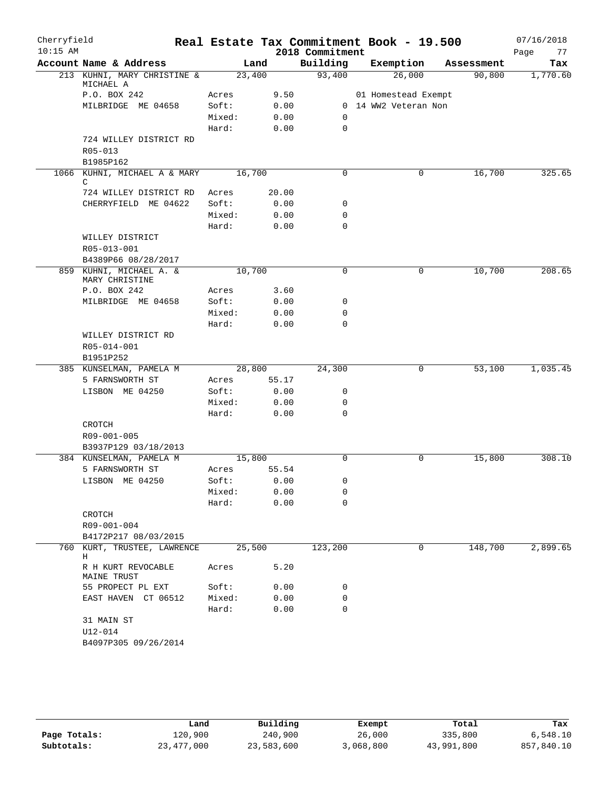| Cherryfield<br>$10:15$ AM |                                                 |        |       | Real Estate Tax Commitment Book - 19.500<br>2018 Commitment |                      |            | 07/16/2018<br>77 |
|---------------------------|-------------------------------------------------|--------|-------|-------------------------------------------------------------|----------------------|------------|------------------|
|                           | Account Name & Address                          |        | Land  | Building                                                    | Exemption            | Assessment | Page<br>Tax      |
|                           | 213 KUHNI, MARY CHRISTINE &                     | 23,400 |       | 93,400                                                      | 26,000               | 90,800     | 1,770.60         |
|                           | MICHAEL A                                       |        |       |                                                             |                      |            |                  |
|                           | P.O. BOX 242                                    | Acres  | 9.50  |                                                             | 01 Homestead Exempt  |            |                  |
|                           | MILBRIDGE ME 04658                              | Soft:  | 0.00  |                                                             | 0 14 WW2 Veteran Non |            |                  |
|                           |                                                 | Mixed: | 0.00  | 0                                                           |                      |            |                  |
|                           |                                                 | Hard:  | 0.00  | $\mathbf 0$                                                 |                      |            |                  |
|                           | 724 WILLEY DISTRICT RD                          |        |       |                                                             |                      |            |                  |
|                           | R05-013                                         |        |       |                                                             |                      |            |                  |
|                           | B1985P162                                       |        |       |                                                             |                      |            |                  |
|                           | 1066 KUHNI, MICHAEL A & MARY<br>C               | 16,700 |       | $\Omega$                                                    | 0                    | 16,700     | 325.65           |
|                           | 724 WILLEY DISTRICT RD                          | Acres  | 20.00 |                                                             |                      |            |                  |
|                           | CHERRYFIELD ME 04622                            | Soft:  | 0.00  | 0                                                           |                      |            |                  |
|                           |                                                 | Mixed: | 0.00  | 0                                                           |                      |            |                  |
|                           |                                                 | Hard:  | 0.00  | $\mathbf 0$                                                 |                      |            |                  |
|                           | WILLEY DISTRICT                                 |        |       |                                                             |                      |            |                  |
|                           | R05-013-001                                     |        |       |                                                             |                      |            |                  |
|                           | B4389P66 08/28/2017                             |        |       |                                                             |                      |            |                  |
|                           | 859 KUHNI, MICHAEL A. &<br>MARY CHRISTINE       | 10,700 |       | $\mathbf 0$                                                 | 0                    | 10,700     | 208.65           |
|                           | P.O. BOX 242                                    | Acres  | 3.60  |                                                             |                      |            |                  |
|                           | MILBRIDGE ME 04658                              | Soft:  | 0.00  | 0                                                           |                      |            |                  |
|                           |                                                 | Mixed: | 0.00  | 0                                                           |                      |            |                  |
|                           |                                                 | Hard:  | 0.00  | 0                                                           |                      |            |                  |
|                           | WILLEY DISTRICT RD                              |        |       |                                                             |                      |            |                  |
|                           | R05-014-001                                     |        |       |                                                             |                      |            |                  |
|                           | B1951P252                                       |        |       |                                                             |                      |            |                  |
|                           | 385 KUNSELMAN, PAMELA M                         | 28,800 |       | 24,300                                                      | 0                    | 53,100     | 1,035.45         |
|                           | 5 FARNSWORTH ST                                 | Acres  | 55.17 |                                                             |                      |            |                  |
|                           | LISBON ME 04250                                 | Soft:  | 0.00  | 0                                                           |                      |            |                  |
|                           |                                                 | Mixed: | 0.00  | 0                                                           |                      |            |                  |
|                           |                                                 | Hard:  | 0.00  | 0                                                           |                      |            |                  |
|                           | CROTCH                                          |        |       |                                                             |                      |            |                  |
|                           | R09-001-005                                     |        |       |                                                             |                      |            |                  |
|                           | B3937P129 03/18/2013                            |        |       |                                                             |                      |            |                  |
|                           | 384 KUNSELMAN, PAMELA M                         | 15,800 |       | $\mathbf 0$                                                 | 0                    | 15,800     | 308.10           |
|                           | 5 FARNSWORTH ST                                 | Acres  | 55.54 |                                                             |                      |            |                  |
|                           | LISBON ME 04250                                 | Soft:  | 0.00  | 0                                                           |                      |            |                  |
|                           |                                                 | Mixed: | 0.00  | 0                                                           |                      |            |                  |
|                           |                                                 | Hard:  | 0.00  | 0                                                           |                      |            |                  |
|                           | CROTCH                                          |        |       |                                                             |                      |            |                  |
|                           | R09-001-004                                     |        |       |                                                             |                      |            |                  |
| 760                       | B4172P217 08/03/2015<br>KURT, TRUSTEE, LAWRENCE |        |       | 123,200                                                     | 0                    | 148,700    | 2,899.65         |
|                           | Н                                               | 25,500 |       |                                                             |                      |            |                  |
|                           | R H KURT REVOCABLE<br><b>MAINE TRUST</b>        | Acres  | 5.20  |                                                             |                      |            |                  |
|                           | 55 PROPECT PL EXT                               | Soft:  | 0.00  | 0                                                           |                      |            |                  |
|                           | EAST HAVEN CT 06512                             | Mixed: | 0.00  | 0                                                           |                      |            |                  |
|                           |                                                 | Hard:  | 0.00  | 0                                                           |                      |            |                  |
|                           | 31 MAIN ST                                      |        |       |                                                             |                      |            |                  |
|                           | $U12 - 014$                                     |        |       |                                                             |                      |            |                  |
|                           | B4097P305 09/26/2014                            |        |       |                                                             |                      |            |                  |

|              | Land         | Building   | Exempt    | Total      | Tax        |
|--------------|--------------|------------|-----------|------------|------------|
| Page Totals: | 120,900      | 240,900    | 26,000    | 335,800    | 6.548.10   |
| Subtotals:   | 23, 477, 000 | 23,583,600 | 3,068,800 | 43,991,800 | 857,840.10 |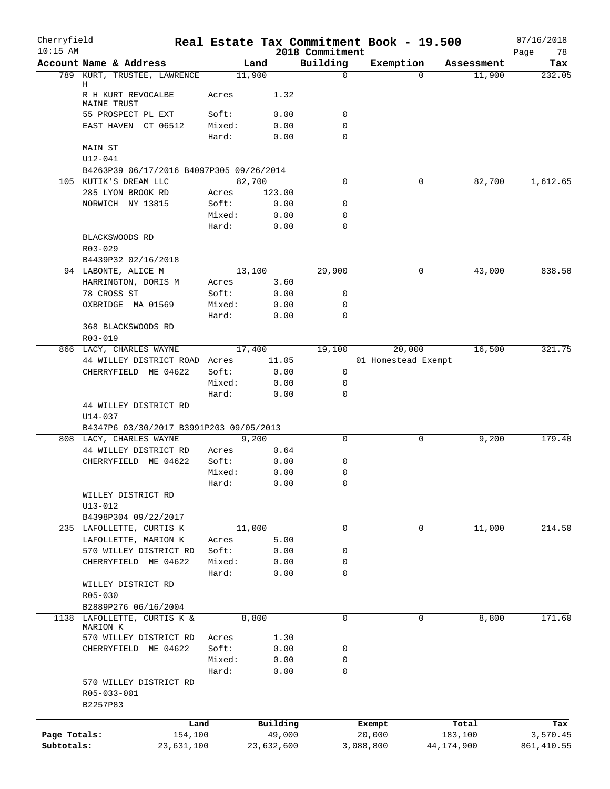| Cherryfield<br>$10:15$ AM |                                        |                                          |        | Real Estate Tax Commitment Book - 19.500 | 2018 Commitment |                     |              |            | 07/16/2018<br>Page<br>78 |
|---------------------------|----------------------------------------|------------------------------------------|--------|------------------------------------------|-----------------|---------------------|--------------|------------|--------------------------|
|                           | Account Name & Address                 |                                          |        | Land                                     | Building        | Exemption           |              | Assessment | Tax                      |
|                           |                                        | 789 KURT, TRUSTEE, LAWRENCE              |        | 11,900                                   | 0               |                     | $\Omega$     | 11,900     | 232.05                   |
|                           | Н<br>R H KURT REVOCALBE<br>MAINE TRUST |                                          | Acres  | 1.32                                     |                 |                     |              |            |                          |
|                           | 55 PROSPECT PL EXT                     |                                          | Soft:  | 0.00                                     | 0               |                     |              |            |                          |
|                           | EAST HAVEN CT 06512                    |                                          | Mixed: | 0.00                                     | 0               |                     |              |            |                          |
|                           |                                        |                                          | Hard:  | 0.00                                     | $\Omega$        |                     |              |            |                          |
|                           | MAIN ST                                |                                          |        |                                          |                 |                     |              |            |                          |
|                           | $U12 - 041$                            |                                          |        |                                          |                 |                     |              |            |                          |
|                           |                                        | B4263P39 06/17/2016 B4097P305 09/26/2014 |        |                                          |                 |                     |              |            |                          |
|                           | 105 KUTIK'S DREAM LLC                  |                                          |        | 82,700                                   | 0               |                     | 0            | 82,700     | 1,612.65                 |
|                           | 285 LYON BROOK RD                      |                                          | Acres  | 123.00                                   |                 |                     |              |            |                          |
|                           | NORWICH NY 13815                       |                                          | Soft:  | 0.00                                     | 0               |                     |              |            |                          |
|                           |                                        |                                          | Mixed: | 0.00                                     | 0               |                     |              |            |                          |
|                           |                                        |                                          | Hard:  | 0.00                                     | 0               |                     |              |            |                          |
|                           | BLACKSWOODS RD                         |                                          |        |                                          |                 |                     |              |            |                          |
|                           | R03-029                                |                                          |        |                                          |                 |                     |              |            |                          |
|                           | B4439P32 02/16/2018                    |                                          |        |                                          |                 |                     |              |            |                          |
|                           | 94 LABONTE, ALICE M                    |                                          | Acres  | 13,100<br>3.60                           | 29,900          |                     | 0            | 43,000     | 838.50                   |
|                           | HARRINGTON, DORIS M<br>78 CROSS ST     |                                          | Soft:  | 0.00                                     | 0               |                     |              |            |                          |
|                           | OXBRIDGE MA 01569                      |                                          | Mixed: | 0.00                                     | 0               |                     |              |            |                          |
|                           |                                        |                                          | Hard:  | 0.00                                     | $\Omega$        |                     |              |            |                          |
|                           | 368 BLACKSWOODS RD                     |                                          |        |                                          |                 |                     |              |            |                          |
|                           | R03-019                                |                                          |        |                                          |                 |                     |              |            |                          |
|                           | 866 LACY, CHARLES WAYNE                |                                          |        | 17,400                                   | 19,100          | 20,000              |              | 16,500     | 321.75                   |
|                           |                                        | 44 WILLEY DISTRICT ROAD Acres            |        | 11.05                                    |                 | 01 Homestead Exempt |              |            |                          |
|                           |                                        | CHERRYFIELD ME 04622                     | Soft:  | 0.00                                     | 0               |                     |              |            |                          |
|                           |                                        |                                          | Mixed: | 0.00                                     | 0               |                     |              |            |                          |
|                           |                                        |                                          | Hard:  | 0.00                                     | $\Omega$        |                     |              |            |                          |
|                           |                                        | 44 WILLEY DISTRICT RD                    |        |                                          |                 |                     |              |            |                          |
|                           | $U14 - 037$                            |                                          |        |                                          |                 |                     |              |            |                          |
|                           |                                        | B4347P6 03/30/2017 B3991P203 09/05/2013  |        |                                          |                 |                     |              |            |                          |
|                           | 808 LACY, CHARLES WAYNE                |                                          |        | 9,200                                    | $\Omega$        |                     | 0            | 9,200      | 179.40                   |
|                           |                                        | 44 WILLEY DISTRICT RD                    | Acres  | 0.64                                     |                 |                     |              |            |                          |
|                           |                                        | CHERRYFIELD ME 04622                     | Soft:  | 0.00                                     | 0               |                     |              |            |                          |
|                           |                                        |                                          | Mixed: | 0.00                                     | 0               |                     |              |            |                          |
|                           |                                        |                                          | Hard:  | 0.00                                     | $\cap$          |                     |              |            |                          |
|                           | WILLEY DISTRICT RD                     |                                          |        |                                          |                 |                     |              |            |                          |
|                           | $U13 - 012$                            |                                          |        |                                          |                 |                     |              |            |                          |
|                           | B4398P304 09/22/2017                   |                                          |        |                                          |                 |                     |              |            |                          |
|                           | 235 LAFOLLETTE, CURTIS K               |                                          |        | 11,000                                   | 0               |                     | 0            | 11,000     | 214.50                   |
|                           | LAFOLLETTE, MARION K                   |                                          | Acres  | 5.00                                     |                 |                     |              |            |                          |
|                           |                                        | 570 WILLEY DISTRICT RD                   | Soft:  | 0.00                                     | 0               |                     |              |            |                          |
|                           |                                        | CHERRYFIELD ME 04622                     | Mixed: | 0.00                                     | 0               |                     |              |            |                          |
|                           |                                        |                                          | Hard:  | 0.00                                     | 0               |                     |              |            |                          |
|                           | WILLEY DISTRICT RD                     |                                          |        |                                          |                 |                     |              |            |                          |
|                           | R05-030                                |                                          |        |                                          |                 |                     |              |            |                          |
|                           | B2889P276 06/16/2004                   |                                          |        |                                          |                 |                     |              |            |                          |
|                           | MARION K                               | 1138 LAFOLLETTE, CURTIS K &              |        | 8,800                                    | 0               |                     | 0            | 8,800      | 171.60                   |
|                           |                                        | 570 WILLEY DISTRICT RD                   | Acres  | 1.30                                     |                 |                     |              |            |                          |
|                           |                                        | CHERRYFIELD ME 04622                     | Soft:  | 0.00                                     | 0               |                     |              |            |                          |
|                           |                                        |                                          | Mixed: | 0.00                                     | 0               |                     |              |            |                          |
|                           |                                        |                                          | Hard:  | 0.00                                     | 0               |                     |              |            |                          |
|                           |                                        | 570 WILLEY DISTRICT RD                   |        |                                          |                 |                     |              |            |                          |
|                           | R05-033-001                            |                                          |        |                                          |                 |                     |              |            |                          |
|                           | B2257P83                               |                                          |        |                                          |                 |                     |              |            |                          |
|                           |                                        |                                          |        |                                          |                 |                     |              |            |                          |
|                           |                                        | Land                                     |        | Building                                 |                 | Exempt              |              | Total      | Tax                      |
| Page Totals:              |                                        | 154,100                                  |        | 49,000                                   |                 | 20,000              |              | 183,100    | 3,570.45                 |
| Subtotals:                |                                        | 23,631,100                               |        | 23,632,600                               |                 | 3,088,800           | 44, 174, 900 |            | 861, 410.55              |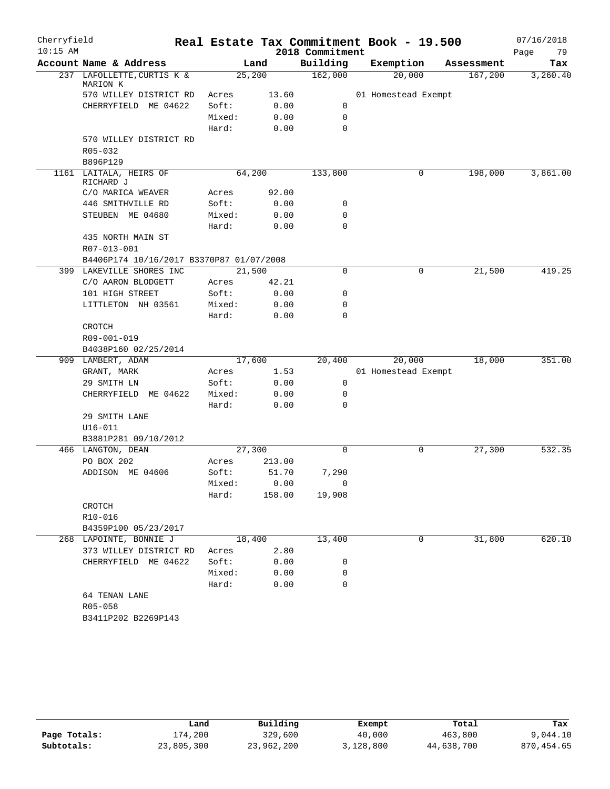| Building<br>Account Name & Address<br>Land<br>Exemption<br>Assessment<br>Tax<br>25,200<br>162,000<br>20,000<br>237 LAFOLLETTE, CURTIS K &<br>167,200<br>3,260.40<br>MARION K<br>570 WILLEY DISTRICT RD<br>13.60<br>Acres<br>01 Homestead Exempt<br>0.00<br>CHERRYFIELD ME 04622<br>Soft:<br>0<br>$\mathbf 0$<br>Mixed:<br>0.00<br>Hard:<br>0.00<br>0<br>570 WILLEY DISTRICT RD<br>R05-032<br>B896P129<br>1161 LAITALA, HEIRS OF<br>64,200<br>133,800<br>0<br>198,000<br>3,861.00<br>RICHARD J<br>92.00<br>C/O MARICA WEAVER<br>Acres<br>Soft:<br>0.00<br>0<br>446 SMITHVILLE RD<br>STEUBEN ME 04680<br>Mixed:<br>0.00<br>0<br>Hard:<br>0<br>0.00<br>435 NORTH MAIN ST<br>R07-013-001<br>B4406P174 10/16/2017 B3370P87 01/07/2008<br>21,500<br>21,500<br>419.25<br>399 LAKEVILLE SHORES INC<br>0<br>0<br>C/O AARON BLODGETT<br>42.21<br>Acres<br>101 HIGH STREET<br>Soft:<br>0.00<br>0<br>LITTLETON NH 03561<br>Mixed:<br>0.00<br>0<br>$\mathbf 0$<br>Hard:<br>0.00<br>CROTCH<br>R09-001-019<br>B4038P160 02/25/2014<br>17,600<br>20,400<br>20,000<br>18,000<br>351.00<br>909 LAMBERT, ADAM<br>1.53<br>01 Homestead Exempt<br>GRANT, MARK<br>Acres<br>Soft:<br>0<br>29 SMITH LN<br>0.00<br>0<br>CHERRYFIELD ME 04622<br>Mixed:<br>0.00<br>0.00<br>0<br>Hard:<br>29 SMITH LANE<br>$U16 - 011$<br>B3881P281 09/10/2012<br>27,300<br>532.35<br>466 LANGTON, DEAN<br>27,300<br>0<br>0<br>PO BOX 202<br>Acres<br>213.00<br>ADDISON ME 04606<br>Soft:<br>51.70<br>7,290<br>0.00<br>Mixed:<br>$\bigcap$<br>158.00 19,908<br>Hard:<br>CROTCH<br>R10-016<br>B4359P100 05/23/2017<br>31,800<br>13,400<br>620.10<br>268 LAPOINTE, BONNIE J<br>18,400<br>0<br>2.80<br>373 WILLEY DISTRICT RD<br>Acres<br>Soft:<br>CHERRYFIELD ME 04622<br>0.00<br>0<br>Mixed:<br>0.00<br>0<br>$\mathbf 0$<br>Hard:<br>0.00<br>64 TENAN LANE<br>R05-058<br>B3411P202 B2269P143 | Cherryfield<br>$10:15$ AM |  | 2018 Commitment | Real Estate Tax Commitment Book - 19.500 |  | 07/16/2018<br>Page<br>79 |
|--------------------------------------------------------------------------------------------------------------------------------------------------------------------------------------------------------------------------------------------------------------------------------------------------------------------------------------------------------------------------------------------------------------------------------------------------------------------------------------------------------------------------------------------------------------------------------------------------------------------------------------------------------------------------------------------------------------------------------------------------------------------------------------------------------------------------------------------------------------------------------------------------------------------------------------------------------------------------------------------------------------------------------------------------------------------------------------------------------------------------------------------------------------------------------------------------------------------------------------------------------------------------------------------------------------------------------------------------------------------------------------------------------------------------------------------------------------------------------------------------------------------------------------------------------------------------------------------------------------------------------------------------------------------------------------------------------------------------------------------------------------------------------------------------------------------------------------------------|---------------------------|--|-----------------|------------------------------------------|--|--------------------------|
|                                                                                                                                                                                                                                                                                                                                                                                                                                                                                                                                                                                                                                                                                                                                                                                                                                                                                                                                                                                                                                                                                                                                                                                                                                                                                                                                                                                                                                                                                                                                                                                                                                                                                                                                                                                                                                                  |                           |  |                 |                                          |  |                          |
|                                                                                                                                                                                                                                                                                                                                                                                                                                                                                                                                                                                                                                                                                                                                                                                                                                                                                                                                                                                                                                                                                                                                                                                                                                                                                                                                                                                                                                                                                                                                                                                                                                                                                                                                                                                                                                                  |                           |  |                 |                                          |  |                          |
|                                                                                                                                                                                                                                                                                                                                                                                                                                                                                                                                                                                                                                                                                                                                                                                                                                                                                                                                                                                                                                                                                                                                                                                                                                                                                                                                                                                                                                                                                                                                                                                                                                                                                                                                                                                                                                                  |                           |  |                 |                                          |  |                          |
|                                                                                                                                                                                                                                                                                                                                                                                                                                                                                                                                                                                                                                                                                                                                                                                                                                                                                                                                                                                                                                                                                                                                                                                                                                                                                                                                                                                                                                                                                                                                                                                                                                                                                                                                                                                                                                                  |                           |  |                 |                                          |  |                          |
|                                                                                                                                                                                                                                                                                                                                                                                                                                                                                                                                                                                                                                                                                                                                                                                                                                                                                                                                                                                                                                                                                                                                                                                                                                                                                                                                                                                                                                                                                                                                                                                                                                                                                                                                                                                                                                                  |                           |  |                 |                                          |  |                          |
|                                                                                                                                                                                                                                                                                                                                                                                                                                                                                                                                                                                                                                                                                                                                                                                                                                                                                                                                                                                                                                                                                                                                                                                                                                                                                                                                                                                                                                                                                                                                                                                                                                                                                                                                                                                                                                                  |                           |  |                 |                                          |  |                          |
|                                                                                                                                                                                                                                                                                                                                                                                                                                                                                                                                                                                                                                                                                                                                                                                                                                                                                                                                                                                                                                                                                                                                                                                                                                                                                                                                                                                                                                                                                                                                                                                                                                                                                                                                                                                                                                                  |                           |  |                 |                                          |  |                          |
|                                                                                                                                                                                                                                                                                                                                                                                                                                                                                                                                                                                                                                                                                                                                                                                                                                                                                                                                                                                                                                                                                                                                                                                                                                                                                                                                                                                                                                                                                                                                                                                                                                                                                                                                                                                                                                                  |                           |  |                 |                                          |  |                          |
|                                                                                                                                                                                                                                                                                                                                                                                                                                                                                                                                                                                                                                                                                                                                                                                                                                                                                                                                                                                                                                                                                                                                                                                                                                                                                                                                                                                                                                                                                                                                                                                                                                                                                                                                                                                                                                                  |                           |  |                 |                                          |  |                          |
|                                                                                                                                                                                                                                                                                                                                                                                                                                                                                                                                                                                                                                                                                                                                                                                                                                                                                                                                                                                                                                                                                                                                                                                                                                                                                                                                                                                                                                                                                                                                                                                                                                                                                                                                                                                                                                                  |                           |  |                 |                                          |  |                          |
|                                                                                                                                                                                                                                                                                                                                                                                                                                                                                                                                                                                                                                                                                                                                                                                                                                                                                                                                                                                                                                                                                                                                                                                                                                                                                                                                                                                                                                                                                                                                                                                                                                                                                                                                                                                                                                                  |                           |  |                 |                                          |  |                          |
|                                                                                                                                                                                                                                                                                                                                                                                                                                                                                                                                                                                                                                                                                                                                                                                                                                                                                                                                                                                                                                                                                                                                                                                                                                                                                                                                                                                                                                                                                                                                                                                                                                                                                                                                                                                                                                                  |                           |  |                 |                                          |  |                          |
|                                                                                                                                                                                                                                                                                                                                                                                                                                                                                                                                                                                                                                                                                                                                                                                                                                                                                                                                                                                                                                                                                                                                                                                                                                                                                                                                                                                                                                                                                                                                                                                                                                                                                                                                                                                                                                                  |                           |  |                 |                                          |  |                          |
|                                                                                                                                                                                                                                                                                                                                                                                                                                                                                                                                                                                                                                                                                                                                                                                                                                                                                                                                                                                                                                                                                                                                                                                                                                                                                                                                                                                                                                                                                                                                                                                                                                                                                                                                                                                                                                                  |                           |  |                 |                                          |  |                          |
|                                                                                                                                                                                                                                                                                                                                                                                                                                                                                                                                                                                                                                                                                                                                                                                                                                                                                                                                                                                                                                                                                                                                                                                                                                                                                                                                                                                                                                                                                                                                                                                                                                                                                                                                                                                                                                                  |                           |  |                 |                                          |  |                          |
|                                                                                                                                                                                                                                                                                                                                                                                                                                                                                                                                                                                                                                                                                                                                                                                                                                                                                                                                                                                                                                                                                                                                                                                                                                                                                                                                                                                                                                                                                                                                                                                                                                                                                                                                                                                                                                                  |                           |  |                 |                                          |  |                          |
|                                                                                                                                                                                                                                                                                                                                                                                                                                                                                                                                                                                                                                                                                                                                                                                                                                                                                                                                                                                                                                                                                                                                                                                                                                                                                                                                                                                                                                                                                                                                                                                                                                                                                                                                                                                                                                                  |                           |  |                 |                                          |  |                          |
|                                                                                                                                                                                                                                                                                                                                                                                                                                                                                                                                                                                                                                                                                                                                                                                                                                                                                                                                                                                                                                                                                                                                                                                                                                                                                                                                                                                                                                                                                                                                                                                                                                                                                                                                                                                                                                                  |                           |  |                 |                                          |  |                          |
|                                                                                                                                                                                                                                                                                                                                                                                                                                                                                                                                                                                                                                                                                                                                                                                                                                                                                                                                                                                                                                                                                                                                                                                                                                                                                                                                                                                                                                                                                                                                                                                                                                                                                                                                                                                                                                                  |                           |  |                 |                                          |  |                          |
|                                                                                                                                                                                                                                                                                                                                                                                                                                                                                                                                                                                                                                                                                                                                                                                                                                                                                                                                                                                                                                                                                                                                                                                                                                                                                                                                                                                                                                                                                                                                                                                                                                                                                                                                                                                                                                                  |                           |  |                 |                                          |  |                          |
|                                                                                                                                                                                                                                                                                                                                                                                                                                                                                                                                                                                                                                                                                                                                                                                                                                                                                                                                                                                                                                                                                                                                                                                                                                                                                                                                                                                                                                                                                                                                                                                                                                                                                                                                                                                                                                                  |                           |  |                 |                                          |  |                          |
|                                                                                                                                                                                                                                                                                                                                                                                                                                                                                                                                                                                                                                                                                                                                                                                                                                                                                                                                                                                                                                                                                                                                                                                                                                                                                                                                                                                                                                                                                                                                                                                                                                                                                                                                                                                                                                                  |                           |  |                 |                                          |  |                          |
|                                                                                                                                                                                                                                                                                                                                                                                                                                                                                                                                                                                                                                                                                                                                                                                                                                                                                                                                                                                                                                                                                                                                                                                                                                                                                                                                                                                                                                                                                                                                                                                                                                                                                                                                                                                                                                                  |                           |  |                 |                                          |  |                          |
|                                                                                                                                                                                                                                                                                                                                                                                                                                                                                                                                                                                                                                                                                                                                                                                                                                                                                                                                                                                                                                                                                                                                                                                                                                                                                                                                                                                                                                                                                                                                                                                                                                                                                                                                                                                                                                                  |                           |  |                 |                                          |  |                          |
|                                                                                                                                                                                                                                                                                                                                                                                                                                                                                                                                                                                                                                                                                                                                                                                                                                                                                                                                                                                                                                                                                                                                                                                                                                                                                                                                                                                                                                                                                                                                                                                                                                                                                                                                                                                                                                                  |                           |  |                 |                                          |  |                          |
|                                                                                                                                                                                                                                                                                                                                                                                                                                                                                                                                                                                                                                                                                                                                                                                                                                                                                                                                                                                                                                                                                                                                                                                                                                                                                                                                                                                                                                                                                                                                                                                                                                                                                                                                                                                                                                                  |                           |  |                 |                                          |  |                          |
|                                                                                                                                                                                                                                                                                                                                                                                                                                                                                                                                                                                                                                                                                                                                                                                                                                                                                                                                                                                                                                                                                                                                                                                                                                                                                                                                                                                                                                                                                                                                                                                                                                                                                                                                                                                                                                                  |                           |  |                 |                                          |  |                          |
|                                                                                                                                                                                                                                                                                                                                                                                                                                                                                                                                                                                                                                                                                                                                                                                                                                                                                                                                                                                                                                                                                                                                                                                                                                                                                                                                                                                                                                                                                                                                                                                                                                                                                                                                                                                                                                                  |                           |  |                 |                                          |  |                          |
|                                                                                                                                                                                                                                                                                                                                                                                                                                                                                                                                                                                                                                                                                                                                                                                                                                                                                                                                                                                                                                                                                                                                                                                                                                                                                                                                                                                                                                                                                                                                                                                                                                                                                                                                                                                                                                                  |                           |  |                 |                                          |  |                          |
|                                                                                                                                                                                                                                                                                                                                                                                                                                                                                                                                                                                                                                                                                                                                                                                                                                                                                                                                                                                                                                                                                                                                                                                                                                                                                                                                                                                                                                                                                                                                                                                                                                                                                                                                                                                                                                                  |                           |  |                 |                                          |  |                          |
|                                                                                                                                                                                                                                                                                                                                                                                                                                                                                                                                                                                                                                                                                                                                                                                                                                                                                                                                                                                                                                                                                                                                                                                                                                                                                                                                                                                                                                                                                                                                                                                                                                                                                                                                                                                                                                                  |                           |  |                 |                                          |  |                          |
|                                                                                                                                                                                                                                                                                                                                                                                                                                                                                                                                                                                                                                                                                                                                                                                                                                                                                                                                                                                                                                                                                                                                                                                                                                                                                                                                                                                                                                                                                                                                                                                                                                                                                                                                                                                                                                                  |                           |  |                 |                                          |  |                          |
|                                                                                                                                                                                                                                                                                                                                                                                                                                                                                                                                                                                                                                                                                                                                                                                                                                                                                                                                                                                                                                                                                                                                                                                                                                                                                                                                                                                                                                                                                                                                                                                                                                                                                                                                                                                                                                                  |                           |  |                 |                                          |  |                          |
|                                                                                                                                                                                                                                                                                                                                                                                                                                                                                                                                                                                                                                                                                                                                                                                                                                                                                                                                                                                                                                                                                                                                                                                                                                                                                                                                                                                                                                                                                                                                                                                                                                                                                                                                                                                                                                                  |                           |  |                 |                                          |  |                          |
|                                                                                                                                                                                                                                                                                                                                                                                                                                                                                                                                                                                                                                                                                                                                                                                                                                                                                                                                                                                                                                                                                                                                                                                                                                                                                                                                                                                                                                                                                                                                                                                                                                                                                                                                                                                                                                                  |                           |  |                 |                                          |  |                          |
|                                                                                                                                                                                                                                                                                                                                                                                                                                                                                                                                                                                                                                                                                                                                                                                                                                                                                                                                                                                                                                                                                                                                                                                                                                                                                                                                                                                                                                                                                                                                                                                                                                                                                                                                                                                                                                                  |                           |  |                 |                                          |  |                          |
|                                                                                                                                                                                                                                                                                                                                                                                                                                                                                                                                                                                                                                                                                                                                                                                                                                                                                                                                                                                                                                                                                                                                                                                                                                                                                                                                                                                                                                                                                                                                                                                                                                                                                                                                                                                                                                                  |                           |  |                 |                                          |  |                          |
|                                                                                                                                                                                                                                                                                                                                                                                                                                                                                                                                                                                                                                                                                                                                                                                                                                                                                                                                                                                                                                                                                                                                                                                                                                                                                                                                                                                                                                                                                                                                                                                                                                                                                                                                                                                                                                                  |                           |  |                 |                                          |  |                          |
|                                                                                                                                                                                                                                                                                                                                                                                                                                                                                                                                                                                                                                                                                                                                                                                                                                                                                                                                                                                                                                                                                                                                                                                                                                                                                                                                                                                                                                                                                                                                                                                                                                                                                                                                                                                                                                                  |                           |  |                 |                                          |  |                          |
|                                                                                                                                                                                                                                                                                                                                                                                                                                                                                                                                                                                                                                                                                                                                                                                                                                                                                                                                                                                                                                                                                                                                                                                                                                                                                                                                                                                                                                                                                                                                                                                                                                                                                                                                                                                                                                                  |                           |  |                 |                                          |  |                          |
|                                                                                                                                                                                                                                                                                                                                                                                                                                                                                                                                                                                                                                                                                                                                                                                                                                                                                                                                                                                                                                                                                                                                                                                                                                                                                                                                                                                                                                                                                                                                                                                                                                                                                                                                                                                                                                                  |                           |  |                 |                                          |  |                          |
|                                                                                                                                                                                                                                                                                                                                                                                                                                                                                                                                                                                                                                                                                                                                                                                                                                                                                                                                                                                                                                                                                                                                                                                                                                                                                                                                                                                                                                                                                                                                                                                                                                                                                                                                                                                                                                                  |                           |  |                 |                                          |  |                          |
|                                                                                                                                                                                                                                                                                                                                                                                                                                                                                                                                                                                                                                                                                                                                                                                                                                                                                                                                                                                                                                                                                                                                                                                                                                                                                                                                                                                                                                                                                                                                                                                                                                                                                                                                                                                                                                                  |                           |  |                 |                                          |  |                          |
|                                                                                                                                                                                                                                                                                                                                                                                                                                                                                                                                                                                                                                                                                                                                                                                                                                                                                                                                                                                                                                                                                                                                                                                                                                                                                                                                                                                                                                                                                                                                                                                                                                                                                                                                                                                                                                                  |                           |  |                 |                                          |  |                          |
|                                                                                                                                                                                                                                                                                                                                                                                                                                                                                                                                                                                                                                                                                                                                                                                                                                                                                                                                                                                                                                                                                                                                                                                                                                                                                                                                                                                                                                                                                                                                                                                                                                                                                                                                                                                                                                                  |                           |  |                 |                                          |  |                          |
|                                                                                                                                                                                                                                                                                                                                                                                                                                                                                                                                                                                                                                                                                                                                                                                                                                                                                                                                                                                                                                                                                                                                                                                                                                                                                                                                                                                                                                                                                                                                                                                                                                                                                                                                                                                                                                                  |                           |  |                 |                                          |  |                          |
|                                                                                                                                                                                                                                                                                                                                                                                                                                                                                                                                                                                                                                                                                                                                                                                                                                                                                                                                                                                                                                                                                                                                                                                                                                                                                                                                                                                                                                                                                                                                                                                                                                                                                                                                                                                                                                                  |                           |  |                 |                                          |  |                          |
|                                                                                                                                                                                                                                                                                                                                                                                                                                                                                                                                                                                                                                                                                                                                                                                                                                                                                                                                                                                                                                                                                                                                                                                                                                                                                                                                                                                                                                                                                                                                                                                                                                                                                                                                                                                                                                                  |                           |  |                 |                                          |  |                          |

|              | Land       | Building   | Exempt    | Total      | Tax        |
|--------------|------------|------------|-----------|------------|------------|
| Page Totals: | 174,200    | 329,600    | 40,000    | 463,800    | 9,044.10   |
| Subtotals:   | 23,805,300 | 23,962,200 | 3,128,800 | 44,638,700 | 870,454.65 |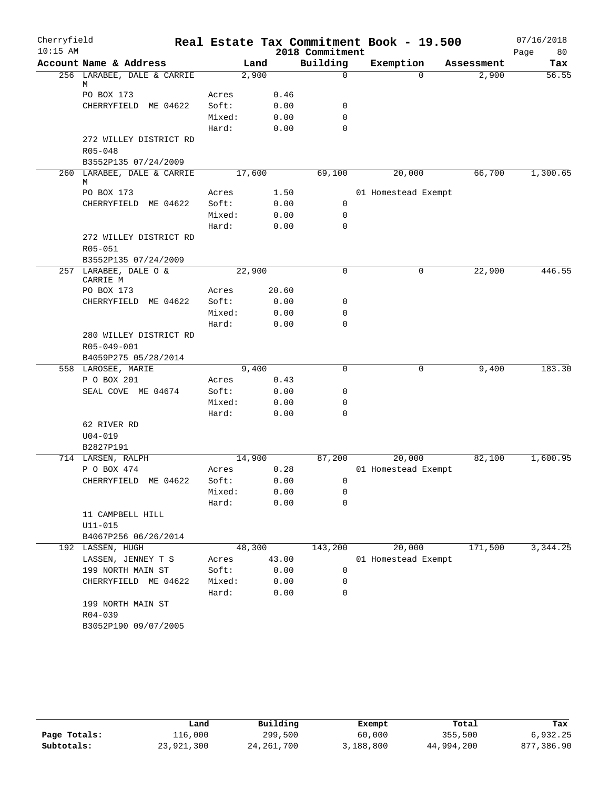| Cherryfield |                                |        |        |                     | Real Estate Tax Commitment Book - 19.500 |            | 07/16/2018 |
|-------------|--------------------------------|--------|--------|---------------------|------------------------------------------|------------|------------|
| $10:15$ AM  |                                |        |        | 2018 Commitment     |                                          |            | 80<br>Page |
|             | Account Name & Address         |        | Land   | Building            | Exemption                                | Assessment | Tax        |
|             | 256 LARABEE, DALE & CARRIE     |        | 2,900  | $\Omega$            | $\Omega$                                 | 2,900      | 56.55      |
|             | М<br>PO BOX 173                | Acres  |        | 0.46                |                                          |            |            |
|             | CHERRYFIELD ME 04622           | Soft:  |        | 0.00<br>0           |                                          |            |            |
|             |                                | Mixed: |        | 0.00<br>0           |                                          |            |            |
|             |                                | Hard:  |        | 0.00<br>0           |                                          |            |            |
|             | 272 WILLEY DISTRICT RD         |        |        |                     |                                          |            |            |
|             | R05-048                        |        |        |                     |                                          |            |            |
|             | B3552P135 07/24/2009           |        |        |                     |                                          |            |            |
|             | 260 LARABEE, DALE & CARRIE     |        | 17,600 | 69,100              | 20,000                                   | 66,700     | 1,300.65   |
|             | М                              |        |        |                     |                                          |            |            |
|             | PO BOX 173                     | Acres  |        | 1.50                | 01 Homestead Exempt                      |            |            |
|             | CHERRYFIELD ME 04622           | Soft:  |        | 0.00<br>0           |                                          |            |            |
|             |                                | Mixed: |        | 0.00<br>0           |                                          |            |            |
|             |                                | Hard:  |        | $\mathbf 0$<br>0.00 |                                          |            |            |
|             | 272 WILLEY DISTRICT RD         |        |        |                     |                                          |            |            |
|             | R05-051                        |        |        |                     |                                          |            |            |
|             | B3552P135 07/24/2009           |        |        |                     |                                          |            |            |
|             | 257 LARABEE, DALE O &          |        | 22,900 | $\mathbf 0$         | 0                                        | 22,900     | 446.55     |
|             | CARRIE M                       |        |        |                     |                                          |            |            |
|             | PO BOX 173                     | Acres  | 20.60  |                     |                                          |            |            |
|             | CHERRYFIELD ME 04622           | Soft:  |        | 0.00<br>0           |                                          |            |            |
|             |                                | Mixed: |        | 0.00<br>0           |                                          |            |            |
|             |                                | Hard:  |        | 0.00<br>0           |                                          |            |            |
|             | 280 WILLEY DISTRICT RD         |        |        |                     |                                          |            |            |
|             | R05-049-001                    |        |        |                     |                                          |            |            |
|             | B4059P275 05/28/2014           |        |        |                     |                                          |            |            |
|             | 558 LAROSEE, MARIE             |        | 9,400  | $\mathbf 0$         | 0                                        | 9,400      | 183.30     |
|             | P O BOX 201                    | Acres  |        | 0.43                |                                          |            |            |
|             | SEAL COVE ME 04674             | Soft:  |        | 0.00<br>0           |                                          |            |            |
|             |                                | Mixed: |        | 0.00<br>0           |                                          |            |            |
|             |                                | Hard:  |        | 0.00<br>0           |                                          |            |            |
|             | 62 RIVER RD                    |        |        |                     |                                          |            |            |
|             | $U04 - 019$                    |        |        |                     |                                          |            |            |
|             | B2827P191<br>714 LARSEN, RALPH |        | 14,900 | 87,200              | 20,000                                   | 82,100     | 1,600.95   |
|             | P O BOX 474                    | Acres  |        | 0.28                | 01 Homestead Exempt                      |            |            |
|             | CHERRYFIELD ME 04622           | Soft:  |        | 0.00                | $\mathbf{0}$                             |            |            |
|             |                                | Mixed: |        | 0.00<br>0           |                                          |            |            |
|             |                                | Hard:  |        | 0.00<br>0           |                                          |            |            |
|             | 11 CAMPBELL HILL               |        |        |                     |                                          |            |            |
|             | $U11 - 015$                    |        |        |                     |                                          |            |            |
|             | B4067P256 06/26/2014           |        |        |                     |                                          |            |            |
|             | 192 LASSEN, HUGH               |        | 48,300 | 143,200             | 20,000                                   | 171,500    | 3,344.25   |
|             | LASSEN, JENNEY T S             | Acres  | 43.00  |                     | 01 Homestead Exempt                      |            |            |
|             | 199 NORTH MAIN ST              | Soft:  | 0.00   | 0                   |                                          |            |            |
|             | CHERRYFIELD ME 04622           | Mixed: | 0.00   | 0                   |                                          |            |            |
|             |                                | Hard:  |        | 0.00<br>0           |                                          |            |            |
|             | 199 NORTH MAIN ST              |        |        |                     |                                          |            |            |
|             | $R04 - 039$                    |        |        |                     |                                          |            |            |
|             | B3052P190 09/07/2005           |        |        |                     |                                          |            |            |
|             |                                |        |        |                     |                                          |            |            |

|              | Land       | Building     | Exempt    | Total      | Tax        |
|--------------|------------|--------------|-----------|------------|------------|
| Page Totals: | 116,000    | 299,500      | 60,000    | 355,500    | 6,932.25   |
| Subtotals:   | 23,921,300 | 24, 261, 700 | 3,188,800 | 44,994,200 | 877,386.90 |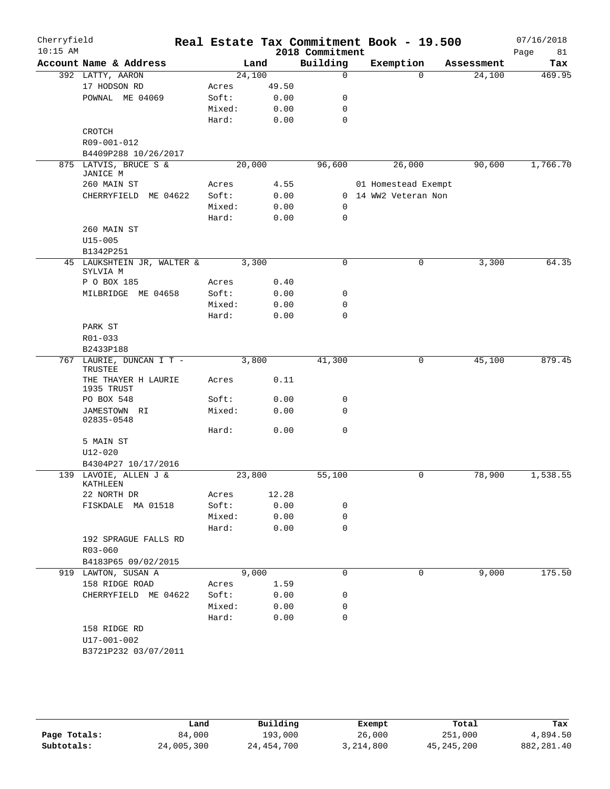| Cherryfield<br>$10:15$ AM |                                        |        |       | Real Estate Tax Commitment Book - 19.500<br>2018 Commitment |                      |          |            | 07/16/2018<br>Page<br>81 |
|---------------------------|----------------------------------------|--------|-------|-------------------------------------------------------------|----------------------|----------|------------|--------------------------|
|                           | Account Name & Address                 |        | Land  | Building                                                    | Exemption            |          | Assessment | Tax                      |
|                           | 392 LATTY, AARON                       | 24,100 |       | $\mathbf 0$                                                 |                      | $\Omega$ | 24,100     | 469.95                   |
|                           | 17 HODSON RD                           | Acres  | 49.50 |                                                             |                      |          |            |                          |
|                           | POWNAL ME 04069                        | Soft:  | 0.00  | 0                                                           |                      |          |            |                          |
|                           |                                        | Mixed: | 0.00  | 0                                                           |                      |          |            |                          |
|                           |                                        | Hard:  | 0.00  | $\mathbf 0$                                                 |                      |          |            |                          |
|                           | CROTCH                                 |        |       |                                                             |                      |          |            |                          |
|                           | R09-001-012                            |        |       |                                                             |                      |          |            |                          |
|                           | B4409P288 10/26/2017                   |        |       |                                                             |                      |          |            |                          |
|                           | 875 LATVIS, BRUCE S &<br>JANICE M      | 20,000 |       | 96,600                                                      | 26,000               |          | 90,600     | 1,766.70                 |
|                           | 260 MAIN ST                            | Acres  | 4.55  |                                                             | 01 Homestead Exempt  |          |            |                          |
|                           | CHERRYFIELD ME 04622                   | Soft:  | 0.00  |                                                             | 0 14 WW2 Veteran Non |          |            |                          |
|                           |                                        | Mixed: | 0.00  | 0                                                           |                      |          |            |                          |
|                           |                                        | Hard:  | 0.00  | 0                                                           |                      |          |            |                          |
|                           | 260 MAIN ST                            |        |       |                                                             |                      |          |            |                          |
|                           | $U15 - 005$                            |        |       |                                                             |                      |          |            |                          |
|                           | B1342P251                              |        |       |                                                             |                      |          |            |                          |
|                           | 45 LAUKSHTEIN JR, WALTER &<br>SYLVIA M | 3,300  |       | 0                                                           |                      | 0        | 3,300      | 64.35                    |
|                           | P O BOX 185                            | Acres  | 0.40  |                                                             |                      |          |            |                          |
|                           | MILBRIDGE ME 04658                     | Soft:  | 0.00  | 0                                                           |                      |          |            |                          |
|                           |                                        | Mixed: | 0.00  | 0                                                           |                      |          |            |                          |
|                           |                                        | Hard:  | 0.00  | $\mathbf 0$                                                 |                      |          |            |                          |
|                           | PARK ST                                |        |       |                                                             |                      |          |            |                          |
|                           | R01-033                                |        |       |                                                             |                      |          |            |                          |
|                           | B2433P188                              |        |       |                                                             |                      |          |            |                          |
| 767                       | LAURIE, DUNCAN I T -<br>TRUSTEE        |        | 3,800 | 41,300                                                      |                      | 0        | 45,100     | 879.45                   |
|                           | THE THAYER H LAURIE<br>1935 TRUST      | Acres  | 0.11  |                                                             |                      |          |            |                          |
|                           | PO BOX 548                             | Soft:  | 0.00  | 0                                                           |                      |          |            |                          |
|                           | JAMESTOWN RI<br>02835-0548             | Mixed: | 0.00  | $\Omega$                                                    |                      |          |            |                          |
|                           |                                        | Hard:  | 0.00  | 0                                                           |                      |          |            |                          |
|                           | 5 MAIN ST                              |        |       |                                                             |                      |          |            |                          |
|                           | $U12 - 020$                            |        |       |                                                             |                      |          |            |                          |
|                           | B4304P27 10/17/2016                    |        |       |                                                             |                      |          |            |                          |
|                           | 139 LAVOIE, ALLEN J &<br>KATHLEEN      | 23,800 |       | 55,100                                                      |                      | 0        | 78,900     | 1,538.55                 |
|                           | 22 NORTH DR                            | Acres  | 12.28 |                                                             |                      |          |            |                          |
|                           | FISKDALE MA 01518                      | Soft:  | 0.00  | 0                                                           |                      |          |            |                          |
|                           |                                        | Mixed: | 0.00  | 0                                                           |                      |          |            |                          |
|                           |                                        | Hard:  | 0.00  | 0                                                           |                      |          |            |                          |
|                           | 192 SPRAGUE FALLS RD                   |        |       |                                                             |                      |          |            |                          |
|                           | R03-060                                |        |       |                                                             |                      |          |            |                          |
|                           | B4183P65 09/02/2015                    |        |       |                                                             |                      |          |            |                          |
|                           | 919 LAWTON, SUSAN A                    | 9,000  |       | 0                                                           |                      | 0        | 9,000      | 175.50                   |
|                           | 158 RIDGE ROAD                         | Acres  | 1.59  |                                                             |                      |          |            |                          |
|                           | CHERRYFIELD ME 04622                   | Soft:  | 0.00  | 0                                                           |                      |          |            |                          |
|                           |                                        | Mixed: | 0.00  | 0                                                           |                      |          |            |                          |
|                           |                                        | Hard:  | 0.00  | 0                                                           |                      |          |            |                          |
|                           | 158 RIDGE RD                           |        |       |                                                             |                      |          |            |                          |
|                           | U17-001-002                            |        |       |                                                             |                      |          |            |                          |
|                           | B3721P232 03/07/2011                   |        |       |                                                             |                      |          |            |                          |
|                           |                                        |        |       |                                                             |                      |          |            |                          |

|              | Land       | Building     | Exempt    | Total        | Tax          |
|--------------|------------|--------------|-----------|--------------|--------------|
| Page Totals: | 84,000     | 193,000      | 26,000    | 251,000      | 4,894.50     |
| Subtotals:   | 24,005,300 | 24, 454, 700 | 3,214,800 | 45, 245, 200 | 882, 281, 40 |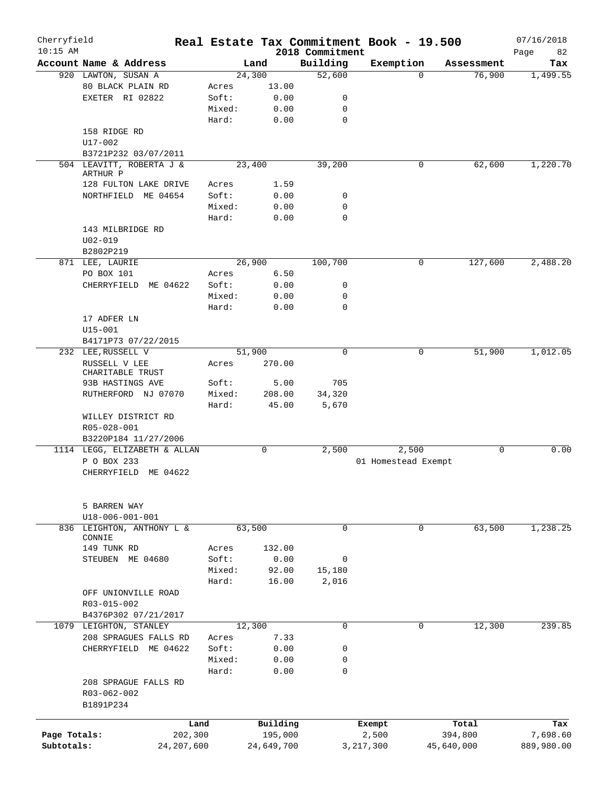| Cherryfield  |                                     |              |                |                    | Real Estate Tax Commitment Book - 19.500 |                      | 07/16/2018      |
|--------------|-------------------------------------|--------------|----------------|--------------------|------------------------------------------|----------------------|-----------------|
| $10:15$ AM   | Account Name & Address              |              |                | 2018 Commitment    |                                          |                      | Page<br>82      |
|              | 920 LAWTON, SUSAN A                 |              | Land<br>24,300 | Building<br>52,600 | Exemption<br>$\Omega$                    | Assessment<br>76,900 | Tax<br>1,499.55 |
|              | 80 BLACK PLAIN RD                   | Acres        | 13.00          |                    |                                          |                      |                 |
|              | EXETER RI 02822                     | Soft:        | 0.00           | 0                  |                                          |                      |                 |
|              |                                     | Mixed:       | 0.00           | 0                  |                                          |                      |                 |
|              |                                     | Hard:        | 0.00           | $\mathbf 0$        |                                          |                      |                 |
|              | 158 RIDGE RD                        |              |                |                    |                                          |                      |                 |
|              | $U17 - 002$                         |              |                |                    |                                          |                      |                 |
|              | B3721P232 03/07/2011                |              |                |                    |                                          |                      |                 |
|              | 504 LEAVITT, ROBERTA J &            |              | 23,400         | 39,200             | 0                                        | 62,600               | 1,220.70        |
|              | ARTHUR P                            |              |                |                    |                                          |                      |                 |
|              | 128 FULTON LAKE DRIVE               | Acres        | 1.59           |                    |                                          |                      |                 |
|              | NORTHFIELD ME 04654                 | Soft:        | 0.00           | 0                  |                                          |                      |                 |
|              |                                     | Mixed:       | 0.00           | $\mathbf 0$        |                                          |                      |                 |
|              |                                     | Hard:        | 0.00           | $\mathbf 0$        |                                          |                      |                 |
|              | 143 MILBRIDGE RD                    |              |                |                    |                                          |                      |                 |
|              | $U02 - 019$                         |              |                |                    |                                          |                      |                 |
|              | B2802P219                           |              |                |                    |                                          |                      |                 |
|              | 871 LEE, LAURIE                     |              | 26,900         | 100,700            | 0                                        | 127,600              | 2,488.20        |
|              | PO BOX 101                          | Acres        | 6.50           |                    |                                          |                      |                 |
|              | CHERRYFIELD<br>ME 04622             | Soft:        | 0.00           | 0                  |                                          |                      |                 |
|              |                                     | Mixed:       | 0.00           | $\mathbf 0$        |                                          |                      |                 |
|              |                                     | Hard:        | 0.00           | $\mathbf 0$        |                                          |                      |                 |
|              | 17 ADFER LN                         |              |                |                    |                                          |                      |                 |
|              | $U15 - 001$                         |              |                |                    |                                          |                      |                 |
|              | B4171P73 07/22/2015                 |              |                |                    |                                          |                      |                 |
|              | 232 LEE, RUSSELL V                  |              | 51,900         | $\mathbf 0$        | 0                                        | 51,900               | 1,012.05        |
|              | RUSSELL V LEE                       | Acres        | 270.00         |                    |                                          |                      |                 |
|              | CHARITABLE TRUST                    |              |                |                    |                                          |                      |                 |
|              | 93B HASTINGS AVE                    | Soft:        | 5.00           | 705                |                                          |                      |                 |
|              | RUTHERFORD NJ 07070                 | Mixed:       | 208.00         | 34,320             |                                          |                      |                 |
|              |                                     | Hard:        | 45.00          | 5,670              |                                          |                      |                 |
|              | WILLEY DISTRICT RD                  |              |                |                    |                                          |                      |                 |
|              | R05-028-001                         |              |                |                    |                                          |                      |                 |
|              | B3220P184 11/27/2006                |              |                |                    |                                          |                      |                 |
|              | 1114 LEGG, ELIZABETH & ALLAN        |              | 0              | 2,500              | 2,500                                    | 0                    | 0.00            |
|              | P O BOX 233                         |              |                |                    | 01 Homestead Exempt                      |                      |                 |
|              | CHERRYFIELD ME 04622                |              |                |                    |                                          |                      |                 |
|              | 5 BARREN WAY                        |              |                |                    |                                          |                      |                 |
|              | $U18 - 006 - 001 - 001$             |              |                |                    |                                          |                      |                 |
|              | 836 LEIGHTON, ANTHONY L &<br>CONNIE |              | 63,500         | $\Omega$           | 0                                        | 63,500               | 1,238.25        |
|              | 149 TUNK RD                         | Acres        | 132.00         |                    |                                          |                      |                 |
|              | STEUBEN ME 04680                    | Soft:        | 0.00           | 0                  |                                          |                      |                 |
|              |                                     | Mixed:       | 92.00          | 15,180             |                                          |                      |                 |
|              |                                     | Hard:        | 16.00          | 2,016              |                                          |                      |                 |
|              | OFF UNIONVILLE ROAD                 |              |                |                    |                                          |                      |                 |
|              | R03-015-002                         |              |                |                    |                                          |                      |                 |
|              | B4376P302 07/21/2017                |              |                |                    |                                          |                      |                 |
|              | 1079 LEIGHTON, STANLEY              |              | 12,300         | $\mathbf 0$        | 0                                        | 12,300               | 239.85          |
|              | 208 SPRAGUES FALLS RD               | Acres        | 7.33           |                    |                                          |                      |                 |
|              | CHERRYFIELD ME 04622                | Soft:        | 0.00           | 0                  |                                          |                      |                 |
|              |                                     | Mixed:       | 0.00           | 0                  |                                          |                      |                 |
|              |                                     | Hard:        | 0.00           | $\mathbf 0$        |                                          |                      |                 |
|              | 208 SPRAGUE FALLS RD                |              |                |                    |                                          |                      |                 |
|              | R03-062-002                         |              |                |                    |                                          |                      |                 |
|              | B1891P234                           |              |                |                    |                                          |                      |                 |
|              |                                     | Land         | Building       |                    | Exempt                                   | Total                | Tax             |
| Page Totals: |                                     | 202,300      | 195,000        |                    | 2,500                                    | 394,800              | 7,698.60        |
| Subtotals:   |                                     | 24, 207, 600 | 24,649,700     |                    | 3, 217, 300                              | 45,640,000           | 889,980.00      |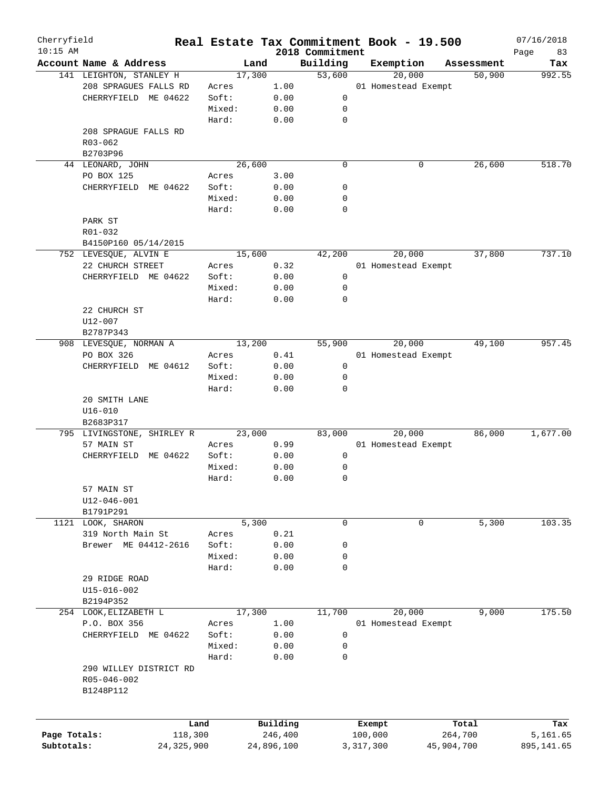| Cherryfield<br>$10:15$ AM |                            |        |            | 2018 Commitment | Real Estate Tax Commitment Book - 19.500 |            | 07/16/2018<br>83 |
|---------------------------|----------------------------|--------|------------|-----------------|------------------------------------------|------------|------------------|
|                           | Account Name & Address     | Land   |            | Building        | Exemption                                | Assessment | Page<br>Tax      |
|                           | 141 LEIGHTON, STANLEY H    | 17,300 |            | 53,600          | 20,000                                   | 50,900     | 992.55           |
|                           | 208 SPRAGUES FALLS RD      | Acres  | 1.00       |                 | 01 Homestead Exempt                      |            |                  |
|                           | CHERRYFIELD ME 04622       | Soft:  | 0.00       | 0               |                                          |            |                  |
|                           |                            | Mixed: | 0.00       | 0               |                                          |            |                  |
|                           |                            | Hard:  | 0.00       | 0               |                                          |            |                  |
|                           | 208 SPRAGUE FALLS RD       |        |            |                 |                                          |            |                  |
|                           | $R03 - 062$                |        |            |                 |                                          |            |                  |
|                           | B2703P96                   |        |            |                 |                                          |            |                  |
|                           | 44 LEONARD, JOHN           | 26,600 |            | $\mathbf 0$     | 0                                        | 26,600     | 518.70           |
|                           | PO BOX 125                 | Acres  | 3.00       |                 |                                          |            |                  |
|                           | CHERRYFIELD ME 04622       | Soft:  | 0.00       | 0               |                                          |            |                  |
|                           |                            | Mixed: | 0.00       | 0               |                                          |            |                  |
|                           |                            | Hard:  |            | 0               |                                          |            |                  |
|                           |                            |        | 0.00       |                 |                                          |            |                  |
|                           | PARK ST                    |        |            |                 |                                          |            |                  |
|                           | R01-032                    |        |            |                 |                                          |            |                  |
|                           | B4150P160 05/14/2015       |        |            |                 |                                          |            |                  |
|                           | 752 LEVESQUE, ALVIN E      | 15,600 |            | 42,200          | 20,000                                   | 37,800     | 737.10           |
|                           | 22 CHURCH STREET           | Acres  | 0.32       |                 | 01 Homestead Exempt                      |            |                  |
|                           | CHERRYFIELD ME 04622       | Soft:  | 0.00       | 0               |                                          |            |                  |
|                           |                            | Mixed: | 0.00       | 0               |                                          |            |                  |
|                           |                            | Hard:  | 0.00       | $\mathbf 0$     |                                          |            |                  |
|                           | 22 CHURCH ST               |        |            |                 |                                          |            |                  |
|                           | U12-007                    |        |            |                 |                                          |            |                  |
|                           | B2787P343                  |        |            |                 |                                          |            |                  |
|                           | 908 LEVESQUE, NORMAN A     | 13,200 |            | 55,900          | 20,000                                   | 49,100     | 957.45           |
|                           | PO BOX 326                 | Acres  | 0.41       |                 | 01 Homestead Exempt                      |            |                  |
|                           | CHERRYFIELD ME 04612       | Soft:  | 0.00       | 0               |                                          |            |                  |
|                           |                            | Mixed: | 0.00       | 0               |                                          |            |                  |
|                           |                            | Hard:  | 0.00       | 0               |                                          |            |                  |
|                           | 20 SMITH LANE              |        |            |                 |                                          |            |                  |
|                           | $U16 - 010$                |        |            |                 |                                          |            |                  |
|                           | B2683P317                  |        |            |                 |                                          |            |                  |
|                           | 795 LIVINGSTONE, SHIRLEY R | 23,000 |            | 83,000          | 20,000                                   | 86,000     | 1,677.00         |
|                           | 57 MAIN ST                 | Acres  | 0.99       |                 | 01 Homestead Exempt                      |            |                  |
|                           | CHERRYFIELD ME 04622       | Soft:  | 0.00       | 0               |                                          |            |                  |
|                           |                            | Mixed: | 0.00       | 0               |                                          |            |                  |
|                           |                            | Hard:  | 0.00       | 0               |                                          |            |                  |
|                           | 57 MAIN ST                 |        |            |                 |                                          |            |                  |
|                           | U12-046-001                |        |            |                 |                                          |            |                  |
|                           | B1791P291                  |        |            |                 |                                          |            |                  |
|                           |                            |        |            |                 |                                          |            | 103.35           |
| 1121                      | LOOK, SHARON               | 5,300  |            | 0               | 0                                        | 5,300      |                  |
|                           | 319 North Main St          | Acres  | 0.21       |                 |                                          |            |                  |
|                           | Brewer ME 04412-2616       | Soft:  | 0.00       | 0               |                                          |            |                  |
|                           |                            | Mixed: | 0.00       | 0               |                                          |            |                  |
|                           |                            | Hard:  | 0.00       | $\mathbf 0$     |                                          |            |                  |
|                           | 29 RIDGE ROAD              |        |            |                 |                                          |            |                  |
|                           | $U15 - 016 - 002$          |        |            |                 |                                          |            |                  |
|                           | B2194P352                  |        |            |                 |                                          |            |                  |
|                           | 254 LOOK, ELIZABETH L      | 17,300 |            | 11,700          | 20,000                                   | 9,000      | 175.50           |
|                           | P.O. BOX 356               | Acres  | 1.00       |                 | 01 Homestead Exempt                      |            |                  |
|                           | CHERRYFIELD ME 04622       | Soft:  | 0.00       | 0               |                                          |            |                  |
|                           |                            | Mixed: | 0.00       | 0               |                                          |            |                  |
|                           |                            | Hard:  | 0.00       | 0               |                                          |            |                  |
|                           | 290 WILLEY DISTRICT RD     |        |            |                 |                                          |            |                  |
|                           | R05-046-002                |        |            |                 |                                          |            |                  |
|                           | B1248P112                  |        |            |                 |                                          |            |                  |
|                           |                            |        |            |                 |                                          |            |                  |
|                           |                            |        |            |                 |                                          |            |                  |
|                           | Land                       |        | Building   |                 | Exempt                                   | Total      | Tax              |
| Page Totals:              | 118,300                    |        | 246,400    |                 | 100,000                                  | 264,700    | 5,161.65         |
| Subtotals:                | 24, 325, 900               |        | 24,896,100 |                 | 3,317,300                                | 45,904,700 | 895,141.65       |
|                           |                            |        |            |                 |                                          |            |                  |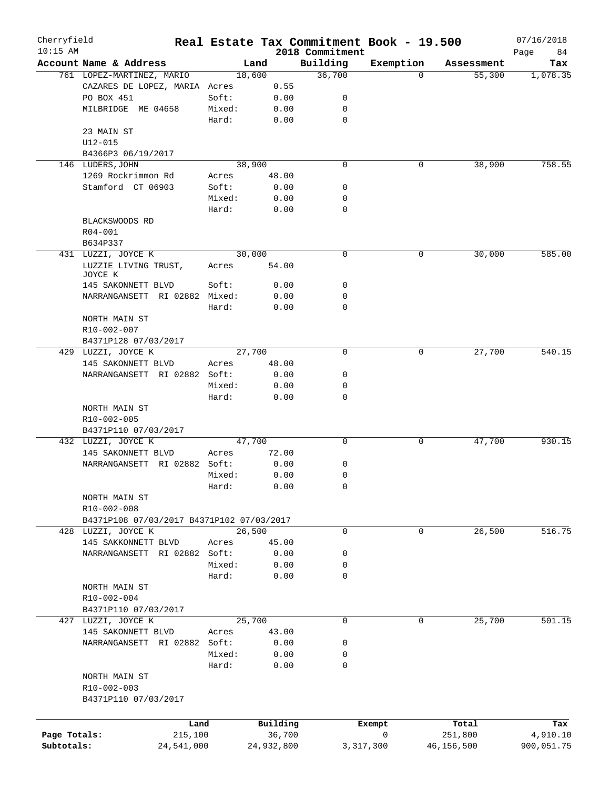| Cherryfield  |                                           |        |            | Real Estate Tax Commitment Book - 19.500 |           |            | 07/16/2018        |
|--------------|-------------------------------------------|--------|------------|------------------------------------------|-----------|------------|-------------------|
| $10:15$ AM   | Account Name & Address                    |        | Land       | 2018 Commitment<br>Building              | Exemption | Assessment | Page<br>84<br>Tax |
|              | 761 LOPEZ-MARTINEZ, MARIO                 |        | 18,600     | 36,700                                   | $\Omega$  | 55,300     | 1,078.35          |
|              | CAZARES DE LOPEZ, MARIA Acres             |        | 0.55       |                                          |           |            |                   |
|              | PO BOX 451                                | Soft:  | 0.00       | 0                                        |           |            |                   |
|              | MILBRIDGE ME 04658                        | Mixed: | 0.00       | 0                                        |           |            |                   |
|              |                                           | Hard:  | 0.00       | 0                                        |           |            |                   |
|              | 23 MAIN ST                                |        |            |                                          |           |            |                   |
|              | $U12 - 015$                               |        |            |                                          |           |            |                   |
|              | B4366P3 06/19/2017                        |        |            |                                          |           |            |                   |
|              | 146 LUDERS, JOHN                          |        | 38,900     | $\mathbf 0$                              | 0         | 38,900     | 758.55            |
|              | 1269 Rockrimmon Rd                        | Acres  | 48.00      |                                          |           |            |                   |
|              | Stamford CT 06903                         | Soft:  | 0.00       | 0                                        |           |            |                   |
|              |                                           | Mixed: | 0.00       | 0                                        |           |            |                   |
|              |                                           | Hard:  | 0.00       | $\mathbf 0$                              |           |            |                   |
|              | BLACKSWOODS RD                            |        |            |                                          |           |            |                   |
|              | R04-001                                   |        |            |                                          |           |            |                   |
|              | B634P337                                  |        |            |                                          |           |            |                   |
|              | 431 LUZZI, JOYCE K                        |        | 30,000     | $\mathbf 0$                              | 0         | 30,000     | 585.00            |
|              | LUZZIE LIVING TRUST,                      | Acres  | 54.00      |                                          |           |            |                   |
|              | JOYCE K                                   |        |            |                                          |           |            |                   |
|              | 145 SAKONNETT BLVD                        | Soft:  | 0.00       | 0                                        |           |            |                   |
|              | NARRANGANSETT RI 02882 Mixed:             |        | 0.00       | 0                                        |           |            |                   |
|              |                                           | Hard:  | 0.00       | 0                                        |           |            |                   |
|              | NORTH MAIN ST                             |        |            |                                          |           |            |                   |
|              | R10-002-007                               |        |            |                                          |           |            |                   |
|              | B4371P128 07/03/2017                      |        |            |                                          |           |            |                   |
|              | 429 LUZZI, JOYCE K                        |        | 27,700     | 0                                        | 0         | 27,700     | 540.15            |
|              | 145 SAKONNETT BLVD                        | Acres  | 48.00      |                                          |           |            |                   |
|              | NARRANGANSETT RI 02882 Soft:              |        | 0.00       | 0                                        |           |            |                   |
|              |                                           | Mixed: | 0.00       | 0                                        |           |            |                   |
|              |                                           | Hard:  | 0.00       | 0                                        |           |            |                   |
|              | NORTH MAIN ST                             |        |            |                                          |           |            |                   |
|              | R10-002-005                               |        |            |                                          |           |            |                   |
|              | B4371P110 07/03/2017                      |        |            |                                          |           |            |                   |
|              | 432 LUZZI, JOYCE K                        |        | 47,700     | 0                                        | 0         | 47,700     | 930.15            |
|              | 145 SAKONNETT BLVD                        | Acres  | 72.00      |                                          |           |            |                   |
|              | NARRANGANSETT RI 02882 Soft:              |        | 0.00       | 0                                        |           |            |                   |
|              |                                           | Mixed: | 0.00       | 0                                        |           |            |                   |
|              |                                           | Hard:  | 0.00       | 0                                        |           |            |                   |
|              | NORTH MAIN ST                             |        |            |                                          |           |            |                   |
|              | R10-002-008                               |        |            |                                          |           |            |                   |
|              | B4371P108 07/03/2017 B4371P102 07/03/2017 |        | 26,500     | $\mathbf 0$                              | 0         |            |                   |
|              | 428 LUZZI, JOYCE K                        |        |            |                                          |           | 26,500     | 516.75            |
|              | 145 SAKKONNETT BLVD                       | Acres  | 45.00      |                                          |           |            |                   |
|              | NARRANGANSETT RI 02882 Soft:              |        | 0.00       | 0                                        |           |            |                   |
|              |                                           | Mixed: | 0.00       | 0<br>0                                   |           |            |                   |
|              |                                           | Hard:  | 0.00       |                                          |           |            |                   |
|              | NORTH MAIN ST                             |        |            |                                          |           |            |                   |
|              | R10-002-004<br>B4371P110 07/03/2017       |        |            |                                          |           |            |                   |
|              |                                           |        | 25,700     | $\mathbf 0$                              | 0         | 25,700     | 501.15            |
|              | 427 LUZZI, JOYCE K                        |        |            |                                          |           |            |                   |
|              | 145 SAKONNETT BLVD                        | Acres  | 43.00      |                                          |           |            |                   |
|              | NARRANGANSETT RI 02882 Soft:              |        | 0.00       | 0                                        |           |            |                   |
|              |                                           | Mixed: | 0.00       | 0                                        |           |            |                   |
|              |                                           | Hard:  | 0.00       | 0                                        |           |            |                   |
|              | NORTH MAIN ST                             |        |            |                                          |           |            |                   |
|              | R10-002-003                               |        |            |                                          |           |            |                   |
|              | B4371P110 07/03/2017                      |        |            |                                          |           |            |                   |
|              |                                           |        |            |                                          |           |            |                   |
|              |                                           | Land   | Building   |                                          | Exempt    | Total      | Tax               |
| Page Totals: | 215,100                                   |        | 36,700     |                                          | 0         | 251,800    | 4,910.10          |
| Subtotals:   | 24,541,000                                |        | 24,932,800 | 3,317,300                                |           | 46,156,500 | 900,051.75        |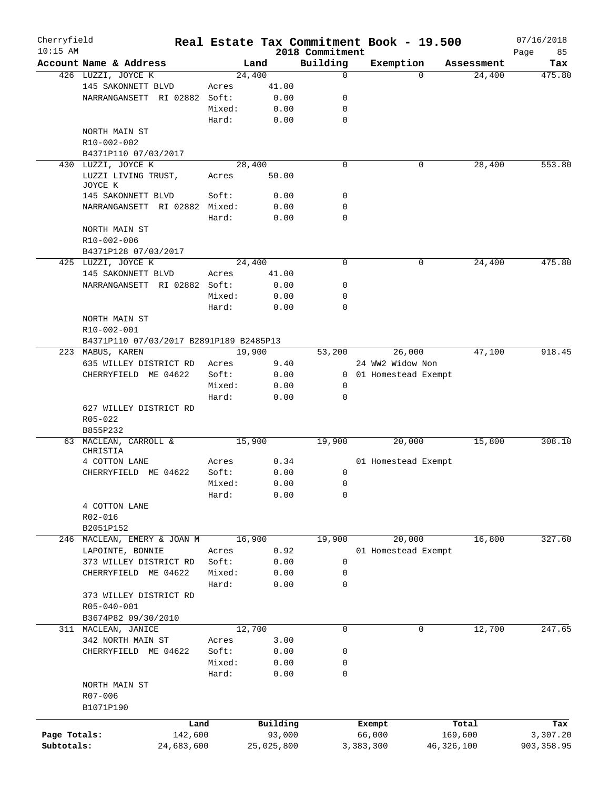| Cherryfield<br>$10:15$ AM |                                         |        |            |      |                             | Real Estate Tax Commitment Book - 19.500 |          |              | 07/16/2018        |
|---------------------------|-----------------------------------------|--------|------------|------|-----------------------------|------------------------------------------|----------|--------------|-------------------|
|                           | Account Name & Address                  |        | Land       |      | 2018 Commitment<br>Building | Exemption                                |          | Assessment   | Page<br>85<br>Tax |
|                           | 426 LUZZI, JOYCE K                      |        | 24,400     |      | $\mathbf 0$                 |                                          | $\Omega$ | 24,400       | 475.80            |
|                           | 145 SAKONNETT BLVD                      | Acres  | 41.00      |      |                             |                                          |          |              |                   |
|                           | NARRANGANSETT RI 02882 Soft:            |        | 0.00       |      | 0                           |                                          |          |              |                   |
|                           |                                         | Mixed: | 0.00       |      | 0                           |                                          |          |              |                   |
|                           |                                         | Hard:  | 0.00       |      | $\mathbf 0$                 |                                          |          |              |                   |
|                           | NORTH MAIN ST                           |        |            |      |                             |                                          |          |              |                   |
|                           | R10-002-002                             |        |            |      |                             |                                          |          |              |                   |
|                           | B4371P110 07/03/2017                    |        |            |      |                             |                                          |          |              |                   |
|                           | 430 LUZZI, JOYCE K                      |        | 28,400     |      | $\mathbf 0$                 |                                          | 0        | 28,400       | 553.80            |
|                           | LUZZI LIVING TRUST,                     | Acres  | 50.00      |      |                             |                                          |          |              |                   |
|                           | JOYCE K                                 |        |            |      |                             |                                          |          |              |                   |
|                           | 145 SAKONNETT BLVD                      | Soft:  | 0.00       |      | 0                           |                                          |          |              |                   |
|                           | NARRANGANSETT RI 02882 Mixed:           |        | 0.00       |      | 0                           |                                          |          |              |                   |
|                           |                                         | Hard:  |            | 0.00 | 0                           |                                          |          |              |                   |
|                           | NORTH MAIN ST                           |        |            |      |                             |                                          |          |              |                   |
|                           | R10-002-006                             |        |            |      |                             |                                          |          |              |                   |
|                           | B4371P128 07/03/2017                    |        |            |      |                             |                                          |          |              |                   |
|                           | 425 LUZZI, JOYCE K                      |        | 24,400     |      | 0                           |                                          | 0        | 24,400       | 475.80            |
|                           | 145 SAKONNETT BLVD                      | Acres  | 41.00      |      |                             |                                          |          |              |                   |
|                           | NARRANGANSETT RI 02882 Soft:            |        | 0.00       |      | 0                           |                                          |          |              |                   |
|                           |                                         | Mixed: | 0.00       |      | 0                           |                                          |          |              |                   |
|                           |                                         | Hard:  |            | 0.00 | 0                           |                                          |          |              |                   |
|                           | NORTH MAIN ST                           |        |            |      |                             |                                          |          |              |                   |
|                           | R10-002-001                             |        |            |      |                             |                                          |          |              |                   |
|                           | B4371P110 07/03/2017 B2891P189 B2485P13 |        |            |      |                             |                                          |          |              |                   |
|                           | 223 MABUS, KAREN                        |        | 19,900     |      | 53,200                      | 26,000                                   |          | 47,100       | 918.45            |
|                           | 635 WILLEY DISTRICT RD                  | Acres  |            | 9.40 |                             | 24 WW2 Widow Non                         |          |              |                   |
|                           | CHERRYFIELD ME 04622                    | Soft:  |            | 0.00 |                             | 0 01 Homestead Exempt                    |          |              |                   |
|                           |                                         | Mixed: |            | 0.00 | 0                           |                                          |          |              |                   |
|                           |                                         | Hard:  |            | 0.00 | 0                           |                                          |          |              |                   |
|                           |                                         |        |            |      |                             |                                          |          |              |                   |
|                           | 627 WILLEY DISTRICT RD<br>R05-022       |        |            |      |                             |                                          |          |              |                   |
|                           | B855P232                                |        |            |      |                             |                                          |          |              |                   |
| 63                        | MACLEAN, CARROLL &                      |        | 15,900     |      | 19,900                      | 20,000                                   |          | 15,800       | 308.10            |
|                           | CHRISTIA                                |        |            |      |                             |                                          |          |              |                   |
|                           | 4 COTTON LANE                           | Acres  | 0.34       |      |                             | 01 Homestead Exempt                      |          |              |                   |
|                           | CHERRYFIELD ME 04622                    | Soft:  | 0.00       |      | 0                           |                                          |          |              |                   |
|                           |                                         | Mixed: |            | 0.00 | 0                           |                                          |          |              |                   |
|                           |                                         | Hard:  | 0.00       |      | 0                           |                                          |          |              |                   |
|                           | 4 COTTON LANE                           |        |            |      |                             |                                          |          |              |                   |
|                           | R02-016                                 |        |            |      |                             |                                          |          |              |                   |
|                           | B2051P152                               |        |            |      |                             |                                          |          |              |                   |
|                           | 246 MACLEAN, EMERY & JOAN M             |        | 16,900     |      | 19,900                      | 20,000                                   |          | 16,800       | 327.60            |
|                           | LAPOINTE, BONNIE                        | Acres  | 0.92       |      |                             | 01 Homestead Exempt                      |          |              |                   |
|                           | 373 WILLEY DISTRICT RD                  | Soft:  | 0.00       |      | 0                           |                                          |          |              |                   |
|                           | CHERRYFIELD ME 04622                    | Mixed: |            | 0.00 | 0                           |                                          |          |              |                   |
|                           |                                         | Hard:  |            | 0.00 | 0                           |                                          |          |              |                   |
|                           |                                         |        |            |      |                             |                                          |          |              |                   |
|                           | 373 WILLEY DISTRICT RD<br>R05-040-001   |        |            |      |                             |                                          |          |              |                   |
|                           |                                         |        |            |      |                             |                                          |          |              |                   |
|                           | B3674P82 09/30/2010                     |        | 12,700     |      | 0                           |                                          | 0        |              | 247.65            |
|                           | 311 MACLEAN, JANICE                     |        |            |      |                             |                                          |          | 12,700       |                   |
|                           | 342 NORTH MAIN ST                       | Acres  |            | 3.00 |                             |                                          |          |              |                   |
|                           | CHERRYFIELD ME 04622                    | Soft:  |            | 0.00 | 0                           |                                          |          |              |                   |
|                           |                                         | Mixed: |            | 0.00 | 0                           |                                          |          |              |                   |
|                           |                                         | Hard:  | 0.00       |      | 0                           |                                          |          |              |                   |
|                           | NORTH MAIN ST                           |        |            |      |                             |                                          |          |              |                   |
|                           | R07-006                                 |        |            |      |                             |                                          |          |              |                   |
|                           | B1071P190                               |        |            |      |                             |                                          |          |              |                   |
|                           |                                         | Land   | Building   |      |                             | Exempt                                   |          | Total        | Tax               |
| Page Totals:              | 142,600                                 |        | 93,000     |      |                             | 66,000                                   |          | 169,600      | 3,307.20          |
| Subtotals:                | 24,683,600                              |        | 25,025,800 |      |                             | 3,383,300                                |          | 46, 326, 100 | 903, 358.95       |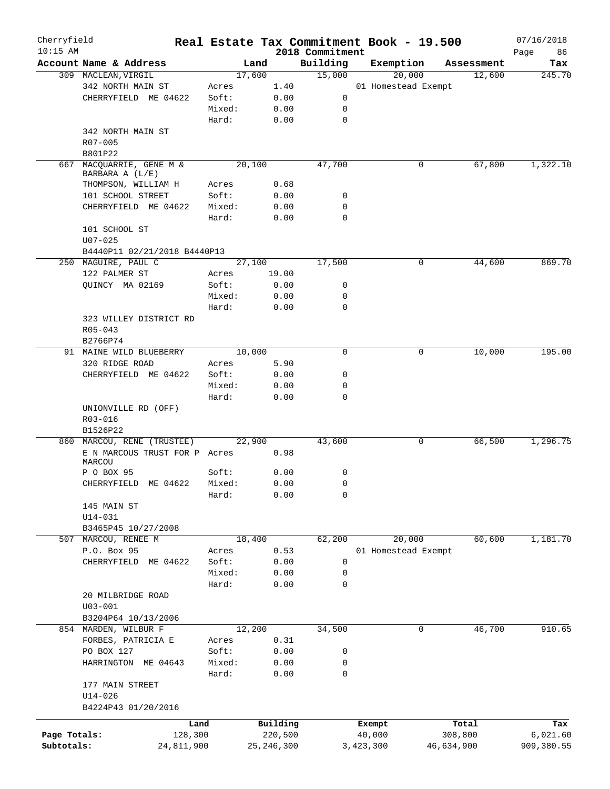| Cherryfield<br>$10:15$ AM |                               |            |        |              | 2018 Commitment | Real Estate Tax Commitment Book - 19.500 |            | 07/16/2018<br>Page<br>86 |
|---------------------------|-------------------------------|------------|--------|--------------|-----------------|------------------------------------------|------------|--------------------------|
|                           | Account Name & Address        |            | Land   |              | Building        | Exemption                                | Assessment | Tax                      |
|                           | 309 MACLEAN, VIRGIL           |            | 17,600 |              | 15,000          | 20,000                                   | 12,600     | 245.70                   |
|                           | 342 NORTH MAIN ST             |            | Acres  | 1.40         |                 | 01 Homestead Exempt                      |            |                          |
|                           | CHERRYFIELD ME 04622          |            | Soft:  | 0.00         | 0               |                                          |            |                          |
|                           |                               |            | Mixed: | 0.00         | 0               |                                          |            |                          |
|                           |                               |            | Hard:  | 0.00         | $\mathbf 0$     |                                          |            |                          |
|                           | 342 NORTH MAIN ST             |            |        |              |                 |                                          |            |                          |
|                           | R07-005                       |            |        |              |                 |                                          |            |                          |
|                           | B801P22                       |            |        |              |                 |                                          |            |                          |
| 667                       | MACQUARRIE, GENE M &          |            | 20,100 |              | 47,700          | 0                                        | 67,800     | 1,322.10                 |
|                           | BARBARA A (L/E)               |            |        |              |                 |                                          |            |                          |
|                           | THOMPSON, WILLIAM H           |            | Acres  | 0.68         |                 |                                          |            |                          |
|                           | 101 SCHOOL STREET             |            | Soft:  | 0.00         | 0               |                                          |            |                          |
|                           | CHERRYFIELD ME 04622          |            | Mixed: | 0.00         | 0               |                                          |            |                          |
|                           |                               |            | Hard:  | 0.00         | 0               |                                          |            |                          |
|                           | 101 SCHOOL ST                 |            |        |              |                 |                                          |            |                          |
|                           | $U07 - 025$                   |            |        |              |                 |                                          |            |                          |
|                           | B4440P11 02/21/2018 B4440P13  |            |        |              |                 |                                          |            |                          |
|                           | 250 MAGUIRE, PAUL C           |            | 27,100 |              | 17,500          | 0                                        | 44,600     | 869.70                   |
|                           | 122 PALMER ST                 |            |        |              |                 |                                          |            |                          |
|                           |                               |            | Acres  | 19.00        |                 |                                          |            |                          |
|                           | QUINCY MA 02169               |            | Soft:  | 0.00         | 0               |                                          |            |                          |
|                           |                               |            | Mixed: | 0.00         | 0               |                                          |            |                          |
|                           |                               |            | Hard:  | 0.00         | 0               |                                          |            |                          |
|                           | 323 WILLEY DISTRICT RD        |            |        |              |                 |                                          |            |                          |
|                           | $R05 - 043$                   |            |        |              |                 |                                          |            |                          |
|                           | B2766P74                      |            |        |              |                 |                                          |            |                          |
|                           | 91 MAINE WILD BLUEBERRY       |            | 10,000 |              | $\Omega$        | 0                                        | 10,000     | 195.00                   |
|                           | 320 RIDGE ROAD                |            | Acres  | 5.90         |                 |                                          |            |                          |
|                           | CHERRYFIELD ME 04622          |            | Soft:  | 0.00         | 0               |                                          |            |                          |
|                           |                               |            | Mixed: | 0.00         | 0               |                                          |            |                          |
|                           |                               |            | Hard:  | 0.00         | 0               |                                          |            |                          |
|                           | UNIONVILLE RD (OFF)           |            |        |              |                 |                                          |            |                          |
|                           | R03-016                       |            |        |              |                 |                                          |            |                          |
|                           | B1526P22                      |            |        |              |                 |                                          |            |                          |
|                           | 860 MARCOU, RENE (TRUSTEE)    |            | 22,900 |              | 43,600          | 0                                        | 66,500     | 1,296.75                 |
|                           | E N MARCOUS TRUST FOR P Acres |            |        | 0.98         |                 |                                          |            |                          |
|                           | MARCOU                        |            |        |              |                 |                                          |            |                          |
|                           | P O BOX 95                    |            | Soft:  | 0.00         | 0               |                                          |            |                          |
|                           | CHERRYFIELD ME 04622 Mixed:   |            |        | 0.00         | $\mathbf{0}$    |                                          |            |                          |
|                           |                               |            | Hard:  | 0.00         | 0               |                                          |            |                          |
|                           | 145 MAIN ST                   |            |        |              |                 |                                          |            |                          |
|                           | $U14 - 031$                   |            |        |              |                 |                                          |            |                          |
|                           | B3465P45 10/27/2008           |            |        |              |                 |                                          |            |                          |
|                           | 507 MARCOU, RENEE M           |            | 18,400 |              | 62,200          | 20,000                                   | 60,600     | 1,181.70                 |
|                           | P.O. Box 95                   |            | Acres  | 0.53         |                 | 01 Homestead Exempt                      |            |                          |
|                           | CHERRYFIELD ME 04622          |            | Soft:  | 0.00         | 0               |                                          |            |                          |
|                           |                               |            | Mixed: | 0.00         | 0               |                                          |            |                          |
|                           |                               |            | Hard:  | 0.00         | 0               |                                          |            |                          |
|                           | 20 MILBRIDGE ROAD             |            |        |              |                 |                                          |            |                          |
|                           | $U03 - 001$                   |            |        |              |                 |                                          |            |                          |
|                           | B3204P64 10/13/2006           |            |        |              |                 |                                          |            |                          |
|                           | 854 MARDEN, WILBUR F          |            | 12,200 |              | 34,500          | 0                                        | 46,700     | 910.65                   |
|                           |                               |            |        |              |                 |                                          |            |                          |
|                           | FORBES, PATRICIA E            |            | Acres  | 0.31         |                 |                                          |            |                          |
|                           | PO BOX 127                    |            | Soft:  | 0.00         | 0               |                                          |            |                          |
|                           | HARRINGTON ME 04643           |            | Mixed: | 0.00         | 0               |                                          |            |                          |
|                           |                               |            | Hard:  | 0.00         | 0               |                                          |            |                          |
|                           | 177 MAIN STREET               |            |        |              |                 |                                          |            |                          |
|                           | $U14 - 026$                   |            |        |              |                 |                                          |            |                          |
|                           | B4224P43 01/20/2016           |            |        |              |                 |                                          |            |                          |
|                           |                               | Land       |        | Building     |                 | Exempt                                   | Total      | Tax                      |
| Page Totals:              |                               | 128,300    |        | 220,500      |                 | 40,000                                   | 308,800    | 6,021.60                 |
| Subtotals:                |                               | 24,811,900 |        | 25, 246, 300 |                 | 3,423,300                                | 46,634,900 | 909,380.55               |
|                           |                               |            |        |              |                 |                                          |            |                          |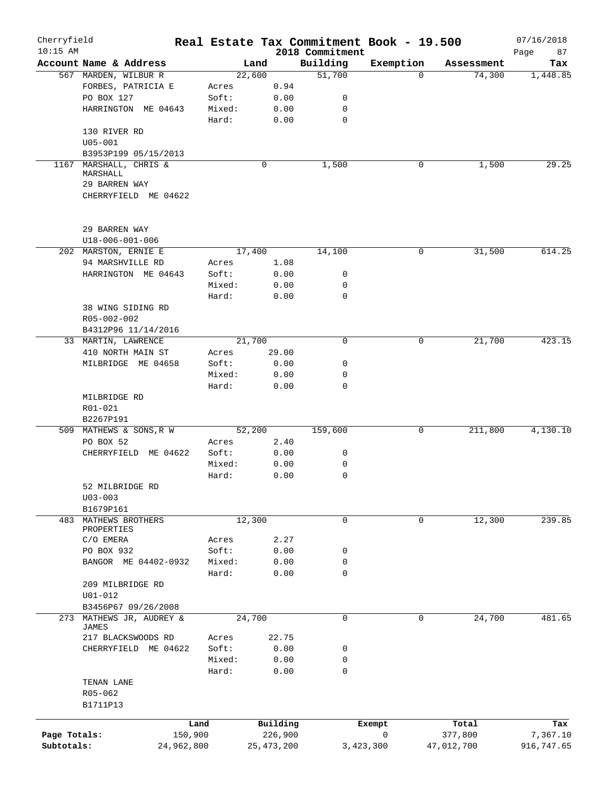| Cherryfield<br>$10:15$ AM |                               |            |        |              | 2018 Commitment | Real Estate Tax Commitment Book - 19.500 |            | 07/16/2018<br>Page<br>87 |
|---------------------------|-------------------------------|------------|--------|--------------|-----------------|------------------------------------------|------------|--------------------------|
|                           | Account Name & Address        |            | Land   |              | Building        | Exemption                                | Assessment | Tax                      |
|                           | 567 MARDEN, WILBUR R          |            | 22,600 |              | 51,700          | $\Omega$                                 | 74,300     | 1,448.85                 |
|                           | FORBES, PATRICIA E            | Acres      |        | 0.94         |                 |                                          |            |                          |
|                           | PO BOX 127                    | Soft:      |        | 0.00         | 0               |                                          |            |                          |
|                           | HARRINGTON ME 04643           | Mixed:     |        | 0.00         | 0               |                                          |            |                          |
|                           |                               | Hard:      |        | 0.00         | 0               |                                          |            |                          |
|                           | 130 RIVER RD                  |            |        |              |                 |                                          |            |                          |
|                           | $U05 - 001$                   |            |        |              |                 |                                          |            |                          |
|                           |                               |            |        |              |                 |                                          |            |                          |
|                           | B3953P199 05/15/2013          |            |        |              |                 |                                          |            | 29.25                    |
| 1167                      | MARSHALL, CHRIS &<br>MARSHALL |            | 0      |              | 1,500           | 0                                        | 1,500      |                          |
|                           | 29 BARREN WAY                 |            |        |              |                 |                                          |            |                          |
|                           | CHERRYFIELD ME 04622          |            |        |              |                 |                                          |            |                          |
|                           |                               |            |        |              |                 |                                          |            |                          |
|                           | 29 BARREN WAY                 |            |        |              |                 |                                          |            |                          |
|                           | U18-006-001-006               |            |        |              |                 |                                          |            |                          |
|                           | 202 MARSTON, ERNIE E          |            | 17,400 |              | 14,100          | 0                                        | 31,500     | 614.25                   |
|                           | 94 MARSHVILLE RD              | Acres      |        | 1.08         |                 |                                          |            |                          |
|                           | HARRINGTON ME 04643           | Soft:      |        | 0.00         | 0               |                                          |            |                          |
|                           |                               | Mixed:     |        | 0.00         | 0               |                                          |            |                          |
|                           |                               | Hard:      |        | 0.00         | 0               |                                          |            |                          |
|                           | 38 WING SIDING RD             |            |        |              |                 |                                          |            |                          |
|                           | R05-002-002                   |            |        |              |                 |                                          |            |                          |
|                           | B4312P96 11/14/2016           |            |        |              |                 |                                          |            |                          |
|                           |                               |            | 21,700 |              | $\mathbf 0$     | 0                                        | 21,700     | 423.15                   |
|                           | 33 MARTIN, LAWRENCE           |            |        |              |                 |                                          |            |                          |
|                           | 410 NORTH MAIN ST             | Acres      |        | 29.00        |                 |                                          |            |                          |
|                           | MILBRIDGE ME 04658            | Soft:      |        | 0.00         | 0               |                                          |            |                          |
|                           |                               | Mixed:     |        | 0.00         | 0               |                                          |            |                          |
|                           |                               | Hard:      |        | 0.00         | 0               |                                          |            |                          |
|                           | MILBRIDGE RD                  |            |        |              |                 |                                          |            |                          |
|                           | R01-021                       |            |        |              |                 |                                          |            |                          |
|                           | B2267P191                     |            |        |              |                 |                                          |            |                          |
|                           | 509 MATHEWS & SONS, R W       |            | 52,200 |              | 159,600         | 0                                        | 211,800    | 4,130.10                 |
|                           | PO BOX 52                     | Acres      |        | 2.40         |                 |                                          |            |                          |
|                           | CHERRYFIELD ME 04622          | Soft:      |        | 0.00         | 0               |                                          |            |                          |
|                           |                               | Mixed:     |        | 0.00         | 0               |                                          |            |                          |
|                           |                               | Hard:      |        | 0.00         | 0               |                                          |            |                          |
|                           | 52 MILBRIDGE RD               |            |        |              |                 |                                          |            |                          |
|                           | $U03 - 003$                   |            |        |              |                 |                                          |            |                          |
|                           | B1679P161                     |            |        |              |                 |                                          |            |                          |
|                           | 483 MATHEWS BROTHERS          |            | 12,300 |              | 0               | 0                                        | 12,300     | 239.85                   |
|                           | PROPERTIES                    |            |        |              |                 |                                          |            |                          |
|                           | C/O EMERA                     | Acres      |        | 2.27         |                 |                                          |            |                          |
|                           | PO BOX 932                    | Soft:      |        | 0.00         | 0               |                                          |            |                          |
|                           | BANGOR ME 04402-0932          | Mixed:     |        | 0.00         | 0               |                                          |            |                          |
|                           |                               | Hard:      |        | 0.00         | 0               |                                          |            |                          |
|                           | 209 MILBRIDGE RD              |            |        |              |                 |                                          |            |                          |
|                           | $U01 - 012$                   |            |        |              |                 |                                          |            |                          |
|                           | B3456P67 09/26/2008           |            |        |              |                 |                                          |            |                          |
| 273                       | MATHEWS JR, AUDREY &<br>JAMES |            | 24,700 |              | 0               | 0                                        | 24,700     | 481.65                   |
|                           | 217 BLACKSWOODS RD            | Acres      |        | 22.75        |                 |                                          |            |                          |
|                           | CHERRYFIELD ME 04622          | Soft:      |        | 0.00         | 0               |                                          |            |                          |
|                           |                               | Mixed:     |        | 0.00         | 0               |                                          |            |                          |
|                           |                               | Hard:      |        | 0.00         | 0               |                                          |            |                          |
|                           | TENAN LANE                    |            |        |              |                 |                                          |            |                          |
|                           | R05-062                       |            |        |              |                 |                                          |            |                          |
|                           | B1711P13                      |            |        |              |                 |                                          |            |                          |
|                           |                               |            |        |              |                 |                                          |            |                          |
|                           |                               | Land       |        | Building     |                 | Exempt                                   | Total      | Tax                      |
| Page Totals:              |                               | 150,900    |        | 226,900      |                 | 0                                        | 377,800    | 7,367.10                 |
| Subtotals:                |                               | 24,962,800 |        | 25, 473, 200 |                 | 3,423,300                                | 47,012,700 | 916,747.65               |
|                           |                               |            |        |              |                 |                                          |            |                          |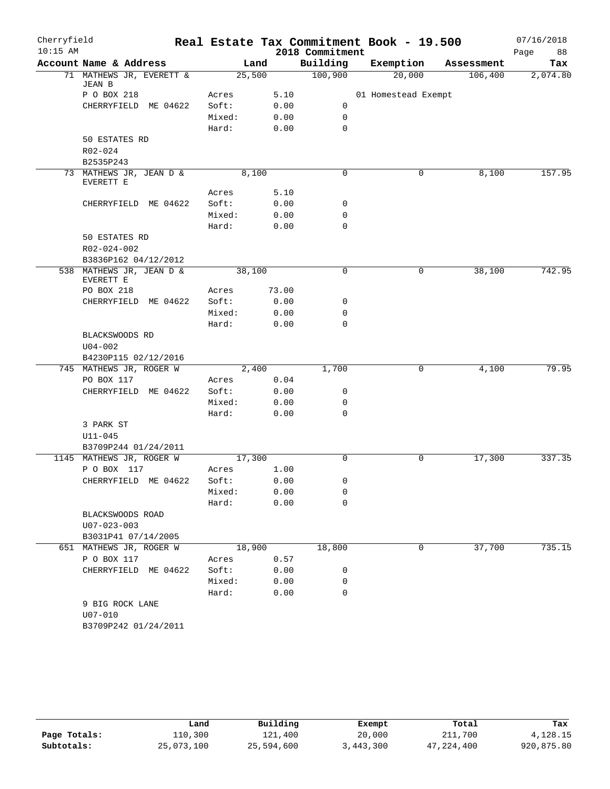| Cherryfield |                                                 |        |        |       |                 | Real Estate Tax Commitment Book - 19.500 |            | 07/16/2018 |
|-------------|-------------------------------------------------|--------|--------|-------|-----------------|------------------------------------------|------------|------------|
| $10:15$ AM  |                                                 |        |        |       | 2018 Commitment |                                          |            | 88<br>Page |
|             | Account Name & Address                          |        | Land   |       | Building        | Exemption                                | Assessment | Tax        |
|             | 71 MATHEWS JR, EVERETT &<br>JEAN B              |        | 25,500 |       | 100,900         | 20,000                                   | 106,400    | 2,074.80   |
|             | P O BOX 218                                     | Acres  |        | 5.10  |                 | 01 Homestead Exempt                      |            |            |
|             | CHERRYFIELD ME 04622                            | Soft:  |        | 0.00  | 0               |                                          |            |            |
|             |                                                 | Mixed: |        | 0.00  | $\mathbf 0$     |                                          |            |            |
|             |                                                 | Hard:  |        | 0.00  | 0               |                                          |            |            |
|             | 50 ESTATES RD                                   |        |        |       |                 |                                          |            |            |
|             | R02-024                                         |        |        |       |                 |                                          |            |            |
|             | B2535P243                                       |        |        |       |                 |                                          |            |            |
|             | 73 MATHEWS JR, JEAN D &<br>EVERETT E            |        | 8,100  |       | 0               | 0                                        | 8,100      | 157.95     |
|             |                                                 | Acres  |        | 5.10  |                 |                                          |            |            |
|             | CHERRYFIELD ME 04622                            | Soft:  |        | 0.00  | 0               |                                          |            |            |
|             |                                                 | Mixed: |        | 0.00  | 0               |                                          |            |            |
|             |                                                 | Hard:  |        | 0.00  | $\mathbf 0$     |                                          |            |            |
|             | 50 ESTATES RD                                   |        |        |       |                 |                                          |            |            |
|             | R02-024-002                                     |        |        |       |                 |                                          |            |            |
|             | B3836P162 04/12/2012                            |        |        |       |                 |                                          |            |            |
|             | 538 MATHEWS JR, JEAN D &<br>EVERETT E           |        | 38,100 |       | $\mathbf 0$     | 0                                        | 38,100     | 742.95     |
|             | PO BOX 218                                      | Acres  |        | 73.00 |                 |                                          |            |            |
|             | CHERRYFIELD ME 04622                            | Soft:  |        | 0.00  | 0               |                                          |            |            |
|             |                                                 | Mixed: |        | 0.00  | 0               |                                          |            |            |
|             |                                                 | Hard:  |        | 0.00  | 0               |                                          |            |            |
|             | BLACKSWOODS RD                                  |        |        |       |                 |                                          |            |            |
|             | $U04 - 002$                                     |        |        |       |                 |                                          |            |            |
|             | B4230P115 02/12/2016<br>745 MATHEWS JR, ROGER W |        | 2,400  |       | 1,700           | 0                                        | 4,100      | 79.95      |
|             | PO BOX 117                                      | Acres  |        | 0.04  |                 |                                          |            |            |
|             | CHERRYFIELD ME 04622                            | Soft:  |        | 0.00  | 0               |                                          |            |            |
|             |                                                 | Mixed: |        | 0.00  | 0               |                                          |            |            |
|             |                                                 | Hard:  |        | 0.00  | 0               |                                          |            |            |
|             | 3 PARK ST                                       |        |        |       |                 |                                          |            |            |
|             | $U11 - 045$                                     |        |        |       |                 |                                          |            |            |
|             | B3709P244 01/24/2011                            |        |        |       |                 |                                          |            |            |
|             | 1145 MATHEWS JR, ROGER W                        |        | 17,300 |       | $\mathbf 0$     | 0                                        | 17,300     | 337.35     |
|             | P O BOX 117                                     | Acres  |        | 1.00  |                 |                                          |            |            |
|             | CHERRYFIELD ME 04622                            |        | Soft:  | 0.00  | 0               |                                          |            |            |
|             |                                                 | Mixed: |        | 0.00  | 0               |                                          |            |            |
|             |                                                 | Hard:  |        | 0.00  | 0               |                                          |            |            |
|             | BLACKSWOODS ROAD                                |        |        |       |                 |                                          |            |            |
|             | $U07 - 023 - 003$                               |        |        |       |                 |                                          |            |            |
|             | B3031P41 07/14/2005                             |        |        |       |                 |                                          |            |            |
|             | 651 MATHEWS JR, ROGER W                         |        | 18,900 |       | 18,800          | 0                                        | 37,700     | 735.15     |
|             | P O BOX 117                                     | Acres  |        | 0.57  |                 |                                          |            |            |
|             | CHERRYFIELD ME 04622                            | Soft:  |        | 0.00  | 0               |                                          |            |            |
|             |                                                 | Mixed: |        | 0.00  | 0               |                                          |            |            |
|             |                                                 | Hard:  |        | 0.00  | 0               |                                          |            |            |
|             | 9 BIG ROCK LANE                                 |        |        |       |                 |                                          |            |            |
|             | U07-010                                         |        |        |       |                 |                                          |            |            |
|             | B3709P242 01/24/2011                            |        |        |       |                 |                                          |            |            |

|              | Land       | Building   | Exempt    | Total        | Tax        |
|--------------|------------|------------|-----------|--------------|------------|
| Page Totals: | 110,300    | 121,400    | 20,000    | 211,700      | 4,128.15   |
| Subtotals:   | 25,073,100 | 25,594,600 | 3,443,300 | 47, 224, 400 | 920,875.80 |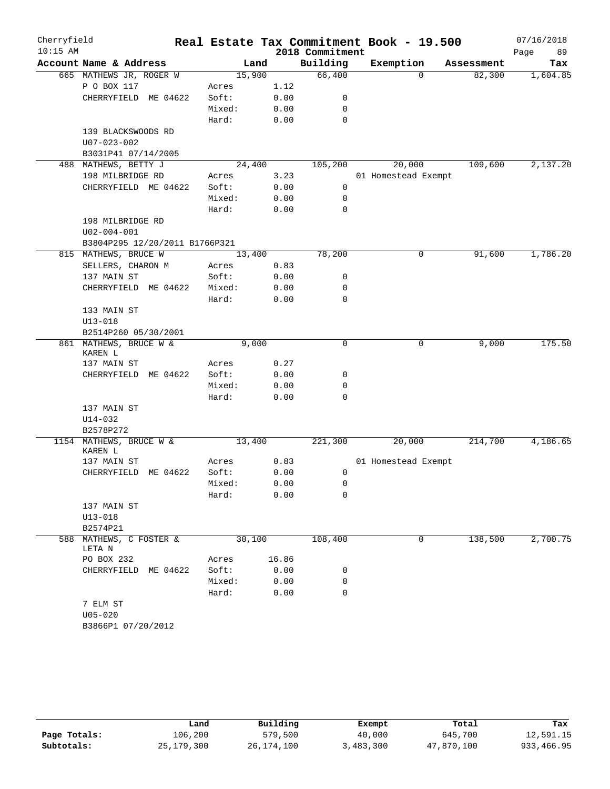| Cherryfield<br>$10:15$ AM |                                        |                |              | 2018 Commitment | Real Estate Tax Commitment Book - 19.500 |            | 07/16/2018<br>Page<br>89 |
|---------------------------|----------------------------------------|----------------|--------------|-----------------|------------------------------------------|------------|--------------------------|
|                           | Account Name & Address                 |                | Land         | Building        | Exemption                                | Assessment | Tax                      |
|                           | 665 MATHEWS JR, ROGER W                |                | 15,900       | 66,400          | $\Omega$                                 | 82,300     | 1,604.85                 |
|                           | P O BOX 117                            | Acres          | 1.12         |                 |                                          |            |                          |
|                           | CHERRYFIELD ME 04622                   | Soft:          | 0.00         | 0               |                                          |            |                          |
|                           |                                        | Mixed:         | 0.00         | 0               |                                          |            |                          |
|                           |                                        | Hard:          | 0.00         | 0               |                                          |            |                          |
|                           | 139 BLACKSWOODS RD                     |                |              |                 |                                          |            |                          |
|                           | U07-023-002                            |                |              |                 |                                          |            |                          |
|                           | B3031P41 07/14/2005                    |                |              |                 |                                          |            |                          |
|                           | 488 MATHEWS, BETTY J                   |                | 24,400       | 105,200         | 20,000                                   | 109,600    | 2,137.20                 |
|                           | 198 MILBRIDGE RD                       | Acres          | 3.23         |                 | 01 Homestead Exempt                      |            |                          |
|                           | CHERRYFIELD ME 04622                   | Soft:          | 0.00         | 0               |                                          |            |                          |
|                           |                                        | Mixed:         | 0.00         | 0               |                                          |            |                          |
|                           |                                        | Hard:          | 0.00         | 0               |                                          |            |                          |
|                           | 198 MILBRIDGE RD                       |                |              |                 |                                          |            |                          |
|                           | U02-004-001                            |                |              |                 |                                          |            |                          |
|                           | B3804P295 12/20/2011 B1766P321         |                |              |                 |                                          |            |                          |
|                           | 815 MATHEWS, BRUCE W                   |                | 13,400       | 78,200          | 0                                        | 91,600     | 1,786.20                 |
|                           | SELLERS, CHARON M                      | Acres          | 0.83         |                 |                                          |            |                          |
|                           | 137 MAIN ST                            | Soft:          | 0.00         | 0               |                                          |            |                          |
|                           | CHERRYFIELD<br>ME 04622                | Mixed:         | 0.00         | 0               |                                          |            |                          |
|                           |                                        | Hard:          | 0.00         | 0               |                                          |            |                          |
|                           | 133 MAIN ST                            |                |              |                 |                                          |            |                          |
|                           | $U13 - 018$<br>B2514P260 05/30/2001    |                |              |                 |                                          |            |                          |
|                           | 861 MATHEWS, BRUCE W &                 |                | 9,000        | $\mathbf 0$     | 0                                        | 9,000      | 175.50                   |
|                           | KAREN L                                |                |              |                 |                                          |            |                          |
|                           | 137 MAIN ST                            | Acres          | 0.27         |                 |                                          |            |                          |
|                           | CHERRYFIELD<br>ME 04622                | Soft:          | 0.00         | 0               |                                          |            |                          |
|                           |                                        | Mixed:         | 0.00         | 0               |                                          |            |                          |
|                           |                                        | Hard:          | 0.00         | 0               |                                          |            |                          |
|                           | 137 MAIN ST                            |                |              |                 |                                          |            |                          |
|                           | U14-032                                |                |              |                 |                                          |            |                          |
|                           | B2578P272                              |                |              |                 |                                          |            |                          |
|                           | 1154 MATHEWS, BRUCE W &                |                | 13,400       | 221,300         | 20,000                                   | 214,700    | 4,186.65                 |
|                           | KAREN L                                |                |              |                 |                                          |            |                          |
|                           | 137 MAIN ST<br>ME 04622<br>CHERRYFIELD | Acres<br>Soft: | 0.83<br>0.00 |                 | 01 Homestead Exempt                      |            |                          |
|                           |                                        | Mixed:         | 0.00         | 0<br>0          |                                          |            |                          |
|                           |                                        | Hard:          | 0.00         | 0               |                                          |            |                          |
|                           | 137 MAIN ST                            |                |              |                 |                                          |            |                          |
|                           | $U13 - 018$                            |                |              |                 |                                          |            |                          |
|                           | B2574P21                               |                |              |                 |                                          |            |                          |
|                           | 588 MATHEWS, C FOSTER &                |                | 30,100       | 108,400         | 0                                        | 138,500    | 2,700.75                 |
|                           | LETA N                                 |                |              |                 |                                          |            |                          |
|                           | PO BOX 232                             | Acres          | 16.86        |                 |                                          |            |                          |
|                           | CHERRYFIELD ME 04622                   | Soft:          | 0.00         | 0               |                                          |            |                          |
|                           |                                        | Mixed:         | 0.00         | 0               |                                          |            |                          |
|                           |                                        | Hard:          | 0.00         | 0               |                                          |            |                          |
|                           | 7 ELM ST                               |                |              |                 |                                          |            |                          |
|                           | $U05 - 020$                            |                |              |                 |                                          |            |                          |
|                           | B3866P1 07/20/2012                     |                |              |                 |                                          |            |                          |

|              | Land         | Building     | Exempt    | Total      | Tax        |
|--------------|--------------|--------------|-----------|------------|------------|
| Page Totals: | 106,200      | 579,500      | 40,000    | 645,700    | 12,591.15  |
| Subtotals:   | 25, 179, 300 | 26, 174, 100 | 3,483,300 | 47,870,100 | 933,466.95 |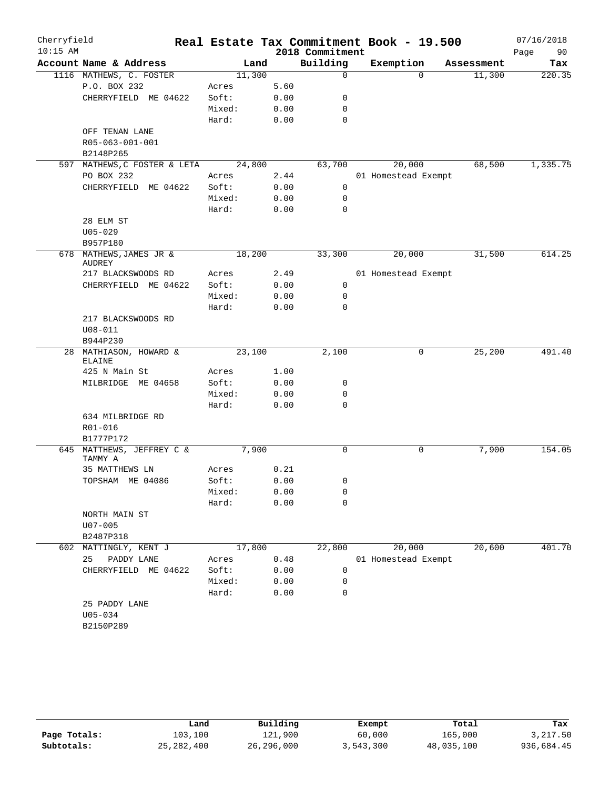| Cherryfield |                                      |        |      |                 | Real Estate Tax Commitment Book - 19.500 |            | 07/16/2018 |
|-------------|--------------------------------------|--------|------|-----------------|------------------------------------------|------------|------------|
| $10:15$ AM  |                                      |        |      | 2018 Commitment |                                          |            | 90<br>Page |
|             | Account Name & Address               | Land   |      | Building        | Exemption                                | Assessment | Tax        |
|             | 1116 MATHEWS, C. FOSTER              | 11,300 |      | $\mathbf 0$     | $\Omega$                                 | 11,300     | 220.35     |
|             | P.O. BOX 232                         | Acres  | 5.60 |                 |                                          |            |            |
|             | CHERRYFIELD ME 04622                 | Soft:  | 0.00 | $\mathbf 0$     |                                          |            |            |
|             |                                      | Mixed: | 0.00 | $\mathbf 0$     |                                          |            |            |
|             |                                      | Hard:  | 0.00 | $\mathbf 0$     |                                          |            |            |
|             | OFF TENAN LANE                       |        |      |                 |                                          |            |            |
|             | R05-063-001-001<br>B2148P265         |        |      |                 |                                          |            |            |
|             | 597 MATHEWS, C FOSTER & LETA         | 24,800 |      | 63,700          | 20,000                                   | 68,500     | 1,335.75   |
|             | PO BOX 232                           | Acres  | 2.44 |                 | 01 Homestead Exempt                      |            |            |
|             | CHERRYFIELD ME 04622                 | Soft:  | 0.00 | 0               |                                          |            |            |
|             |                                      | Mixed: | 0.00 | 0               |                                          |            |            |
|             |                                      | Hard:  | 0.00 | $\mathbf 0$     |                                          |            |            |
|             | 28 ELM ST                            |        |      |                 |                                          |            |            |
|             | $U05 - 029$                          |        |      |                 |                                          |            |            |
|             | B957P180                             |        |      |                 |                                          |            |            |
|             | 678 MATHEWS, JAMES JR &              | 18,200 |      | 33,300          | 20,000                                   | 31,500     | 614.25     |
|             | <b>AUDREY</b>                        |        |      |                 |                                          |            |            |
|             | 217 BLACKSWOODS RD                   | Acres  | 2.49 |                 | 01 Homestead Exempt                      |            |            |
|             | CHERRYFIELD ME 04622                 | Soft:  | 0.00 | 0               |                                          |            |            |
|             |                                      | Mixed: | 0.00 | 0               |                                          |            |            |
|             | 217 BLACKSWOODS RD                   | Hard:  | 0.00 | 0               |                                          |            |            |
|             | $U08 - 011$                          |        |      |                 |                                          |            |            |
|             | B944P230                             |        |      |                 |                                          |            |            |
|             | 28 MATHIASON, HOWARD &               | 23,100 |      | 2,100           | 0                                        | 25,200     | 491.40     |
|             | <b>ELAINE</b>                        |        |      |                 |                                          |            |            |
|             | 425 N Main St                        | Acres  | 1.00 |                 |                                          |            |            |
|             | MILBRIDGE ME 04658                   | Soft:  | 0.00 | 0               |                                          |            |            |
|             |                                      | Mixed: | 0.00 | 0               |                                          |            |            |
|             |                                      | Hard:  | 0.00 | $\mathbf 0$     |                                          |            |            |
|             | 634 MILBRIDGE RD                     |        |      |                 |                                          |            |            |
|             | R01-016                              |        |      |                 |                                          |            |            |
|             | B1777P172                            | 7,900  |      | 0               |                                          | 7,900      | 154.05     |
|             | 645 MATTHEWS, JEFFREY C &<br>TAMMY A |        |      |                 | 0                                        |            |            |
|             | 35 MATTHEWS LN                       | Acres  | 0.21 |                 |                                          |            |            |
|             | TOPSHAM ME 04086                     | Soft:  | 0.00 | 0               |                                          |            |            |
|             |                                      | Mixed: | 0.00 | 0               |                                          |            |            |
|             |                                      | Hard:  | 0.00 | $\mathbf 0$     |                                          |            |            |
|             | NORTH MAIN ST                        |        |      |                 |                                          |            |            |
|             | $U07 - 005$                          |        |      |                 |                                          |            |            |
|             | B2487P318                            |        |      |                 |                                          |            |            |
| 602         | MATTINGLY, KENT J                    | 17,800 |      | 22,800          | 20,000                                   | 20,600     | 401.70     |
|             | 25<br>PADDY LANE                     | Acres  | 0.48 |                 | 01 Homestead Exempt                      |            |            |
|             | CHERRYFIELD ME 04622                 | Soft:  | 0.00 | $\mathbf 0$     |                                          |            |            |
|             |                                      | Mixed: | 0.00 | 0               |                                          |            |            |
|             |                                      | Hard:  | 0.00 | 0               |                                          |            |            |
|             | 25 PADDY LANE                        |        |      |                 |                                          |            |            |
|             | $U05 - 034$<br>B2150P289             |        |      |                 |                                          |            |            |
|             |                                      |        |      |                 |                                          |            |            |

|              | Land         | Building   | Exempt    | Total      | Tax        |
|--------------|--------------|------------|-----------|------------|------------|
| Page Totals: | 103,100      | 121,900    | 60,000    | 165,000    | 3,217.50   |
| Subtotals:   | 25, 282, 400 | 26,296,000 | 3,543,300 | 48,035,100 | 936,684.45 |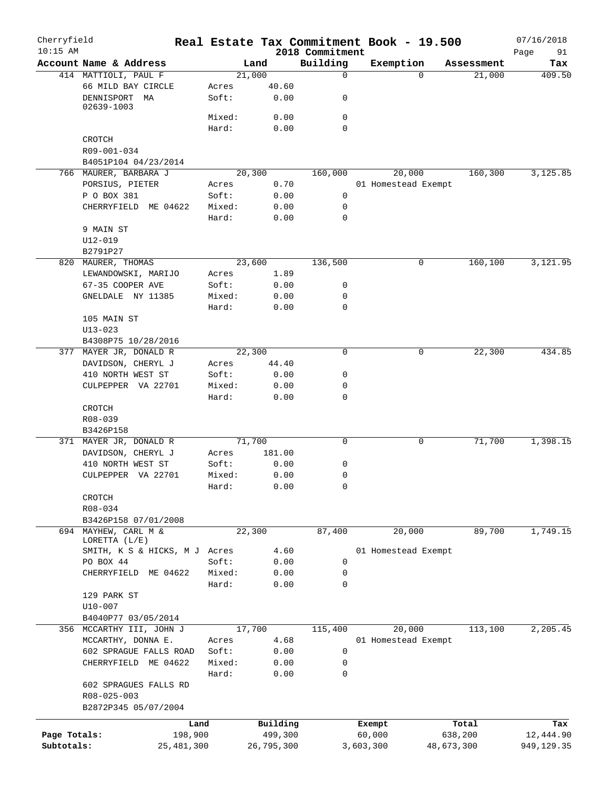| Cherryfield<br>$10:15$ AM |                                         |        |            | 2018 Commitment | Real Estate Tax Commitment Book - 19.500 |          |            | 07/16/2018<br>Page<br>91 |
|---------------------------|-----------------------------------------|--------|------------|-----------------|------------------------------------------|----------|------------|--------------------------|
|                           | Account Name & Address                  |        | Land       | Building        | Exemption                                |          | Assessment | Tax                      |
|                           | 414 MATTIOLI, PAUL F                    |        | 21,000     | 0               |                                          | $\Omega$ | 21,000     | 409.50                   |
|                           | 66 MILD BAY CIRCLE                      | Acres  | 40.60      |                 |                                          |          |            |                          |
|                           | DENNISPORT MA<br>02639-1003             | Soft:  | 0.00       | 0               |                                          |          |            |                          |
|                           |                                         | Mixed: | 0.00       | $\mathbf 0$     |                                          |          |            |                          |
|                           |                                         | Hard:  | 0.00       | $\mathbf 0$     |                                          |          |            |                          |
|                           | CROTCH                                  |        |            |                 |                                          |          |            |                          |
|                           | R09-001-034                             |        |            |                 |                                          |          |            |                          |
|                           | B4051P104 04/23/2014                    |        |            |                 |                                          |          |            |                          |
|                           | 766 MAURER, BARBARA J                   |        | 20, 300    | 160,000         | 20,000                                   |          | 160,300    | 3,125.85                 |
|                           | PORSIUS, PIETER                         | Acres  | 0.70       |                 | 01 Homestead Exempt                      |          |            |                          |
|                           | P O BOX 381                             | Soft:  | 0.00       | 0               |                                          |          |            |                          |
|                           | CHERRYFIELD<br>ME 04622                 | Mixed: | 0.00       | 0               |                                          |          |            |                          |
|                           |                                         | Hard:  | 0.00       | $\mathbf 0$     |                                          |          |            |                          |
|                           | 9 MAIN ST                               |        |            |                 |                                          |          |            |                          |
|                           | $U12 - 019$                             |        |            |                 |                                          |          |            |                          |
|                           | B2791P27                                |        |            |                 |                                          |          |            |                          |
|                           | 820 MAURER, THOMAS                      |        | 23,600     | 136,500         |                                          | 0        | 160,100    | 3,121.95                 |
|                           | LEWANDOWSKI, MARIJO                     | Acres  | 1.89       |                 |                                          |          |            |                          |
|                           | 67-35 COOPER AVE                        | Soft:  | 0.00       | 0               |                                          |          |            |                          |
|                           | GNELDALE NY 11385                       | Mixed: | 0.00       | 0               |                                          |          |            |                          |
|                           |                                         | Hard:  | 0.00       | $\mathbf 0$     |                                          |          |            |                          |
|                           | 105 MAIN ST                             |        |            |                 |                                          |          |            |                          |
|                           | $U13 - 023$                             |        |            |                 |                                          |          |            |                          |
|                           | B4308P75 10/28/2016                     |        |            |                 |                                          |          |            |                          |
|                           | 377 MAYER JR, DONALD R                  |        | 22,300     | 0               |                                          | 0        | 22,300     | 434.85                   |
|                           | DAVIDSON, CHERYL J                      | Acres  | 44.40      |                 |                                          |          |            |                          |
|                           | 410 NORTH WEST ST                       | Soft:  | 0.00       | 0               |                                          |          |            |                          |
|                           | CULPEPPER VA 22701                      | Mixed: | 0.00       | 0               |                                          |          |            |                          |
|                           |                                         | Hard:  | 0.00       | $\mathbf 0$     |                                          |          |            |                          |
|                           | CROTCH                                  |        |            |                 |                                          |          |            |                          |
|                           | R08-039                                 |        |            |                 |                                          |          |            |                          |
|                           | B3426P158                               |        |            |                 |                                          |          |            |                          |
|                           | 371 MAYER JR, DONALD R                  |        | 71,700     | $\mathbf 0$     |                                          | 0        | 71,700     | 1,398.15                 |
|                           | DAVIDSON, CHERYL J                      | Acres  | 181.00     |                 |                                          |          |            |                          |
|                           | 410 NORTH WEST ST                       | Soft:  | 0.00       | 0               |                                          |          |            |                          |
|                           | CULPEPPER VA 22701                      | Mixed: | 0.00       | 0               |                                          |          |            |                          |
|                           |                                         | Hard:  | 0.00       | 0               |                                          |          |            |                          |
|                           | CROTCH                                  |        |            |                 |                                          |          |            |                          |
|                           | R08-034                                 |        |            |                 |                                          |          |            |                          |
|                           | B3426P158 07/01/2008                    |        |            |                 |                                          |          |            |                          |
|                           | 694 MAYHEW, CARL M &<br>LORETTA $(L/E)$ |        | 22,300     | 87,400          | 20,000                                   |          | 89,700     | 1,749.15                 |
|                           | SMITH, K S & HICKS, M J Acres           |        | 4.60       |                 | 01 Homestead Exempt                      |          |            |                          |
|                           | PO BOX 44                               | Soft:  | 0.00       | 0               |                                          |          |            |                          |
|                           | CHERRYFIELD ME 04622                    | Mixed: | 0.00       | 0               |                                          |          |            |                          |
|                           |                                         | Hard:  | 0.00       | $\mathbf 0$     |                                          |          |            |                          |
|                           | 129 PARK ST                             |        |            |                 |                                          |          |            |                          |
|                           | $U10 - 007$                             |        |            |                 |                                          |          |            |                          |
|                           | B4040P77 03/05/2014                     |        |            |                 |                                          |          |            |                          |
|                           | 356 MCCARTHY III, JOHN J                |        | 17,700     | 115,400         | 20,000                                   |          | 113,100    | 2,205.45                 |
|                           | MCCARTHY, DONNA E.                      | Acres  | 4.68       |                 | 01 Homestead Exempt                      |          |            |                          |
|                           | 602 SPRAGUE FALLS ROAD                  | Soft:  | 0.00       | $\mathbf 0$     |                                          |          |            |                          |
|                           | CHERRYFIELD ME 04622                    | Mixed: | 0.00       | 0               |                                          |          |            |                          |
|                           |                                         | Hard:  | 0.00       | $\mathbf 0$     |                                          |          |            |                          |
|                           | 602 SPRAGUES FALLS RD                   |        |            |                 |                                          |          |            |                          |
|                           | R08-025-003                             |        |            |                 |                                          |          |            |                          |
|                           | B2872P345 05/07/2004                    |        |            |                 |                                          |          |            |                          |
|                           | Land                                    |        | Building   |                 | Exempt                                   |          | Total      | Tax                      |
| Page Totals:              | 198,900                                 |        | 499,300    |                 | 60,000                                   |          | 638,200    | 12,444.90                |
| Subtotals:                | 25, 481, 300                            |        | 26,795,300 |                 | 3,603,300                                |          | 48,673,300 | 949,129.35               |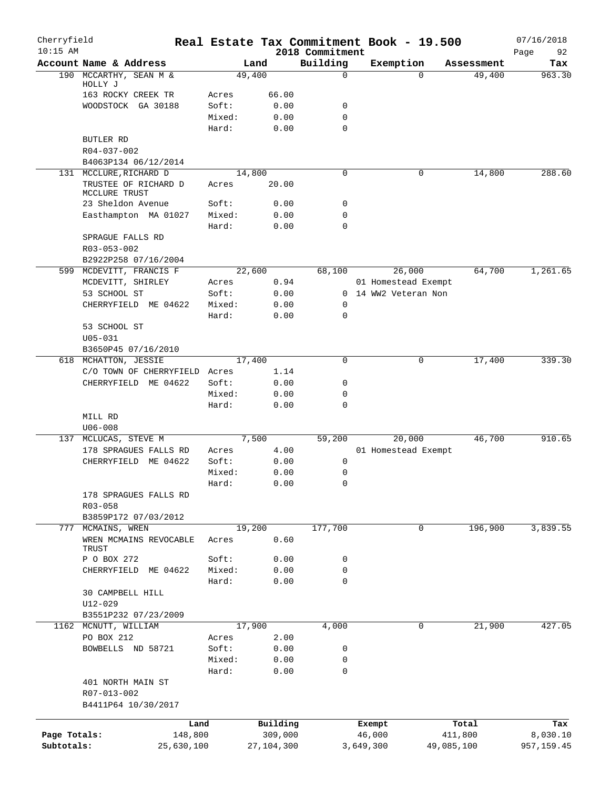| Cherryfield<br>$10:15$ AM |                                       |                 |              |                             |           | Real Estate Tax Commitment Book - 19.500 |            | 07/16/2018        |
|---------------------------|---------------------------------------|-----------------|--------------|-----------------------------|-----------|------------------------------------------|------------|-------------------|
|                           | Account Name & Address                |                 | Land         | 2018 Commitment<br>Building |           | Exemption                                | Assessment | Page<br>92<br>Tax |
|                           | 190 MCCARTHY, SEAN M &                |                 | 49,400       | 0                           |           | $\Omega$                                 | 49,400     | 963.30            |
|                           | HOLLY J                               |                 |              |                             |           |                                          |            |                   |
|                           | 163 ROCKY CREEK TR                    | Acres           | 66.00        |                             |           |                                          |            |                   |
|                           | WOODSTOCK GA 30188                    | Soft:<br>Mixed: | 0.00<br>0.00 | 0<br>0                      |           |                                          |            |                   |
|                           |                                       | Hard:           | 0.00         | $\Omega$                    |           |                                          |            |                   |
|                           | <b>BUTLER RD</b>                      |                 |              |                             |           |                                          |            |                   |
|                           | R04-037-002                           |                 |              |                             |           |                                          |            |                   |
|                           | B4063P134 06/12/2014                  |                 |              |                             |           |                                          |            |                   |
|                           | 131 MCCLURE, RICHARD D                |                 | 14,800       | $\mathbf 0$                 |           | 0                                        | 14,800     | 288.60            |
|                           | TRUSTEE OF RICHARD D<br>MCCLURE TRUST | Acres           | 20.00        |                             |           |                                          |            |                   |
|                           | 23 Sheldon Avenue                     | Soft:           | 0.00         | 0                           |           |                                          |            |                   |
|                           | Easthampton MA 01027                  | Mixed:          | 0.00         | 0                           |           |                                          |            |                   |
|                           |                                       | Hard:           | 0.00         | $\Omega$                    |           |                                          |            |                   |
|                           | SPRAGUE FALLS RD                      |                 |              |                             |           |                                          |            |                   |
|                           | R03-053-002                           |                 |              |                             |           |                                          |            |                   |
|                           | B2922P258 07/16/2004                  |                 |              |                             |           |                                          |            |                   |
| 599                       | MCDEVITT, FRANCIS F                   |                 | 22,600       | 68,100                      |           | 26,000                                   | 64,700     | 1,261.65          |
|                           | MCDEVITT, SHIRLEY                     | Acres           | 0.94         |                             |           | 01 Homestead Exempt                      |            |                   |
|                           | 53 SCHOOL ST                          | Soft:           | 0.00         |                             |           | 0 14 WW2 Veteran Non                     |            |                   |
|                           | CHERRYFIELD ME 04622                  | Mixed:          | 0.00         | 0                           |           |                                          |            |                   |
|                           |                                       | Hard:           | 0.00         | 0                           |           |                                          |            |                   |
|                           | 53 SCHOOL ST                          |                 |              |                             |           |                                          |            |                   |
|                           | $U05 - 031$                           |                 |              |                             |           |                                          |            |                   |
|                           | B3650P45 07/16/2010                   |                 |              |                             |           |                                          |            |                   |
|                           | 618 MCHATTON, JESSIE                  |                 | 17,400       | 0                           |           | 0                                        | 17,400     | 339.30            |
|                           | C/O TOWN OF CHERRYFIELD               | Acres           | 1.14         |                             |           |                                          |            |                   |
|                           | CHERRYFIELD ME 04622                  | Soft:           | 0.00         | 0                           |           |                                          |            |                   |
|                           |                                       | Mixed:          | 0.00         | 0                           |           |                                          |            |                   |
|                           |                                       | Hard:           | 0.00         | 0                           |           |                                          |            |                   |
|                           | MILL RD                               |                 |              |                             |           |                                          |            |                   |
|                           | $U06 - 008$                           |                 |              |                             |           |                                          |            |                   |
| 137                       | MCLUCAS, STEVE M                      |                 | 7,500        | 59,200                      |           | 20,000                                   | 46,700     | 910.65            |
|                           | 178 SPRAGUES FALLS RD                 | Acres           | 4.00         |                             |           | 01 Homestead Exempt                      |            |                   |
|                           | CHERRYFIELD ME 04622                  | Soft:           | 0.00         | 0                           |           |                                          |            |                   |
|                           |                                       | Mixed:          | 0.00         | 0                           |           |                                          |            |                   |
|                           |                                       | Hard:           | 0.00         | $\Omega$                    |           |                                          |            |                   |
|                           | 178 SPRAGUES FALLS RD<br>R03-058      |                 |              |                             |           |                                          |            |                   |
|                           | B3859P172 07/03/2012                  |                 |              |                             |           |                                          |            |                   |
| 777                       | MCMAINS, WREN                         |                 | 19,200       | 177,700                     |           | 0                                        | 196,900    | 3,839.55          |
|                           | WREN MCMAINS REVOCABLE<br>TRUST       | Acres           | 0.60         |                             |           |                                          |            |                   |
|                           | P O BOX 272                           | Soft:           | 0.00         | 0                           |           |                                          |            |                   |
|                           | CHERRYFIELD ME 04622                  | Mixed:          | 0.00         | 0                           |           |                                          |            |                   |
|                           |                                       | Hard:           | 0.00         | 0                           |           |                                          |            |                   |
|                           | 30 CAMPBELL HILL                      |                 |              |                             |           |                                          |            |                   |
|                           | U12-029                               |                 |              |                             |           |                                          |            |                   |
|                           | B3551P232 07/23/2009                  |                 |              |                             |           |                                          |            |                   |
|                           | 1162 MCNUTT, WILLIAM                  |                 | 17,900       | 4,000                       |           | 0                                        | 21,900     | 427.05            |
|                           | PO BOX 212                            | Acres           | 2.00         |                             |           |                                          |            |                   |
|                           | BOWBELLS ND 58721                     | Soft:           | 0.00         | 0                           |           |                                          |            |                   |
|                           |                                       | Mixed:          | 0.00         | 0                           |           |                                          |            |                   |
|                           | 401 NORTH MAIN ST                     | Hard:           | 0.00         | 0                           |           |                                          |            |                   |
|                           | R07-013-002<br>B4411P64 10/30/2017    |                 |              |                             |           |                                          |            |                   |
|                           |                                       |                 |              |                             |           |                                          |            |                   |
|                           | Land                                  |                 | Building     |                             | Exempt    |                                          | Total      | Tax               |
| Page Totals:              | 148,800                               |                 | 309,000      |                             | 46,000    |                                          | 411,800    | 8,030.10          |
| Subtotals:                | 25,630,100                            |                 | 27,104,300   |                             | 3,649,300 |                                          | 49,085,100 | 957, 159.45       |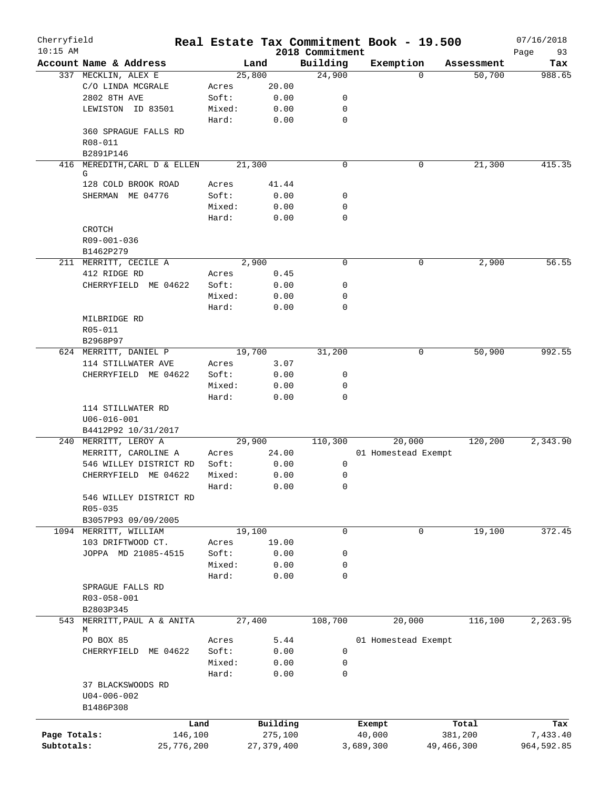| Cherryfield<br>$10:15$ AM |                          |        |              | 2018 Commitment | Real Estate Tax Commitment Book - 19.500 |          |            | 07/16/2018<br>93<br>Page |
|---------------------------|--------------------------|--------|--------------|-----------------|------------------------------------------|----------|------------|--------------------------|
|                           | Account Name & Address   |        | Land         | Building        | Exemption                                |          | Assessment | Tax                      |
|                           | 337 MECKLIN, ALEX E      |        | 25,800       | 24,900          |                                          | $\Omega$ | 50,700     | 988.65                   |
|                           | C/O LINDA MCGRALE        | Acres  | 20.00        |                 |                                          |          |            |                          |
|                           | 2802 8TH AVE             | Soft:  | 0.00         | 0               |                                          |          |            |                          |
|                           | LEWISTON ID 83501        | Mixed: | 0.00         | 0               |                                          |          |            |                          |
|                           |                          | Hard:  | 0.00         | $\mathbf 0$     |                                          |          |            |                          |
|                           | 360 SPRAGUE FALLS RD     |        |              |                 |                                          |          |            |                          |
|                           | R08-011                  |        |              |                 |                                          |          |            |                          |
|                           | B2891P146                |        |              |                 |                                          |          |            |                          |
| 416                       | MEREDITH, CARL D & ELLEN |        | 21,300       | $\mathbf 0$     |                                          | 0        | 21,300     | 415.35                   |
|                           | G                        |        |              |                 |                                          |          |            |                          |
|                           | 128 COLD BROOK ROAD      | Acres  | 41.44        |                 |                                          |          |            |                          |
|                           | SHERMAN ME 04776         | Soft:  | 0.00         | 0               |                                          |          |            |                          |
|                           |                          | Mixed: | 0.00         | 0               |                                          |          |            |                          |
|                           |                          | Hard:  | 0.00         | 0               |                                          |          |            |                          |
|                           | CROTCH                   |        |              |                 |                                          |          |            |                          |
|                           | R09-001-036              |        |              |                 |                                          |          |            |                          |
|                           | B1462P279                |        |              |                 |                                          |          |            |                          |
|                           | 211 MERRITT, CECILE A    |        | 2,900        | $\mathbf 0$     |                                          | 0        | 2,900      | 56.55                    |
|                           | 412 RIDGE RD             | Acres  | 0.45         |                 |                                          |          |            |                          |
|                           | CHERRYFIELD ME 04622     | Soft:  | 0.00         | 0               |                                          |          |            |                          |
|                           |                          | Mixed: | 0.00         | $\mathbf 0$     |                                          |          |            |                          |
|                           |                          | Hard:  | 0.00         | 0               |                                          |          |            |                          |
|                           | MILBRIDGE RD             |        |              |                 |                                          |          |            |                          |
|                           | R05-011                  |        |              |                 |                                          |          |            |                          |
|                           | B2968P97                 |        |              |                 |                                          |          |            |                          |
|                           | 624 MERRITT, DANIEL P    |        | 19,700       | 31,200          |                                          | 0        | 50,900     | 992.55                   |
|                           | 114 STILLWATER AVE       | Acres  | 3.07         |                 |                                          |          |            |                          |
|                           | CHERRYFIELD ME 04622     | Soft:  | 0.00         | 0               |                                          |          |            |                          |
|                           |                          | Mixed: | 0.00         | 0               |                                          |          |            |                          |
|                           |                          | Hard:  | 0.00         | 0               |                                          |          |            |                          |
|                           | 114 STILLWATER RD        |        |              |                 |                                          |          |            |                          |
|                           | $U06 - 016 - 001$        |        |              |                 |                                          |          |            |                          |
|                           | B4412P92 10/31/2017      |        |              |                 |                                          |          |            |                          |
|                           | 240 MERRITT, LEROY A     |        | 29,900       | 110,300         | 20,000                                   |          | 120,200    | 2,343.90                 |
|                           | MERRITT, CAROLINE A      | Acres  | 24.00        |                 | 01 Homestead Exempt                      |          |            |                          |
|                           | 546 WILLEY DISTRICT RD   | Soft:  | 0.00         | 0               |                                          |          |            |                          |
|                           | CHERRYFIELD ME 04622     | Mixed: | 0.00         | 0               |                                          |          |            |                          |
|                           |                          | Hard:  |              | 0               |                                          |          |            |                          |
|                           |                          |        | 0.00         |                 |                                          |          |            |                          |
|                           | 546 WILLEY DISTRICT RD   |        |              |                 |                                          |          |            |                          |
|                           | R05-035                  |        |              |                 |                                          |          |            |                          |
|                           | B3057P93 09/09/2005      |        | 19,100       |                 |                                          |          |            |                          |
|                           | 1094 MERRITT, WILLIAM    |        |              | $\mathbf 0$     |                                          | 0        | 19,100     | 372.45                   |
|                           | 103 DRIFTWOOD CT.        | Acres  | 19.00        |                 |                                          |          |            |                          |
|                           | JOPPA MD 21085-4515      | Soft:  | 0.00         | 0               |                                          |          |            |                          |
|                           |                          | Mixed: | 0.00         | 0               |                                          |          |            |                          |
|                           |                          | Hard:  | 0.00         | 0               |                                          |          |            |                          |
|                           | SPRAGUE FALLS RD         |        |              |                 |                                          |          |            |                          |
|                           | R03-058-001              |        |              |                 |                                          |          |            |                          |
|                           | B2803P345                |        |              |                 |                                          |          |            |                          |
| 543                       | MERRITT, PAUL A & ANITA  |        | 27,400       | 108,700         | 20,000                                   |          | 116,100    | 2,263.95                 |
|                           | М                        |        |              |                 |                                          |          |            |                          |
|                           | PO BOX 85                | Acres  | 5.44         |                 | 01 Homestead Exempt                      |          |            |                          |
|                           | CHERRYFIELD ME 04622     | Soft:  | 0.00         | 0               |                                          |          |            |                          |
|                           |                          | Mixed: | 0.00         | 0               |                                          |          |            |                          |
|                           |                          | Hard:  | 0.00         | $\mathbf 0$     |                                          |          |            |                          |
|                           | 37 BLACKSWOODS RD        |        |              |                 |                                          |          |            |                          |
|                           | $U04 - 006 - 002$        |        |              |                 |                                          |          |            |                          |
|                           | B1486P308                |        |              |                 |                                          |          |            |                          |
|                           | Land                     |        | Building     |                 | Exempt                                   |          | Total      | Tax                      |
| Page Totals:              | 146,100                  |        | 275,100      |                 | 40,000                                   |          | 381,200    | 7,433.40                 |
| Subtotals:                | 25,776,200               |        | 27, 379, 400 |                 | 3,689,300                                |          | 49,466,300 | 964,592.85               |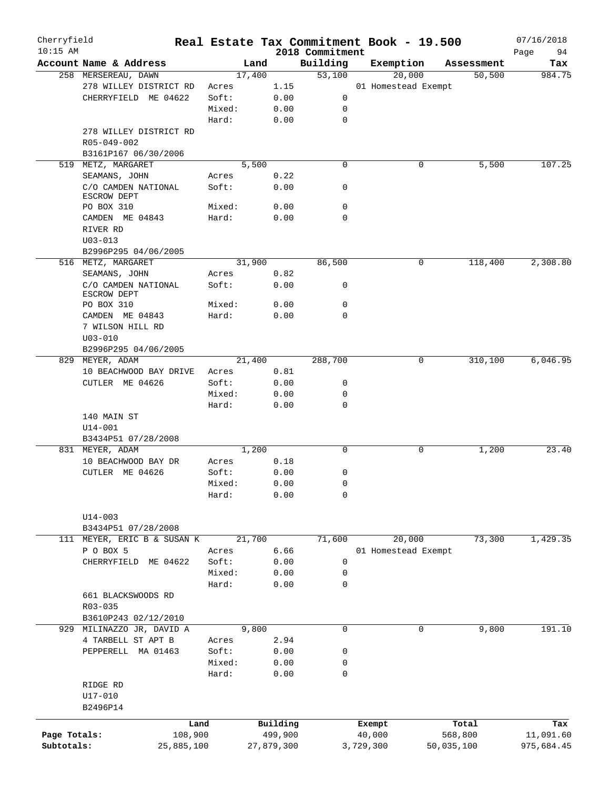| Cherryfield<br>$10:15$ AM |                                    |            |        |            | 2018 Commitment | Real Estate Tax Commitment Book - 19.500 |            | 07/16/2018<br>Page<br>94 |
|---------------------------|------------------------------------|------------|--------|------------|-----------------|------------------------------------------|------------|--------------------------|
|                           | Account Name & Address             |            | Land   |            | Building        | Exemption                                | Assessment | Tax                      |
|                           | 258 MERSEREAU, DAWN                |            | 17,400 |            | 53,100          | 20,000                                   | 50,500     | 984.75                   |
|                           | 278 WILLEY DISTRICT RD             | Acres      |        | 1.15       |                 | 01 Homestead Exempt                      |            |                          |
|                           | CHERRYFIELD ME 04622               | Soft:      |        | 0.00       | 0               |                                          |            |                          |
|                           |                                    | Mixed:     |        | 0.00       | 0               |                                          |            |                          |
|                           |                                    | Hard:      |        | 0.00       | $\mathbf 0$     |                                          |            |                          |
|                           |                                    |            |        |            |                 |                                          |            |                          |
|                           | 278 WILLEY DISTRICT RD             |            |        |            |                 |                                          |            |                          |
|                           | R05-049-002                        |            |        |            |                 |                                          |            |                          |
|                           | B3161P167 06/30/2006               |            |        |            |                 |                                          |            |                          |
|                           | 519 METZ, MARGARET                 |            | 5,500  |            | $\mathbf 0$     | 0                                        | 5,500      | 107.25                   |
|                           | SEAMANS, JOHN                      | Acres      |        | 0.22       |                 |                                          |            |                          |
|                           | C/O CAMDEN NATIONAL<br>ESCROW DEPT | Soft:      |        | 0.00       | 0               |                                          |            |                          |
|                           | PO BOX 310                         | Mixed:     |        | 0.00       | $\mathbf 0$     |                                          |            |                          |
|                           | CAMDEN ME 04843                    | Hard:      |        | 0.00       | 0               |                                          |            |                          |
|                           | RIVER RD                           |            |        |            |                 |                                          |            |                          |
|                           | $U03 - 013$                        |            |        |            |                 |                                          |            |                          |
|                           | B2996P295 04/06/2005               |            |        |            |                 |                                          |            |                          |
|                           | 516 METZ, MARGARET                 |            | 31,900 |            | 86,500          | 0                                        | 118,400    | 2,308.80                 |
|                           | SEAMANS, JOHN                      | Acres      |        | 0.82       |                 |                                          |            |                          |
|                           | C/O CAMDEN NATIONAL                | Soft:      |        | 0.00       | 0               |                                          |            |                          |
|                           | ESCROW DEPT                        |            |        |            |                 |                                          |            |                          |
|                           | PO BOX 310                         | Mixed:     |        | 0.00       | 0               |                                          |            |                          |
|                           | CAMDEN ME 04843                    | Hard:      |        | 0.00       | $\Omega$        |                                          |            |                          |
|                           | 7 WILSON HILL RD                   |            |        |            |                 |                                          |            |                          |
|                           | $U03 - 010$                        |            |        |            |                 |                                          |            |                          |
|                           | B2996P295 04/06/2005               |            |        |            |                 |                                          |            |                          |
|                           | 829 MEYER, ADAM                    |            | 21,400 |            | 288,700         | 0                                        | 310,100    | 6,046.95                 |
|                           | 10 BEACHWOOD BAY DRIVE             | Acres      |        | 0.81       |                 |                                          |            |                          |
|                           | CUTLER ME 04626                    | Soft:      |        | 0.00       | 0               |                                          |            |                          |
|                           |                                    | Mixed:     |        | 0.00       | 0               |                                          |            |                          |
|                           |                                    | Hard:      |        | 0.00       | 0               |                                          |            |                          |
|                           | 140 MAIN ST                        |            |        |            |                 |                                          |            |                          |
|                           | $U14 - 001$                        |            |        |            |                 |                                          |            |                          |
|                           | B3434P51 07/28/2008                |            |        |            |                 |                                          |            |                          |
|                           |                                    |            | 1,200  |            | 0               | 0                                        |            | 23.40                    |
|                           | 831 MEYER, ADAM                    |            |        |            |                 |                                          | 1,200      |                          |
|                           | 10 BEACHWOOD BAY DR                | Acres      |        | 0.18       |                 |                                          |            |                          |
|                           | CUTLER ME 04626                    | Soft:      |        | 0.00       | 0               |                                          |            |                          |
|                           |                                    | Mixed:     |        | 0.00       | 0               |                                          |            |                          |
|                           |                                    | Hard:      |        | 0.00       | 0               |                                          |            |                          |
|                           |                                    |            |        |            |                 |                                          |            |                          |
|                           | $U14 - 003$                        |            |        |            |                 |                                          |            |                          |
|                           | B3434P51 07/28/2008                |            |        |            |                 |                                          |            |                          |
|                           | 111 MEYER, ERIC B & SUSAN K        |            | 21,700 |            | 71,600          | 20,000                                   | 73,300     | 1,429.35                 |
|                           | P O BOX 5                          | Acres      |        | 6.66       |                 | 01 Homestead Exempt                      |            |                          |
|                           | CHERRYFIELD ME 04622               | Soft:      |        | 0.00       | 0               |                                          |            |                          |
|                           |                                    | Mixed:     |        | 0.00       | 0               |                                          |            |                          |
|                           |                                    | Hard:      |        | 0.00       | 0               |                                          |            |                          |
|                           | 661 BLACKSWOODS RD                 |            |        |            |                 |                                          |            |                          |
|                           | R03-035                            |            |        |            |                 |                                          |            |                          |
|                           | B3610P243 02/12/2010               |            |        |            |                 |                                          |            |                          |
|                           | 929 MILINAZZO JR, DAVID A          |            | 9,800  |            | 0               | 0                                        | 9,800      | 191.10                   |
|                           | 4 TARBELL ST APT B                 | Acres      |        | 2.94       |                 |                                          |            |                          |
|                           | PEPPERELL MA 01463                 | Soft:      |        | 0.00       | 0               |                                          |            |                          |
|                           |                                    | Mixed:     |        | 0.00       | 0               |                                          |            |                          |
|                           |                                    | Hard:      |        | 0.00       | 0               |                                          |            |                          |
|                           | RIDGE RD                           |            |        |            |                 |                                          |            |                          |
|                           | $U17 - 010$                        |            |        |            |                 |                                          |            |                          |
|                           | B2496P14                           |            |        |            |                 |                                          |            |                          |
|                           |                                    |            |        |            |                 |                                          |            |                          |
|                           |                                    | Land       |        | Building   |                 | Exempt                                   | Total      | Tax                      |
| Page Totals:              |                                    | 108,900    |        | 499,900    |                 | 40,000                                   | 568,800    | 11,091.60                |
| Subtotals:                |                                    | 25,885,100 |        | 27,879,300 |                 | 3,729,300                                | 50,035,100 | 975,684.45               |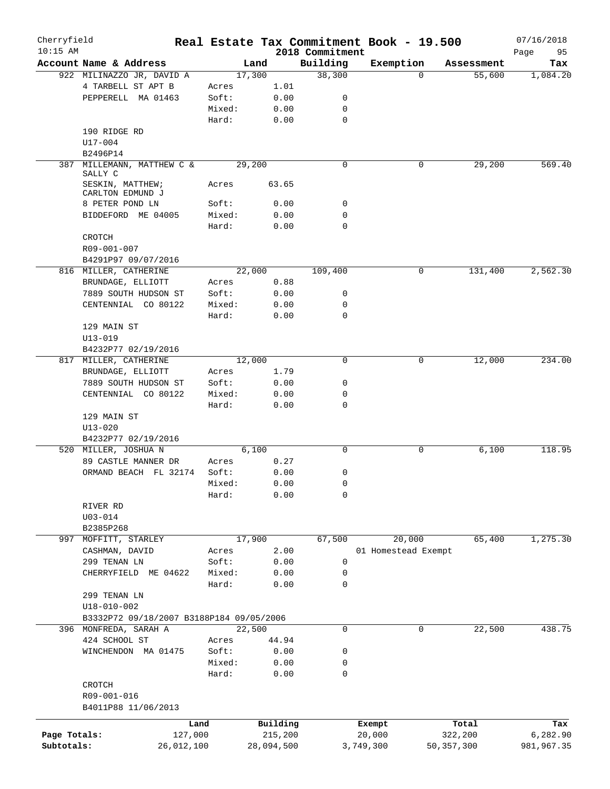| Cherryfield  |                                          |            |        |            |                             | Real Estate Tax Commitment Book - 19.500 |            |            | 07/16/2018        |
|--------------|------------------------------------------|------------|--------|------------|-----------------------------|------------------------------------------|------------|------------|-------------------|
| $10:15$ AM   | Account Name & Address                   |            | Land   |            | 2018 Commitment<br>Building | Exemption                                |            | Assessment | 95<br>Page<br>Tax |
|              | 922 MILINAZZO JR, DAVID A                |            | 17,300 |            | 38,300                      |                                          | $\Omega$   | 55,600     | 1,084.20          |
|              | 4 TARBELL ST APT B                       |            | Acres  | 1.01       |                             |                                          |            |            |                   |
|              | PEPPERELL MA 01463                       |            | Soft:  | 0.00       | 0                           |                                          |            |            |                   |
|              |                                          |            | Mixed: | 0.00       | 0                           |                                          |            |            |                   |
|              |                                          |            |        |            |                             |                                          |            |            |                   |
|              |                                          |            | Hard:  | 0.00       | 0                           |                                          |            |            |                   |
|              | 190 RIDGE RD                             |            |        |            |                             |                                          |            |            |                   |
|              | U17-004                                  |            |        |            |                             |                                          |            |            |                   |
|              | B2496P14                                 |            |        |            |                             |                                          |            |            |                   |
| 387          | MILLEMANN, MATTHEW C &<br>SALLY C        |            | 29,200 |            | $\mathbf 0$                 |                                          | 0          | 29,200     | 569.40            |
|              | SESKIN, MATTHEW;<br>CARLTON EDMUND J     |            | Acres  | 63.65      |                             |                                          |            |            |                   |
|              | 8 PETER POND LN                          |            | Soft:  | 0.00       | 0                           |                                          |            |            |                   |
|              | BIDDEFORD ME 04005                       |            | Mixed: | 0.00       | 0                           |                                          |            |            |                   |
|              |                                          |            | Hard:  | 0.00       | 0                           |                                          |            |            |                   |
|              | CROTCH                                   |            |        |            |                             |                                          |            |            |                   |
|              | R09-001-007                              |            |        |            |                             |                                          |            |            |                   |
|              | B4291P97 09/07/2016                      |            |        |            |                             |                                          |            |            |                   |
|              | 816 MILLER, CATHERINE                    |            | 22,000 |            | 109,400                     |                                          | 0          | 131,400    | 2,562.30          |
|              |                                          |            |        | 0.88       |                             |                                          |            |            |                   |
|              | BRUNDAGE, ELLIOTT                        |            | Acres  |            |                             |                                          |            |            |                   |
|              | 7889 SOUTH HUDSON ST                     |            | Soft:  | 0.00       | 0                           |                                          |            |            |                   |
|              | CENTENNIAL CO 80122                      |            | Mixed: | 0.00       | 0                           |                                          |            |            |                   |
|              |                                          |            | Hard:  | 0.00       | 0                           |                                          |            |            |                   |
|              | 129 MAIN ST                              |            |        |            |                             |                                          |            |            |                   |
|              | $U13 - 019$                              |            |        |            |                             |                                          |            |            |                   |
|              | B4232P77 02/19/2016                      |            |        |            |                             |                                          |            |            |                   |
|              | 817 MILLER, CATHERINE                    |            | 12,000 |            | 0                           |                                          | 0          | 12,000     | 234.00            |
|              | BRUNDAGE, ELLIOTT                        |            | Acres  | 1.79       |                             |                                          |            |            |                   |
|              | 7889 SOUTH HUDSON ST                     |            | Soft:  | 0.00       | 0                           |                                          |            |            |                   |
|              | CENTENNIAL CO 80122                      |            | Mixed: | 0.00       | 0                           |                                          |            |            |                   |
|              |                                          |            | Hard:  | 0.00       | 0                           |                                          |            |            |                   |
|              | 129 MAIN ST                              |            |        |            |                             |                                          |            |            |                   |
|              | $U13 - 020$                              |            |        |            |                             |                                          |            |            |                   |
|              | B4232P77 02/19/2016                      |            |        |            |                             |                                          |            |            |                   |
|              | 520 MILLER, JOSHUA N                     |            | 6,100  |            | 0                           |                                          | 0          | 6,100      | 118.95            |
|              | 89 CASTLE MANNER DR                      |            | Acres  | 0.27       |                             |                                          |            |            |                   |
|              | ORMAND BEACH FL 32174                    |            | Soft:  | 0.00       | 0                           |                                          |            |            |                   |
|              |                                          |            | Mixed: | 0.00       | 0                           |                                          |            |            |                   |
|              |                                          |            | Hard:  | 0.00       | 0                           |                                          |            |            |                   |
|              | RIVER RD                                 |            |        |            |                             |                                          |            |            |                   |
|              | $U03 - 014$                              |            |        |            |                             |                                          |            |            |                   |
|              | B2385P268                                |            |        |            |                             |                                          |            |            |                   |
| 997          | MOFFITT, STARLEY                         |            | 17,900 |            | 67,500                      | 20,000                                   |            | 65,400     | 1,275.30          |
|              |                                          |            |        |            |                             | 01 Homestead Exempt                      |            |            |                   |
|              | CASHMAN, DAVID                           |            | Acres  | 2.00       |                             |                                          |            |            |                   |
|              | 299 TENAN LN                             |            | Soft:  | 0.00       | 0                           |                                          |            |            |                   |
|              | CHERRYFIELD ME 04622                     |            | Mixed: | 0.00       | 0                           |                                          |            |            |                   |
|              |                                          |            | Hard:  | 0.00       | 0                           |                                          |            |            |                   |
|              | 299 TENAN LN                             |            |        |            |                             |                                          |            |            |                   |
|              | $U18 - 010 - 002$                        |            |        |            |                             |                                          |            |            |                   |
|              | B3332P72 09/18/2007 B3188P184 09/05/2006 |            |        |            |                             |                                          |            |            |                   |
|              | 396 MONFREDA, SARAH A                    |            | 22,500 |            | 0                           |                                          | 0          | 22,500     | 438.75            |
|              | 424 SCHOOL ST                            |            | Acres  | 44.94      |                             |                                          |            |            |                   |
|              | WINCHENDON MA 01475                      |            | Soft:  | 0.00       | 0                           |                                          |            |            |                   |
|              |                                          |            | Mixed: | 0.00       | 0                           |                                          |            |            |                   |
|              |                                          |            | Hard:  | 0.00       | 0                           |                                          |            |            |                   |
|              | CROTCH                                   |            |        |            |                             |                                          |            |            |                   |
|              | R09-001-016                              |            |        |            |                             |                                          |            |            |                   |
|              | B4011P88 11/06/2013                      |            |        |            |                             |                                          |            |            |                   |
|              |                                          | Land       |        | Building   |                             | Exempt                                   |            | Total      | Tax               |
| Page Totals: |                                          | 127,000    |        | 215,200    |                             | 20,000                                   |            | 322,200    | 6,282.90          |
| Subtotals:   |                                          | 26,012,100 |        | 28,094,500 |                             | 3,749,300                                | 50,357,300 |            | 981,967.35        |
|              |                                          |            |        |            |                             |                                          |            |            |                   |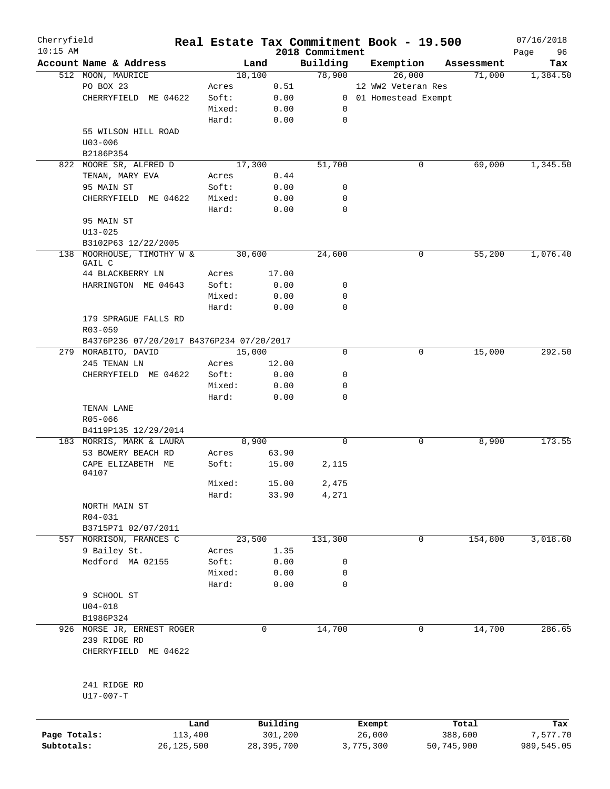| Cherryfield<br>$10:15$ AM |                                           |        |                     | 2018 Commitment | Real Estate Tax Commitment Book - 19.500 |                  | 07/16/2018        |
|---------------------------|-------------------------------------------|--------|---------------------|-----------------|------------------------------------------|------------------|-------------------|
|                           | Account Name & Address                    | Land   |                     | Building        | Exemption                                | Assessment       | Page<br>96<br>Tax |
|                           | 512 MOON, MAURICE                         | 18,100 |                     | 78,900          | 26,000                                   | 71,000           | 1,384.50          |
|                           | PO BOX 23                                 | Acres  | 0.51                |                 | 12 WW2 Veteran Res                       |                  |                   |
|                           | CHERRYFIELD ME 04622                      | Soft:  | 0.00                |                 | 0 01 Homestead Exempt                    |                  |                   |
|                           |                                           | Mixed: | 0.00                | 0               |                                          |                  |                   |
|                           |                                           | Hard:  | 0.00                | $\mathbf 0$     |                                          |                  |                   |
|                           | 55 WILSON HILL ROAD                       |        |                     |                 |                                          |                  |                   |
|                           | $U03 - 006$                               |        |                     |                 |                                          |                  |                   |
|                           |                                           |        |                     |                 |                                          |                  |                   |
|                           | B2186P354                                 |        |                     |                 |                                          |                  |                   |
|                           | 822 MOORE SR, ALFRED D                    | 17,300 |                     | 51,700          | 0                                        | 69,000           | 1,345.50          |
|                           | TENAN, MARY EVA                           | Acres  | 0.44                |                 |                                          |                  |                   |
|                           | 95 MAIN ST                                | Soft:  | 0.00                | 0               |                                          |                  |                   |
|                           | CHERRYFIELD ME 04622                      | Mixed: | 0.00                | 0               |                                          |                  |                   |
|                           |                                           | Hard:  | 0.00                | $\mathbf 0$     |                                          |                  |                   |
|                           | 95 MAIN ST                                |        |                     |                 |                                          |                  |                   |
|                           | $U13 - 025$                               |        |                     |                 |                                          |                  |                   |
|                           | B3102P63 12/22/2005                       |        |                     |                 |                                          |                  |                   |
|                           | 138 MOORHOUSE, TIMOTHY W &                | 30,600 |                     | 24,600          | 0                                        | 55,200           | 1,076.40          |
|                           | GAIL C                                    |        |                     |                 |                                          |                  |                   |
|                           | 44 BLACKBERRY LN                          | Acres  | 17.00               |                 |                                          |                  |                   |
|                           | HARRINGTON ME 04643                       | Soft:  | 0.00                | 0               |                                          |                  |                   |
|                           |                                           | Mixed: | 0.00                | $\mathbf 0$     |                                          |                  |                   |
|                           |                                           | Hard:  | 0.00                | 0               |                                          |                  |                   |
|                           | 179 SPRAGUE FALLS RD                      |        |                     |                 |                                          |                  |                   |
|                           | R03-059                                   |        |                     |                 |                                          |                  |                   |
|                           | B4376P236 07/20/2017 B4376P234 07/20/2017 |        |                     |                 |                                          |                  |                   |
|                           | 279 MORABITO, DAVID                       | 15,000 |                     | $\Omega$        | 0                                        | 15,000           | 292.50            |
|                           | 245 TENAN LN                              | Acres  | 12.00               |                 |                                          |                  |                   |
|                           | CHERRYFIELD ME 04622                      | Soft:  | 0.00                | 0               |                                          |                  |                   |
|                           |                                           |        |                     |                 |                                          |                  |                   |
|                           |                                           | Mixed: | 0.00                | 0               |                                          |                  |                   |
|                           |                                           | Hard:  | 0.00                | 0               |                                          |                  |                   |
|                           | TENAN LANE                                |        |                     |                 |                                          |                  |                   |
|                           | R05-066                                   |        |                     |                 |                                          |                  |                   |
|                           | B4119P135 12/29/2014                      |        |                     |                 |                                          |                  |                   |
|                           | 183 MORRIS, MARK & LAURA                  | 8,900  |                     | $\mathbf 0$     | 0                                        | 8,900            | 173.55            |
|                           | 53 BOWERY BEACH RD                        | Acres  | 63.90               |                 |                                          |                  |                   |
|                           | CAPE ELIZABETH ME                         | Soft:  | 15.00               | 2,115           |                                          |                  |                   |
|                           | 04107                                     |        |                     |                 |                                          |                  |                   |
|                           |                                           | Mixed: | 15.00               | 2,475           |                                          |                  |                   |
|                           |                                           | Hard:  | 33.90               | 4,271           |                                          |                  |                   |
|                           | NORTH MAIN ST                             |        |                     |                 |                                          |                  |                   |
|                           | R04-031                                   |        |                     |                 |                                          |                  |                   |
|                           | B3715P71 02/07/2011                       |        |                     |                 |                                          |                  |                   |
|                           | 557 MORRISON, FRANCES C                   | 23,500 |                     | 131,300         | 0                                        | 154,800          | 3,018.60          |
|                           | 9 Bailey St.                              | Acres  | 1.35                |                 |                                          |                  |                   |
|                           | Medford MA 02155                          | Soft:  | 0.00                | 0               |                                          |                  |                   |
|                           |                                           | Mixed: | 0.00                | 0               |                                          |                  |                   |
|                           |                                           | Hard:  | 0.00                | 0               |                                          |                  |                   |
|                           | 9 SCHOOL ST                               |        |                     |                 |                                          |                  |                   |
|                           | $U04 - 018$                               |        |                     |                 |                                          |                  |                   |
|                           | B1986P324                                 |        |                     |                 |                                          |                  |                   |
|                           |                                           |        |                     |                 |                                          |                  |                   |
|                           | 926 MORSE JR, ERNEST ROGER                | 0      |                     | 14,700          | 0                                        | 14,700           | 286.65            |
|                           | 239 RIDGE RD                              |        |                     |                 |                                          |                  |                   |
|                           | CHERRYFIELD ME 04622                      |        |                     |                 |                                          |                  |                   |
|                           | 241 RIDGE RD                              |        |                     |                 |                                          |                  |                   |
|                           | U17-007-T                                 |        |                     |                 |                                          |                  |                   |
|                           |                                           |        |                     |                 |                                          |                  |                   |
|                           | Land<br>113,400<br>Page Totals:           |        | Building<br>301,200 |                 | Exempt<br>26,000                         | Total<br>388,600 | Tax<br>7,577.70   |

**Subtotals:** 26,125,500 28,395,700 3,775,300 50,745,900 989,545.05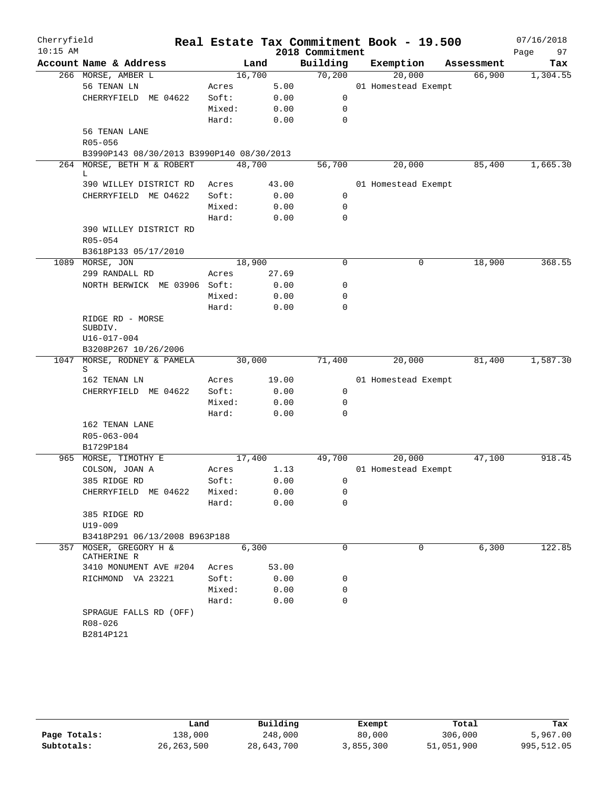| Cherryfield<br>$10:15$ AM |                                                     |        |       | 2018 Commitment | Real Estate Tax Commitment Book - 19.500 |            | 07/16/2018<br>97<br>Page |
|---------------------------|-----------------------------------------------------|--------|-------|-----------------|------------------------------------------|------------|--------------------------|
|                           | Account Name & Address                              |        | Land  | Building        | Exemption                                | Assessment | Tax                      |
|                           | 266 MORSE, AMBER L                                  | 16,700 |       | 70,200          | 20,000                                   | 66,900     | 1,304.55                 |
|                           | 56 TENAN LN                                         | Acres  | 5.00  |                 | 01 Homestead Exempt                      |            |                          |
|                           | CHERRYFIELD ME 04622                                | Soft:  | 0.00  | $\mathbf 0$     |                                          |            |                          |
|                           |                                                     | Mixed: | 0.00  | 0               |                                          |            |                          |
|                           |                                                     | Hard:  | 0.00  | $\mathbf 0$     |                                          |            |                          |
|                           | 56 TENAN LANE                                       |        |       |                 |                                          |            |                          |
|                           | R05-056                                             |        |       |                 |                                          |            |                          |
|                           | B3990P143 08/30/2013 B3990P140 08/30/2013           |        |       |                 |                                          |            |                          |
|                           | 264 MORSE, BETH M & ROBERT<br>L                     | 48,700 |       | 56,700          | 20,000                                   | 85,400     | 1,665.30                 |
|                           | 390 WILLEY DISTRICT RD                              | Acres  | 43.00 |                 | 01 Homestead Exempt                      |            |                          |
|                           | CHERRYFIELD ME 04622                                | Soft:  | 0.00  | 0               |                                          |            |                          |
|                           |                                                     | Mixed: | 0.00  | $\mathbf 0$     |                                          |            |                          |
|                           |                                                     | Hard:  | 0.00  | $\mathbf 0$     |                                          |            |                          |
|                           | 390 WILLEY DISTRICT RD                              |        |       |                 |                                          |            |                          |
|                           | R05-054                                             |        |       |                 |                                          |            |                          |
|                           | B3618P133 05/17/2010                                |        |       |                 |                                          |            |                          |
|                           | 1089 MORSE, JON                                     | 18,900 |       | 0               | 0                                        | 18,900     | 368.55                   |
|                           | 299 RANDALL RD                                      | Acres  | 27.69 |                 |                                          |            |                          |
|                           | NORTH BERWICK ME 03906 Soft:                        |        | 0.00  | 0               |                                          |            |                          |
|                           |                                                     | Mixed: | 0.00  | 0               |                                          |            |                          |
|                           |                                                     | Hard:  | 0.00  | $\mathbf 0$     |                                          |            |                          |
|                           | RIDGE RD - MORSE<br>SUBDIV.                         |        |       |                 |                                          |            |                          |
|                           | U16-017-004                                         |        |       |                 |                                          |            |                          |
|                           | B3208P267 10/26/2006                                |        |       |                 |                                          |            |                          |
| 1047                      | MORSE, RODNEY & PAMELA<br>S                         | 30,000 |       | 71,400          | 20,000                                   | 81,400     | 1,587.30                 |
|                           | 162 TENAN LN                                        | Acres  | 19.00 |                 | 01 Homestead Exempt                      |            |                          |
|                           | CHERRYFIELD ME 04622                                | Soft:  | 0.00  | $\mathsf{O}$    |                                          |            |                          |
|                           |                                                     | Mixed: | 0.00  | 0               |                                          |            |                          |
|                           |                                                     | Hard:  | 0.00  | 0               |                                          |            |                          |
|                           | 162 TENAN LANE                                      |        |       |                 |                                          |            |                          |
|                           | R05-063-004                                         |        |       |                 |                                          |            |                          |
|                           | B1729P184                                           |        |       |                 |                                          |            |                          |
|                           | 965 MORSE, TIMOTHY E                                | 17,400 |       | 49,700          | 20,000                                   | 47,100     | 918.45                   |
|                           | COLSON, JOAN A                                      | Acres  | 1.13  |                 | 01 Homestead Exempt                      |            |                          |
|                           | 385 RIDGE RD                                        | Soft:  | 0.00  | 0               |                                          |            |                          |
|                           | CHERRYFIELD ME 04622                                | Mixed: | 0.00  | 0               |                                          |            |                          |
|                           |                                                     | Hard:  | 0.00  | 0               |                                          |            |                          |
|                           | 385 RIDGE RD                                        |        |       |                 |                                          |            |                          |
|                           | U19-009                                             |        |       |                 |                                          |            |                          |
| 357                       | B3418P291 06/13/2008 B963P188<br>MOSER, GREGORY H & |        | 6,300 | $\mathbf 0$     | 0                                        | 6,300      | 122.85                   |
|                           | CATHERINE R                                         |        |       |                 |                                          |            |                          |
|                           | 3410 MONUMENT AVE #204                              | Acres  | 53.00 |                 |                                          |            |                          |
|                           | RICHMOND VA 23221                                   | Soft:  | 0.00  | 0               |                                          |            |                          |
|                           |                                                     | Mixed: | 0.00  | 0               |                                          |            |                          |
|                           |                                                     | Hard:  | 0.00  | $\Omega$        |                                          |            |                          |
|                           | SPRAGUE FALLS RD (OFF)<br>R08-026                   |        |       |                 |                                          |            |                          |
|                           | B2814P121                                           |        |       |                 |                                          |            |                          |
|                           |                                                     |        |       |                 |                                          |            |                          |

|              | Land         | Building   | Exempt    | Total      | Tax        |
|--------------|--------------|------------|-----------|------------|------------|
| Page Totals: | 138,000      | 248,000    | 80,000    | 306,000    | 5,967.00   |
| Subtotals:   | 26, 263, 500 | 28,643,700 | 3,855,300 | 51,051,900 | 995,512.05 |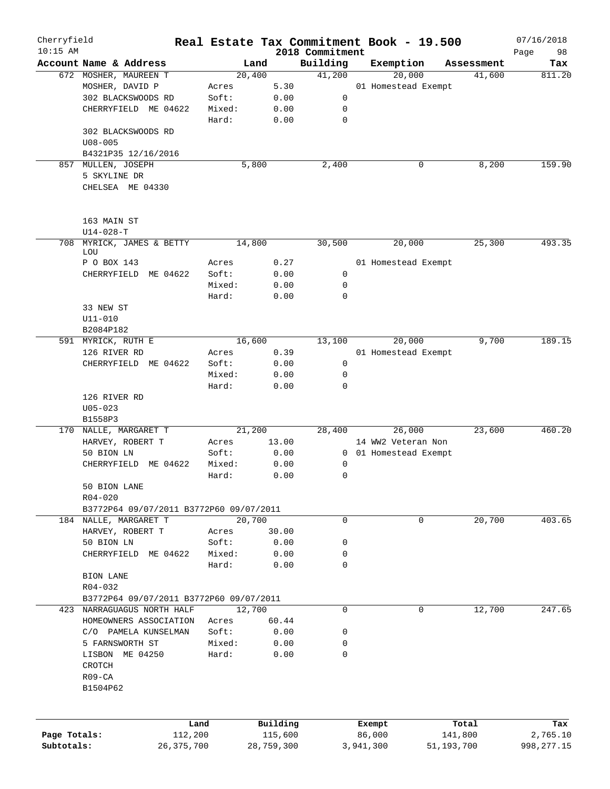| Cherryfield<br>$10:15$ AM |                                         |        |            | 2018 Commitment | Real Estate Tax Commitment Book - 19.500 |            | 07/16/2018        |
|---------------------------|-----------------------------------------|--------|------------|-----------------|------------------------------------------|------------|-------------------|
|                           | Account Name & Address                  | Land   |            | Building        | Exemption                                | Assessment | 98<br>Page<br>Tax |
|                           | 672 MOSHER, MAUREEN T                   | 20,400 |            | 41,200          | 20,000                                   | 41,600     | 811.20            |
|                           | MOSHER, DAVID P                         | Acres  | 5.30       |                 | 01 Homestead Exempt                      |            |                   |
|                           | 302 BLACKSWOODS RD                      | Soft:  | 0.00       | 0               |                                          |            |                   |
|                           | CHERRYFIELD ME 04622                    | Mixed: | 0.00       | 0               |                                          |            |                   |
|                           |                                         | Hard:  | 0.00       | 0               |                                          |            |                   |
|                           | 302 BLACKSWOODS RD                      |        |            |                 |                                          |            |                   |
|                           | $U08 - 005$                             |        |            |                 |                                          |            |                   |
|                           | B4321P35 12/16/2016                     |        |            |                 |                                          |            |                   |
| 857                       | MULLEN, JOSEPH                          | 5,800  |            | 2,400           | 0                                        | 8,200      | 159.90            |
|                           | 5 SKYLINE DR                            |        |            |                 |                                          |            |                   |
|                           | CHELSEA ME 04330                        |        |            |                 |                                          |            |                   |
|                           | 163 MAIN ST                             |        |            |                 |                                          |            |                   |
|                           | $U14 - 028 - T$                         |        |            |                 |                                          |            |                   |
|                           | 708 MYRICK, JAMES & BETTY               |        |            |                 |                                          |            | 493.35            |
|                           | LOU                                     | 14,800 |            | 30,500          | 20,000                                   | 25,300     |                   |
|                           | P O BOX 143                             | Acres  | 0.27       |                 | 01 Homestead Exempt                      |            |                   |
|                           | CHERRYFIELD ME 04622                    | Soft:  | 0.00       | 0               |                                          |            |                   |
|                           |                                         | Mixed: | 0.00       | 0               |                                          |            |                   |
|                           |                                         | Hard:  | 0.00       | 0               |                                          |            |                   |
|                           | 33 NEW ST                               |        |            |                 |                                          |            |                   |
|                           | U11-010                                 |        |            |                 |                                          |            |                   |
|                           | B2084P182                               |        |            |                 |                                          |            |                   |
|                           | 591 MYRICK, RUTH E                      | 16,600 |            | 13,100          | 20,000                                   | 9,700      | 189.15            |
|                           | 126 RIVER RD                            | Acres  | 0.39       |                 | 01 Homestead Exempt                      |            |                   |
|                           | CHERRYFIELD ME 04622                    | Soft:  | 0.00       | 0               |                                          |            |                   |
|                           |                                         | Mixed: | 0.00       | 0               |                                          |            |                   |
|                           |                                         | Hard:  | 0.00       | 0               |                                          |            |                   |
|                           | 126 RIVER RD                            |        |            |                 |                                          |            |                   |
|                           | $U05 - 023$                             |        |            |                 |                                          |            |                   |
|                           | B1558P3                                 |        |            |                 |                                          |            |                   |
|                           | 170 NALLE, MARGARET T                   | 21,200 |            | 28,400          | 26,000                                   | 23,600     | 460.20            |
|                           | HARVEY, ROBERT T                        | Acres  | 13.00      |                 | 14 WW2 Veteran Non                       |            |                   |
|                           | 50 BION LN                              | Soft:  | 0.00       | $\mathbf{0}$    | 01 Homestead Exempt                      |            |                   |
|                           | CHERRYFIELD ME 04622                    | Mixed: | 0.00       | 0               |                                          |            |                   |
|                           |                                         | Hard:  | 0.00       | 0               |                                          |            |                   |
|                           | 50 BION LANE                            |        |            |                 |                                          |            |                   |
|                           | R04-020                                 |        |            |                 |                                          |            |                   |
|                           | B3772P64 09/07/2011 B3772P60 09/07/2011 |        |            |                 |                                          |            |                   |
|                           | 184 NALLE, MARGARET T                   | 20,700 |            | 0               | 0                                        | 20,700     | 403.65            |
|                           | HARVEY, ROBERT T                        | Acres  | 30.00      |                 |                                          |            |                   |
|                           | 50 BION LN                              | Soft:  | 0.00       | 0               |                                          |            |                   |
|                           | CHERRYFIELD ME 04622                    | Mixed: | 0.00       | 0               |                                          |            |                   |
|                           |                                         | Hard:  | 0.00       | 0               |                                          |            |                   |
|                           | BION LANE                               |        |            |                 |                                          |            |                   |
|                           | R04-032                                 |        |            |                 |                                          |            |                   |
|                           | B3772P64 09/07/2011 B3772P60 09/07/2011 |        |            |                 |                                          |            |                   |
|                           | 423 NARRAGUAGUS NORTH HALF              | 12,700 |            | 0               | 0                                        | 12,700     | 247.65            |
|                           | HOMEOWNERS ASSOCIATION                  | Acres  | 60.44      |                 |                                          |            |                   |
|                           | C/O PAMELA KUNSELMAN                    | Soft:  | 0.00       | 0               |                                          |            |                   |
|                           | 5 FARNSWORTH ST                         | Mixed: | 0.00       | 0               |                                          |            |                   |
|                           | LISBON ME 04250                         | Hard:  | 0.00       | 0               |                                          |            |                   |
|                           | CROTCH                                  |        |            |                 |                                          |            |                   |
|                           | $R09 - CA$                              |        |            |                 |                                          |            |                   |
|                           | B1504P62                                |        |            |                 |                                          |            |                   |
|                           |                                         |        |            |                 |                                          |            |                   |
|                           |                                         | Land   | Building   |                 | Exempt                                   | Total      | Tax               |
| Page Totals:              | 112,200                                 |        | 115,600    |                 | 86,000                                   | 141,800    | 2,765.10          |
| Subtotals:                | 26, 375, 700                            |        | 28,759,300 |                 | 3,941,300<br>51,193,700                  |            | 998, 277.15       |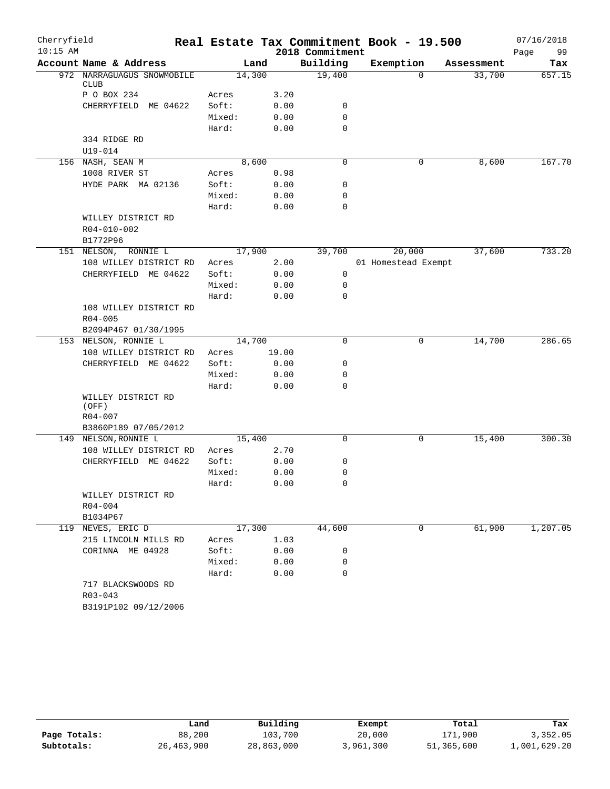| Cherryfield |                                                           |        |        |                 | Real Estate Tax Commitment Book - 19.500 |            | 07/16/2018 |
|-------------|-----------------------------------------------------------|--------|--------|-----------------|------------------------------------------|------------|------------|
| $10:15$ AM  |                                                           |        |        | 2018 Commitment |                                          |            | Page<br>99 |
|             | Account Name & Address                                    |        | Land   | Building        | Exemption                                | Assessment | Tax        |
|             | 972 NARRAGUAGUS SNOWMOBILE<br><b>CLUB</b>                 | 14,300 |        | 19,400          | $\Omega$                                 | 33,700     | 657.15     |
|             | P O BOX 234                                               | Acres  | 3.20   |                 |                                          |            |            |
|             | CHERRYFIELD ME 04622                                      | Soft:  | 0.00   | 0               |                                          |            |            |
|             |                                                           | Mixed: | 0.00   | $\mathbf 0$     |                                          |            |            |
|             |                                                           | Hard:  | 0.00   | $\mathbf 0$     |                                          |            |            |
|             | 334 RIDGE RD                                              |        |        |                 |                                          |            |            |
|             | $U19 - 014$                                               |        |        |                 |                                          |            |            |
|             | 156 NASH, SEAN M                                          |        | 8,600  | 0               | 0                                        | 8,600      | 167.70     |
|             | 1008 RIVER ST                                             | Acres  | 0.98   |                 |                                          |            |            |
|             | HYDE PARK MA 02136                                        | Soft:  | 0.00   | 0               |                                          |            |            |
|             |                                                           | Mixed: | 0.00   | 0               |                                          |            |            |
|             |                                                           | Hard:  | 0.00   | 0               |                                          |            |            |
|             | WILLEY DISTRICT RD<br>R04-010-002<br>B1772P96             |        |        |                 |                                          |            |            |
|             | 151 NELSON, RONNIE L                                      |        | 17,900 | 39,700          | 20,000                                   | 37,600     | 733.20     |
|             | 108 WILLEY DISTRICT RD                                    | Acres  | 2.00   |                 | 01 Homestead Exempt                      |            |            |
|             | CHERRYFIELD ME 04622                                      | Soft:  | 0.00   | 0               |                                          |            |            |
|             |                                                           | Mixed: | 0.00   | 0               |                                          |            |            |
|             |                                                           | Hard:  | 0.00   | 0               |                                          |            |            |
|             | 108 WILLEY DISTRICT RD<br>$R04 - 005$                     |        |        |                 |                                          |            |            |
|             | B2094P467 01/30/1995                                      |        |        |                 |                                          |            |            |
|             | 153 NELSON, RONNIE L                                      | 14,700 |        | $\mathbf 0$     | 0                                        | 14,700     | 286.65     |
|             | 108 WILLEY DISTRICT RD                                    | Acres  | 19.00  |                 |                                          |            |            |
|             | CHERRYFIELD ME 04622                                      | Soft:  | 0.00   | 0               |                                          |            |            |
|             |                                                           | Mixed: | 0.00   | 0               |                                          |            |            |
|             |                                                           | Hard:  | 0.00   | 0               |                                          |            |            |
|             | WILLEY DISTRICT RD<br>(OFF)<br>R04-007                    |        |        |                 |                                          |            |            |
|             | B3860P189 07/05/2012                                      |        |        |                 |                                          |            |            |
|             | 149 NELSON, RONNIE L                                      | 15,400 |        | $\mathbf 0$     | 0                                        | 15,400     | 300.30     |
|             | 108 WILLEY DISTRICT RD                                    | Acres  | 2.70   |                 |                                          |            |            |
|             | CHERRYFIELD ME 04622                                      | Soft:  | 0.00   | 0               |                                          |            |            |
|             |                                                           | Mixed: | 0.00   | 0               |                                          |            |            |
|             |                                                           | Hard:  | 0.00   | $\Omega$        |                                          |            |            |
|             | WILLEY DISTRICT RD                                        |        |        |                 |                                          |            |            |
|             | R04-004                                                   |        |        |                 |                                          |            |            |
|             | B1034P67                                                  |        |        |                 |                                          |            |            |
|             | 119 NEVES, ERIC D                                         |        | 17,300 | 44,600          | 0                                        | 61,900     | 1,207.05   |
|             | 215 LINCOLN MILLS RD                                      | Acres  | 1.03   |                 |                                          |            |            |
|             | CORINNA ME 04928                                          | Soft:  | 0.00   | 0               |                                          |            |            |
|             |                                                           | Mixed: | 0.00   | 0               |                                          |            |            |
|             |                                                           | Hard:  | 0.00   | $\mathbf 0$     |                                          |            |            |
|             | 717 BLACKSWOODS RD<br>$R03 - 043$<br>B3191P102 09/12/2006 |        |        |                 |                                          |            |            |
|             |                                                           |        |        |                 |                                          |            |            |

|              | Land       | Building   | Exempt    | Total      | Tax          |
|--------------|------------|------------|-----------|------------|--------------|
| Page Totals: | 88,200     | 103,700    | 20,000    | 171,900    | 3,352.05     |
| Subtotals:   | 26,463,900 | 28,863,000 | 3,961,300 | 51,365,600 | 1,001,629.20 |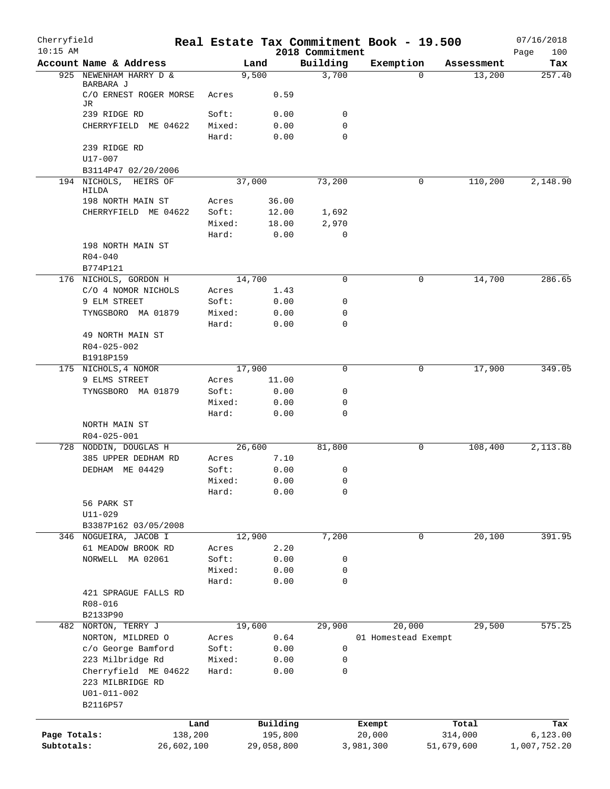| Cherryfield<br>$10:15$ AM |                                            |         |            | 2018 Commitment | Real Estate Tax Commitment Book - 19.500 |            | 07/16/2018<br>100<br>Page |
|---------------------------|--------------------------------------------|---------|------------|-----------------|------------------------------------------|------------|---------------------------|
|                           | Account Name & Address                     |         | Land       | Building        | Exemption                                | Assessment | Tax                       |
|                           | 925 NEWENHAM HARRY D &                     |         | 9,500      | 3,700           | $\Omega$                                 | 13,200     | 257.40                    |
|                           | BARBARA J<br>C/O ERNEST ROGER MORSE<br>JR. | Acres   | 0.59       |                 |                                          |            |                           |
|                           | 239 RIDGE RD                               | Soft:   | 0.00       | 0               |                                          |            |                           |
|                           | CHERRYFIELD ME 04622                       | Mixed:  | 0.00       | 0               |                                          |            |                           |
|                           |                                            | Hard:   | 0.00       | $\mathbf 0$     |                                          |            |                           |
|                           | 239 RIDGE RD                               |         |            |                 |                                          |            |                           |
|                           | U17-007                                    |         |            |                 |                                          |            |                           |
|                           | B3114P47 02/20/2006                        |         |            |                 |                                          |            |                           |
|                           | 194 NICHOLS, HEIRS OF<br>HILDA             |         | 37,000     | 73,200          | 0                                        | 110,200    | 2,148.90                  |
|                           | 198 NORTH MAIN ST                          | Acres   | 36.00      |                 |                                          |            |                           |
|                           | CHERRYFIELD ME 04622                       | Soft:   | 12.00      | 1,692           |                                          |            |                           |
|                           |                                            | Mixed:  | 18.00      | 2,970           |                                          |            |                           |
|                           |                                            | Hard:   | 0.00       | $\mathbf 0$     |                                          |            |                           |
|                           | 198 NORTH MAIN ST                          |         |            |                 |                                          |            |                           |
|                           | $R04 - 040$<br>B774P121                    |         |            |                 |                                          |            |                           |
|                           | 176 NICHOLS, GORDON H                      |         | 14,700     | 0               | 0                                        | 14,700     | 286.65                    |
|                           | C/O 4 NOMOR NICHOLS                        | Acres   | 1.43       |                 |                                          |            |                           |
|                           | 9 ELM STREET                               | Soft:   | 0.00       | 0               |                                          |            |                           |
|                           | TYNGSBORO MA 01879                         | Mixed:  | 0.00       | 0               |                                          |            |                           |
|                           |                                            | Hard:   | 0.00       | $\mathbf 0$     |                                          |            |                           |
|                           | 49 NORTH MAIN ST                           |         |            |                 |                                          |            |                           |
|                           | R04-025-002                                |         |            |                 |                                          |            |                           |
|                           | B1918P159<br>175 NICHOLS, 4 NOMOR          |         | 17,900     | $\mathbf 0$     | 0                                        | 17,900     | 349.05                    |
|                           | 9 ELMS STREET                              | Acres   | 11.00      |                 |                                          |            |                           |
|                           | TYNGSBORO MA 01879                         | Soft:   | 0.00       | 0               |                                          |            |                           |
|                           |                                            | Mixed:  | 0.00       | $\mathbf 0$     |                                          |            |                           |
|                           |                                            | Hard:   | 0.00       | $\mathbf 0$     |                                          |            |                           |
|                           | NORTH MAIN ST<br>R04-025-001               |         |            |                 |                                          |            |                           |
|                           | 728 NODDIN, DOUGLAS H                      |         | 26,600     | 81,800          | 0                                        | 108,400    | 2,113.80                  |
|                           | 385 UPPER DEDHAM RD                        | Acres   | 7.10       |                 |                                          |            |                           |
|                           | DEDHAM ME 04429                            | Soft:   | 0.00       | 0               |                                          |            |                           |
|                           |                                            | Mixed:  | 0.00       | 0               |                                          |            |                           |
|                           |                                            | Hard:   | 0.00       | $\mathbf 0$     |                                          |            |                           |
|                           | 56 PARK ST<br>$U11 - 029$                  |         |            |                 |                                          |            |                           |
|                           | B3387P162 03/05/2008                       |         |            |                 |                                          |            |                           |
|                           | 346 NOGUEIRA, JACOB I                      |         | 12,900     | 7,200           | 0                                        | 20,100     | 391.95                    |
|                           | 61 MEADOW BROOK RD                         | Acres   | 2.20       |                 |                                          |            |                           |
|                           | NORWELL MA 02061                           | Soft:   | 0.00       | 0               |                                          |            |                           |
|                           |                                            | Mixed:  | 0.00       | $\mathbf 0$     |                                          |            |                           |
|                           |                                            | Hard:   | 0.00       | 0               |                                          |            |                           |
|                           | 421 SPRAGUE FALLS RD                       |         |            |                 |                                          |            |                           |
|                           | R08-016<br>B2133P90                        |         |            |                 |                                          |            |                           |
|                           | 482 NORTON, TERRY J                        |         | 19,600     | 29,900          | 20,000                                   | 29,500     | 575.25                    |
|                           | NORTON, MILDRED O                          | Acres   | 0.64       |                 | 01 Homestead Exempt                      |            |                           |
|                           | c/o George Bamford                         | Soft:   | 0.00       | 0               |                                          |            |                           |
|                           | 223 Milbridge Rd                           | Mixed:  | 0.00       | 0               |                                          |            |                           |
|                           | Cherryfield ME 04622                       | Hard:   | 0.00       | $\mathbf 0$     |                                          |            |                           |
|                           | 223 MILBRIDGE RD                           |         |            |                 |                                          |            |                           |
|                           | $U01 - 011 - 002$                          |         |            |                 |                                          |            |                           |
|                           | B2116P57                                   |         |            |                 |                                          |            |                           |
|                           |                                            | Land    | Building   |                 | Exempt                                   | Total      | Tax                       |
| Page Totals:              |                                            | 138,200 | 195,800    |                 | 20,000                                   | 314,000    | 6, 123.00                 |
| Subtotals:                | 26,602,100                                 |         | 29,058,800 |                 | 3,981,300                                | 51,679,600 | 1,007,752.20              |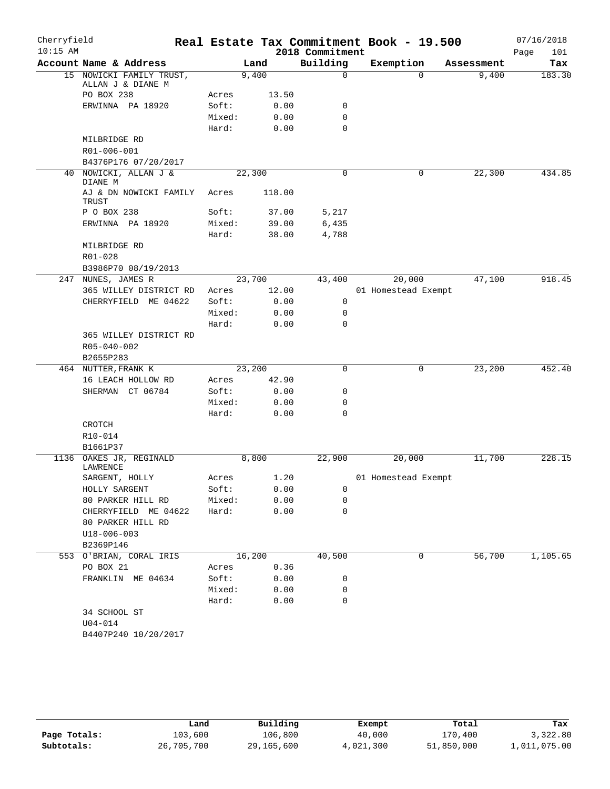| Cherryfield<br>$10:15$ AM |                                               |        |        |        | 2018 Commitment | Real Estate Tax Commitment Book - 19.500 |            | 07/16/2018<br>Page<br>101 |
|---------------------------|-----------------------------------------------|--------|--------|--------|-----------------|------------------------------------------|------------|---------------------------|
|                           | Account Name & Address                        |        | Land   |        | Building        | Exemption                                | Assessment | Tax                       |
|                           | 15 NOWICKI FAMILY TRUST,<br>ALLAN J & DIANE M |        | 9,400  |        | $\mathbf 0$     | $\Omega$                                 | 9,400      | 183.30                    |
|                           | PO BOX 238                                    | Acres  |        | 13.50  |                 |                                          |            |                           |
|                           | ERWINNA PA 18920                              | Soft:  |        | 0.00   | 0               |                                          |            |                           |
|                           |                                               | Mixed: |        | 0.00   | 0               |                                          |            |                           |
|                           |                                               | Hard:  |        | 0.00   | $\mathbf 0$     |                                          |            |                           |
|                           | MILBRIDGE RD                                  |        |        |        |                 |                                          |            |                           |
|                           | R01-006-001                                   |        |        |        |                 |                                          |            |                           |
|                           | B4376P176 07/20/2017                          |        |        |        |                 |                                          |            |                           |
|                           | 40 NOWICKI, ALLAN J &<br>DIANE M              |        | 22,300 |        | 0               | 0                                        | 22,300     | 434.85                    |
|                           | AJ & DN NOWICKI FAMILY<br>TRUST               | Acres  |        | 118.00 |                 |                                          |            |                           |
|                           | P O BOX 238                                   | Soft:  |        | 37.00  | 5,217           |                                          |            |                           |
|                           | ERWINNA PA 18920                              | Mixed: |        | 39.00  | 6,435           |                                          |            |                           |
|                           |                                               | Hard:  |        | 38.00  | 4,788           |                                          |            |                           |
|                           | MILBRIDGE RD                                  |        |        |        |                 |                                          |            |                           |
|                           | R01-028                                       |        |        |        |                 |                                          |            |                           |
|                           | B3986P70 08/19/2013                           |        |        |        |                 |                                          |            |                           |
|                           | 247 NUNES, JAMES R                            |        | 23,700 |        | 43,400          | 20,000                                   | 47,100     | 918.45                    |
|                           | 365 WILLEY DISTRICT RD                        | Acres  |        | 12.00  |                 | 01 Homestead Exempt                      |            |                           |
|                           | CHERRYFIELD ME 04622                          | Soft:  |        | 0.00   | $\mathbf 0$     |                                          |            |                           |
|                           |                                               | Mixed: |        | 0.00   | 0               |                                          |            |                           |
|                           |                                               | Hard:  |        | 0.00   | $\mathbf 0$     |                                          |            |                           |
|                           | 365 WILLEY DISTRICT RD                        |        |        |        |                 |                                          |            |                           |
|                           | R05-040-002                                   |        |        |        |                 |                                          |            |                           |
|                           | B2655P283                                     |        |        |        |                 |                                          |            |                           |
|                           | 464 NUTTER, FRANK K                           |        | 23,200 |        | $\mathbf 0$     | 0                                        | 23,200     | 452.40                    |
|                           | 16 LEACH HOLLOW RD                            | Acres  |        | 42.90  |                 |                                          |            |                           |
|                           | SHERMAN CT 06784                              | Soft:  |        | 0.00   | 0               |                                          |            |                           |
|                           |                                               | Mixed: |        | 0.00   | 0               |                                          |            |                           |
|                           |                                               | Hard:  |        | 0.00   | 0               |                                          |            |                           |
|                           | CROTCH                                        |        |        |        |                 |                                          |            |                           |
|                           | $R10 - 014$                                   |        |        |        |                 |                                          |            |                           |
|                           | B1661P37                                      |        |        |        |                 |                                          |            |                           |
|                           | 1136 OAKES JR, REGINALD<br>LAWRENCE           |        | 8,800  |        | 22,900          | 20,000                                   | 11,700     | 228.15                    |
|                           | SARGENT, HOLLY                                | Acres  |        | 1.20   |                 | 01 Homestead Exempt                      |            |                           |
|                           | HOLLY SARGENT                                 | Soft:  |        | 0.00   | 0               |                                          |            |                           |
|                           | 80 PARKER HILL RD                             | Mixed: |        | 0.00   | 0               |                                          |            |                           |
|                           | CHERRYFIELD ME 04622                          | Hard:  |        | 0.00   | 0               |                                          |            |                           |
|                           | 80 PARKER HILL RD                             |        |        |        |                 |                                          |            |                           |
|                           | $U18 - 006 - 003$                             |        |        |        |                 |                                          |            |                           |
|                           | B2369P146                                     |        |        |        |                 |                                          |            |                           |
|                           | 553 O'BRIAN, CORAL IRIS                       |        | 16,200 |        | 40,500          | 0                                        | 56,700     | 1,105.65                  |
|                           | PO BOX 21                                     | Acres  |        | 0.36   |                 |                                          |            |                           |
|                           | FRANKLIN ME 04634                             | Soft:  |        | 0.00   | 0               |                                          |            |                           |
|                           |                                               | Mixed: |        | 0.00   | 0               |                                          |            |                           |
|                           |                                               | Hard:  |        | 0.00   | 0               |                                          |            |                           |
|                           | 34 SCHOOL ST                                  |        |        |        |                 |                                          |            |                           |
|                           | $U04 - 014$                                   |        |        |        |                 |                                          |            |                           |
|                           | B4407P240 10/20/2017                          |        |        |        |                 |                                          |            |                           |
|                           |                                               |        |        |        |                 |                                          |            |                           |

|              | úand       | Building   | Exempt    | Total      | Tax          |
|--------------|------------|------------|-----------|------------|--------------|
| Page Totals: | 103,600    | 106,800    | 40,000    | 170,400    | 3,322.80     |
| Subtotals:   | 26,705,700 | 29,165,600 | 4,021,300 | 51,850,000 | 1,011,075.00 |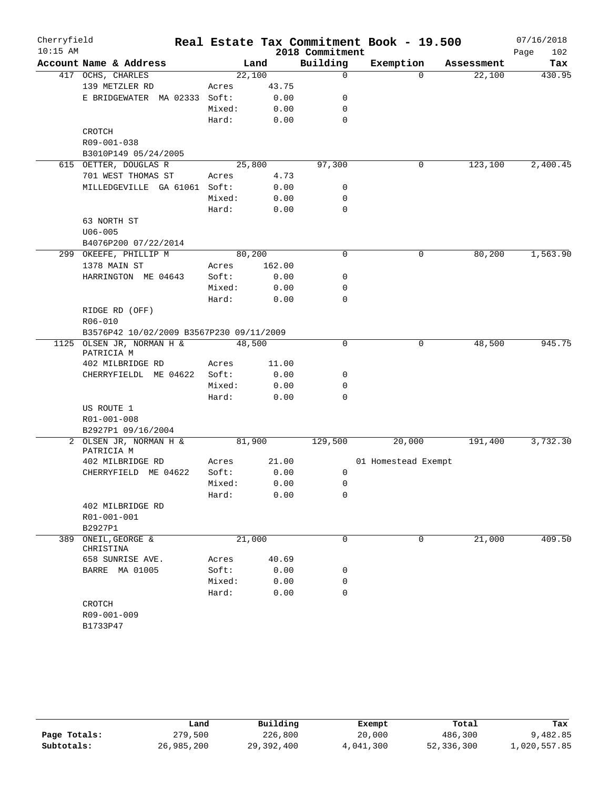| Cherryfield<br>$10:15$ AM |                                          |                |        | 2018 Commitment | Real Estate Tax Commitment Book - 19.500 |            | 07/16/2018<br>Page<br>102 |
|---------------------------|------------------------------------------|----------------|--------|-----------------|------------------------------------------|------------|---------------------------|
|                           | Account Name & Address                   |                | Land   | Building        | Exemption                                | Assessment | Tax                       |
|                           | 417 OCHS, CHARLES                        | 22,100         |        | 0               | $\Omega$                                 | 22,100     | 430.95                    |
|                           | 139 METZLER RD                           | Acres          | 43.75  |                 |                                          |            |                           |
|                           | E BRIDGEWATER MA 02333                   | Soft:          | 0.00   | 0               |                                          |            |                           |
|                           |                                          | Mixed:         | 0.00   | 0               |                                          |            |                           |
|                           |                                          | Hard:          | 0.00   | 0               |                                          |            |                           |
|                           | CROTCH                                   |                |        |                 |                                          |            |                           |
|                           | R09-001-038                              |                |        |                 |                                          |            |                           |
|                           | B3010P149 05/24/2005                     |                |        |                 |                                          |            |                           |
|                           | 615 OETTER, DOUGLAS R                    | 25,800         |        | 97,300          | 0                                        | 123,100    | 2,400.45                  |
|                           | 701 WEST THOMAS ST                       | Acres          | 4.73   |                 |                                          |            |                           |
|                           | MILLEDGEVILLE GA 61061                   | Soft:          | 0.00   | 0               |                                          |            |                           |
|                           |                                          | Mixed:         | 0.00   | 0               |                                          |            |                           |
|                           |                                          | Hard:          | 0.00   | 0               |                                          |            |                           |
|                           | 63 NORTH ST                              |                |        |                 |                                          |            |                           |
|                           | $U06 - 005$                              |                |        |                 |                                          |            |                           |
|                           | B4076P200 07/22/2014                     |                |        |                 |                                          |            |                           |
|                           | 299 OKEEFE, PHILLIP M                    | 80,200         |        | $\mathbf 0$     | 0                                        | 80,200     | 1,563.90                  |
|                           | 1378 MAIN ST                             | Acres          | 162.00 |                 |                                          |            |                           |
|                           | HARRINGTON ME 04643                      | Soft:          | 0.00   | 0               |                                          |            |                           |
|                           |                                          | Mixed:         | 0.00   | 0               |                                          |            |                           |
|                           |                                          | Hard:          | 0.00   | 0               |                                          |            |                           |
|                           | RIDGE RD (OFF)                           |                |        |                 |                                          |            |                           |
|                           | R06-010                                  |                |        |                 |                                          |            |                           |
|                           | B3576P42 10/02/2009 B3567P230 09/11/2009 |                |        |                 |                                          |            |                           |
|                           | 1125 OLSEN JR, NORMAN H &                | 48,500         |        | $\mathbf 0$     | 0                                        | 48,500     | 945.75                    |
|                           | PATRICIA M                               |                |        |                 |                                          |            |                           |
|                           | 402 MILBRIDGE RD                         | Acres          | 11.00  |                 |                                          |            |                           |
|                           | CHERRYFIELDL ME 04622                    | Soft:          | 0.00   | 0               |                                          |            |                           |
|                           |                                          | Mixed:         | 0.00   | 0               |                                          |            |                           |
|                           |                                          | Hard:          | 0.00   | 0               |                                          |            |                           |
|                           | US ROUTE 1                               |                |        |                 |                                          |            |                           |
|                           | R01-001-008                              |                |        |                 |                                          |            |                           |
|                           | B2927P1 09/16/2004                       |                |        |                 |                                          |            |                           |
|                           | 2 OLSEN JR, NORMAN H &                   | 81,900         |        | 129,500         | 20,000                                   | 191,400    | 3,732.30                  |
|                           | PATRICIA M                               |                | 21.00  |                 | 01 Homestead Exempt                      |            |                           |
|                           | 402 MILBRIDGE RD                         | Acres<br>Soft: | 0.00   | 0               |                                          |            |                           |
|                           | CHERRYFIELD ME 04622                     | Mixed:         | 0.00   | 0               |                                          |            |                           |
|                           |                                          |                | 0.00   | 0               |                                          |            |                           |
|                           | 402 MILBRIDGE RD                         | Hard:          |        |                 |                                          |            |                           |
|                           | R01-001-001                              |                |        |                 |                                          |            |                           |
|                           | B2927P1                                  |                |        |                 |                                          |            |                           |
| 389                       | ONEIL, GEORGE &                          | 21,000         |        | 0               | 0                                        | 21,000     | 409.50                    |
|                           | CHRISTINA                                |                |        |                 |                                          |            |                           |
|                           | 658 SUNRISE AVE.                         | Acres          | 40.69  |                 |                                          |            |                           |
|                           | BARRE MA 01005                           | Soft:          | 0.00   | 0               |                                          |            |                           |
|                           |                                          | Mixed:         | 0.00   | 0               |                                          |            |                           |
|                           |                                          | Hard:          | 0.00   | 0               |                                          |            |                           |
|                           | CROTCH                                   |                |        |                 |                                          |            |                           |
|                           | R09-001-009                              |                |        |                 |                                          |            |                           |
|                           | B1733P47                                 |                |        |                 |                                          |            |                           |
|                           |                                          |                |        |                 |                                          |            |                           |

|              | Land       | Building   | Exempt    | Total      | Tax          |
|--------------|------------|------------|-----------|------------|--------------|
| Page Totals: | 279,500    | 226,800    | 20,000    | 486,300    | 9,482.85     |
| Subtotals:   | 26,985,200 | 29,392,400 | 4,041,300 | 52,336,300 | 1,020,557.85 |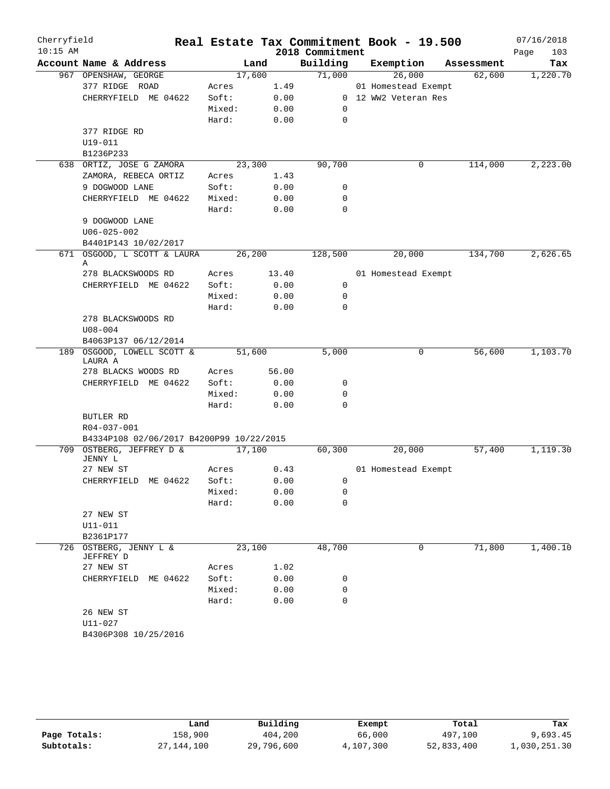| Cherryfield |                                          |         |       |                 | Real Estate Tax Commitment Book - 19.500 |            | 07/16/2018  |
|-------------|------------------------------------------|---------|-------|-----------------|------------------------------------------|------------|-------------|
| $10:15$ AM  |                                          |         |       | 2018 Commitment |                                          |            | 103<br>Page |
|             | Account Name & Address                   | Land    |       | Building        | Exemption                                | Assessment | Tax         |
|             | 967 OPENSHAW, GEORGE                     | 17,600  |       | 71,000          | 26,000                                   | 62,600     | 1,220.70    |
|             | 377 RIDGE ROAD                           | Acres   | 1.49  |                 | 01 Homestead Exempt                      |            |             |
|             | CHERRYFIELD ME 04622                     | Soft:   | 0.00  |                 | 0 12 WW2 Veteran Res                     |            |             |
|             |                                          | Mixed:  | 0.00  | 0               |                                          |            |             |
|             |                                          | Hard:   | 0.00  | 0               |                                          |            |             |
|             | 377 RIDGE RD                             |         |       |                 |                                          |            |             |
|             | U19-011                                  |         |       |                 |                                          |            |             |
|             | B1236P233                                |         |       |                 |                                          |            |             |
|             | 638 ORTIZ, JOSE G ZAMORA                 | 23,300  |       | 90,700          | 0                                        | 114,000    | 2,223.00    |
|             | ZAMORA, REBECA ORTIZ                     | Acres   | 1.43  |                 |                                          |            |             |
|             | 9 DOGWOOD LANE                           | Soft:   | 0.00  | 0               |                                          |            |             |
|             | CHERRYFIELD ME 04622                     | Mixed:  | 0.00  | 0               |                                          |            |             |
|             |                                          | Hard:   | 0.00  | 0               |                                          |            |             |
|             | 9 DOGWOOD LANE                           |         |       |                 |                                          |            |             |
|             | $U06 - 025 - 002$                        |         |       |                 |                                          |            |             |
|             | B4401P143 10/02/2017                     |         |       |                 |                                          |            |             |
| 671         | OSGOOD, L SCOTT & LAURA                  | 26, 200 |       | 128,500         | 20,000                                   | 134,700    | 2,626.65    |
|             | Α<br>278 BLACKSWOODS RD                  | Acres   | 13.40 |                 | 01 Homestead Exempt                      |            |             |
|             | CHERRYFIELD ME 04622                     | Soft:   | 0.00  | 0               |                                          |            |             |
|             |                                          | Mixed:  | 0.00  | 0               |                                          |            |             |
|             |                                          | Hard:   | 0.00  | $\mathbf 0$     |                                          |            |             |
|             | 278 BLACKSWOODS RD                       |         |       |                 |                                          |            |             |
|             | $U08 - 004$                              |         |       |                 |                                          |            |             |
|             | B4063P137 06/12/2014                     |         |       |                 |                                          |            |             |
|             | 189 OSGOOD, LOWELL SCOTT &               | 51,600  |       | 5,000           | 0                                        | 56,600     | 1,103.70    |
|             | LAURA A                                  |         |       |                 |                                          |            |             |
|             | 278 BLACKS WOODS RD                      | Acres   | 56.00 |                 |                                          |            |             |
|             | CHERRYFIELD ME 04622                     | Soft:   | 0.00  | 0               |                                          |            |             |
|             |                                          | Mixed:  | 0.00  | 0               |                                          |            |             |
|             |                                          | Hard:   | 0.00  | $\mathbf 0$     |                                          |            |             |
|             | BUTLER RD                                |         |       |                 |                                          |            |             |
|             | R04-037-001                              |         |       |                 |                                          |            |             |
|             | B4334P108 02/06/2017 B4200P99 10/22/2015 |         |       |                 |                                          |            |             |
|             | 709 OSTBERG, JEFFREY D &                 | 17,100  |       | 60,300          | 20,000                                   | 57,400     | 1,119.30    |
|             | JENNY L                                  |         |       |                 |                                          |            |             |
|             | 27 NEW ST                                | Acres   | 0.43  |                 | 01 Homestead Exempt                      |            |             |
|             | CHERRYFIELD ME 04622                     | Soft:   | 0.00  | $\mathbf 0$     |                                          |            |             |
|             |                                          | Mixed:  | 0.00  | 0               |                                          |            |             |
|             |                                          | Hard:   | 0.00  | 0               |                                          |            |             |
|             | 27 NEW ST                                |         |       |                 |                                          |            |             |
|             | $U11 - 011$<br>B2361P177                 |         |       |                 |                                          |            |             |
|             | 726 OSTBERG, JENNY L &                   | 23,100  |       | 48,700          | 0                                        | 71,800     | 1,400.10    |
|             | JEFFREY D                                |         |       |                 |                                          |            |             |
|             | 27 NEW ST                                | Acres   | 1.02  |                 |                                          |            |             |
|             | CHERRYFIELD ME 04622                     | Soft:   | 0.00  | 0               |                                          |            |             |
|             |                                          | Mixed:  | 0.00  | 0               |                                          |            |             |
|             |                                          | Hard:   | 0.00  | 0               |                                          |            |             |
|             | 26 NEW ST                                |         |       |                 |                                          |            |             |
|             | $U11 - 027$                              |         |       |                 |                                          |            |             |
|             | B4306P308 10/25/2016                     |         |       |                 |                                          |            |             |
|             |                                          |         |       |                 |                                          |            |             |
|             |                                          |         |       |                 |                                          |            |             |

|              | Land         | Building   | Exempt    | Total      | Tax          |
|--------------|--------------|------------|-----------|------------|--------------|
| Page Totals: | 158,900      | 404,200    | 66,000    | 497,100    | 9,693.45     |
| Subtotals:   | 27, 144, 100 | 29,796,600 | 4,107,300 | 52,833,400 | 1,030,251.30 |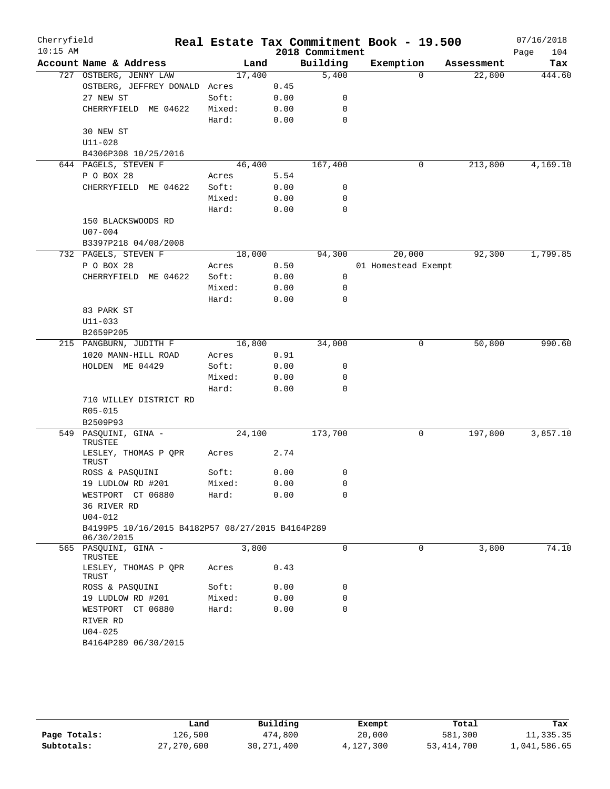| Cherryfield<br>$10:15$ AM       |                                                                                                                                                                                                                              |                                                                    |                                                                                                                                 |                                                                                      |                                             | 07/16/2018<br>104<br>Page                                                           |
|---------------------------------|------------------------------------------------------------------------------------------------------------------------------------------------------------------------------------------------------------------------------|--------------------------------------------------------------------|---------------------------------------------------------------------------------------------------------------------------------|--------------------------------------------------------------------------------------|---------------------------------------------|-------------------------------------------------------------------------------------|
| Account Name & Address          |                                                                                                                                                                                                                              |                                                                    |                                                                                                                                 |                                                                                      | Assessment                                  | Tax                                                                                 |
|                                 |                                                                                                                                                                                                                              |                                                                    |                                                                                                                                 | $\Omega$                                                                             |                                             | 444.60                                                                              |
|                                 |                                                                                                                                                                                                                              | 0.45                                                               |                                                                                                                                 |                                                                                      |                                             |                                                                                     |
| 27 NEW ST                       | Soft:                                                                                                                                                                                                                        | 0.00                                                               | 0                                                                                                                               |                                                                                      |                                             |                                                                                     |
| CHERRYFIELD ME 04622            | Mixed:                                                                                                                                                                                                                       | 0.00                                                               | 0                                                                                                                               |                                                                                      |                                             |                                                                                     |
|                                 | Hard:                                                                                                                                                                                                                        | 0.00                                                               | $\mathbf 0$                                                                                                                     |                                                                                      |                                             |                                                                                     |
| 30 NEW ST                       |                                                                                                                                                                                                                              |                                                                    |                                                                                                                                 |                                                                                      |                                             |                                                                                     |
| $U11 - 028$                     |                                                                                                                                                                                                                              |                                                                    |                                                                                                                                 |                                                                                      |                                             |                                                                                     |
| B4306P308 10/25/2016            |                                                                                                                                                                                                                              |                                                                    |                                                                                                                                 |                                                                                      |                                             |                                                                                     |
| 644 PAGELS, STEVEN F            |                                                                                                                                                                                                                              |                                                                    | 167,400                                                                                                                         | 0                                                                                    | 213,800                                     | 4,169.10                                                                            |
| P O BOX 28                      | Acres                                                                                                                                                                                                                        | 5.54                                                               |                                                                                                                                 |                                                                                      |                                             |                                                                                     |
| CHERRYFIELD ME 04622            | Soft:                                                                                                                                                                                                                        | 0.00                                                               | 0                                                                                                                               |                                                                                      |                                             |                                                                                     |
|                                 | Mixed:                                                                                                                                                                                                                       | 0.00                                                               | 0                                                                                                                               |                                                                                      |                                             |                                                                                     |
|                                 | Hard:                                                                                                                                                                                                                        | 0.00                                                               | $\Omega$                                                                                                                        |                                                                                      |                                             |                                                                                     |
| 150 BLACKSWOODS RD              |                                                                                                                                                                                                                              |                                                                    |                                                                                                                                 |                                                                                      |                                             |                                                                                     |
| $U07 - 004$                     |                                                                                                                                                                                                                              |                                                                    |                                                                                                                                 |                                                                                      |                                             |                                                                                     |
| B3397P218 04/08/2008            |                                                                                                                                                                                                                              |                                                                    |                                                                                                                                 |                                                                                      |                                             |                                                                                     |
|                                 |                                                                                                                                                                                                                              |                                                                    | 94,300                                                                                                                          |                                                                                      | 92,300                                      | 1,799.85                                                                            |
| P O BOX 28                      | Acres                                                                                                                                                                                                                        | 0.50                                                               |                                                                                                                                 |                                                                                      |                                             |                                                                                     |
| CHERRYFIELD ME 04622            | Soft:                                                                                                                                                                                                                        |                                                                    | 0                                                                                                                               |                                                                                      |                                             |                                                                                     |
|                                 | Mixed:                                                                                                                                                                                                                       |                                                                    | 0                                                                                                                               |                                                                                      |                                             |                                                                                     |
|                                 | Hard:                                                                                                                                                                                                                        |                                                                    | $\mathbf 0$                                                                                                                     |                                                                                      |                                             |                                                                                     |
|                                 |                                                                                                                                                                                                                              |                                                                    |                                                                                                                                 |                                                                                      |                                             |                                                                                     |
| $U11 - 033$                     |                                                                                                                                                                                                                              |                                                                    |                                                                                                                                 |                                                                                      |                                             |                                                                                     |
|                                 |                                                                                                                                                                                                                              |                                                                    |                                                                                                                                 |                                                                                      |                                             |                                                                                     |
|                                 |                                                                                                                                                                                                                              |                                                                    |                                                                                                                                 |                                                                                      |                                             | 990.60                                                                              |
|                                 |                                                                                                                                                                                                                              |                                                                    |                                                                                                                                 |                                                                                      |                                             |                                                                                     |
|                                 |                                                                                                                                                                                                                              |                                                                    |                                                                                                                                 |                                                                                      |                                             |                                                                                     |
|                                 | Mixed:                                                                                                                                                                                                                       |                                                                    | 0                                                                                                                               |                                                                                      |                                             |                                                                                     |
|                                 |                                                                                                                                                                                                                              |                                                                    | 0                                                                                                                               |                                                                                      |                                             |                                                                                     |
|                                 |                                                                                                                                                                                                                              |                                                                    |                                                                                                                                 |                                                                                      |                                             |                                                                                     |
| R05-015                         |                                                                                                                                                                                                                              |                                                                    |                                                                                                                                 |                                                                                      |                                             |                                                                                     |
|                                 |                                                                                                                                                                                                                              |                                                                    |                                                                                                                                 |                                                                                      |                                             |                                                                                     |
| PASQUINI, GINA -                |                                                                                                                                                                                                                              |                                                                    | 173,700                                                                                                                         | 0                                                                                    | 197,800                                     | 3,857.10                                                                            |
| LESLEY, THOMAS P QPR            | Acres                                                                                                                                                                                                                        | 2.74                                                               |                                                                                                                                 |                                                                                      |                                             |                                                                                     |
| ROSS & PASQUINI                 | Soft:                                                                                                                                                                                                                        | 0.00                                                               | 0                                                                                                                               |                                                                                      |                                             |                                                                                     |
|                                 |                                                                                                                                                                                                                              |                                                                    | 0                                                                                                                               |                                                                                      |                                             |                                                                                     |
| WESTPORT CT 06880               | Hard:                                                                                                                                                                                                                        | 0.00                                                               | 0                                                                                                                               |                                                                                      |                                             |                                                                                     |
| 36 RIVER RD                     |                                                                                                                                                                                                                              |                                                                    |                                                                                                                                 |                                                                                      |                                             |                                                                                     |
| $U04 - 012$                     |                                                                                                                                                                                                                              |                                                                    |                                                                                                                                 |                                                                                      |                                             |                                                                                     |
| 06/30/2015                      |                                                                                                                                                                                                                              |                                                                    |                                                                                                                                 |                                                                                      |                                             |                                                                                     |
| 565 PASQUINI, GINA -<br>TRUSTEE |                                                                                                                                                                                                                              |                                                                    | 0                                                                                                                               | 0                                                                                    | 3,800                                       | 74.10                                                                               |
| LESLEY, THOMAS P OPR<br>TRUST   | Acres                                                                                                                                                                                                                        | 0.43                                                               |                                                                                                                                 |                                                                                      |                                             |                                                                                     |
| ROSS & PASQUINI                 | Soft:                                                                                                                                                                                                                        | 0.00                                                               | 0                                                                                                                               |                                                                                      |                                             |                                                                                     |
| 19 LUDLOW RD #201               | Mixed:                                                                                                                                                                                                                       | 0.00                                                               | 0                                                                                                                               |                                                                                      |                                             |                                                                                     |
| WESTPORT CT 06880               | Hard:                                                                                                                                                                                                                        | 0.00                                                               | $\Omega$                                                                                                                        |                                                                                      |                                             |                                                                                     |
| RIVER RD                        |                                                                                                                                                                                                                              |                                                                    |                                                                                                                                 |                                                                                      |                                             |                                                                                     |
|                                 |                                                                                                                                                                                                                              |                                                                    |                                                                                                                                 |                                                                                      |                                             |                                                                                     |
| $U04 - 025$                     |                                                                                                                                                                                                                              |                                                                    |                                                                                                                                 |                                                                                      |                                             |                                                                                     |
|                                 | 727 OSTBERG, JENNY LAW<br>732 PAGELS, STEVEN F<br>83 PARK ST<br>B2659P205<br>215 PANGBURN, JUDITH F<br>1020 MANN-HILL ROAD<br>HOLDEN ME 04429<br>710 WILLEY DISTRICT RD<br>B2509P93<br>TRUSTEE<br>TRUST<br>19 LUDLOW RD #201 | OSTBERG, JEFFREY DONALD Acres<br>Acres<br>Soft:<br>Hard:<br>Mixed: | Land<br>17,400<br>46,400<br>18,000<br>0.00<br>0.00<br>0.00<br>16,800<br>0.91<br>0.00<br>0.00<br>0.00<br>24,100<br>0.00<br>3,800 | Building<br>5,400<br>34,000<br>0<br>B4199P5 10/16/2015 B4182P57 08/27/2015 B4164P289 | 2018 Commitment<br>Exemption<br>20,000<br>0 | Real Estate Tax Commitment Book - 19.500<br>22,800<br>01 Homestead Exempt<br>50,800 |

|              | Land       | Building     | Exempt    | Total        | Tax          |
|--------------|------------|--------------|-----------|--------------|--------------|
| Page Totals: | 126,500    | 474,800      | 20,000    | 581,300      | 11,335.35    |
| Subtotals:   | 27,270,600 | 30, 271, 400 | 4,127,300 | 53, 414, 700 | 1,041,586.65 |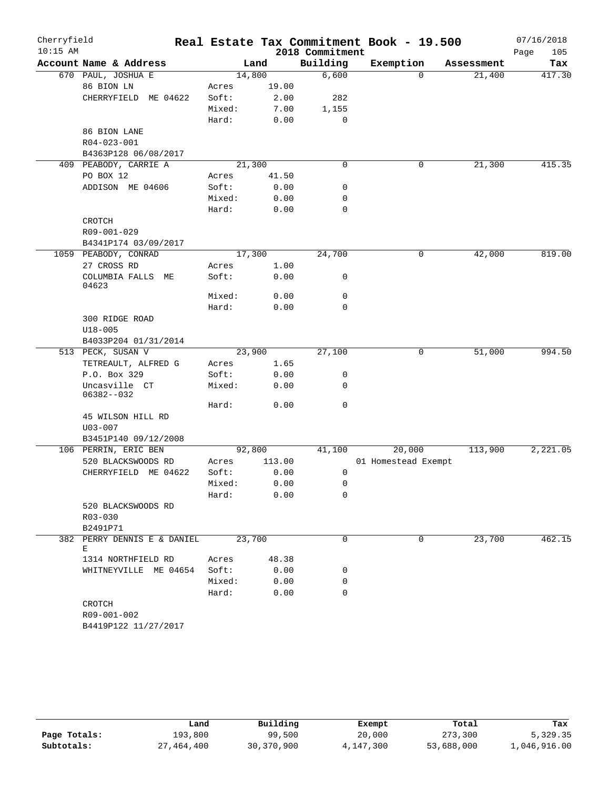| $10:15$ AM |                                  |        |        | 2018 Commitment | Real Estate Tax Commitment Book - 19.500 |            | Page<br>105 |
|------------|----------------------------------|--------|--------|-----------------|------------------------------------------|------------|-------------|
|            | Account Name & Address           |        | Land   | Building        | Exemption                                | Assessment | Tax         |
|            | 670 PAUL, JOSHUA E               |        | 14,800 | 6,600           | 0                                        | 21,400     | 417.30      |
|            | 86 BION LN                       | Acres  | 19.00  |                 |                                          |            |             |
|            | CHERRYFIELD ME 04622             | Soft:  | 2.00   | 282             |                                          |            |             |
|            |                                  | Mixed: | 7.00   | 1,155           |                                          |            |             |
|            |                                  | Hard:  | 0.00   | $\mathbf 0$     |                                          |            |             |
|            | 86 BION LANE                     |        |        |                 |                                          |            |             |
|            | R04-023-001                      |        |        |                 |                                          |            |             |
|            | B4363P128 06/08/2017             |        |        |                 |                                          |            |             |
|            | 409 PEABODY, CARRIE A            |        | 21,300 | $\mathbf 0$     | 0                                        | 21,300     | 415.35      |
|            | PO BOX 12                        | Acres  | 41.50  |                 |                                          |            |             |
|            | ADDISON ME 04606                 | Soft:  | 0.00   | 0               |                                          |            |             |
|            |                                  | Mixed: | 0.00   | 0               |                                          |            |             |
|            |                                  | Hard:  | 0.00   | $\mathbf 0$     |                                          |            |             |
|            | CROTCH                           |        |        |                 |                                          |            |             |
|            | R09-001-029                      |        |        |                 |                                          |            |             |
|            | B4341P174 03/09/2017             |        |        |                 |                                          |            |             |
|            | 1059 PEABODY, CONRAD             |        | 17,300 | 24,700          | 0                                        | 42,000     | 819.00      |
|            | 27 CROSS RD                      | Acres  | 1.00   |                 |                                          |            |             |
|            | COLUMBIA FALLS ME<br>04623       | Soft:  | 0.00   | 0               |                                          |            |             |
|            |                                  | Mixed: | 0.00   | 0               |                                          |            |             |
|            |                                  | Hard:  | 0.00   | $\mathbf 0$     |                                          |            |             |
|            | 300 RIDGE ROAD                   |        |        |                 |                                          |            |             |
|            | $U18 - 005$                      |        |        |                 |                                          |            |             |
|            | B4033P204 01/31/2014             |        |        |                 |                                          |            |             |
|            | 513 PECK, SUSAN V                |        | 23,900 | 27,100          | 0                                        | 51,000     | 994.50      |
|            | TETREAULT, ALFRED G              | Acres  | 1.65   |                 |                                          |            |             |
|            | P.O. Box 329                     | Soft:  | 0.00   | 0               |                                          |            |             |
|            | Uncasville CT<br>$06382 - -032$  | Mixed: | 0.00   | $\mathbf 0$     |                                          |            |             |
|            |                                  | Hard:  | 0.00   | $\mathbf 0$     |                                          |            |             |
|            | 45 WILSON HILL RD                |        |        |                 |                                          |            |             |
|            | $U03 - 007$                      |        |        |                 |                                          |            |             |
|            | B3451P140 09/12/2008             |        |        |                 |                                          |            |             |
|            | 106 PERRIN, ERIC BEN             |        | 92,800 | 41,100          | 20,000                                   | 113,900    | 2,221.05    |
|            | 520 BLACKSWOODS RD               | Acres  | 113.00 |                 | 01 Homestead Exempt                      |            |             |
|            | CHERRYFIELD ME 04622             | Soft:  | 0.00   | 0               |                                          |            |             |
|            |                                  | Mixed: | 0.00   | $\mathbf 0$     |                                          |            |             |
|            |                                  | Hard:  | 0.00   | 0               |                                          |            |             |
|            | 520 BLACKSWOODS RD               |        |        |                 |                                          |            |             |
|            | R03-030                          |        |        |                 |                                          |            |             |
|            | B2491P71                         |        |        |                 |                                          |            |             |
|            | 382 PERRY DENNIS E & DANIEL<br>Е |        | 23,700 | $\mathbf 0$     | 0                                        | 23,700     | 462.15      |
|            | 1314 NORTHFIELD RD               | Acres  | 48.38  |                 |                                          |            |             |
|            | WHITNEYVILLE ME 04654            | Soft:  | 0.00   | 0               |                                          |            |             |
|            |                                  | Mixed: | 0.00   | 0               |                                          |            |             |
|            |                                  | Hard:  | 0.00   | $\mathbf 0$     |                                          |            |             |
|            | CROTCH                           |        |        |                 |                                          |            |             |
|            | R09-001-002                      |        |        |                 |                                          |            |             |
|            | B4419P122 11/27/2017             |        |        |                 |                                          |            |             |

|              | Land       | Building   | Exempt    | Total      | Tax          |
|--------------|------------|------------|-----------|------------|--------------|
| Page Totals: | 193,800    | 99,500     | 20,000    | 273,300    | 5,329.35     |
| Subtotals:   | 27,464,400 | 30,370,900 | 4,147,300 | 53,688,000 | 1,046,916.00 |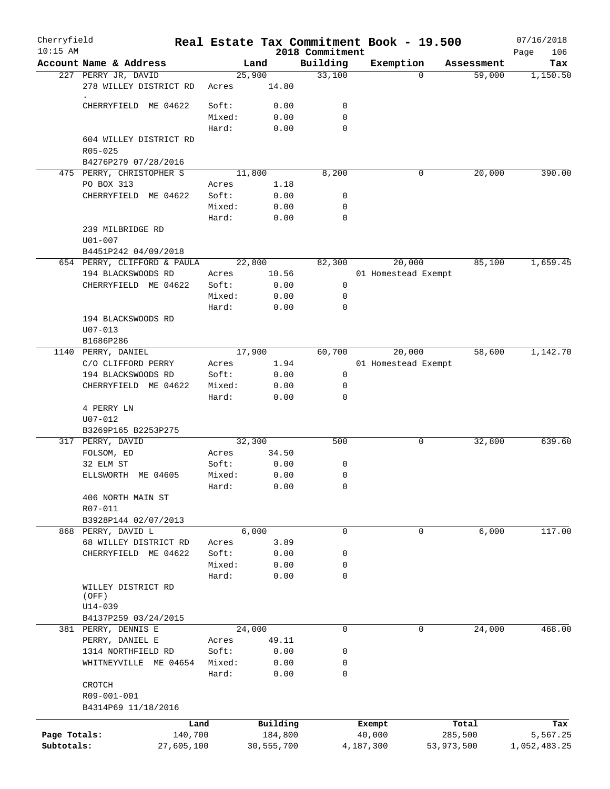| Cherryfield  |                                    |                 |        |              |                             | Real Estate Tax Commitment Book - 19.500 |            | 07/16/2018         |
|--------------|------------------------------------|-----------------|--------|--------------|-----------------------------|------------------------------------------|------------|--------------------|
| $10:15$ AM   | Account Name & Address             |                 | Land   |              | 2018 Commitment<br>Building | Exemption                                | Assessment | Page<br>106<br>Tax |
|              | 227 PERRY JR, DAVID                |                 | 25,900 |              | 33,100                      | $\Omega$                                 | 59,000     | 1,150.50           |
|              | 278 WILLEY DISTRICT RD             | Acres           |        | 14.80        |                             |                                          |            |                    |
|              | CHERRYFIELD ME 04622               | Soft:           |        | 0.00         | 0                           |                                          |            |                    |
|              |                                    | Mixed:          |        | 0.00         | $\mathbf 0$                 |                                          |            |                    |
|              |                                    | Hard:           |        | 0.00         | $\mathbf 0$                 |                                          |            |                    |
|              | 604 WILLEY DISTRICT RD             |                 |        |              |                             |                                          |            |                    |
|              | $R05 - 025$                        |                 |        |              |                             |                                          |            |                    |
|              | B4276P279 07/28/2016               |                 |        |              |                             |                                          |            |                    |
|              | 475 PERRY, CHRISTOPHER S           |                 | 11,800 |              | 8,200                       | 0                                        | 20,000     | 390.00             |
|              | PO BOX 313                         | Acres           |        | 1.18         |                             |                                          |            |                    |
|              | CHERRYFIELD ME 04622               | Soft:<br>Mixed: |        | 0.00<br>0.00 | 0<br>0                      |                                          |            |                    |
|              |                                    | Hard:           |        | 0.00         | $\mathbf 0$                 |                                          |            |                    |
|              | 239 MILBRIDGE RD                   |                 |        |              |                             |                                          |            |                    |
|              | $U01 - 007$                        |                 |        |              |                             |                                          |            |                    |
|              | B4451P242 04/09/2018               |                 |        |              |                             |                                          |            |                    |
|              | 654 PERRY, CLIFFORD & PAULA        |                 | 22,800 |              | 82,300                      | 20,000                                   | 85,100     | 1,659.45           |
|              | 194 BLACKSWOODS RD                 | Acres           |        | 10.56        |                             | 01 Homestead Exempt                      |            |                    |
|              | CHERRYFIELD ME 04622               | Soft:           |        | 0.00         | 0                           |                                          |            |                    |
|              |                                    | Mixed:          |        | 0.00         | $\mathbf 0$                 |                                          |            |                    |
|              |                                    | Hard:           |        | 0.00         | $\mathbf 0$                 |                                          |            |                    |
|              | 194 BLACKSWOODS RD                 |                 |        |              |                             |                                          |            |                    |
|              | $U07 - 013$                        |                 |        |              |                             |                                          |            |                    |
|              | B1686P286                          |                 |        |              |                             |                                          |            |                    |
|              | 1140 PERRY, DANIEL                 |                 | 17,900 |              | 60,700                      | 20,000                                   | 58,600     | 1,142.70           |
|              | C/O CLIFFORD PERRY                 | Acres           |        | 1.94         |                             | 01 Homestead Exempt                      |            |                    |
|              | 194 BLACKSWOODS RD                 | Soft:           |        | 0.00         | $\mathbf 0$                 |                                          |            |                    |
|              | CHERRYFIELD ME 04622               | Mixed:          |        | 0.00         | 0<br>$\mathbf 0$            |                                          |            |                    |
|              | 4 PERRY LN                         | Hard:           |        | 0.00         |                             |                                          |            |                    |
|              | $U07 - 012$                        |                 |        |              |                             |                                          |            |                    |
|              | B3269P165 B2253P275                |                 |        |              |                             |                                          |            |                    |
|              | 317 PERRY, DAVID                   |                 | 32,300 |              | 500                         | 0                                        | 32,800     | 639.60             |
|              | FOLSOM, ED                         | Acres           |        | 34.50        |                             |                                          |            |                    |
|              | 32 ELM ST                          | Soft:           |        | 0.00         | 0                           |                                          |            |                    |
|              | ELLSWORTH ME 04605                 | Mixed:          |        | 0.00         | 0                           |                                          |            |                    |
|              |                                    | Hard:           |        | 0.00         | 0                           |                                          |            |                    |
|              | 406 NORTH MAIN ST                  |                 |        |              |                             |                                          |            |                    |
|              | R07-011                            |                 |        |              |                             |                                          |            |                    |
|              | B3928P144 02/07/2013               |                 |        |              |                             |                                          |            |                    |
|              | 868 PERRY, DAVID L                 |                 | 6,000  |              | $\mathbf 0$                 | $\mathbf 0$                              | 6,000      | 117.00             |
|              | 68 WILLEY DISTRICT RD              | Acres           |        | 3.89         |                             |                                          |            |                    |
|              | CHERRYFIELD ME 04622               | Soft:           |        | 0.00         | 0                           |                                          |            |                    |
|              |                                    | Mixed:<br>Hard: |        | 0.00<br>0.00 | 0<br>$\mathbf 0$            |                                          |            |                    |
|              | WILLEY DISTRICT RD                 |                 |        |              |                             |                                          |            |                    |
|              | (OFF)                              |                 |        |              |                             |                                          |            |                    |
|              | $U14 - 039$                        |                 |        |              |                             |                                          |            |                    |
|              | B4137P259 03/24/2015               |                 |        |              |                             |                                          |            |                    |
|              | 381 PERRY, DENNIS E                |                 | 24,000 |              | 0                           | 0                                        | 24,000     | 468.00             |
|              | PERRY, DANIEL E                    | Acres           |        | 49.11        |                             |                                          |            |                    |
|              | 1314 NORTHFIELD RD                 | Soft:           |        | 0.00         | 0                           |                                          |            |                    |
|              | WHITNEYVILLE ME 04654              | Mixed:          |        | 0.00         | 0                           |                                          |            |                    |
|              |                                    | Hard:           |        | 0.00         | $\mathbf 0$                 |                                          |            |                    |
|              | CROTCH                             |                 |        |              |                             |                                          |            |                    |
|              | R09-001-001<br>B4314P69 11/18/2016 |                 |        |              |                             |                                          |            |                    |
|              |                                    |                 |        |              |                             |                                          |            |                    |
|              |                                    | Land            |        | Building     |                             | Exempt                                   | Total      | Tax                |
| Page Totals: |                                    | 140,700         |        | 184,800      |                             | 40,000                                   | 285,500    | 5,567.25           |
| Subtotals:   |                                    | 27,605,100      |        | 30,555,700   |                             | 4,187,300                                | 53,973,500 | 1,052,483.25       |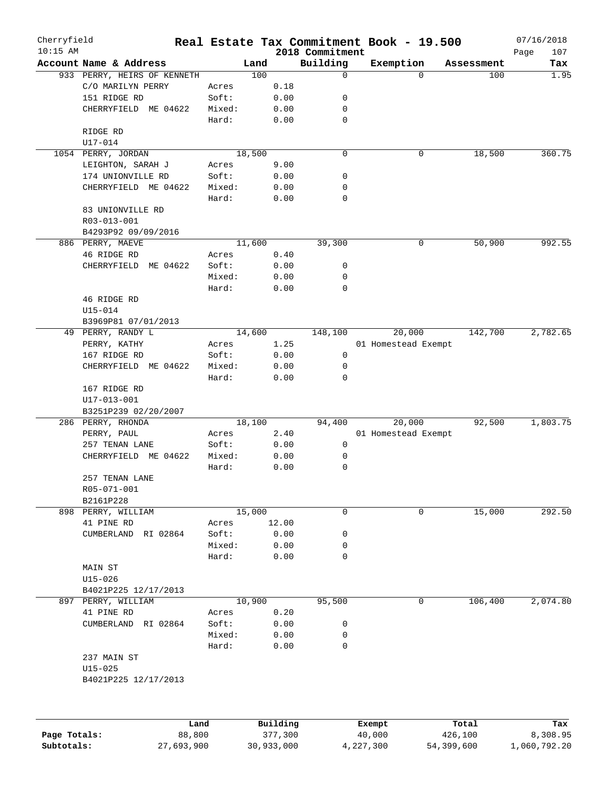| Cherryfield  |                             |            |        |            |                         | Real Estate Tax Commitment Book - 19.500 |            | 07/16/2018   |
|--------------|-----------------------------|------------|--------|------------|-------------------------|------------------------------------------|------------|--------------|
| $10:15$ AM   |                             |            |        |            | 2018 Commitment         |                                          |            | 107<br>Page  |
|              | Account Name & Address      |            | Land   |            | Building<br>$\mathbf 0$ | Exemption<br>$\Omega$                    | Assessment | Tax          |
|              | 933 PERRY, HEIRS OF KENNETH |            | 100    |            |                         |                                          | 100        | 1.95         |
|              | C/O MARILYN PERRY           |            | Acres  | 0.18       |                         |                                          |            |              |
|              | 151 RIDGE RD                |            | Soft:  | 0.00       | 0                       |                                          |            |              |
|              | CHERRYFIELD ME 04622        |            | Mixed: | 0.00       | 0                       |                                          |            |              |
|              |                             |            | Hard:  | 0.00       | $\mathbf 0$             |                                          |            |              |
|              | RIDGE RD                    |            |        |            |                         |                                          |            |              |
|              | U17-014                     |            |        |            |                         |                                          |            |              |
|              | 1054 PERRY, JORDAN          |            | 18,500 |            | 0                       | 0                                        | 18,500     | 360.75       |
|              | LEIGHTON, SARAH J           |            | Acres  | 9.00       |                         |                                          |            |              |
|              | 174 UNIONVILLE RD           |            | Soft:  | 0.00       | 0                       |                                          |            |              |
|              | CHERRYFIELD ME 04622        |            | Mixed: | 0.00       | 0                       |                                          |            |              |
|              |                             |            | Hard:  | 0.00       | $\mathbf 0$             |                                          |            |              |
|              | 83 UNIONVILLE RD            |            |        |            |                         |                                          |            |              |
|              | R03-013-001                 |            |        |            |                         |                                          |            |              |
|              | B4293P92 09/09/2016         |            |        |            |                         |                                          |            |              |
|              | 886 PERRY, MAEVE            |            | 11,600 |            | 39,300                  | 0                                        | 50,900     | 992.55       |
|              | 46 RIDGE RD                 |            | Acres  | 0.40       |                         |                                          |            |              |
|              | CHERRYFIELD ME 04622        |            | Soft:  | 0.00       | 0                       |                                          |            |              |
|              |                             |            | Mixed: | 0.00       | 0                       |                                          |            |              |
|              |                             |            | Hard:  | 0.00       | $\mathbf 0$             |                                          |            |              |
|              |                             |            |        |            |                         |                                          |            |              |
|              | 46 RIDGE RD                 |            |        |            |                         |                                          |            |              |
|              | U15-014                     |            |        |            |                         |                                          |            |              |
|              | B3969P81 07/01/2013         |            |        |            |                         |                                          |            |              |
|              | 49 PERRY, RANDY L           |            | 14,600 |            | 148,100                 | 20,000                                   | 142,700    | 2,782.65     |
|              | PERRY, KATHY                |            | Acres  | 1.25       |                         | 01 Homestead Exempt                      |            |              |
|              | 167 RIDGE RD                |            | Soft:  | 0.00       | 0                       |                                          |            |              |
|              | CHERRYFIELD ME 04622        |            | Mixed: | 0.00       | 0                       |                                          |            |              |
|              |                             |            | Hard:  | 0.00       | 0                       |                                          |            |              |
|              | 167 RIDGE RD                |            |        |            |                         |                                          |            |              |
|              | U17-013-001                 |            |        |            |                         |                                          |            |              |
|              | B3251P239 02/20/2007        |            |        |            |                         |                                          |            |              |
|              | 286 PERRY, RHONDA           |            | 18,100 |            | 94,400                  | 20,000                                   | 92,500     | 1,803.75     |
|              | PERRY, PAUL                 |            | Acres  | 2.40       |                         | 01 Homestead Exempt                      |            |              |
|              | 257 TENAN LANE              |            | Soft:  | 0.00       | 0                       |                                          |            |              |
|              | CHERRYFIELD ME 04622        |            | Mixed: | 0.00       | 0                       |                                          |            |              |
|              |                             |            | Hard:  | 0.00       | 0                       |                                          |            |              |
|              | 257 TENAN LANE              |            |        |            |                         |                                          |            |              |
|              | R05-071-001                 |            |        |            |                         |                                          |            |              |
|              | B2161P228                   |            |        |            |                         |                                          |            |              |
| 898          | PERRY, WILLIAM              |            | 15,000 |            | 0                       | 0                                        | 15,000     | 292.50       |
|              | 41 PINE RD                  |            | Acres  | 12.00      |                         |                                          |            |              |
|              | CUMBERLAND<br>RI 02864      |            | Soft:  | 0.00       | 0                       |                                          |            |              |
|              |                             |            | Mixed: | 0.00       | 0                       |                                          |            |              |
|              |                             |            | Hard:  | 0.00       | 0                       |                                          |            |              |
|              | MAIN ST                     |            |        |            |                         |                                          |            |              |
|              |                             |            |        |            |                         |                                          |            |              |
|              | $U15 - 026$                 |            |        |            |                         |                                          |            |              |
|              | B4021P225 12/17/2013        |            |        |            |                         |                                          |            |              |
| 897          | PERRY, WILLIAM              |            | 10,900 |            | 95,500                  | 0                                        | 106,400    | 2,074.80     |
|              | 41 PINE RD                  |            | Acres  | 0.20       |                         |                                          |            |              |
|              | CUMBERLAND<br>RI 02864      |            | Soft:  | 0.00       | 0                       |                                          |            |              |
|              |                             |            | Mixed: | 0.00       | 0                       |                                          |            |              |
|              |                             |            | Hard:  | 0.00       | 0                       |                                          |            |              |
|              | 237 MAIN ST                 |            |        |            |                         |                                          |            |              |
|              | $U15 - 025$                 |            |        |            |                         |                                          |            |              |
|              | B4021P225 12/17/2013        |            |        |            |                         |                                          |            |              |
|              |                             |            |        |            |                         |                                          |            |              |
|              |                             | Land       |        | Building   |                         | Exempt                                   | Total      | Tax          |
| Page Totals: |                             | 88,800     |        | 377,300    |                         | 40,000                                   | 426,100    | 8,308.95     |
| Subtotals:   |                             | 27,693,900 |        | 30,933,000 |                         | 4,227,300                                | 54,399,600 | 1,060,792.20 |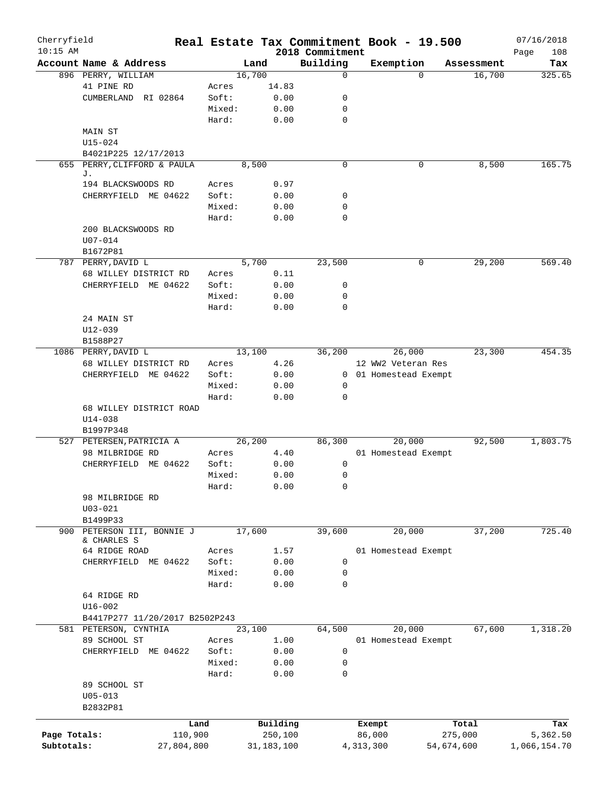| Cherryfield<br>$10:15$ AM |                                |         |              |         |                             |             | Real Estate Tax Commitment Book - 19.500 |            | 07/16/2018         |
|---------------------------|--------------------------------|---------|--------------|---------|-----------------------------|-------------|------------------------------------------|------------|--------------------|
|                           | Account Name & Address         |         | Land         |         | 2018 Commitment<br>Building |             | Exemption                                | Assessment | Page<br>108<br>Tax |
|                           | 896 PERRY, WILLIAM             |         | 16,700       |         | $\mathbf 0$                 |             | $\Omega$                                 | 16,700     | 325.65             |
|                           | 41 PINE RD                     | Acres   |              | 14.83   |                             |             |                                          |            |                    |
|                           | CUMBERLAND<br>RI 02864         | Soft:   |              | 0.00    | 0                           |             |                                          |            |                    |
|                           |                                | Mixed:  |              | 0.00    | 0                           |             |                                          |            |                    |
|                           |                                | Hard:   |              | 0.00    | $\mathbf 0$                 |             |                                          |            |                    |
|                           | MAIN ST                        |         |              |         |                             |             |                                          |            |                    |
|                           | $U15 - 024$                    |         |              |         |                             |             |                                          |            |                    |
|                           | B4021P225 12/17/2013           |         |              |         |                             |             |                                          |            |                    |
|                           | 655 PERRY, CLIFFORD & PAULA    |         | 8,500        |         | $\mathbf 0$                 |             | 0                                        | 8,500      | 165.75             |
|                           | J.                             |         |              |         |                             |             |                                          |            |                    |
|                           | 194 BLACKSWOODS RD             | Acres   |              | 0.97    |                             |             |                                          |            |                    |
|                           | CHERRYFIELD ME 04622           | Soft:   |              | 0.00    | 0                           |             |                                          |            |                    |
|                           |                                | Mixed:  |              | 0.00    | 0                           |             |                                          |            |                    |
|                           |                                | Hard:   |              | 0.00    | 0                           |             |                                          |            |                    |
|                           | 200 BLACKSWOODS RD             |         |              |         |                             |             |                                          |            |                    |
|                           | $U07 - 014$                    |         |              |         |                             |             |                                          |            |                    |
|                           | B1672P81                       |         |              |         |                             |             |                                          |            |                    |
|                           | 787 PERRY, DAVID L             |         | 5,700        |         | 23,500                      |             | 0                                        | 29, 200    | 569.40             |
|                           | 68 WILLEY DISTRICT RD          | Acres   |              | 0.11    |                             |             |                                          |            |                    |
|                           | CHERRYFIELD ME 04622           | Soft:   |              | 0.00    | 0                           |             |                                          |            |                    |
|                           |                                | Mixed:  |              | 0.00    | 0                           |             |                                          |            |                    |
|                           |                                |         |              |         | 0                           |             |                                          |            |                    |
|                           |                                | Hard:   |              | 0.00    |                             |             |                                          |            |                    |
|                           | 24 MAIN ST                     |         |              |         |                             |             |                                          |            |                    |
|                           | $U12 - 039$                    |         |              |         |                             |             |                                          |            |                    |
|                           | B1588P27                       |         |              |         |                             |             |                                          |            |                    |
|                           | 1086 PERRY, DAVID L            |         | 13,100       |         | 36,200                      |             | 26,000                                   | 23,300     | 454.35             |
|                           | 68 WILLEY DISTRICT RD          | Acres   |              | 4.26    |                             |             | 12 WW2 Veteran Res                       |            |                    |
|                           | CHERRYFIELD ME 04622           | Soft:   |              | 0.00    |                             |             | 0 01 Homestead Exempt                    |            |                    |
|                           |                                | Mixed:  |              | 0.00    | 0                           |             |                                          |            |                    |
|                           |                                | Hard:   |              | 0.00    | 0                           |             |                                          |            |                    |
|                           | 68 WILLEY DISTRICT ROAD        |         |              |         |                             |             |                                          |            |                    |
|                           | $U14 - 038$                    |         |              |         |                             |             |                                          |            |                    |
|                           | B1997P348                      |         |              |         |                             |             |                                          |            |                    |
|                           | 527 PETERSEN, PATRICIA A       |         | 26, 200      |         | 86,300                      |             | 20,000                                   | 92,500     | 1,803.75           |
|                           | 98 MILBRIDGE RD                | Acres   |              | 4.40    |                             |             | 01 Homestead Exempt                      |            |                    |
|                           | CHERRYFIELD ME 04622           | Soft:   |              | 0.00    | 0                           |             |                                          |            |                    |
|                           |                                | Mixed:  |              | 0.00    | 0                           |             |                                          |            |                    |
|                           |                                | Hard:   |              | 0.00    | 0                           |             |                                          |            |                    |
|                           | 98 MILBRIDGE RD                |         |              |         |                             |             |                                          |            |                    |
|                           | $U03 - 021$                    |         |              |         |                             |             |                                          |            |                    |
|                           | B1499P33                       |         |              |         |                             |             |                                          |            |                    |
| 900                       | PETERSON III, BONNIE J         |         | 17,600       |         | 39,600                      |             | 20,000                                   | 37,200     | 725.40             |
|                           | & CHARLES S                    |         |              |         |                             |             |                                          |            |                    |
|                           | 64 RIDGE ROAD                  | Acres   |              | 1.57    |                             |             | 01 Homestead Exempt                      |            |                    |
|                           | CHERRYFIELD ME 04622           | Soft:   |              | 0.00    | $\mathbf 0$                 |             |                                          |            |                    |
|                           |                                | Mixed:  |              | 0.00    | 0                           |             |                                          |            |                    |
|                           |                                | Hard:   |              | 0.00    | $\mathbf 0$                 |             |                                          |            |                    |
|                           | 64 RIDGE RD                    |         |              |         |                             |             |                                          |            |                    |
|                           | $U16 - 002$                    |         |              |         |                             |             |                                          |            |                    |
|                           | B4417P277 11/20/2017 B2502P243 |         |              |         |                             |             |                                          |            |                    |
|                           | 581 PETERSON, CYNTHIA          |         | 23,100       |         | 64,500                      |             | 20,000                                   | 67,600     | 1,318.20           |
|                           | 89 SCHOOL ST                   | Acres   |              | 1.00    |                             |             | 01 Homestead Exempt                      |            |                    |
|                           | CHERRYFIELD ME 04622           | Soft:   |              | 0.00    | 0                           |             |                                          |            |                    |
|                           |                                | Mixed:  |              | 0.00    | 0                           |             |                                          |            |                    |
|                           |                                | Hard:   |              | 0.00    | $\mathbf 0$                 |             |                                          |            |                    |
|                           | 89 SCHOOL ST                   |         |              |         |                             |             |                                          |            |                    |
|                           | $U05 - 013$                    |         |              |         |                             |             |                                          |            |                    |
|                           | B2832P81                       |         |              |         |                             |             |                                          |            |                    |
|                           |                                |         |              |         |                             |             |                                          |            |                    |
|                           |                                | Land    | Building     |         |                             | Exempt      |                                          | Total      | Tax                |
| Page Totals:              |                                | 110,900 |              | 250,100 |                             | 86,000      |                                          | 275,000    | 5,362.50           |
| Subtotals:                | 27,804,800                     |         | 31, 183, 100 |         |                             | 4, 313, 300 | 54,674,600                               |            | 1,066,154.70       |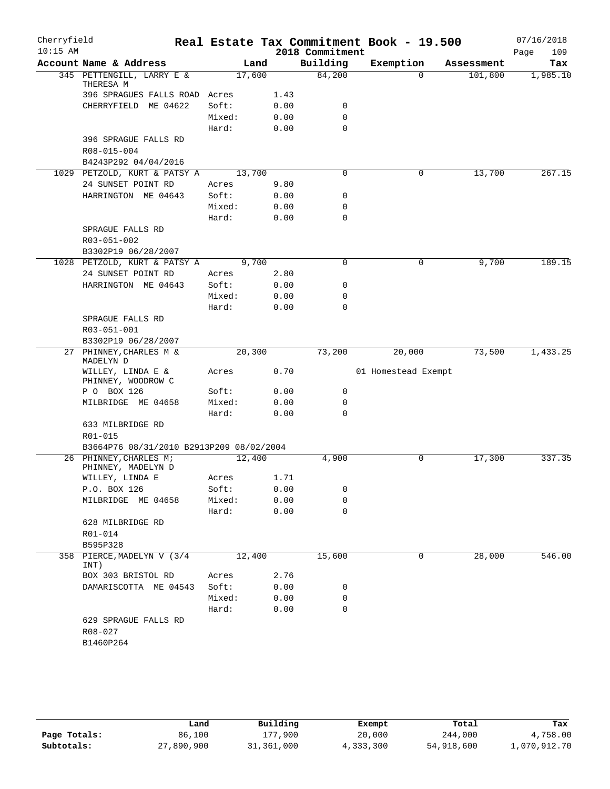| Cherryfield |                                              |        |      |                 | Real Estate Tax Commitment Book - 19.500 |            | 07/16/2018  |
|-------------|----------------------------------------------|--------|------|-----------------|------------------------------------------|------------|-------------|
| $10:15$ AM  |                                              |        |      | 2018 Commitment |                                          |            | 109<br>Page |
|             | Account Name & Address                       | Land   |      | Building        | Exemption                                | Assessment | Tax         |
|             | 345 PETTENGILL, LARRY E &<br>THERESA M       | 17,600 |      | 84,200          | $\Omega$                                 | 101,800    | 1,985.10    |
|             | 396 SPRAGUES FALLS ROAD Acres                |        | 1.43 |                 |                                          |            |             |
|             | CHERRYFIELD ME 04622                         | Soft:  | 0.00 | 0               |                                          |            |             |
|             |                                              | Mixed: | 0.00 | $\mathbf 0$     |                                          |            |             |
|             |                                              | Hard:  | 0.00 | $\mathbf 0$     |                                          |            |             |
|             | 396 SPRAGUE FALLS RD<br>R08-015-004          |        |      |                 |                                          |            |             |
|             | B4243P292 04/04/2016                         |        |      |                 |                                          |            |             |
|             | 1029 PETZOLD, KURT & PATSY A                 | 13,700 |      | 0               | 0                                        | 13,700     | 267.15      |
|             | 24 SUNSET POINT RD                           | Acres  | 9.80 |                 |                                          |            |             |
|             | HARRINGTON ME 04643                          | Soft:  | 0.00 | 0               |                                          |            |             |
|             |                                              | Mixed: | 0.00 | 0               |                                          |            |             |
|             |                                              | Hard:  | 0.00 | $\mathbf 0$     |                                          |            |             |
|             | SPRAGUE FALLS RD                             |        |      |                 |                                          |            |             |
|             | R03-051-002                                  |        |      |                 |                                          |            |             |
|             | B3302P19 06/28/2007                          |        |      |                 |                                          |            |             |
|             | 1028 PETZOLD, KURT & PATSY A                 | 9,700  |      | $\mathbf 0$     | 0                                        | 9,700      | 189.15      |
|             | 24 SUNSET POINT RD                           | Acres  | 2.80 |                 |                                          |            |             |
|             | HARRINGTON ME 04643                          | Soft:  | 0.00 | 0               |                                          |            |             |
|             |                                              | Mixed: | 0.00 | 0               |                                          |            |             |
|             |                                              | Hard:  | 0.00 | $\mathbf 0$     |                                          |            |             |
|             | SPRAGUE FALLS RD                             |        |      |                 |                                          |            |             |
|             | R03-051-001                                  |        |      |                 |                                          |            |             |
|             | B3302P19 06/28/2007                          |        |      |                 |                                          |            |             |
|             | 27 PHINNEY, CHARLES M &<br>MADELYN D         | 20,300 |      | 73,200          | 20,000                                   | 73,500     | 1,433.25    |
|             | WILLEY, LINDA E &<br>PHINNEY, WOODROW C      | Acres  | 0.70 |                 | 01 Homestead Exempt                      |            |             |
|             | P O BOX 126                                  | Soft:  | 0.00 | 0               |                                          |            |             |
|             | MILBRIDGE ME 04658                           | Mixed: | 0.00 | 0               |                                          |            |             |
|             |                                              | Hard:  | 0.00 | 0               |                                          |            |             |
|             | 633 MILBRIDGE RD                             |        |      |                 |                                          |            |             |
|             | R01-015                                      |        |      |                 |                                          |            |             |
|             | B3664P76 08/31/2010 B2913P209 08/02/2004     |        |      |                 |                                          |            |             |
|             | 26 PHINNEY, CHARLES M;<br>PHINNEY, MADELYN D | 12,400 |      | 4,900           | 0                                        | 17,300     | 337.35      |
|             | WILLEY, LINDA E                              | Acres  | 1.71 |                 |                                          |            |             |
|             | P.O. BOX 126                                 | Soft:  | 0.00 | 0               |                                          |            |             |
|             | MILBRIDGE ME 04658                           | Mixed: | 0.00 | 0               |                                          |            |             |
|             |                                              | Hard:  | 0.00 | 0               |                                          |            |             |
|             | 628 MILBRIDGE RD<br>R01-014<br>B595P328      |        |      |                 |                                          |            |             |
|             | 358 PIERCE, MADELYN V (3/4                   | 12,400 |      | 15,600          | 0                                        | 28,000     | 546.00      |
|             | INT)                                         |        |      |                 |                                          |            |             |
|             | BOX 303 BRISTOL RD                           | Acres  | 2.76 |                 |                                          |            |             |
|             | DAMARISCOTTA ME 04543                        | Soft:  | 0.00 | 0               |                                          |            |             |
|             |                                              | Mixed: | 0.00 | 0               |                                          |            |             |
|             |                                              | Hard:  | 0.00 | 0               |                                          |            |             |
|             | 629 SPRAGUE FALLS RD<br>R08-027              |        |      |                 |                                          |            |             |
|             | B1460P264                                    |        |      |                 |                                          |            |             |

|              | ⊥and       | Building   | Exempt    | Total      | Tax          |
|--------------|------------|------------|-----------|------------|--------------|
| Page Totals: | 86,100     | 177,900    | 20,000    | 244,000    | 4,758.00     |
| Subtotals:   | 27,890,900 | 31,361,000 | 4,333,300 | 54,918,600 | 1,070,912.70 |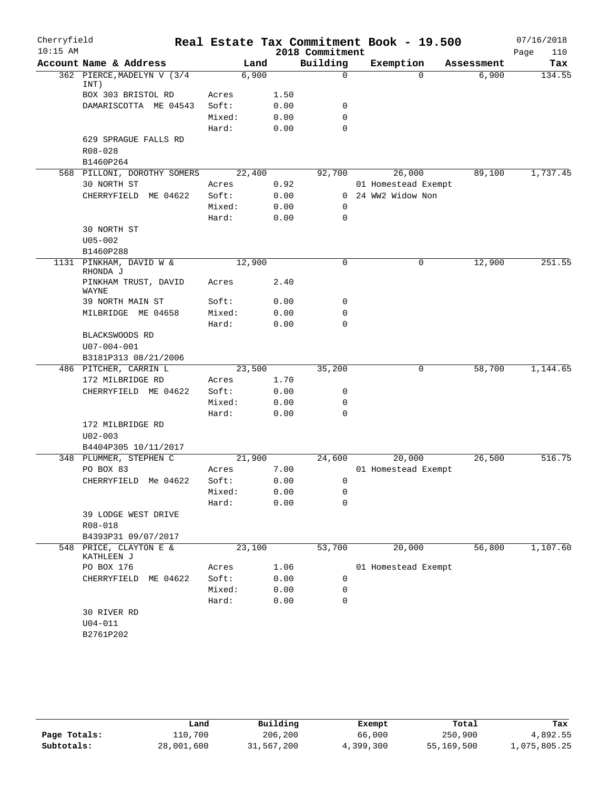| Cherryfield |                                      |                |              |                 | Real Estate Tax Commitment Book - 19.500 |            | 07/16/2018  |
|-------------|--------------------------------------|----------------|--------------|-----------------|------------------------------------------|------------|-------------|
| $10:15$ AM  |                                      |                |              | 2018 Commitment |                                          |            | Page<br>110 |
|             | Account Name & Address               | Land           |              | Building        | Exemption                                | Assessment | Tax         |
|             | 362 PIERCE, MADELYN V (3/4<br>INT)   | 6,900          |              | $\Omega$        | $\Omega$                                 | 6,900      | 134.55      |
|             | BOX 303 BRISTOL RD                   | Acres          | 1.50         |                 |                                          |            |             |
|             | DAMARISCOTTA ME 04543                | Soft:          | 0.00         | 0               |                                          |            |             |
|             |                                      | Mixed:         | 0.00         | 0               |                                          |            |             |
|             |                                      | Hard:          | 0.00         | 0               |                                          |            |             |
|             | 629 SPRAGUE FALLS RD                 |                |              |                 |                                          |            |             |
|             | R08-028                              |                |              |                 |                                          |            |             |
|             | B1460P264                            |                |              |                 |                                          |            |             |
|             | 568 PILLONI, DOROTHY SOMERS          | 22,400         |              | 92,700          | 26,000                                   | 89,100     | 1,737.45    |
|             | 30 NORTH ST                          | Acres          | 0.92         |                 | 01 Homestead Exempt                      |            |             |
|             | CHERRYFIELD ME 04622                 | Soft:          | 0.00         |                 | 0 24 WW2 Widow Non                       |            |             |
|             |                                      | Mixed:         | 0.00         | 0<br>0          |                                          |            |             |
|             | 30 NORTH ST                          | Hard:          | 0.00         |                 |                                          |            |             |
|             | $U05 - 002$                          |                |              |                 |                                          |            |             |
|             | B1460P288                            |                |              |                 |                                          |            |             |
|             | 1131 PINKHAM, DAVID W &              | 12,900         |              | $\mathbf 0$     | 0                                        | 12,900     | 251.55      |
|             | RHONDA J<br>PINKHAM TRUST, DAVID     | Acres          | 2.40         |                 |                                          |            |             |
|             | WAYNE                                |                |              |                 |                                          |            |             |
|             | 39 NORTH MAIN ST                     | Soft:          | 0.00         | 0               |                                          |            |             |
|             | MILBRIDGE ME 04658                   | Mixed:         | 0.00         | 0               |                                          |            |             |
|             |                                      | Hard:          | 0.00         | $\mathbf 0$     |                                          |            |             |
|             | BLACKSWOODS RD                       |                |              |                 |                                          |            |             |
|             | U07-004-001                          |                |              |                 |                                          |            |             |
|             | B3181P313 08/21/2006                 |                |              |                 |                                          |            |             |
|             | 486 PITCHER, CARRIN L                | 23,500         |              | 35,200          | 0                                        | 58,700     | 1,144.65    |
|             | 172 MILBRIDGE RD                     | Acres<br>Soft: | 1.70         | 0               |                                          |            |             |
|             | CHERRYFIELD ME 04622                 | Mixed:         | 0.00<br>0.00 | 0               |                                          |            |             |
|             |                                      | Hard:          | 0.00         | 0               |                                          |            |             |
|             | 172 MILBRIDGE RD                     |                |              |                 |                                          |            |             |
|             | $U02 - 003$                          |                |              |                 |                                          |            |             |
|             | B4404P305 10/11/2017                 |                |              |                 |                                          |            |             |
|             | 348 PLUMMER, STEPHEN C               | 21,900         |              | 24,600          | 20,000                                   | 26,500     | 516.75      |
|             | PO BOX 83                            | Acres          | 7.00         |                 | 01 Homestead Exempt                      |            |             |
|             | CHERRYFIELD Me 04622                 | Soft:          | 0.00         | $\cap$          |                                          |            |             |
|             |                                      | Mixed:         | 0.00         | 0               |                                          |            |             |
|             |                                      | Hard:          | 0.00         | $\Omega$        |                                          |            |             |
|             | 39 LODGE WEST DRIVE                  |                |              |                 |                                          |            |             |
|             | R08-018                              |                |              |                 |                                          |            |             |
|             | B4393P31 09/07/2017                  |                |              |                 |                                          |            |             |
|             | 548 PRICE, CLAYTON E &<br>KATHLEEN J | 23,100         |              | 53,700          | 20,000                                   | 56,800     | 1,107.60    |
|             | PO BOX 176                           | Acres          | 1.06         |                 | 01 Homestead Exempt                      |            |             |
|             | CHERRYFIELD ME 04622                 | Soft:          | 0.00         | 0               |                                          |            |             |
|             |                                      | Mixed:         | 0.00         | 0               |                                          |            |             |
|             |                                      | Hard:          | 0.00         | 0               |                                          |            |             |
|             | 30 RIVER RD                          |                |              |                 |                                          |            |             |
|             | $U04 - 011$                          |                |              |                 |                                          |            |             |
|             | B2761P202                            |                |              |                 |                                          |            |             |
|             |                                      |                |              |                 |                                          |            |             |

|              | úand       | Building   | Exempt    | Total      | Tax          |
|--------------|------------|------------|-----------|------------|--------------|
| Page Totals: | 110,700    | 206,200    | 66,000    | 250,900    | 4,892.55     |
| Subtotals:   | 28,001,600 | 31,567,200 | 4,399,300 | 55,169,500 | 1,075,805.25 |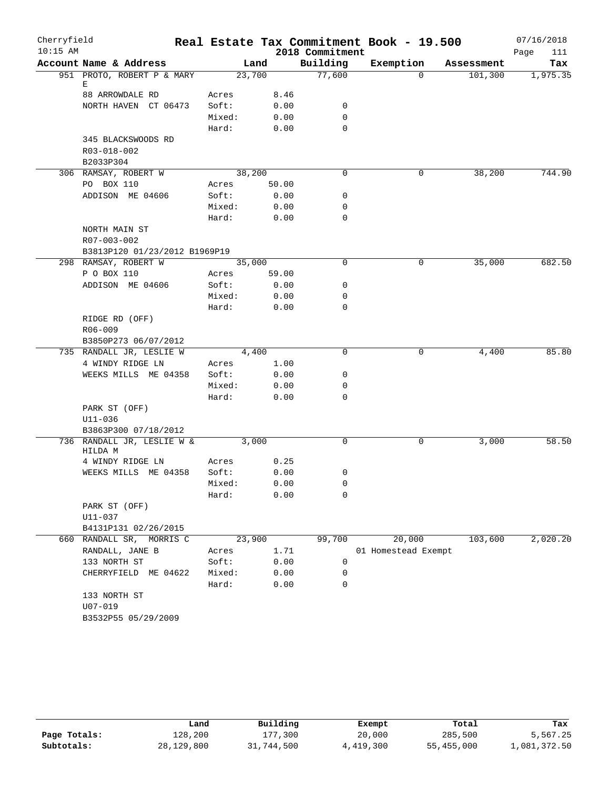| Cherryfield |                               |        |        |                 | Real Estate Tax Commitment Book - 19.500 |            | 07/16/2018  |
|-------------|-------------------------------|--------|--------|-----------------|------------------------------------------|------------|-------------|
| $10:15$ AM  |                               |        |        | 2018 Commitment |                                          |            | Page<br>111 |
|             | Account Name & Address        |        | Land   | Building        | Exemption                                | Assessment | Tax         |
|             | 951 PROTO, ROBERT P & MARY    |        | 23,700 | 77,600          | $\mathbf{0}$                             | 101,300    | 1,975.35    |
|             | Е<br>88 ARROWDALE RD          | Acres  | 8.46   |                 |                                          |            |             |
|             | NORTH HAVEN CT 06473          | Soft:  | 0.00   | 0               |                                          |            |             |
|             |                               | Mixed: | 0.00   | $\mathbf 0$     |                                          |            |             |
|             |                               | Hard:  | 0.00   | $\mathbf 0$     |                                          |            |             |
|             | 345 BLACKSWOODS RD            |        |        |                 |                                          |            |             |
|             | R03-018-002                   |        |        |                 |                                          |            |             |
|             | B2033P304                     |        |        |                 |                                          |            |             |
|             | 306 RAMSAY, ROBERT W          |        | 38,200 | $\mathbf 0$     | 0                                        | 38,200     | 744.90      |
|             | PO BOX 110                    | Acres  | 50.00  |                 |                                          |            |             |
|             | ADDISON ME 04606              | Soft:  | 0.00   | $\mathbf 0$     |                                          |            |             |
|             |                               | Mixed: | 0.00   | $\mathbf 0$     |                                          |            |             |
|             |                               | Hard:  | 0.00   | $\mathbf 0$     |                                          |            |             |
|             | NORTH MAIN ST                 |        |        |                 |                                          |            |             |
|             | R07-003-002                   |        |        |                 |                                          |            |             |
|             | B3813P120 01/23/2012 B1969P19 |        |        |                 |                                          |            |             |
|             | 298 RAMSAY, ROBERT W          |        | 35,000 | 0               | 0                                        | 35,000     | 682.50      |
|             | P O BOX 110                   | Acres  | 59.00  |                 |                                          |            |             |
|             | ADDISON ME 04606              | Soft:  | 0.00   | 0               |                                          |            |             |
|             |                               | Mixed: | 0.00   | $\mathbf 0$     |                                          |            |             |
|             |                               | Hard:  | 0.00   | $\mathbf 0$     |                                          |            |             |
|             | RIDGE RD (OFF)                |        |        |                 |                                          |            |             |
|             | R06-009                       |        |        |                 |                                          |            |             |
|             | B3850P273 06/07/2012          |        |        |                 |                                          |            |             |
|             | 735 RANDALL JR, LESLIE W      |        | 4,400  | $\Omega$        | 0                                        | 4,400      | 85.80       |
|             | 4 WINDY RIDGE LN              | Acres  | 1.00   |                 |                                          |            |             |
|             | WEEKS MILLS ME 04358          | Soft:  | 0.00   | 0               |                                          |            |             |
|             |                               | Mixed: | 0.00   | 0               |                                          |            |             |
|             |                               | Hard:  | 0.00   | $\mathbf 0$     |                                          |            |             |
|             | PARK ST (OFF)                 |        |        |                 |                                          |            |             |
|             | $U11 - 036$                   |        |        |                 |                                          |            |             |
|             | B3863P300 07/18/2012          |        |        |                 |                                          |            |             |
|             | 736 RANDALL JR, LESLIE W &    |        | 3,000  | $\mathbf 0$     | 0                                        | 3,000      | 58.50       |
|             | HILDA M                       |        |        |                 |                                          |            |             |
|             | 4 WINDY RIDGE LN              | Acres  | 0.25   |                 |                                          |            |             |
|             | WEEKS MILLS ME 04358          | Soft:  | 0.00   | 0               |                                          |            |             |
|             |                               | Mixed: | 0.00   | 0               |                                          |            |             |
|             |                               | Hard:  | 0.00   | 0               |                                          |            |             |
|             | PARK ST (OFF)                 |        |        |                 |                                          |            |             |
|             | U11-037                       |        |        |                 |                                          |            |             |
|             | B4131P131 02/26/2015          |        |        |                 |                                          |            |             |
|             | 660 RANDALL SR, MORRIS C      |        | 23,900 | 99,700          | 20,000                                   | 103,600    | 2,020.20    |
|             | RANDALL, JANE B               | Acres  | 1.71   |                 | 01 Homestead Exempt                      |            |             |
|             | 133 NORTH ST                  | Soft:  | 0.00   | 0               |                                          |            |             |
|             | CHERRYFIELD ME 04622          | Mixed: | 0.00   | $\mathbf 0$     |                                          |            |             |
|             |                               | Hard:  | 0.00   | $\mathbf 0$     |                                          |            |             |
|             | 133 NORTH ST                  |        |        |                 |                                          |            |             |
|             | $U07 - 019$                   |        |        |                 |                                          |            |             |
|             | B3532P55 05/29/2009           |        |        |                 |                                          |            |             |

|              | Land       | Building   | Exempt    | Total      | Tax          |
|--------------|------------|------------|-----------|------------|--------------|
| Page Totals: | 128,200    | 177,300    | 20,000    | 285,500    | 5,567.25     |
| Subtotals:   | 28,129,800 | 31,744,500 | 4,419,300 | 55,455,000 | 1,081,372.50 |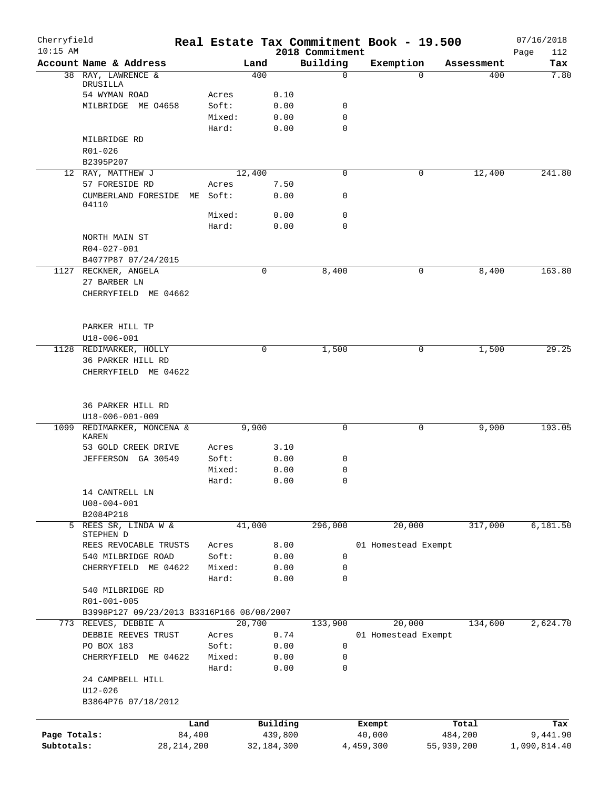| Cherryfield<br>$10:15$ AM |                                           |              |                 |        |              | 2018 Commitment | Real Estate Tax Commitment Book - 19.500 |            | 07/16/2018<br>112 |
|---------------------------|-------------------------------------------|--------------|-----------------|--------|--------------|-----------------|------------------------------------------|------------|-------------------|
|                           | Account Name & Address                    |              |                 | Land   |              | Building        | Exemption                                | Assessment | Page<br>Tax       |
|                           | 38 RAY, LAWRENCE &                        |              |                 | 400    |              | 0               | $\Omega$                                 | 400        | 7.80              |
|                           | DRUSILLA                                  |              |                 |        |              |                 |                                          |            |                   |
|                           | 54 WYMAN ROAD                             |              | Acres           |        | 0.10         |                 |                                          |            |                   |
|                           | MILBRIDGE ME 04658                        |              | Soft:<br>Mixed: |        | 0.00<br>0.00 | 0<br>0          |                                          |            |                   |
|                           |                                           |              | Hard:           |        | 0.00         | $\Omega$        |                                          |            |                   |
|                           | MILBRIDGE RD                              |              |                 |        |              |                 |                                          |            |                   |
|                           | R01-026                                   |              |                 |        |              |                 |                                          |            |                   |
|                           | B2395P207                                 |              |                 |        |              |                 |                                          |            |                   |
|                           | 12 RAY, MATTHEW J                         |              |                 | 12,400 |              | 0               | 0                                        | 12,400     | 241.80            |
|                           | 57 FORESIDE RD                            |              | Acres           |        | 7.50         |                 |                                          |            |                   |
|                           | CUMBERLAND FORESIDE                       |              | ME Soft:        |        | 0.00         | 0               |                                          |            |                   |
|                           | 04110                                     |              |                 |        |              |                 |                                          |            |                   |
|                           |                                           |              | Mixed:          |        | 0.00         | 0               |                                          |            |                   |
|                           | NORTH MAIN ST                             |              | Hard:           |        | 0.00         | 0               |                                          |            |                   |
|                           | R04-027-001                               |              |                 |        |              |                 |                                          |            |                   |
|                           | B4077P87 07/24/2015                       |              |                 |        |              |                 |                                          |            |                   |
|                           | 1127 RECKNER, ANGELA                      |              |                 | 0      |              | 8,400           | 0                                        | 8,400      | 163.80            |
|                           | 27 BARBER LN                              |              |                 |        |              |                 |                                          |            |                   |
|                           | CHERRYFIELD ME 04662                      |              |                 |        |              |                 |                                          |            |                   |
|                           |                                           |              |                 |        |              |                 |                                          |            |                   |
|                           |                                           |              |                 |        |              |                 |                                          |            |                   |
|                           | PARKER HILL TP                            |              |                 |        |              |                 |                                          |            |                   |
|                           | $U18 - 006 - 001$                         |              |                 |        |              |                 |                                          |            |                   |
|                           | 1128 REDIMARKER, HOLLY                    |              |                 | 0      |              | 1,500           | 0                                        | 1,500      | 29.25             |
|                           | 36 PARKER HILL RD                         |              |                 |        |              |                 |                                          |            |                   |
|                           | CHERRYFIELD ME 04622                      |              |                 |        |              |                 |                                          |            |                   |
|                           |                                           |              |                 |        |              |                 |                                          |            |                   |
|                           | 36 PARKER HILL RD                         |              |                 |        |              |                 |                                          |            |                   |
|                           | U18-006-001-009                           |              |                 |        |              |                 |                                          |            |                   |
| 1099                      | REDIMARKER, MONCENA &                     |              |                 | 9,900  |              | 0               | 0                                        | 9,900      | 193.05            |
|                           | KAREN                                     |              |                 |        |              |                 |                                          |            |                   |
|                           | 53 GOLD CREEK DRIVE                       |              | Acres           |        | 3.10         |                 |                                          |            |                   |
|                           | JEFFERSON GA 30549                        |              | Soft:           |        | 0.00         | 0               |                                          |            |                   |
|                           |                                           |              | Mixed:          |        | 0.00         | 0               |                                          |            |                   |
|                           |                                           |              | Hard:           |        | 0.00         | 0               |                                          |            |                   |
|                           | 14 CANTRELL LN                            |              |                 |        |              |                 |                                          |            |                   |
|                           | $U08 - 004 - 001$                         |              |                 |        |              |                 |                                          |            |                   |
|                           | B2084P218                                 |              |                 | 41,000 |              | 296,000         | 20,000                                   | 317,000    |                   |
|                           | 5 REES SR, LINDA W &<br>STEPHEN D         |              |                 |        |              |                 |                                          |            | 6,181.50          |
|                           | REES REVOCABLE TRUSTS                     |              | Acres           |        | 8.00         |                 | 01 Homestead Exempt                      |            |                   |
|                           | 540 MILBRIDGE ROAD                        |              | Soft:           |        | 0.00         | 0               |                                          |            |                   |
|                           | CHERRYFIELD ME 04622                      |              | Mixed:          |        | 0.00         | 0               |                                          |            |                   |
|                           |                                           |              | Hard:           |        | 0.00         | $\mathbf 0$     |                                          |            |                   |
|                           | 540 MILBRIDGE RD                          |              |                 |        |              |                 |                                          |            |                   |
|                           | R01-001-005                               |              |                 |        |              |                 |                                          |            |                   |
|                           | B3998P127 09/23/2013 B3316P166 08/08/2007 |              |                 |        |              |                 |                                          |            |                   |
| 773                       | REEVES, DEBBIE A                          |              |                 | 20,700 |              | 133,900         | 20,000                                   | 134,600    | 2,624.70          |
|                           | DEBBIE REEVES TRUST                       |              | Acres           |        | 0.74         |                 | 01 Homestead Exempt                      |            |                   |
|                           | PO BOX 183                                |              | Soft:           |        | 0.00         | 0               |                                          |            |                   |
|                           | CHERRYFIELD ME 04622                      |              | Mixed:          |        | 0.00         | 0               |                                          |            |                   |
|                           |                                           |              | Hard:           |        | 0.00         | 0               |                                          |            |                   |
|                           | 24 CAMPBELL HILL                          |              |                 |        |              |                 |                                          |            |                   |
|                           | $U12 - 026$                               |              |                 |        |              |                 |                                          |            |                   |
|                           | B3864P76 07/18/2012                       |              |                 |        |              |                 |                                          |            |                   |
|                           |                                           | Land         |                 |        | Building     |                 | Exempt                                   | Total      | Tax               |
| Page Totals:              |                                           | 84,400       |                 |        | 439,800      |                 | 40,000                                   | 484,200    | 9,441.90          |
| Subtotals:                |                                           | 28, 214, 200 |                 |        | 32, 184, 300 |                 | 4,459,300                                | 55,939,200 | 1,090,814.40      |
|                           |                                           |              |                 |        |              |                 |                                          |            |                   |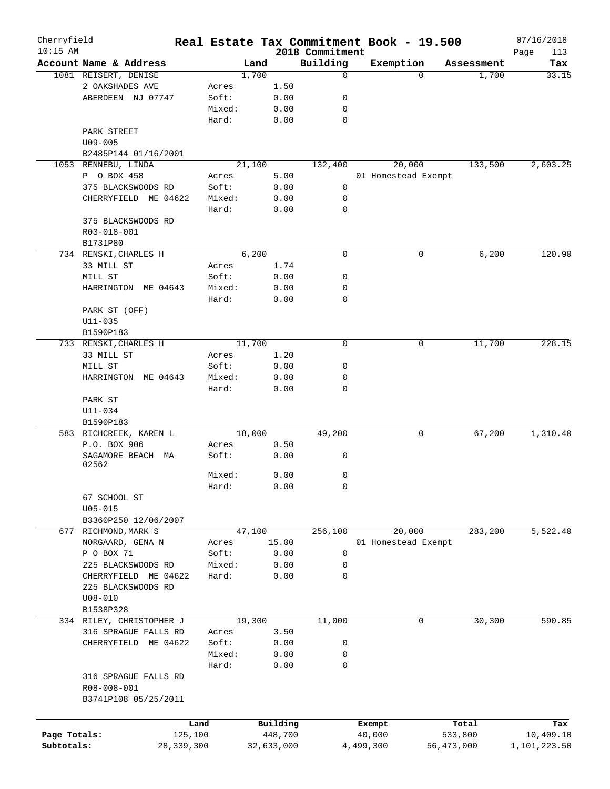| Cherryfield<br>$10:15$ AM |                          |              |        |            | 2018 Commitment | Real Estate Tax Commitment Book - 19.500 |          |            | 07/16/2018<br>Page<br>113 |
|---------------------------|--------------------------|--------------|--------|------------|-----------------|------------------------------------------|----------|------------|---------------------------|
|                           | Account Name & Address   |              | Land   |            | Building        | Exemption                                |          | Assessment | Tax                       |
|                           | 1081 REISERT, DENISE     |              | 1,700  |            | $\mathbf 0$     |                                          | $\Omega$ | 1,700      | 33.15                     |
|                           | 2 OAKSHADES AVE          | Acres        |        | 1.50       |                 |                                          |          |            |                           |
|                           | ABERDEEN NJ 07747        | Soft:        |        | 0.00       | 0               |                                          |          |            |                           |
|                           |                          | Mixed:       |        | 0.00       | 0               |                                          |          |            |                           |
|                           |                          | Hard:        |        | 0.00       | $\mathbf 0$     |                                          |          |            |                           |
|                           | PARK STREET              |              |        |            |                 |                                          |          |            |                           |
|                           |                          |              |        |            |                 |                                          |          |            |                           |
|                           | $U09 - 005$              |              |        |            |                 |                                          |          |            |                           |
|                           | B2485P144 01/16/2001     |              |        |            |                 |                                          |          |            |                           |
|                           | 1053 RENNEBU, LINDA      |              | 21,100 |            | 132,400         | 20,000                                   |          | 133,500    | 2,603.25                  |
|                           | P O BOX 458              | Acres        |        | 5.00       |                 | 01 Homestead Exempt                      |          |            |                           |
|                           | 375 BLACKSWOODS RD       | Soft:        |        | 0.00       | 0               |                                          |          |            |                           |
|                           | CHERRYFIELD ME 04622     | Mixed:       |        | 0.00       | 0               |                                          |          |            |                           |
|                           |                          | Hard:        |        | 0.00       | $\mathbf 0$     |                                          |          |            |                           |
|                           | 375 BLACKSWOODS RD       |              |        |            |                 |                                          |          |            |                           |
|                           | R03-018-001              |              |        |            |                 |                                          |          |            |                           |
|                           | B1731P80                 |              |        |            |                 |                                          |          |            |                           |
|                           | 734 RENSKI, CHARLES H    |              | 6,200  |            | $\mathbf 0$     |                                          | 0        | 6,200      | 120.90                    |
|                           | 33 MILL ST               | Acres        |        | 1.74       |                 |                                          |          |            |                           |
|                           | MILL ST                  | Soft:        |        | 0.00       | 0               |                                          |          |            |                           |
|                           | HARRINGTON ME 04643      | Mixed:       |        | 0.00       | $\mathbf 0$     |                                          |          |            |                           |
|                           |                          | Hard:        |        | 0.00       | $\mathbf 0$     |                                          |          |            |                           |
|                           | PARK ST (OFF)            |              |        |            |                 |                                          |          |            |                           |
|                           | $U11 - 035$              |              |        |            |                 |                                          |          |            |                           |
|                           | B1590P183                |              |        |            |                 |                                          |          |            |                           |
|                           | 733 RENSKI, CHARLES H    |              | 11,700 |            | $\mathbf 0$     |                                          | 0        | 11,700     | 228.15                    |
|                           |                          |              |        | 1.20       |                 |                                          |          |            |                           |
|                           | 33 MILL ST               | Acres        |        |            |                 |                                          |          |            |                           |
|                           | MILL ST                  | Soft:        |        | 0.00       | 0               |                                          |          |            |                           |
|                           | HARRINGTON ME 04643      | Mixed:       |        | 0.00       | 0               |                                          |          |            |                           |
|                           |                          | Hard:        |        | 0.00       | $\mathbf 0$     |                                          |          |            |                           |
|                           | PARK ST                  |              |        |            |                 |                                          |          |            |                           |
|                           | U11-034                  |              |        |            |                 |                                          |          |            |                           |
|                           | B1590P183                |              |        |            |                 |                                          |          |            |                           |
|                           | 583 RICHCREEK, KAREN L   |              | 18,000 |            | 49,200          |                                          | 0        | 67,200     | 1,310.40                  |
|                           | P.O. BOX 906             | Acres        |        | 0.50       |                 |                                          |          |            |                           |
|                           | SAGAMORE BEACH MA        | Soft:        |        | 0.00       | 0               |                                          |          |            |                           |
|                           | 02562                    |              |        |            |                 |                                          |          |            |                           |
|                           |                          | Mixed:       |        | 0.00       | 0               |                                          |          |            |                           |
|                           |                          | Hard:        |        | 0.00       | 0               |                                          |          |            |                           |
|                           | 67 SCHOOL ST             |              |        |            |                 |                                          |          |            |                           |
|                           | $U05 - 015$              |              |        |            |                 |                                          |          |            |                           |
|                           | B3360P250 12/06/2007     |              |        |            |                 |                                          |          |            |                           |
|                           | 677 RICHMOND, MARK S     |              | 47,100 |            | 256,100         | 20,000                                   |          | 283,200    | 5,522.40                  |
|                           | NORGAARD, GENA N         | Acres        |        | 15.00      |                 | 01 Homestead Exempt                      |          |            |                           |
|                           | P O BOX 71               | Soft:        |        | 0.00       | 0               |                                          |          |            |                           |
|                           | 225 BLACKSWOODS RD       | Mixed:       |        | 0.00       | 0               |                                          |          |            |                           |
|                           | CHERRYFIELD ME 04622     | Hard:        |        | 0.00       | $\mathbf 0$     |                                          |          |            |                           |
|                           | 225 BLACKSWOODS RD       |              |        |            |                 |                                          |          |            |                           |
|                           | $U08 - 010$              |              |        |            |                 |                                          |          |            |                           |
|                           | B1538P328                |              |        |            |                 |                                          |          |            |                           |
|                           | 334 RILEY, CHRISTOPHER J |              | 19,300 |            | 11,000          |                                          | 0        | 30,300     | 590.85                    |
|                           | 316 SPRAGUE FALLS RD     | Acres        |        | 3.50       |                 |                                          |          |            |                           |
|                           |                          |              |        | 0.00       |                 |                                          |          |            |                           |
|                           | ME 04622<br>CHERRYFIELD  | Soft:        |        |            | 0               |                                          |          |            |                           |
|                           |                          | Mixed:       |        | 0.00       | 0               |                                          |          |            |                           |
|                           |                          | Hard:        |        | 0.00       | 0               |                                          |          |            |                           |
|                           | 316 SPRAGUE FALLS RD     |              |        |            |                 |                                          |          |            |                           |
|                           | R08-008-001              |              |        |            |                 |                                          |          |            |                           |
|                           | B3741P108 05/25/2011     |              |        |            |                 |                                          |          |            |                           |
|                           |                          |              |        |            |                 |                                          |          |            |                           |
|                           |                          | Land         |        | Building   |                 | Exempt                                   |          | Total      | Tax                       |
| Page Totals:              |                          | 125,100      |        | 448,700    |                 | 40,000                                   |          | 533,800    | 10,409.10                 |
| Subtotals:                |                          | 28, 339, 300 |        | 32,633,000 |                 | 4,499,300                                |          | 56,473,000 | 1,101,223.50              |
|                           |                          |              |        |            |                 |                                          |          |            |                           |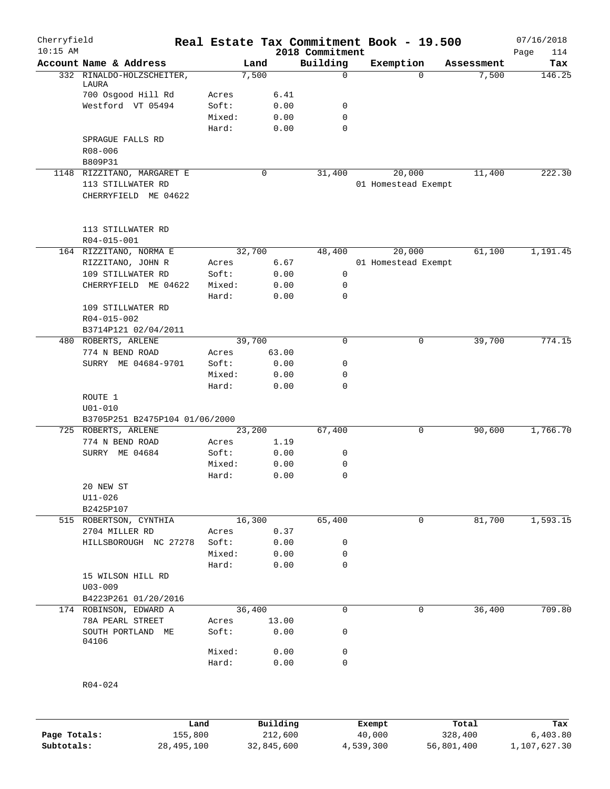| Cherryfield  |                                         |                 | Real Estate Tax Commitment Book - 19.500 |                             |           |                     |            | 07/16/2018         |
|--------------|-----------------------------------------|-----------------|------------------------------------------|-----------------------------|-----------|---------------------|------------|--------------------|
| $10:15$ AM   | Account Name & Address                  |                 | Land                                     | 2018 Commitment<br>Building | Exemption |                     | Assessment | Page<br>114<br>Tax |
|              | 332 RINALDO-HOLZSCHEITER,               |                 | 7,500                                    | $\mathbf 0$                 |           | $\Omega$            | 7,500      | 146.25             |
|              | LAURA                                   |                 |                                          |                             |           |                     |            |                    |
|              | 700 Osgood Hill Rd                      | Acres           | 6.41                                     |                             |           |                     |            |                    |
|              | Westford VT 05494                       | Soft:           | 0.00                                     | 0                           |           |                     |            |                    |
|              |                                         | Mixed:<br>Hard: | 0.00<br>0.00                             | 0<br>$\mathbf 0$            |           |                     |            |                    |
|              | SPRAGUE FALLS RD                        |                 |                                          |                             |           |                     |            |                    |
|              | R08-006                                 |                 |                                          |                             |           |                     |            |                    |
|              | B809P31                                 |                 |                                          |                             |           |                     |            |                    |
|              | 1148 RIZZITANO, MARGARET E              |                 | 0                                        | 31,400                      |           | 20,000              | 11,400     | 222.30             |
|              | 113 STILLWATER RD                       |                 |                                          |                             |           | 01 Homestead Exempt |            |                    |
|              | CHERRYFIELD ME 04622                    |                 |                                          |                             |           |                     |            |                    |
|              | 113 STILLWATER RD                       |                 |                                          |                             |           |                     |            |                    |
|              | R04-015-001                             |                 |                                          |                             |           |                     |            |                    |
|              | 164 RIZZITANO, NORMA E                  |                 | 32,700                                   | 48,400                      |           | 20,000              | 61,100     | 1,191.45           |
|              | RIZZITANO, JOHN R                       | Acres           | 6.67                                     |                             |           | 01 Homestead Exempt |            |                    |
|              | 109 STILLWATER RD                       | Soft:           | 0.00                                     | 0                           |           |                     |            |                    |
|              | CHERRYFIELD ME 04622                    | Mixed:          | 0.00                                     | 0                           |           |                     |            |                    |
|              |                                         | Hard:           | 0.00                                     | 0                           |           |                     |            |                    |
|              | 109 STILLWATER RD                       |                 |                                          |                             |           |                     |            |                    |
|              | R04-015-002                             |                 |                                          |                             |           |                     |            |                    |
|              | B3714P121 02/04/2011                    |                 |                                          |                             |           |                     |            |                    |
|              | 480 ROBERTS, ARLENE                     |                 | 39,700                                   | $\mathbf 0$                 |           | $\mathbf 0$         | 39,700     | 774.15             |
|              | 774 N BEND ROAD<br>SURRY ME 04684-9701  | Acres<br>Soft:  | 63.00<br>0.00                            | 0                           |           |                     |            |                    |
|              |                                         | Mixed:          | 0.00                                     | 0                           |           |                     |            |                    |
|              |                                         | Hard:           | 0.00                                     | $\mathbf 0$                 |           |                     |            |                    |
|              | ROUTE 1                                 |                 |                                          |                             |           |                     |            |                    |
|              | $U01 - 010$                             |                 |                                          |                             |           |                     |            |                    |
|              | B3705P251 B2475P104 01/06/2000          |                 |                                          |                             |           |                     |            |                    |
|              | 725 ROBERTS, ARLENE                     |                 | 23,200                                   | 67,400                      |           | 0                   | 90,600     | 1,766.70           |
|              | 774 N BEND ROAD                         | Acres           | 1.19                                     |                             |           |                     |            |                    |
|              | SURRY ME 04684                          | Soft:           | 0.00                                     | 0                           |           |                     |            |                    |
|              |                                         | Mixed:          | 0.00                                     | 0                           |           |                     |            |                    |
|              |                                         | Hard:           | 0.00                                     | 0                           |           |                     |            |                    |
|              | 20 NEW ST                               |                 |                                          |                             |           |                     |            |                    |
|              | $U11 - 026$                             |                 |                                          |                             |           |                     |            |                    |
|              | B2425P107                               |                 |                                          |                             |           |                     |            |                    |
|              | 515 ROBERTSON, CYNTHIA                  |                 | 16,300                                   | 65,400                      |           | 0                   | 81,700     | 1,593.15           |
|              | 2704 MILLER RD<br>HILLSBOROUGH NC 27278 | Acres<br>Soft:  | 0.37<br>0.00                             | 0                           |           |                     |            |                    |
|              |                                         | Mixed:          | 0.00                                     | 0                           |           |                     |            |                    |
|              |                                         | Hard:           | 0.00                                     | 0                           |           |                     |            |                    |
|              | 15 WILSON HILL RD                       |                 |                                          |                             |           |                     |            |                    |
|              | $U03 - 009$                             |                 |                                          |                             |           |                     |            |                    |
|              | B4223P261 01/20/2016                    |                 |                                          |                             |           |                     |            |                    |
|              | 174 ROBINSON, EDWARD A                  |                 | 36,400                                   | $\mathbf 0$                 |           | $\mathbf 0$         | 36,400     | 709.80             |
|              | 78A PEARL STREET                        | Acres           | 13.00                                    |                             |           |                     |            |                    |
|              | SOUTH PORTLAND ME<br>04106              | Soft:           | 0.00                                     | 0                           |           |                     |            |                    |
|              |                                         | Mixed:          | 0.00                                     | 0                           |           |                     |            |                    |
|              |                                         | Hard:           | 0.00                                     | 0                           |           |                     |            |                    |
|              | R04-024                                 |                 |                                          |                             |           |                     |            |                    |
|              |                                         |                 |                                          |                             |           |                     |            |                    |
|              | Land                                    |                 | Building                                 |                             | Exempt    |                     | Total      | Tax                |
| Page Totals: | 155,800                                 |                 | 212,600                                  |                             | 40,000    |                     | 328,400    | 6,403.80           |
| Subtotals:   | 28, 495, 100                            |                 | 32,845,600                               |                             | 4,539,300 |                     | 56,801,400 | 1,107,627.30       |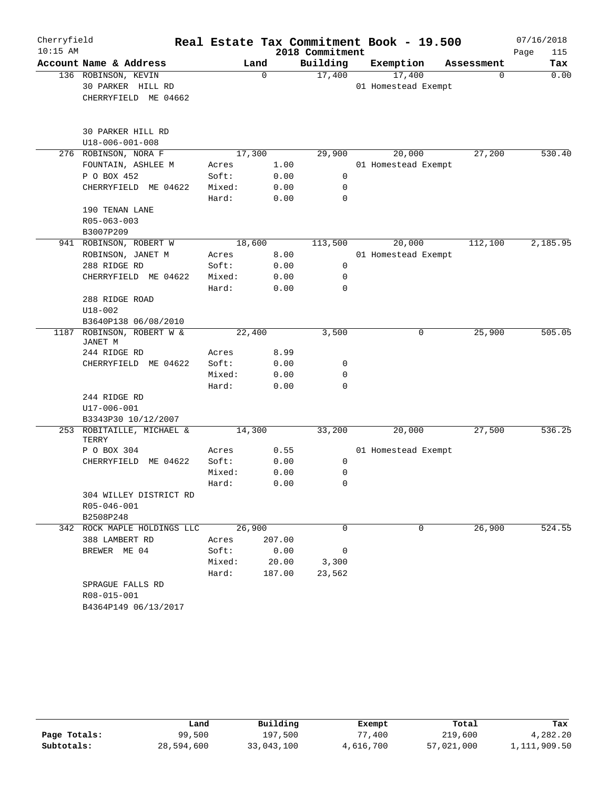| Cherryfield |                                       |        |             |                 | Real Estate Tax Commitment Book - 19.500 |            | 07/16/2018  |
|-------------|---------------------------------------|--------|-------------|-----------------|------------------------------------------|------------|-------------|
| $10:15$ AM  |                                       |        |             | 2018 Commitment |                                          |            | Page<br>115 |
|             | Account Name & Address                |        | Land        | Building        | Exemption                                | Assessment | Tax         |
|             | 136 ROBINSON, KEVIN                   |        | $\mathbf 0$ | 17,400          | 17,400                                   | 0          | 0.00        |
|             | 30 PARKER HILL RD                     |        |             |                 | 01 Homestead Exempt                      |            |             |
|             | CHERRYFIELD ME 04662                  |        |             |                 |                                          |            |             |
|             | 30 PARKER HILL RD                     |        |             |                 |                                          |            |             |
|             | U18-006-001-008                       |        |             |                 |                                          |            |             |
|             | 276 ROBINSON, NORA F                  |        | 17,300      | 29,900          | 20,000                                   | 27,200     | 530.40      |
|             | FOUNTAIN, ASHLEE M                    | Acres  | 1.00        |                 | 01 Homestead Exempt                      |            |             |
|             | P O BOX 452                           | Soft:  | 0.00        | 0               |                                          |            |             |
|             | CHERRYFIELD ME 04622                  | Mixed: | 0.00        | 0               |                                          |            |             |
|             |                                       | Hard:  | 0.00        | 0               |                                          |            |             |
|             | 190 TENAN LANE                        |        |             |                 |                                          |            |             |
|             | R05-063-003                           |        |             |                 |                                          |            |             |
|             | B3007P209                             |        |             |                 |                                          |            |             |
|             | 941 ROBINSON, ROBERT W                |        | 18,600      | 113,500         | 20,000                                   | 112,100    | 2,185.95    |
|             | ROBINSON, JANET M                     | Acres  | 8.00        |                 | 01 Homestead Exempt                      |            |             |
|             | 288 RIDGE RD                          | Soft:  | 0.00        | $\mathbf 0$     |                                          |            |             |
|             | CHERRYFIELD ME 04622                  | Mixed: | 0.00        | 0               |                                          |            |             |
|             |                                       | Hard:  | 0.00        | $\mathbf 0$     |                                          |            |             |
|             | 288 RIDGE ROAD                        |        |             |                 |                                          |            |             |
|             | $U18 - 002$                           |        |             |                 |                                          |            |             |
|             | B3640P138 06/08/2010                  |        |             |                 |                                          |            |             |
| 1187        | ROBINSON, ROBERT W &<br>JANET M       |        | 22,400      | 3,500           | 0                                        | 25,900     | 505.05      |
|             | 244 RIDGE RD                          | Acres  | 8.99        |                 |                                          |            |             |
|             | CHERRYFIELD ME 04622                  | Soft:  | 0.00        | 0               |                                          |            |             |
|             |                                       | Mixed: | 0.00        | $\mathbf 0$     |                                          |            |             |
|             |                                       | Hard:  | 0.00        | $\mathbf 0$     |                                          |            |             |
|             | 244 RIDGE RD                          |        |             |                 |                                          |            |             |
|             | U17-006-001                           |        |             |                 |                                          |            |             |
|             | B3343P30 10/12/2007                   |        |             |                 |                                          |            |             |
|             | 253 ROBITAILLE, MICHAEL &<br>TERRY    |        | 14,300      | 33,200          | 20,000                                   | 27,500     | 536.25      |
|             | P O BOX 304                           | Acres  | 0.55        |                 | 01 Homestead Exempt                      |            |             |
|             | CHERRYFIELD ME 04622                  | Soft:  | 0.00        | 0               |                                          |            |             |
|             |                                       | Mixed: | 0.00        | 0               |                                          |            |             |
|             |                                       | Hard:  | 0.00        | $\Omega$        |                                          |            |             |
|             | 304 WILLEY DISTRICT RD<br>R05-046-001 |        |             |                 |                                          |            |             |
|             | B2508P248                             |        |             |                 |                                          |            |             |
|             | 342 ROCK MAPLE HOLDINGS LLC           |        | 26,900      | $\Omega$        | 0                                        | 26,900     | 524.55      |
|             | 388 LAMBERT RD                        | Acres  | 207.00      |                 |                                          |            |             |
|             | BREWER ME 04                          | Soft:  | 0.00        | 0               |                                          |            |             |
|             |                                       | Mixed: | 20.00       | 3,300           |                                          |            |             |
|             |                                       | Hard:  | 187.00      | 23,562          |                                          |            |             |
|             | SPRAGUE FALLS RD                      |        |             |                 |                                          |            |             |
|             | R08-015-001                           |        |             |                 |                                          |            |             |
|             | B4364P149 06/13/2017                  |        |             |                 |                                          |            |             |

|              | Land       | Building   | Exempt    | Total      | Tax          |
|--------------|------------|------------|-----------|------------|--------------|
| Page Totals: | 99,500     | 197,500    | .400      | 219,600    | 4,282.20     |
| Subtotals:   | 28,594,600 | 33,043,100 | 4,616,700 | 57,021,000 | 1,111,909.50 |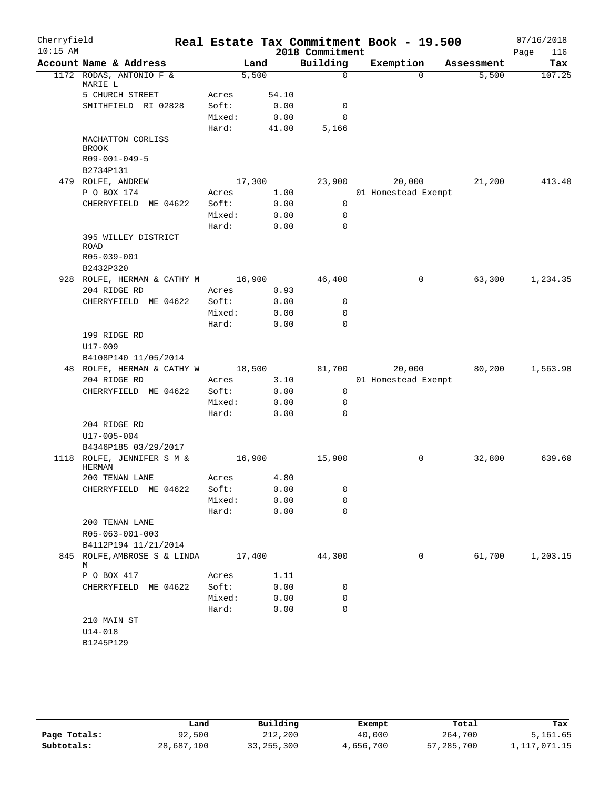| Cherryfield<br>$10:15$ AM |                                               |        |                | 2018 Commitment | Real Estate Tax Commitment Book - 19.500 |            | 07/16/2018<br>Page<br>116 |
|---------------------------|-----------------------------------------------|--------|----------------|-----------------|------------------------------------------|------------|---------------------------|
|                           | Account Name & Address                        |        | Land           | Building        | Exemption                                | Assessment | Tax                       |
|                           | 1172 RODAS, ANTONIO F &<br>MARIE L            |        | 5,500          | $\mathbf 0$     | $\Omega$                                 | 5,500      | 107.25                    |
|                           | 5 CHURCH STREET                               | Acres  | 54.10          |                 |                                          |            |                           |
|                           | SMITHFIELD RI 02828                           | Soft:  | 0.00           | 0               |                                          |            |                           |
|                           |                                               | Mixed: | 0.00           | $\mathbf 0$     |                                          |            |                           |
|                           |                                               | Hard:  | 41.00          | 5,166           |                                          |            |                           |
|                           | MACHATTON CORLISS<br><b>BROOK</b>             |        |                |                 |                                          |            |                           |
|                           | R09-001-049-5                                 |        |                |                 |                                          |            |                           |
|                           | B2734P131                                     |        |                |                 |                                          |            |                           |
|                           | 479 ROLFE, ANDREW                             |        | 17,300         | 23,900          | 20,000                                   | 21,200     | 413.40                    |
|                           | P O BOX 174                                   | Acres  | 1.00           |                 | 01 Homestead Exempt                      |            |                           |
|                           | CHERRYFIELD ME 04622                          | Soft:  | 0.00           | 0               |                                          |            |                           |
|                           |                                               | Mixed: | 0.00           | 0               |                                          |            |                           |
|                           |                                               | Hard:  | 0.00           | $\mathbf 0$     |                                          |            |                           |
|                           | 395 WILLEY DISTRICT<br><b>ROAD</b>            |        |                |                 |                                          |            |                           |
|                           | R05-039-001                                   |        |                |                 |                                          |            |                           |
|                           | B2432P320                                     |        |                |                 |                                          |            |                           |
|                           | 928 ROLFE, HERMAN & CATHY M                   |        | 16,900         | 46,400          | 0                                        | 63,300     | 1,234.35                  |
|                           | 204 RIDGE RD                                  | Acres  | 0.93           |                 |                                          |            |                           |
|                           | CHERRYFIELD ME 04622                          | Soft:  | 0.00           | 0               |                                          |            |                           |
|                           |                                               | Mixed: | 0.00           | 0               |                                          |            |                           |
|                           |                                               | Hard:  | 0.00           | $\mathbf 0$     |                                          |            |                           |
|                           | 199 RIDGE RD                                  |        |                |                 |                                          |            |                           |
|                           | U17-009                                       |        |                |                 |                                          |            |                           |
|                           | B4108P140 11/05/2014                          |        |                |                 |                                          |            |                           |
|                           | 48 ROLFE, HERMAN & CATHY W                    |        | 18,500         | 81,700          | 20,000                                   | 80,200     | 1,563.90                  |
|                           | 204 RIDGE RD                                  | Acres  | 3.10           |                 | 01 Homestead Exempt                      |            |                           |
|                           | CHERRYFIELD ME 04622                          | Soft:  | 0.00           | 0               |                                          |            |                           |
|                           |                                               | Mixed: | 0.00           | 0               |                                          |            |                           |
|                           |                                               | Hard:  | 0.00           | 0               |                                          |            |                           |
|                           | 204 RIDGE RD                                  |        |                |                 |                                          |            |                           |
|                           | U17-005-004                                   |        |                |                 |                                          |            |                           |
|                           | B4346P185 03/29/2017<br>ROLFE, JENNIFER S M & |        |                |                 | 0                                        | 32,800     | 639.60                    |
| 1118                      | <b>HERMAN</b><br>200 TENAN LANE               | Acres  | 16,900<br>4.80 | 15,900          |                                          |            |                           |
|                           | CHERRYFIELD ME 04622                          | Soft:  | 0.00           | 0               |                                          |            |                           |
|                           |                                               | Mixed: | 0.00           | 0               |                                          |            |                           |
|                           |                                               | Hard:  | 0.00           | $\mathbf 0$     |                                          |            |                           |
|                           | 200 TENAN LANE<br>R05-063-001-003             |        |                |                 |                                          |            |                           |
|                           | B4112P194 11/21/2014                          |        |                |                 |                                          |            |                           |
|                           | 845 ROLFE, AMBROSE S & LINDA                  |        | 17,400         | 44,300          | 0                                        | 61,700     | 1,203.15                  |
|                           | М                                             |        |                |                 |                                          |            |                           |
|                           | P O BOX 417                                   | Acres  | 1.11           |                 |                                          |            |                           |
|                           | CHERRYFIELD ME 04622                          | Soft:  | 0.00           | 0               |                                          |            |                           |
|                           |                                               | Mixed: | 0.00           | 0               |                                          |            |                           |
|                           |                                               | Hard:  | 0.00           | $\mathbf 0$     |                                          |            |                           |
|                           | 210 MAIN ST                                   |        |                |                 |                                          |            |                           |
|                           | U14-018                                       |        |                |                 |                                          |            |                           |
|                           | B1245P129                                     |        |                |                 |                                          |            |                           |

|              | Land       | Building     | Exempt    | Total      | Tax          |
|--------------|------------|--------------|-----------|------------|--------------|
| Page Totals: | 92,500     | 212,200      | 40,000    | 264,700    | 5,161.65     |
| Subtotals:   | 28,687,100 | 33, 255, 300 | 4,656,700 | 57,285,700 | 1,117,071.15 |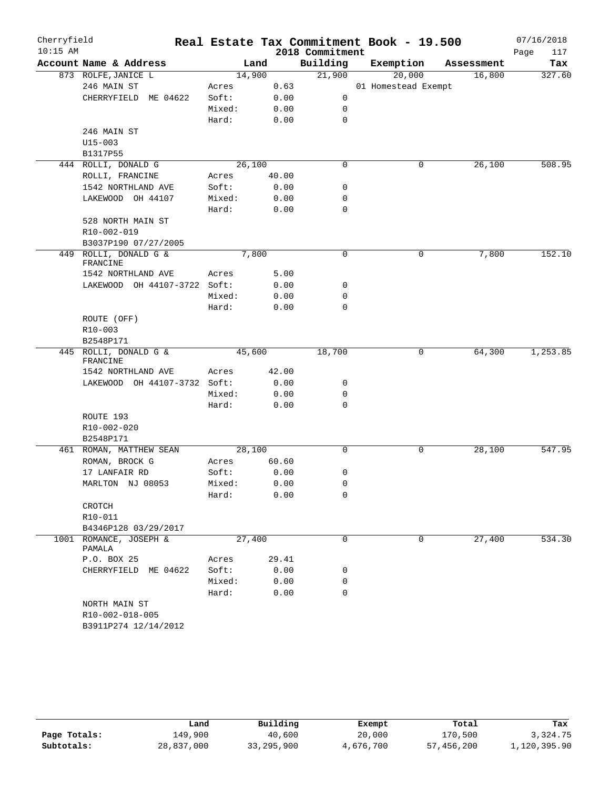| Cherryfield<br>$10:15$ AM |                                                          |        |        | 2018 Commitment | Real Estate Tax Commitment Book - 19.500 |            | 07/16/2018<br>Page<br>117 |
|---------------------------|----------------------------------------------------------|--------|--------|-----------------|------------------------------------------|------------|---------------------------|
|                           | Account Name & Address                                   |        | Land   | Building        | Exemption                                | Assessment | Tax                       |
|                           | 873 ROLFE, JANICE L                                      |        | 14,900 | 21,900          | 20,000                                   | 16,800     | 327.60                    |
|                           | 246 MAIN ST                                              | Acres  | 0.63   |                 | 01 Homestead Exempt                      |            |                           |
|                           | CHERRYFIELD ME 04622                                     | Soft:  | 0.00   | 0               |                                          |            |                           |
|                           |                                                          | Mixed: | 0.00   | 0               |                                          |            |                           |
|                           |                                                          | Hard:  | 0.00   | 0               |                                          |            |                           |
|                           | 246 MAIN ST                                              |        |        |                 |                                          |            |                           |
|                           | $U15 - 003$                                              |        |        |                 |                                          |            |                           |
|                           | B1317P55<br>444 ROLLI, DONALD G                          |        | 26,100 | $\mathbf 0$     | 0                                        | 26,100     | 508.95                    |
|                           | ROLLI, FRANCINE                                          | Acres  | 40.00  |                 |                                          |            |                           |
|                           | 1542 NORTHLAND AVE                                       | Soft:  | 0.00   | 0               |                                          |            |                           |
|                           | LAKEWOOD OH 44107                                        | Mixed: | 0.00   | 0               |                                          |            |                           |
|                           |                                                          | Hard:  | 0.00   | $\mathbf 0$     |                                          |            |                           |
|                           | 528 NORTH MAIN ST                                        |        |        |                 |                                          |            |                           |
|                           | R10-002-019                                              |        |        |                 |                                          |            |                           |
|                           | B3037P190 07/27/2005                                     |        |        |                 |                                          |            |                           |
| 449                       | ROLLI, DONALD G &                                        |        | 7,800  | $\mathbf 0$     | 0                                        | 7,800      | 152.10                    |
|                           | FRANCINE                                                 |        |        |                 |                                          |            |                           |
|                           | 1542 NORTHLAND AVE                                       | Acres  | 5.00   |                 |                                          |            |                           |
|                           | LAKEWOOD OH 44107-3722 Soft:                             |        | 0.00   | 0               |                                          |            |                           |
|                           |                                                          | Mixed: | 0.00   | 0               |                                          |            |                           |
|                           |                                                          | Hard:  | 0.00   | 0               |                                          |            |                           |
|                           | ROUTE (OFF)                                              |        |        |                 |                                          |            |                           |
|                           | $R10 - 003$                                              |        |        |                 |                                          |            |                           |
|                           | B2548P171                                                |        |        |                 |                                          |            |                           |
|                           | 445 ROLLI, DONALD G &                                    |        | 45,600 | 18,700          | 0                                        | 64,300     | 1,253.85                  |
|                           | FRANCINE<br>1542 NORTHLAND AVE                           | Acres  | 42.00  |                 |                                          |            |                           |
|                           | LAKEWOOD OH 44107-3732 Soft:                             |        | 0.00   | 0               |                                          |            |                           |
|                           |                                                          | Mixed: | 0.00   | 0               |                                          |            |                           |
|                           |                                                          | Hard:  | 0.00   | $\mathbf 0$     |                                          |            |                           |
|                           | ROUTE 193                                                |        |        |                 |                                          |            |                           |
|                           | R10-002-020                                              |        |        |                 |                                          |            |                           |
|                           | B2548P171                                                |        |        |                 |                                          |            |                           |
|                           | 461 ROMAN, MATTHEW SEAN                                  |        | 28,100 | 0               | 0                                        | 28,100     | 547.95                    |
|                           | ROMAN, BROCK G                                           | Acres  | 60.60  |                 |                                          |            |                           |
|                           | 17 LANFAIR RD                                            | Soft:  | 0.00   | 0               |                                          |            |                           |
|                           | MARLTON NJ 08053                                         | Mixed: | 0.00   | 0               |                                          |            |                           |
|                           |                                                          | Hard:  | 0.00   | 0               |                                          |            |                           |
|                           | CROTCH                                                   |        |        |                 |                                          |            |                           |
|                           | R10-011                                                  |        |        |                 |                                          |            |                           |
|                           | B4346P128 03/29/2017                                     |        |        |                 |                                          |            |                           |
|                           | 1001 ROMANCE, JOSEPH &<br>PAMALA                         |        | 27,400 | 0               | 0                                        | 27,400     | 534.30                    |
|                           | P.O. BOX 25                                              | Acres  | 29.41  |                 |                                          |            |                           |
|                           | CHERRYFIELD ME 04622                                     | Soft:  | 0.00   | 0               |                                          |            |                           |
|                           |                                                          | Mixed: | 0.00   | 0               |                                          |            |                           |
|                           |                                                          | Hard:  | 0.00   | 0               |                                          |            |                           |
|                           | NORTH MAIN ST<br>R10-002-018-005<br>B3911P274 12/14/2012 |        |        |                 |                                          |            |                           |
|                           |                                                          |        |        |                 |                                          |            |                           |

|              | Land       | Building     | Exempt    | Total      | Tax          |
|--------------|------------|--------------|-----------|------------|--------------|
| Page Totals: | 149,900    | 40,600       | 20,000    | 170,500    | 3,324.75     |
| Subtotals:   | 28,837,000 | 33, 295, 900 | 4,676,700 | 57,456,200 | 1,120,395.90 |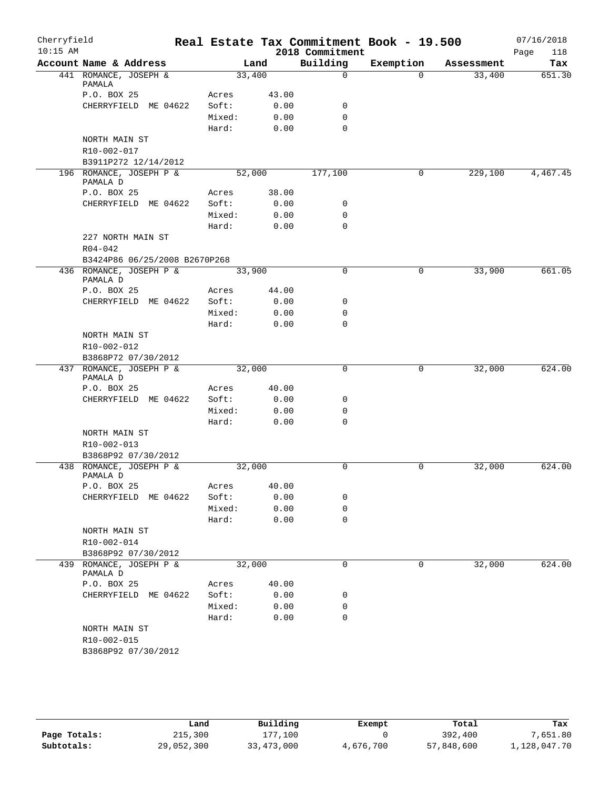| Cherryfield<br>$10:15$ AM |                                                |                |       | Real Estate Tax Commitment Book - 19.500<br>2018 Commitment |             |            | 07/16/2018<br>Page<br>118 |
|---------------------------|------------------------------------------------|----------------|-------|-------------------------------------------------------------|-------------|------------|---------------------------|
|                           | Account Name & Address                         |                | Land  | Building                                                    | Exemption   | Assessment | Tax                       |
|                           | 441 ROMANCE, JOSEPH &<br>PAMALA                | 33,400         |       | $\mathbf 0$                                                 | $\Omega$    | 33,400     | 651.30                    |
|                           | P.O. BOX 25                                    | Acres          | 43.00 |                                                             |             |            |                           |
|                           | CHERRYFIELD ME 04622                           | Soft:          | 0.00  | 0                                                           |             |            |                           |
|                           |                                                | Mixed:         | 0.00  | $\mathbf 0$                                                 |             |            |                           |
|                           |                                                | Hard:          | 0.00  | $\Omega$                                                    |             |            |                           |
|                           | NORTH MAIN ST                                  |                |       |                                                             |             |            |                           |
|                           | R10-002-017                                    |                |       |                                                             |             |            |                           |
|                           | B3911P272 12/14/2012                           |                |       |                                                             |             |            |                           |
|                           | 196 ROMANCE, JOSEPH P &<br>PAMALA D            | 52,000         |       | 177,100                                                     | 0           | 229,100    | 4,467.45                  |
|                           | P.O. BOX 25                                    | Acres          | 38.00 |                                                             |             |            |                           |
|                           | CHERRYFIELD ME 04622                           | Soft:          | 0.00  | 0                                                           |             |            |                           |
|                           |                                                | Mixed:         | 0.00  | 0                                                           |             |            |                           |
|                           |                                                | Hard:          | 0.00  | $\Omega$                                                    |             |            |                           |
|                           | 227 NORTH MAIN ST<br>$R04 - 042$               |                |       |                                                             |             |            |                           |
|                           | B3424P86 06/25/2008 B2670P268                  |                |       |                                                             |             |            |                           |
|                           | 436 ROMANCE, JOSEPH P &<br>PAMALA D            | 33,900         |       | 0                                                           | 0           | 33,900     | 661.05                    |
|                           | P.O. BOX 25                                    | Acres          | 44.00 |                                                             |             |            |                           |
|                           | CHERRYFIELD ME 04622                           | Soft:          | 0.00  | 0                                                           |             |            |                           |
|                           |                                                | Mixed:         | 0.00  | 0                                                           |             |            |                           |
|                           |                                                | Hard:          | 0.00  | $\mathbf 0$                                                 |             |            |                           |
|                           | NORTH MAIN ST                                  |                |       |                                                             |             |            |                           |
|                           | R10-002-012                                    |                |       |                                                             |             |            |                           |
|                           | B3868P72 07/30/2012                            |                |       |                                                             |             |            |                           |
|                           | 437 ROMANCE, JOSEPH P &<br>PAMALA D            | 32,000         |       | $\mathbf 0$                                                 | 0           | 32,000     | 624.00                    |
|                           | P.O. BOX 25                                    | Acres          | 40.00 |                                                             |             |            |                           |
|                           | CHERRYFIELD ME 04622                           | Soft:          | 0.00  | 0                                                           |             |            |                           |
|                           |                                                | Mixed:         | 0.00  | $\mathbf 0$                                                 |             |            |                           |
|                           |                                                | Hard:          | 0.00  | $\mathbf 0$                                                 |             |            |                           |
|                           | NORTH MAIN ST                                  |                |       |                                                             |             |            |                           |
|                           | R10-002-013                                    |                |       |                                                             |             |            |                           |
|                           | B3868P92 07/30/2012<br>438 ROMANCE, JOSEPH P & | 32,000         |       | 0                                                           | $\mathbf 0$ | 32,000     | 624.00                    |
|                           | PAMALA D<br>P.O. BOX 25                        |                | 40.00 |                                                             |             |            |                           |
|                           | CHERRYFIELD ME 04622                           | Acres<br>Soft: | 0.00  | 0                                                           |             |            |                           |
|                           |                                                | Mixed:         | 0.00  | 0                                                           |             |            |                           |
|                           |                                                | Hard:          | 0.00  | $\mathbf 0$                                                 |             |            |                           |
|                           | NORTH MAIN ST                                  |                |       |                                                             |             |            |                           |
|                           | R10-002-014                                    |                |       |                                                             |             |            |                           |
|                           | B3868P92 07/30/2012                            |                |       |                                                             |             |            |                           |
|                           | 439 ROMANCE, JOSEPH P &<br>PAMALA D            | 32,000         |       | $\mathbf 0$                                                 | 0           | 32,000     | 624.00                    |
|                           | P.O. BOX 25                                    | Acres          | 40.00 |                                                             |             |            |                           |
|                           | CHERRYFIELD ME 04622                           | Soft:          | 0.00  | 0                                                           |             |            |                           |
|                           |                                                | Mixed:         | 0.00  | 0                                                           |             |            |                           |
|                           |                                                | Hard:          | 0.00  | 0                                                           |             |            |                           |
|                           | NORTH MAIN ST                                  |                |       |                                                             |             |            |                           |
|                           | R10-002-015                                    |                |       |                                                             |             |            |                           |
|                           | B3868P92 07/30/2012                            |                |       |                                                             |             |            |                           |

|              | Land       | Building   | Exempt    | Total      | Tax          |
|--------------|------------|------------|-----------|------------|--------------|
| Page Totals: | 215,300    | 177.100    |           | 392,400    | 7,651.80     |
| Subtotals:   | 29,052,300 | 33,473,000 | 4,676,700 | 57,848,600 | 1,128,047.70 |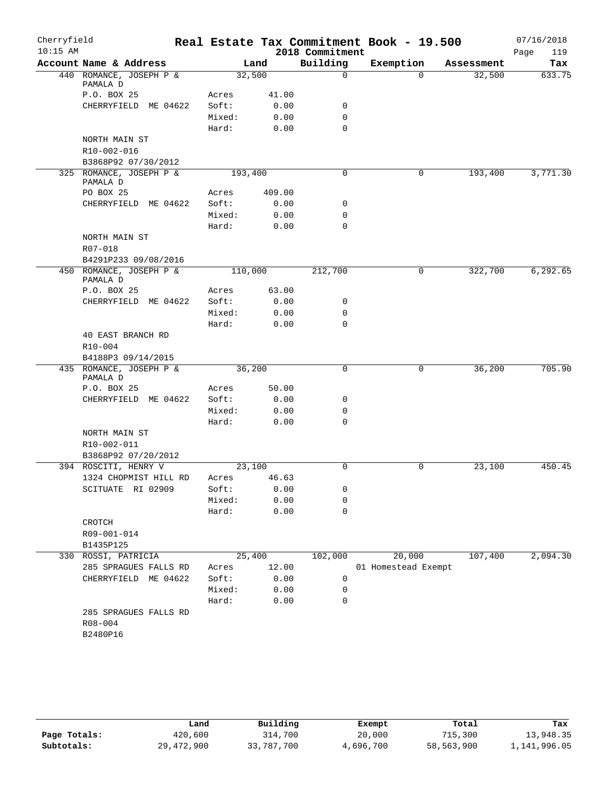| Cherryfield |                                     |         |        |                 | Real Estate Tax Commitment Book - 19.500 |            | 07/16/2018  |
|-------------|-------------------------------------|---------|--------|-----------------|------------------------------------------|------------|-------------|
| $10:15$ AM  |                                     |         |        | 2018 Commitment |                                          |            | 119<br>Page |
|             | Account Name & Address              |         | Land   | Building        | Exemption                                | Assessment | Tax         |
|             | 440 ROMANCE, JOSEPH P &<br>PAMALA D | 32,500  |        | $\mathbf 0$     | $\Omega$                                 | 32,500     | 633.75      |
|             | P.O. BOX 25                         | Acres   | 41.00  |                 |                                          |            |             |
|             | CHERRYFIELD ME 04622                | Soft:   | 0.00   | 0               |                                          |            |             |
|             |                                     | Mixed:  | 0.00   | $\mathbf 0$     |                                          |            |             |
|             |                                     | Hard:   | 0.00   | $\mathbf 0$     |                                          |            |             |
|             | NORTH MAIN ST                       |         |        |                 |                                          |            |             |
|             | R10-002-016                         |         |        |                 |                                          |            |             |
|             | B3868P92 07/30/2012                 |         |        |                 |                                          |            |             |
|             | 325 ROMANCE, JOSEPH P &<br>PAMALA D | 193,400 |        | $\mathbf 0$     | 0                                        | 193,400    | 3,771.30    |
|             | PO BOX 25                           | Acres   | 409.00 |                 |                                          |            |             |
|             | CHERRYFIELD ME 04622                | Soft:   | 0.00   | 0               |                                          |            |             |
|             |                                     | Mixed:  | 0.00   | $\mathbf 0$     |                                          |            |             |
|             |                                     | Hard:   | 0.00   | $\mathbf 0$     |                                          |            |             |
|             | NORTH MAIN ST<br>R07-018            |         |        |                 |                                          |            |             |
|             | B4291P233 09/08/2016                |         |        |                 |                                          |            |             |
|             | 450 ROMANCE, JOSEPH P &<br>PAMALA D | 110,000 |        | 212,700         | 0                                        | 322,700    | 6,292.65    |
|             | P.O. BOX 25                         | Acres   | 63.00  |                 |                                          |            |             |
|             | CHERRYFIELD ME 04622                | Soft:   | 0.00   | 0               |                                          |            |             |
|             |                                     | Mixed:  | 0.00   | $\mathbf 0$     |                                          |            |             |
|             |                                     | Hard:   | 0.00   | $\mathbf 0$     |                                          |            |             |
|             | 40 EAST BRANCH RD<br>R10-004        |         |        |                 |                                          |            |             |
|             | B4188P3 09/14/2015                  |         |        |                 |                                          |            |             |
|             | 435 ROMANCE, JOSEPH P &<br>PAMALA D | 36,200  |        | $\mathbf 0$     | 0                                        | 36,200     | 705.90      |
|             | P.O. BOX 25                         | Acres   | 50.00  |                 |                                          |            |             |
|             | CHERRYFIELD ME 04622                | Soft:   | 0.00   | 0               |                                          |            |             |
|             |                                     | Mixed:  | 0.00   | $\mathbf 0$     |                                          |            |             |
|             |                                     | Hard:   | 0.00   | $\mathbf 0$     |                                          |            |             |
|             | NORTH MAIN ST<br>R10-002-011        |         |        |                 |                                          |            |             |
|             | B3868P92 07/20/2012                 |         |        |                 |                                          |            |             |
|             | 394 ROSCITI, HENRY V                | 23,100  |        | 0               | 0                                        | 23,100     | 450.45      |
|             | 1324 CHOPMIST HILL RD               | Acres   | 46.63  |                 |                                          |            |             |
|             | SCITUATE RI 02909                   | Soft:   | 0.00   | 0               |                                          |            |             |
|             |                                     | Mixed:  | 0.00   | 0               |                                          |            |             |
|             |                                     | Hard:   | 0.00   | $\mathbf 0$     |                                          |            |             |
|             | CROTCH                              |         |        |                 |                                          |            |             |
|             | R09-001-014                         |         |        |                 |                                          |            |             |
|             | B1435P125                           |         |        |                 |                                          |            |             |
|             | 330 ROSSI, PATRICIA                 | 25,400  |        | 102,000         | 20,000                                   | 107,400    | 2,094.30    |
|             | 285 SPRAGUES FALLS RD               | Acres   | 12.00  |                 | 01 Homestead Exempt                      |            |             |
|             | CHERRYFIELD ME 04622                | Soft:   | 0.00   | 0               |                                          |            |             |
|             |                                     | Mixed:  | 0.00   | 0               |                                          |            |             |
|             |                                     | Hard:   | 0.00   | $\mathbf 0$     |                                          |            |             |
|             | 285 SPRAGUES FALLS RD               |         |        |                 |                                          |            |             |
|             | R08-004                             |         |        |                 |                                          |            |             |
|             | B2480P16                            |         |        |                 |                                          |            |             |
|             |                                     |         |        |                 |                                          |            |             |

|              | ⊥and       | Building   | Exempt    | Total      | Tax          |
|--------------|------------|------------|-----------|------------|--------------|
| Page Totals: | 420,600    | 314,700    | 20,000    | 715,300    | 13,948.35    |
| Subtotals:   | 29,472,900 | 33,787,700 | 4,696,700 | 58,563,900 | 1,141,996.05 |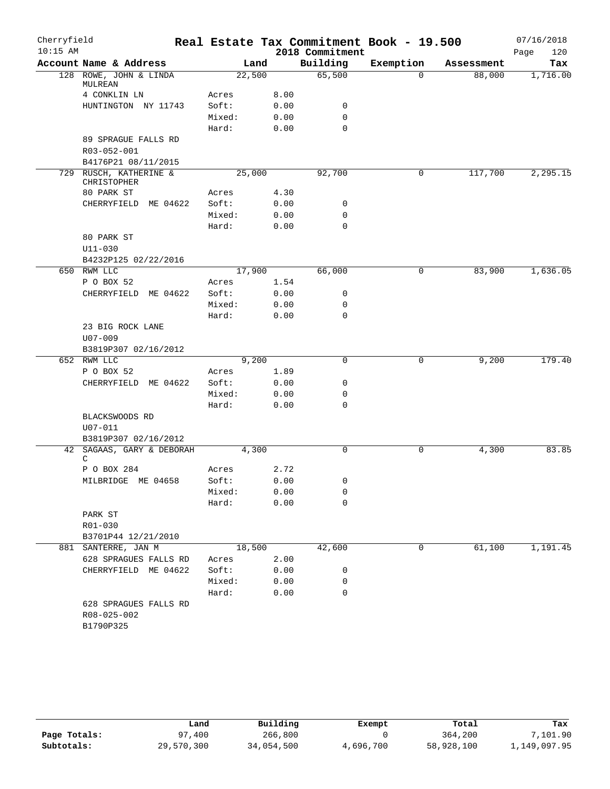| Cherryfield<br>$10:15$ AM |                                                   |        |       | 2018 Commitment | Real Estate Tax Commitment Book - 19.500 |            | 07/16/2018<br>120<br>Page |
|---------------------------|---------------------------------------------------|--------|-------|-----------------|------------------------------------------|------------|---------------------------|
|                           | Account Name & Address                            |        | Land  | Building        | Exemption                                | Assessment | Tax                       |
|                           | 128 ROWE, JOHN & LINDA<br>MULREAN                 | 22,500 |       | 65,500          | $\Omega$                                 | 88,000     | 1,716.00                  |
|                           | 4 CONKLIN LN                                      | Acres  | 8.00  |                 |                                          |            |                           |
|                           | HUNTINGTON NY 11743                               | Soft:  | 0.00  | 0               |                                          |            |                           |
|                           |                                                   | Mixed: | 0.00  | $\mathbf 0$     |                                          |            |                           |
|                           |                                                   | Hard:  | 0.00  | 0               |                                          |            |                           |
|                           | 89 SPRAGUE FALLS RD                               |        |       |                 |                                          |            |                           |
|                           | R03-052-001                                       |        |       |                 |                                          |            |                           |
|                           | B4176P21 08/11/2015                               |        |       |                 |                                          |            |                           |
|                           | 729 RUSCH, KATHERINE &<br>CHRISTOPHER             | 25,000 |       | 92,700          | 0                                        | 117,700    | 2,295.15                  |
|                           | 80 PARK ST                                        | Acres  | 4.30  |                 |                                          |            |                           |
|                           | CHERRYFIELD ME 04622                              | Soft:  | 0.00  | 0               |                                          |            |                           |
|                           |                                                   | Mixed: | 0.00  | 0               |                                          |            |                           |
|                           |                                                   | Hard:  | 0.00  | $\mathbf 0$     |                                          |            |                           |
|                           | 80 PARK ST                                        |        |       |                 |                                          |            |                           |
|                           | $U11 - 030$                                       |        |       |                 |                                          |            |                           |
|                           | B4232P125 02/22/2016                              |        |       |                 |                                          |            |                           |
|                           | 650 RWM LLC                                       | 17,900 |       | 66,000          | 0                                        | 83,900     | 1,636.05                  |
|                           | P O BOX 52                                        | Acres  | 1.54  |                 |                                          |            |                           |
|                           | CHERRYFIELD ME 04622                              | Soft:  | 0.00  | 0               |                                          |            |                           |
|                           |                                                   | Mixed: | 0.00  | 0               |                                          |            |                           |
|                           |                                                   | Hard:  | 0.00  | $\mathbf 0$     |                                          |            |                           |
|                           | 23 BIG ROCK LANE                                  |        |       |                 |                                          |            |                           |
|                           | $U07 - 009$                                       |        |       |                 |                                          |            |                           |
|                           | B3819P307 02/16/2012                              |        |       |                 |                                          |            |                           |
|                           | 652 RWM LLC                                       |        | 9,200 | 0               | 0                                        | 9,200      | 179.40                    |
|                           | P O BOX 52                                        | Acres  | 1.89  |                 |                                          |            |                           |
|                           | CHERRYFIELD ME 04622                              | Soft:  | 0.00  | 0               |                                          |            |                           |
|                           |                                                   | Mixed: | 0.00  | 0               |                                          |            |                           |
|                           |                                                   | Hard:  | 0.00  | $\mathbf 0$     |                                          |            |                           |
|                           | BLACKSWOODS RD<br>U07-011                         |        |       |                 |                                          |            |                           |
|                           | B3819P307 02/16/2012                              |        |       |                 |                                          |            |                           |
| 42                        | SAGAAS, GARY & DEBORAH<br>C                       |        | 4,300 | 0               | 0                                        | 4,300      | 83.85                     |
|                           | P O BOX 284                                       | Acres  | 2.72  |                 |                                          |            |                           |
|                           | MILBRIDGE ME 04658                                | Soft:  | 0.00  | 0               |                                          |            |                           |
|                           |                                                   | Mixed: | 0.00  | 0               |                                          |            |                           |
|                           |                                                   | Hard:  | 0.00  | 0               |                                          |            |                           |
|                           | PARK ST                                           |        |       |                 |                                          |            |                           |
|                           | R01-030                                           |        |       |                 |                                          |            |                           |
|                           | B3701P44 12/21/2010                               |        |       |                 |                                          |            |                           |
| 881                       | SANTERRE, JAN M                                   | 18,500 |       | 42,600          | 0                                        | 61,100     | 1,191.45                  |
|                           | 628 SPRAGUES FALLS RD                             | Acres  | 2.00  |                 |                                          |            |                           |
|                           | CHERRYFIELD ME 04622                              | Soft:  | 0.00  | 0               |                                          |            |                           |
|                           |                                                   | Mixed: | 0.00  | 0               |                                          |            |                           |
|                           |                                                   | Hard:  | 0.00  | 0               |                                          |            |                           |
|                           | 628 SPRAGUES FALLS RD<br>R08-025-002<br>B1790P325 |        |       |                 |                                          |            |                           |

|              | Land       | Building   | Exempt    | Total      | Tax          |
|--------------|------------|------------|-----------|------------|--------------|
| Page Totals: | 97,400     | 266,800    |           | 364,200    | 7,101.90     |
| Subtotals:   | 29,570,300 | 34,054,500 | 4,696,700 | 58,928,100 | 1,149,097.95 |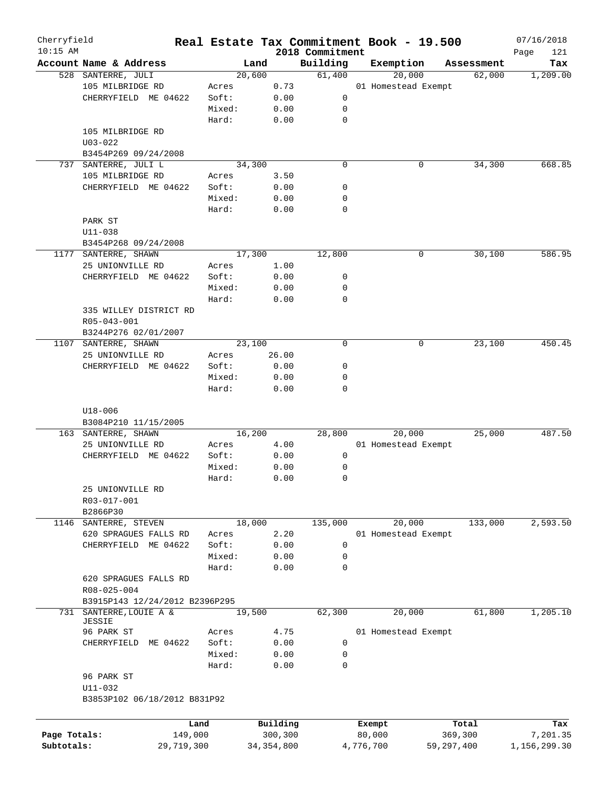| Cherryfield<br>$10:15$ AM |                                                                                |            |                 |              | 2018 Commitment | Real Estate Tax Commitment Book - 19.500 |            |            | 07/16/2018<br>Page<br>121 |
|---------------------------|--------------------------------------------------------------------------------|------------|-----------------|--------------|-----------------|------------------------------------------|------------|------------|---------------------------|
|                           | Account Name & Address                                                         |            | Land            |              | Building        | Exemption                                |            | Assessment | Tax                       |
|                           | 528 SANTERRE, JULI                                                             |            | 20,600          |              | 61,400          | 20,000                                   |            | 62,000     | 1,209.00                  |
|                           | 105 MILBRIDGE RD                                                               |            | Acres           | 0.73         |                 | 01 Homestead Exempt                      |            |            |                           |
|                           | CHERRYFIELD ME 04622                                                           |            | Soft:           | 0.00         | 0               |                                          |            |            |                           |
|                           |                                                                                |            | Mixed:          | 0.00         | 0               |                                          |            |            |                           |
|                           |                                                                                |            | Hard:           | 0.00         | $\mathbf 0$     |                                          |            |            |                           |
|                           |                                                                                |            |                 |              |                 |                                          |            |            |                           |
|                           | 105 MILBRIDGE RD                                                               |            |                 |              |                 |                                          |            |            |                           |
|                           | $U03 - 022$                                                                    |            |                 |              |                 |                                          |            |            |                           |
|                           | B3454P269 09/24/2008                                                           |            |                 |              |                 |                                          |            |            |                           |
|                           | 737 SANTERRE, JULI L                                                           |            | 34,300          |              | 0               | 0                                        |            | 34,300     | 668.85                    |
|                           | 105 MILBRIDGE RD                                                               |            | Acres           | 3.50         |                 |                                          |            |            |                           |
|                           | CHERRYFIELD ME 04622                                                           |            | Soft:           | 0.00         | 0               |                                          |            |            |                           |
|                           |                                                                                |            | Mixed:          | 0.00         | 0               |                                          |            |            |                           |
|                           |                                                                                |            | Hard:           | 0.00         | 0               |                                          |            |            |                           |
|                           | PARK ST                                                                        |            |                 |              |                 |                                          |            |            |                           |
|                           | $U11 - 038$                                                                    |            |                 |              |                 |                                          |            |            |                           |
|                           | B3454P268 09/24/2008                                                           |            |                 |              |                 |                                          |            |            |                           |
|                           | 1177 SANTERRE, SHAWN                                                           |            | 17,300          |              | 12,800          | 0                                        |            | 30,100     | 586.95                    |
|                           |                                                                                |            |                 |              |                 |                                          |            |            |                           |
|                           | 25 UNIONVILLE RD                                                               |            | Acres           | 1.00         |                 |                                          |            |            |                           |
|                           | CHERRYFIELD ME 04622                                                           |            | Soft:           | 0.00         | 0               |                                          |            |            |                           |
|                           |                                                                                |            | Mixed:          | 0.00         | 0               |                                          |            |            |                           |
|                           |                                                                                |            | Hard:           | 0.00         | 0               |                                          |            |            |                           |
|                           | 335 WILLEY DISTRICT RD                                                         |            |                 |              |                 |                                          |            |            |                           |
|                           | R05-043-001                                                                    |            |                 |              |                 |                                          |            |            |                           |
|                           | B3244P276 02/01/2007                                                           |            |                 |              |                 |                                          |            |            |                           |
| 1107                      | SANTERRE, SHAWN                                                                |            | 23,100          |              | $\mathbf 0$     | 0                                        |            | 23,100     | 450.45                    |
|                           | 25 UNIONVILLE RD                                                               |            | Acres           | 26.00        |                 |                                          |            |            |                           |
|                           | CHERRYFIELD ME 04622                                                           |            | Soft:           | 0.00         | 0               |                                          |            |            |                           |
|                           |                                                                                |            | Mixed:          | 0.00         | 0               |                                          |            |            |                           |
|                           |                                                                                |            | Hard:           | 0.00         | 0               |                                          |            |            |                           |
|                           | $U18 - 006$<br>B3084P210 11/15/2005<br>163 SANTERRE, SHAWN<br>25 UNIONVILLE RD |            | 16,200<br>Acres | 4.00         | 28,800          | 20,000<br>01 Homestead Exempt            |            | 25,000     | 487.50                    |
|                           | CHERRYFIELD ME 04622                                                           |            | Soft:           | 0.00         | 0               |                                          |            |            |                           |
|                           |                                                                                |            | Mixed:          | 0.00         | 0               |                                          |            |            |                           |
|                           |                                                                                |            | Hard:           | 0.00         | 0               |                                          |            |            |                           |
|                           | 25 UNIONVILLE RD<br>R03-017-001<br>B2866P30                                    |            |                 |              |                 |                                          |            |            |                           |
|                           | 1146 SANTERRE, STEVEN                                                          |            | 18,000          |              | 135,000         | 20,000                                   |            | 133,000    | 2,593.50                  |
|                           | 620 SPRAGUES FALLS RD                                                          |            | Acres           | 2.20         |                 | 01 Homestead Exempt                      |            |            |                           |
|                           | CHERRYFIELD ME 04622                                                           |            | Soft:           | 0.00         | 0               |                                          |            |            |                           |
|                           |                                                                                |            | Mixed:          |              |                 |                                          |            |            |                           |
|                           |                                                                                |            |                 | 0.00         | 0               |                                          |            |            |                           |
|                           | 620 SPRAGUES FALLS RD<br>R08-025-004                                           |            | Hard:           | 0.00         | 0               |                                          |            |            |                           |
|                           | B3915P143 12/24/2012 B2396P295                                                 |            |                 |              |                 |                                          |            |            |                           |
|                           | 731 SANTERRE, LOUIE A &                                                        |            | 19,500          |              | 62,300          | 20,000                                   |            | 61,800     | 1,205.10                  |
|                           | <b>JESSIE</b>                                                                  |            |                 |              |                 |                                          |            |            |                           |
|                           | 96 PARK ST                                                                     |            | Acres           | 4.75         |                 | 01 Homestead Exempt                      |            |            |                           |
|                           | CHERRYFIELD                                                                    | ME 04622   | Soft:           | 0.00         | 0               |                                          |            |            |                           |
|                           |                                                                                |            | Mixed:          | 0.00         | 0               |                                          |            |            |                           |
|                           |                                                                                |            | Hard:           | 0.00         | 0               |                                          |            |            |                           |
|                           | 96 PARK ST<br>U11-032<br>B3853P102 06/18/2012 B831P92                          |            |                 |              |                 |                                          |            |            |                           |
|                           |                                                                                |            |                 |              |                 |                                          |            |            |                           |
|                           |                                                                                | Land       |                 | Building     |                 | Exempt                                   |            | Total      | Tax                       |
| Page Totals:              |                                                                                | 149,000    |                 | 300,300      |                 | 80,000                                   | 369,300    |            | 7,201.35                  |
| Subtotals:                |                                                                                | 29,719,300 |                 | 34, 354, 800 |                 | 4,776,700                                | 59,297,400 |            | 1,156,299.30              |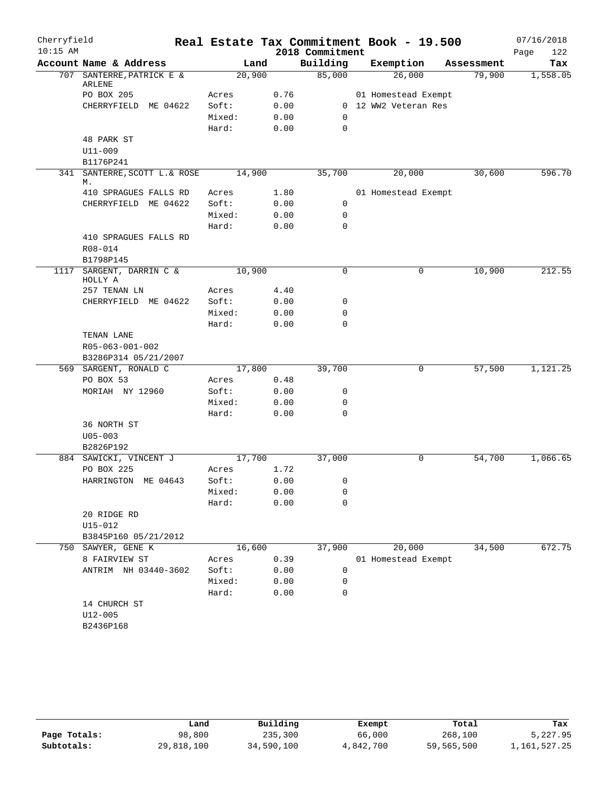| Cherryfield |                                     |                 |              |                 | Real Estate Tax Commitment Book - 19.500 |            | 07/16/2018  |
|-------------|-------------------------------------|-----------------|--------------|-----------------|------------------------------------------|------------|-------------|
| $10:15$ AM  |                                     |                 |              | 2018 Commitment |                                          |            | 122<br>Page |
|             | Account Name & Address              | Land            |              | Building        | Exemption                                | Assessment | Tax         |
|             | 707 SANTERRE, PATRICK E &<br>ARLENE | 20,900          |              | 85,000          | 26,000                                   | 79,900     | 1,558.05    |
|             | PO BOX 205                          | Acres           | 0.76         |                 | 01 Homestead Exempt                      |            |             |
|             | CHERRYFIELD ME 04622                | Soft:           | 0.00         |                 | 0 12 WW2 Veteran Res                     |            |             |
|             |                                     | Mixed:          | 0.00         | $\Omega$        |                                          |            |             |
|             |                                     | Hard:           | 0.00         | 0               |                                          |            |             |
|             | 48 PARK ST                          |                 |              |                 |                                          |            |             |
|             | U11-009                             |                 |              |                 |                                          |            |             |
|             | B1176P241                           |                 |              |                 |                                          |            |             |
| 341         | SANTERRE, SCOTT L. & ROSE           | 14,900          |              | 35,700          | 20,000                                   | 30,600     | 596.70      |
|             | М.                                  |                 |              |                 |                                          |            |             |
|             | 410 SPRAGUES FALLS RD               | Acres           | 1.80         |                 | 01 Homestead Exempt                      |            |             |
|             | CHERRYFIELD ME 04622                | Soft:           | 0.00         | 0               |                                          |            |             |
|             |                                     | Mixed:          | 0.00         | 0               |                                          |            |             |
|             |                                     | Hard:           | 0.00         | $\mathbf 0$     |                                          |            |             |
|             | 410 SPRAGUES FALLS RD               |                 |              |                 |                                          |            |             |
|             | R08-014                             |                 |              |                 |                                          |            |             |
|             | B1798P145                           |                 |              |                 |                                          |            |             |
| 1117        | SARGENT, DARRIN C &<br>HOLLY A      | 10,900          |              | $\mathbf 0$     | 0                                        | 10,900     | 212.55      |
|             | 257 TENAN LN                        | Acres           | 4.40         |                 |                                          |            |             |
|             | CHERRYFIELD ME 04622                | Soft:           | 0.00         | 0               |                                          |            |             |
|             |                                     | Mixed:          | 0.00         | 0               |                                          |            |             |
|             |                                     | Hard:           | 0.00         | 0               |                                          |            |             |
|             | TENAN LANE                          |                 |              |                 |                                          |            |             |
|             | R05-063-001-002                     |                 |              |                 |                                          |            |             |
|             | B3286P314 05/21/2007                |                 |              |                 |                                          |            |             |
|             | 569 SARGENT, RONALD C               | 17,800          |              | 39,700          | 0                                        | 57,500     | 1,121.25    |
|             | PO BOX 53                           | Acres           | 0.48         |                 |                                          |            |             |
|             | MORIAH NY 12960                     | Soft:           | 0.00         | 0               |                                          |            |             |
|             |                                     | Mixed:          | 0.00         | 0               |                                          |            |             |
|             |                                     | Hard:           | 0.00         | 0               |                                          |            |             |
|             | 36 NORTH ST                         |                 |              |                 |                                          |            |             |
|             | $U05 - 003$                         |                 |              |                 |                                          |            |             |
|             | B2826P192                           |                 |              |                 |                                          |            |             |
|             | 884 SAWICKI, VINCENT J              | 17,700          |              | 37,000          | 0                                        | 54,700     | 1,066.65    |
|             | PO BOX 225                          | Acres           | 1.72         |                 |                                          |            |             |
|             | HARRINGTON ME 04643                 | Soft:           | 0.00         | 0               |                                          |            |             |
|             |                                     | Mixed:          | 0.00         | 0               |                                          |            |             |
|             |                                     | Hard:           | 0.00         | 0               |                                          |            |             |
|             | 20 RIDGE RD                         |                 |              |                 |                                          |            |             |
|             | $U15 - 012$                         |                 |              |                 |                                          |            |             |
|             | B3845P160 05/21/2012                |                 |              |                 |                                          |            |             |
| 750         | SAWYER, GENE K                      | 16,600          |              | 37,900          | 20,000                                   | 34,500     | 672.75      |
|             | 8 FAIRVIEW ST                       | Acres           | 0.39         |                 | 01 Homestead Exempt                      |            |             |
|             | ANTRIM NH 03440-3602                | Soft:           | 0.00         | 0               |                                          |            |             |
|             |                                     | Mixed:<br>Hard: | 0.00<br>0.00 | 0<br>0          |                                          |            |             |
|             | 14 CHURCH ST                        |                 |              |                 |                                          |            |             |
|             | $U12 - 005$                         |                 |              |                 |                                          |            |             |
|             | B2436P168                           |                 |              |                 |                                          |            |             |
|             |                                     |                 |              |                 |                                          |            |             |

|              | Land       | Building   | Exempt    | Total      | Tax          |
|--------------|------------|------------|-----------|------------|--------------|
| Page Totals: | 98,800     | 235,300    | 66,000    | 268,100    | 5,227.95     |
| Subtotals:   | 29,818,100 | 34,590,100 | 4,842,700 | 59,565,500 | 1,161,527.25 |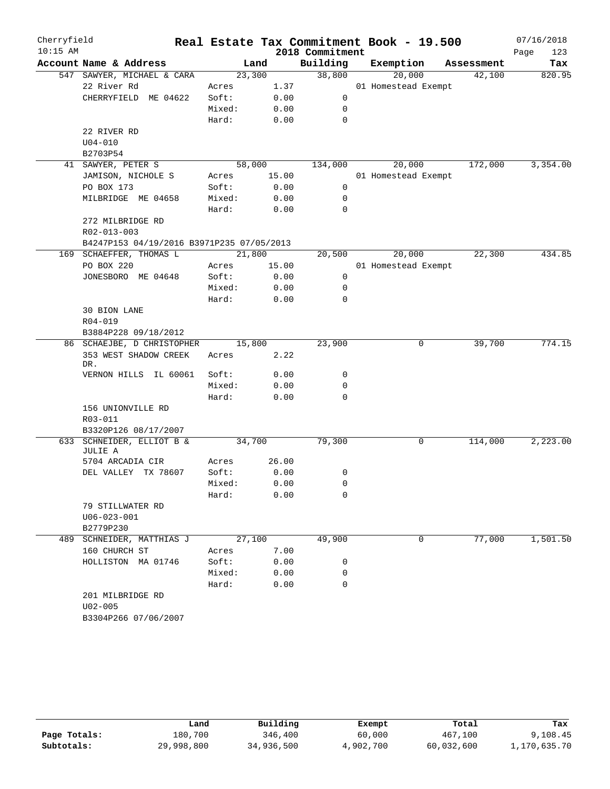| Cherryfield |                                           |        |        |                 | Real Estate Tax Commitment Book - 19.500 |            | 07/16/2018  |
|-------------|-------------------------------------------|--------|--------|-----------------|------------------------------------------|------------|-------------|
| $10:15$ AM  |                                           |        |        | 2018 Commitment |                                          |            | Page<br>123 |
|             | Account Name & Address                    |        | Land   | Building        | Exemption                                | Assessment | Tax         |
|             | 547 SAWYER, MICHAEL & CARA                |        | 23,300 | 38,800          | 20,000                                   | 42,100     | 820.95      |
|             | 22 River Rd                               | Acres  | 1.37   |                 | 01 Homestead Exempt                      |            |             |
|             | CHERRYFIELD ME 04622                      | Soft:  | 0.00   | 0               |                                          |            |             |
|             |                                           | Mixed: | 0.00   | 0               |                                          |            |             |
|             |                                           | Hard:  | 0.00   | 0               |                                          |            |             |
|             | 22 RIVER RD                               |        |        |                 |                                          |            |             |
|             | $U04 - 010$                               |        |        |                 |                                          |            |             |
|             | B2703P54                                  |        |        |                 |                                          |            |             |
| 41          | SAWYER, PETER S                           |        | 58,000 | 134,000         | 20,000                                   | 172,000    | 3,354.00    |
|             | JAMISON, NICHOLE S                        | Acres  | 15.00  |                 | 01 Homestead Exempt                      |            |             |
|             | PO BOX 173                                | Soft:  | 0.00   | 0               |                                          |            |             |
|             | MILBRIDGE ME 04658                        | Mixed: | 0.00   | 0               |                                          |            |             |
|             |                                           | Hard:  | 0.00   | 0               |                                          |            |             |
|             | 272 MILBRIDGE RD                          |        |        |                 |                                          |            |             |
|             | R02-013-003                               |        |        |                 |                                          |            |             |
|             | B4247P153 04/19/2016 B3971P235 07/05/2013 |        |        |                 |                                          |            |             |
|             | 169 SCHAEFFER, THOMAS L                   | 21,800 |        | 20,500          | 20,000                                   | 22,300     | 434.85      |
|             | PO BOX 220                                | Acres  | 15.00  |                 | 01 Homestead Exempt                      |            |             |
|             | JONESBORO ME 04648                        | Soft:  | 0.00   | 0               |                                          |            |             |
|             |                                           | Mixed: | 0.00   | 0               |                                          |            |             |
|             |                                           | Hard:  | 0.00   | 0               |                                          |            |             |
|             | 30 BION LANE                              |        |        |                 |                                          |            |             |
|             | R04-019                                   |        |        |                 |                                          |            |             |
|             | B3884P228 09/18/2012                      |        |        |                 |                                          |            |             |
|             | 86 SCHAEJBE, D CHRISTOPHER                |        | 15,800 | 23,900          | 0                                        | 39,700     | 774.15      |
|             | 353 WEST SHADOW CREEK<br>DR.              | Acres  | 2.22   |                 |                                          |            |             |
|             | VERNON HILLS IL 60061                     | Soft:  | 0.00   | 0               |                                          |            |             |
|             |                                           | Mixed: | 0.00   | 0               |                                          |            |             |
|             |                                           | Hard:  | 0.00   | 0               |                                          |            |             |
|             | 156 UNIONVILLE RD                         |        |        |                 |                                          |            |             |
|             | R03-011                                   |        |        |                 |                                          |            |             |
|             | B3320P126 08/17/2007                      |        |        |                 |                                          |            |             |
| 633         | SCHNEIDER, ELLIOT B &<br>JULIE A          |        | 34,700 | 79,300          | 0                                        | 114,000    | 2,223.00    |
|             | 5704 ARCADIA CIR                          | Acres  | 26.00  |                 |                                          |            |             |
|             | DEL VALLEY TX 78607                       | Soft:  | 0.00   | 0               |                                          |            |             |
|             |                                           | Mixed: | 0.00   | 0               |                                          |            |             |
|             |                                           | Hard:  | 0.00   | 0               |                                          |            |             |
|             | 79 STILLWATER RD                          |        |        |                 |                                          |            |             |
|             | $U06 - 023 - 001$                         |        |        |                 |                                          |            |             |
|             | B2779P230                                 |        |        |                 |                                          |            |             |
|             | 489 SCHNEIDER, MATTHIAS J                 |        | 27,100 | 49,900          | 0                                        | 77,000     | 1,501.50    |
|             | 160 CHURCH ST                             | Acres  | 7.00   |                 |                                          |            |             |
|             | HOLLISTON MA 01746                        | Soft:  | 0.00   | 0               |                                          |            |             |
|             |                                           | Mixed: | 0.00   | 0               |                                          |            |             |
|             |                                           | Hard:  | 0.00   | 0               |                                          |            |             |
|             | 201 MILBRIDGE RD                          |        |        |                 |                                          |            |             |
|             | $U02 - 005$                               |        |        |                 |                                          |            |             |
|             | B3304P266 07/06/2007                      |        |        |                 |                                          |            |             |
|             |                                           |        |        |                 |                                          |            |             |

|              | Land       | Building   | Exempt    | Total      | Tax          |
|--------------|------------|------------|-----------|------------|--------------|
| Page Totals: | 180,700    | 346,400    | 60,000    | 467,100    | 9,108.45     |
| Subtotals:   | 29,998,800 | 34,936,500 | 4,902,700 | 60,032,600 | 1,170,635.70 |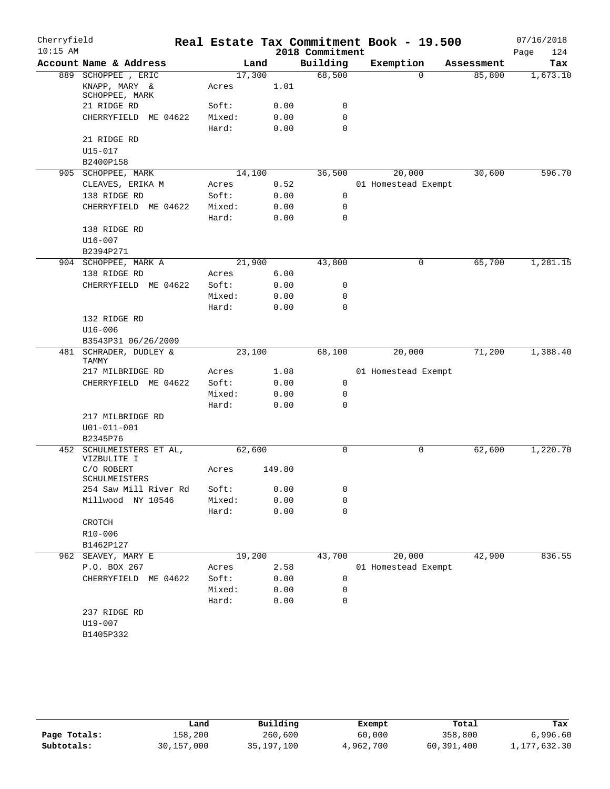| Cherryfield |                                  |        |        |                 | Real Estate Tax Commitment Book - 19.500 |            | 07/16/2018  |
|-------------|----------------------------------|--------|--------|-----------------|------------------------------------------|------------|-------------|
| $10:15$ AM  |                                  |        |        | 2018 Commitment |                                          |            | 124<br>Page |
|             | Account Name & Address           |        | Land   | Building        | Exemption                                | Assessment | Tax         |
|             | 889 SCHOPPEE, ERIC               | 17,300 |        | 68,500          | $\Omega$                                 | 85,800     | 1,673.10    |
|             | KNAPP, MARY &<br>SCHOPPEE, MARK  | Acres  | 1.01   |                 |                                          |            |             |
|             | 21 RIDGE RD                      | Soft:  | 0.00   | 0               |                                          |            |             |
|             | CHERRYFIELD ME 04622             | Mixed: | 0.00   | $\mathbf 0$     |                                          |            |             |
|             |                                  | Hard:  | 0.00   | $\mathbf 0$     |                                          |            |             |
|             | 21 RIDGE RD                      |        |        |                 |                                          |            |             |
|             | $U15 - 017$                      |        |        |                 |                                          |            |             |
|             | B2400P158                        |        |        |                 |                                          |            |             |
|             | 905 SCHOPPEE, MARK               | 14,100 |        | 36,500          | 20,000                                   | 30,600     | 596.70      |
|             | CLEAVES, ERIKA M                 | Acres  | 0.52   |                 | 01 Homestead Exempt                      |            |             |
|             | 138 RIDGE RD                     | Soft:  | 0.00   | 0               |                                          |            |             |
|             | CHERRYFIELD ME 04622             | Mixed: | 0.00   | $\mathbf 0$     |                                          |            |             |
|             |                                  | Hard:  | 0.00   | $\mathbf 0$     |                                          |            |             |
|             | 138 RIDGE RD                     |        |        |                 |                                          |            |             |
|             | $U16 - 007$                      |        |        |                 |                                          |            |             |
|             | B2394P271                        |        |        |                 |                                          |            |             |
|             | 904 SCHOPPEE, MARK A             | 21,900 |        | 43,800          | 0                                        | 65,700     | 1,281.15    |
|             | 138 RIDGE RD                     | Acres  | 6.00   |                 |                                          |            |             |
|             | CHERRYFIELD ME 04622             | Soft:  | 0.00   | 0               |                                          |            |             |
|             |                                  | Mixed: | 0.00   | $\mathbf 0$     |                                          |            |             |
|             |                                  | Hard:  | 0.00   | $\mathbf 0$     |                                          |            |             |
|             | 132 RIDGE RD                     |        |        |                 |                                          |            |             |
|             | $U16 - 006$                      |        |        |                 |                                          |            |             |
|             | B3543P31 06/26/2009              |        |        |                 |                                          |            |             |
|             | 481 SCHRADER, DUDLEY &           | 23,100 |        | 68,100          | 20,000                                   | 71,200     | 1,388.40    |
|             | TAMMY                            |        |        |                 |                                          |            |             |
|             | 217 MILBRIDGE RD                 | Acres  | 1.08   |                 | 01 Homestead Exempt                      |            |             |
|             | CHERRYFIELD ME 04622             | Soft:  | 0.00   | 0               |                                          |            |             |
|             |                                  | Mixed: | 0.00   | 0               |                                          |            |             |
|             |                                  | Hard:  | 0.00   | $\mathbf 0$     |                                          |            |             |
|             | 217 MILBRIDGE RD                 |        |        |                 |                                          |            |             |
|             | $U01 - 011 - 001$                |        |        |                 |                                          |            |             |
| 452         | B2345P76<br>SCHULMEISTERS ET AL, | 62,600 |        | $\mathbf 0$     | 0                                        | 62,600     | 1,220.70    |
|             | VIZBULITE I                      |        |        |                 |                                          |            |             |
|             | C/O ROBERT<br>SCHULMEISTERS      | Acres  | 149.80 |                 |                                          |            |             |
|             | 254 Saw Mill River Rd            | Soft:  | 0.00   | 0               |                                          |            |             |
|             | Millwood NY 10546                | Mixed: | 0.00   | 0               |                                          |            |             |
|             |                                  | Hard:  | 0.00   | $\mathbf 0$     |                                          |            |             |
|             | CROTCH                           |        |        |                 |                                          |            |             |
|             | R10-006                          |        |        |                 |                                          |            |             |
|             | B1462P127                        |        |        |                 |                                          |            |             |
|             | 962 SEAVEY, MARY E               | 19,200 |        | 43,700          | 20,000                                   | 42,900     | 836.55      |
|             | P.O. BOX 267                     | Acres  | 2.58   |                 | 01 Homestead Exempt                      |            |             |
|             | CHERRYFIELD ME 04622             | Soft:  | 0.00   | 0               |                                          |            |             |
|             |                                  | Mixed: | 0.00   | 0               |                                          |            |             |
|             |                                  | Hard:  | 0.00   | 0               |                                          |            |             |
|             | 237 RIDGE RD                     |        |        |                 |                                          |            |             |
|             | U19-007                          |        |        |                 |                                          |            |             |
|             | B1405P332                        |        |        |                 |                                          |            |             |
|             |                                  |        |        |                 |                                          |            |             |

|              | úand       | Building   | Exempt    | Total      | Tax          |
|--------------|------------|------------|-----------|------------|--------------|
| Page Totals: | 158,200    | 260,600    | 60,000    | 358,800    | 6,996.60     |
| Subtotals:   | 30,157,000 | 35,197,100 | 4,962,700 | 60,391,400 | 1,177,632.30 |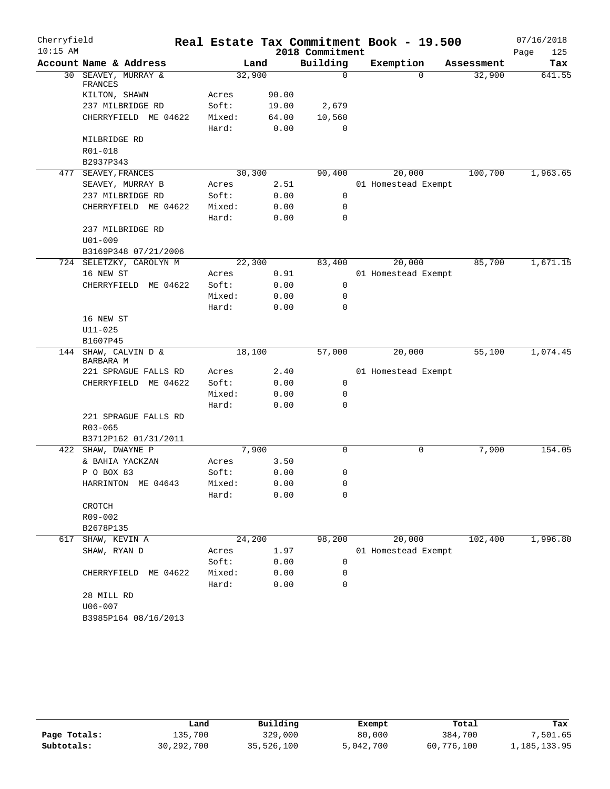| Cherryfield<br>$10:15$ AM |                                   |        |       | 2018 Commitment | Real Estate Tax Commitment Book - 19.500 |            | 07/16/2018<br>Page<br>125 |
|---------------------------|-----------------------------------|--------|-------|-----------------|------------------------------------------|------------|---------------------------|
|                           | Account Name & Address            |        | Land  | Building        | Exemption                                | Assessment | Tax                       |
| 30                        | SEAVEY, MURRAY &<br>FRANCES       | 32,900 |       | $\Omega$        | $\Omega$                                 | 32,900     | 641.55                    |
|                           | KILTON, SHAWN                     | Acres  | 90.00 |                 |                                          |            |                           |
|                           | 237 MILBRIDGE RD                  | Soft:  | 19.00 | 2,679           |                                          |            |                           |
|                           | CHERRYFIELD ME 04622              | Mixed: | 64.00 | 10,560          |                                          |            |                           |
|                           |                                   | Hard:  | 0.00  | $\Omega$        |                                          |            |                           |
|                           | MILBRIDGE RD                      |        |       |                 |                                          |            |                           |
|                           | R01-018                           |        |       |                 |                                          |            |                           |
|                           | B2937P343                         |        |       |                 |                                          |            |                           |
|                           | 477 SEAVEY, FRANCES               | 30,300 |       | 90,400          | 20,000                                   | 100,700    | 1,963.65                  |
|                           | SEAVEY, MURRAY B                  | Acres  | 2.51  |                 | 01 Homestead Exempt                      |            |                           |
|                           | 237 MILBRIDGE RD                  | Soft:  | 0.00  | 0               |                                          |            |                           |
|                           | CHERRYFIELD ME 04622              | Mixed: | 0.00  | 0               |                                          |            |                           |
|                           |                                   | Hard:  | 0.00  | 0               |                                          |            |                           |
|                           | 237 MILBRIDGE RD                  |        |       |                 |                                          |            |                           |
|                           | $U01 - 009$                       |        |       |                 |                                          |            |                           |
|                           | B3169P348 07/21/2006              |        |       |                 |                                          |            |                           |
|                           | 724 SELETZKY, CAROLYN M           | 22,300 |       | 83,400          | 20,000                                   | 85,700     | 1,671.15                  |
|                           | 16 NEW ST                         | Acres  | 0.91  |                 | 01 Homestead Exempt                      |            |                           |
|                           | CHERRYFIELD ME 04622              | Soft:  | 0.00  | 0               |                                          |            |                           |
|                           |                                   | Mixed: | 0.00  | 0               |                                          |            |                           |
|                           |                                   | Hard:  | 0.00  | $\Omega$        |                                          |            |                           |
|                           | 16 NEW ST<br>$U11 - 025$          |        |       |                 |                                          |            |                           |
|                           | B1607P45                          |        |       |                 |                                          |            |                           |
|                           | 144 SHAW, CALVIN D &              | 18,100 |       | 57,000          | 20,000                                   | 55,100     | 1,074.45                  |
|                           | BARBARA M                         |        |       |                 |                                          |            |                           |
|                           | 221 SPRAGUE FALLS RD              | Acres  | 2.40  |                 | 01 Homestead Exempt                      |            |                           |
|                           | CHERRYFIELD ME 04622              | Soft:  | 0.00  | 0               |                                          |            |                           |
|                           |                                   | Mixed: | 0.00  | 0               |                                          |            |                           |
|                           |                                   | Hard:  | 0.00  | 0               |                                          |            |                           |
|                           | 221 SPRAGUE FALLS RD              |        |       |                 |                                          |            |                           |
|                           | R03-065                           |        |       |                 |                                          |            |                           |
|                           | B3712P162 01/31/2011              |        |       |                 |                                          |            |                           |
|                           | 422 SHAW, DWAYNE P                | 7,900  |       | $\mathbf 0$     | 0                                        | 7,900      | 154.05                    |
|                           | & BAHIA YACKZAN                   | Acres  | 3.50  |                 |                                          |            |                           |
|                           | P O BOX 83                        | Soft:  | 0.00  | 0               |                                          |            |                           |
|                           | HARRINTON ME 04643                | Mixed: | 0.00  | $\Omega$        |                                          |            |                           |
|                           |                                   | Hard:  | 0.00  | 0               |                                          |            |                           |
|                           | CROTCH                            |        |       |                 |                                          |            |                           |
|                           | R09-002                           |        |       |                 |                                          |            |                           |
|                           | B2678P135                         | 24,200 |       | 98,200          | 20,000                                   |            |                           |
|                           | 617 SHAW, KEVIN A<br>SHAW, RYAN D | Acres  | 1.97  |                 | 01 Homestead Exempt                      | 102,400    | 1,996.80                  |
|                           |                                   | Soft:  | 0.00  | 0               |                                          |            |                           |
|                           | CHERRYFIELD ME 04622              | Mixed: | 0.00  | 0               |                                          |            |                           |
|                           |                                   | Hard:  | 0.00  | 0               |                                          |            |                           |
|                           | 28 MILL RD                        |        |       |                 |                                          |            |                           |
|                           | $U06 - 007$                       |        |       |                 |                                          |            |                           |
|                           | B3985P164 08/16/2013              |        |       |                 |                                          |            |                           |
|                           |                                   |        |       |                 |                                          |            |                           |

|              | Land         | Building   | Exempt    | Total      | Tax          |
|--------------|--------------|------------|-----------|------------|--------------|
| Page Totals: | 135,700      | 329,000    | 80,000    | 384,700    | 7,501.65     |
| Subtotals:   | 30, 292, 700 | 35,526,100 | 5,042,700 | 60,776,100 | 1,185,133.95 |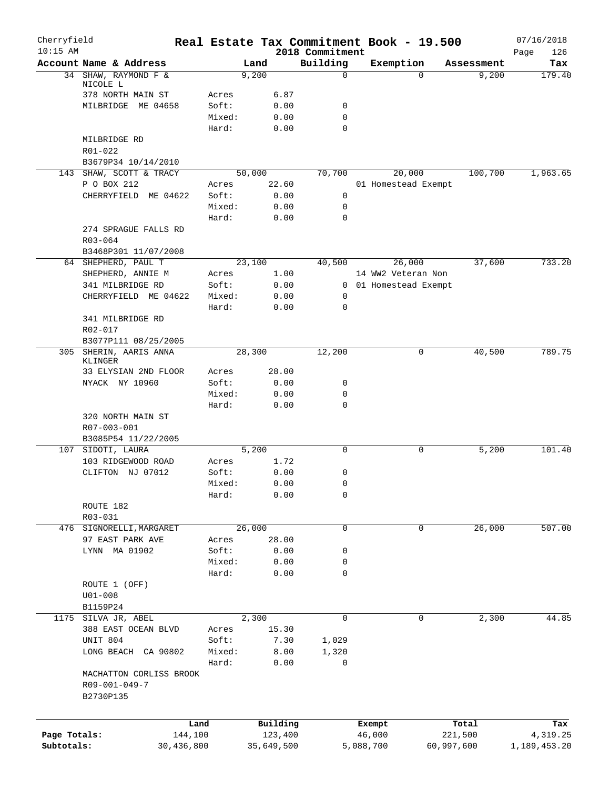| Cherryfield<br>$10:15$ AM |                                                       |                 |                |                             | Real Estate Tax Commitment Book - 19.500 |            | 07/16/2018         |
|---------------------------|-------------------------------------------------------|-----------------|----------------|-----------------------------|------------------------------------------|------------|--------------------|
|                           | Account Name & Address                                |                 | Land           | 2018 Commitment<br>Building | Exemption                                | Assessment | Page<br>126<br>Tax |
|                           | 34 SHAW, RAYMOND F &                                  |                 | 9,200          | 0                           | $\Omega$                                 | 9,200      | 179.40             |
|                           | NICOLE L                                              |                 |                |                             |                                          |            |                    |
|                           | 378 NORTH MAIN ST                                     | Acres           | 6.87           |                             |                                          |            |                    |
|                           | MILBRIDGE<br>ME 04658                                 | Soft:<br>Mixed: | 0.00<br>0.00   | 0<br>0                      |                                          |            |                    |
|                           |                                                       | Hard:           | 0.00           | $\mathbf 0$                 |                                          |            |                    |
|                           | MILBRIDGE RD                                          |                 |                |                             |                                          |            |                    |
|                           | R01-022                                               |                 |                |                             |                                          |            |                    |
|                           | B3679P34 10/14/2010                                   |                 |                |                             |                                          |            |                    |
|                           | 143 SHAW, SCOTT & TRACY                               |                 | 50,000         | 70,700                      | 20,000                                   | 100,700    | 1,963.65           |
|                           | P O BOX 212                                           | Acres           | 22.60          |                             | 01 Homestead Exempt                      |            |                    |
|                           | CHERRYFIELD ME 04622                                  | Soft:           | 0.00           | $\mathsf{O}$                |                                          |            |                    |
|                           |                                                       | Mixed:          | 0.00           | 0                           |                                          |            |                    |
|                           |                                                       | Hard:           | 0.00           | $\mathbf 0$                 |                                          |            |                    |
|                           | 274 SPRAGUE FALLS RD                                  |                 |                |                             |                                          |            |                    |
|                           | R03-064                                               |                 |                |                             |                                          |            |                    |
|                           | B3468P301 11/07/2008                                  |                 |                |                             |                                          | 37,600     |                    |
|                           | 64 SHEPHERD, PAUL T<br>SHEPHERD, ANNIE M              | Acres           | 23,100<br>1.00 | 40,500                      | 26,000<br>14 WW2 Veteran Non             |            | 733.20             |
|                           | 341 MILBRIDGE RD                                      | Soft:           | 0.00           |                             | 0 01 Homestead Exempt                    |            |                    |
|                           | CHERRYFIELD ME 04622                                  | Mixed:          | 0.00           | 0                           |                                          |            |                    |
|                           |                                                       | Hard:           | 0.00           | 0                           |                                          |            |                    |
|                           | 341 MILBRIDGE RD                                      |                 |                |                             |                                          |            |                    |
|                           | R02-017                                               |                 |                |                             |                                          |            |                    |
|                           | B3077P111 08/25/2005                                  |                 |                |                             |                                          |            |                    |
|                           | 305 SHERIN, AARIS ANNA<br>KLINGER                     |                 | 28,300         | 12,200                      | 0                                        | 40,500     | 789.75             |
|                           | 33 ELYSIAN 2ND FLOOR                                  | Acres           | 28.00          |                             |                                          |            |                    |
|                           | NYACK NY 10960                                        | Soft:           | 0.00           | 0                           |                                          |            |                    |
|                           |                                                       | Mixed:          | 0.00           | 0                           |                                          |            |                    |
|                           |                                                       | Hard:           | 0.00           | 0                           |                                          |            |                    |
|                           | 320 NORTH MAIN ST                                     |                 |                |                             |                                          |            |                    |
|                           | R07-003-001                                           |                 |                |                             |                                          |            |                    |
|                           | B3085P54 11/22/2005<br>107 SIDOTI, LAURA              |                 | 5,200          | $\mathbf 0$                 | 0                                        | 5,200      | 101.40             |
|                           | 103 RIDGEWOOD ROAD                                    | Acres           | 1.72           |                             |                                          |            |                    |
|                           | CLIFTON NJ 07012                                      | Soft:           | 0.00           | 0                           |                                          |            |                    |
|                           |                                                       | Mixed:          | 0.00           | 0                           |                                          |            |                    |
|                           |                                                       | Hard:           | 0.00           | 0                           |                                          |            |                    |
|                           | ROUTE 182                                             |                 |                |                             |                                          |            |                    |
|                           | R03-031                                               |                 |                |                             |                                          |            |                    |
|                           | 476 SIGNORELLI, MARGARET                              |                 | 26,000         | 0                           | 0                                        | 26,000     | 507.00             |
|                           | 97 EAST PARK AVE                                      | Acres           | 28.00          |                             |                                          |            |                    |
|                           | LYNN MA 01902                                         | Soft:           | 0.00           | 0                           |                                          |            |                    |
|                           |                                                       | Mixed:          | 0.00           | 0                           |                                          |            |                    |
|                           |                                                       | Hard:           | 0.00           | 0                           |                                          |            |                    |
|                           | ROUTE 1 (OFF)                                         |                 |                |                             |                                          |            |                    |
|                           | $U01 - 008$                                           |                 |                |                             |                                          |            |                    |
|                           | B1159P24<br>1175 SILVA JR, ABEL                       |                 | 2,300          | 0                           | 0                                        | 2,300      | 44.85              |
|                           | 388 EAST OCEAN BLVD                                   | Acres           | 15.30          |                             |                                          |            |                    |
|                           | UNIT 804                                              | Soft:           | 7.30           | 1,029                       |                                          |            |                    |
|                           | LONG BEACH CA 90802                                   | Mixed:          | 8.00           | 1,320                       |                                          |            |                    |
|                           |                                                       | Hard:           | 0.00           | 0                           |                                          |            |                    |
|                           | MACHATTON CORLISS BROOK<br>R09-001-049-7<br>B2730P135 |                 |                |                             |                                          |            |                    |
|                           |                                                       |                 |                |                             |                                          |            |                    |
|                           |                                                       | Land            | Building       |                             | Exempt                                   | Total      | Tax                |
| Page Totals:              |                                                       | 144,100         | 123,400        |                             | 46,000                                   | 221,500    | 4,319.25           |
| Subtotals:                | 30,436,800                                            |                 | 35,649,500     |                             | 5,088,700                                | 60,997,600 | 1,189,453.20       |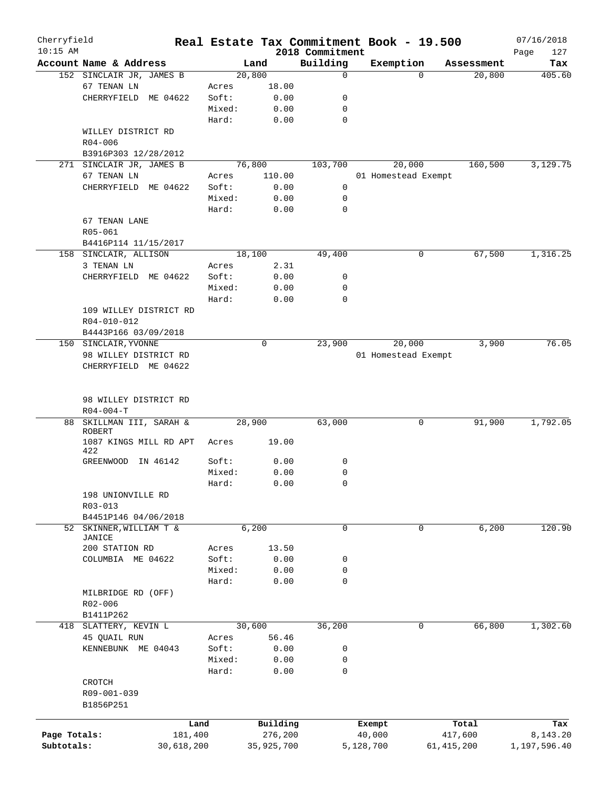| Cherryfield  |                                   |            |        |            |                             | Real Estate Tax Commitment Book - 19.500 |              | 07/16/2018         |
|--------------|-----------------------------------|------------|--------|------------|-----------------------------|------------------------------------------|--------------|--------------------|
| $10:15$ AM   | Account Name & Address            |            |        | Land       | 2018 Commitment<br>Building | Exemption                                | Assessment   | 127<br>Page<br>Tax |
|              | 152 SINCLAIR JR, JAMES B          |            |        | 20,800     | 0                           | $\Omega$                                 | 20,800       | 405.60             |
|              | 67 TENAN LN                       |            | Acres  | 18.00      |                             |                                          |              |                    |
|              | CHERRYFIELD<br>ME 04622           |            | Soft:  | 0.00       | 0                           |                                          |              |                    |
|              |                                   |            | Mixed: | 0.00       | 0                           |                                          |              |                    |
|              |                                   |            | Hard:  | 0.00       | 0                           |                                          |              |                    |
|              | WILLEY DISTRICT RD                |            |        |            |                             |                                          |              |                    |
|              | $R04 - 006$                       |            |        |            |                             |                                          |              |                    |
|              | B3916P303 12/28/2012              |            |        |            |                             |                                          |              |                    |
|              | 271 SINCLAIR JR, JAMES B          |            |        | 76,800     | 103,700                     | 20,000                                   | 160,500      | 3,129.75           |
|              | 67 TENAN LN                       |            | Acres  | 110.00     |                             | 01 Homestead Exempt                      |              |                    |
|              | CHERRYFIELD<br>ME 04622           |            | Soft:  | 0.00       | 0                           |                                          |              |                    |
|              |                                   |            | Mixed: | 0.00       | 0                           |                                          |              |                    |
|              |                                   |            | Hard:  |            | 0                           |                                          |              |                    |
|              |                                   |            |        | 0.00       |                             |                                          |              |                    |
|              | 67 TENAN LANE                     |            |        |            |                             |                                          |              |                    |
|              | R05-061                           |            |        |            |                             |                                          |              |                    |
|              | B4416P114 11/15/2017              |            |        |            |                             |                                          |              |                    |
|              | 158 SINCLAIR, ALLISON             |            |        | 18,100     | 49,400                      | 0                                        | 67,500       | 1,316.25           |
|              | 3 TENAN LN                        |            | Acres  | 2.31       |                             |                                          |              |                    |
|              | CHERRYFIELD ME 04622              |            | Soft:  | 0.00       | 0                           |                                          |              |                    |
|              |                                   |            | Mixed: | 0.00       | 0                           |                                          |              |                    |
|              |                                   |            | Hard:  | 0.00       | 0                           |                                          |              |                    |
|              | 109 WILLEY DISTRICT RD            |            |        |            |                             |                                          |              |                    |
|              | R04-010-012                       |            |        |            |                             |                                          |              |                    |
|              | B4443P166 03/09/2018              |            |        |            |                             |                                          |              |                    |
|              | 150 SINCLAIR, YVONNE              |            |        | 0          | 23,900                      | 20,000                                   | 3,900        | 76.05              |
|              | 98 WILLEY DISTRICT RD             |            |        |            |                             | 01 Homestead Exempt                      |              |                    |
|              | CHERRYFIELD ME 04622              |            |        |            |                             |                                          |              |                    |
|              |                                   |            |        |            |                             |                                          |              |                    |
|              | 98 WILLEY DISTRICT RD             |            |        |            |                             |                                          |              |                    |
|              | $R04 - 004 - T$                   |            |        |            |                             |                                          |              |                    |
| 88           | SKILLMAN III, SARAH &             |            | 28,900 |            | 63,000                      | 0                                        | 91,900       | 1,792.05           |
|              | <b>ROBERT</b>                     |            |        |            |                             |                                          |              |                    |
|              | 1087 KINGS MILL RD APT<br>422     |            | Acres  | 19.00      |                             |                                          |              |                    |
|              | GREENWOOD<br>IN 46142             |            | Soft:  | 0.00       | 0                           |                                          |              |                    |
|              |                                   |            | Mixed: |            | 0                           |                                          |              |                    |
|              |                                   |            |        | 0.00       | $\Omega$                    |                                          |              |                    |
|              |                                   |            | Hard:  | 0.00       |                             |                                          |              |                    |
|              | 198 UNIONVILLE RD                 |            |        |            |                             |                                          |              |                    |
|              | $R03 - 013$                       |            |        |            |                             |                                          |              |                    |
|              | B4451P146 04/06/2018              |            |        |            |                             |                                          |              |                    |
|              | 52 SKINNER, WILLIAM T &<br>JANICE |            |        | 6,200      | $\mathbf 0$                 | 0                                        | 6,200        | 120.90             |
|              | 200 STATION RD                    |            | Acres  | 13.50      |                             |                                          |              |                    |
|              |                                   |            |        |            |                             |                                          |              |                    |
|              | COLUMBIA ME 04622                 |            | Soft:  | 0.00       | 0                           |                                          |              |                    |
|              |                                   |            | Mixed: | 0.00       | 0                           |                                          |              |                    |
|              |                                   |            | Hard:  | 0.00       | 0                           |                                          |              |                    |
|              | MILBRIDGE RD (OFF)                |            |        |            |                             |                                          |              |                    |
|              | R02-006                           |            |        |            |                             |                                          |              |                    |
|              | B1411P262                         |            |        |            |                             |                                          |              |                    |
| 418          | SLATTERY, KEVIN L                 |            |        | 30,600     | 36,200                      | 0                                        | 66,800       | 1,302.60           |
|              | 45 QUAIL RUN                      |            | Acres  | 56.46      |                             |                                          |              |                    |
|              | KENNEBUNK ME 04043                |            | Soft:  | 0.00       | 0                           |                                          |              |                    |
|              |                                   |            | Mixed: | 0.00       | 0                           |                                          |              |                    |
|              |                                   |            | Hard:  | 0.00       | 0                           |                                          |              |                    |
|              | CROTCH                            |            |        |            |                             |                                          |              |                    |
|              | R09-001-039                       |            |        |            |                             |                                          |              |                    |
|              | B1856P251                         |            |        |            |                             |                                          |              |                    |
|              |                                   | Land       |        | Building   |                             | Exempt                                   | Total        | Tax                |
| Page Totals: |                                   | 181,400    |        | 276,200    |                             | 40,000                                   | 417,600      | 8,143.20           |
| Subtotals:   |                                   | 30,618,200 |        | 35,925,700 |                             | 5,128,700                                | 61, 415, 200 | 1,197,596.40       |
|              |                                   |            |        |            |                             |                                          |              |                    |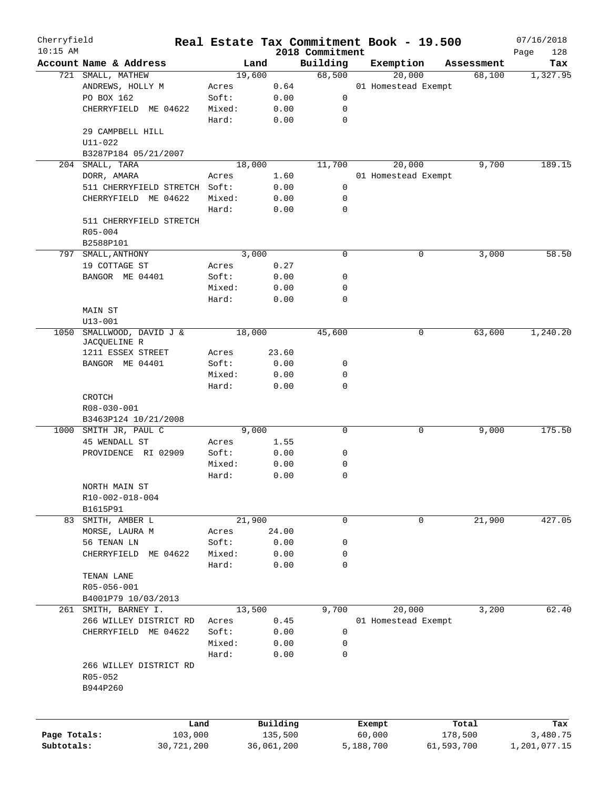| Cherryfield<br>$10:15$ AM |                               |        |            | 2018 Commitment | Real Estate Tax Commitment Book - 19.500 |            | 07/16/2018         |
|---------------------------|-------------------------------|--------|------------|-----------------|------------------------------------------|------------|--------------------|
|                           | Account Name & Address        | Land   |            | Building        | Exemption                                | Assessment | Page<br>128<br>Tax |
|                           | 721 SMALL, MATHEW             | 19,600 |            | 68,500          | 20,000                                   | 68,100     | 1,327.95           |
|                           | ANDREWS, HOLLY M              | Acres  | 0.64       |                 | 01 Homestead Exempt                      |            |                    |
|                           | PO BOX 162                    | Soft:  | 0.00       | 0               |                                          |            |                    |
|                           | CHERRYFIELD ME 04622          | Mixed: | 0.00       | 0               |                                          |            |                    |
|                           |                               | Hard:  | 0.00       | $\mathbf 0$     |                                          |            |                    |
|                           | 29 CAMPBELL HILL              |        |            |                 |                                          |            |                    |
|                           | $U11 - 022$                   |        |            |                 |                                          |            |                    |
|                           | B3287P184 05/21/2007          |        |            |                 |                                          |            |                    |
|                           | 204 SMALL, TARA               | 18,000 |            | 11,700          | 20,000                                   | 9,700      | 189.15             |
|                           | DORR, AMARA                   | Acres  | 1.60       |                 | 01 Homestead Exempt                      |            |                    |
|                           | 511 CHERRYFIELD STRETCH Soft: |        | 0.00       | 0               |                                          |            |                    |
|                           |                               |        |            |                 |                                          |            |                    |
|                           | CHERRYFIELD ME 04622          | Mixed: | 0.00       | 0               |                                          |            |                    |
|                           |                               | Hard:  | 0.00       | 0               |                                          |            |                    |
|                           | 511 CHERRYFIELD STRETCH       |        |            |                 |                                          |            |                    |
|                           | $R05 - 004$                   |        |            |                 |                                          |            |                    |
|                           | B2588P101                     |        |            |                 |                                          |            |                    |
|                           | 797 SMALL, ANTHONY            | 3,000  |            | 0               | 0                                        | 3,000      | 58.50              |
|                           | 19 COTTAGE ST                 | Acres  | 0.27       |                 |                                          |            |                    |
|                           | BANGOR ME 04401               | Soft:  | 0.00       | 0               |                                          |            |                    |
|                           |                               | Mixed: | 0.00       | 0               |                                          |            |                    |
|                           |                               | Hard:  | 0.00       | $\mathbf 0$     |                                          |            |                    |
|                           | <b>MAIN ST</b>                |        |            |                 |                                          |            |                    |
|                           | $U13 - 001$                   |        |            |                 |                                          |            |                    |
| 1050                      | SMALLWOOD, DAVID J &          | 18,000 |            | 45,600          | 0                                        | 63,600     | 1,240.20           |
|                           | JACQUELINE R                  |        |            |                 |                                          |            |                    |
|                           | 1211 ESSEX STREET             | Acres  | 23.60      |                 |                                          |            |                    |
|                           | BANGOR ME 04401               | Soft:  | 0.00       | 0               |                                          |            |                    |
|                           |                               | Mixed: | 0.00       | 0               |                                          |            |                    |
|                           |                               | Hard:  | 0.00       | $\mathbf 0$     |                                          |            |                    |
|                           | CROTCH                        |        |            |                 |                                          |            |                    |
|                           | R08-030-001                   |        |            |                 |                                          |            |                    |
|                           | B3463P124 10/21/2008          |        |            |                 |                                          |            |                    |
|                           | 1000 SMITH JR, PAUL C         | 9,000  |            | 0               | 0                                        | 9,000      | 175.50             |
|                           | 45 WENDALL ST                 | Acres  | 1.55       |                 |                                          |            |                    |
|                           | PROVIDENCE RI 02909           | Soft:  | 0.00       | 0               |                                          |            |                    |
|                           |                               | Mixed: | 0.00       | 0               |                                          |            |                    |
|                           |                               | Hard:  | 0.00       | 0               |                                          |            |                    |
|                           | NORTH MAIN ST                 |        |            |                 |                                          |            |                    |
|                           | R10-002-018-004               |        |            |                 |                                          |            |                    |
|                           | B1615P91                      |        |            |                 |                                          |            |                    |
|                           | 83 SMITH, AMBER L             | 21,900 |            | 0               | 0                                        | 21,900     | 427.05             |
|                           | MORSE, LAURA M                | Acres  | 24.00      |                 |                                          |            |                    |
|                           | 56 TENAN LN                   | Soft:  | 0.00       | 0               |                                          |            |                    |
|                           | CHERRYFIELD<br>ME 04622       | Mixed: | 0.00       | 0               |                                          |            |                    |
|                           |                               | Hard:  | 0.00       | 0               |                                          |            |                    |
|                           | TENAN LANE                    |        |            |                 |                                          |            |                    |
|                           | R05-056-001                   |        |            |                 |                                          |            |                    |
|                           |                               |        |            |                 |                                          |            |                    |
|                           | B4001P79 10/03/2013           |        |            | 9,700           | 20,000                                   |            |                    |
|                           | 261 SMITH, BARNEY I.          | 13,500 |            |                 |                                          | 3,200      | 62.40              |
|                           | 266 WILLEY DISTRICT RD        | Acres  | 0.45       |                 | 01 Homestead Exempt                      |            |                    |
|                           | CHERRYFIELD<br>ME 04622       | Soft:  | 0.00       | 0               |                                          |            |                    |
|                           |                               | Mixed: | 0.00       | 0               |                                          |            |                    |
|                           |                               | Hard:  | 0.00       | 0               |                                          |            |                    |
|                           | 266 WILLEY DISTRICT RD        |        |            |                 |                                          |            |                    |
|                           | R05-052                       |        |            |                 |                                          |            |                    |
|                           | B944P260                      |        |            |                 |                                          |            |                    |
|                           |                               |        |            |                 |                                          |            |                    |
|                           |                               |        |            |                 |                                          |            |                    |
|                           | Land                          |        | Building   |                 | Exempt                                   | Total      | Tax                |
| Page Totals:              | 103,000                       |        | 135,500    |                 | 60,000                                   | 178,500    | 3,480.75           |
| Subtotals:                | 30,721,200                    |        | 36,061,200 |                 | 5,188,700                                | 61,593,700 | 1,201,077.15       |
|                           |                               |        |            |                 |                                          |            |                    |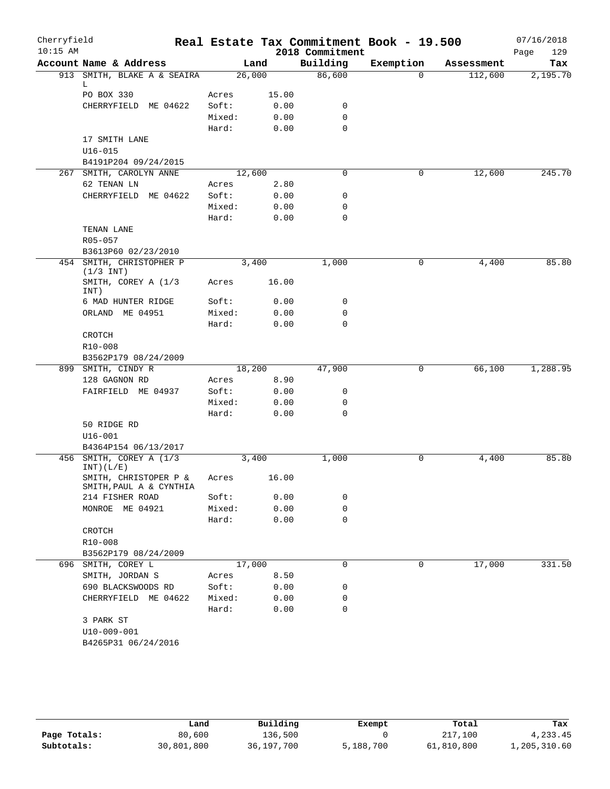| Cherryfield |                             |                 |       | Real Estate Tax Commitment Book - 19.500 |           |            | 07/16/2018  |
|-------------|-----------------------------|-----------------|-------|------------------------------------------|-----------|------------|-------------|
| $10:15$ AM  |                             |                 |       | 2018 Commitment                          |           |            | 129<br>Page |
|             | Account Name & Address      |                 | Land  | Building                                 | Exemption | Assessment | Tax         |
|             | 913 SMITH, BLAKE A & SEAIRA | 26,000          |       | 86,600                                   | $\Omega$  | 112,600    | 2,195.70    |
|             | L<br>PO BOX 330             | Acres           | 15.00 |                                          |           |            |             |
|             | CHERRYFIELD ME 04622        | Soft:           | 0.00  | 0                                        |           |            |             |
|             |                             | Mixed:          | 0.00  | $\mathbf 0$                              |           |            |             |
|             |                             | Hard:           | 0.00  | $\mathbf 0$                              |           |            |             |
|             | 17 SMITH LANE               |                 |       |                                          |           |            |             |
|             | $U16 - 015$                 |                 |       |                                          |           |            |             |
|             | B4191P204 09/24/2015        |                 |       |                                          |           |            |             |
|             | 267 SMITH, CAROLYN ANNE     | 12,600          |       | 0                                        | 0         | 12,600     | 245.70      |
|             | 62 TENAN LN                 | Acres           | 2.80  |                                          |           |            |             |
|             | CHERRYFIELD ME 04622        | Soft:           | 0.00  | 0                                        |           |            |             |
|             |                             | Mixed:          | 0.00  | $\mathbf 0$                              |           |            |             |
|             |                             | Hard:           | 0.00  | $\mathbf 0$                              |           |            |             |
|             | TENAN LANE                  |                 |       |                                          |           |            |             |
|             | R05-057                     |                 |       |                                          |           |            |             |
|             | B3613P60 02/23/2010         |                 |       |                                          |           |            |             |
|             | 454 SMITH, CHRISTOPHER P    |                 | 3,400 | 1,000                                    | 0         | 4,400      | 85.80       |
|             | $(1/3$ INT)                 |                 |       |                                          |           |            |             |
|             | SMITH, COREY A (1/3         | Acres           | 16.00 |                                          |           |            |             |
|             | INT)                        |                 |       |                                          |           |            |             |
|             | 6 MAD HUNTER RIDGE          | Soft:           | 0.00  | 0                                        |           |            |             |
|             | ORLAND ME 04951             | Mixed:          | 0.00  | $\mathbf 0$                              |           |            |             |
|             |                             | Hard:           | 0.00  | $\mathbf 0$                              |           |            |             |
|             | CROTCH                      |                 |       |                                          |           |            |             |
|             | R10-008                     |                 |       |                                          |           |            |             |
|             | B3562P179 08/24/2009        |                 |       |                                          |           |            |             |
|             | 899 SMITH, CINDY R          | 18,200          |       | 47,900                                   | 0         | 66,100     | 1,288.95    |
|             | 128 GAGNON RD               | Acres           | 8.90  |                                          |           |            |             |
|             | FAIRFIELD ME 04937          | Soft:           | 0.00  | 0                                        |           |            |             |
|             |                             | Mixed:<br>Hard: | 0.00  | 0<br>$\mathbf 0$                         |           |            |             |
|             | 50 RIDGE RD                 |                 | 0.00  |                                          |           |            |             |
|             | $U16 - 001$                 |                 |       |                                          |           |            |             |
|             | B4364P154 06/13/2017        |                 |       |                                          |           |            |             |
|             | 456 SMITH, COREY A (1/3)    |                 | 3,400 | 1,000                                    | 0         | 4,400      | 85.80       |
|             | INT) (L/E)                  |                 |       |                                          |           |            |             |
|             | SMITH, CHRISTOPER P &       | Acres           | 16.00 |                                          |           |            |             |
|             | SMITH, PAUL A & CYNTHIA     |                 |       |                                          |           |            |             |
|             | 214 FISHER ROAD             | Soft:           | 0.00  | $\mathbf 0$                              |           |            |             |
|             | MONROE ME 04921             | Mixed:          | 0.00  | $\mathbf 0$                              |           |            |             |
|             |                             | Hard:           | 0.00  | $\mathbf 0$                              |           |            |             |
|             | CROTCH                      |                 |       |                                          |           |            |             |
|             | R10-008                     |                 |       |                                          |           |            |             |
|             | B3562P179 08/24/2009        |                 |       |                                          |           |            |             |
| 696         | SMITH, COREY L              | 17,000          |       | $\mathbf 0$                              | 0         | 17,000     | 331.50      |
|             | SMITH, JORDAN S             | Acres           | 8.50  |                                          |           |            |             |
|             | 690 BLACKSWOODS RD          | Soft:           | 0.00  | 0                                        |           |            |             |
|             | CHERRYFIELD ME 04622        | Mixed:          | 0.00  | 0                                        |           |            |             |
|             |                             | Hard:           | 0.00  | $\mathbf 0$                              |           |            |             |
|             | 3 PARK ST                   |                 |       |                                          |           |            |             |
|             | U10-009-001                 |                 |       |                                          |           |            |             |
|             | B4265P31 06/24/2016         |                 |       |                                          |           |            |             |

|              | Land       | Building   | Exempt    | Total      | Tax          |
|--------------|------------|------------|-----------|------------|--------------|
| Page Totals: | 80,600     | 136,500    |           | 217,100    | 4,233.45     |
| Subtotals:   | 30,801,800 | 36,197,700 | 5,188,700 | 61,810,800 | 1,205,310.60 |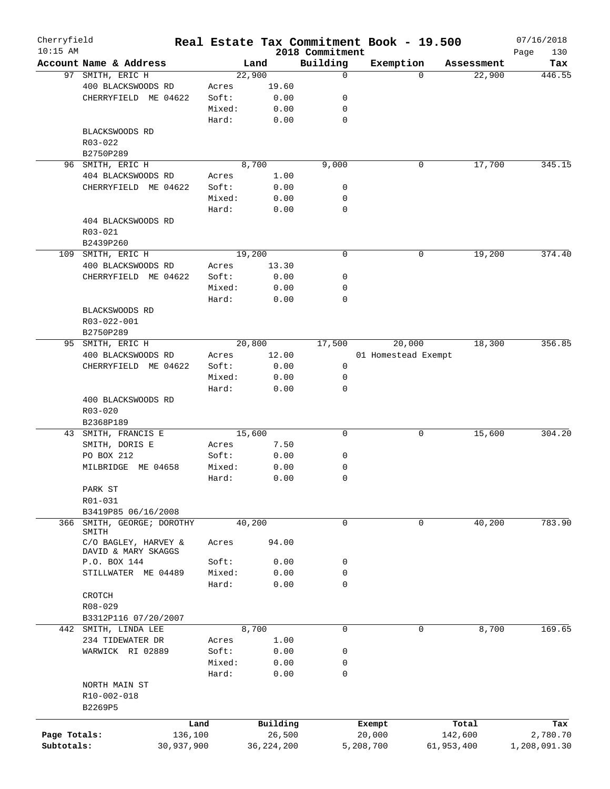| Cherryfield<br>$10:15$ AM |                            |            |            |                             | Real Estate Tax Commitment Book - 19.500 |            | 07/16/2018         |
|---------------------------|----------------------------|------------|------------|-----------------------------|------------------------------------------|------------|--------------------|
|                           | Account Name & Address     |            | Land       | 2018 Commitment<br>Building | Exemption                                | Assessment | Page<br>130<br>Tax |
|                           | 97 SMITH, ERIC H           |            | 22,900     | 0                           | $\Omega$                                 | 22,900     | 446.55             |
|                           | 400 BLACKSWOODS RD         | Acres      | 19.60      |                             |                                          |            |                    |
|                           | CHERRYFIELD ME 04622       | Soft:      | 0.00       | 0                           |                                          |            |                    |
|                           |                            | Mixed:     | 0.00       | 0                           |                                          |            |                    |
|                           |                            | Hard:      | 0.00       | 0                           |                                          |            |                    |
|                           | BLACKSWOODS RD             |            |            |                             |                                          |            |                    |
|                           | R03-022                    |            |            |                             |                                          |            |                    |
|                           | B2750P289                  |            |            |                             |                                          |            |                    |
|                           | 96 SMITH, ERIC H           |            | 8,700      | 9,000                       | 0                                        | 17,700     | 345.15             |
|                           | 404 BLACKSWOODS RD         | Acres      | 1.00       |                             |                                          |            |                    |
|                           | CHERRYFIELD ME 04622       | Soft:      | 0.00       | 0                           |                                          |            |                    |
|                           |                            |            |            |                             |                                          |            |                    |
|                           |                            | Mixed:     | 0.00       | 0                           |                                          |            |                    |
|                           |                            | Hard:      | 0.00       | $\mathbf 0$                 |                                          |            |                    |
|                           | 404 BLACKSWOODS RD         |            |            |                             |                                          |            |                    |
|                           | R03-021                    |            |            |                             |                                          |            |                    |
|                           | B2439P260                  |            |            |                             |                                          |            |                    |
|                           | 109 SMITH, ERIC H          |            | 19,200     | 0                           | 0                                        | 19,200     | 374.40             |
|                           | 400 BLACKSWOODS RD         | Acres      | 13.30      |                             |                                          |            |                    |
|                           | CHERRYFIELD ME 04622       | Soft:      | 0.00       | 0                           |                                          |            |                    |
|                           |                            | Mixed:     | 0.00       | 0                           |                                          |            |                    |
|                           |                            | Hard:      | 0.00       | 0                           |                                          |            |                    |
|                           | BLACKSWOODS RD             |            |            |                             |                                          |            |                    |
|                           | R03-022-001                |            |            |                             |                                          |            |                    |
|                           | B2750P289                  |            |            |                             |                                          |            |                    |
| 95                        | SMITH, ERIC H              |            | 20,800     | 17,500                      | 20,000                                   | 18,300     | 356.85             |
|                           | 400 BLACKSWOODS RD         | Acres      | 12.00      |                             | 01 Homestead Exempt                      |            |                    |
|                           | CHERRYFIELD ME 04622       | Soft:      | 0.00       | 0                           |                                          |            |                    |
|                           |                            | Mixed:     | 0.00       | 0                           |                                          |            |                    |
|                           |                            | Hard:      | 0.00       | 0                           |                                          |            |                    |
|                           | 400 BLACKSWOODS RD         |            |            |                             |                                          |            |                    |
|                           | $R03 - 020$                |            |            |                             |                                          |            |                    |
|                           | B2368P189                  |            |            |                             |                                          |            |                    |
| 43                        | SMITH, FRANCIS E           |            | 15,600     | 0                           | 0                                        | 15,600     | 304.20             |
|                           | SMITH, DORIS E             | Acres      | 7.50       |                             |                                          |            |                    |
|                           | PO BOX 212                 | Soft:      | 0.00       | 0                           |                                          |            |                    |
|                           | MILBRIDGE<br>ME 04658      | Mixed:     | 0.00       | 0                           |                                          |            |                    |
|                           |                            | Hard:      | 0.00       | 0                           |                                          |            |                    |
|                           | PARK ST                    |            |            |                             |                                          |            |                    |
|                           | R01-031                    |            |            |                             |                                          |            |                    |
|                           | B3419P85 06/16/2008        |            |            |                             |                                          |            |                    |
|                           | 366 SMITH, GEORGE; DOROTHY |            | 40,200     | 0                           | 0                                        | 40,200     | 783.90             |
|                           | SMITH                      |            |            |                             |                                          |            |                    |
|                           | C/O BAGLEY, HARVEY &       | Acres      | 94.00      |                             |                                          |            |                    |
|                           | DAVID & MARY SKAGGS        |            |            |                             |                                          |            |                    |
|                           | P.O. BOX 144               | Soft:      | 0.00       | 0                           |                                          |            |                    |
|                           | STILLWATER ME 04489        | Mixed:     | 0.00       | 0                           |                                          |            |                    |
|                           |                            | Hard:      | 0.00       | 0                           |                                          |            |                    |
|                           | CROTCH                     |            |            |                             |                                          |            |                    |
|                           | R08-029                    |            |            |                             |                                          |            |                    |
|                           | B3312P116 07/20/2007       |            |            |                             |                                          |            |                    |
|                           | 442 SMITH, LINDA LEE       |            | 8,700      | 0                           | 0                                        | 8,700      | 169.65             |
|                           | 234 TIDEWATER DR           | Acres      | 1.00       |                             |                                          |            |                    |
|                           | WARWICK RI 02889           | Soft:      | 0.00       | 0                           |                                          |            |                    |
|                           |                            | Mixed:     | 0.00       | 0                           |                                          |            |                    |
|                           |                            | Hard:      | 0.00       | 0                           |                                          |            |                    |
|                           | NORTH MAIN ST              |            |            |                             |                                          |            |                    |
|                           | R10-002-018                |            |            |                             |                                          |            |                    |
|                           | B2269P5                    |            |            |                             |                                          |            |                    |
|                           |                            |            |            |                             |                                          |            |                    |
|                           |                            | Land       | Building   |                             | Exempt                                   | Total      | Tax                |
| Page Totals:              |                            | 136,100    | 26,500     |                             | 20,000                                   | 142,600    | 2,780.70           |
| Subtotals:                |                            | 30,937,900 | 36,224,200 |                             | 5,208,700                                | 61,953,400 | 1,208,091.30       |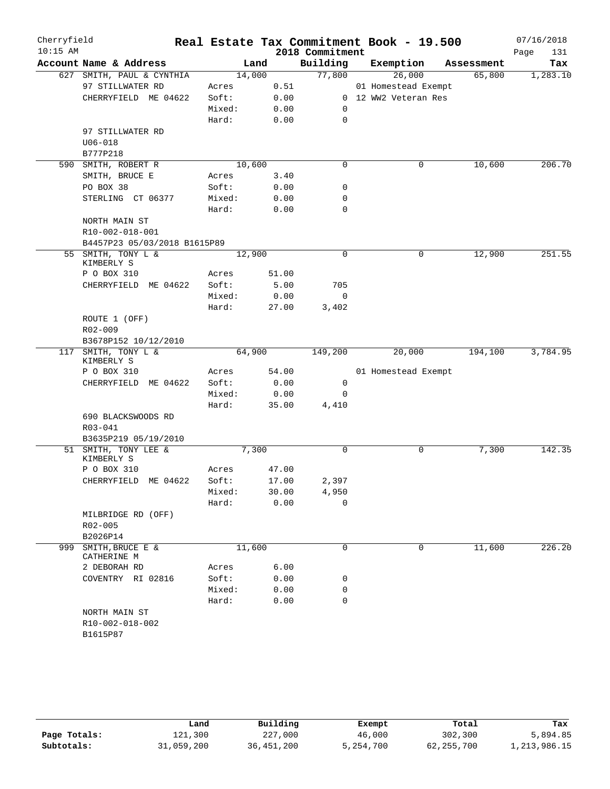| Cherryfield<br>$10:15$ AM |                                 |        |        | 2018 Commitment | Real Estate Tax Commitment Book - 19.500 |            | 07/16/2018<br>Page<br>131 |
|---------------------------|---------------------------------|--------|--------|-----------------|------------------------------------------|------------|---------------------------|
|                           | Account Name & Address          |        | Land   | Building        | Exemption                                | Assessment | Tax                       |
|                           | 627 SMITH, PAUL & CYNTHIA       |        | 14,000 | 77,800          | 26,000                                   | 65,800     | 1,283.10                  |
|                           | 97 STILLWATER RD                | Acres  | 0.51   |                 | 01 Homestead Exempt                      |            |                           |
|                           | CHERRYFIELD ME 04622            | Soft:  | 0.00   |                 | 0 12 WW2 Veteran Res                     |            |                           |
|                           |                                 | Mixed: | 0.00   | 0               |                                          |            |                           |
|                           |                                 | Hard:  | 0.00   | 0               |                                          |            |                           |
|                           | 97 STILLWATER RD                |        |        |                 |                                          |            |                           |
|                           | $U06 - 018$                     |        |        |                 |                                          |            |                           |
|                           | B777P218                        |        |        |                 |                                          |            |                           |
| 590                       | SMITH, ROBERT R                 |        | 10,600 | $\mathbf 0$     | 0                                        | 10,600     | 206.70                    |
|                           | SMITH, BRUCE E                  | Acres  | 3.40   |                 |                                          |            |                           |
|                           | PO BOX 38                       | Soft:  | 0.00   | 0               |                                          |            |                           |
|                           | STERLING CT 06377               | Mixed: | 0.00   | 0               |                                          |            |                           |
|                           |                                 | Hard:  | 0.00   | 0               |                                          |            |                           |
|                           | NORTH MAIN ST                   |        |        |                 |                                          |            |                           |
|                           | R10-002-018-001                 |        |        |                 |                                          |            |                           |
|                           | B4457P23 05/03/2018 B1615P89    |        |        |                 |                                          |            |                           |
| 55                        | SMITH, TONY L &<br>KIMBERLY S   |        | 12,900 | 0               | 0                                        | 12,900     | 251.55                    |
|                           | P O BOX 310                     | Acres  | 51.00  |                 |                                          |            |                           |
|                           | CHERRYFIELD ME 04622            | Soft:  | 5.00   | 705             |                                          |            |                           |
|                           |                                 | Mixed: | 0.00   | 0               |                                          |            |                           |
|                           |                                 | Hard:  | 27.00  | 3,402           |                                          |            |                           |
|                           | ROUTE 1 (OFF)                   |        |        |                 |                                          |            |                           |
|                           | R02-009                         |        |        |                 |                                          |            |                           |
|                           | B3678P152 10/12/2010            |        |        |                 |                                          |            |                           |
|                           | 117 SMITH, TONY L &             |        | 64,900 | 149,200         | 20,000                                   | 194,100    | 3,784.95                  |
|                           | KIMBERLY S                      |        |        |                 |                                          |            |                           |
|                           | P O BOX 310                     | Acres  | 54.00  |                 | 01 Homestead Exempt                      |            |                           |
|                           | CHERRYFIELD ME 04622            | Soft:  | 0.00   | 0               |                                          |            |                           |
|                           |                                 | Mixed: | 0.00   | 0               |                                          |            |                           |
|                           |                                 | Hard:  | 35.00  | 4,410           |                                          |            |                           |
|                           | 690 BLACKSWOODS RD              |        |        |                 |                                          |            |                           |
|                           | $R03 - 041$                     |        |        |                 |                                          |            |                           |
|                           | B3635P219 05/19/2010            |        |        |                 |                                          |            |                           |
|                           | 51 SMITH, TONY LEE &            |        | 7,300  | 0               | 0                                        | 7,300      | 142.35                    |
|                           | KIMBERLY S                      |        |        |                 |                                          |            |                           |
|                           | P O BOX 310                     | Acres  | 47.00  |                 |                                          |            |                           |
|                           | CHERRYFIELD ME 04622            | Soft:  | 17.00  | 2,397           |                                          |            |                           |
|                           |                                 | Mixed: | 30.00  | 4,950           |                                          |            |                           |
|                           |                                 | Hard:  | 0.00   | $\Omega$        |                                          |            |                           |
|                           | MILBRIDGE RD (OFF)              |        |        |                 |                                          |            |                           |
|                           | R02-005                         |        |        |                 |                                          |            |                           |
|                           | B2026P14                        |        |        |                 |                                          |            |                           |
| 999                       | SMITH, BRUCE E &<br>CATHERINE M |        | 11,600 | $\mathbf 0$     | 0                                        | 11,600     | 226.20                    |
|                           | 2 DEBORAH RD                    | Acres  | 6.00   |                 |                                          |            |                           |
|                           | COVENTRY RI 02816               | Soft:  | 0.00   | 0               |                                          |            |                           |
|                           |                                 | Mixed: | 0.00   | 0               |                                          |            |                           |
|                           |                                 | Hard:  | 0.00   | $\Omega$        |                                          |            |                           |
|                           | NORTH MAIN ST                   |        |        |                 |                                          |            |                           |
|                           | R10-002-018-002                 |        |        |                 |                                          |            |                           |
|                           | B1615P87                        |        |        |                 |                                          |            |                           |
|                           |                                 |        |        |                 |                                          |            |                           |

|              | Land       | Building   | Exempt    | Total        | Tax          |
|--------------|------------|------------|-----------|--------------|--------------|
| Page Totals: | 121,300    | 227,000    | 46,000    | 302,300      | 5,894.85     |
| Subtotals:   | 31,059,200 | 36,451,200 | 5,254,700 | 62, 255, 700 | 1,213,986.15 |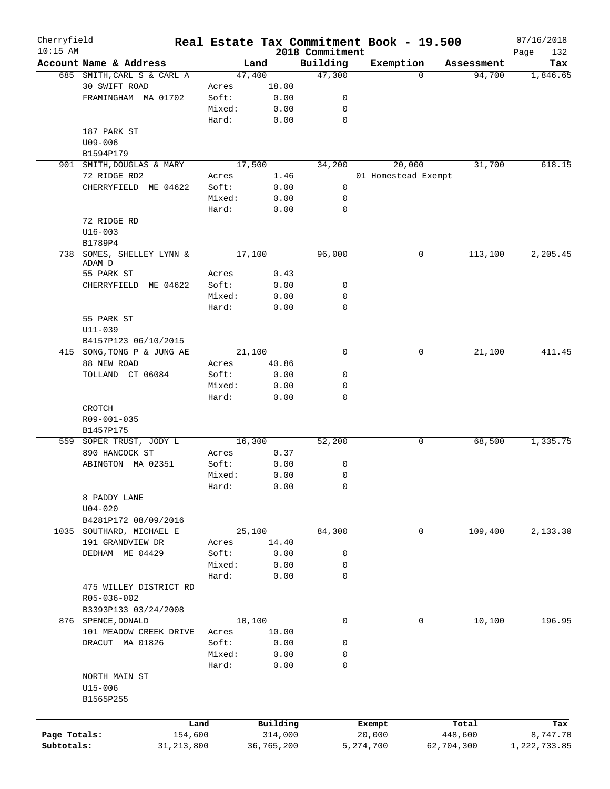| Cherryfield<br>$10:15$ AM |                                                    |                 |              |                             | Real Estate Tax Commitment Book - 19.500 |             |            | 07/16/2018         |
|---------------------------|----------------------------------------------------|-----------------|--------------|-----------------------------|------------------------------------------|-------------|------------|--------------------|
|                           | Account Name & Address                             |                 | Land         | 2018 Commitment<br>Building | Exemption                                |             | Assessment | 132<br>Page<br>Tax |
|                           | 685 SMITH, CARL S & CARL A                         |                 | 47,400       | 47,300                      |                                          | $\Omega$    | 94,700     | 1,846.65           |
|                           | 30 SWIFT ROAD                                      | Acres           | 18.00        |                             |                                          |             |            |                    |
|                           | FRAMINGHAM MA 01702                                | Soft:           | 0.00         | 0                           |                                          |             |            |                    |
|                           |                                                    | Mixed:          | 0.00         | 0                           |                                          |             |            |                    |
|                           |                                                    | Hard:           | 0.00         | $\mathbf 0$                 |                                          |             |            |                    |
|                           | 187 PARK ST                                        |                 |              |                             |                                          |             |            |                    |
|                           | $U09 - 006$                                        |                 |              |                             |                                          |             |            |                    |
|                           | B1594P179                                          |                 |              |                             |                                          |             |            |                    |
|                           | 901 SMITH, DOUGLAS & MARY                          |                 | 17,500       | 34,200                      | 20,000                                   |             | 31,700     | 618.15             |
|                           | 72 RIDGE RD2                                       | Acres           | 1.46         |                             | 01 Homestead Exempt                      |             |            |                    |
|                           | CHERRYFIELD ME 04622                               | Soft:           | 0.00         | 0                           |                                          |             |            |                    |
|                           |                                                    | Mixed:          | 0.00         | 0                           |                                          |             |            |                    |
|                           |                                                    | Hard:           | 0.00         | 0                           |                                          |             |            |                    |
|                           | 72 RIDGE RD                                        |                 |              |                             |                                          |             |            |                    |
|                           | $U16 - 003$                                        |                 |              |                             |                                          |             |            |                    |
|                           | B1789P4                                            |                 |              |                             |                                          |             |            |                    |
|                           | 738 SOMES, SHELLEY LYNN &                          |                 | 17,100       | 96,000                      |                                          | 0           | 113,100    | 2, 205.45          |
|                           | ADAM D                                             |                 |              |                             |                                          |             |            |                    |
|                           | 55 PARK ST                                         | Acres           | 0.43         |                             |                                          |             |            |                    |
|                           | CHERRYFIELD ME 04622                               | Soft:<br>Mixed: | 0.00<br>0.00 | 0<br>0                      |                                          |             |            |                    |
|                           |                                                    |                 |              | 0                           |                                          |             |            |                    |
|                           |                                                    | Hard:           | 0.00         |                             |                                          |             |            |                    |
|                           | 55 PARK ST                                         |                 |              |                             |                                          |             |            |                    |
|                           | U11-039                                            |                 |              |                             |                                          |             |            |                    |
|                           | B4157P123 06/10/2015<br>415 SONG, TONG P & JUNG AE |                 | 21,100       | $\mathbf 0$                 |                                          | 0           | 21,100     | 411.45             |
|                           | 88 NEW ROAD                                        | Acres           | 40.86        |                             |                                          |             |            |                    |
|                           | TOLLAND CT 06084                                   | Soft:           | 0.00         | 0                           |                                          |             |            |                    |
|                           |                                                    | Mixed:          | 0.00         | 0                           |                                          |             |            |                    |
|                           |                                                    | Hard:           | 0.00         | 0                           |                                          |             |            |                    |
|                           | CROTCH                                             |                 |              |                             |                                          |             |            |                    |
|                           | R09-001-035                                        |                 |              |                             |                                          |             |            |                    |
|                           | B1457P175                                          |                 |              |                             |                                          |             |            |                    |
|                           | 559 SOPER TRUST, JODY L                            |                 | 16,300       | 52,200                      |                                          | 0           | 68,500     | 1,335.75           |
|                           | 890 HANCOCK ST                                     | Acres           | 0.37         |                             |                                          |             |            |                    |
|                           | ABINGTON MA 02351                                  | Soft:           | 0.00         | 0                           |                                          |             |            |                    |
|                           |                                                    | Mixed:          | 0.00         | 0                           |                                          |             |            |                    |
|                           |                                                    | Hard:           | 0.00         | 0                           |                                          |             |            |                    |
|                           | 8 PADDY LANE                                       |                 |              |                             |                                          |             |            |                    |
|                           | $U04 - 020$                                        |                 |              |                             |                                          |             |            |                    |
|                           | B4281P172 08/09/2016                               |                 |              |                             |                                          |             |            |                    |
|                           | 1035 SOUTHARD, MICHAEL E                           |                 | 25,100       | 84,300                      |                                          | 0           | 109,400    | 2,133.30           |
|                           | 191 GRANDVIEW DR                                   | Acres           | 14.40        |                             |                                          |             |            |                    |
|                           | DEDHAM ME 04429                                    | Soft:           | 0.00         | 0                           |                                          |             |            |                    |
|                           |                                                    | Mixed:          | 0.00         | 0                           |                                          |             |            |                    |
|                           |                                                    | Hard:           | 0.00         | $\mathbf 0$                 |                                          |             |            |                    |
|                           | 475 WILLEY DISTRICT RD                             |                 |              |                             |                                          |             |            |                    |
|                           | R05-036-002                                        |                 |              |                             |                                          |             |            |                    |
|                           | B3393P133 03/24/2008                               |                 |              |                             |                                          |             |            |                    |
|                           | 876 SPENCE, DONALD                                 |                 | 10,100       | 0                           |                                          | $\mathbf 0$ | 10,100     | 196.95             |
|                           | 101 MEADOW CREEK DRIVE                             | Acres           | 10.00        |                             |                                          |             |            |                    |
|                           | DRACUT MA 01826                                    | Soft:           | 0.00         | 0                           |                                          |             |            |                    |
|                           |                                                    | Mixed:          | 0.00         | 0                           |                                          |             |            |                    |
|                           |                                                    | Hard:           | 0.00         | 0                           |                                          |             |            |                    |
|                           | NORTH MAIN ST                                      |                 |              |                             |                                          |             |            |                    |
|                           | U15-006                                            |                 |              |                             |                                          |             |            |                    |
|                           | B1565P255                                          |                 |              |                             |                                          |             |            |                    |
|                           |                                                    |                 |              |                             |                                          |             |            |                    |
|                           |                                                    | Land            | Building     |                             | Exempt                                   |             | Total      | Tax                |
| Page Totals:              | 154,600                                            |                 | 314,000      |                             | 20,000                                   |             | 448,600    | 8,747.70           |
| Subtotals:                | 31, 213, 800                                       |                 | 36,765,200   |                             | 5,274,700                                | 62,704,300  |            | 1,222,733.85       |
|                           |                                                    |                 |              |                             |                                          |             |            |                    |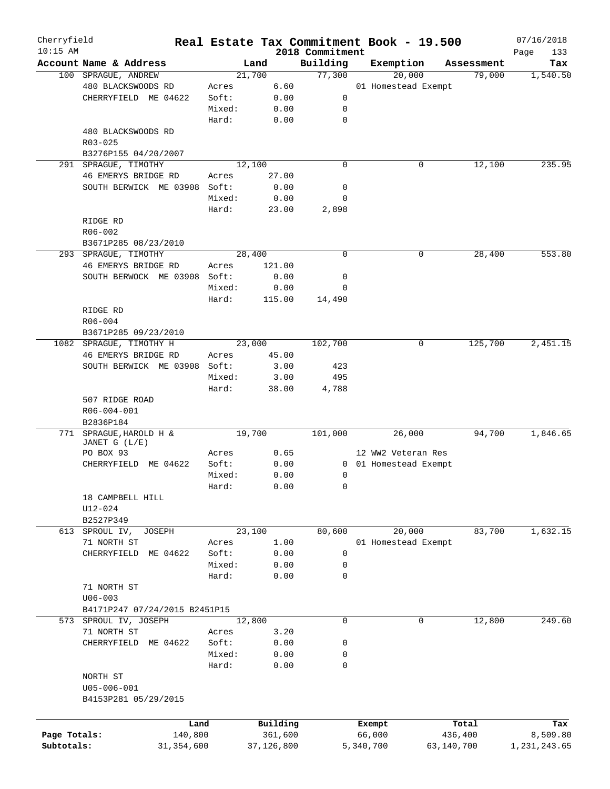| Cherryfield  |                                            |        | Real Estate Tax Commitment Book - 19.500 |                             |           |                       |            | 07/16/2018         |
|--------------|--------------------------------------------|--------|------------------------------------------|-----------------------------|-----------|-----------------------|------------|--------------------|
| $10:15$ AM   | Account Name & Address                     |        | Land                                     | 2018 Commitment<br>Building |           | Exemption             | Assessment | Page<br>133<br>Tax |
|              | 100 SPRAGUE, ANDREW                        |        | 21,700                                   | 77,300                      |           | 20,000                | 79,000     | 1,540.50           |
|              | 480 BLACKSWOODS RD                         | Acres  | 6.60                                     |                             |           | 01 Homestead Exempt   |            |                    |
|              | CHERRYFIELD ME 04622                       | Soft:  | 0.00                                     | 0                           |           |                       |            |                    |
|              |                                            |        |                                          |                             |           |                       |            |                    |
|              |                                            | Mixed: | 0.00                                     | 0                           |           |                       |            |                    |
|              |                                            | Hard:  | 0.00                                     | $\mathbf 0$                 |           |                       |            |                    |
|              | 480 BLACKSWOODS RD                         |        |                                          |                             |           |                       |            |                    |
|              | R03-025                                    |        |                                          |                             |           |                       |            |                    |
|              | B3276P155 04/20/2007                       |        |                                          |                             |           |                       |            |                    |
| 291          | SPRAGUE, TIMOTHY                           |        | 12,100                                   | $\mathbf 0$                 |           | 0                     | 12,100     | 235.95             |
|              | 46 EMERYS BRIDGE RD                        | Acres  | 27.00                                    |                             |           |                       |            |                    |
|              | SOUTH BERWICK ME 03908                     | Soft:  | 0.00                                     | 0                           |           |                       |            |                    |
|              |                                            | Mixed: | 0.00                                     | 0                           |           |                       |            |                    |
|              |                                            | Hard:  | 23.00                                    | 2,898                       |           |                       |            |                    |
|              | RIDGE RD                                   |        |                                          |                             |           |                       |            |                    |
|              | R06-002                                    |        |                                          |                             |           |                       |            |                    |
|              | B3671P285 08/23/2010                       |        |                                          |                             |           |                       |            |                    |
|              | 293 SPRAGUE, TIMOTHY                       |        | 28,400                                   | $\mathbf 0$                 |           | 0                     | 28,400     | 553.80             |
|              | 46 EMERYS BRIDGE RD                        | Acres  | 121.00                                   |                             |           |                       |            |                    |
|              | SOUTH BERWOCK ME 03908                     | Soft:  | 0.00                                     | 0                           |           |                       |            |                    |
|              |                                            | Mixed: | 0.00                                     | 0                           |           |                       |            |                    |
|              |                                            | Hard:  | 115.00                                   | 14,490                      |           |                       |            |                    |
|              | RIDGE RD                                   |        |                                          |                             |           |                       |            |                    |
|              |                                            |        |                                          |                             |           |                       |            |                    |
|              | $R06 - 004$                                |        |                                          |                             |           |                       |            |                    |
|              | B3671P285 09/23/2010                       |        |                                          |                             |           |                       |            |                    |
|              | 1082 SPRAGUE, TIMOTHY H                    |        | 23,000                                   | 102,700                     |           | 0                     | 125,700    | 2,451.15           |
|              | 46 EMERYS BRIDGE RD                        | Acres  | 45.00                                    |                             |           |                       |            |                    |
|              | SOUTH BERWICK ME 03908                     | Soft:  | 3.00                                     | 423                         |           |                       |            |                    |
|              |                                            | Mixed: | 3.00                                     | 495                         |           |                       |            |                    |
|              |                                            | Hard:  | 38.00                                    | 4,788                       |           |                       |            |                    |
|              | 507 RIDGE ROAD<br>R06-004-001<br>B2836P184 |        |                                          |                             |           |                       |            |                    |
| 771          | SPRAGUE, HAROLD H &                        |        | 19,700                                   | 101,000                     |           | 26,000                | 94,700     | 1,846.65           |
|              | JANET G (L/E)                              |        |                                          |                             |           |                       |            |                    |
|              | PO BOX 93                                  | Acres  | 0.65                                     |                             |           | 12 WW2 Veteran Res    |            |                    |
|              | CHERRYFIELD ME 04622                       | Soft:  | 0.00                                     |                             |           | 0 01 Homestead Exempt |            |                    |
|              |                                            | Mixed: | 0.00                                     | 0                           |           |                       |            |                    |
|              |                                            | Hard:  | 0.00                                     | 0                           |           |                       |            |                    |
|              | 18 CAMPBELL HILL                           |        |                                          |                             |           |                       |            |                    |
|              | U12-024                                    |        |                                          |                             |           |                       |            |                    |
|              |                                            |        |                                          |                             |           |                       |            |                    |
|              | B2527P349                                  |        |                                          |                             |           |                       |            |                    |
|              | 613 SPROUL IV,<br>JOSEPH                   |        | 23,100                                   | 80,600                      |           | 20,000                | 83,700     | 1,632.15           |
|              | 71 NORTH ST                                | Acres  | 1.00                                     |                             |           | 01 Homestead Exempt   |            |                    |
|              | CHERRYFIELD<br>ME 04622                    | Soft:  | 0.00                                     | $\mathsf{O}$                |           |                       |            |                    |
|              |                                            | Mixed: | 0.00                                     | $\mathsf{O}$                |           |                       |            |                    |
|              |                                            | Hard:  | 0.00                                     | 0                           |           |                       |            |                    |
|              | 71 NORTH ST                                |        |                                          |                             |           |                       |            |                    |
|              | $U06 - 003$                                |        |                                          |                             |           |                       |            |                    |
|              | B4171P247 07/24/2015 B2451P15              |        |                                          |                             |           |                       |            |                    |
|              | 573 SPROUL IV, JOSEPH                      |        | 12,800                                   | 0                           |           | 0                     | 12,800     | 249.60             |
|              | 71 NORTH ST                                | Acres  | 3.20                                     |                             |           |                       |            |                    |
|              | CHERRYFIELD<br>ME 04622                    | Soft:  | 0.00                                     | 0                           |           |                       |            |                    |
|              |                                            | Mixed: | 0.00                                     | 0                           |           |                       |            |                    |
|              |                                            | Hard:  | 0.00                                     | 0                           |           |                       |            |                    |
|              | NORTH ST                                   |        |                                          |                             |           |                       |            |                    |
|              |                                            |        |                                          |                             |           |                       |            |                    |
|              | $U05 - 006 - 001$                          |        |                                          |                             |           |                       |            |                    |
|              | B4153P281 05/29/2015                       |        |                                          |                             |           |                       |            |                    |
|              |                                            |        |                                          |                             |           |                       |            |                    |
|              | Land                                       |        | Building                                 |                             | Exempt    |                       | Total      | Tax                |
| Page Totals: | 140,800                                    |        | 361,600                                  |                             | 66,000    |                       | 436,400    | 8,509.80           |
| Subtotals:   | 31, 354, 600                               |        | 37,126,800                               |                             | 5,340,700 |                       | 63,140,700 | 1,231,243.65       |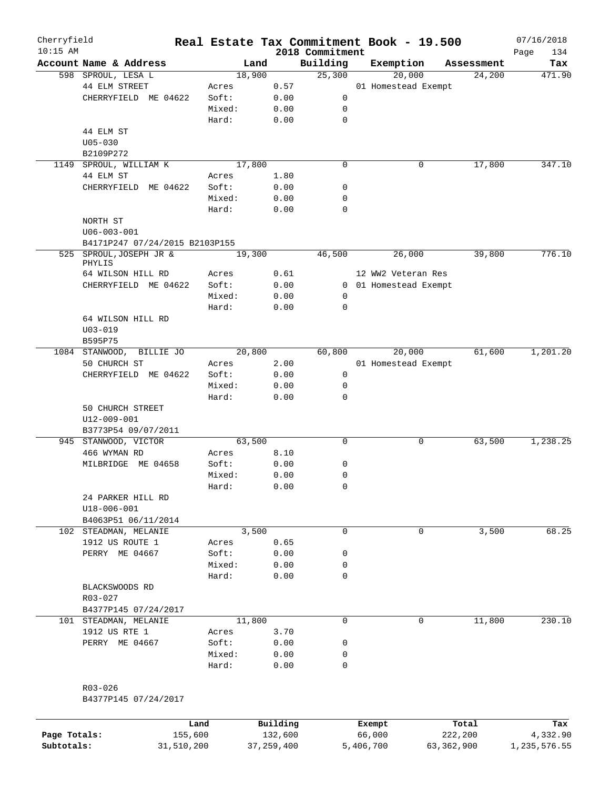| Cherryfield<br>$10:15$ AM |                                   |      | Real Estate Tax Commitment Book - 19.500 |          | 2018 Commitment |        |                       |            | 07/16/2018<br>Page<br>134 |
|---------------------------|-----------------------------------|------|------------------------------------------|----------|-----------------|--------|-----------------------|------------|---------------------------|
|                           | Account Name & Address            |      | Land                                     |          | Building        |        | Exemption             | Assessment | Tax                       |
|                           | 598 SPROUL, LESA L                |      | 18,900                                   |          | 25,300          |        | 20,000                | 24,200     | 471.90                    |
|                           | 44 ELM STREET                     |      | Acres                                    | 0.57     |                 |        | 01 Homestead Exempt   |            |                           |
|                           | CHERRYFIELD ME 04622              |      | Soft:                                    | 0.00     | 0               |        |                       |            |                           |
|                           |                                   |      | Mixed:                                   | 0.00     | 0               |        |                       |            |                           |
|                           |                                   |      |                                          |          |                 |        |                       |            |                           |
|                           |                                   |      | Hard:                                    | 0.00     | $\mathbf 0$     |        |                       |            |                           |
|                           | 44 ELM ST                         |      |                                          |          |                 |        |                       |            |                           |
|                           | $U05 - 030$                       |      |                                          |          |                 |        |                       |            |                           |
|                           | B2109P272                         |      |                                          |          |                 |        |                       |            |                           |
| 1149                      | SPROUL, WILLIAM K                 |      | 17,800                                   |          | $\mathbf 0$     |        | 0                     | 17,800     | 347.10                    |
|                           | 44 ELM ST                         |      | Acres                                    | 1.80     |                 |        |                       |            |                           |
|                           | CHERRYFIELD ME 04622              |      | Soft:                                    | 0.00     | 0               |        |                       |            |                           |
|                           |                                   |      | Mixed:                                   | 0.00     | 0               |        |                       |            |                           |
|                           |                                   |      | Hard:                                    | 0.00     | 0               |        |                       |            |                           |
|                           | NORTH ST                          |      |                                          |          |                 |        |                       |            |                           |
|                           | $U06 - 003 - 001$                 |      |                                          |          |                 |        |                       |            |                           |
|                           | B4171P247 07/24/2015 B2103P155    |      |                                          |          |                 |        |                       |            |                           |
|                           |                                   |      |                                          |          |                 |        |                       |            | 776.10                    |
|                           | 525 SPROUL, JOSEPH JR &<br>PHYLIS |      | 19,300                                   |          | 46,500          |        | 26,000                | 39,800     |                           |
|                           | 64 WILSON HILL RD                 |      | Acres                                    | 0.61     |                 |        | 12 WW2 Veteran Res    |            |                           |
|                           |                                   |      |                                          |          |                 |        |                       |            |                           |
|                           | CHERRYFIELD ME 04622              |      | Soft:                                    | 0.00     |                 |        | 0 01 Homestead Exempt |            |                           |
|                           |                                   |      | Mixed:                                   | 0.00     | 0               |        |                       |            |                           |
|                           |                                   |      | Hard:                                    | 0.00     | 0               |        |                       |            |                           |
|                           | 64 WILSON HILL RD                 |      |                                          |          |                 |        |                       |            |                           |
|                           | $U03 - 019$                       |      |                                          |          |                 |        |                       |            |                           |
|                           | B595P75                           |      |                                          |          |                 |        |                       |            |                           |
|                           | 1084 STANWOOD,<br>BILLIE JO       |      | 20,800                                   |          | 60,800          |        | 20,000                | 61,600     | 1,201.20                  |
|                           | 50 CHURCH ST                      |      | Acres                                    | 2.00     |                 |        | 01 Homestead Exempt   |            |                           |
|                           | CHERRYFIELD ME 04622              |      | Soft:                                    | 0.00     | $\mathsf{O}$    |        |                       |            |                           |
|                           |                                   |      | Mixed:                                   | 0.00     | $\mathbf 0$     |        |                       |            |                           |
|                           |                                   |      | Hard:                                    | 0.00     | 0               |        |                       |            |                           |
|                           | 50 CHURCH STREET                  |      |                                          |          |                 |        |                       |            |                           |
|                           |                                   |      |                                          |          |                 |        |                       |            |                           |
|                           | U12-009-001                       |      |                                          |          |                 |        |                       |            |                           |
|                           | B3773P54 09/07/2011               |      |                                          |          |                 |        |                       |            |                           |
|                           | 945 STANWOOD, VICTOR              |      | 63,500                                   |          | 0               |        | 0                     | 63,500     | 1,238.25                  |
|                           | 466 WYMAN RD                      |      | Acres                                    | 8.10     |                 |        |                       |            |                           |
|                           | MILBRIDGE ME 04658                |      | Soft:                                    | 0.00     | 0               |        |                       |            |                           |
|                           |                                   |      | Mixed:                                   | 0.00     | 0               |        |                       |            |                           |
|                           |                                   |      | Hard:                                    | 0.00     | 0               |        |                       |            |                           |
|                           | 24 PARKER HILL RD                 |      |                                          |          |                 |        |                       |            |                           |
|                           | $U18 - 006 - 001$                 |      |                                          |          |                 |        |                       |            |                           |
|                           | B4063P51 06/11/2014               |      |                                          |          |                 |        |                       |            |                           |
|                           | 102 STEADMAN, MELANIE             |      | 3,500                                    |          | $\mathbf 0$     |        | 0                     | 3,500      | 68.25                     |
|                           | 1912 US ROUTE 1                   |      | Acres                                    | 0.65     |                 |        |                       |            |                           |
|                           | PERRY ME 04667                    |      | Soft:                                    | 0.00     | 0               |        |                       |            |                           |
|                           |                                   |      |                                          |          |                 |        |                       |            |                           |
|                           |                                   |      | Mixed:                                   | 0.00     | 0               |        |                       |            |                           |
|                           |                                   |      | Hard:                                    | 0.00     | 0               |        |                       |            |                           |
|                           | BLACKSWOODS RD                    |      |                                          |          |                 |        |                       |            |                           |
|                           | R03-027                           |      |                                          |          |                 |        |                       |            |                           |
|                           | B4377P145 07/24/2017              |      |                                          |          |                 |        |                       |            |                           |
|                           | 101 STEADMAN, MELANIE             |      | 11,800                                   |          | 0               |        | 0                     | 11,800     | 230.10                    |
|                           | 1912 US RTE 1                     |      | Acres                                    | 3.70     |                 |        |                       |            |                           |
|                           | PERRY ME 04667                    |      | Soft:                                    | 0.00     | 0               |        |                       |            |                           |
|                           |                                   |      | Mixed:                                   | 0.00     | 0               |        |                       |            |                           |
|                           |                                   |      | Hard:                                    | 0.00     | 0               |        |                       |            |                           |
|                           |                                   |      |                                          |          |                 |        |                       |            |                           |
|                           |                                   |      |                                          |          |                 |        |                       |            |                           |
|                           | R03-026                           |      |                                          |          |                 |        |                       |            |                           |
|                           | B4377P145 07/24/2017              |      |                                          |          |                 |        |                       |            |                           |
|                           |                                   |      |                                          |          |                 |        |                       |            |                           |
|                           |                                   | Land |                                          | Building |                 | Exempt |                       | Total      | Tax                       |

**Page Totals:** 155,600 132,600 66,000 222,200 4,332.90 **Subtotals:** 31,510,200 37,259,400 5,406,700 63,362,900 1,235,576.55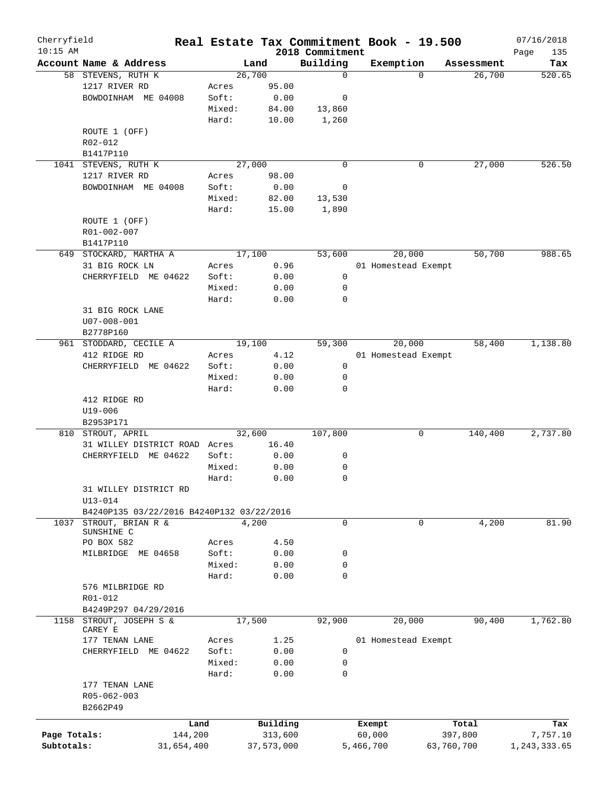| $10:15$ AM   |                                           |        |            |                             |                     |            |            | Page<br>135  |
|--------------|-------------------------------------------|--------|------------|-----------------------------|---------------------|------------|------------|--------------|
|              | Account Name & Address                    |        | Land       | 2018 Commitment<br>Building | Exemption           |            | Assessment | Tax          |
|              | 58 STEVENS, RUTH K                        |        | 26,700     | $\mathbf 0$                 | $\Omega$            |            | 26,700     | 520.65       |
|              | 1217 RIVER RD                             | Acres  | 95.00      |                             |                     |            |            |              |
|              | BOWDOINHAM ME 04008                       | Soft:  | 0.00       | 0                           |                     |            |            |              |
|              |                                           | Mixed: | 84.00      | 13,860                      |                     |            |            |              |
|              |                                           | Hard:  | 10.00      | 1,260                       |                     |            |            |              |
|              | ROUTE 1 (OFF)                             |        |            |                             |                     |            |            |              |
|              | R02-012                                   |        |            |                             |                     |            |            |              |
|              | B1417P110                                 |        |            |                             |                     |            |            |              |
| 1041         | STEVENS, RUTH K                           |        | 27,000     | $\mathbf 0$                 | 0                   |            | 27,000     | 526.50       |
|              | 1217 RIVER RD                             | Acres  | 98.00      |                             |                     |            |            |              |
|              | BOWDOINHAM ME 04008                       | Soft:  | 0.00       | 0                           |                     |            |            |              |
|              |                                           | Mixed: | 82.00      | 13,530                      |                     |            |            |              |
|              |                                           | Hard:  | 15.00      | 1,890                       |                     |            |            |              |
|              | ROUTE 1 (OFF)                             |        |            |                             |                     |            |            |              |
|              | R01-002-007                               |        |            |                             |                     |            |            |              |
|              | B1417P110                                 |        |            |                             |                     |            |            |              |
|              | 649 STOCKARD, MARTHA A                    |        | 17,100     | 53,600                      | 20,000              |            | 50,700     | 988.65       |
|              | 31 BIG ROCK LN                            | Acres  | 0.96       |                             | 01 Homestead Exempt |            |            |              |
|              | CHERRYFIELD ME 04622                      | Soft:  | 0.00       | 0                           |                     |            |            |              |
|              |                                           | Mixed: |            |                             |                     |            |            |              |
|              |                                           |        | 0.00       | 0<br>0                      |                     |            |            |              |
|              |                                           | Hard:  | 0.00       |                             |                     |            |            |              |
|              | 31 BIG ROCK LANE                          |        |            |                             |                     |            |            |              |
|              | $U07 - 008 - 001$                         |        |            |                             |                     |            |            |              |
|              | B2778P160                                 |        |            |                             |                     |            |            |              |
|              | 961 STODDARD, CECILE A                    |        | 19,100     | 59,300                      | 20,000              |            | 58,400     | 1,138.80     |
|              | 412 RIDGE RD                              | Acres  | 4.12       |                             | 01 Homestead Exempt |            |            |              |
|              | CHERRYFIELD ME 04622                      | Soft:  | 0.00       | 0                           |                     |            |            |              |
|              |                                           | Mixed: | 0.00       | 0                           |                     |            |            |              |
|              |                                           | Hard:  | 0.00       | 0                           |                     |            |            |              |
|              | 412 RIDGE RD                              |        |            |                             |                     |            |            |              |
|              | U19-006                                   |        |            |                             |                     |            |            |              |
|              | B2953P171                                 |        |            |                             |                     |            |            |              |
|              | 810 STROUT, APRIL                         |        | 32,600     | 107,800                     | 0                   |            | 140,400    | 2,737.80     |
|              | 31 WILLEY DISTRICT ROAD Acres             |        | 16.40      |                             |                     |            |            |              |
|              | CHERRYFIELD ME 04622                      | Soft:  | 0.00       | 0                           |                     |            |            |              |
|              |                                           | Mixed: | 0.00       | 0                           |                     |            |            |              |
|              |                                           | Hard:  | 0.00       | 0                           |                     |            |            |              |
|              | 31 WILLEY DISTRICT RD                     |        |            |                             |                     |            |            |              |
|              | $U13 - 014$                               |        |            |                             |                     |            |            |              |
|              | B4240P135 03/22/2016 B4240P132 03/22/2016 |        |            |                             |                     |            |            |              |
| 1037         | STROUT, BRIAN R &                         |        | 4,200      | 0                           | 0                   |            | 4,200      | 81.90        |
|              | SUNSHINE C                                |        |            |                             |                     |            |            |              |
|              | PO BOX 582                                | Acres  | 4.50       |                             |                     |            |            |              |
|              | MILBRIDGE ME 04658                        | Soft:  | 0.00       | 0                           |                     |            |            |              |
|              |                                           | Mixed: | 0.00       | 0                           |                     |            |            |              |
|              |                                           | Hard:  | 0.00       | 0                           |                     |            |            |              |
|              | 576 MILBRIDGE RD                          |        |            |                             |                     |            |            |              |
|              | R01-012                                   |        |            |                             |                     |            |            |              |
|              | B4249P297 04/29/2016                      |        |            |                             |                     |            |            |              |
| 1158         | STROUT, JOSEPH S &                        |        | 17,500     | 92,900                      | 20,000              |            | 90,400     | 1,762.80     |
|              | CAREY E                                   |        | 1.25       |                             | 01 Homestead Exempt |            |            |              |
|              | 177 TENAN LANE                            | Acres  |            |                             |                     |            |            |              |
|              | CHERRYFIELD ME 04622                      | Soft:  | 0.00       | 0                           |                     |            |            |              |
|              |                                           | Mixed: | 0.00       | 0                           |                     |            |            |              |
|              |                                           | Hard:  | 0.00       | 0                           |                     |            |            |              |
|              | 177 TENAN LANE                            |        |            |                             |                     |            |            |              |
|              | R05-062-003                               |        |            |                             |                     |            |            |              |
|              | B2662P49                                  |        |            |                             |                     |            |            |              |
|              | Land                                      |        | Building   |                             | Exempt              |            | Total      | Tax          |
| Page Totals: | 144,200                                   |        | 313,600    |                             | 60,000              | 397,800    |            | 7,757.10     |
| Subtotals:   | 31,654,400                                |        | 37,573,000 |                             | 5,466,700           | 63,760,700 |            | 1,243,333.65 |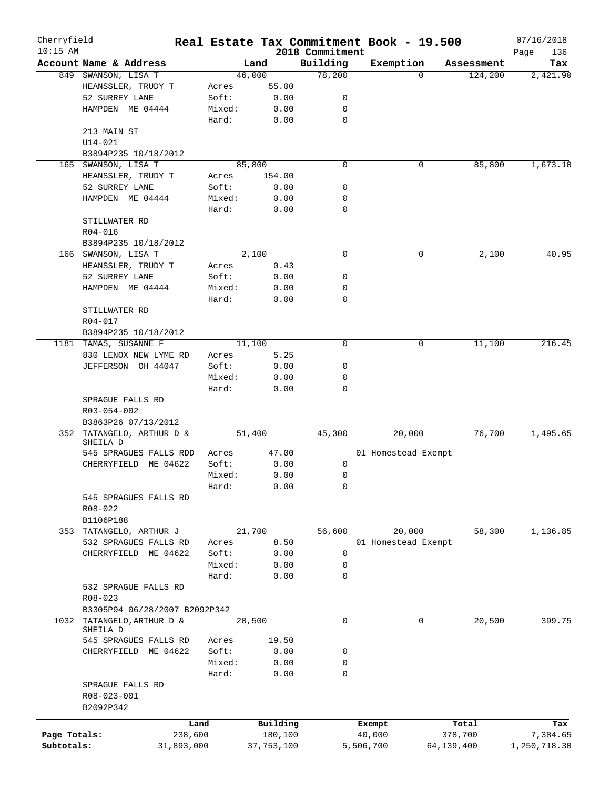| Cherryfield  |                                       |         | Real Estate Tax Commitment Book - 19.500 |                             |           |                     |                       | 07/16/2018         |
|--------------|---------------------------------------|---------|------------------------------------------|-----------------------------|-----------|---------------------|-----------------------|--------------------|
| $10:15$ AM   | Account Name & Address                |         | Land                                     | 2018 Commitment<br>Building |           |                     |                       | Page<br>136<br>Tax |
|              | 849 SWANSON, LISA T                   |         | 46,000                                   | 78,200                      | Exemption | $\Omega$            | Assessment<br>124,200 | 2,421.90           |
|              | HEANSSLER, TRUDY T                    | Acres   | 55.00                                    |                             |           |                     |                       |                    |
|              |                                       | Soft:   |                                          | 0                           |           |                     |                       |                    |
|              | 52 SURREY LANE                        |         | 0.00                                     |                             |           |                     |                       |                    |
|              | HAMPDEN ME 04444                      | Mixed:  | 0.00                                     | $\mathbf 0$                 |           |                     |                       |                    |
|              |                                       | Hard:   | 0.00                                     | $\mathbf 0$                 |           |                     |                       |                    |
|              | 213 MAIN ST                           |         |                                          |                             |           |                     |                       |                    |
|              | U14-021                               |         |                                          |                             |           |                     |                       |                    |
|              | B3894P235 10/18/2012                  |         |                                          |                             |           |                     |                       |                    |
| 165          | SWANSON, LISA T                       |         | 85,800                                   | $\mathbf 0$                 |           | 0                   | 85,800                | 1,673.10           |
|              | HEANSSLER, TRUDY T                    | Acres   | 154.00                                   |                             |           |                     |                       |                    |
|              | 52 SURREY LANE                        | Soft:   | 0.00                                     | 0                           |           |                     |                       |                    |
|              | HAMPDEN ME 04444                      | Mixed:  | 0.00                                     | $\mathbf 0$                 |           |                     |                       |                    |
|              |                                       | Hard:   | 0.00                                     | $\mathbf 0$                 |           |                     |                       |                    |
|              | STILLWATER RD                         |         |                                          |                             |           |                     |                       |                    |
|              | R04-016                               |         |                                          |                             |           |                     |                       |                    |
|              | B3894P235 10/18/2012                  |         |                                          |                             |           |                     |                       |                    |
|              | 166 SWANSON, LISA T                   |         | 2,100                                    | $\mathbf 0$                 |           | 0                   | 2,100                 | 40.95              |
|              | HEANSSLER, TRUDY T                    | Acres   | 0.43                                     |                             |           |                     |                       |                    |
|              | 52 SURREY LANE                        | Soft:   | 0.00                                     | $\mathbf 0$                 |           |                     |                       |                    |
|              | HAMPDEN ME 04444                      | Mixed:  | 0.00                                     | 0                           |           |                     |                       |                    |
|              |                                       | Hard:   | 0.00                                     | $\mathbf 0$                 |           |                     |                       |                    |
|              | STILLWATER RD                         |         |                                          |                             |           |                     |                       |                    |
|              | R04-017                               |         |                                          |                             |           |                     |                       |                    |
|              | B3894P235 10/18/2012                  |         |                                          |                             |           |                     |                       |                    |
| 1181         | TAMAS, SUSANNE F                      |         | 11,100                                   | $\mathbf 0$                 |           | 0                   | 11,100                | 216.45             |
|              | 830 LENOX NEW LYME RD                 | Acres   | 5.25                                     |                             |           |                     |                       |                    |
|              | JEFFERSON OH 44047                    | Soft:   | 0.00                                     | 0                           |           |                     |                       |                    |
|              |                                       | Mixed:  | 0.00                                     | 0                           |           |                     |                       |                    |
|              |                                       |         |                                          | $\mathbf 0$                 |           |                     |                       |                    |
|              |                                       | Hard:   | 0.00                                     |                             |           |                     |                       |                    |
|              | SPRAGUE FALLS RD                      |         |                                          |                             |           |                     |                       |                    |
|              | R03-054-002                           |         |                                          |                             |           |                     |                       |                    |
|              | B3863P26 07/13/2012                   |         |                                          |                             |           |                     |                       |                    |
|              | 352 TATANGELO, ARTHUR D &<br>SHEILA D |         | 51,400                                   | 45,300                      |           | 20,000              | 76,700                | 1,495.65           |
|              | 545 SPRAGUES FALLS RDD                | Acres   | 47.00                                    |                             |           | 01 Homestead Exempt |                       |                    |
|              | CHERRYFIELD<br>ME 04622               | Soft:   | 0.00                                     | 0                           |           |                     |                       |                    |
|              |                                       | Mixed:  | 0.00                                     | 0                           |           |                     |                       |                    |
|              |                                       |         |                                          |                             |           |                     |                       |                    |
|              |                                       | Hard:   | 0.00                                     | 0                           |           |                     |                       |                    |
|              | 545 SPRAGUES FALLS RD                 |         |                                          |                             |           |                     |                       |                    |
|              | R08-022                               |         |                                          |                             |           |                     |                       |                    |
|              | B1106P188                             |         |                                          |                             |           |                     |                       |                    |
| 353          | TATANGELO, ARTHUR J                   |         | 21,700                                   | 56,600                      |           | 20,000              | 58,300                | 1,136.85           |
|              | 532 SPRAGUES FALLS RD                 | Acres   | 8.50                                     |                             |           | 01 Homestead Exempt |                       |                    |
|              | CHERRYFIELD ME 04622                  | Soft:   | 0.00                                     | 0                           |           |                     |                       |                    |
|              |                                       | Mixed:  | 0.00                                     | 0                           |           |                     |                       |                    |
|              |                                       | Hard:   | 0.00                                     | $\mathbf 0$                 |           |                     |                       |                    |
|              | 532 SPRAGUE FALLS RD                  |         |                                          |                             |           |                     |                       |                    |
|              | $R08 - 023$                           |         |                                          |                             |           |                     |                       |                    |
|              | B3305P94 06/28/2007 B2092P342         |         |                                          |                             |           |                     |                       |                    |
| 1032         | TATANGELO, ARTHUR D &                 |         | 20,500                                   | $\mathbf 0$                 |           | $\mathbf 0$         | 20,500                | 399.75             |
|              | SHEILA D                              |         |                                          |                             |           |                     |                       |                    |
|              | 545 SPRAGUES FALLS RD                 | Acres   | 19.50                                    |                             |           |                     |                       |                    |
|              | CHERRYFIELD ME 04622                  | Soft:   | 0.00                                     | 0                           |           |                     |                       |                    |
|              |                                       | Mixed:  | 0.00                                     | $\mathbf 0$                 |           |                     |                       |                    |
|              |                                       | Hard:   | 0.00                                     | $\mathbf 0$                 |           |                     |                       |                    |
|              | SPRAGUE FALLS RD                      |         |                                          |                             |           |                     |                       |                    |
|              | R08-023-001                           |         |                                          |                             |           |                     |                       |                    |
|              | B2092P342                             |         |                                          |                             |           |                     |                       |                    |
|              |                                       | Land    | Building                                 |                             | Exempt    |                     | Total                 | Tax                |
| Page Totals: |                                       | 238,600 | 180,100                                  |                             | 40,000    |                     | 378,700               | 7,384.65           |
| Subtotals:   | 31,893,000                            |         | 37,753,100                               |                             | 5,506,700 | 64,139,400          |                       | 1,250,718.30       |
|              |                                       |         |                                          |                             |           |                     |                       |                    |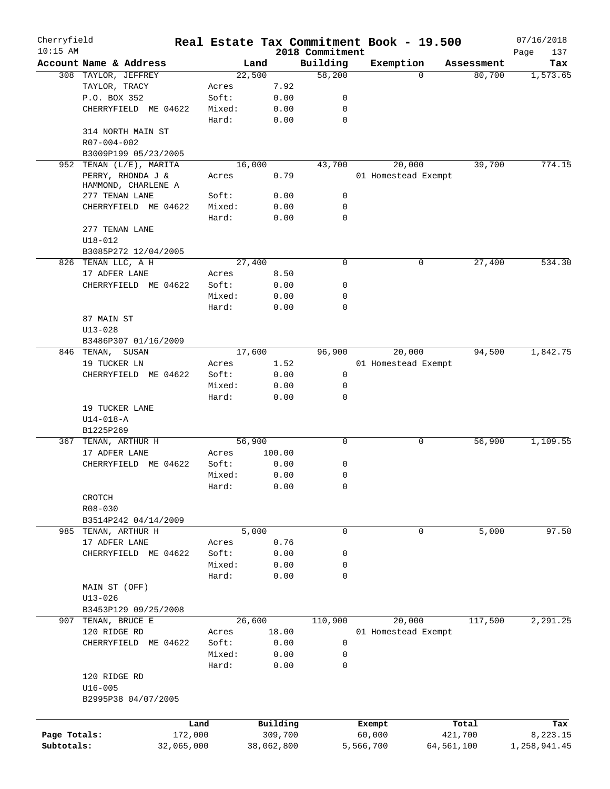| Cherryfield<br>$10:15$ AM |                        |            |        |            | 2018 Commitment | Real Estate Tax Commitment Book - 19.500 |            |            | 07/16/2018<br>Page<br>137 |
|---------------------------|------------------------|------------|--------|------------|-----------------|------------------------------------------|------------|------------|---------------------------|
|                           | Account Name & Address |            | Land   |            | Building        | Exemption                                |            | Assessment | Tax                       |
|                           | 308 TAYLOR, JEFFREY    |            | 22,500 |            | 58,200          |                                          | $\Omega$   | 80,700     | 1, 573.65                 |
|                           | TAYLOR, TRACY          |            | Acres  | 7.92       |                 |                                          |            |            |                           |
|                           | P.O. BOX 352           |            | Soft:  | 0.00       | 0               |                                          |            |            |                           |
|                           | CHERRYFIELD ME 04622   |            | Mixed: | 0.00       | 0               |                                          |            |            |                           |
|                           |                        |            | Hard:  | 0.00       | $\mathbf 0$     |                                          |            |            |                           |
|                           | 314 NORTH MAIN ST      |            |        |            |                 |                                          |            |            |                           |
|                           | R07-004-002            |            |        |            |                 |                                          |            |            |                           |
|                           | B3009P199 05/23/2005   |            |        |            |                 |                                          |            |            |                           |
| 952                       | TENAN (L/E), MARITA    |            | 16,000 |            | 43,700          | 20,000                                   |            | 39,700     | 774.15                    |
|                           | PERRY, RHONDA J &      |            | Acres  | 0.79       |                 | 01 Homestead Exempt                      |            |            |                           |
|                           | HAMMOND, CHARLENE A    |            |        |            |                 |                                          |            |            |                           |
|                           | 277 TENAN LANE         |            | Soft:  | 0.00       | 0               |                                          |            |            |                           |
|                           | CHERRYFIELD ME 04622   |            | Mixed: | 0.00       | $\mathbf 0$     |                                          |            |            |                           |
|                           |                        |            | Hard:  | 0.00       | 0               |                                          |            |            |                           |
|                           | 277 TENAN LANE         |            |        |            |                 |                                          |            |            |                           |
|                           | $U18 - 012$            |            |        |            |                 |                                          |            |            |                           |
|                           | B3085P272 12/04/2005   |            |        |            |                 |                                          |            |            |                           |
|                           | 826 TENAN LLC, A H     |            | 27,400 |            | $\mathbf 0$     |                                          | 0          | 27,400     | 534.30                    |
|                           | 17 ADFER LANE          |            | Acres  | 8.50       |                 |                                          |            |            |                           |
|                           | CHERRYFIELD ME 04622   |            | Soft:  | 0.00       | 0               |                                          |            |            |                           |
|                           |                        |            | Mixed: | 0.00       | $\mathbf 0$     |                                          |            |            |                           |
|                           |                        |            | Hard:  | 0.00       | 0               |                                          |            |            |                           |
|                           | 87 MAIN ST             |            |        |            |                 |                                          |            |            |                           |
|                           | $U13 - 028$            |            |        |            |                 |                                          |            |            |                           |
|                           |                        |            |        |            |                 |                                          |            |            |                           |
|                           | B3486P307 01/16/2009   |            |        |            |                 | 20,000                                   |            | 94,500     |                           |
|                           | 846 TENAN,<br>SUSAN    |            | 17,600 |            | 96,900          |                                          |            |            | 1,842.75                  |
|                           | 19 TUCKER LN           |            | Acres  | 1.52       |                 | 01 Homestead Exempt                      |            |            |                           |
|                           | CHERRYFIELD ME 04622   |            | Soft:  | 0.00       | 0               |                                          |            |            |                           |
|                           |                        |            | Mixed: | 0.00       | 0               |                                          |            |            |                           |
|                           |                        |            | Hard:  | 0.00       | 0               |                                          |            |            |                           |
|                           | 19 TUCKER LANE         |            |        |            |                 |                                          |            |            |                           |
|                           | $U14 - 018 - A$        |            |        |            |                 |                                          |            |            |                           |
|                           | B1225P269              |            |        |            |                 |                                          |            |            |                           |
| 367                       | TENAN, ARTHUR H        |            | 56,900 |            | 0               |                                          | 0          | 56,900     | 1,109.55                  |
|                           | 17 ADFER LANE          |            | Acres  | 100.00     |                 |                                          |            |            |                           |
|                           | CHERRYFIELD ME 04622   |            | Soft:  | 0.00       | 0               |                                          |            |            |                           |
|                           |                        |            | Mixed: | 0.00       | $\mathbf 0$     |                                          |            |            |                           |
|                           |                        |            | Hard:  | 0.00       | 0               |                                          |            |            |                           |
|                           | CROTCH                 |            |        |            |                 |                                          |            |            |                           |
|                           | R08-030                |            |        |            |                 |                                          |            |            |                           |
|                           | B3514P242 04/14/2009   |            |        |            |                 |                                          |            |            |                           |
|                           | 985 TENAN, ARTHUR H    |            | 5,000  |            | $\mathbf 0$     |                                          | 0          | 5,000      | 97.50                     |
|                           | 17 ADFER LANE          |            | Acres  | 0.76       |                 |                                          |            |            |                           |
|                           | CHERRYFIELD ME 04622   |            | Soft:  | 0.00       | 0               |                                          |            |            |                           |
|                           |                        |            | Mixed: | 0.00       | 0               |                                          |            |            |                           |
|                           |                        |            | Hard:  | 0.00       | 0               |                                          |            |            |                           |
|                           | MAIN ST (OFF)          |            |        |            |                 |                                          |            |            |                           |
|                           | $U13 - 026$            |            |        |            |                 |                                          |            |            |                           |
|                           | B3453P129 09/25/2008   |            |        |            |                 |                                          |            |            |                           |
| 907                       | TENAN, BRUCE E         |            | 26,600 |            | 110,900         | 20,000                                   |            | 117,500    | 2,291.25                  |
|                           | 120 RIDGE RD           |            | Acres  | 18.00      |                 | 01 Homestead Exempt                      |            |            |                           |
|                           | CHERRYFIELD ME 04622   |            | Soft:  | 0.00       | 0               |                                          |            |            |                           |
|                           |                        |            | Mixed: | 0.00       | 0               |                                          |            |            |                           |
|                           |                        |            | Hard:  | 0.00       | 0               |                                          |            |            |                           |
|                           | 120 RIDGE RD           |            |        |            |                 |                                          |            |            |                           |
|                           | $U16 - 005$            |            |        |            |                 |                                          |            |            |                           |
|                           | B2995P38 04/07/2005    |            |        |            |                 |                                          |            |            |                           |
|                           |                        |            |        |            |                 |                                          |            |            |                           |
|                           |                        | Land       |        | Building   |                 | Exempt                                   |            | Total      | Tax                       |
| Page Totals:              |                        | 172,000    |        | 309,700    |                 | 60,000                                   |            | 421,700    | 8,223.15                  |
| Subtotals:                |                        | 32,065,000 |        | 38,062,800 |                 | 5,566,700                                | 64,561,100 |            | 1,258,941.45              |
|                           |                        |            |        |            |                 |                                          |            |            |                           |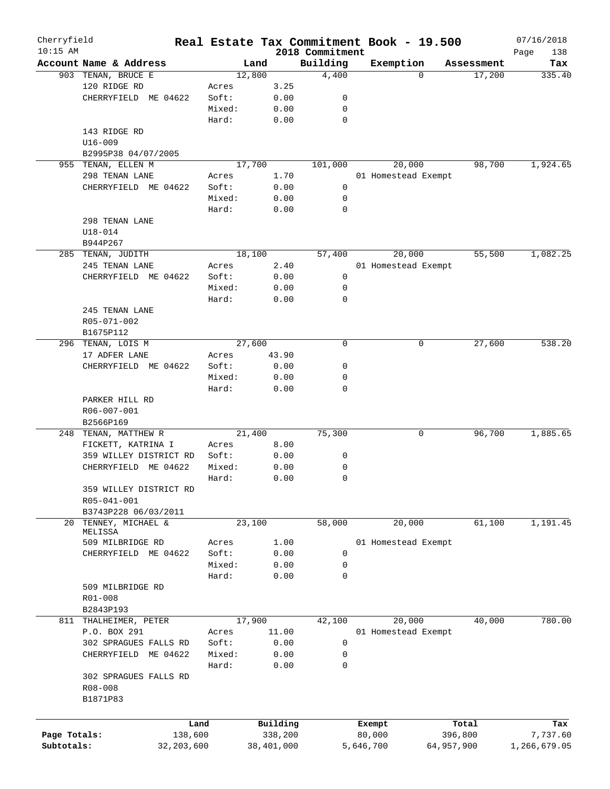| Cherryfield<br>$10:15$ AM |                                              |              |        |        |            | 2018 Commitment | Real Estate Tax Commitment Book - 19.500 |          |            | 07/16/2018<br>Page<br>138 |
|---------------------------|----------------------------------------------|--------------|--------|--------|------------|-----------------|------------------------------------------|----------|------------|---------------------------|
|                           | Account Name & Address                       |              |        | Land   |            | Building        | Exemption                                |          | Assessment | Tax                       |
|                           | 903 TENAN, BRUCE E                           |              |        | 12,800 |            | 4,400           |                                          | $\Omega$ | 17,200     | 335.40                    |
|                           | 120 RIDGE RD                                 |              | Acres  |        | 3.25       |                 |                                          |          |            |                           |
|                           | CHERRYFIELD ME 04622                         |              | Soft:  |        | 0.00       | 0               |                                          |          |            |                           |
|                           |                                              |              | Mixed: |        | 0.00       | 0               |                                          |          |            |                           |
|                           |                                              |              | Hard:  |        | 0.00       | $\mathbf 0$     |                                          |          |            |                           |
|                           | 143 RIDGE RD                                 |              |        |        |            |                 |                                          |          |            |                           |
|                           |                                              |              |        |        |            |                 |                                          |          |            |                           |
|                           | $U16 - 009$                                  |              |        |        |            |                 |                                          |          |            |                           |
|                           | B2995P38 04/07/2005                          |              |        |        |            |                 |                                          |          |            |                           |
|                           | 955 TENAN, ELLEN M                           |              |        | 17,700 |            | 101,000         | 20,000                                   |          | 98,700     | 1,924.65                  |
|                           | 298 TENAN LANE                               |              | Acres  |        | 1.70       |                 | 01 Homestead Exempt                      |          |            |                           |
|                           | CHERRYFIELD ME 04622                         |              | Soft:  |        | 0.00       | 0               |                                          |          |            |                           |
|                           |                                              |              | Mixed: |        | 0.00       | 0               |                                          |          |            |                           |
|                           |                                              |              | Hard:  |        | 0.00       | 0               |                                          |          |            |                           |
|                           | 298 TENAN LANE                               |              |        |        |            |                 |                                          |          |            |                           |
|                           | $U18 - 014$                                  |              |        |        |            |                 |                                          |          |            |                           |
|                           | B944P267                                     |              |        |        |            |                 |                                          |          |            |                           |
|                           | 285 TENAN, JUDITH                            |              |        | 18,100 |            | 57,400          | 20,000                                   |          | 55,500     | 1,082.25                  |
|                           | 245 TENAN LANE                               |              | Acres  |        | 2.40       |                 | 01 Homestead Exempt                      |          |            |                           |
|                           | CHERRYFIELD ME 04622                         |              | Soft:  |        | 0.00       | 0               |                                          |          |            |                           |
|                           |                                              |              | Mixed: |        | 0.00       | 0               |                                          |          |            |                           |
|                           |                                              |              | Hard:  |        | 0.00       | $\mathbf 0$     |                                          |          |            |                           |
|                           | 245 TENAN LANE                               |              |        |        |            |                 |                                          |          |            |                           |
|                           | R05-071-002                                  |              |        |        |            |                 |                                          |          |            |                           |
|                           | B1675P112                                    |              |        |        |            |                 |                                          |          |            |                           |
| 296                       | TENAN, LOIS M                                |              |        | 27,600 |            | 0               |                                          | 0        | 27,600     | 538.20                    |
|                           | 17 ADFER LANE                                |              | Acres  |        | 43.90      |                 |                                          |          |            |                           |
|                           | CHERRYFIELD ME 04622                         |              | Soft:  |        | 0.00       | 0               |                                          |          |            |                           |
|                           |                                              |              |        |        |            |                 |                                          |          |            |                           |
|                           |                                              |              | Mixed: |        | 0.00       | 0<br>0          |                                          |          |            |                           |
|                           | PARKER HILL RD<br>R06-007-001                |              | Hard:  |        | 0.00       |                 |                                          |          |            |                           |
|                           | B2566P169                                    |              |        |        |            |                 |                                          |          |            |                           |
|                           | 248 TENAN, MATTHEW R                         |              |        | 21,400 |            | 75,300          |                                          | 0        | 96,700     | 1,885.65                  |
|                           | FICKETT, KATRINA I                           |              | Acres  |        | 8.00       |                 |                                          |          |            |                           |
|                           | 359 WILLEY DISTRICT RD                       |              | Soft:  |        | 0.00       | 0               |                                          |          |            |                           |
|                           | CHERRYFIELD<br>ME 04622                      |              | Mixed: |        | 0.00       | 0               |                                          |          |            |                           |
|                           |                                              |              | Hard:  |        | 0.00       | 0               |                                          |          |            |                           |
|                           | 359 WILLEY DISTRICT RD                       |              |        |        |            |                 |                                          |          |            |                           |
|                           | R05-041-001                                  |              |        |        |            |                 |                                          |          |            |                           |
|                           | B3743P228 06/03/2011                         |              |        |        |            |                 |                                          |          |            |                           |
| 20                        | TENNEY, MICHAEL &                            |              |        | 23,100 |            | 58,000          | 20,000                                   |          | 61,100     | 1,191.45                  |
|                           | MELISSA                                      |              |        |        |            |                 |                                          |          |            |                           |
|                           | 509 MILBRIDGE RD                             |              | Acres  |        | 1.00       |                 | 01 Homestead Exempt                      |          |            |                           |
|                           | CHERRYFIELD<br>ME 04622                      |              | Soft:  |        | 0.00       | 0               |                                          |          |            |                           |
|                           |                                              |              | Mixed: |        | 0.00       | 0               |                                          |          |            |                           |
|                           |                                              |              | Hard:  |        | 0.00       | $\mathbf 0$     |                                          |          |            |                           |
|                           | 509 MILBRIDGE RD                             |              |        |        |            |                 |                                          |          |            |                           |
|                           | R01-008                                      |              |        |        |            |                 |                                          |          |            |                           |
|                           | B2843P193                                    |              |        |        |            |                 |                                          |          |            |                           |
| 811                       | THALHEIMER, PETER                            |              |        | 17,900 |            | 42,100          | 20,000                                   |          | 40,000     | 780.00                    |
|                           | P.O. BOX 291                                 |              | Acres  |        | 11.00      |                 | 01 Homestead Exempt                      |          |            |                           |
|                           | 302 SPRAGUES FALLS RD                        |              | Soft:  |        | 0.00       | 0               |                                          |          |            |                           |
|                           |                                              |              | Mixed: |        |            | 0               |                                          |          |            |                           |
|                           | CHERRYFIELD<br>ME 04622                      |              |        |        | 0.00       |                 |                                          |          |            |                           |
|                           |                                              |              | Hard:  |        | 0.00       | 0               |                                          |          |            |                           |
|                           | 302 SPRAGUES FALLS RD<br>R08-008<br>B1871P83 |              |        |        |            |                 |                                          |          |            |                           |
|                           |                                              |              |        |        |            |                 |                                          |          |            |                           |
|                           |                                              | Land         |        |        | Building   |                 | Exempt                                   |          | Total      | Tax                       |
| Page Totals:              |                                              | 138,600      |        |        | 338,200    |                 | 80,000                                   |          | 396,800    | 7,737.60                  |
| Subtotals:                |                                              | 32, 203, 600 |        |        | 38,401,000 |                 | 5,646,700                                |          | 64,957,900 | 1,266,679.05              |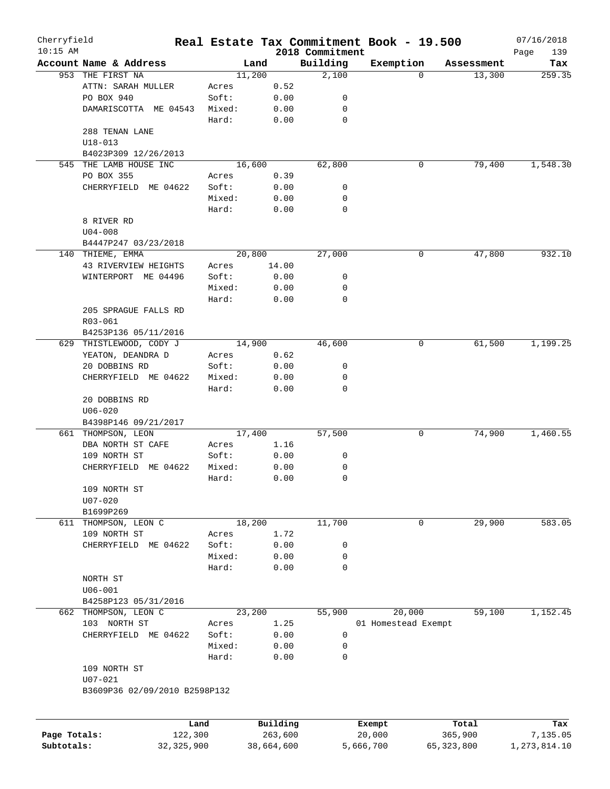| Cherryfield                |                               |                         |        |                       |                             | Real Estate Tax Commitment Book - 19.500 |                         |            | 07/16/2018                 |
|----------------------------|-------------------------------|-------------------------|--------|-----------------------|-----------------------------|------------------------------------------|-------------------------|------------|----------------------------|
| $10:15$ AM                 | Account Name & Address        |                         | Land   |                       | 2018 Commitment<br>Building |                                          |                         | Assessment | Page<br>139<br>Tax         |
|                            | 953 THE FIRST NA              |                         | 11,200 |                       | 2,100                       | Exemption<br>$\Omega$                    |                         | 13,300     | 259.35                     |
|                            | ATTN: SARAH MULLER            |                         |        |                       |                             |                                          |                         |            |                            |
|                            |                               | Acres                   |        | 0.52                  |                             |                                          |                         |            |                            |
|                            | PO BOX 940                    | Soft:                   |        | 0.00                  | 0                           |                                          |                         |            |                            |
|                            | DAMARISCOTTA ME 04543         | Mixed:                  |        | 0.00                  | 0                           |                                          |                         |            |                            |
|                            |                               | Hard:                   |        | 0.00                  | $\mathbf 0$                 |                                          |                         |            |                            |
|                            | 288 TENAN LANE                |                         |        |                       |                             |                                          |                         |            |                            |
|                            | $U18 - 013$                   |                         |        |                       |                             |                                          |                         |            |                            |
|                            | B4023P309 12/26/2013          |                         |        |                       |                             |                                          |                         |            |                            |
| 545                        | THE LAMB HOUSE INC            |                         | 16,600 |                       | 62,800                      | 0                                        |                         | 79,400     | 1,548.30                   |
|                            | PO BOX 355                    | Acres                   |        | 0.39                  |                             |                                          |                         |            |                            |
|                            | CHERRYFIELD ME 04622          | Soft:                   |        | 0.00                  | 0                           |                                          |                         |            |                            |
|                            |                               | Mixed:                  |        | 0.00                  | 0                           |                                          |                         |            |                            |
|                            |                               | Hard:                   |        | 0.00                  | 0                           |                                          |                         |            |                            |
|                            | 8 RIVER RD                    |                         |        |                       |                             |                                          |                         |            |                            |
|                            | $U04 - 008$                   |                         |        |                       |                             |                                          |                         |            |                            |
|                            | B4447P247 03/23/2018          |                         |        |                       |                             |                                          |                         |            |                            |
|                            | 140 THIEME, EMMA              |                         | 20,800 |                       | 27,000                      | 0                                        |                         | 47,800     | 932.10                     |
|                            | 43 RIVERVIEW HEIGHTS          | Acres                   |        | 14.00                 |                             |                                          |                         |            |                            |
|                            | WINTERPORT ME 04496           | Soft:                   |        | 0.00                  | 0                           |                                          |                         |            |                            |
|                            |                               | Mixed:                  |        | 0.00                  | 0                           |                                          |                         |            |                            |
|                            |                               | Hard:                   |        | 0.00                  | $\mathbf 0$                 |                                          |                         |            |                            |
|                            | 205 SPRAGUE FALLS RD          |                         |        |                       |                             |                                          |                         |            |                            |
|                            | R03-061                       |                         |        |                       |                             |                                          |                         |            |                            |
|                            | B4253P136 05/11/2016          |                         |        |                       |                             |                                          |                         |            |                            |
| 629                        | THISTLEWOOD, CODY J           |                         | 14,900 |                       | 46,600                      | 0                                        |                         | 61,500     | 1,199.25                   |
|                            | YEATON, DEANDRA D             | Acres                   |        | 0.62                  |                             |                                          |                         |            |                            |
|                            | 20 DOBBINS RD                 | Soft:                   |        | 0.00                  | 0                           |                                          |                         |            |                            |
|                            | CHERRYFIELD ME 04622          |                         |        |                       | 0                           |                                          |                         |            |                            |
|                            |                               | Mixed:                  |        | 0.00                  |                             |                                          |                         |            |                            |
|                            |                               | Hard:                   |        | 0.00                  | 0                           |                                          |                         |            |                            |
|                            | 20 DOBBINS RD                 |                         |        |                       |                             |                                          |                         |            |                            |
|                            | $U06 - 020$                   |                         |        |                       |                             |                                          |                         |            |                            |
|                            | B4398P146 09/21/2017          |                         |        |                       |                             |                                          |                         |            |                            |
| 661                        | THOMPSON, LEON                |                         | 17,400 |                       | 57,500                      | 0                                        |                         | 74,900     | 1,460.55                   |
|                            | DBA NORTH ST CAFE             | Acres                   |        | 1.16                  |                             |                                          |                         |            |                            |
|                            | 109 NORTH ST                  | Soft:                   |        | 0.00                  | 0                           |                                          |                         |            |                            |
|                            | ME 04622<br>CHERRYFIELD       | Mixed:                  |        | 0.00                  | 0                           |                                          |                         |            |                            |
|                            |                               | Hard:                   |        | 0.00                  | 0                           |                                          |                         |            |                            |
|                            | 109 NORTH ST                  |                         |        |                       |                             |                                          |                         |            |                            |
|                            | $U07 - 020$                   |                         |        |                       |                             |                                          |                         |            |                            |
|                            | B1699P269                     |                         |        |                       |                             |                                          |                         |            |                            |
| 611                        | THOMPSON, LEON C              |                         | 18,200 |                       | 11,700                      | 0                                        |                         | 29,900     | 583.05                     |
|                            | 109 NORTH ST                  | Acres                   |        | 1.72                  |                             |                                          |                         |            |                            |
|                            | CHERRYFIELD ME 04622          | Soft:                   |        | 0.00                  | 0                           |                                          |                         |            |                            |
|                            |                               | Mixed:                  |        | 0.00                  | 0                           |                                          |                         |            |                            |
|                            |                               | Hard:                   |        | 0.00                  | 0                           |                                          |                         |            |                            |
|                            | NORTH ST                      |                         |        |                       |                             |                                          |                         |            |                            |
|                            | $U06 - 001$                   |                         |        |                       |                             |                                          |                         |            |                            |
|                            | B4258P123 05/31/2016          |                         |        |                       |                             |                                          |                         |            |                            |
|                            | 662 THOMPSON, LEON C          |                         | 23,200 |                       | 55,900                      | 20,000                                   |                         | 59,100     | 1,152.45                   |
|                            | 103 NORTH ST                  | Acres                   |        | 1.25                  |                             | 01 Homestead Exempt                      |                         |            |                            |
|                            | CHERRYFIELD ME 04622          | Soft:                   |        | 0.00                  | 0                           |                                          |                         |            |                            |
|                            |                               | Mixed:                  |        | 0.00                  | 0                           |                                          |                         |            |                            |
|                            |                               | Hard:                   |        | 0.00                  | 0                           |                                          |                         |            |                            |
|                            | 109 NORTH ST                  |                         |        |                       |                             |                                          |                         |            |                            |
|                            | $U07 - 021$                   |                         |        |                       |                             |                                          |                         |            |                            |
|                            | B3609P36 02/09/2010 B2598P132 |                         |        |                       |                             |                                          |                         |            |                            |
|                            |                               |                         |        |                       |                             |                                          |                         |            |                            |
|                            |                               |                         |        |                       |                             |                                          |                         |            |                            |
|                            |                               | Land                    |        | Building              |                             | Exempt                                   |                         | Total      | Tax                        |
| Page Totals:<br>Subtotals: |                               | 122,300<br>32, 325, 900 |        | 263,600<br>38,664,600 |                             | 20,000<br>5,666,700                      | 365,900<br>65, 323, 800 |            | 7,135.05<br>1, 273, 814.10 |
|                            |                               |                         |        |                       |                             |                                          |                         |            |                            |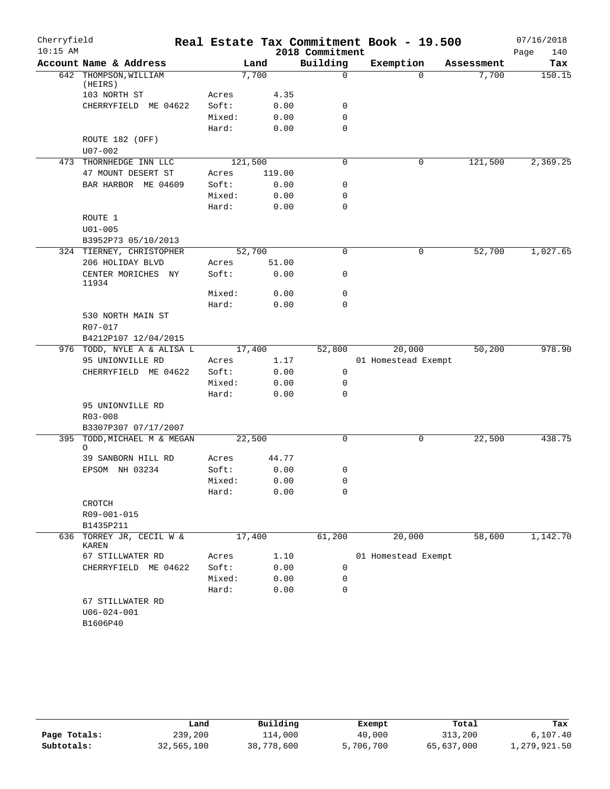| Cherryfield |                                    |         |        |                 | Real Estate Tax Commitment Book - 19.500 |            | 07/16/2018  |
|-------------|------------------------------------|---------|--------|-----------------|------------------------------------------|------------|-------------|
| $10:15$ AM  |                                    |         |        | 2018 Commitment |                                          |            | 140<br>Page |
|             | Account Name & Address             |         | Land   | Building        | Exemption                                | Assessment | Tax         |
|             | 642 THOMPSON, WILLIAM              |         | 7,700  | $\mathbf 0$     | $\Omega$                                 | 7,700      | 150.15      |
|             | (HEIRS)<br>103 NORTH ST            | Acres   | 4.35   |                 |                                          |            |             |
|             | CHERRYFIELD ME 04622               | Soft:   | 0.00   | 0               |                                          |            |             |
|             |                                    | Mixed:  | 0.00   | 0               |                                          |            |             |
|             |                                    | Hard:   | 0.00   | $\mathbf 0$     |                                          |            |             |
|             | ROUTE 182 (OFF)                    |         |        |                 |                                          |            |             |
|             | $U07 - 002$                        |         |        |                 |                                          |            |             |
|             | 473 THORNHEDGE INN LLC             | 121,500 |        | $\mathbf 0$     | 0                                        | 121,500    | 2,369.25    |
|             | 47 MOUNT DESERT ST                 | Acres   | 119.00 |                 |                                          |            |             |
|             | BAR HARBOR ME 04609                | Soft:   | 0.00   | $\mathsf{O}$    |                                          |            |             |
|             |                                    | Mixed:  | 0.00   | 0               |                                          |            |             |
|             |                                    | Hard:   | 0.00   | $\mathbf 0$     |                                          |            |             |
|             | ROUTE 1                            |         |        |                 |                                          |            |             |
|             | $U01 - 005$                        |         |        |                 |                                          |            |             |
|             | B3952P73 05/10/2013                |         |        |                 |                                          |            |             |
|             | 324 TIERNEY, CHRISTOPHER           | 52,700  |        | $\mathbf 0$     | 0                                        | 52,700     | 1,027.65    |
|             | 206 HOLIDAY BLVD                   | Acres   | 51.00  |                 |                                          |            |             |
|             | CENTER MORICHES NY                 | Soft:   | 0.00   | $\mathsf{O}$    |                                          |            |             |
|             | 11934                              |         |        |                 |                                          |            |             |
|             |                                    | Mixed:  | 0.00   | $\mathsf{O}$    |                                          |            |             |
|             |                                    | Hard:   | 0.00   | 0               |                                          |            |             |
|             | 530 NORTH MAIN ST                  |         |        |                 |                                          |            |             |
|             | R07-017                            |         |        |                 |                                          |            |             |
|             | B4212P107 12/04/2015               |         |        |                 |                                          |            |             |
|             | 976 TODD, NYLE A & ALISA L         | 17,400  |        | 52,800          | 20,000                                   | 50,200     | 978.90      |
|             | 95 UNIONVILLE RD                   | Acres   | 1.17   |                 | 01 Homestead Exempt                      |            |             |
|             | CHERRYFIELD ME 04622               | Soft:   | 0.00   | 0               |                                          |            |             |
|             |                                    | Mixed:  | 0.00   | 0               |                                          |            |             |
|             |                                    | Hard:   | 0.00   | $\mathbf 0$     |                                          |            |             |
|             | 95 UNIONVILLE RD                   |         |        |                 |                                          |            |             |
|             | $R03 - 008$                        |         |        |                 |                                          |            |             |
|             | B3307P307 07/17/2007               |         |        |                 |                                          |            |             |
| 395         | TODD, MICHAEL M & MEGAN<br>$\circ$ | 22,500  |        | $\mathbf 0$     | 0                                        | 22,500     | 438.75      |
|             | 39 SANBORN HILL RD                 | Acres   | 44.77  |                 |                                          |            |             |
|             | EPSOM NH 03234                     | Soft:   | 0.00   | 0               |                                          |            |             |
|             |                                    | Mixed:  | 0.00   | 0               |                                          |            |             |
|             |                                    | Hard:   | 0.00   | $\mathbf 0$     |                                          |            |             |
|             | CROTCH                             |         |        |                 |                                          |            |             |
|             | R09-001-015                        |         |        |                 |                                          |            |             |
|             | B1435P211                          |         |        |                 |                                          |            |             |
| 636         | TORREY JR, CECIL W &               | 17,400  |        | 61,200          | 20,000                                   | 58,600     | 1,142.70    |
|             | KAREN                              |         |        |                 |                                          |            |             |
|             | 67 STILLWATER RD                   | Acres   | 1.10   |                 | 01 Homestead Exempt                      |            |             |
|             | CHERRYFIELD ME 04622               | Soft:   | 0.00   | 0               |                                          |            |             |
|             |                                    | Mixed:  | 0.00   | 0               |                                          |            |             |
|             |                                    | Hard:   | 0.00   | 0               |                                          |            |             |
|             | 67 STILLWATER RD                   |         |        |                 |                                          |            |             |
|             | $U06 - 024 - 001$                  |         |        |                 |                                          |            |             |
|             | B1606P40                           |         |        |                 |                                          |            |             |

|              | ⊥and       | Building   | Exempt    | Total      | Tax          |
|--------------|------------|------------|-----------|------------|--------------|
| Page Totals: | 239,200    | 114,000    | 40,000    | 313,200    | 6,107.40     |
| Subtotals:   | 32,565,100 | 38,778,600 | 5,706,700 | 65,637,000 | 1,279,921.50 |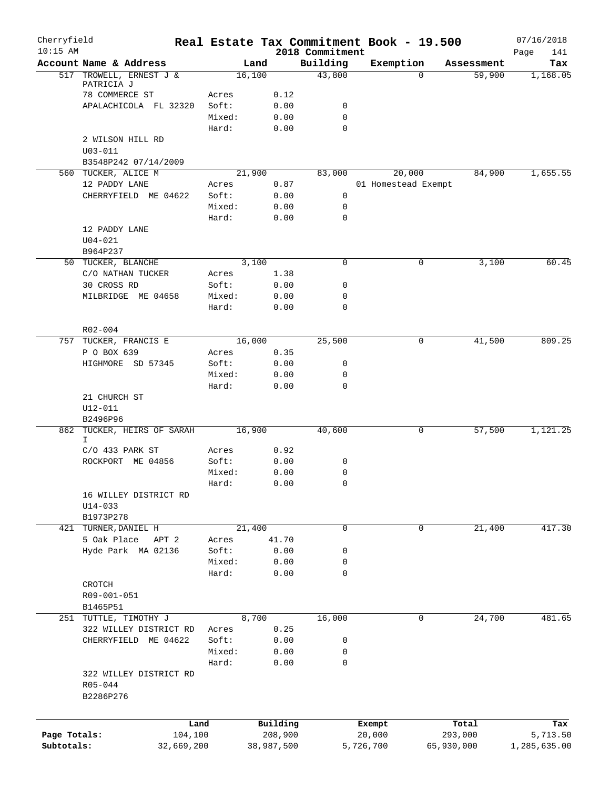| Cherryfield<br>$10:15$ AM |                                                   | Real Estate Tax Commitment Book - 19.500 |                     | 2018 Commitment |                  |                     |                  | 07/16/2018<br>Page<br>141 |
|---------------------------|---------------------------------------------------|------------------------------------------|---------------------|-----------------|------------------|---------------------|------------------|---------------------------|
|                           | Account Name & Address                            | Land                                     |                     | Building        | Exemption        |                     | Assessment       | Tax                       |
| 517                       | TROWELL, ERNEST J &                               | 16,100                                   |                     | 43,800          |                  | 0                   | 59,900           | 1,168.05                  |
|                           | PATRICIA J<br>78 COMMERCE ST                      | Acres                                    | 0.12                |                 |                  |                     |                  |                           |
|                           | APALACHICOLA FL 32320                             | Soft:                                    | 0.00                | 0               |                  |                     |                  |                           |
|                           |                                                   | Mixed:                                   | 0.00                | $\mathbf 0$     |                  |                     |                  |                           |
|                           |                                                   | Hard:                                    | 0.00                | $\mathbf 0$     |                  |                     |                  |                           |
|                           | 2 WILSON HILL RD                                  |                                          |                     |                 |                  |                     |                  |                           |
|                           | $U03 - 011$                                       |                                          |                     |                 |                  |                     |                  |                           |
|                           | B3548P242 07/14/2009                              |                                          |                     |                 |                  |                     |                  |                           |
|                           | 560 TUCKER, ALICE M                               | 21,900                                   |                     | 83,000          |                  | 20,000              | 84,900           | 1,655.55                  |
|                           | 12 PADDY LANE                                     | Acres                                    | 0.87                |                 |                  | 01 Homestead Exempt |                  |                           |
|                           | CHERRYFIELD ME 04622                              | Soft:                                    | 0.00                | 0               |                  |                     |                  |                           |
|                           |                                                   | Mixed:                                   | 0.00                | 0               |                  |                     |                  |                           |
|                           |                                                   | Hard:                                    | 0.00                | $\mathbf 0$     |                  |                     |                  |                           |
|                           | 12 PADDY LANE                                     |                                          |                     |                 |                  |                     |                  |                           |
|                           | $U04 - 021$                                       |                                          |                     |                 |                  |                     |                  |                           |
|                           | B964P237                                          |                                          |                     |                 |                  |                     |                  |                           |
|                           | 50 TUCKER, BLANCHE                                | 3,100                                    |                     | $\mathbf 0$     |                  | 0                   | 3,100            | 60.45                     |
|                           | C/O NATHAN TUCKER                                 | Acres                                    | 1.38                |                 |                  |                     |                  |                           |
|                           | 30 CROSS RD                                       | Soft:                                    | 0.00                | 0               |                  |                     |                  |                           |
|                           | MILBRIDGE ME 04658                                | Mixed:                                   | 0.00                | $\mathbf 0$     |                  |                     |                  |                           |
|                           |                                                   | Hard:                                    | 0.00                | $\mathbf 0$     |                  |                     |                  |                           |
|                           |                                                   |                                          |                     |                 |                  |                     |                  |                           |
|                           | R02-004                                           | 16,000                                   |                     | 25,500          |                  |                     | 41,500           | 809.25                    |
|                           | 757 TUCKER, FRANCIS E<br>P O BOX 639              | Acres                                    | 0.35                |                 |                  | 0                   |                  |                           |
|                           | HIGHMORE SD 57345                                 | Soft:                                    | 0.00                | 0               |                  |                     |                  |                           |
|                           |                                                   | Mixed:                                   | 0.00                | 0               |                  |                     |                  |                           |
|                           |                                                   | Hard:                                    | 0.00                | $\mathbf 0$     |                  |                     |                  |                           |
|                           | 21 CHURCH ST<br>U12-011<br>B2496P96               |                                          |                     |                 |                  |                     |                  |                           |
|                           | 862 TUCKER, HEIRS OF SARAH                        | 16,900                                   |                     | 40,600          |                  | 0                   | 57,500           | 1,121.25                  |
|                           | I.                                                |                                          |                     |                 |                  |                     |                  |                           |
|                           | $C/O$ 433 PARK ST                                 | Acres                                    | 0.92                |                 |                  |                     |                  |                           |
|                           | ROCKPORT ME 04856                                 | Soft:                                    | 0.00                | 0               |                  |                     |                  |                           |
|                           |                                                   | Mixed:                                   | 0.00                | 0               |                  |                     |                  |                           |
|                           |                                                   | Hard:                                    | 0.00                | $\mathbf 0$     |                  |                     |                  |                           |
|                           | 16 WILLEY DISTRICT RD<br>$U14 - 033$<br>B1973P278 |                                          |                     |                 |                  |                     |                  |                           |
| 421                       | TURNER, DANIEL H                                  | 21,400                                   |                     | $\mathbf 0$     |                  | 0                   | 21,400           | 417.30                    |
|                           | 5 Oak Place<br>APT 2                              | Acres                                    | 41.70               |                 |                  |                     |                  |                           |
|                           | Hyde Park MA 02136                                | Soft:                                    | 0.00                | 0               |                  |                     |                  |                           |
|                           |                                                   | Mixed:                                   | 0.00                | 0               |                  |                     |                  |                           |
|                           |                                                   | Hard:                                    | 0.00                | $\mathbf 0$     |                  |                     |                  |                           |
|                           | CROTCH                                            |                                          |                     |                 |                  |                     |                  |                           |
|                           | R09-001-051                                       |                                          |                     |                 |                  |                     |                  |                           |
|                           | B1465P51                                          |                                          |                     |                 |                  |                     |                  |                           |
|                           | 251 TUTTLE, TIMOTHY J                             | 8,700                                    |                     | 16,000          |                  | 0                   | 24,700           | 481.65                    |
|                           | 322 WILLEY DISTRICT RD                            | Acres                                    | 0.25                |                 |                  |                     |                  |                           |
|                           | CHERRYFIELD ME 04622                              | Soft:                                    | 0.00                | 0               |                  |                     |                  |                           |
|                           |                                                   | Mixed:                                   | 0.00                | 0               |                  |                     |                  |                           |
|                           |                                                   | Hard:                                    | 0.00                | $\mathbf 0$     |                  |                     |                  |                           |
|                           | 322 WILLEY DISTRICT RD<br>R05-044<br>B2286P276    |                                          |                     |                 |                  |                     |                  |                           |
|                           |                                                   |                                          |                     |                 |                  |                     |                  |                           |
| Page Totals:              | 104,100                                           | Land                                     | Building<br>208,900 |                 | Exempt<br>20,000 |                     | Total<br>293,000 | Tax<br>5,713.50           |
| Subtotals:                | 32,669,200                                        |                                          | 38,987,500          |                 | 5,726,700        |                     | 65,930,000       | 1,285,635.00              |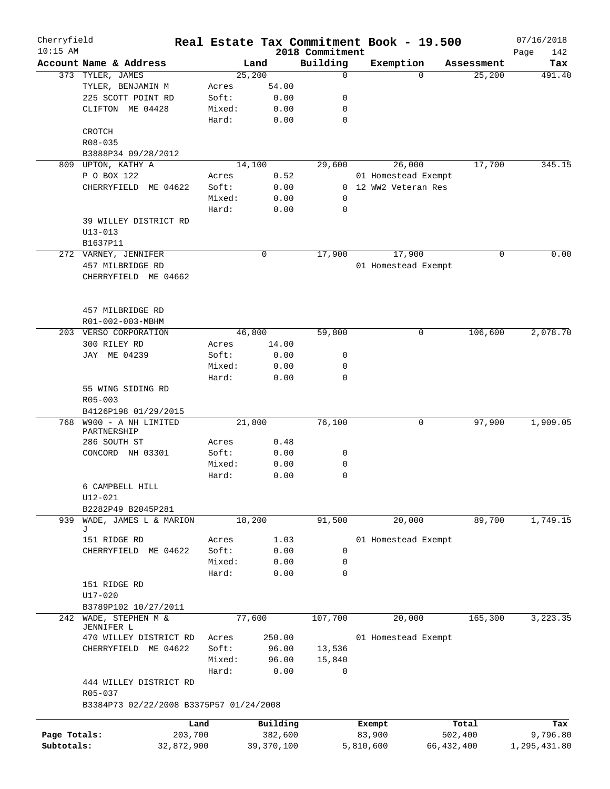| Cherryfield<br>$10:15$ AM |                                             |            |        |            |      | 2018 Commitment | Real Estate Tax Commitment Book - 19.500 |              |            | 07/16/2018<br>Page<br>142 |
|---------------------------|---------------------------------------------|------------|--------|------------|------|-----------------|------------------------------------------|--------------|------------|---------------------------|
|                           | Account Name & Address                      |            |        | Land       |      | Building        | Exemption                                |              | Assessment | Tax                       |
|                           | 373 TYLER, JAMES                            |            |        | 25,200     |      | 0               |                                          | $\Omega$     | 25,200     | 491.40                    |
|                           | TYLER, BENJAMIN M                           |            | Acres  | 54.00      |      |                 |                                          |              |            |                           |
|                           | 225 SCOTT POINT RD                          |            | Soft:  |            | 0.00 | 0               |                                          |              |            |                           |
|                           | CLIFTON ME 04428                            |            | Mixed: |            | 0.00 | 0               |                                          |              |            |                           |
|                           |                                             |            | Hard:  |            | 0.00 | $\mathbf 0$     |                                          |              |            |                           |
|                           | CROTCH                                      |            |        |            |      |                 |                                          |              |            |                           |
|                           | R08-035                                     |            |        |            |      |                 |                                          |              |            |                           |
|                           | B3888P34 09/28/2012                         |            |        |            |      |                 |                                          |              |            |                           |
|                           | 809 UPTON, KATHY A                          |            |        | 14,100     |      | 29,600          | 26,000                                   |              | 17,700     | 345.15                    |
|                           | P O BOX 122                                 |            | Acres  |            | 0.52 |                 | 01 Homestead Exempt                      |              |            |                           |
|                           | CHERRYFIELD ME 04622                        |            | Soft:  |            | 0.00 |                 | 0 12 WW2 Veteran Res                     |              |            |                           |
|                           |                                             |            | Mixed: |            | 0.00 | 0               |                                          |              |            |                           |
|                           |                                             |            | Hard:  |            | 0.00 | 0               |                                          |              |            |                           |
|                           | 39 WILLEY DISTRICT RD                       |            |        |            |      |                 |                                          |              |            |                           |
|                           | $U13 - 013$                                 |            |        |            |      |                 |                                          |              |            |                           |
|                           | B1637P11                                    |            |        |            |      |                 |                                          |              |            |                           |
|                           | 272 VARNEY, JENNIFER                        |            |        | 0          |      | 17,900          | 17,900                                   |              | 0          | 0.00                      |
|                           | 457 MILBRIDGE RD                            |            |        |            |      |                 | 01 Homestead Exempt                      |              |            |                           |
|                           | CHERRYFIELD ME 04662                        |            |        |            |      |                 |                                          |              |            |                           |
|                           |                                             |            |        |            |      |                 |                                          |              |            |                           |
|                           |                                             |            |        |            |      |                 |                                          |              |            |                           |
|                           | 457 MILBRIDGE RD                            |            |        |            |      |                 |                                          |              |            |                           |
|                           | R01-002-003-MBHM                            |            |        |            |      |                 |                                          |              |            |                           |
|                           | 203 VERSO CORPORATION                       |            |        | 46,800     |      | 59,800          |                                          | 0            | 106,600    | 2,078.70                  |
|                           | 300 RILEY RD                                |            | Acres  | 14.00      |      |                 |                                          |              |            |                           |
|                           | JAY ME 04239                                |            | Soft:  |            | 0.00 | 0               |                                          |              |            |                           |
|                           |                                             |            | Mixed: |            | 0.00 | 0               |                                          |              |            |                           |
|                           |                                             |            | Hard:  |            | 0.00 | 0               |                                          |              |            |                           |
|                           | 55 WING SIDING RD                           |            |        |            |      |                 |                                          |              |            |                           |
|                           | R05-003                                     |            |        |            |      |                 |                                          |              |            |                           |
|                           | B4126P198 01/29/2015<br>W900 - A NH LIMITED |            |        |            |      |                 |                                          | 0            |            | 1,909.05                  |
| 768                       | PARTNERSHIP                                 |            |        | 21,800     |      | 76,100          |                                          |              | 97,900     |                           |
|                           | 286 SOUTH ST                                |            | Acres  |            | 0.48 |                 |                                          |              |            |                           |
|                           | CONCORD NH 03301                            |            | Soft:  |            | 0.00 | 0               |                                          |              |            |                           |
|                           |                                             |            | Mixed: |            | 0.00 | 0               |                                          |              |            |                           |
|                           |                                             |            | Hard:  |            | 0.00 | 0               |                                          |              |            |                           |
|                           | 6 CAMPBELL HILL                             |            |        |            |      |                 |                                          |              |            |                           |
|                           | U12-021                                     |            |        |            |      |                 |                                          |              |            |                           |
|                           | B2282P49 B2045P281                          |            |        |            |      |                 |                                          |              |            |                           |
| 939                       | WADE, JAMES L & MARION                      |            |        | 18,200     |      | 91,500          | 20,000                                   |              | 89,700     | 1,749.15                  |
|                           | J                                           |            |        |            |      |                 |                                          |              |            |                           |
|                           | 151 RIDGE RD                                |            | Acres  |            | 1.03 |                 | 01 Homestead Exempt                      |              |            |                           |
|                           | CHERRYFIELD ME 04622                        |            | Soft:  |            | 0.00 | 0               |                                          |              |            |                           |
|                           |                                             |            | Mixed: |            | 0.00 | 0               |                                          |              |            |                           |
|                           |                                             |            | Hard:  |            | 0.00 | 0               |                                          |              |            |                           |
|                           | 151 RIDGE RD                                |            |        |            |      |                 |                                          |              |            |                           |
|                           | U17-020<br>B3789P102 10/27/2011             |            |        |            |      |                 |                                          |              |            |                           |
| 242                       | WADE, STEPHEN M &                           |            |        | 77,600     |      | 107,700         | 20,000                                   |              | 165,300    | 3,223.35                  |
|                           | JENNIFER L                                  |            |        |            |      |                 |                                          |              |            |                           |
|                           | 470 WILLEY DISTRICT RD                      |            | Acres  | 250.00     |      |                 | 01 Homestead Exempt                      |              |            |                           |
|                           | CHERRYFIELD ME 04622                        |            | Soft:  | 96.00      |      | 13,536          |                                          |              |            |                           |
|                           |                                             |            | Mixed: | 96.00      |      | 15,840          |                                          |              |            |                           |
|                           |                                             |            | Hard:  |            | 0.00 | 0               |                                          |              |            |                           |
|                           | 444 WILLEY DISTRICT RD                      |            |        |            |      |                 |                                          |              |            |                           |
|                           | R05-037                                     |            |        |            |      |                 |                                          |              |            |                           |
|                           | B3384P73 02/22/2008 B3375P57 01/24/2008     |            |        |            |      |                 |                                          |              |            |                           |
|                           |                                             | Land       |        | Building   |      |                 | Exempt                                   |              | Total      | Tax                       |
| Page Totals:              |                                             | 203,700    |        | 382,600    |      |                 | 83,900                                   |              | 502,400    | 9,796.80                  |
| Subtotals:                |                                             | 32,872,900 |        | 39,370,100 |      |                 | 5,810,600                                | 66, 432, 400 |            | 1,295,431.80              |
|                           |                                             |            |        |            |      |                 |                                          |              |            |                           |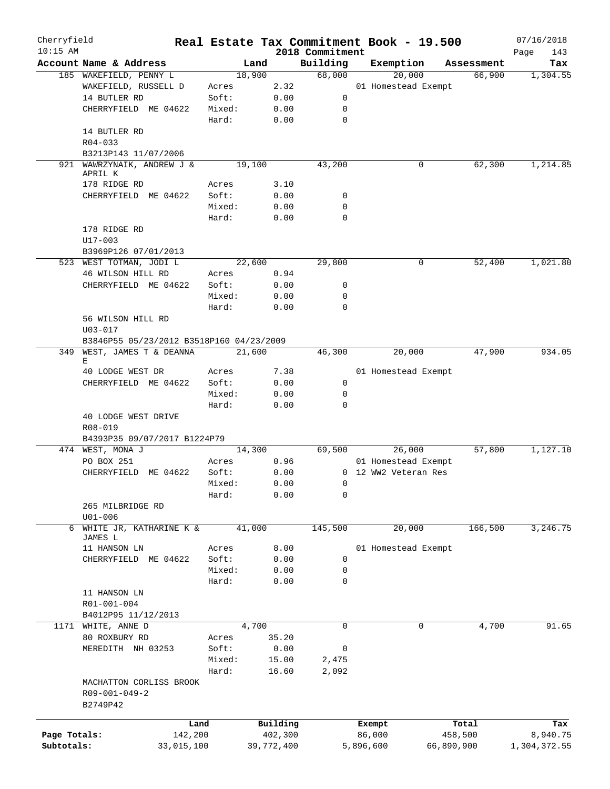| Cherryfield  |                                          |            | Real Estate Tax Commitment Book - 19.500 |            |                 |           |                      |            |            | 07/16/2018      |
|--------------|------------------------------------------|------------|------------------------------------------|------------|-----------------|-----------|----------------------|------------|------------|-----------------|
| $10:15$ AM   |                                          |            |                                          |            | 2018 Commitment |           |                      |            |            | Page<br>143     |
|              | Account Name & Address                   |            | Land                                     |            | Building        |           | Exemption<br>20,000  |            | Assessment | Tax<br>1,304.55 |
|              | 185 WAKEFIELD, PENNY L                   |            | 18,900                                   |            | 68,000          |           |                      |            | 66,900     |                 |
|              | WAKEFIELD, RUSSELL D                     |            | Acres                                    | 2.32       |                 |           | 01 Homestead Exempt  |            |            |                 |
|              | 14 BUTLER RD                             |            | Soft:                                    | 0.00       | 0               |           |                      |            |            |                 |
|              | CHERRYFIELD ME 04622                     |            | Mixed:                                   | 0.00       | 0               |           |                      |            |            |                 |
|              |                                          |            | Hard:                                    | 0.00       | $\mathbf 0$     |           |                      |            |            |                 |
|              | 14 BUTLER RD                             |            |                                          |            |                 |           |                      |            |            |                 |
|              | $R04 - 033$                              |            |                                          |            |                 |           |                      |            |            |                 |
|              | B3213P143 11/07/2006                     |            |                                          |            |                 |           |                      |            |            |                 |
|              | 921 WAWRZYNAIK, ANDREW J &               |            | 19,100                                   |            | 43,200          |           | 0                    |            | 62,300     | 1,214.85        |
|              | APRIL K                                  |            |                                          |            |                 |           |                      |            |            |                 |
|              | 178 RIDGE RD                             |            | Acres                                    | 3.10       |                 |           |                      |            |            |                 |
|              | CHERRYFIELD ME 04622                     |            | Soft:                                    | 0.00       | 0               |           |                      |            |            |                 |
|              |                                          |            | Mixed:                                   | 0.00       | $\mathbf 0$     |           |                      |            |            |                 |
|              |                                          |            | Hard:                                    | 0.00       | $\mathbf 0$     |           |                      |            |            |                 |
|              | 178 RIDGE RD                             |            |                                          |            |                 |           |                      |            |            |                 |
|              | $U17 - 003$                              |            |                                          |            |                 |           |                      |            |            |                 |
|              | B3969P126 07/01/2013                     |            |                                          |            |                 |           |                      |            |            |                 |
|              | 523 WEST TOTMAN, JODI L                  |            | 22,600                                   |            | 29,800          |           | 0                    |            | 52,400     | 1,021.80        |
|              | 46 WILSON HILL RD                        |            | Acres                                    | 0.94       |                 |           |                      |            |            |                 |
|              | CHERRYFIELD ME 04622                     |            | Soft:                                    | 0.00       | 0               |           |                      |            |            |                 |
|              |                                          |            | Mixed:                                   | 0.00       | $\mathbf 0$     |           |                      |            |            |                 |
|              |                                          |            | Hard:                                    | 0.00       | $\Omega$        |           |                      |            |            |                 |
|              | 56 WILSON HILL RD                        |            |                                          |            |                 |           |                      |            |            |                 |
|              | $U03 - 017$                              |            |                                          |            |                 |           |                      |            |            |                 |
|              | B3846P55 05/23/2012 B3518P160 04/23/2009 |            |                                          |            |                 |           |                      |            |            |                 |
| 349          | WEST, JAMES T & DEANNA                   |            | 21,600                                   |            | 46,300          |           | 20,000               |            | 47,900     | 934.05          |
|              | Е                                        |            |                                          |            |                 |           |                      |            |            |                 |
|              | 40 LODGE WEST DR                         |            | Acres                                    | 7.38       |                 |           | 01 Homestead Exempt  |            |            |                 |
|              | CHERRYFIELD ME 04622                     |            | Soft:                                    | 0.00       | 0               |           |                      |            |            |                 |
|              |                                          |            | Mixed:                                   | 0.00       | $\mathbf 0$     |           |                      |            |            |                 |
|              |                                          |            | Hard:                                    | 0.00       | $\mathbf 0$     |           |                      |            |            |                 |
|              | 40 LODGE WEST DRIVE                      |            |                                          |            |                 |           |                      |            |            |                 |
|              | R08-019                                  |            |                                          |            |                 |           |                      |            |            |                 |
|              | B4393P35 09/07/2017 B1224P79             |            |                                          |            |                 |           |                      |            |            |                 |
|              | 474 WEST, MONA J                         |            | 14,300                                   |            | 69,500          |           | 26,000               |            | 57,800     | 1,127.10        |
|              | PO BOX 251                               |            | Acres                                    | 0.96       |                 |           | 01 Homestead Exempt  |            |            |                 |
|              | CHERRYFIELD ME 04622                     |            | Soft:                                    | 0.00       |                 |           | 0 12 WW2 Veteran Res |            |            |                 |
|              |                                          |            |                                          |            |                 |           |                      |            |            |                 |
|              |                                          |            | Mixed:                                   | 0.00       | $\overline{0}$  |           |                      |            |            |                 |
|              |                                          |            | Hard:                                    | 0.00       | 0               |           |                      |            |            |                 |
|              | 265 MILBRIDGE RD                         |            |                                          |            |                 |           |                      |            |            |                 |
|              | $U01 - 006$                              |            |                                          |            |                 |           |                      |            |            |                 |
|              | 6 WHITE JR, KATHARINE K &                |            | 41,000                                   |            | 145,500         |           | 20,000               |            | 166,500    | 3,246.75        |
|              | JAMES L                                  |            |                                          |            |                 |           |                      |            |            |                 |
|              | 11 HANSON LN                             |            | Acres                                    | 8.00       |                 |           | 01 Homestead Exempt  |            |            |                 |
|              | CHERRYFIELD ME 04622                     |            | Soft:                                    | 0.00       | 0               |           |                      |            |            |                 |
|              |                                          |            | Mixed:                                   | 0.00       | 0               |           |                      |            |            |                 |
|              |                                          |            | Hard:                                    | 0.00       | 0               |           |                      |            |            |                 |
|              | 11 HANSON LN                             |            |                                          |            |                 |           |                      |            |            |                 |
|              | R01-001-004                              |            |                                          |            |                 |           |                      |            |            |                 |
|              | B4012P95 11/12/2013                      |            |                                          |            |                 |           |                      |            |            |                 |
| 1171         | WHITE, ANNE D                            |            | 4,700                                    |            | $\mathbf 0$     |           | 0                    |            | 4,700      | 91.65           |
|              | 80 ROXBURY RD                            |            | Acres                                    | 35.20      |                 |           |                      |            |            |                 |
|              | MEREDITH NH 03253                        |            | Soft:                                    | 0.00       | 0               |           |                      |            |            |                 |
|              |                                          |            | Mixed:                                   | 15.00      | 2,475           |           |                      |            |            |                 |
|              |                                          |            | Hard:                                    | 16.60      | 2,092           |           |                      |            |            |                 |
|              | MACHATTON CORLISS BROOK                  |            |                                          |            |                 |           |                      |            |            |                 |
|              | R09-001-049-2                            |            |                                          |            |                 |           |                      |            |            |                 |
|              | B2749P42                                 |            |                                          |            |                 |           |                      |            |            |                 |
|              |                                          |            |                                          |            |                 |           |                      |            |            |                 |
|              |                                          | Land       |                                          | Building   |                 | Exempt    |                      |            | Total      | Tax             |
| Page Totals: |                                          | 142,200    |                                          | 402,300    |                 | 86,000    |                      | 458,500    |            | 8,940.75        |
| Subtotals:   |                                          | 33,015,100 |                                          | 39,772,400 |                 | 5,896,600 |                      | 66,890,900 |            | 1,304,372.55    |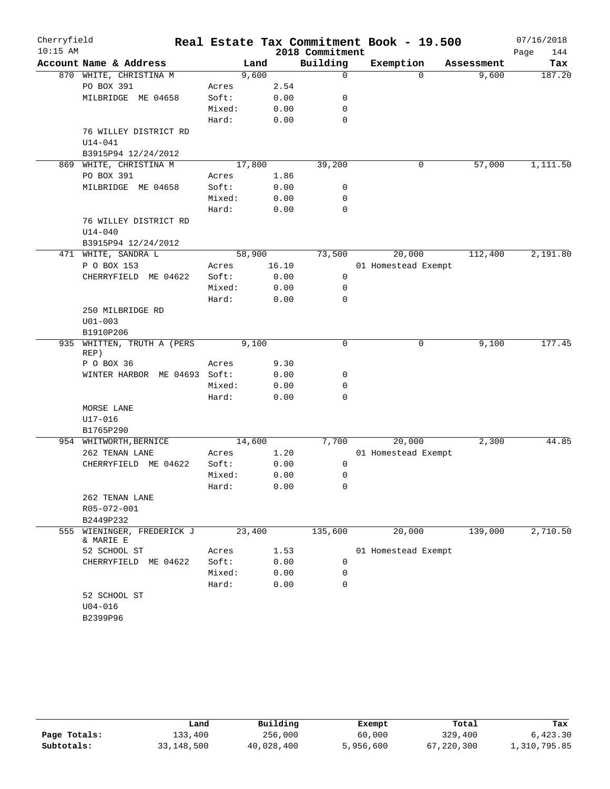| Cherryfield |                                         |        |        |       |                 |              | Real Estate Tax Commitment Book - 19.500 |          |            | 07/16/2018 |          |
|-------------|-----------------------------------------|--------|--------|-------|-----------------|--------------|------------------------------------------|----------|------------|------------|----------|
| $10:15$ AM  |                                         |        |        |       | 2018 Commitment |              |                                          |          |            | Page       | 144      |
|             | Account Name & Address                  |        | Land   |       | Building        |              | Exemption                                |          | Assessment |            | Tax      |
|             | 870 WHITE, CHRISTINA M                  |        | 9,600  |       |                 | $\mathbf 0$  |                                          | $\Omega$ | 9,600      |            | 187.20   |
|             | PO BOX 391                              | Acres  |        | 2.54  |                 |              |                                          |          |            |            |          |
|             | MILBRIDGE ME 04658                      | Soft:  |        | 0.00  |                 | 0            |                                          |          |            |            |          |
|             |                                         | Mixed: |        | 0.00  |                 | $\mathbf 0$  |                                          |          |            |            |          |
|             |                                         | Hard:  |        | 0.00  |                 | $\mathbf 0$  |                                          |          |            |            |          |
|             | 76 WILLEY DISTRICT RD                   |        |        |       |                 |              |                                          |          |            |            |          |
|             | $U14 - 041$                             |        |        |       |                 |              |                                          |          |            |            |          |
|             | B3915P94 12/24/2012                     |        |        |       |                 |              |                                          |          |            |            |          |
| 869         | WHITE, CHRISTINA M                      |        | 17,800 |       |                 | 39,200       |                                          | 0        | 57,000     |            | 1,111.50 |
|             | PO BOX 391                              | Acres  |        | 1.86  |                 |              |                                          |          |            |            |          |
|             | MILBRIDGE ME 04658                      | Soft:  |        | 0.00  |                 | 0            |                                          |          |            |            |          |
|             |                                         | Mixed: |        | 0.00  |                 | 0            |                                          |          |            |            |          |
|             |                                         | Hard:  |        | 0.00  |                 | $\mathbf 0$  |                                          |          |            |            |          |
|             | 76 WILLEY DISTRICT RD                   |        |        |       |                 |              |                                          |          |            |            |          |
|             | $U14 - 040$                             |        |        |       |                 |              |                                          |          |            |            |          |
|             | B3915P94 12/24/2012                     |        |        |       |                 |              |                                          |          |            |            |          |
|             | 471 WHITE, SANDRA L                     |        | 58,900 |       |                 | 73,500       | 20,000                                   |          | 112,400    |            | 2,191.80 |
|             | P O BOX 153                             | Acres  |        | 16.10 |                 |              | 01 Homestead Exempt                      |          |            |            |          |
|             | CHERRYFIELD ME 04622                    | Soft:  |        | 0.00  |                 | 0            |                                          |          |            |            |          |
|             |                                         | Mixed: |        | 0.00  |                 | 0            |                                          |          |            |            |          |
|             |                                         | Hard:  |        | 0.00  |                 | $\mathbf 0$  |                                          |          |            |            |          |
|             | 250 MILBRIDGE RD                        |        |        |       |                 |              |                                          |          |            |            |          |
|             | $U01 - 003$                             |        |        |       |                 |              |                                          |          |            |            |          |
|             | B1910P206                               |        |        |       |                 |              |                                          |          |            |            |          |
| 935         | WHITTEN, TRUTH A (PERS<br>REP)          |        | 9,100  |       |                 | $\mathsf{O}$ |                                          | 0        | 9,100      |            | 177.45   |
|             | P O BOX 36                              | Acres  |        | 9.30  |                 |              |                                          |          |            |            |          |
|             | WINTER HARBOR ME 04693 Soft:            |        |        | 0.00  |                 | 0            |                                          |          |            |            |          |
|             |                                         | Mixed: |        | 0.00  |                 | 0            |                                          |          |            |            |          |
|             |                                         | Hard:  |        | 0.00  |                 | $\mathbf 0$  |                                          |          |            |            |          |
|             | MORSE LANE                              |        |        |       |                 |              |                                          |          |            |            |          |
|             | U17-016                                 |        |        |       |                 |              |                                          |          |            |            |          |
|             | B1765P290                               |        |        |       |                 |              |                                          |          |            |            |          |
|             | 954 WHITWORTH, BERNICE                  |        | 14,600 |       |                 | 7,700        | 20,000                                   |          | 2,300      |            | 44.85    |
|             | 262 TENAN LANE                          | Acres  |        | 1.20  |                 |              | 01 Homestead Exempt                      |          |            |            |          |
|             | CHERRYFIELD ME 04622                    | Soft:  |        | 0.00  |                 | 0            |                                          |          |            |            |          |
|             |                                         | Mixed: |        | 0.00  |                 | 0            |                                          |          |            |            |          |
|             |                                         | Hard:  |        | 0.00  |                 | 0            |                                          |          |            |            |          |
|             | 262 TENAN LANE                          |        |        |       |                 |              |                                          |          |            |            |          |
|             | R05-072-001                             |        |        |       |                 |              |                                          |          |            |            |          |
|             | B2449P232                               |        |        |       |                 |              |                                          |          |            |            |          |
|             | 555 WIENINGER, FREDERICK J<br>& MARIE E |        | 23,400 |       |                 | 135,600      | 20,000                                   |          | 139,000    |            | 2,710.50 |
|             | 52 SCHOOL ST                            | Acres  |        | 1.53  |                 |              | 01 Homestead Exempt                      |          |            |            |          |
|             | CHERRYFIELD ME 04622                    | Soft:  |        | 0.00  |                 | 0            |                                          |          |            |            |          |
|             |                                         | Mixed: |        | 0.00  |                 | 0            |                                          |          |            |            |          |
|             |                                         | Hard:  |        | 0.00  |                 | $\mathbf 0$  |                                          |          |            |            |          |
|             | 52 SCHOOL ST                            |        |        |       |                 |              |                                          |          |            |            |          |
|             | $U04 - 016$                             |        |        |       |                 |              |                                          |          |            |            |          |
|             | B2399P96                                |        |        |       |                 |              |                                          |          |            |            |          |

|              | Land       | Building   | Exempt    | Total      | Tax          |
|--------------|------------|------------|-----------|------------|--------------|
| Page Totals: | 133,400    | 256,000    | 60,000    | 329,400    | 6.423.30     |
| Subtotals:   | 33,148,500 | 40,028,400 | 5,956,600 | 67,220,300 | 1,310,795.85 |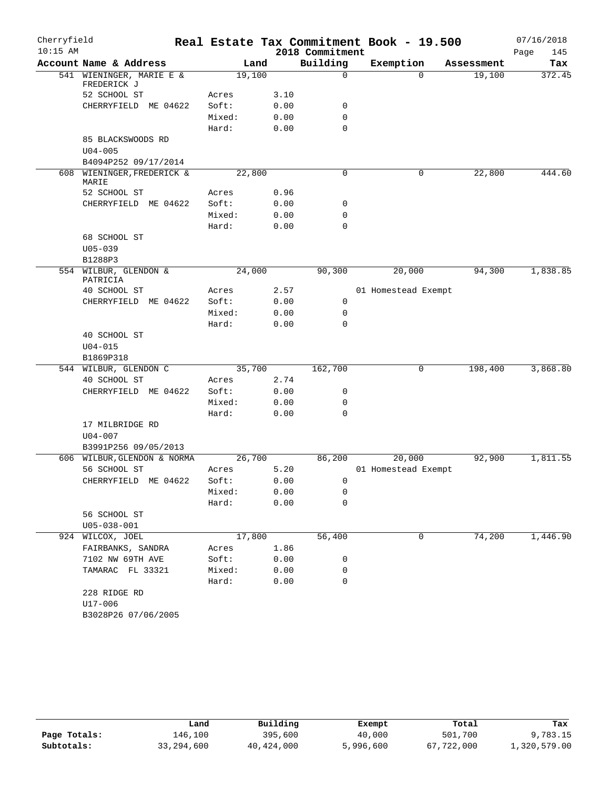| Cherryfield |                                         |                 |              |                 | Real Estate Tax Commitment Book - 19.500 |            | 07/16/2018  |
|-------------|-----------------------------------------|-----------------|--------------|-----------------|------------------------------------------|------------|-------------|
| $10:15$ AM  |                                         |                 |              | 2018 Commitment |                                          |            | Page<br>145 |
|             | Account Name & Address                  |                 | Land         | Building        | Exemption                                | Assessment | Tax         |
|             | 541 WIENINGER, MARIE E &<br>FREDERICK J |                 | 19,100       | 0               | $\Omega$                                 | 19,100     | 372.45      |
|             | 52 SCHOOL ST                            | Acres           | 3.10         |                 |                                          |            |             |
|             | CHERRYFIELD ME 04622                    | Soft:           | 0.00         | 0               |                                          |            |             |
|             |                                         | Mixed:          | 0.00         | $\mathbf 0$     |                                          |            |             |
|             |                                         | Hard:           | 0.00         | $\mathbf 0$     |                                          |            |             |
|             | 85 BLACKSWOODS RD                       |                 |              |                 |                                          |            |             |
|             | $U04 - 005$                             |                 |              |                 |                                          |            |             |
|             | B4094P252 09/17/2014                    |                 |              |                 |                                          |            |             |
|             | 608 WIENINGER, FREDERICK &<br>MARIE     |                 | 22,800       | $\mathbf 0$     | 0                                        | 22,800     | 444.60      |
|             | 52 SCHOOL ST                            | Acres           | 0.96         |                 |                                          |            |             |
|             | CHERRYFIELD ME 04622                    | Soft:           | 0.00         | 0               |                                          |            |             |
|             |                                         | Mixed:          | 0.00         | $\mathbf 0$     |                                          |            |             |
|             |                                         | Hard:           | 0.00         | $\mathbf 0$     |                                          |            |             |
|             | 68 SCHOOL ST                            |                 |              |                 |                                          |            |             |
|             | $U05 - 039$                             |                 |              |                 |                                          |            |             |
|             | B1288P3                                 |                 |              |                 |                                          |            |             |
|             | 554 WILBUR, GLENDON &<br>PATRICIA       |                 | 24,000       | 90,300          | 20,000                                   | 94,300     | 1,838.85    |
|             | 40 SCHOOL ST                            | Acres           | 2.57         |                 | 01 Homestead Exempt                      |            |             |
|             | CHERRYFIELD ME 04622                    | Soft:           | 0.00         | $\mathbf 0$     |                                          |            |             |
|             |                                         | Mixed:          | 0.00         | 0               |                                          |            |             |
|             |                                         | Hard:           | 0.00         | $\mathbf 0$     |                                          |            |             |
|             | 40 SCHOOL ST                            |                 |              |                 |                                          |            |             |
|             | $U04 - 015$                             |                 |              |                 |                                          |            |             |
|             | B1869P318                               |                 |              |                 |                                          |            |             |
|             | 544 WILBUR, GLENDON C                   |                 | 35,700       | 162,700         | 0                                        | 198,400    | 3,868.80    |
|             | 40 SCHOOL ST                            | Acres           | 2.74         | 0               |                                          |            |             |
|             | CHERRYFIELD ME 04622                    | Soft:<br>Mixed: | 0.00<br>0.00 | $\mathbf 0$     |                                          |            |             |
|             |                                         | Hard:           | 0.00         | $\mathbf 0$     |                                          |            |             |
|             | 17 MILBRIDGE RD                         |                 |              |                 |                                          |            |             |
|             | $U04 - 007$                             |                 |              |                 |                                          |            |             |
|             | B3991P256 09/05/2013                    |                 |              |                 |                                          |            |             |
|             | 606 WILBUR, GLENDON & NORMA             |                 | 26,700       | 86,200          | 20,000                                   | 92,900     | 1,811.55    |
|             | 56 SCHOOL ST                            | Acres           | 5.20         |                 | 01 Homestead Exempt                      |            |             |
|             | CHERRYFIELD ME 04622                    | Soft:           | 0.00         | 0               |                                          |            |             |
|             |                                         | Mixed:          | 0.00         | 0               |                                          |            |             |
|             |                                         | Hard:           | 0.00         | 0               |                                          |            |             |
|             | 56 SCHOOL ST                            |                 |              |                 |                                          |            |             |
|             | $U05 - 038 - 001$                       |                 |              |                 |                                          |            |             |
|             | 924 WILCOX, JOEL                        |                 | 17,800       | 56,400          | 0                                        | 74,200     | 1,446.90    |
|             | FAIRBANKS, SANDRA                       | Acres           | 1.86         |                 |                                          |            |             |
|             | 7102 NW 69TH AVE                        | Soft:           | 0.00         | 0               |                                          |            |             |
|             | TAMARAC FL 33321                        | Mixed:          | 0.00         | 0               |                                          |            |             |
|             |                                         | Hard:           | 0.00         | 0               |                                          |            |             |
|             | 228 RIDGE RD                            |                 |              |                 |                                          |            |             |
|             | U17-006                                 |                 |              |                 |                                          |            |             |
|             | B3028P26 07/06/2005                     |                 |              |                 |                                          |            |             |

|              | Land         | Building   | Exempt    | Total      | Tax          |
|--------------|--------------|------------|-----------|------------|--------------|
| Page Totals: | 146.100      | 395,600    | 40,000    | 501,700    | 9,783.15     |
| Subtotals:   | 33, 294, 600 | 40,424,000 | 5,996,600 | 67,722,000 | 1,320,579.00 |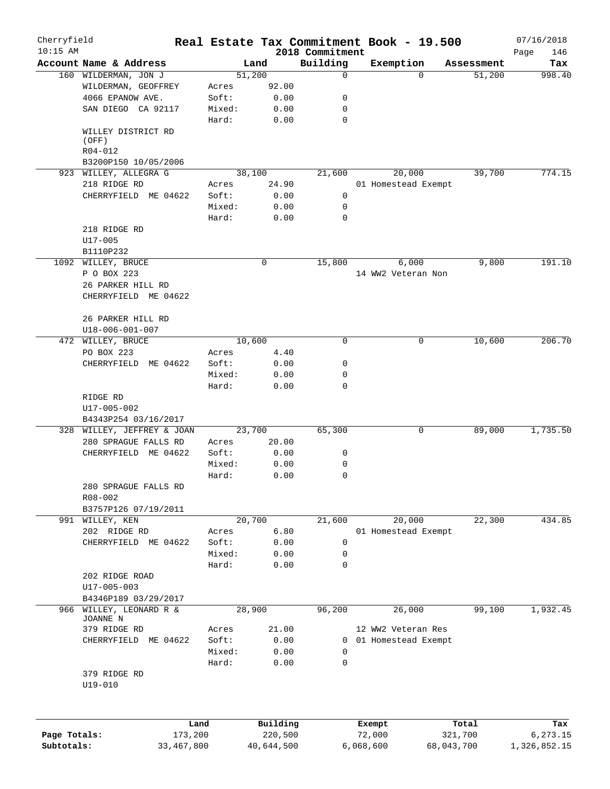| Cherryfield<br>$10:15$ AM |                            |         |            | 2018 Commitment |           | Real Estate Tax Commitment Book - 19.500 |            | 07/16/2018         |
|---------------------------|----------------------------|---------|------------|-----------------|-----------|------------------------------------------|------------|--------------------|
|                           | Account Name & Address     |         | Land       | Building        |           | Exemption                                | Assessment | Page<br>146<br>Tax |
|                           | 160 WILDERMAN, JON J       |         | 51,200     | 0               |           | $\Omega$                                 | 51,200     | 998.40             |
|                           | WILDERMAN, GEOFFREY        | Acres   | 92.00      |                 |           |                                          |            |                    |
|                           | 4066 EPANOW AVE.           | Soft:   | 0.00       | 0               |           |                                          |            |                    |
|                           | SAN DIEGO CA 92117         | Mixed:  | 0.00       | 0               |           |                                          |            |                    |
|                           |                            | Hard:   | 0.00       | $\mathbf 0$     |           |                                          |            |                    |
|                           | WILLEY DISTRICT RD         |         |            |                 |           |                                          |            |                    |
|                           | (OFF)                      |         |            |                 |           |                                          |            |                    |
|                           | R04-012                    |         |            |                 |           |                                          |            |                    |
|                           | B3200P150 10/05/2006       |         |            |                 |           |                                          |            |                    |
|                           | 923 WILLEY, ALLEGRA G      |         | 38,100     | 21,600          |           | 20,000                                   | 39,700     | 774.15             |
|                           | 218 RIDGE RD               | Acres   | 24.90      |                 |           | 01 Homestead Exempt                      |            |                    |
|                           | CHERRYFIELD ME 04622       | Soft:   | 0.00       | 0               |           |                                          |            |                    |
|                           |                            | Mixed:  | 0.00       | 0               |           |                                          |            |                    |
|                           |                            | Hard:   | 0.00       | 0               |           |                                          |            |                    |
|                           | 218 RIDGE RD               |         |            |                 |           |                                          |            |                    |
|                           | $U17 - 005$                |         |            |                 |           |                                          |            |                    |
|                           | B1110P232                  |         |            |                 |           |                                          |            |                    |
|                           | 1092 WILLEY, BRUCE         |         | 0          | 15,800          |           | 6,000                                    | 9,800      | 191.10             |
|                           | P O BOX 223                |         |            |                 |           | 14 WW2 Veteran Non                       |            |                    |
|                           | 26 PARKER HILL RD          |         |            |                 |           |                                          |            |                    |
|                           | CHERRYFIELD ME 04622       |         |            |                 |           |                                          |            |                    |
|                           |                            |         |            |                 |           |                                          |            |                    |
|                           | 26 PARKER HILL RD          |         |            |                 |           |                                          |            |                    |
|                           | U18-006-001-007            |         |            |                 |           |                                          |            |                    |
|                           | 472 WILLEY, BRUCE          |         | 10,600     | $\mathbf 0$     |           | 0                                        | 10,600     | 206.70             |
|                           | PO BOX 223                 | Acres   | 4.40       |                 |           |                                          |            |                    |
|                           | CHERRYFIELD ME 04622       | Soft:   | 0.00       | 0               |           |                                          |            |                    |
|                           |                            | Mixed:  | 0.00       | 0               |           |                                          |            |                    |
|                           |                            | Hard:   | 0.00       | 0               |           |                                          |            |                    |
|                           | RIDGE RD                   |         |            |                 |           |                                          |            |                    |
|                           | U17-005-002                |         |            |                 |           |                                          |            |                    |
|                           | B4343P254 03/16/2017       |         |            |                 |           |                                          |            |                    |
|                           | 328 WILLEY, JEFFREY & JOAN |         | 23,700     | 65,300          |           | 0                                        | 89,000     | 1,735.50           |
|                           | 280 SPRAGUE FALLS RD       | Acres   | 20.00      |                 |           |                                          |            |                    |
|                           | CHERRYFIELD ME 04622       | Soft:   | 0.00       | 0               |           |                                          |            |                    |
|                           |                            | Mixed:  | 0.00       | 0               |           |                                          |            |                    |
|                           |                            | Hard:   | 0.00       | 0               |           |                                          |            |                    |
|                           | 280 SPRAGUE FALLS RD       |         |            |                 |           |                                          |            |                    |
|                           | $R08 - 002$                |         |            |                 |           |                                          |            |                    |
|                           | B3757P126 07/19/2011       |         |            |                 |           |                                          |            |                    |
|                           | 991 WILLEY, KEN            |         | 20,700     | 21,600          |           | 20,000                                   | 22,300     | 434.85             |
|                           | 202 RIDGE RD               | Acres   | 6.80       |                 |           | 01 Homestead Exempt                      |            |                    |
|                           | CHERRYFIELD ME 04622       | Soft:   | 0.00       | 0               |           |                                          |            |                    |
|                           |                            | Mixed:  | 0.00       | 0               |           |                                          |            |                    |
|                           |                            | Hard:   | 0.00       | 0               |           |                                          |            |                    |
|                           | 202 RIDGE ROAD             |         |            |                 |           |                                          |            |                    |
|                           | U17-005-003                |         |            |                 |           |                                          |            |                    |
|                           | B4346P189 03/29/2017       |         |            |                 |           |                                          |            |                    |
| 966                       | WILLEY, LEONARD R &        |         | 28,900     | 96,200          |           | 26,000                                   | 99,100     | 1,932.45           |
|                           | JOANNE N                   |         |            |                 |           |                                          |            |                    |
|                           | 379 RIDGE RD               | Acres   | 21.00      |                 |           | 12 WW2 Veteran Res                       |            |                    |
|                           | CHERRYFIELD ME 04622       | Soft:   | 0.00       |                 |           | 0 01 Homestead Exempt                    |            |                    |
|                           |                            | Mixed:  | 0.00       | 0               |           |                                          |            |                    |
|                           |                            | Hard:   | 0.00       | 0               |           |                                          |            |                    |
|                           | 379 RIDGE RD               |         |            |                 |           |                                          |            |                    |
|                           | U19-010                    |         |            |                 |           |                                          |            |                    |
|                           |                            |         |            |                 |           |                                          |            |                    |
|                           |                            |         |            |                 |           |                                          |            |                    |
|                           |                            | Land    | Building   |                 | Exempt    |                                          | Total      | Tax                |
| Page Totals:              |                            | 173,200 | 220,500    |                 | 72,000    |                                          | 321,700    | 6,273.15           |
| Subtotals:                | 33,467,800                 |         | 40,644,500 |                 | 6,068,600 |                                          | 68,043,700 | 1,326,852.15       |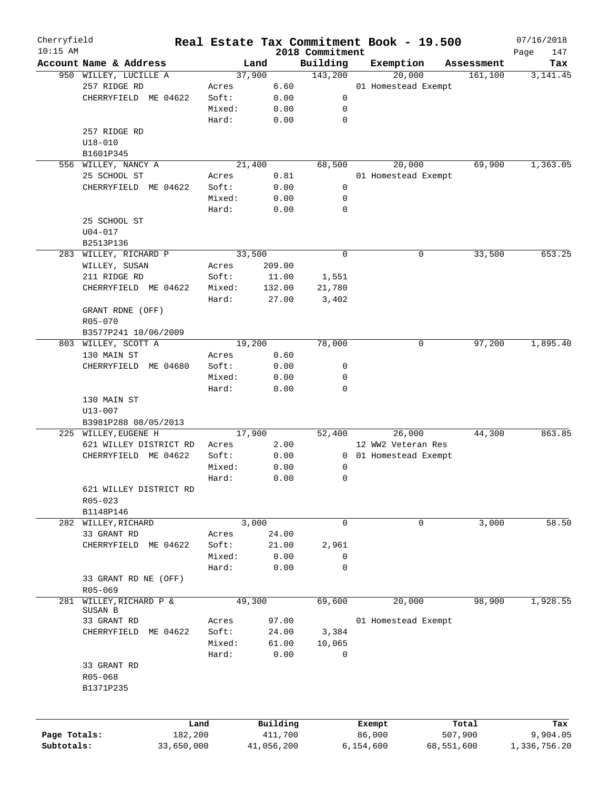| Cherryfield  |                         | Real Estate Tax Commitment Book - 19.500 |            |                             |           |                       |            | 07/16/2018         |
|--------------|-------------------------|------------------------------------------|------------|-----------------------------|-----------|-----------------------|------------|--------------------|
| $10:15$ AM   | Account Name & Address  |                                          | Land       | 2018 Commitment<br>Building | Exemption |                       | Assessment | Page<br>147<br>Tax |
|              | 950 WILLEY, LUCILLE A   |                                          | 37,900     | 143,200                     |           | 20,000                | 161, 100   | 3, 141.45          |
|              | 257 RIDGE RD            | Acres                                    | 6.60       |                             |           | 01 Homestead Exempt   |            |                    |
|              | CHERRYFIELD ME 04622    | Soft:                                    | 0.00       | 0                           |           |                       |            |                    |
|              |                         | Mixed:                                   | 0.00       | 0                           |           |                       |            |                    |
|              |                         |                                          |            |                             |           |                       |            |                    |
|              |                         | Hard:                                    | 0.00       | 0                           |           |                       |            |                    |
|              | 257 RIDGE RD            |                                          |            |                             |           |                       |            |                    |
|              | $U18 - 010$             |                                          |            |                             |           |                       |            |                    |
|              | B1601P345               |                                          |            |                             |           |                       |            |                    |
|              | 556 WILLEY, NANCY A     |                                          | 21,400     | 68,500                      |           | 20,000                | 69,900     | 1,363.05           |
|              | 25 SCHOOL ST            | Acres                                    | 0.81       |                             |           | 01 Homestead Exempt   |            |                    |
|              | CHERRYFIELD ME 04622    | Soft:                                    | 0.00       | 0                           |           |                       |            |                    |
|              |                         | Mixed:                                   | 0.00       | 0                           |           |                       |            |                    |
|              |                         | Hard:                                    | 0.00       | 0                           |           |                       |            |                    |
|              | 25 SCHOOL ST            |                                          |            |                             |           |                       |            |                    |
|              | $U04 - 017$             |                                          |            |                             |           |                       |            |                    |
|              | B2513P136               |                                          |            |                             |           |                       |            |                    |
|              | 283 WILLEY, RICHARD P   |                                          | 33,500     | 0                           |           | 0                     | 33,500     | 653.25             |
|              | WILLEY, SUSAN           | Acres                                    | 209.00     |                             |           |                       |            |                    |
|              | 211 RIDGE RD            | Soft:                                    | 11.00      | 1,551                       |           |                       |            |                    |
|              | CHERRYFIELD ME 04622    | Mixed:                                   | 132.00     | 21,780                      |           |                       |            |                    |
|              |                         | Hard:                                    | 27.00      | 3,402                       |           |                       |            |                    |
|              | GRANT RDNE (OFF)        |                                          |            |                             |           |                       |            |                    |
|              | R05-070                 |                                          |            |                             |           |                       |            |                    |
|              | B3577P241 10/06/2009    |                                          |            |                             |           |                       |            |                    |
|              |                         |                                          |            | 78,000                      |           |                       | 97,200     | 1,895.40           |
|              | 803 WILLEY, SCOTT A     |                                          | 19,200     |                             |           | 0                     |            |                    |
|              | 130 MAIN ST             | Acres                                    | 0.60       |                             |           |                       |            |                    |
|              | CHERRYFIELD ME 04680    | Soft:                                    | 0.00       | 0                           |           |                       |            |                    |
|              |                         | Mixed:                                   | 0.00       | 0                           |           |                       |            |                    |
|              |                         | Hard:                                    | 0.00       | 0                           |           |                       |            |                    |
|              | 130 MAIN ST             |                                          |            |                             |           |                       |            |                    |
|              | $U13 - 007$             |                                          |            |                             |           |                       |            |                    |
|              | B3981P288 08/05/2013    |                                          |            |                             |           |                       |            |                    |
|              | 225 WILLEY, EUGENE H    |                                          | 17,900     | 52,400                      |           | 26,000                | 44,300     | 863.85             |
|              | 621 WILLEY DISTRICT RD  | Acres                                    | 2.00       |                             |           | 12 WW2 Veteran Res    |            |                    |
|              | CHERRYFIELD ME 04622    | Soft:                                    | 0.00       |                             |           | 0 01 Homestead Exempt |            |                    |
|              |                         | Mixed:                                   | 0.00       | 0                           |           |                       |            |                    |
|              |                         | Hard:                                    | 0.00       | 0                           |           |                       |            |                    |
|              | 621 WILLEY DISTRICT RD  |                                          |            |                             |           |                       |            |                    |
|              | $R05 - 023$             |                                          |            |                             |           |                       |            |                    |
|              | B1148P146               |                                          |            |                             |           |                       |            |                    |
|              | 282 WILLEY, RICHARD     |                                          | 3,000      | 0                           |           | 0                     | 3,000      | 58.50              |
|              | 33 GRANT RD             | Acres                                    | 24.00      |                             |           |                       |            |                    |
|              | CHERRYFIELD<br>ME 04622 | Soft:                                    | 21.00      | 2,961                       |           |                       |            |                    |
|              |                         | Mixed:                                   | 0.00       | 0                           |           |                       |            |                    |
|              |                         | Hard:                                    | 0.00       | 0                           |           |                       |            |                    |
|              | 33 GRANT RD NE (OFF)    |                                          |            |                             |           |                       |            |                    |
|              | R05-069                 |                                          |            |                             |           |                       |            |                    |
|              | WILLEY, RICHARD P &     |                                          | 49,300     |                             |           |                       | 98,900     |                    |
| 281          | SUSAN B                 |                                          |            | 69,600                      |           | 20,000                |            | 1,928.55           |
|              | 33 GRANT RD             | Acres                                    | 97.00      |                             |           | 01 Homestead Exempt   |            |                    |
|              | CHERRYFIELD<br>ME 04622 | Soft:                                    | 24.00      | 3,384                       |           |                       |            |                    |
|              |                         | Mixed:                                   | 61.00      | 10,065                      |           |                       |            |                    |
|              |                         |                                          |            |                             |           |                       |            |                    |
|              |                         | Hard:                                    | 0.00       | 0                           |           |                       |            |                    |
|              | 33 GRANT RD             |                                          |            |                             |           |                       |            |                    |
|              | R05-068                 |                                          |            |                             |           |                       |            |                    |
|              | B1371P235               |                                          |            |                             |           |                       |            |                    |
|              |                         |                                          |            |                             |           |                       |            |                    |
|              |                         | Land                                     | Building   |                             | Exempt    |                       | Total      | Tax                |
| Page Totals: | 182,200                 |                                          | 411,700    |                             | 86,000    |                       | 507,900    | 9,904.05           |
| Subtotals:   | 33,650,000              |                                          | 41,056,200 |                             | 6,154,600 |                       | 68,551,600 | 1,336,756.20       |
|              |                         |                                          |            |                             |           |                       |            |                    |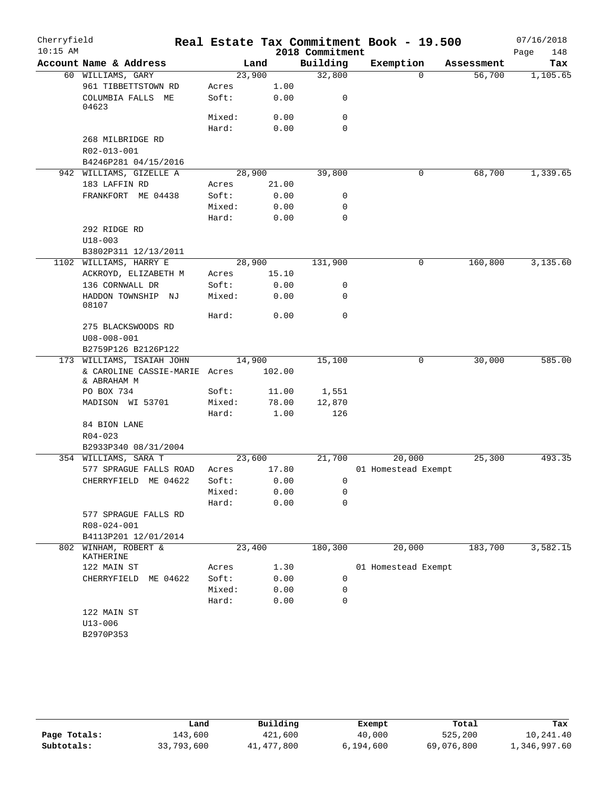| Cherryfield |                                              |        |        |                 | Real Estate Tax Commitment Book - 19.500 |            | 07/16/2018  |
|-------------|----------------------------------------------|--------|--------|-----------------|------------------------------------------|------------|-------------|
| $10:15$ AM  |                                              |        |        | 2018 Commitment |                                          |            | Page<br>148 |
|             | Account Name & Address                       |        | Land   | Building        | Exemption                                | Assessment | Tax         |
|             | 60 WILLIAMS, GARY                            | 23,900 |        | 32,800          | $\mathbf 0$                              | 56,700     | 1,105.65    |
|             | 961 TIBBETTSTOWN RD                          | Acres  | 1.00   |                 |                                          |            |             |
|             | COLUMBIA FALLS ME<br>04623                   | Soft:  | 0.00   | 0               |                                          |            |             |
|             |                                              | Mixed: | 0.00   | 0               |                                          |            |             |
|             |                                              | Hard:  | 0.00   | $\mathbf 0$     |                                          |            |             |
|             | 268 MILBRIDGE RD                             |        |        |                 |                                          |            |             |
|             | R02-013-001                                  |        |        |                 |                                          |            |             |
|             | B4246P281 04/15/2016                         |        |        |                 |                                          |            |             |
|             | 942 WILLIAMS, GIZELLE A                      | 28,900 |        | 39,800          | 0                                        | 68,700     | 1,339.65    |
|             | 183 LAFFIN RD                                | Acres  | 21.00  |                 |                                          |            |             |
|             | FRANKFORT ME 04438                           | Soft:  | 0.00   | 0               |                                          |            |             |
|             |                                              | Mixed: | 0.00   | 0               |                                          |            |             |
|             |                                              | Hard:  | 0.00   | $\mathbf 0$     |                                          |            |             |
|             | 292 RIDGE RD                                 |        |        |                 |                                          |            |             |
|             | $U18 - 003$                                  |        |        |                 |                                          |            |             |
|             | B3802P311 12/13/2011                         |        |        |                 |                                          |            |             |
|             | 1102 WILLIAMS, HARRY E                       | 28,900 |        | 131,900         | 0                                        | 160,800    | 3,135.60    |
|             | ACKROYD, ELIZABETH M                         | Acres  | 15.10  |                 |                                          |            |             |
|             | 136 CORNWALL DR                              | Soft:  | 0.00   | 0               |                                          |            |             |
|             | HADDON TOWNSHIP NJ<br>08107                  | Mixed: | 0.00   | 0               |                                          |            |             |
|             |                                              | Hard:  | 0.00   | $\mathbf 0$     |                                          |            |             |
|             | 275 BLACKSWOODS RD                           |        |        |                 |                                          |            |             |
|             | $U08 - 008 - 001$                            |        |        |                 |                                          |            |             |
|             | B2759P126 B2126P122                          |        |        |                 |                                          |            |             |
|             | 173 WILLIAMS, ISAIAH JOHN                    | 14,900 |        | 15,100          | 0                                        | 30,000     | 585.00      |
|             | & CAROLINE CASSIE-MARIE Acres<br>& ABRAHAM M |        | 102.00 |                 |                                          |            |             |
|             | PO BOX 734                                   | Soft:  | 11.00  | 1,551           |                                          |            |             |
|             | MADISON WI 53701                             | Mixed: | 78.00  | 12,870          |                                          |            |             |
|             |                                              | Hard:  | 1.00   | 126             |                                          |            |             |
|             | 84 BION LANE                                 |        |        |                 |                                          |            |             |
|             | $R04 - 023$                                  |        |        |                 |                                          |            |             |
|             | B2933P340 08/31/2004                         |        |        |                 |                                          |            |             |
|             | 354 WILLIAMS, SARA T                         | 23,600 |        | 21,700          | 20,000                                   | 25,300     | 493.35      |
|             | 577 SPRAGUE FALLS ROAD                       | Acres  | 17.80  |                 | 01 Homestead Exempt                      |            |             |
|             | CHERRYFIELD ME 04622                         | Soft:  | 0.00   | 0               |                                          |            |             |
|             |                                              | Mixed: | 0.00   | 0               |                                          |            |             |
|             |                                              | Hard:  | 0.00   | 0               |                                          |            |             |
|             | 577 SPRAGUE FALLS RD                         |        |        |                 |                                          |            |             |
|             | R08-024-001                                  |        |        |                 |                                          |            |             |
|             | B4113P201 12/01/2014                         |        |        |                 |                                          |            |             |
| 802         | WINHAM, ROBERT &<br>KATHERINE                | 23,400 |        | 180,300         | 20,000                                   | 183,700    | 3,582.15    |
|             | 122 MAIN ST                                  | Acres  | 1.30   |                 | 01 Homestead Exempt                      |            |             |
|             | CHERRYFIELD<br>ME 04622                      | Soft:  | 0.00   | 0               |                                          |            |             |
|             |                                              | Mixed: | 0.00   | 0               |                                          |            |             |
|             |                                              | Hard:  | 0.00   | 0               |                                          |            |             |
|             | 122 MAIN ST                                  |        |        |                 |                                          |            |             |
|             | $U13 - 006$                                  |        |        |                 |                                          |            |             |
|             | B2970P353                                    |        |        |                 |                                          |            |             |
|             |                                              |        |        |                 |                                          |            |             |

|              | Land       | Building   | Exempt    | Total      | Tax          |
|--------------|------------|------------|-----------|------------|--------------|
| Page Totals: | 143,600    | 421,600    | 40,000    | 525,200    | 10,241.40    |
| Subtotals:   | 33,793,600 | 41,477,800 | 6,194,600 | 69,076,800 | 1,346,997.60 |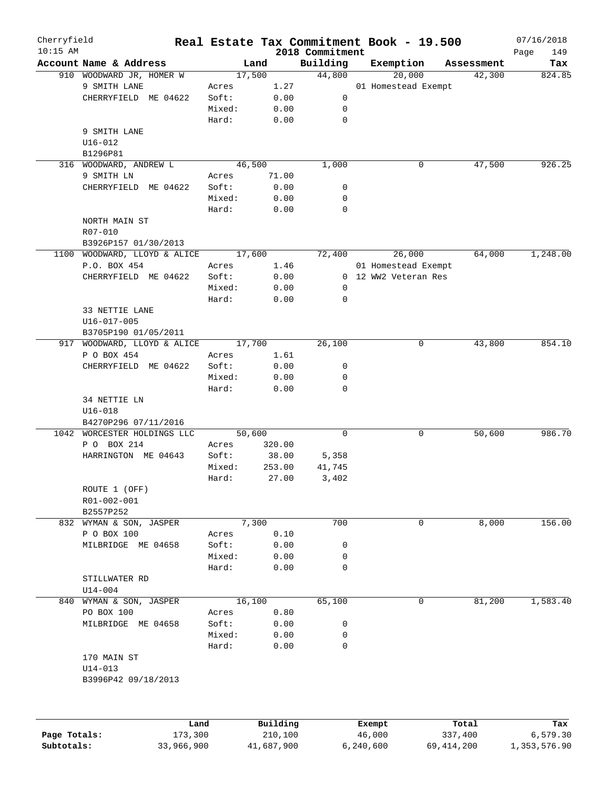| Cherryfield  |                              |            |        |            |                             |           | Real Estate Tax Commitment Book - 19.500 |              | 07/16/2018         |
|--------------|------------------------------|------------|--------|------------|-----------------------------|-----------|------------------------------------------|--------------|--------------------|
| $10:15$ AM   | Account Name & Address       |            | Land   |            | 2018 Commitment<br>Building |           | Exemption                                | Assessment   | 149<br>Page<br>Tax |
|              | 910 WOODWARD JR, HOMER W     |            | 17,500 |            | 44,800                      |           | 20,000                                   | 42,300       | 824.85             |
|              | 9 SMITH LANE                 | Acres      |        | 1.27       |                             |           | 01 Homestead Exempt                      |              |                    |
|              | CHERRYFIELD ME 04622         | Soft:      |        | 0.00       | 0                           |           |                                          |              |                    |
|              |                              |            |        |            |                             |           |                                          |              |                    |
|              |                              | Mixed:     |        | 0.00       | 0                           |           |                                          |              |                    |
|              |                              | Hard:      |        | 0.00       | 0                           |           |                                          |              |                    |
|              | 9 SMITH LANE                 |            |        |            |                             |           |                                          |              |                    |
|              | $U16 - 012$                  |            |        |            |                             |           |                                          |              |                    |
|              | B1296P81                     |            |        |            |                             |           |                                          |              |                    |
|              | 316 WOODWARD, ANDREW L       |            | 46,500 |            | 1,000                       |           | 0                                        | 47,500       | 926.25             |
|              | 9 SMITH LN                   | Acres      |        | 71.00      |                             |           |                                          |              |                    |
|              | CHERRYFIELD ME 04622         | Soft:      |        | 0.00       | 0                           |           |                                          |              |                    |
|              |                              | Mixed:     |        | 0.00       | 0                           |           |                                          |              |                    |
|              |                              | Hard:      |        | 0.00       | 0                           |           |                                          |              |                    |
|              | NORTH MAIN ST                |            |        |            |                             |           |                                          |              |                    |
|              | R07-010                      |            |        |            |                             |           |                                          |              |                    |
|              | B3926P157 01/30/2013         |            |        |            |                             |           |                                          |              |                    |
|              | 1100 WOODWARD, LLOYD & ALICE |            | 17,600 |            | 72,400                      |           | 26,000                                   | 64,000       | 1,248.00           |
|              | P.O. BOX 454                 | Acres      |        | 1.46       |                             |           | 01 Homestead Exempt                      |              |                    |
|              | CHERRYFIELD ME 04622         | Soft:      |        | 0.00       |                             |           | 0 12 WW2 Veteran Res                     |              |                    |
|              |                              | Mixed:     |        | 0.00       | 0                           |           |                                          |              |                    |
|              |                              | Hard:      |        | 0.00       | $\mathbf 0$                 |           |                                          |              |                    |
|              | 33 NETTIE LANE               |            |        |            |                             |           |                                          |              |                    |
|              | $U16 - 017 - 005$            |            |        |            |                             |           |                                          |              |                    |
|              |                              |            |        |            |                             |           |                                          |              |                    |
|              | B3705P190 01/05/2011         |            | 17,700 |            |                             |           |                                          | 43,800       | 854.10             |
|              | 917 WOODWARD, LLOYD & ALICE  |            |        |            | 26,100                      |           | 0                                        |              |                    |
|              | P O BOX 454                  | Acres      |        | 1.61       |                             |           |                                          |              |                    |
|              | CHERRYFIELD ME 04622         | Soft:      |        | 0.00       | 0                           |           |                                          |              |                    |
|              |                              | Mixed:     |        | 0.00       | 0                           |           |                                          |              |                    |
|              |                              | Hard:      |        | 0.00       | $\Omega$                    |           |                                          |              |                    |
|              | 34 NETTIE LN                 |            |        |            |                             |           |                                          |              |                    |
|              | $U16 - 018$                  |            |        |            |                             |           |                                          |              |                    |
|              | B4270P296 07/11/2016         |            |        |            |                             |           |                                          |              |                    |
| 1042         | WORCESTER HOLDINGS LLC       |            | 50,600 |            | 0                           |           | 0                                        | 50,600       | 986.70             |
|              | P O BOX 214                  | Acres      |        | 320.00     |                             |           |                                          |              |                    |
|              | HARRINGTON ME 04643          | Soft:      |        | 38.00      | 5,358                       |           |                                          |              |                    |
|              |                              | Mixed:     |        | 253.00     | 41,745                      |           |                                          |              |                    |
|              |                              | Hard:      |        | 27.00      | 3,402                       |           |                                          |              |                    |
|              | ROUTE 1 (OFF)                |            |        |            |                             |           |                                          |              |                    |
|              | R01-002-001                  |            |        |            |                             |           |                                          |              |                    |
|              | B2557P252                    |            |        |            |                             |           |                                          |              |                    |
|              | 832 WYMAN & SON, JASPER      |            | 7,300  |            | 700                         |           | 0                                        | 8,000        | 156.00             |
|              | P O BOX 100                  | Acres      |        | 0.10       |                             |           |                                          |              |                    |
|              | MILBRIDGE ME 04658           | Soft:      |        | 0.00       | 0                           |           |                                          |              |                    |
|              |                              | Mixed:     |        | 0.00       | 0                           |           |                                          |              |                    |
|              |                              | Hard:      |        | 0.00       | 0                           |           |                                          |              |                    |
|              | STILLWATER RD                |            |        |            |                             |           |                                          |              |                    |
|              | $U14 - 004$                  |            |        |            |                             |           |                                          |              |                    |
| 840          | WYMAN & SON, JASPER          |            | 16,100 |            | 65,100                      |           | 0                                        | 81,200       | 1,583.40           |
|              | PO BOX 100                   | Acres      |        | 0.80       |                             |           |                                          |              |                    |
|              |                              |            |        |            |                             |           |                                          |              |                    |
|              | MILBRIDGE ME 04658           | Soft:      |        | 0.00       | 0                           |           |                                          |              |                    |
|              |                              | Mixed:     |        | 0.00       | 0                           |           |                                          |              |                    |
|              |                              | Hard:      |        | 0.00       | 0                           |           |                                          |              |                    |
|              | 170 MAIN ST                  |            |        |            |                             |           |                                          |              |                    |
|              | $U14 - 013$                  |            |        |            |                             |           |                                          |              |                    |
|              | B3996P42 09/18/2013          |            |        |            |                             |           |                                          |              |                    |
|              |                              |            |        |            |                             |           |                                          |              |                    |
|              |                              | Land       |        | Building   |                             | Exempt    |                                          | Total        | Tax                |
| Page Totals: |                              | 173,300    |        | 210,100    |                             | 46,000    |                                          | 337,400      | 6,579.30           |
| Subtotals:   |                              | 33,966,900 |        | 41,687,900 |                             | 6,240,600 |                                          | 69, 414, 200 | 1,353,576.90       |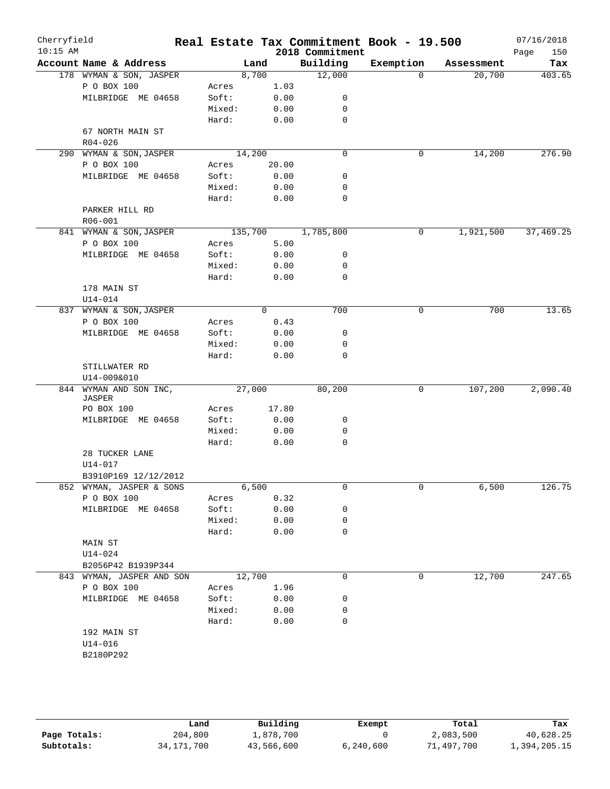| Cherryfield<br>$10:15$ AM |                                          |        |                | 2018 Commitment   | Real Estate Tax Commitment Book - 19.500 |            | 07/16/2018         |
|---------------------------|------------------------------------------|--------|----------------|-------------------|------------------------------------------|------------|--------------------|
|                           | Account Name & Address                   |        | Land           | Building          | Exemption                                | Assessment | 150<br>Page<br>Tax |
|                           | 178 WYMAN & SON, JASPER                  |        | 8,700          | 12,000            | $\Omega$                                 | 20,700     | 403.65             |
|                           | P O BOX 100                              | Acres  | 1.03           |                   |                                          |            |                    |
|                           | MILBRIDGE ME 04658                       | Soft:  | 0.00           | 0                 |                                          |            |                    |
|                           |                                          | Mixed: | 0.00           | 0                 |                                          |            |                    |
|                           |                                          | Hard:  | 0.00           | $\mathbf 0$       |                                          |            |                    |
|                           | 67 NORTH MAIN ST                         |        |                |                   |                                          |            |                    |
|                           | $R04 - 026$                              |        |                |                   |                                          |            |                    |
|                           | 290 WYMAN & SON, JASPER                  |        | 14,200         | $\mathbf 0$       | 0                                        | 14,200     | 276.90             |
|                           | P O BOX 100                              | Acres  | 20.00          |                   |                                          |            |                    |
|                           | MILBRIDGE ME 04658                       | Soft:  | 0.00           | 0                 |                                          |            |                    |
|                           |                                          | Mixed: | 0.00           | 0                 |                                          |            |                    |
|                           |                                          | Hard:  | 0.00           | $\mathbf 0$       |                                          |            |                    |
|                           | PARKER HILL RD                           |        |                |                   |                                          |            |                    |
|                           | R06-001                                  |        |                |                   |                                          |            |                    |
|                           | 841 WYMAN & SON, JASPER                  |        |                | 135,700 1,785,800 | 0                                        | 1,921,500  | 37,469.25          |
|                           | P O BOX 100                              | Acres  | 5.00           |                   |                                          |            |                    |
|                           | MILBRIDGE ME 04658                       | Soft:  | 0.00           | 0                 |                                          |            |                    |
|                           |                                          | Mixed: | 0.00           | 0                 |                                          |            |                    |
|                           |                                          | Hard:  | 0.00           | 0                 |                                          |            |                    |
|                           | 178 MAIN ST                              |        |                |                   |                                          |            |                    |
|                           | $U14 - 014$                              |        |                |                   |                                          |            |                    |
|                           | 837 WYMAN & SON, JASPER                  |        | $\overline{0}$ | 700               | 0                                        | 700        | 13.65              |
|                           | P O BOX 100                              | Acres  | 0.43           |                   |                                          |            |                    |
|                           | MILBRIDGE ME 04658                       | Soft:  | 0.00           | 0                 |                                          |            |                    |
|                           |                                          | Mixed: | 0.00           | 0                 |                                          |            |                    |
|                           |                                          | Hard:  | 0.00           | $\mathbf 0$       |                                          |            |                    |
|                           | STILLWATER RD                            |        |                |                   |                                          |            |                    |
|                           | U14-009&010                              |        |                |                   |                                          |            |                    |
|                           | 844 WYMAN AND SON INC,                   |        | 27,000         | 80,200            | 0                                        | 107,200    | 2,090.40           |
|                           | JASPER                                   |        |                |                   |                                          |            |                    |
|                           | PO BOX 100                               | Acres  | 17.80          |                   |                                          |            |                    |
|                           | MILBRIDGE ME 04658                       | Soft:  | 0.00           | 0                 |                                          |            |                    |
|                           |                                          | Mixed: | 0.00           | 0                 |                                          |            |                    |
|                           |                                          | Hard:  | 0.00           | 0                 |                                          |            |                    |
|                           | 28 TUCKER LANE                           |        |                |                   |                                          |            |                    |
|                           | U14-017                                  |        |                |                   |                                          |            |                    |
|                           | B3910P169 12/12/2012                     |        |                |                   |                                          |            |                    |
|                           | 852 WYMAN, JASPER & SONS                 |        | 6,500          | 0                 | 0                                        | 6,500      | 126.75             |
|                           | P O BOX 100                              | Acres  | 0.32           |                   |                                          |            |                    |
|                           | MILBRIDGE ME 04658                       | Soft:  | 0.00           | 0                 |                                          |            |                    |
|                           |                                          | Mixed: | 0.00           | 0                 |                                          |            |                    |
|                           |                                          | Hard:  | 0.00           | 0                 |                                          |            |                    |
|                           | MAIN ST                                  |        |                |                   |                                          |            |                    |
|                           | $U14 - 024$<br>B2056P42 B1939P344        |        |                |                   |                                          |            |                    |
|                           |                                          |        |                | $\mathbf 0$       | 0                                        |            | 247.65             |
|                           | 843 WYMAN, JASPER AND SON<br>P O BOX 100 | Acres  | 12,700<br>1.96 |                   |                                          | 12,700     |                    |
|                           | MILBRIDGE ME 04658                       | Soft:  | 0.00           | 0                 |                                          |            |                    |
|                           |                                          | Mixed: | 0.00           | 0                 |                                          |            |                    |
|                           |                                          | Hard:  | 0.00           | $\mathbf 0$       |                                          |            |                    |
|                           | 192 MAIN ST                              |        |                |                   |                                          |            |                    |
|                           | $U14 - 016$                              |        |                |                   |                                          |            |                    |
|                           | B2180P292                                |        |                |                   |                                          |            |                    |
|                           |                                          |        |                |                   |                                          |            |                    |

|              | Land         | Building   | Exempt    | Total     | Tax          |
|--------------|--------------|------------|-----------|-----------|--------------|
| Page Totals: | 204,800      | L,878,700  |           | 2,083,500 | 40,628.25    |
| Subtotals:   | 34, 171, 700 | 43,566,600 | 6,240,600 | 1,497,700 | 1,394,205.15 |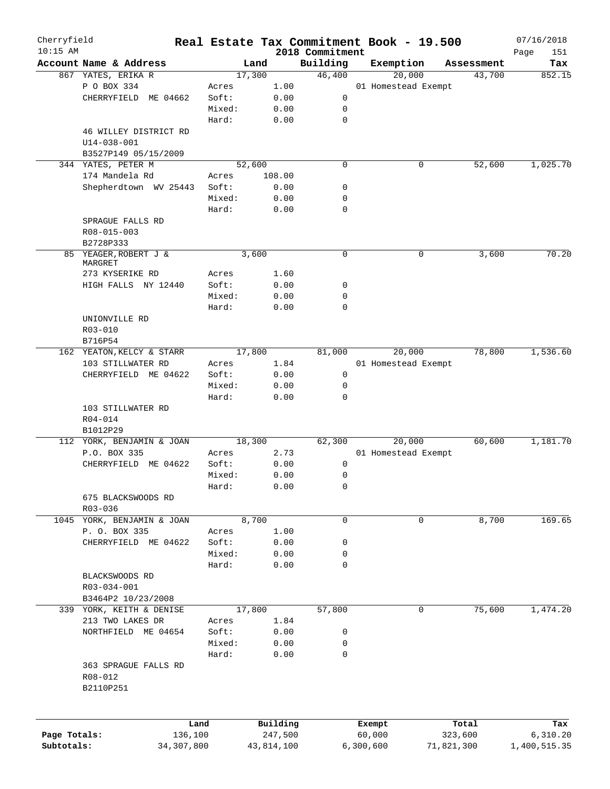| Cherryfield<br>$10:15$ AM |                            |        |            | 2018 Commitment | Real Estate Tax Commitment Book - 19.500 |   |            | 07/16/2018         |
|---------------------------|----------------------------|--------|------------|-----------------|------------------------------------------|---|------------|--------------------|
|                           | Account Name & Address     |        | Land       | Building        | Exemption                                |   | Assessment | Page<br>151<br>Tax |
|                           | 867 YATES, ERIKA R         |        | 17,300     | 46,400          | 20,000                                   |   | 43,700     | 852.15             |
|                           | P O BOX 334                | Acres  | 1.00       |                 | 01 Homestead Exempt                      |   |            |                    |
|                           | CHERRYFIELD<br>ME 04662    | Soft:  | 0.00       | 0               |                                          |   |            |                    |
|                           |                            |        |            |                 |                                          |   |            |                    |
|                           |                            | Mixed: | 0.00       | 0               |                                          |   |            |                    |
|                           |                            | Hard:  | 0.00       | $\mathbf 0$     |                                          |   |            |                    |
|                           | 46 WILLEY DISTRICT RD      |        |            |                 |                                          |   |            |                    |
|                           | $U14 - 038 - 001$          |        |            |                 |                                          |   |            |                    |
|                           | B3527P149 05/15/2009       |        |            |                 |                                          |   |            |                    |
|                           | 344 YATES, PETER M         |        | 52,600     | $\mathbf 0$     |                                          | 0 | 52,600     | 1,025.70           |
|                           | 174 Mandela Rd             | Acres  | 108.00     |                 |                                          |   |            |                    |
|                           | Shepherdtown WV 25443      | Soft:  | 0.00       | 0               |                                          |   |            |                    |
|                           |                            | Mixed: | 0.00       | 0               |                                          |   |            |                    |
|                           |                            | Hard:  | 0.00       | $\mathbf 0$     |                                          |   |            |                    |
|                           | SPRAGUE FALLS RD           |        |            |                 |                                          |   |            |                    |
|                           | R08-015-003                |        |            |                 |                                          |   |            |                    |
|                           | B2728P333                  |        |            |                 |                                          |   |            |                    |
|                           | 85 YEAGER, ROBERT J &      |        | 3,600      | $\mathbf 0$     |                                          | 0 | 3,600      | 70.20              |
|                           | MARGRET                    |        |            |                 |                                          |   |            |                    |
|                           | 273 KYSERIKE RD            | Acres  | 1.60       |                 |                                          |   |            |                    |
|                           | HIGH FALLS NY 12440        | Soft:  | 0.00       | 0               |                                          |   |            |                    |
|                           |                            | Mixed: | 0.00       | 0               |                                          |   |            |                    |
|                           |                            | Hard:  | 0.00       | 0               |                                          |   |            |                    |
|                           | UNIONVILLE RD              |        |            |                 |                                          |   |            |                    |
|                           | R03-010                    |        |            |                 |                                          |   |            |                    |
|                           | B716P54                    |        |            |                 |                                          |   |            |                    |
|                           | 162 YEATON, KELCY & STARR  |        | 17,800     | 81,000          | 20,000                                   |   | 78,800     | 1,536.60           |
|                           | 103 STILLWATER RD          | Acres  | 1.84       |                 | 01 Homestead Exempt                      |   |            |                    |
|                           | CHERRYFIELD ME 04622       | Soft:  | 0.00       | $\mathbf 0$     |                                          |   |            |                    |
|                           |                            | Mixed: | 0.00       | $\mathbf 0$     |                                          |   |            |                    |
|                           |                            | Hard:  | 0.00       | 0               |                                          |   |            |                    |
|                           | 103 STILLWATER RD          |        |            |                 |                                          |   |            |                    |
|                           | R04-014                    |        |            |                 |                                          |   |            |                    |
|                           | B1012P29                   |        |            |                 |                                          |   |            |                    |
|                           | 112 YORK, BENJAMIN & JOAN  |        | 18,300     | 62,300          | 20,000                                   |   | 60,600     | 1,181.70           |
|                           | P.O. BOX 335               | Acres  | 2.73       |                 | 01 Homestead Exempt                      |   |            |                    |
|                           | CHERRYFIELD ME 04622       | Soft:  | 0.00       | 0               |                                          |   |            |                    |
|                           |                            | Mixed: | 0.00       | 0               |                                          |   |            |                    |
|                           |                            |        |            |                 |                                          |   |            |                    |
|                           |                            | Hard:  | 0.00       | 0               |                                          |   |            |                    |
|                           | 675 BLACKSWOODS RD         |        |            |                 |                                          |   |            |                    |
|                           | R03-036                    |        |            |                 |                                          |   |            |                    |
|                           | 1045 YORK, BENJAMIN & JOAN |        | 8,700      | 0               |                                          | 0 | 8,700      | 169.65             |
|                           | P. O. BOX 335              | Acres  | 1.00       |                 |                                          |   |            |                    |
|                           | CHERRYFIELD ME 04622       | Soft:  | 0.00       | 0               |                                          |   |            |                    |
|                           |                            | Mixed: | 0.00       | 0               |                                          |   |            |                    |
|                           |                            | Hard:  | 0.00       | 0               |                                          |   |            |                    |
|                           | BLACKSWOODS RD             |        |            |                 |                                          |   |            |                    |
|                           | R03-034-001                |        |            |                 |                                          |   |            |                    |
|                           | B3464P2 10/23/2008         |        |            |                 |                                          |   |            |                    |
|                           | 339 YORK, KEITH & DENISE   |        | 17,800     | 57,800          |                                          | 0 | 75,600     | 1,474.20           |
|                           | 213 TWO LAKES DR           | Acres  | 1.84       |                 |                                          |   |            |                    |
|                           | NORTHFIELD ME 04654        | Soft:  | 0.00       | 0               |                                          |   |            |                    |
|                           |                            | Mixed: | 0.00       | 0               |                                          |   |            |                    |
|                           |                            | Hard:  | 0.00       | 0               |                                          |   |            |                    |
|                           | 363 SPRAGUE FALLS RD       |        |            |                 |                                          |   |            |                    |
|                           | R08-012                    |        |            |                 |                                          |   |            |                    |
|                           | B2110P251                  |        |            |                 |                                          |   |            |                    |
|                           |                            |        |            |                 |                                          |   |            |                    |
|                           |                            |        |            |                 |                                          |   |            |                    |
|                           |                            | Land   | Building   |                 | Exempt                                   |   | Total      | Tax                |
| Page Totals:              | 136,100                    |        | 247,500    |                 | 60,000                                   |   | 323,600    | 6,310.20           |
| Subtotals:                | 34, 307, 800               |        | 43,814,100 |                 | 6,300,600                                |   | 71,821,300 | 1,400,515.35       |
|                           |                            |        |            |                 |                                          |   |            |                    |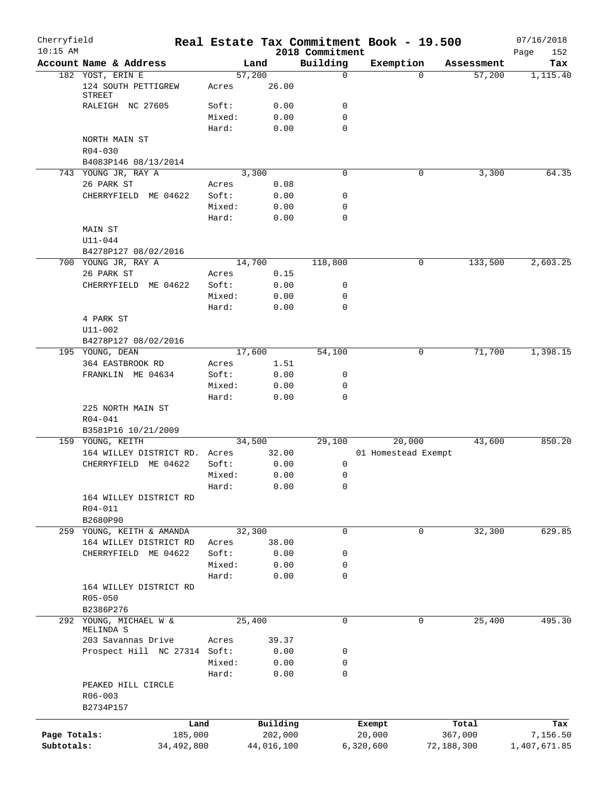| Cherryfield<br>$10:15$ AM |                                             |         |                | Real Estate Tax Commitment Book - 19.500<br>2018 Commitment |                     |             |            | 07/16/2018<br>Page<br>152 |
|---------------------------|---------------------------------------------|---------|----------------|-------------------------------------------------------------|---------------------|-------------|------------|---------------------------|
|                           | Account Name & Address                      |         | Land           | Building                                                    | Exemption           |             | Assessment | Tax                       |
|                           | 182 YOST, ERIN E                            |         | 57,200         | 0                                                           |                     | $\Omega$    | 57,200     | 1,115.40                  |
|                           | 124 SOUTH PETTIGREW<br>STREET               | Acres   | 26.00          |                                                             |                     |             |            |                           |
|                           | RALEIGH NC 27605                            | Soft:   | 0.00           | 0                                                           |                     |             |            |                           |
|                           |                                             | Mixed:  | 0.00           | 0                                                           |                     |             |            |                           |
|                           |                                             | Hard:   | 0.00           | 0                                                           |                     |             |            |                           |
|                           | NORTH MAIN ST                               |         |                |                                                             |                     |             |            |                           |
|                           | $R04 - 030$                                 |         |                |                                                             |                     |             |            |                           |
|                           | B4083P146 08/13/2014                        |         |                |                                                             |                     |             |            |                           |
|                           | 743 YOUNG JR, RAY A                         |         | 3,300          | 0                                                           |                     | 0           | 3,300      | 64.35                     |
|                           | 26 PARK ST                                  | Acres   | 0.08           |                                                             |                     |             |            |                           |
|                           | CHERRYFIELD ME 04622                        | Soft:   | 0.00           | 0                                                           |                     |             |            |                           |
|                           |                                             | Mixed:  | 0.00           | 0                                                           |                     |             |            |                           |
|                           |                                             | Hard:   | 0.00           | 0                                                           |                     |             |            |                           |
|                           | MAIN ST                                     |         |                |                                                             |                     |             |            |                           |
|                           | $U11 - 044$                                 |         |                |                                                             |                     |             |            |                           |
|                           | B4278P127 08/02/2016<br>700 YOUNG JR, RAY A |         |                |                                                             |                     | 0           |            | 2,603.25                  |
|                           | 26 PARK ST                                  | Acres   | 14,700<br>0.15 | 118,800                                                     |                     |             | 133,500    |                           |
|                           | CHERRYFIELD ME 04622                        | Soft:   | 0.00           | 0                                                           |                     |             |            |                           |
|                           |                                             | Mixed:  | 0.00           | 0                                                           |                     |             |            |                           |
|                           |                                             | Hard:   | 0.00           | 0                                                           |                     |             |            |                           |
|                           | 4 PARK ST                                   |         |                |                                                             |                     |             |            |                           |
|                           | $U11 - 002$                                 |         |                |                                                             |                     |             |            |                           |
|                           | B4278P127 08/02/2016                        |         |                |                                                             |                     |             |            |                           |
|                           | 195 YOUNG, DEAN                             |         | 17,600         | 54,100                                                      |                     | 0           | 71,700     | 1,398.15                  |
|                           | 364 EASTBROOK RD                            | Acres   | 1.51           |                                                             |                     |             |            |                           |
|                           | FRANKLIN ME 04634                           | Soft:   | 0.00           | 0                                                           |                     |             |            |                           |
|                           |                                             | Mixed:  | 0.00           | 0                                                           |                     |             |            |                           |
|                           |                                             | Hard:   | 0.00           | $\mathbf 0$                                                 |                     |             |            |                           |
|                           | 225 NORTH MAIN ST                           |         |                |                                                             |                     |             |            |                           |
|                           | $R04 - 041$                                 |         |                |                                                             |                     |             |            |                           |
|                           | B3581P16 10/21/2009                         |         |                |                                                             |                     |             |            |                           |
|                           | 159 YOUNG, KEITH                            |         | 34,500         | 29,100                                                      |                     | 20,000      | 43,600     | 850.20                    |
|                           | 164 WILLEY DISTRICT RD.                     | Acres   | 32.00          |                                                             | 01 Homestead Exempt |             |            |                           |
|                           | CHERRYFIELD ME 04622                        | Soft:   | 0.00           | 0                                                           |                     |             |            |                           |
|                           |                                             | Mixed:  | 0.00           | 0                                                           |                     |             |            |                           |
|                           |                                             | Hard:   | 0.00           | 0                                                           |                     |             |            |                           |
|                           | 164 WILLEY DISTRICT RD                      |         |                |                                                             |                     |             |            |                           |
|                           | R04-011                                     |         |                |                                                             |                     |             |            |                           |
|                           | B2680P90                                    |         |                |                                                             |                     |             |            |                           |
|                           | 259 YOUNG, KEITH & AMANDA                   |         | 32,300         | 0                                                           |                     | 0           | 32,300     | 629.85                    |
|                           | 164 WILLEY DISTRICT RD                      | Acres   | 38.00          |                                                             |                     |             |            |                           |
|                           | CHERRYFIELD ME 04622                        | Soft:   | 0.00           | 0                                                           |                     |             |            |                           |
|                           |                                             | Mixed:  | 0.00           | 0                                                           |                     |             |            |                           |
|                           | 164 WILLEY DISTRICT RD                      | Hard:   | 0.00           | 0                                                           |                     |             |            |                           |
|                           | R05-050                                     |         |                |                                                             |                     |             |            |                           |
|                           | B2386P276                                   |         |                |                                                             |                     |             |            |                           |
|                           | 292 YOUNG, MICHAEL W &                      |         | 25,400         | $\mathbf 0$                                                 |                     | $\mathbf 0$ | 25,400     | 495.30                    |
|                           | MELINDA S                                   |         |                |                                                             |                     |             |            |                           |
|                           | 203 Savannas Drive                          | Acres   | 39.37          |                                                             |                     |             |            |                           |
|                           | Prospect Hill NC 27314 Soft:                |         | 0.00           | 0                                                           |                     |             |            |                           |
|                           |                                             | Mixed:  | 0.00           | 0                                                           |                     |             |            |                           |
|                           |                                             | Hard:   | 0.00           | 0                                                           |                     |             |            |                           |
|                           | PEAKED HILL CIRCLE                          |         |                |                                                             |                     |             |            |                           |
|                           | $R06 - 003$                                 |         |                |                                                             |                     |             |            |                           |
|                           | B2734P157                                   |         |                |                                                             |                     |             |            |                           |
|                           |                                             | Land    | Building       |                                                             | Exempt              |             | Total      | Tax                       |
| Page Totals:              |                                             | 185,000 | 202,000        |                                                             | 20,000              |             | 367,000    | 7,156.50                  |
| Subtotals:                | 34,492,800                                  |         | 44,016,100     |                                                             | 6,320,600           | 72,188,300  |            | 1,407,671.85              |